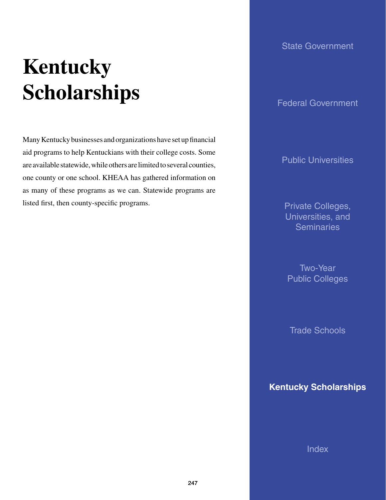# **Kentucky Scholarships**

Many Kentucky businesses and organizations have set up financial aid programs to help Kentuckians with their college costs. Some are available statewide, while others are limited to several counties, one county or one school. KHEAA has gathered information on as many of these programs as we can. Statewide programs are listed first, then county-specific programs.

# State Government

Federal Government

Public Universities

Private Colleges, Universities, and **Seminaries** 

Two-Year Public Colleges

Trade Schools

**Kentucky Scholarships**

**Index**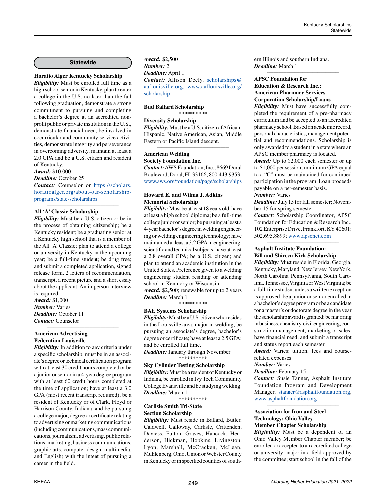#### **Statewide**

# **Horatio Alger Kentucky Scholarship**

*Eligibility:* Must be enrolled full time as a high school senior in Kentucky, plan to enter a college in the U.S. no later than the fall following graduation, demonstrate a strong commitment to pursuing and completing a bachelor's degree at an accredited nonprofit public or private institution in the U.S., demonstrate financial need, be involved in cocurricular and community service activities, demonstrate integrity and perseverance in overcoming adversity, maintain at least a 2.0 GPA and be a U.S. citizen and resident of Kentucky.

*Award:* \$10,000

*Deadline:* October 25

*Contact:* Counselor or [https://scholars.](https://scholars.horatioalger.org/about-our-scholarship-programs/state-scholarships) [horatioalger.org/about-our-scholarship](https://scholars.horatioalger.org/about-our-scholarship-programs/state-scholarships)[programs/state-scholarships](https://scholars.horatioalger.org/about-our-scholarship-programs/state-scholarships) *\_\_\_\_\_\_\_\_\_\_\_\_\_\_\_\_\_\_\_\_\_\_\_\_\_\_\_\_\_\_\_\_\_\_\_\_\_\_\_\_\_\_\_\_*

#### **All 'A' Classic Scholarship**

*Eligibility:* Must be a U.S. citizen or be in the process of obtaining citizenship; be a Kentucky resident; be a graduating senior at a Kentucky high school that is a member of the All 'A' Classic; plan to attend a college or university in Kentucky in the upcoming year; be a full-time student; be drug free; and submit a completed application, signed release form, 2 letters of recommendation, transcript, a recent picture and a short essay about the applicant. An in-person interview is required.

*\_\_\_\_\_\_\_\_\_\_\_\_\_\_\_\_\_\_\_\_\_\_\_\_\_\_\_\_\_\_\_\_\_\_\_\_\_\_\_\_\_\_\_\_*

*Award:* \$1,000 *Number:* Varies *Deadline:* October 11 *Contact:* Counselor

#### **American Advertising Federation Louisville**

*Eligibility:* In addition to any criteria under a specific scholarship, must be in an associate's degree or technical certification program with at least 30 credit hours completed or be a junior or senior in a 4-year degree program with at least 60 credit hours completed at the time of application; have at least a 3.0 GPA (most recent transcript required); be a resident of Kentucky or of Clark, Floyd or Harrison County, Indiana; and be pursuing a college major, degree or certificate relating to advertising or marketing communications (including communications, mass communications, journalism, advertising, public relations, marketing, business communications, graphic arts, computer design, multimedia, and English) with the intent of pursuing a career in the field.

*Award:* \$2,500 *Number:* 2 *Deadline:* April 1 *Contact:* Allison Deely, [scholarships@](mailto:scholarships%40aaflouisville.org?subject=) [aaflouisville.org](mailto:scholarships%40aaflouisville.org?subject=), [www.aaflouisville.org/](http://www.aaflouisville.org/scholarship) [scholarship](http://www.aaflouisville.org/scholarship)

# **Bud Ballard Scholarship**

# \*\*\*\*\*\*\*\*\*\*

# **Diversity Scholarship**

*Eligibility:* Must be a U.S. citizen of African, Hispanic, Native American, Asian, Middle Eastern or Pacific Island descent. *\_\_\_\_\_\_\_\_\_\_\_\_\_\_\_\_\_\_\_\_\_\_\_\_\_\_\_\_\_\_\_\_\_\_\_\_\_\_\_\_\_\_\_\_*

#### **American Welding**

**Society Foundation Inc.**

*Contact:* AWS Foundation, Inc., 8669 Doral Boulevard, Doral, FL 33166; 800.443.9353; [www.aws.org/foundation/page/scholarships](http://www.aws.org/foundation/page/scholarships)

#### **Howard E. and Wilma J. Adkins Memorial Scholarship**

*Eligibility:* Must be at least 18 years old, have at least a high school diploma; be a full-time college junior or senior; be pursuing at least a 4-year bachelor's degree in welding engineering or welding engineering technology; have maintained at least a 3.2 GPA in engineering, scientific and technical subjects; have at least a 2.8 overall GPA; be a U.S. citizen; and plan to attend an academic institution in the United States. Preference given to a welding engineering student residing or attending school in Kentucky or Wisconsin.

*Award:* \$2,500; renewable for up to 2 years *Deadline:* March 1 \*\*\*\*\*\*\*\*\*\*

# **BAE Systems Scholarship**

*Eligibility:* Must be a U.S. citizen who resides in the Louisville area; major in welding; be pursuing an associate's degree, bachelor's degree or certificate; have at least a 2.5 GPA; and be enrolled full time.

*Deadline:* January through November \*\*\*\*\*\*\*\*\*\*

#### **Sky Cylinder Testing Scholarship**

*Eligibility:* Must be a resident of Kentucky or Indiana, be enrolled in Ivy Tech Community College Evansville and be studying welding. *Deadline:* March 1

\*\*\*\*\*\*\*\*\*\*

#### **Carlisle Smith Tri-State Section Scholarship**

*Eligibility:* Must reside in Ballard, Butler, Caldwell, Calloway, Carlisle, Crittenden, Daviess, Fulton, Graves, Hancock, Henderson, Hickman, Hopkins, Livingston, Lyon, Marshall, McCracken, McLean, Muhlenberg, Ohio, Union or Webster County in Kentucky or in specified counties of southern Illinois and southern Indiana. *Deadline:* March 1

# **APSC Foundation for Education & Research Inc.: American Pharmacy Services Corporation Scholarship/Loans**

*Eligibility:* Must have successfully completed the requirement of a pre-pharmacy curriculum and be accepted to an accredited pharmacy school. Based on academic record, personal characteristics, management potential and recommendations. Scholarship is only awarded to a student in a state where an APSC member pharmacy is located.

*\_\_\_\_\_\_\_\_\_\_\_\_\_\_\_\_\_\_\_\_\_\_\_\_\_\_\_\_\_\_\_\_\_\_\_\_\_\_\_\_\_\_\_\_*

*Award:* Up to \$2,000 each semester or up to \$1,000 per session; minimum GPA equal to a "C" must be maintained for continued participation in the program. Loan proceeds payable on a per-semester basis.

# *Number:* Varies

*Deadline:* July 15 for fall semester; November 15 for spring semester

*Contact:* Scholarship Coordinator, APSC Foundation for Education & Research Inc., 102 Enterprise Drive, Frankfort, KY 40601; 502.695.8899; [www.apscnet.com](http://www.apscnet.com)

*\_\_\_\_\_\_\_\_\_\_\_\_\_\_\_\_\_\_\_\_\_\_\_\_\_\_\_\_\_\_\_\_\_\_\_\_\_\_\_\_\_\_\_\_*

#### **Asphalt Institute Foundation: Bill and Shireen Kirk Scholarship**

*Eligibility:* Must reside in Florida, Georgia, Kentucky, Maryland, New Jersey, New York, North Carolina, Pennsylvania, South Carolina, Tennessee, Virginia or West Virginia; be a full-time student unless a written exception is approved; be a junior or senior enrolled in a bachelor's degree program or be a candidate for a master's or doctorate degree in the year the scholarship award is granted; be majoring in business, chemistry, civil engineering, construction management, marketing or sales; have financial need; and submit a transcript and status report each semester.

*Award:* Varies; tuition, fees and courserelated expenses

# *Number:* Varies

*Deadline:* February 15

*Contact:* Susie Tanner, Asphalt Institute Foundation Program and Development Manager, [stanner@asphaltfoundation.org,](mailto:stanner%40asphaltfoundation.org?subject=) [www.asphaltfoundation.org](http://www.asphaltfoundation.org)

*\_\_\_\_\_\_\_\_\_\_\_\_\_\_\_\_\_\_\_\_\_\_\_\_\_\_\_\_\_\_\_\_\_\_\_\_\_\_\_\_\_\_\_\_*

# **Association for Iron and Steel Technology: Ohio Valley Member Chapter Scholarship**

*Eligibility:* Must be a dependent of an Ohio Valley Member Chapter member; be enrolled or accepted to an accredited college or university; major in a field approved by the committee; start school in the fall of the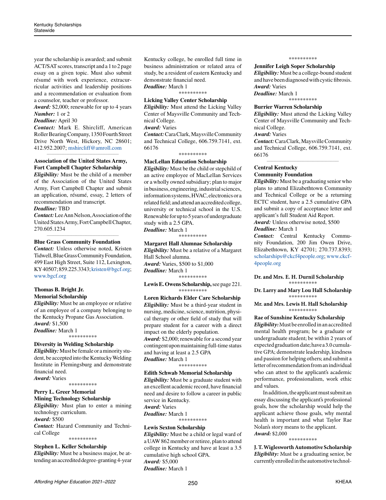year the scholarship is awarded; and submit ACT/SAT scores, transcript and a 1 to 2 page essay on a given topic. Must also submit résumé with work experience, extracurricular activities and leadership positions and a recommendation or evaluation from a counselor, teacher or professor.

*Award:* \$2,000; renewable for up to 4 years *Number:* 1 or 2

*Deadline:* April 30

*Contact:* Mark E. Shircliff, American Roller Bearing Company, 1350 Fourth Street Drive North West, Hickory, NC 28601; 412.952.2007; [mshircliff@amroll.com](mailto:mshircliff%40amroll.com?subject=)

### *\_\_\_\_\_\_\_\_\_\_\_\_\_\_\_\_\_\_\_\_\_\_\_\_\_\_\_\_\_\_\_\_\_\_\_\_\_\_\_\_\_\_\_\_* **Association of the United States Army, Fort Campbell Chapter Scholarship**

*Eligibility:* Must be the child of a member of the Association of the United States Army, Fort Campbell Chapter and submit an application, résumé, essay, 2 letters of recommendation and transcript.

# *Deadline:* TBD

*Contact:* Lee Ann Nelson, Association of the United States Army, Fort Campbell Chapter, 270.605.1234 *\_\_\_\_\_\_\_\_\_\_\_\_\_\_\_\_\_\_\_\_\_\_\_\_\_\_\_\_\_\_\_\_\_\_\_\_\_\_\_\_\_\_\_\_*

# **Blue Grass Community Foundation**

*Contact:* Unless otherwise noted, Kristen Tidwell, Blue Grass Community Foundation, 499 East High Street, Suite 112, Lexington, KY 40507; 859.225.3343; [kristen@bgcf.org](mailto:kristen%40bgcf.org?subject=); [www.bgcf.org](http://www.bgcf.org)

# **Thomas B. Bright Jr. Memorial Scholarship**

*Eligibility:* Must be an employee or relative of an employee of a company belonging to the Kentucky Propane Gas Association. *Award:* \$1,500 *Deadline:* March 1

\*\*\*\*\*\*\*\*\*\*

#### **Diversity in Welding Scholarship**

*Eligibility:* Must be female or a minority student, be accepted into the Kentucky Welding Institute in Flemingsburg and demonstrate financial need. *Award:* Varies

\*\*\*\*\*\*\*\*\*\*

# **Perry L. Greer Memorial Mining Technology Scholarship**

*Eligibility:* Must plan to enter a mining technology curriculum. *Award:* \$500

*Contact:* Hazard Community and Technical College \*\*\*\*\*\*\*\*\*\*

# **Stephen L. Keller Scholarship**

*Eligibility:* Must be a business major, be attending an accredited degree-granting 4-year Kentucky college, be enrolled full time in business administration or related area of study, be a resident of eastern Kentucky and demonstrate financial need. *Deadline:* March 1

\*\*\*\*\*\*\*\*\*\*

# **Licking Valley Center Scholarship**

*Eligibility:* Must attend the Licking Valley Center of Maysville Community and Technical College.

*Award:* Varies

*Contact:* Cara Clark, Maysville Community and Technical College, 606.759.7141, ext. 66176

\*\*\*\*\*\*\*\*\*\*

#### **MacLellan Education Scholarship**

*Eligibility:* Must be the child or stepchild of an active employee of MacLellan Services or a wholly owned subsidiary; plan to major in business, engineering, industrial sciences, information systems, HVAC, electronics or a related field; and attend an accredited college, university or technical school in the U.S. Renewable for up to 5 years of undergraduate study with a 2.5 GPA.

*Deadline:* March 1 \*\*\*\*\*\*\*\*\*\*

#### **Margaret Hall Alumnae Scholarship**

*Eligibility:* Must be a relative of a Margaret Hall School alumna. *Award:* Varies, \$500 to \$1,000 *Deadline:* March 1 \*\*\*\*\*\*\*\*\*\*

#### **Lewis E. Owens Scholarship,** see page 221. \*\*\*\*\*\*\*\*\*\*

**Loren Richards Elder Care Scholarship**

*Eligibility:* Must be a third-year student in nursing, medicine, science, nutrition, physical therapy or other field of study that will prepare student for a career with a direct impact on the elderly population. *Award:* \$2,000; renewable for a second year contingent upon maintaining full-time status and having at least a 2.5 GPA *Deadline:* March 1

\*\*\*\*\*\*\*\*\*\*

#### **Edith Schwab Memorial Scholarship**

*Eligibility:* Must be a graduate student with an excellent academic record, have financial need and desire to follow a career in public service in Kentucky.

*Award:* Varies

*Deadline:* March 1 \*\*\*\*\*\*\*\*\*\*

#### **Lewis Sexton Scholarship**

*Eligibility:* Must be a child or legal ward of a UAW 862 member or retiree, plan to attend college in Kentucky and have at least a 3.5 cumulative high school GPA. *Award:* \$5,000 *Deadline:* March 1

\*\*\*\*\*\*\*\*\*\*

#### **Jennifer Leigh Soper Scholarship**

*Eligibility:* Must be a college-bound student and have been diagnosed with cystic fibrosis. *Award:* Varies *Deadline:* March 1

\*\*\*\*\*\*\*\*\*\*

#### **Burrier Warren Scholarship**

*Eligibility:* Must attend the Licking Valley Center of Maysville Community and Technical College.

# *Award:* Varies

*Contact:* Cara Clark, Maysville Community and Technical College, 606.759.7141, ext. 66176*\_\_\_\_\_\_\_\_\_\_\_\_\_\_\_\_\_\_\_\_\_\_\_\_\_\_\_\_\_\_\_\_\_\_\_\_\_\_\_\_\_\_\_\_*

#### **Central Kentucky Community Foundation**

*Eligibility:* Must be a graduating senior who plans to attend Elizabethtown Community and Technical College or be a returning ECTC student, have a 2.5 cumulative GPA and submit a copy of acceptance letter and applicant's full Student Aid Report. *Award:* Unless otherwise noted, \$500

#### *Deadline:* March 1

*Contact:* Central Kentucky Community Foundation, 200 Jim Owen Drive, Elizabethtown, KY 42701; 270.737.8393; [scholarships@ckcf4people.org](mailto:scholarships%40ckcf4people.org?subject=); [www.ckcf-](http://www.ckcf4people.org)[4people.org](http://www.ckcf4people.org)

#### **Dr. and Mrs. E. H. Durnil Scholarship**  \*\*\*\*\*\*\*\*\*\*

**Dr. Larry and Mary Lou Hall Scholarship** \*\*\*\*\*\*\*\*\*\*

**Mr. and Mrs. Lewis H. Hall Scholarship** \*\*\*\*\*\*\*\*\*\*

**Rae of Sunshine Kentucky Scholarship** *Eligibility:* Must be enrolled in an accredited mental health program; be a graduate or undergraduate student; be within 2 years of expected graduation date; have a 3.0 cumulative GPA; demonstrate leadership, kindness and passion for helping others; and submit a letter of recommendation from an individual

who can attest to the applicant's academic performance, professionalism, work ethic and values. In addition, the applicant must submit an

essay discussing the applicant's professional goals, how the scholarship would help the applicant achieve those goals, why mental health is important and what Taylor Rae Nolan's story means to the applicant. *Award:* \$2,000

\*\*\*\*\*\*\*\*\*\*

**J. T. Wiglesworth Automotive Scholarship** *Eligibility:* Must be a graduating senior, be currently enrolled in the automotive technol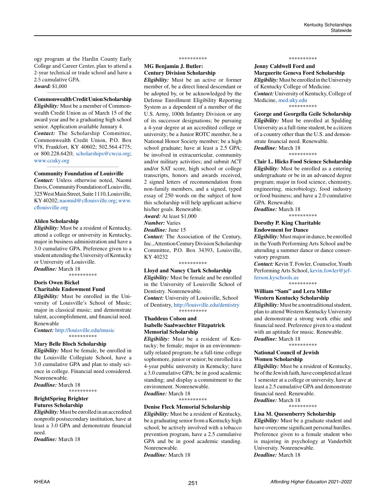ogy program at the Hardin County Early College and Career Center, plan to attend a 2-year technical or trade school and have a 2.5 cumulative GPA. *Award:* \$1,000

#### *\_\_\_\_\_\_\_\_\_\_\_\_\_\_\_\_\_\_\_\_\_\_\_\_\_\_\_\_\_\_\_\_\_\_\_\_\_\_\_\_\_\_\_\_* **Commonwealth Credit Union Scholarship**

*Eligibility:* Must be a member of Commonwealth Credit Union as of March 15 of the award year and be a graduating high school senior. Application available January 4. *Contact:* The Scholarship Committee, Commonwealth Credit Union, P.O. Box 978, Frankfort, KY 40602; 502.564.4775; or 800.228.6420; scholarships[@cwcu.org](mailto:scholarships%40cwcu.org?subject=); [www.ccuky.org](http://www.ccuky.org)

#### **Community Foundation of Louisville**

*Contact:* Unless otherwise noted, Naomi Davis, Community Foundation of Louisville, 325 West Main Street, Suite 1110, Louisville, KY 40202; [naomid@cflouisville.org;](mailto:naomid%40cflouisville.org?subject=) [www.](http://www.cflouisville.org) [cflouisville.org](http://www.cflouisville.org)

*\_\_\_\_\_\_\_\_\_\_\_\_\_\_\_\_\_\_\_\_\_\_\_\_\_\_\_\_\_\_\_\_\_\_\_\_\_\_\_\_\_\_\_\_*

#### **Alden Scholarship**

*Eligibility:* Must be a resident of Kentucky, attend a college or university in Kentucky, major in business administration and have a 3.0 cumulative GPA. Preference given to a student attending the University of Kentucky or University of Louisville. *Deadline:* March 18

\*\*\*\*\*\*\*\*\*\*\*\*\*\*\*\*\*

### **Doris Owen Bickel Charitable Endowment Fund**

*Eligibility:* Must be enrolled in the University of Louisville's School of Music; major in classical music; and demonstrate talent, accomplishment, and financial need. Renewable

*Contact:* <http://louisville.edu/music> \*\*\*\*\*\*\*\*\*\*

#### **Mary Belle Bloch Scholarship**

*Eligibility:* Must be female, be enrolled in the Louisville Collegiate School, have a 3.0 cumulative GPA and plan to study science in college. Financial need considered. Nonrenewable.

*Deadline:* March 18 \*\*\*\*\*\*\*\*\*\*

# **BrightSpring Brighter Futures Scholarship**

*Eligibility:* Must be enrolled in an accredited nonprofit postsecondary institution, have at least a 3.0 GPA and demonstrate financial need.

*Deadline:* March 18

#### \*\*\*\*\*\*\*\*\*\*

# **MG Benjamin J. Butler: Century Division Scholarship**

*Eligibility:* Must be an active or former member of, be a direct lineal descendant or be adopted by, or be acknowledged by the Defense Enrollment Eligibility Reporting System as a dependent of a member of the U.S. Army, 100th Infantry Division or any of its successor designations; be pursuing a 4-year degree at an accredited college or university; be a Junior ROTC member, be a National Honor Society member; be a high school graduate; have at least a 2.5 GPA; be involved in extracurricular, community and/or military activities; and submit ACT and/or SAT score, high school or college transcripts, honors and awards received, 2 signed letters of recommendation from non-family members, and a signed, typed essay of 250 words on the subject of how this scholarship will help applicant achieve his/her goals. Renewable.

*Award:* At least \$1,000

*Number:* Varies

*Deadline:* June 15

*Contact:* The Association of the Century, Inc., Attention Century Division Scholarship Committee, P.O. Box 34393, Louisville, KY 40232

# \*\*\*\*\*\*\*\*\*\*

**Lloyd and Nancy Clark Scholarship** *Eligibility:* Must be female and be enrolled in the University of Louisville School of Dentistry. Nonrenewable. *Contact:* University of Louisville, School of Dentistry, <http://louisville.edu/dentistry>

\*\*\*\*\*\*\*\*\*\* **Thaddeus Colson and**

# **Isabelle Saalwaechter Fitzpatrick Memorial Scholarship**

*Eligibility:* Must be a resident of Kentucky; be female; major in an environmentally related program; be a full-time college sophomore, junior or senior; be enrolled in a 4-year public university in Kentucky; have a 3.0 cumulative GPA; be in good academic standing; and display a commitment to the environment. Nonrenewable. *Deadline:* March 18

\*\*\*\*\*\*\*\*\*\*

#### **Denise Fleck Memorial Scholarship**

*Eligibility:* Must be a resident of Kentucky, be a graduating senior from a Kentucky high school, be actively involved with a tobacco prevention program, have a 2.5 cumulative GPA and be in good academic standing. Nonrenewable. *Deadline:* March 18

\*\*\*\*\*\*\*\*\*\*

# **Jenny Caldwell Ford and Marguerite Geneva Ford Scholarship**

*Eligibility:* Must be enrolled in the University of Kentucky College of Medicine. *Contact:* University of Kentucky, College of Medicine, [med.uky.edu](http://med.uky.edu) \*\*\*\*\*\*\*\*\*\*

**George and Georgella Geile Scholarship** *Eligibility:* Must be enrolled at Spalding University as a full-time student, be a citizen of a country other than the U.S. and demonstrate financial need. Renewable. *Deadline:* March 18

\*\*\*\*\*\*\*\*\*\*

**Clair L. Hicks Food Science Scholarship** *Eligibility:* Must be enrolled as a entering undergraduate or be in an advanced degree program; major in food science, chemistry, engineering, microbiology, food industry or food business; and have a 2.0 cumulative GPA. Renewable.

*Deadline:* March 18 \*\*\*\*\*\*\*\*\*\*

### **Dorothy P. King Charitable Endowment for Dance**

*Eligibility:* Must major in dance, be enrolled in the Youth Performing Arts School and be attending a summer dance or dance conservatory program.

*Contact:* Kevin T. Fowler, Counselor, Youth Performing Arts School, [kevin.fowler@jef](mailto:kevin.fowler%40jefferson.kyschools.us?subject=)[ferson.kyschools.us](mailto:kevin.fowler%40jefferson.kyschools.us?subject=)

\*\*\*\*\*\*\*\*\*\*

# **William "Sam" and Lera Miller Western Kentucky Scholarship**

*Eligibility:* Must be a nontraditional student, plan to attend Western Kentucky University and demonstrate a strong work ethic and financial need. Preference given to a student with an aptitude for music. Renewable. *Deadline:* March 18

\*\*\*\*\*\*\*\*\*\*

#### **National Council of Jewish Women Scholarship**

*Eligibility:* Must be a resident of Kentucky, be of the Jewish faith, have completed at least 1 semester at a college or university, have at least a 2.5 cumulative GPA and demonstrate financial need. Renewable. *Deadline:* March 18

\*\*\*\*\*\*\*\*\*\*

#### **Lisa M. Quesenberry Scholarship**

*Eligibility:* Must be a graduate student and have overcome significant personal hurdles. Preference given to a female student who is majoring in psychology at Vanderbilt University. Nonrenewable. *Deadline:* March 18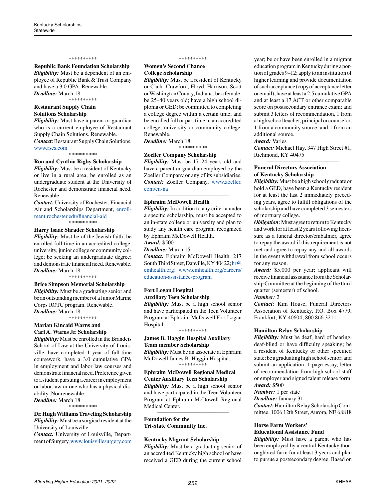#### \*\*\*\*\*\*\*\*\*\*

# **Republic Bank Foundation Scholarship**

*Eligibility:* Must be a dependent of an employee of Republic Bank & Trust Company

and have a 3.0 GPA. Renewable.

*Deadline:* March 18

\*\*\*\*\*\*\*\*\*\*

# **Restaurant Supply Chain Solutions Scholarship**

*Eligibility:* Must have a parent or guardian who is a current employee of Restaurant Supply Chain Solutions. Renewable. *Contact:* Restaurant Supply Chain Solutions, [www.rscs.com](http://www.rscs.com)

\*\*\*\*\*\*\*\*\*\*

#### **Ron and Cynthia Rigby Scholarship**

*Eligibility:* Must be a resident of Kentucky or live in a rural area, be enrolled as an undergraduate student at the University of Rochester and demonstrate financial need. Renewable.

*Contact:* University of Rochester, Financial Air and Scholarships Department, [enroll](http://enrollment.rochester.edu/financial-aid)[ment.rochester.edu/financial-aid](http://enrollment.rochester.edu/financial-aid)

\*\*\*\*\*\*\*\*\*\*

#### **Harry Isaac Shrader Scholarship**

*Eligibility:* Must be of the Jewish faith; be enrolled full time in an accredited college, university, junior college or community college; be seeking an undergraduate degree; and demonstrate financial need. Renewable. *Deadline:* March 18

\*\*\*\*\*\*\*\*\*\*

#### **Brice Simpson Memorial Scholarship**

*Eligibility:* Must be a graduating senior and be an outstanding member of a Junior Marine Corps ROTC program. Renewable. *Deadline:* March 18

\*\*\*\*\*\*\*\*\*\*

#### **Marian Kincaid Warns and Carl A. Warns Jr. Scholarship**

*Eligibility:* Must be enrolled in the Brandeis School of Law at the University of Louisville, have completed 1 year of full-time coursework, have a 3.0 cumulative GPA in employment and labor law courses and demonstrate financial need. Preference given to a student pursuing a career in employment or labor law or one who has a physical disability. Nonrenewable.

*Deadline:* March 18 \*\*\*\*\*\*\*\*\*\*

# **Dr. Hugh Williams Traveling Scholarship**

*Eligibility:* Must be a surgical resident at the University of Louisville.

*Contact:* University of Louisville, Department of Surgery, [www.louisvillesurgery.com](http://www.louisvillesurgery.com)

#### \*\*\*\*\*\*\*\*\*\*

#### **Women's Second Chance College Scholarship**

*Eligibility:* Must be a resident of Kentucky or Clark, Crawford, Floyd, Harrison, Scott or Washington County, Indiana; be a female; be 25–40 years old; have a high school diploma or GED; be committed to completing a college degree within a certain time; and be enrolled full or part time in an accredited college, university or community college. Renewable.

*Deadline:* March 18

\*\*\*\*\*\*\*\*\*\*

#### **Zoeller Company Scholarship** *Eligibility:* Must be 17–24 years old and

have a parent or guardian employed by the Zoeller Company or any of its subsidiaries. *Contact:* Zoeller Company, [www.zoeller.](http://www.zoeller.com/en-na) [com/en-na](http://www.zoeller.com/en-na)

*\_\_\_\_\_\_\_\_\_\_\_\_\_\_\_\_\_\_\_\_\_\_\_\_\_\_\_\_\_\_\_\_\_\_\_\_\_\_\_\_\_\_\_\_*

#### **Ephraim McDowell Health**

*Eligibility:* In addition to any criteria under a specific scholarship, must be accepted to an in-state college or university and plan to study any health care program recognized by Ephraim McDowell Health.

#### *Award:* \$500

*Deadline:* March 15

*Contact:* Ephraim McDowell Health, 217 South Third Street, Danville, KY 40422; [hr@](mailto:hr%40emhealth.org?subject=) [emhealth.org](mailto:hr%40emhealth.org?subject=); [www.emhealth.org/careers/](http://www.emhealth.org/careers/education-assistance-program) [education-assistance-program](http://www.emhealth.org/careers/education-assistance-program)

# **Fort Logan Hospital**

**Auxiliary Teen Scholarship** *Eligibility:* Must be a high school senior and have participated in the Teen Volunteer Program at Ephraim McDowell Fort Logan Hospital.

#### \*\*\*\*\*\*\*\*\*\*

# **James B. Haggin Hospital Auxiliary Team member Scholarship**

*Eligibility:* Must be an associate at Ephraim McDowell James B. Haggin Hospital. \*\*\*\*\*\*\*\*\*\*

# **Ephraim McDowell Regional Medical**

**Center Auxiliary Teen Scholarship** *Eligibility:* Must be a high school senior and have participated in the Teen Volunteer Program at Ephraim McDowell Regional Medical Center.

*\_\_\_\_\_\_\_\_\_\_\_\_\_\_\_\_\_\_\_\_\_\_\_\_\_\_\_\_\_\_\_\_\_\_\_\_\_\_\_\_\_\_\_\_*

#### **Foundation for the Tri-State Community Inc.**

#### **Kentucky Migrant Scholarship**

*Eligibility:* Must be a graduating senior of an accredited Kentucky high school or have received a GED during the current school year; be or have been enrolled in a migrant education program in Kentucky during a portion of grades 9–12; apply to an institution of higher learning and provide documentation of such acceptance (copy of acceptance letter or email); have at least a 2.5 cumulative GPA and at least a 17 ACT or other comparable score on postsecondary entrance exam; and submit 3 letters of recommendation, 1 from a high school teacher, principal or counselor, 1 from a community source, and 1 from an additional source.

#### *Award:* Varies

*Contact:* Michael Hay, 347 High Street #1, Richmond, KY 40475 *\_\_\_\_\_\_\_\_\_\_\_\_\_\_\_\_\_\_\_\_\_\_\_\_\_\_\_\_\_\_\_\_\_\_\_\_\_\_\_\_\_\_\_\_*

# **Funeral Directors Association of Kentucky Scholarship**

*Eligibility:*Must be a high school graduate or hold a GED, have been a Kentucky resident for at least the last 2 immediately preceding years, agree to fulfill obligations of the scholarship and have completed 3 semesters of mortuary college.

*Obligation:* Must agree to return to Kentucky and work for at least 2 years following licensure as a funeral director/embalmer, agree to repay the award if this requirement is not met and agree to repay any and all awards in the event withdrawal from school occurs for any reason.

*Award:* \$5,000 per year; applicant will receive financial assistance from the Scholarship Committee at the beginning of the third quarter (semester) of school.

### *Number:* 2

*Contact:* Kim House, Funeral Directors Association of Kentucky, P.O. Box 4779, Frankfort, KY 40604; 800.866.3211 *\_\_\_\_\_\_\_\_\_\_\_\_\_\_\_\_\_\_\_\_\_\_\_\_\_\_\_\_\_\_\_\_\_\_\_\_\_\_\_\_\_\_\_\_*

#### **Hamilton Relay Scholarship**

*Eligibility:* Must be deaf, hard of hearing, deaf-blind or have difficulty speaking; be a resident of Kentucky or other specified state; be a graduating high school senior; and submit an application, 1-page essay, letter of recommendation from high school staff or employer and signed talent release form. *Award:* \$500

#### *Number:* 1 per state

*Deadline:* January 31

*Contact:* Hamilton Relay Scholarship Committee, 1006 12th Street, Aurora, NE 68818 *\_\_\_\_\_\_\_\_\_\_\_\_\_\_\_\_\_\_\_\_\_\_\_\_\_\_\_\_\_\_\_\_\_\_\_\_\_\_\_\_\_\_\_\_*

#### **Horse Farm Workers' Educational Assistance Fund**

*Eligibility:* Must have a parent who has been employed by a central Kentucky thoroughbred farm for at least 3 years and plan to pursue a postsecondary degree. Based on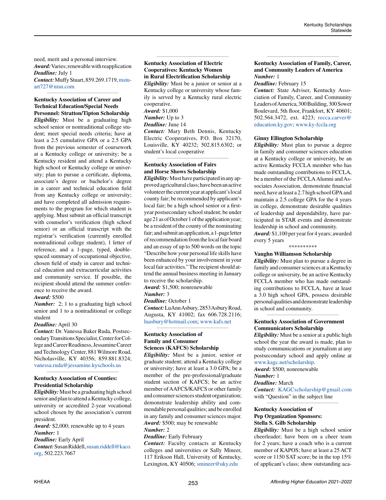need, merit and a personal interview. *Award:* Varies; renewable with reapplication *Deadline:* July 1

*Contact:* Muffy Stuart, 859.269.1719, [mstu](mailto:mstuart727%40msn.com?subject=)[art727@msn.com](mailto:mstuart727%40msn.com?subject=) *\_\_\_\_\_\_\_\_\_\_\_\_\_\_\_\_\_\_\_\_\_\_\_\_\_\_\_\_\_\_\_\_\_\_\_\_\_\_\_\_\_\_\_\_*

# **Kentucky Association of Career and Technical Education/Special Needs**

**Personnel: Stratton/Tipton Scholarship**  *Eligibility:* Must be a graduating high school senior or nontraditional college student; meet special needs criteria; have at least a 2.5 cumulative GPA or a 2.5 GPA from the previous semester of coursework at a Kentucky college or university; be a Kentucky resident and attend a Kentucky high school or Kentucky college or university; plan to pursue a certificate, diploma, associate's degree or bachelor's degree in a career and technical education field from any Kentucky college or university; and have completed all admission requirements to the program for which student is applying. Must submit an official transcript with counselor's verification (high school senior) or an official transcript with the registrar's verification (currently enrolled nontraditional college student), 1 letter of reference, and a 1-page, typed, doublespaced summary of occupational objective, chosen field of study in career and technical education and extracurricular activities and community service. If possible, the recipient should attend the summer conference to receive the award.

#### *Award:* \$500

*Number:* 2; 1 to a graduating high school senior and 1 to a nontraditional or college student

#### *Deadline:* April 30

*Contact:* Dr. Vanessa Baker Ruda, Postsecondary Transitions Specialist, Center for College and Career Readiness, Jessamine Career and Technology Center, 881 Wilmore Road, Nicholasville, KY 40356; 859.881.8324; [vanessa.ruda@jessamine.kyschools.us](mailto:vanessa.ruda%40jessamine.kyschools.us?subject=)

*\_\_\_\_\_\_\_\_\_\_\_\_\_\_\_\_\_\_\_\_\_\_\_\_\_\_\_\_\_\_\_\_\_\_\_\_\_\_\_\_\_\_\_\_*

# **Kentucky Association of Counties: Presidential Scholarship**

*Eligibility:*Must be a graduating high school senior and plan to attend a Kentucky college, university or accredited 2-year vocational school chosen by the association's current president.

*Award:* \$2,000; renewable up to 4 years *Number:* 1

# *Deadline:* Early April

*Contact:*Susan Riddell, [susan.riddell@kaco.](mailto:susan.riddell%40kaco.org?subject=) [org,](mailto:susan.riddell%40kaco.org?subject=) 502.223.7667

# **Kentucky Association of Electric Cooperatives: Kentucky Women in Rural Electrification Scholarship** *Eligibility:* Must be a junior or senior at a

*\_\_\_\_\_\_\_\_\_\_\_\_\_\_\_\_\_\_\_\_\_\_\_\_\_\_\_\_\_\_\_\_\_\_\_\_\_\_\_\_\_\_\_\_*

Kentucky college or university whose family is served by a Kentucky rural electric cooperative. *Award:* \$1,000 *Number:* Up to 3 *Deadline:* June 14 *Contact:* Mary Beth Dennis, Kentucky Electric Cooperatives, P.O. Box 32170, Louisville, KY 40232; 502.815.6302; or

#### *\_\_\_\_\_\_\_\_\_\_\_\_\_\_\_\_\_\_\_\_\_\_\_\_\_\_\_\_\_\_\_\_\_\_\_\_\_\_\_\_\_\_\_\_* **Kentucky Association of Fairs and Horse Shows Scholarship**

student's local cooperative

*Eligibility:* Must have participated in any approved agricultural class; have been an active volunteer the current year at applicant's local county fair; be recommended by applicant's local fair; be a high school senior or a firstyear postsecondary school student; be under age 21 as of October 1 of the application year; be a resident of the county of the nominating fair; and submit an application, a 1-page letter of recommendation from the local fair board and an essay of up to 500 words on the topic "Describe how your personal life skills have been enhanced by your involvement in your local fair activities." The recipient should attend the annual business meeting in January to receive the scholarship.

*Award:* \$1,500; nonrenewable

*Number:* 3

*Deadline:* October 1

*Contact:* LuAnn Asbury, 2853 Asbury Road, Augusta, KY 41002; fax 606.728.2116; [luasbury@hotmail.com;](mailto:luasbury%40hotmail.com?subject=) [www.kafs.net](http://www.kafs.net) *\_\_\_\_\_\_\_\_\_\_\_\_\_\_\_\_\_\_\_\_\_\_\_\_\_\_\_\_\_\_\_\_\_\_\_\_\_\_\_\_\_\_\_\_*

#### **Kentucky Association of Family and Consumer Sciences (KAFCS) Scholarship**

*Eligibility:* Must be a junior, senior or graduate student; attend a Kentucky college or university; have at least a 3.0 GPA; be a member of the pre-professional/graduate student section of KAFCS; be an active member of AAFCS/KAFCS or other family and consumer sciences student organization; demonstrate leadership ability and commendable personal qualities; and be enrolled in any family and consumer sciences major. *Award:* \$500; may be renewable

#### *Number:* 2

*Deadline:* Early February

*Contact:* Faculty contacts at Kentucky colleges and universities or Sally Mineer, 117 Erikson Hall, University of Kentucky, Lexington, KY 40506; [smineer@uky.edu](mailto:smineer%40uky.edu?subject=)

#### **Kentucky Association of Family, Career, and Community Leaders of America** *Number:* 1

*\_\_\_\_\_\_\_\_\_\_\_\_\_\_\_\_\_\_\_\_\_\_\_\_\_\_\_\_\_\_\_\_\_\_\_\_\_\_\_\_\_\_\_\_*

#### *Deadline:* February 15

*Contact:* State Adviser, Kentucky Association of Family, Career, and Community Leaders of America, 300 Building, 300 Sower Boulevard, 5th floor, Frankfort, KY 40601; 502.564.3472, ext. 4223; [recca.carver@](mailto:recca.carver%40education.ky.gov?subject=) [education.ky.gov](mailto:recca.carver%40education.ky.gov?subject=); [www.ky-fccla.org](http://www.ky-fccla.org)

#### **Ginny Ellington Scholarship**

*Eligibility:* Must plan to pursue a degree in family and consumer sciences education at a Kentucky college or university, be an active Kentucky FCCLA member who has made outstanding contributions to FCCLA, be a member of the FCCLA Alumni and Associates Association, demonstrate financial need, have at least a 2.7 high school GPA and maintain a 2.5 college GPA for the 4 years in college, demonstrate desirable qualities of leadership and dependability, have participated in STAR events and demonstrate leadership in school and community. *Award:* \$1,100 per year for 4 years; awarded

every 5 years

# \*\*\*\*\*\*\*\*\*\*

#### **Vaughn Williamson Scholarship**

*Eligibility:* Must plan to pursue a degree in family and consumer sciences at a Kentucky college or university, be an active Kentucky FCCLA member who has made outstanding contributions to FCCLA, have at least a 3.0 high school GPA, possess desirable personal qualities and demonstrate leadership in school and community.

# **Kentucky Association of Government Communicators Scholarship**

*\_\_\_\_\_\_\_\_\_\_\_\_\_\_\_\_\_\_\_\_\_\_\_\_\_\_\_\_\_\_\_\_\_\_\_\_\_\_\_\_\_\_\_\_*

*Eligibility:* Must be a senior at a public high school the year the award is made, plan to study communications or journalism at any postsecondary school and apply online at [www.kagc.net/scholarship](http://www.kagc.net/scholarship).

*Award:* \$500; nonrenewable

# *Number:* 1

*Deadline:* March

*Contact:* [KAGCscholarship@gmail.com](mailto:KAGCscholarship%40gmail.com?subject=) with "Question" in the subject line *\_\_\_\_\_\_\_\_\_\_\_\_\_\_\_\_\_\_\_\_\_\_\_\_\_\_\_\_\_\_\_\_\_\_\_\_\_\_\_\_\_\_\_\_*

# **Kentucky Association of Pep Organization Sponsors: Stella S. Gilb Scholarship**

*Eligibility:* Must be a high school senior cheerleader; have been on a cheer team for 2 years; have a coach who is a current member of KAPOS; have at least a 25 ACT score or 1150 SAT score; be in the top 15% of applicant's class; show outstanding aca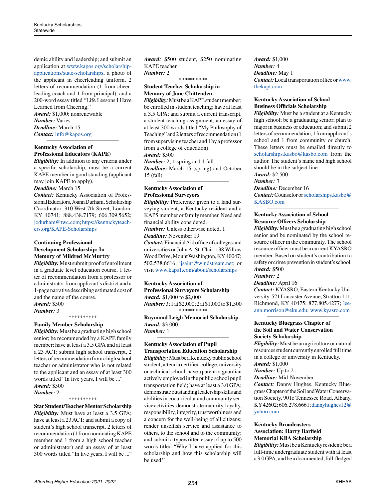demic ability and leadership; and submit an application at [www.kapos.org/scholarship](http://www.kapos.org/scholarship-applications/state-scholarships)[applications/state-scholarships,](http://www.kapos.org/scholarship-applications/state-scholarships) a photo of the applicant in cheerleading uniform, 2 letters of recommendation (1 from cheerleading coach and 1 from principal), and a 200-word essay titled "Life Lessons I Have Learned from Cheering."

*Award:* \$1,000; nonrenewable *Number:* Varies *Deadline:* March 15 *Contact:* [info@kapos.org](mailto:info%40kapos.org?subject=)

# **Kentucky Association of Professional Educators (KAPE)**

*Eligibility:* In addition to any criteria under a specific scholarship, must be a current KAPE member in good standing (applicant may join KAPE to apply).

*\_\_\_\_\_\_\_\_\_\_\_\_\_\_\_\_\_\_\_\_\_\_\_\_\_\_\_\_\_\_\_\_\_\_\_\_\_\_\_\_\_\_\_\_*

*Deadline:* March 15

*Contact:* Kentucky Association of Professional Educators, Joann Durham, Scholarship Coordinator, 310 West 7th Street, London, KY 40741; 888.438.7179; 606.309.5652; [jodurham@twc.com;](mailto:jodurham%40twc.com?subject=) [https://kentuckyteach](https://kentuckyteachers.org/KAPE-Scholarships)[ers.org/KAPE-Scholarships](https://kentuckyteachers.org/KAPE-Scholarships)

# **Continuing Professional Development Scholarship: In Memory of Mildred McMurtry**

*Eligibility:* Must submit proof of enrollment in a graduate level education course, 1 letter of recommendation from a professor or administrator from applicant's district and a 1-page narrative describing estimated cost of and the name of the course. *Award:* \$500

# *Number:* 3

\*\*\*\*\*\*\*\*\*\*

# **Family Member Scholarship**

*Eligibility:* Must be a graduating high school senior; be recommended by a KAPE family member; have at least a 3.5 GPA and at least a 23 ACT; submit high school transcript, 2 letters of recommendation from a high school teacher or administrator who is not related to the applicant and an essay of at least 300 words titled "In five years, I will be ..." *Award:* \$500

# *Number:* 2

#### \*\*\*\*\*\*\*\*\*\*

**Star Student/Teacher Mentor Scholarship** *Eligibility:* Must have at least a 3.5 GPA; have at least a 23 ACT; and submit a copy of student's high school transcript, 2 letters of recommendation (1 from nominating KAPE member and 1 from a high school teacher or administrator) and an essay of at least 300 words titled "In five years, I will be ..."

*Award:* \$500 student, \$250 nominating KAPE teacher *Number:* 2

\*\*\*\*\*\*\*\*\*\*

# **Student Teacher Scholarship in Memory of Jane Chittenden**

*Eligibility:* Must be a KAPE student member; be enrolled in student teaching; have at least a 3.5 GPA; and submit a current transcript, a student teaching assignment, an essay of at least 300 words titled "My Philosophy of Teaching" and 2 letters of recommendation (1 from supervising teacher and 1 by a professor from a college of education).

*Award:* \$500 *Number:* 2; 1 spring and 1 fall *Deadline:* March 15 (spring) and October 15 (fall)

*\_\_\_\_\_\_\_\_\_\_\_\_\_\_\_\_\_\_\_\_\_\_\_\_\_\_\_\_\_\_\_\_\_\_\_\_\_\_\_\_\_\_\_\_*

# **Kentucky Association of Professional Surveyors**

*Eligibility:* Preference given to a land surveying student, a Kentucky resident and a KAPS member or family member. Need and financial ability considered. *Number:* Unless otherwise noted, 1 *Deadline:* November 19

*Contact:* Financial Aid office of colleges and universities or John A. St. Clair, 138 Willow Wood Drive, Mount Washington, KY 40047; 502.538.6616; [jjsaint@windstream.net;](mailto:jjsaint%40windstream.net?subject=) or visit [www.kaps1.com/about/scholarships](http://www.kaps1.com/about/scholarships)

# **Kentucky Association of**

**Professional Surveyors Scholarship** *Award:* \$1,000 to \$2,000 *Number:* 3; 1 at \$2,000; 2 at \$1,000 to \$1,500 \*\*\*\*\*\*\*\*\*\*

**Raymond Leigh Memorial Scholarship** *Award:* \$3,000 *Number:* 1

*\_\_\_\_\_\_\_\_\_\_\_\_\_\_\_\_\_\_\_\_\_\_\_\_\_\_\_\_\_\_\_\_\_\_\_\_\_\_\_\_\_\_\_\_*

# **Kentucky Association of Pupil Transportation Education Scholarship**

*Eligibility:* Must be a Kentucky public school student; attend a certified college, university or technical school; have a parent or guardian actively employed in the public school pupil transportation field; have at least a 3.0 GPA; demonstrate outstanding leadership skills and abilities in cocurricular and community service activities; demonstrate maturity, loyalty, responsibility, integrity, trustworthiness and a concern for the well-being of all citizens; render unselfish service and assistance to others, to the school and to the community; and submit a typewritten essay of up to 500 words titled "Why I have applied for this scholarship and how this scholarship will be used."

*Award:* \$1,000 *Number:* 4 *Deadline:* May 1 *Contact:* Local transportation office or [www.](http://www.thekapt.com) [thekapt.com](http://www.thekapt.com) *\_\_\_\_\_\_\_\_\_\_\_\_\_\_\_\_\_\_\_\_\_\_\_\_\_\_\_\_\_\_\_\_\_\_\_\_\_\_\_\_\_\_\_\_*

# **Kentucky Association of School Business Officials Scholarship**

*Eligibility:* Must be a student at a Kentucky high school; be a graduating senior; plan to major in business or education; and submit 2 letters of recommendation, 1 from applicant's school and 1 from community or church. These letters must be emailed directly to [scholarships.kasbo@kasbo.com](mailto:scholarships.kasbo%40kasbo.com?subject=) from the author. The student's name and high school should be in the subject line.

*Award:* \$2,500 *Number:* 3

# *Deadline:* December 16 *Contact:* Counselor or [scholarships.kasbo@](mailto:scholarships.kasbo%40KASBO.com?subject=) [KASBO.com](mailto:scholarships.kasbo%40KASBO.com?subject=)

*\_\_\_\_\_\_\_\_\_\_\_\_\_\_\_\_\_\_\_\_\_\_\_\_\_\_\_\_\_\_\_\_\_\_\_\_\_\_\_\_\_\_\_\_*

# **Kentucky Association of School Resource Officers Scholarship**

*Eligibility:* Must be a graduating high school senior and be nominated by the school resource officer in the community. The school resource officer must be a current KYASRO member. Based on student's contribution to safety or crime prevention in student's school. *Award:* \$500

*Number:* 2

*Deadline:* April 16

*Contact:* KYASRO, Eastern Kentucky University, 521 Lancaster Avenue, Stratton 111, Richmond, KY 40475; 877.805.4277; [lee](mailto:leeann.morrison%40eku.edu?subject=)[ann.morrison@eku.edu](mailto:leeann.morrison%40eku.edu?subject=); [www.kyasro.com](http://www.kyasro.com)

**\_\_\_\_\_\_\_\_\_\_\_\_\_\_\_\_\_\_\_\_\_\_\_\_\_\_\_\_\_\_\_\_\_\_\_\_\_\_\_\_\_\_\_\_**

# **Kentucky Bluegrass Chapter of the Soil and Water Conservation Society Scholarship**

*Eligibility:* Must be an agriculture or natural resources student currently enrolled full time in a college or university in Kentucky. *Award:* \$1,000

*Number:* Up to 2

*Deadline:* Mid-November

*Contact:* Danny Hughes, Kentucky Bluegrass Chapter of the Soil and Water Conservation Society, 901c Tennessee Road, Albany, KY 42602; 606.278.6661; [dannyhughes12@](mailto:dannyhughes12%40yahoo.com?subject=) [yahoo.com](mailto:dannyhughes12%40yahoo.com?subject=)

*\_\_\_\_\_\_\_\_\_\_\_\_\_\_\_\_\_\_\_\_\_\_\_\_\_\_\_\_\_\_\_\_\_\_\_\_\_\_\_\_\_\_\_\_*

# **Kentucky Broadcasters Association: Harry Barfield Memorial KBA Scholarship**

*Eligibility:* Must be a Kentucky resident; be a full-time undergraduate student with at least a 3.0 GPA; and be a documented, full-fledged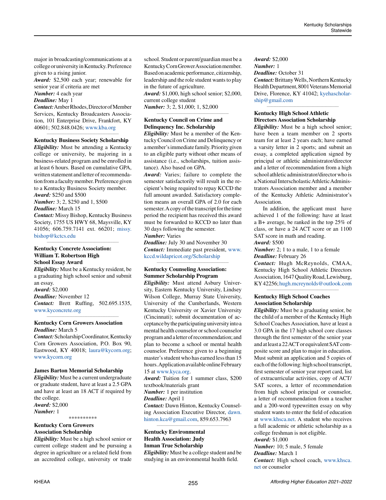major in broadcasting/communications at a college or university in Kentucky. Preference given to a rising junior.

*Award:* \$2,500 each year; renewable for senior year if criteria are met

*Number:* 4 each year

# *Deadline:* May 1

*Contact:* Amber Rhodes, Director of Member Services, Kentucky Broadcasters Association, 101 Enterprise Drive, Frankfort, KY 40601; 502.848.0426; [www.kba.org](http://www.kba.org)

#### *\_\_\_\_\_\_\_\_\_\_\_\_\_\_\_\_\_\_\_\_\_\_\_\_\_\_\_\_\_\_\_\_\_\_\_\_\_\_\_\_\_\_\_\_* **Kentucky Business Society Scholarship**

*Eligibility:* Must be attending a Kentucky college or university, be majoring in a business-related program and be enrolled in at least 6 hours. Based on cumulative GPA, written statement and letter of recommendation from a faculty member. Preference given to a Kentucky Business Society member. *Award:* \$250 and \$500

*Number:* 3; 2, \$250 and 1, \$500

*Deadline:* March 15

*Contact:* Missy Bishop, Kentucky Business Society, 1755 US HWY 68, Maysville, KY 41056; 606.759.7141 ext. 66201; [missy.](mailto:missy.bishop%40kctcs.edu?subject=) [bishop@kctcs.edu](mailto:missy.bishop%40kctcs.edu?subject=)

**\_\_\_\_\_\_\_\_\_\_\_\_\_\_\_\_\_\_\_\_\_\_\_\_\_\_\_\_\_\_\_\_\_\_\_\_\_\_\_\_\_\_\_\_**

### **Kentucky Concrete Association: William T. Robertson High School Essay Award**

*Eligibility:* Must be a Kentucky resident, be a graduating high school senior and submit an essay.

*Award:* \$2,000 *Deadline:* November 12 *Contact:* Brett Ruffing, 502.695.1535, [www.kyconcrete.org](http://www.kyconcrete.org)

*\_\_\_\_\_\_\_\_\_\_\_\_\_\_\_\_\_\_\_\_\_\_\_\_\_\_\_\_\_\_\_\_\_\_\_\_\_\_\_\_\_\_\_\_*

# **Kentucky Corn Growers Association** *Deadline:* March 5

*Contact:* Scholarship Coordinator, Kentucky Corn Growers Association, P.O. Box 90, Eastwood, KY 40018; [laura@kycorn.org](mailto:laura%40kycorn.org?subject=); [www.kycorn.org](http://www.kycorn.org)

#### **James Barton Memorial Scholarship**

*Eligibility:* Must be a current undergraduate or graduate student, have at least a 2.5 GPA and have at least an 18 ACT if required by the college. *Award:* \$2,000 *Number:* 1

# \*\*\*\*\*\*\*\*\*\*

# **Kentucky Corn Growers Association Scholarship**

*Eligibility:* Must be a high school senior or current college student and be pursuing a degree in agriculture or a related field from an accredited college, university or trade school. Student or parent/guardian must be a Kentucky Corn Grower Association member. Based on academic performance, citizenship, leadership and the role student wants to play in the future of agriculture. *Award:* \$1,000, high school senior; \$2,000, current college student

*\_\_\_\_\_\_\_\_\_\_\_\_\_\_\_\_\_\_\_\_\_\_\_\_\_\_\_\_\_\_\_\_\_\_\_\_\_\_\_\_\_\_\_\_*

*Number:* 3; 2, \$1,000; 1, \$2,000

# **Kentucky Council on Crime and Delinquency Inc. Scholarship**

*Eligibility:* Must be a member of the Kentucky Council on Crime and Delinquency or a member's immediate family. Priority given to an eligible party without other means of assistance (i.e., scholarships, tuition assistance). Also based on GPA.

*Award:* Varies; failure to complete the semester satisfactorily will result in the recipient's being required to repay KCCD the full amount awarded. Satisfactory completion means an overall GPA of 2.0 for each semester. A copy of the transcript for the time period the recipient has received this award must be forwarded to KCCD no later than 30 days following the semester. *Number:* Varies

*Deadline:* July 30 and November 30 *Contact:* Immediate past president, [www.](http://www.kccd.wildapricot.org/Scholarship) [kccd.wildapricot.org/Scholarship](http://www.kccd.wildapricot.org/Scholarship)

*\_\_\_\_\_\_\_\_\_\_\_\_\_\_\_\_\_\_\_\_\_\_\_\_\_\_\_\_\_\_\_\_\_\_\_\_\_\_\_\_\_\_\_\_*

#### **Kentucky Counseling Association: Summer Scholarship Program**

*Eligibility:* Must attend Asbury University, Eastern Kentucky University, Lindsey Wilson College, Murray State University, University of the Cumberlands, Western Kentucky University or Xavier University (Cincinnati); submit documentation of acceptance by the participating university into a mental health counselor or school counselor program and a letter of recommendation; and plan to become a school or mental health counselor. Preference given to a beginning master's student who has earned less than 15 hours. Application available online February 15 at [www.kyca.org.](http://www.kyca.org)

*Award:* Tuition for 1 summer class, \$200 textbook/materials grant

*Number:* 1 per institution

#### *Deadline:* April 1

*Contact:* Dawn Hinton, Kentucky Counseling Association Executive Director, [dawn.](mailto:dawn.hinton.kca%40gmail.com?subject=) [hinton.kca@gmail.com,](mailto:dawn.hinton.kca%40gmail.com?subject=) 859.653.7963 *\_\_\_\_\_\_\_\_\_\_\_\_\_\_\_\_\_\_\_\_\_\_\_\_\_\_\_\_\_\_\_\_\_\_\_\_\_\_\_\_\_\_\_\_*

# **Kentucky Environmental Health Association: Judy Inman True Scholarship**

*Eligibility:* Must be a college student and be studying in an environmental health field.

# *Award:* \$2,000 *Number:* 1 *Deadline:* October 31 *Contact:* Brittany Wells, Northern Kentucky Health Department, 8001 Veterans Memorial Drive, Florence, KY 41042; [kyehascholar](mailto:kyehascholarship%40gmail.com?subject=)[ship@gmail.com](mailto:kyehascholarship%40gmail.com?subject=)

*\_\_\_\_\_\_\_\_\_\_\_\_\_\_\_\_\_\_\_\_\_\_\_\_\_\_\_\_\_\_\_\_\_\_\_\_\_\_\_\_\_\_\_\_*

# **Kentucky High School Athletic Directors Association Scholarship**

*Eligibility:* Must be a high school senior; have been a team member on 2 sports team for at least 2 years each; have earned a varsity letter in 2 sports; and submit an essay, a completed application signed by principal or athletic administrator/director and a letter of recommendation from a high school athletic administrator/director who is a National Interscholastic Athletic Administrators Association member and a member of the Kentucky Athletic Administrator's Association.

In addition, the applicant must have achieved 1 of the following: have at least a B+ average, be ranked in the top 25% of class, or have a 24 ACT score or an 1100 SAT score in math and reading.

#### *Award:* \$500

*Number:* 2; 1 to a male, 1 to a female *Deadline:* February 26

*Contact:* Hugh McReynolds, CMAA, Kentucky High School Athletic Directors Association, 1647 Quality Road, Lewisburg, KY 42256; [hugh.mcreynolds@outlook.com](mailto:hugh.mcreynolds%40outlook.com?subject=) *\_\_\_\_\_\_\_\_\_\_\_\_\_\_\_\_\_\_\_\_\_\_\_\_\_\_\_\_\_\_\_\_\_\_\_\_\_\_\_\_\_\_\_\_*

# **Kentucky High School Coaches Association Scholarship**

*Eligibility:* Must be a graduating senior, be the child of a member of the Kentucky High School Coaches Association, have at least a 3.0 GPA in the 17 high school core classes through the first semester of the senior year and at least a 22 ACT or equivalent SAT composite score and plan to major in education. Must submit an application and 5 copies of each of the following: high school transcript, first semester of senior year report card, list of extracurricular activities, copy of ACT/ SAT scores, a letter of recommendation from high school principal or counselor, a letter of recommendation from a teacher and a 200-word typewritten essay on why student wants to enter the field of education at [www.khsca.net.](http://www.khsca.net) A student who receives a full academic or athletic scholarship as a college freshman is not eligible.

*Award:* \$1,000

*Number:* 10; 5 male, 5 female *Deadline:* March 1 *Contact:* High school coach, [www.khsca.](http://www.khsca.net)

[net](http://www.khsca.net) or counselor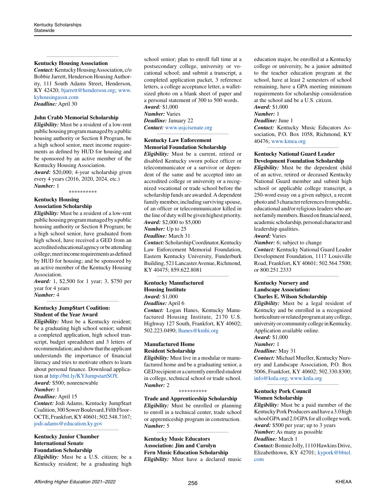### **Kentucky Housing Association**

*Contact:* Kentucky Housing Association, c/o Bobbie Jarrett, Henderson Housing Authority, 111 South Adams Street, Henderson, KY 42420; [bjarrett@henderson.org;](mailto:bjarrett%40henderson.org?subject=) [www.](http://www.kyhousingassn.com) [kyhousingassn.com](http://www.kyhousingassn.com)

*\_\_\_\_\_\_\_\_\_\_\_\_\_\_\_\_\_\_\_\_\_\_\_\_\_\_\_\_\_\_\_\_\_\_\_\_\_\_\_\_\_\_\_\_*

*Deadline:* April 30

# **John Crabb Memorial Scholarship**

*Eligibility:* Must be a resident of a low-rent public housing program managed by a public housing authority or Section 8 Program, be a high school senior, meet income requirements as defined by HUD for housing and be sponsored by an active member of the Kentucky Housing Association.

*Award:* \$20,000; 4-year scholarship given every 4 years (2016, 2020, 2024, etc.) *Number:* 1

\*\*\*\*\*\*\*\*\*\*

# **Kentucky Housing**

**Association Scholarship**

*Eligibility:* Must be a resident of a low-rent public housing program managed by a public housing authority or Section 8 Program; be a high school senior, have graduated from high school, have received a GED from an accredited educational agency or be attending college; meet income requirements as defined by HUD for housing; and be sponsored by an active member of the Kentucky Housing Association.

*Award:* 1, \$2,500 for 1 year; 3, \$750 per year for 4 years

*Number:* 4 *\_\_\_\_\_\_\_\_\_\_\_\_\_\_\_\_\_\_\_\_\_\_\_\_\_\_\_\_\_\_\_\_\_\_\_\_\_\_\_\_\_\_\_\_*

# **Kentucky Jump\$tart Coalition: Student of the Year Award**

*Eligibility:* Must be a Kentucky resident; be a graduating high school senior; submit a completed application, high school transcript, budget spreadsheet and 3 letters of recommendation; and show that the applicant understands the importance of financial literacy and tries to motivate others to learn about personal finance. Download application at<http://bit.ly/KYJumpstartSOY>. *Award:* \$500; nonrenewable

*Number:* 1

# *Deadline:* April 15

*Contact:* Jodi Adams, Kentucky Jump\$tart Coalition, 300 Sower Boulevard, Fifth Floor - OCTE, Frankfort, KY 40601; 502.548.7167; [jodi.adams@education.ky.gov](mailto:jodi.adams%40education.ky.gov?subject=)

*\_\_\_\_\_\_\_\_\_\_\_\_\_\_\_\_\_\_\_\_\_\_\_\_\_\_\_\_\_\_\_\_\_\_\_\_\_\_\_\_\_\_\_\_*

### **Kentucky Junior Chamber International Senate**

# **Foundation Scholarship**

*Eligibility:* Must be a U.S. citizen; be a Kentucky resident; be a graduating high school senior; plan to enroll full time at a postsecondary college, university or vocational school; and submit a transcript, a completed application packet, 3 reference letters, a college acceptance letter, a walletsized photo on a blank sheet of paper and a personal statement of 300 to 500 words. *Award:* \$1,000 *Number:* Varies *Deadline:* January 22 *Contact:* [www.usjcisenate.org](http://www.usjcisenate.org) *\_\_\_\_\_\_\_\_\_\_\_\_\_\_\_\_\_\_\_\_\_\_\_\_\_\_\_\_\_\_\_\_\_\_\_\_\_\_\_\_\_\_\_\_*

# **Kentucky Law Enforcement Memorial Foundation Scholarship**

*Eligibility:* Must be a current, retired or disabled Kentucky sworn police officer or telecommunicator or a survivor or dependent of the same and be accepted into an accredited college or university or a recognized vocational or trade school before the scholarship funds are awarded. A dependent family member, including surviving spouse, of an officer or telecommunicator killed in the line of duty will be given highest priority. *Award:* \$2,000 to \$5,000

*Number:* Up to 25

#### *Deadline:* March 31

*Contact:* Scholarship Coordinator, Kentucky Law Enforcement Memorial Foundation, Eastern Kentucky University, Funderburk Building, 521 Lancaster Avenue, Richmond, KY 40475; 859.622.8081

*\_\_\_\_\_\_\_\_\_\_\_\_\_\_\_\_\_\_\_\_\_\_\_\_\_\_\_\_\_\_\_\_\_\_\_\_\_\_\_\_\_\_\_\_*

### **Kentucky Manufactured Housing Institute**

*Award:* \$1,000

*Deadline:* April 6

*Contact:* Logan Hanes, Kentucky Manufactured Housing Institute, 2170 U.S. Highway 127 South, Frankfort, KY 40602; 502.223.0490; [lhanes@kmhi.org](mailto:lhanes%40kmhi.org?subject=)

# **Manufactured Home Resident Scholarship**

*Eligibility:* Must live in a modular or manufactured home and be a graduating senior, a GED recipient or a currently enrolled student in college, technical school or trade school. *Number:* 2

\*\*\*\*\*\*\*\*\*\*

# **Trade and Apprenticeship Scholarship** *Eligibility:* Must be enrolled or planning to enroll in a technical center, trade school or apprenticeship program in construction. *Number:* 5

*\_\_\_\_\_\_\_\_\_\_\_\_\_\_\_\_\_\_\_\_\_\_\_\_\_\_\_\_\_\_\_\_\_\_\_\_\_\_\_\_\_\_\_\_*

**Kentucky Music Educators Association: Jim and Carolyn Fern Music Education Scholarship** *Eligibility:* Must have a declared music education major, be enrolled at a Kentucky college or university, be a junior admitted to the teacher education program at the school, have at least 2 semesters of school remaining, have a GPA meeting minimum requirements for scholarship consideration at the school and be a U.S. citizen.

*Award:* \$1,000 *Number:* 1

# *Deadline:* June 1

*Contact:* Kentucky Music Educators Association, P.O. Box 1058, Richmond, KY 40476; [www.kmea.org](http://www.kmea.org) *\_\_\_\_\_\_\_\_\_\_\_\_\_\_\_\_\_\_\_\_\_\_\_\_\_\_\_\_\_\_\_\_\_\_\_\_\_\_\_\_\_\_\_\_*

# **Kentucky National Guard Leader Development Foundation Scholarship**

*Eligibility:* Must be the dependent child of an active, retired or deceased Kentucky National Guard member and submit high school or applicable college transcript, a 250-word essay on a given subject, a recent photo and 3 character references from public, educational and/or religious leaders who are not family members. Based on financial need, academic scholarship, personal character and leadership qualities. *Award:* Varies

*Number:* 6; subject to change

*Contact:* Kentucky National Guard Leader Development Foundation, 1117 Louisville Road, Frankfort, KY 40601; 502.564.7500; or 800.251.2333

*\_\_\_\_\_\_\_\_\_\_\_\_\_\_\_\_\_\_\_\_\_\_\_\_\_\_\_\_\_\_\_\_\_\_\_\_\_\_\_\_\_\_\_\_*

# **Kentucky Nursery and Landscape Association: Charles E. Wilson Scholarship**

*Eligibility:* Must be a legal resident of Kentucky and be enrolled in a recognized horticulture or related program at any college, university or community college in Kentucky. Application available online.

*Award:* \$1,000

#### *Number:* 1 *Deadline:* May 31

*Contact:* Michael Mueller, Kentucky Nursery and Landscape Association, P.O. Box 5006, Frankfort, KY 40602; 502.330.8300; [info@knla.org;](mailto:info%40knla.org?subject=) [www.knla.org](http://www.knla.org)

*\_\_\_\_\_\_\_\_\_\_\_\_\_\_\_\_\_\_\_\_\_\_\_\_\_\_\_\_\_\_\_\_\_\_\_\_\_\_\_\_\_\_\_\_*

### **Kentucky Pork Council Women Scholarship**

*Eligibility:* Must be a paid member of the Kentucky Pork Producers and have a 3.0 high school GPA and 2.0 GPA for all college work. *Award:* \$500 per year; up to 3 years *Number:* As many as possible *Deadline:* March 1 *Contact:* Bonnie Jolly, 1110 Hawkins Drive, Elizabethtown, KY 42701; [kypork@bbtel.](mailto:kypork%40bbtel.com?subject=) [com](mailto:kypork%40bbtel.com?subject=)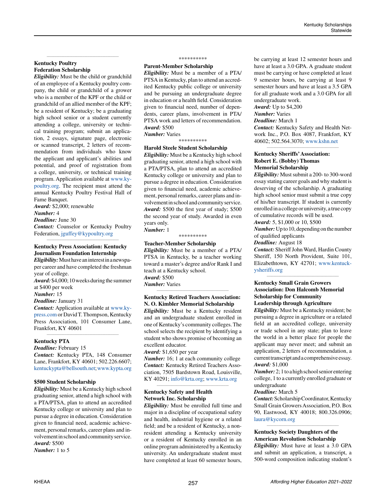# **Kentucky Poultry Federation Scholarship**

*Eligibility:* Must be the child or grandchild of an employee of a Kentucky poultry company, the child or grandchild of a grower who is a member of the KPF or the child or grandchild of an allied member of the KPF; be a resident of Kentucky; be a graduating high school senior or a student currently attending a college, university or technical training program; submit an application, 2 essays, signature page, electronic or scanned transcript, 2 letters of recommendation from individuals who know the applicant and applicant's abilities and potential, and proof of registration from a college, university, or technical training program. Application available at [www.ky](http://www.kypoultry.org)[poultry.org.](http://www.kypoultry.org) The recipient must attend the annual Kentucky Poultry Festival Hall of Fame Banquet.

*\_\_\_\_\_\_\_\_\_\_\_\_\_\_\_\_\_\_\_\_\_\_\_\_\_\_\_\_\_\_\_\_\_\_\_\_\_\_\_\_\_\_\_\_*

*Award:* \$2,000; renewable

#### *Number:* 4

*Deadline:* June 30

*Contact:* Counselor or Kentucky Poultry Federation, [jguffey@kypoultry.org](mailto:jguffey%40kypoultry.org?subject=) *\_\_\_\_\_\_\_\_\_\_\_\_\_\_\_\_\_\_\_\_\_\_\_\_\_\_\_\_\_\_\_\_\_\_\_\_\_\_\_\_\_\_\_\_*

# **Kentucky Press Association: Kentucky Journalism Foundation Internship**

*Eligibility:* Must have an interest in a newspaper career and have completed the freshman year of college.

*Award:* \$4,000; 10 weeks during the summer at \$400 per week

*Number:* 15

# *Deadline:* January 31

*Contact:* Application available at [www.ky](http://www.kypress.com)[press.com](http://www.kypress.com) or David T. Thompson, Kentucky Press Association, 101 Consumer Lane, Frankfort, KY 40601

*\_\_\_\_\_\_\_\_\_\_\_\_\_\_\_\_\_\_\_\_\_\_\_\_\_\_\_\_\_\_\_\_\_\_\_\_\_\_\_\_\_\_\_\_*

#### **Kentucky PTA**

*Deadline:* February 15 *Contact:* Kentucky PTA, 148 Consumer Lane, Frankfort, KY 40601; 502.226.6607; kentuckypt[a@bellsouth.net;](mailto:kentuckypta%40bellsouth.net?subject=) [www.kypta.org](http://www.kypta.org)

#### **\$500 Student Scholarship**

*Eligibility:* Must be a Kentucky high school graduating senior, attend a high school with a PTA/PTSA, plan to attend an accredited Kentucky college or university and plan to pursue a degree in education. Consideration given to financial need, academic achievement, personal remarks, career plans and involvement in school and community service. *Award:* \$500

*Number:* 1 to 5

#### \*\*\*\*\*\*\*\*\*\*

**Parent-Member Scholarship**

*Eligibility:* Must be a member of a PTA/ PTSA in Kentucky, plan to attend an accredited Kentucky public college or university and be pursuing an undergraduate degree in education or a health field. Consideration given to financial need, number of dependents, career plans, involvement in PTA/ PTSA work and letters of recommendation. *Award:* \$500 *Number:* Varies

\*\*\*\*\*\*\*\*\*\*

#### **Harold Steele Student Scholarship**

*Eligibility:* Must be a Kentucky high school graduating senior, attend a high school with a PTA/PTSA, plan to attend an accredited Kentucky college or university and plan to pursue a degree in education. Consideration given to financial need, academic achievement, personal remarks, career plans and involvement in school and community service. *Award:* \$500 the first year of study; \$500 the second year of study. Awarded in even years only. *Number:* 1

\*\*\*\*\*\*\*\*\*\*

#### **Teacher-Member Scholarship**

*Eligibility:* Must be a member of a PTA/ PTSA in Kentucky, be a teacher working toward a master's degree and/or Rank I and teach at a Kentucky school. *Award:* \$500

*Number:* Varies *\_\_\_\_\_\_\_\_\_\_\_\_\_\_\_\_\_\_\_\_\_\_\_\_\_\_\_\_\_\_\_\_\_\_\_\_\_\_\_\_\_\_\_\_*

#### **Kentucky Retired Teachers Association: N. O. Kimbler Memorial Scholarship**

*Eligibility:* Must be a Kentucky resident and an undergraduate student enrolled in one of Kentucky's community colleges. The school selects the recipient by identifying a student who shows promise of becoming an excellent educator.

*Award:* \$1,650 per year

*Number:* 16; 1 at each community college *Contact:* Kentucky Retired Teachers Association, 7505 Bardstown Road, Louisville, KY 40291; [info@krta.org;](mailto:info%40krta.org?subject=) [www.krta.org](http://www.krta.org)

*\_\_\_\_\_\_\_\_\_\_\_\_\_\_\_\_\_\_\_\_\_\_\_\_\_\_\_\_\_\_\_\_\_\_\_\_\_\_\_\_\_\_\_\_*

#### **Kentucky Safety and Health Network Inc. Scholarship**

*Eligibility:* Must be enrolled full time and major in a discipline of occupational safety and health, industrial hygiene or a related field; and be a resident of Kentucky, a nonresident attending a Kentucky university or a resident of Kentucky enrolled in an online program administered by a Kentucky university. An undergraduate student must have completed at least 60 semester hours, be carrying at least 12 semester hours and have at least a 3.0 GPA. A graduate student must be carrying or have completed at least 9 semester hours, be carrying at least 9 semester hours and have at least a 3.5 GPA for all graduate work and a 3.0 GPA for all undergraduate work.

*Award:* Up to \$4,200

# *Number:* Varies

# *Deadline:* March 1

*Contact:* Kentucky Safety and Health Network Inc., P.O. Box 4087, Frankfort, KY 40602; 502.564.3070; [www.kshn.net](http://www.kshn.net) *\_\_\_\_\_\_\_\_\_\_\_\_\_\_\_\_\_\_\_\_\_\_\_\_\_\_\_\_\_\_\_\_\_\_\_\_\_\_\_\_\_\_\_\_*

# **Kentucky Sheriffs' Association: Robert E. (Bobby) Thomas Memorial Scholarship**

*Eligibility:* Must submit a 200- to 300-word essay stating career goals and why student is deserving of the scholarship. A graduating high school senior must submit a true copy of his/her transcript. If student is currently enrolled in a college or university, a true copy of cumulative records will be used.

# *Award:* 5, \$1,000 or 10, \$500

*Number:* Up to 10, depending on the number of qualified applicants

#### *Deadline:* August 18

*Contact:* Sheriff John Ward, Hardin County Sheriff, 150 North Provident, Suite 101, Elizabethtown, KY 42701; [www.kentuck](http://www.kentuckysheriffs.org)[ysheriffs.org](http://www.kentuckysheriffs.org)

*\_\_\_\_\_\_\_\_\_\_\_\_\_\_\_\_\_\_\_\_\_\_\_\_\_\_\_\_\_\_\_\_\_\_\_\_\_\_\_\_\_\_\_\_*

# **Kentucky Small Grain Growers Association: Don Halcomb Memorial Scholarship for Community Leadership through Agriculture**

*Eligibility:* Must be a Kentucky resident; be pursuing a degree in agriculture or a related field at an accredited college, university or trade school in any state; plan to leave the world in a better place for people the applicant may never meet; and submit an application, 2 letters of recommendation, a current transcript and a comprehensive essay. *Award:* \$1,000

*Number:* 2; 1 to a high school senior entering college, 1 to a currently enrolled graduate or undergraduate

#### *Deadline:* March 5

*Contact:* Scholarship Coordinator, Kentucky Small Grain Growers Association, P.O. Box 90, Eastwood, KY 40018; 800.326.0906; [laura@kycorn.org](mailto:laura%40kycorn.org?subject=)

*\_\_\_\_\_\_\_\_\_\_\_\_\_\_\_\_\_\_\_\_\_\_\_\_\_\_\_\_\_\_\_\_\_\_\_\_\_\_\_\_\_\_\_\_*

# **Kentucky Society Daughters of the American Revolution Scholarship**

*Eligibility:* Must have at least a 3.0 GPA and submit an application, a transcript, a 500-word composition indicating student's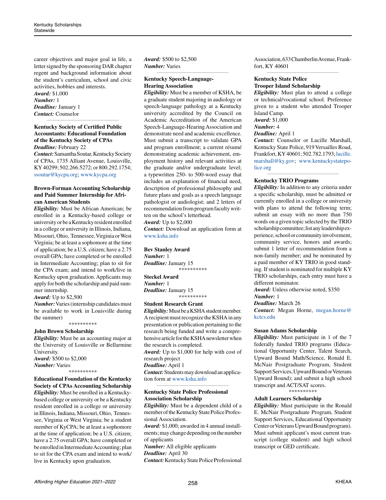career objectives and major goal in life, a letter signed by the sponsoring DAR chapter regent and background information about the student's curriculum, school and civic activities, hobbies and interests.

*Award:* \$1,000 *Number:* 1 *Deadline:* January 1 *Contact:* Counselor

### **Kentucky Society of Certified Public Accountants: Educational Foundation of the Kentucky Society of CPAs** *Deadline:* February 22

*\_\_\_\_\_\_\_\_\_\_\_\_\_\_\_\_\_\_\_\_\_\_\_\_\_\_\_\_\_\_\_\_\_\_\_\_\_\_\_\_\_\_\_\_*

*Contact:* Samantha Soutar, Kentucky Society of CPAs, 1735 Alliant Avenue, Louisville, KY 40299; 502.266.5272; or 800.292.1754; [ssoutar@kycpa.org](mailto:ssoutar%40kycpa.org?subject=); [www.kycpa.org](http://www.kycpa.org)

### **Brown-Forman Accounting Scholarship and Paid Summer Internship for African American Students**

*Eligibility:* Must be African American; be enrolled in a Kentucky-based college or university or be a Kentucky resident enrolled in a college or university in Illinois, Indiana, Missouri, Ohio, Tennessee, Virginia or West Virginia; be at least a sophomore at the time of application; be a U.S. citizen; have a 2.75 overall GPA; have completed or be enrolled in Intermediate Accounting; plan to sit for the CPA exam; and intend to work/live in Kentucky upon graduation. Applicants may apply for both the scholarship and paid summer internship.

*Award:* Up to \$2,500

*Number:* Varies (internship candidates must be available to work in Louisville during the summer)

\*\*\*\*\*\*\*\*\*\*

# **John Brown Scholarship**

*Eligibility:* Must be an accounting major at the University of Louisville or Bellarmine University.

*Award:* \$500 to \$2,000 *Number:* Varies \*\*\*\*\*\*\*\*\*\*

# **Educational Foundation of the Kentucky Society of CPAs Accounting Scholarship** *Eligibility:* Must be enrolled in a Kentuckybased college or university or be a Kentucky resident enrolled in a college or university in Illinois, Indiana, Missouri, Ohio, Tennessee, Virginia or West Virginia; be a student member of KyCPA; be at least a sophomore at the time of application; be a U.S. citizen;

have a 2.75 overall GPA; have completed or be enrolled in Intermediate Accounting; plan to sit for the CPA exam and intend to work/ live in Kentucky upon graduation.

*Award:* \$500 to \$2,500 *Number:* Varies

# **Kentucky Speech-Language-Hearing Association**

*\_\_\_\_\_\_\_\_\_\_\_\_\_\_\_\_\_\_\_\_\_\_\_\_\_\_\_\_\_\_\_\_\_\_\_\_\_\_\_\_\_\_\_\_*

*Eligibility:* Must be a member of KSHA, be a graduate student majoring in audiology or speech-language pathology at a Kentucky university accredited by the Council on Academic Accreditation of the American Speech-Language-Hearing Association and demonstrate need and academic excellence. Must submit a transcript to validate GPA and program enrollment; a current résumé demonstrating academic achievement, employment history and relevant activities at the graduate and/or undergraduate level; a typewritten 250- to 500-word essay that includes an explanation of financial need, description of professional philosophy and future plans and goals as a speech language pathologist or audiologist; and 2 letters of recommendation from program faculty written on the school's letterhead. *Award:* Up to \$2,000

*Contact:* Download an application form at [www.ksha.info](http://www.ksha.info)

\*\*\*\*\*\*\*\*\*\*

**Bev Stanley Award** *Number:* 1 *Deadline:* January 15

**Steckel Award** *Number:* 1 *Deadline:* January 15 \*\*\*\*\*\*\*\*\*\*

#### **Student Research Grant**

*Eligibility:* Must be a KSHA student member. A recipient must recognize the KSHA in any presentation or publication pertaining to the research being funded and write a comprehensive article for the KSHA newsletter when the research is completed. *Award:* Up to \$1,000 for help with cost of

research project *Deadline:* April 1

*Contact:* Students may download an application form at [www.ksha.info](http://www.ksha.info) *\_\_\_\_\_\_\_\_\_\_\_\_\_\_\_\_\_\_\_\_\_\_\_\_\_\_\_\_\_\_\_\_\_\_\_\_\_\_\_\_\_\_\_\_*

# **Kentucky State Police Professional Association Scholarship**

*Eligibility:* Must be a dependent child of a member of the Kentucky State Police Professional Association.

*Award:* \$1,000; awarded in 4 annual installments; may change depending on the number of applicants

*Number:* All eligible applicants

*Deadline:* April 30

*Contact:* Kentucky State Police Professional

Association, 633 Chamberlin Avenue, Frankfort, KY 40601 *\_\_\_\_\_\_\_\_\_\_\_\_\_\_\_\_\_\_\_\_\_\_\_\_\_\_\_\_\_\_\_\_\_\_\_\_\_\_\_\_\_\_\_\_*

# **Kentucky State Police Trooper Island Scholarship**

*Eligibility:* Must plan to attend a college or technical/vocational school. Preference given to a student who attended Trooper Island Camp.

*Award:* \$1,000

# *Number:* 4

*Deadline:* April 1

*Contact:* Counselor or Lucille Marshall, Kentucky State Police, 919 Versailles Road, Frankfort, KY 40601; 502.782.1793; [lucille.](mailto:lucille.marshall%40ky.gov?subject=) [marshall@ky.gov](mailto:lucille.marshall%40ky.gov?subject=); [www.kentuckystatepo](http://www.kentuckystatepolice.org)[lice.org](http://www.kentuckystatepolice.org)

*\_\_\_\_\_\_\_\_\_\_\_\_\_\_\_\_\_\_\_\_\_\_\_\_\_\_\_\_\_\_\_\_\_\_\_\_\_\_\_\_\_\_\_\_*

# **Kentucky TRIO Programs**

*Eligibility:* In addition to any criteria under a specific scholarship, must be admitted or currently enrolled in a college or university with plans to attend the following term; submit an essay with no more than 750 words on a given topic selected by the TRIO scholarship committee; list any leadership experience, school or community involvement, community service, honors and awards; submit 1 letter of recommendation from a non-family member; and be nominated by a paid member of KY TRIO in good standing. If student is nominated for multiple KY TRIO scholarships, each entry must have a different nominator.

*Award:* Unless otherwise noted, \$350

*Number:* 1

*Deadline:* March 26

*Contact:* Megan Horne, [megan.horne@](mailto:megan.horne%40kctcs.edu?subject=) [kctcs.edu](mailto:megan.horne%40kctcs.edu?subject=)

#### **Susan Adams Scholarship**

*Eligibility:* Must participate in 1 of the 7 federally funded TRIO programs (Educational Opportunity Center, Talent Search, Upward Bound Math/Science, Ronald E. McNair Postgraduate Program, Student Support Services, Upward Bound or Veterans Upward Bound); and submit a high school transcript and ACT/SAT scores.

\*\*\*\*\*\*\*\*\*\*

#### **Adult Learners Scholarship**

*Eligibility:* Must participate in the Ronald E. McNair Postgraduate Program, Student Support Services, Educational Opportunity Center or Veterans Upward Bound program). Must submit applicant's most current transcript (college student) and high school transcript or GED certificate.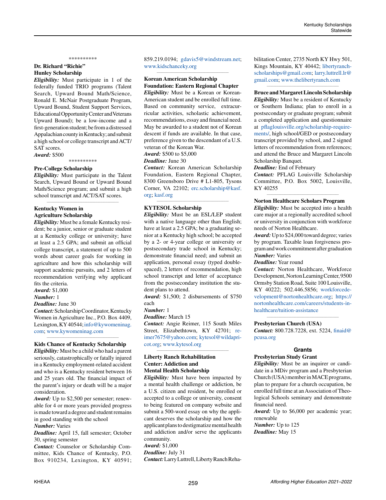#### \*\*\*\*\*\*\*\*\*\*

# **Dr. Richard "Richie" Hunley Scholarship**

*Eligibility:* Must participate in 1 of the federally funded TRIO programs (Talent Search, Upward Bound Math/Science, Ronald E. McNair Postgraduate Program, Upward Bound, Student Support Services, Educational Opportunity Center and Veterans Upward Bound); be a low-income and a first-generation student; be from a distressed Appalachian county in Kentucky; and submit a high school or college transcript and ACT/ SAT scores.

*Award:* \$500

\*\*\*\*\*\*\*\*\*\*

#### **Pre-College Scholarship**

*Eligibility:* Must participate in the Talent Search, Upward Bound or Upward Bound Math/Science program; and submit a high school transcript and ACT/SAT scores.

*\_\_\_\_\_\_\_\_\_\_\_\_\_\_\_\_\_\_\_\_\_\_\_\_\_\_\_\_\_\_\_\_\_\_\_\_\_\_\_\_\_\_\_\_*

# **Kentucky Women in Agriculture Scholarship**

*Eligibility:* Must be a female Kentucky resident; be a junior, senior or graduate student at a Kentucky college or university; have at least a 2.5 GPA; and submit an official college transcript, a statement of up to 500 words about career goals for working in agriculture and how this scholarship will support academic pursuits, and 2 letters of recommendation verifying why applicant fits the criteria.

*Award:* \$1,000

#### *Number:* 1

*Deadline:* June 30

*Contact:* Scholarship Coordinator, Kentucky Women in Agriculture Inc., P.O. Box 4409, Lexington, KY 40544; [info@kywomeninag.](mailto:info%40kywomeninag.com?subject=) [com](mailto:info%40kywomeninag.com?subject=); [www.kywomeninag.com](http://www.kywomeninag.com)

#### *\_\_\_\_\_\_\_\_\_\_\_\_\_\_\_\_\_\_\_\_\_\_\_\_\_\_\_\_\_\_\_\_\_\_\_\_\_\_\_\_\_\_\_\_* **Kids Chance of Kentucky Scholarship**

*Eligibility:* Must be a child who had a parent seriously, catastrophically or fatally injured in a Kentucky employment-related accident and who is a Kentucky resident between 16 and 25 years old. The financial impact of the parent's injury or death will be a major consideration.

*Award:* Up to \$2,500 per semester; renewable for 4 or more years provided progress is made toward a degree and student remains in good standing with the school

#### *Number:* Varies

*Deadline:* April 15, fall semester; October 30, spring semester

*Contact:* Counselor or Scholarship Committee, Kids Chance of Kentucky, P.O. Box 910234, Lexington, KY 40591; 859.219.0194; [gdavis5@windstream.net;](mailto:gdavis5%40windstream.net?subject=) [www.kidschanceky.org](http://www.kidschanceky.org) *\_\_\_\_\_\_\_\_\_\_\_\_\_\_\_\_\_\_\_\_\_\_\_\_\_\_\_\_\_\_\_\_\_\_\_\_\_\_\_\_\_\_\_\_*

# **Korean American Scholarship Foundation: Eastern Regional Chapter**

*Eligibility:* Must be a Korean or Korean-American student and be enrolled full time. Based on community service, extracurricular activities, scholastic achievement, recommendations, essay and financial need. May be awarded to a student not of Korean descent if funds are available. In that case, preference given to the descendant of a U.S. veteran of the Korean War.

*Award:* \$500 to \$5,000

#### *Deadline:* June 30

*Contact:* Korean American Scholarship Foundation, Eastern Regional Chapter, 8300 Greensboro Drive # L1-805, Tysons Corner, VA 22102; [erc.scholarship@kasf.](mailto:erc.scholarship%40kasf.org?subject=) [org](mailto:erc.scholarship%40kasf.org?subject=); [kasf.org](http://kasf.org)

*\_\_\_\_\_\_\_\_\_\_\_\_\_\_\_\_\_\_\_\_\_\_\_\_\_\_\_\_\_\_\_\_\_\_\_\_\_\_\_\_\_\_\_\_*

# **KYTESOL Scholarship**

*Eligibility:* Must be an ESL/LEP student with a native language other than English; have at least a 2.5 GPA; be a graduating senior at a Kentucky high school; be accepted by a 2- or 4-year college or university or postsecondary trade school in Kentucky; demonstrate financial need; and submit an application, personal essay (typed doublespaced), 2 letters of recommendation, high school transcript and letter of acceptance from the postsecondary institution the student plans to attend.

*Award:* \$1,500; 2 disbursements of \$750 each

*Number:* 1

*Deadline:* March 15

*Contact:* Angie Reimer, 115 South Miles Street, Elizabethtown, KY 42701; [re](mailto:reimer7675%40yahoo.com?subject=)[imer7675@yahoo.com](mailto:reimer7675%40yahoo.com?subject=); [kytesol@wildapri](mailto:kytesol%40wildapricot.org?subject=)[cot.org;](mailto:kytesol%40wildapricot.org?subject=) [www.kytesol.org](http://www.kytesol.org)

*\_\_\_\_\_\_\_\_\_\_\_\_\_\_\_\_\_\_\_\_\_\_\_\_\_\_\_\_\_\_\_\_\_\_\_\_\_\_\_\_\_\_\_\_*

# **Liberty Ranch Rehabilitation Center: Addiction and Mental Health Scholarship**

*Eligibility:* Must have been impacted by a mental health challenge or addiction, be a U.S. citizen and resident, be enrolled or accepted to a college or university, consent to being featured on company website and submit a 500-word essay on why the applicant deserves the scholarship and how the applicant plans to destigmatize mental health and addiction and/or serve the applicants community.

*Award:* \$1,000 *Deadline:* July 31

*Contact:* Larry Luttrell, Liberty Ranch Reha-

bilitation Center, 2735 North KY Hwy 501, Kings Mountain, KY 40442; [libertyranch](mailto:libertyranchscholarships%40gmail.com?subject=)[scholarships@gmail.com](mailto:libertyranchscholarships%40gmail.com?subject=); [larry.luttrell.lr@](mailto:larry.luttrell.lr%40gmail.com?subject=) [gmail.com](mailto:larry.luttrell.lr%40gmail.com?subject=); [www.thelibertyranch.com](http://www.thelibertyranch.com) *\_\_\_\_\_\_\_\_\_\_\_\_\_\_\_\_\_\_\_\_\_\_\_\_\_\_\_\_\_\_\_\_\_\_\_\_\_\_\_\_\_\_\_\_*

**Bruce and Margaret Lincoln Scholarship** *Eligibility:* Must be a resident of Kentucky or Southern Indiana; plan to enroll in a postsecondary or graduate program; submit a completed application and questionnaire at [pflaglouisville.org/scholarship-require](http://pflaglouisville.org/scholarship-requirements/)[ments/](http://pflaglouisville.org/scholarship-requirements/), high school/GED or postsecondary transcript provided by school, and 2 signed letters of recommendation from references; and attend the Bruce and Margaret Lincoln Scholarship Banquet.

*Deadline:* End of February

*Contact:* PFLAG Louisville Scholarship Committee, P.O. Box 5002, Louisville, KY 40255

#### *\_\_\_\_\_\_\_\_\_\_\_\_\_\_\_\_\_\_\_\_\_\_\_\_\_\_\_\_\_\_\_\_\_\_\_\_\_\_\_\_\_\_\_\_* **Norton Healthcare Scholars Program**

*Eligibility:* Must be accepted into a health care major at a regionally accredited school or university in conjunction with workforce needs of Norton Healthcare.

*Award:* Up to \$24,000 toward degree; varies by program. Taxable loan forgiveness program and work commitment after graduation *Number:* Varies

*Deadline:* Year round

*Contact:* Norton Healthcare, Workforce Development, Norton Learning Center, 9500 Ormsby Station Road, Suite 100 Louisville, KY 40222; 502.446.5856; [workforcede](mailto:workforcedevelopment%40nortonhealthcare.org?subject=)[velopment@nortonhealthcare.org;](mailto:workforcedevelopment%40nortonhealthcare.org?subject=) [https://](https://nortonhealthcare.com/careers/students-in-healthcare/tuition-assistance) [nortonhealthcare.com/careers/students-in](https://nortonhealthcare.com/careers/students-in-healthcare/tuition-assistance)[healthcare/tuition-assistance](https://nortonhealthcare.com/careers/students-in-healthcare/tuition-assistance)

#### **Presbyterian Church (USA)**

*Contact:* 800.728.7228, ext. 5224, [finaid@](mailto:finaid%40pcusa.org?subject=) [pcusa.org](mailto:finaid%40pcusa.org?subject=)

*\_\_\_\_\_\_\_\_\_\_\_\_\_\_\_\_\_\_\_\_\_\_\_\_\_\_\_\_\_\_\_\_\_\_\_\_\_\_\_\_\_\_\_\_*

# **Grants**

# **Presbyterian Study Grant**

*Eligibility:* Must be an inquirer or candidate in a MDiv program and a Presbyterian Church (USA) member in MACE programs, plan to prepare for a church occupation, be enrolled full time at an Association of Theological Schools seminary and demonstrate financial need.

*Award:* Up to \$6,000 per academic year; renewable

*Number:* Up to 125 *Deadline:* May 15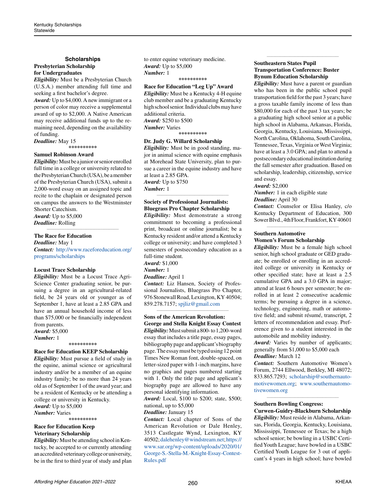#### **Scholarships**

#### **Presbyterian Scholarship for Undergraduates**

*Eligibility:* Must be a Presbyterian Church (U.S.A.) member attending full time and seeking a first bachelor's degree.

*Award:* Up to \$4,000. A new immigrant or a person of color may receive a supplemental award of up to \$2,000. A Native American may receive additional funds up to the remaining need, depending on the availability of funding.

*Deadline:* May 15 **\*\*\*\*\*\*\*\*\*\***

#### **Samuel Robinson Award**

*Eligibility:* Must be a junior or senior enrolled full time in a college or university related to the Presbyterian Church (USA), be a member of the Presbyterian Church (USA), submit a 2,000-word essay on an assigned topic and recite to the chaplain or designated person on campus the answers to the Westminster Shorter Catechism. *Award:* Up to \$5,000 *Deadline:* Rolling

#### **The Race for Education**

*Deadline:* May 1 *Contact:* [http://www.raceforeducation.org/](http://www.raceforeducation.org/programs/scholarships) [programs/scholarships](http://www.raceforeducation.org/programs/scholarships)

*\_\_\_\_\_\_\_\_\_\_\_\_\_\_\_\_\_\_\_\_\_\_\_\_\_\_\_\_\_\_\_\_\_\_\_\_\_\_\_\_\_\_\_\_*

#### **Locust Trace Scholarship**

*Eligibility:* Must be a Locust Trace Agri-Science Center graduating senior, be pursuing a degree in an agricultural-related field, be 24 years old or younger as of September 1, have at least a 2.85 GPA and have an annual household income of less than \$75,000 or be financially independent from parents.

#### *Award:* \$5,000

*Number:* 1 **\*\*\*\*\*\*\*\*\*\***

### **Race for Education KEEP Scholarship**

*Eligibility:* Must pursue a field of study in the equine, animal science or agricultural industry and/or be a member of an equine industry family; be no more than 24 years old as of September 1 of the award year; and be a resident of Kentucky or be attending a college or university in Kentucky. *Award:* Up to \$5,000 *Number:* Varies

**\*\*\*\*\*\*\*\*\*\***

# **Race for Education Keep Veterinary Scholarship**

*Eligibility:* Must be attending school in Kentucky, be accepted to or currently attending an accredited veterinary college or university, be in the first to third year of study and plan to enter equine veterinary medicine. *Award:* Up to \$5,000 *Number:* 1 **\*\*\*\*\*\*\*\*\*\***

# **Race for Education "Leg Up" Award**

*Eligibility:* Must be a Kentucky 4-H equine club member and be a graduating Kentucky high school senior. Individual clubs may have additional criteria. *Award:* \$250 to \$500 *Number:* Varies **\*\*\*\*\*\*\*\*\*\***

#### **Dr. Judy G. Willard Scholarship**

*Eligibility:* Must be in good standing, major in animal science with equine emphasis at Morehead State University, plan to pursue a career in the equine industry and have at least a 2.85 GPA.

*Award:* Up to \$750 *Number:* 1 *\_\_\_\_\_\_\_\_\_\_\_\_\_\_\_\_\_\_\_\_\_\_\_\_\_\_\_\_\_\_\_\_\_\_\_\_\_\_\_\_\_\_\_\_*

# **Society of Professional Journalists: Bluegrass Pro Chapter Scholarship**

*Eligibility:* Must demonstrate a strong commitment to becoming a professional print, broadcast or online journalist; be a Kentucky resident and/or attend a Kentucky college or university; and have completed 3 semesters of postsecondary education as a full-time student.

*Award:* \$1,000

*Number:* 1

*Deadline:* April 1

*Contact:* Liz Hansen, Society of Professional Journalists, Bluegrass Pro Chapter, 976 Stonewall Road, Lexington, KY 40504; 859.278.7157; [spjliz@gmail.com](mailto:spjliz%40gmail.com?subject=)

#### *\_\_\_\_\_\_\_\_\_\_\_\_\_\_\_\_\_\_\_\_\_\_\_\_\_\_\_\_\_\_\_\_\_\_\_\_\_\_\_\_\_\_\_\_* **Sons of the American Revolution: George and Stella Knight Essay Contest**

*Eligibility:* Must submit a 800- to 1,200-word essay that includes a title page, essay pages, bibliography page and applicant's biography page. The essay must be typed using 12 point Times New Roman font, double-spaced, on letter-sized paper with 1-inch margins, have no graphics and pages numbered starting with 1. Only the title page and applicant's biography page are allowed to have any personal identifying information.

*Award:* Local, \$100 to \$200; state, \$500; national, up to \$5,000

*Deadline:* January 15

*Contact:* Local chapter of Sons of the American Revolution or Dale Henley, 3513 Castlegate Wynd, Lexington, KY 40502; [dalehenley@windstream.net](mailto:dalehenley%40windstream.net?subject=); [https://](https://www.sar.org/wp-content/uploads/2020/01/George-S.-Stella-M.-Knight-Essay-Contest-Rules.pdf) [www.sar.org/wp-content/uploads/2020/01/](https://www.sar.org/wp-content/uploads/2020/01/George-S.-Stella-M.-Knight-Essay-Contest-Rules.pdf) [George-S.-Stella-M.-Knight-Essay-Contest-](https://www.sar.org/wp-content/uploads/2020/01/George-S.-Stella-M.-Knight-Essay-Contest-Rules.pdf)[Rules.pdf](https://www.sar.org/wp-content/uploads/2020/01/George-S.-Stella-M.-Knight-Essay-Contest-Rules.pdf)

# **Southeastern States Pupil Transportation Conference: Buster Bynum Education Scholarship**

*\_\_\_\_\_\_\_\_\_\_\_\_\_\_\_\_\_\_\_\_\_\_\_\_\_\_\_\_\_\_\_\_\_\_\_\_\_\_\_\_\_\_\_\_*

*Eligibility:* Must have a parent or guardian who has been in the public school pupil transportation field for the past 3 years; have a gross taxable family income of less than \$80,000 for each of the past 3 tax years; be a graduating high school senior at a public high school in Alabama, Arkansas, Florida, Georgia, Kentucky, Louisiana, Mississippi, North Carolina, Oklahoma, South Carolina, Tennessee, Texas, Virginia or West Virginia; have at least a 3.0 GPA; and plan to attend a postsecondary educational institution during the fall semester after graduation. Based on scholarship, leadership, citizenship, service and essay.

*Award:* \$2,000

*Number:* 1 in each eligible state *Deadline:* April 30

*Contact:* Counselor or Elisa Hanley, c/o Kentucky Department of Education, 300 Sower Blvd., 4th Floor, Frankfort, KY 40601

*\_\_\_\_\_\_\_\_\_\_\_\_\_\_\_\_\_\_\_\_\_\_\_\_\_\_\_\_\_\_\_\_\_\_\_\_\_\_\_\_\_\_\_\_*

# **Southern Automotive Women's Forum Scholarship**

*Eligibility:* Must be a female high school senior, high school graduate or GED graduate; be enrolled or enrolling in an accredited college or university in Kentucky or other specified state; have at least a 2.5 cumulative GPA and a 3.0 GPA in major; attend at least 6 hours per semester; be enrolled in at least 2 consecutive academic terms; be pursuing a degree in a science, technology, engineering, math or automotive field; and submit résumé, transcript, 2 letters of recommendation and essay. Preference given to a student interested in the automobile and mobility industry.

Award: Varies by number of applicants; generally from \$1,000 to \$5,000 each *Deadline:* March 12

*Contact:* Southern Automotive Women's Forum, 2744 Ellwood, Berkley, MI 48072; 833.865.7293; [scholarship@southernauto](mailto:scholarship%40southernautomotivewomen.org?subject=)[motivewomen.org](mailto:scholarship%40southernautomotivewomen.org?subject=); [www.southernautomo](http://www.southernautomotivewomen.org)[tivewomen.org](http://www.southernautomotivewomen.org)

*\_\_\_\_\_\_\_\_\_\_\_\_\_\_\_\_\_\_\_\_\_\_\_\_\_\_\_\_\_\_\_\_\_\_\_\_\_\_\_\_\_\_\_\_*

# **Southern Bowling Congress:**

**Curwen-Guidry-Blackburn Scholarship** *Eligibility:* Must reside in Alabama, Arkansas, Florida, Georgia, Kentucky, Louisiana, Mississippi, Tennessee or Texas; be a high school senior; be bowling in a USBC Certified Youth League; have bowled in a USBC Certified Youth League for 3 out of applicant's 4 years in high school; have bowled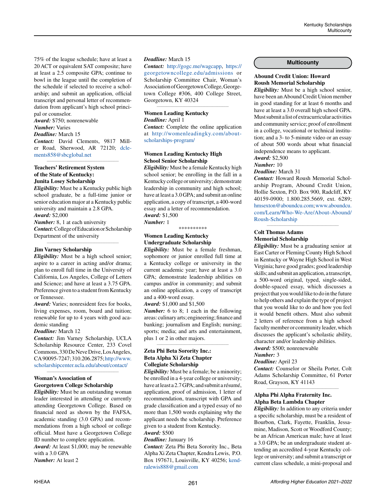75% of the league schedule; have at least a 20 ACT or equivalent SAT composite; have at least a 2.5 composite GPA; continue to bowl in the league until the completion of the schedule if selected to receive a scholarship; and submit an application, official transcript and personal letter of recommendation from applicant's high school principal or counselor.

*Award:* \$750; nonrenewable *Number:* Varies *Deadline:* March 15 *Contact:* David Clements, 9817 Miller Road, Sherwood, AR 72120; [dcle](mailto:dclements858%40sbcglobal.net?subject=)[ments858@sbcglobal.net](mailto:dclements858%40sbcglobal.net?subject=)

*\_\_\_\_\_\_\_\_\_\_\_\_\_\_\_\_\_\_\_\_\_\_\_\_\_\_\_\_\_\_\_\_\_\_\_\_\_\_\_\_\_\_\_\_*

# **Teachers' Retirement System of the State of Kentucky: Junita Losey Scholarship**

*Eligibility:* Must be a Kentucky public high school graduate, be a full-time junior or senior education major at a Kentucky public university and maintain a 2.8 GPA. *Award:* \$2,000

*Number:* 8, 1 at each university *Contact:* College of Education or Scholarship Department of the university

*\_\_\_\_\_\_\_\_\_\_\_\_\_\_\_\_\_\_\_\_\_\_\_\_\_\_\_\_\_\_\_\_\_\_\_\_\_\_\_\_\_\_\_\_*

#### **Jim Varney Scholarship**

*Eligibility:* Must be a high school senior; aspire to a career in acting and/or drama; plan to enroll full time in the University of California, Los Angeles, College of Letters and Science; and have at least a 3.75 GPA. Preference given to a student from Kentucky or Tennessee.

*Award:* Varies; nonresident fees for books, living expenses, room, board and tuition; renewable for up to 4 years with good academic standing

#### *Deadline:* March 12

*Contact:* Jim Varney Scholarship, UCLA Scholarship Resource Center, 233 Covel Commons, 330 De Neve Drive, Los Angeles, CA 90095-7247; 310.206.2875; [http://www.](http://www.scholarshipcenter.ucla.edu/about/contact/) [scholarshipcenter.ucla.edu/about/contact/](http://www.scholarshipcenter.ucla.edu/about/contact/)

*\_\_\_\_\_\_\_\_\_\_\_\_\_\_\_\_\_\_\_\_\_\_\_\_\_\_\_\_\_\_\_\_\_\_\_\_\_\_\_\_\_\_\_\_*

# **Woman's Association of Georgetown College Scholarship**

*Eligibility:* Must be an outstanding woman leader interested in attending or currently attending Georgetown College. Based on financial need as shown by the FAFSA, academic standing (3.0 GPA) and recommendations from a high school or college official. Must have a Georgetown College ID number to complete application.

*Award:* At least \$1,000; may be renewable with a 3.0 GPA

*Number:* At least 2

#### *Deadline:* March 15

*Contact:* [http://gogc.me/wagcapp,](http://gogc.me/wagcapp) [https://](https://georgetowncollege.edu/admissions) [georgetowncollege.edu/admissions](https://georgetowncollege.edu/admissions) or Scholarship Committee Chair, Woman's Association of Georgetown College, Georgetown College #306, 400 College Street, Georgetown, KY 40324

*\_\_\_\_\_\_\_\_\_\_\_\_\_\_\_\_\_\_\_\_\_\_\_\_\_\_\_\_\_\_\_\_\_\_\_\_\_\_\_\_\_\_\_\_*

# **Women Leading Kentucky** *Deadline:* April 1

*Contact:* Complete the online application at [http://womenleadingky.com/about](http://womenleadingky.com/about-scholarships-program/)[scholarships-program/](http://womenleadingky.com/about-scholarships-program/)

# **Women Leading Kentucky High School Senior Scholarship**

*Eligibility:* Must be a female Kentucky high school senior; be enrolling in the fall in a Kentucky college or university; demonstrate leadership in community and high school; have at least a 3.0 GPA; and submit an online application, a copy of transcript, a 400-word essay and a letter of recommendation. *Award:* \$1,500 *Number:* 1

\*\*\*\*\*\*\*\*\*\*

# **Women Leading Kentucky Undergraduate Scholarship**

*Eligibility:* Must be a female freshman, sophomore or junior enrolled full time at a Kentucky college or university in the current academic year; have at least a 3.0 GPA; demonstrate leadership abilities on campus and/or in community; and submit an online application, a copy of transcript and a 400-word essay.

*Award:* \$1,000 and \$1,500

*Number:* 6 to 8; 1 each in the following areas: culinary arts; engineering; finance and banking; journalism and English; nursing; sports; media; and arts and entertainment, plus 1 or 2 in other majors.

*\_\_\_\_\_\_\_\_\_\_\_\_\_\_\_\_\_\_\_\_\_\_\_\_\_\_\_\_\_\_\_\_\_\_\_\_\_\_\_\_\_\_\_\_*

# **Zeta Phi Beta Sorority Inc.: Beta Alpha Xi Zeta Chapter Collegiate Scholarship**

*Eligibility:* Must be a female; be a minority; be enrolled in a 4-year college or university; have at least a 2.7 GPA; and submit a résumé, application, proof of admission, 1 letter of recommendation, transcript with GPA and grade classification and a typed essay of no more than 1,500 words explaining why the applicant needs the scholarship. Preference given to a student from Kentucky.

# *Award:* \$500

*Deadline:* January 16

*Contact:* Zeta Phi Beta Sorority Inc., Beta Alpha Xi Zeta Chapter, Kendra Lewis, P.O. Box 197671, Louisville, KY 40256; [kend](mailto:kendralewis888%40gmail.com?subject=)[ralewis888@gmail.com](mailto:kendralewis888%40gmail.com?subject=)

### **Multicounty**

# **Abound Credit Union: Howard Roush Memorial Scholarship**

*Eligibility:* Must be a high school senior, have been an Abound Credit Union member in good standing for at least 6 months and have at least a 3.0 overall high school GPA. Must submit a list of extracurricular activities and community service; proof of enrollment in a college, vocational or technical institution; and a 3- to 5-minute video or an essay of about 500 words about what financial independence means to applicant.

#### *Award:* \$2,500 *Number:* 10

*Deadline:* March 31

*Contact:* Howard Roush Memorial Scholarship Program, Abound Credit Union, Hollie Sexton, P.O. Box 900, Radcliff, KY 40159-0900; 1.800.285.5669, ext. 6289; [hmsexton@aboundcu.com](mailto:hmsexton%40aboundcu.com?subject=); [www.aboundcu.](http://www.aboundcu.com/Learn/Who-We-Are/About-Abound/Roush-Scholarship) [com/Learn/Who-We-Are/About-Abound/](http://www.aboundcu.com/Learn/Who-We-Are/About-Abound/Roush-Scholarship) [Roush-Scholarship](http://www.aboundcu.com/Learn/Who-We-Are/About-Abound/Roush-Scholarship)

*\_\_\_\_\_\_\_\_\_\_\_\_\_\_\_\_\_\_\_\_\_\_\_\_\_\_\_\_\_\_\_\_\_\_\_\_\_\_\_\_\_\_\_\_*

# **Colt Thomas Adams Memorial Scholarship**

*Eligibility:* Must be a graduating senior at East Carter or Fleming County High School in Kentucky or Wayne High School in West Virginia; have good grades; good leadership skills; and submit an application, a transcript, a 500-word original, typed, single-sided, double-spaced essay, which discusses a project that you would like to do in the future to help others and explain the type of project that you would like to do and how you feel it would benefit others. Must also submit 2 letters of reference from a high school faculty member or community leader, which discusses the applicant's scholastic ability, character and/or leadership abilities. *Award:* \$500; nonrenewable

*Number:* 3

# *Deadline:* April 23

*Contact:* Counselor or Sheila Porter, Colt Adams Scholarship Committee, 61 Porter Road, Grayson, KY 41143 *\_\_\_\_\_\_\_\_\_\_\_\_\_\_\_\_\_\_\_\_\_\_\_\_\_\_\_\_\_\_\_\_\_\_\_\_\_\_\_\_\_\_\_\_*

# **Alpha Phi Alpha Fraternity Inc. Alpha Beta Lambda Chapter**

*Eligibility:* In addition to any criteria under a specific scholarship, must be a resident of Bourbon, Clark, Fayette, Franklin, Jessamine, Madison, Scott or Woodford County; be an African American male; have at least a 3.0 GPA; be an undergraduate student attending an accredited 4-year Kentucky college or university; and submit a transcript or current class schedule, a mini-proposal and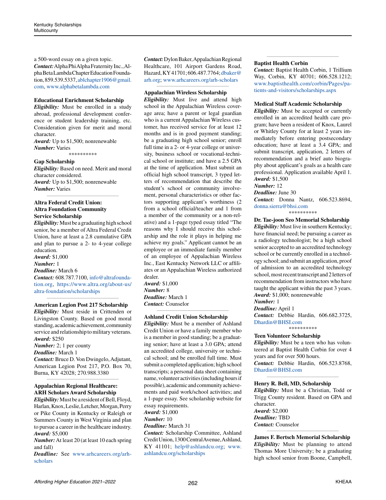a 500-word essay on a given topic. *Contact:* Alpha Phi Alpha Fraternity Inc., Alpha Beta Lambda Chapter Education Foundation, 859.539.5337[, ablchapter1906@gmail.](mailto:%20ablchapter1906%40gmail.com?subject=) [com](mailto:%20ablchapter1906%40gmail.com?subject=), [www.alphabetalambda.com](http://www.alphabetalambda.com)

# **Educational Enrichment Scholarship**

*Eligibility:* Must be enrolled in a study abroad, professional development conference or student leadership training, etc. Consideration given for merit and moral character.

*Award:* Up to \$1,500; nonrenewable *Number:* Varies

\*\*\*\*\*\*\*\*\*\*

#### **Gap Scholarship**

*Eligibility:* Based on need. Merit and moral character considered. *Award:* Up to \$1,500; nonrenewable *Number:* Varies

*\_\_\_\_\_\_\_\_\_\_\_\_\_\_\_\_\_\_\_\_\_\_\_\_\_\_\_\_\_\_\_\_\_\_\_\_\_\_\_\_\_\_\_\_*

**Altra Federal Credit Union: Altra Foundation Community Service Scholarship**

*Eligibility:* Must be a graduating high school senior, be a member of Altra Federal Credit Union, have at least a 2.8 cumulative GPA and plan to pursue a 2- to 4-year college education.

*Award:* \$1,000 *Number:* 1 *Deadline:* March 6 *Contact:* 608.787.7100, [info@altrafounda](mailto:info%40altrafoundation.org?subject=)[tion.org,](mailto:info%40altrafoundation.org?subject=) [https://www.altra.org/about-us/](https://www.altra.org/about-us/altra-foundation/scholarships) [altra-foundation/scholarships](https://www.altra.org/about-us/altra-foundation/scholarships)

#### *\_\_\_\_\_\_\_\_\_\_\_\_\_\_\_\_\_\_\_\_\_\_\_\_\_\_\_\_\_\_\_\_\_\_\_\_\_\_\_\_\_\_\_\_* **American Legion Post 217 Scholarship**

*Eligibility:* Must reside in Crittenden or Livingston County. Based on good moral standing, academic achievement, community service and relationship to military veterans. *Award:* \$250

*Number:* 2; 1 per county *Deadline:* March 1 *Contact:* Bruce D. Von Dwingelo, Adjutant, American Legion Post 217, P.O. Box 70, Burna, KY 42028; 270.988.3380

*\_\_\_\_\_\_\_\_\_\_\_\_\_\_\_\_\_\_\_\_\_\_\_\_\_\_\_\_\_\_\_\_\_\_\_\_\_\_\_\_\_\_\_\_*

# **Appalachian Regional Healthcare: ARH Scholars Award Scholarship**

*Eligibility:* Must be a resident of Bell, Floyd, Harlan, Knox, Leslie, Letcher, Morgan, Perry or Pike County in Kentucky or Raleigh or Summers County in West Virginia and plan to pursue a career in the healthcare industry. *Award:* \$5,000

*Number:* At least 20 (at least 10 each spring and fall)

*Deadline:* See [www.arhcareers.org/arh](http://www.arhcareers.org/arh-scholars)[scholars](http://www.arhcareers.org/arh-scholars)

*Contact:* Dylon Baker, Appalachian Regional Healthcare, 101 Airport Gardens Road, Hazard, KY 41701; 606.487.7764; [dbaker@](mailto:dbaker%40arh.org?subject=) [arh.org](mailto:dbaker%40arh.org?subject=); [www.arhcareers.org/arh-scholars](http://www.arhcareers.org/arh-scholars)

*\_\_\_\_\_\_\_\_\_\_\_\_\_\_\_\_\_\_\_\_\_\_\_\_\_\_\_\_\_\_\_\_\_\_\_\_\_\_\_\_\_\_\_\_*

# **Appalachian Wireless Scholarship**

*Eligibility:* Must live and attend high school in the Appalachian Wireless coverage area; have a parent or legal guardian who is a current Appalachian Wireless customer, has received service for at least 12 months and is in good payment standing; be a graduating high school senior; enroll full time in a 2- or 4-year college or university, business school or vocational-technical school or institute; and have a 2.5 GPA at the time of application. Must submit an official high school transcript, 3 typed letters of recommendation that describe the student's school or community involvement, personal characteristics or other factors supporting applicant's worthiness (2 from a school official/teacher and 1 from a member of the community or a non-relative) and a 1-page typed essay titled "The reasons why I should receive this scholarship and the role it plays in helping me achieve my goals." Applicant cannot be an employee or an immediate family member of an employee of Appalachian Wireless Inc., East Kentucky Network LLC or affiliates or an Appalachian Wireless authorized dealer. *Award:* \$1,000

*Number:* 8 *Deadline:* March 1 *Contact:* Counselor *\_\_\_\_\_\_\_\_\_\_\_\_\_\_\_\_\_\_\_\_\_\_\_\_\_\_\_\_\_\_\_\_\_\_\_\_\_\_\_\_\_\_\_\_*

#### **Ashland Credit Union Scholarship**

*Eligibility:* Must be a member of Ashland Credit Union or have a family member who is a member in good standing; be a graduating senior; have at least a 3.0 GPA; attend an accredited college, university or technical school; and be enrolled full time. Must submit a completed application; high school transcripts; a personal data sheet containing name, volunteer activities (including hours if possible), academic and community achievements and paid work/school activities; and a 1-page essay. See scholarship website for essay requirements. *Award:* \$1,000 *Number:* 10 *Deadline:* March 31 *Contact:* Scholarship Committee, Ashland

Credit Union, 1300 Central Avenue, Ashland, KY 41101; [help@ashlandcu.org](mailto:help%40ashlandcu.org?subject=); [www.](http://www.ashlandcu.org/scholarships) [ashlandcu.org/scholarships](http://www.ashlandcu.org/scholarships)

#### **Baptist Health Corbin**

*Contact:* Baptist Health Corbin, 1 Trillium Way, Corbin, KY 40701; 606.528.1212; [www.baptisthealth.com/corbin/Pages/pa](http://www.baptisthealth.com/corbin/Pages/patients-and-visitors/scholarships.aspx)[tients-and-visitors/scholarships.aspx](http://www.baptisthealth.com/corbin/Pages/patients-and-visitors/scholarships.aspx)

*\_\_\_\_\_\_\_\_\_\_\_\_\_\_\_\_\_\_\_\_\_\_\_\_\_\_\_\_\_\_\_\_\_\_\_\_\_\_\_\_\_\_\_\_*

#### **Medical Staff Academic Scholarship**

*Eligibility:* Must be accepted or currently enrolled in an accredited health care program; have been a resident of Knox, Laurel or Whitley County for at least 2 years immediately before entering postsecondary education; have at least a 3.4 GPA; and submit transcript, application, 2 letters of recommendation and a brief auto biography about applicant's goals as a health care professional. Application available April 1. *Award:* \$1,500

*Number:* 12

*Deadline:* June 30

*Contact:* Donna Nantz, 606.523.8694, [donna.sierra@bhsi.com](mailto:donna.sierra%40bhsi.com?subject=) \*\*\*\*\*\*\*\*\*\*

# **Dr. Tae-joon Seo Memorial Scholarship**

*Eligibility:* Must live in southern Kentucky; have financial need; be pursuing a career as a radiology technologist; be a high school senior accepted to an accredited technology school or be currently enrolled in a technology school; and submit an application, proof of admission to an accredited technology school, most recent transcript and 2 letters of recommendation from instructors who have taught the applicant within the past 3 years. *Award:* \$1,000; nonrenewable *Number:* 1

*Deadline:* April 1 *Contact:* Debbie Hardin, 606.682.3725, [Dhardin@BHSI.com](mailto:Dhardin%40BHSI.com?subject=)

\*\*\*\*\*\*\*\*\*\*

#### **Teen Volunteer Scholarship**

*Eligibility:* Must be a teen who has volunteered at Baptist Health Corbin for over 4 years and for over 500 hours. *Contact:* Debbie Hardin, 606.523.8768, [Dhardin@BHSI.com](mailto:Dhardin%40BHSI.com?subject=)

*\_\_\_\_\_\_\_\_\_\_\_\_\_\_\_\_\_\_\_\_\_\_\_\_\_\_\_\_\_\_\_\_\_\_\_\_\_\_\_\_\_\_\_\_*

#### **Henry R. Bell, MD, Scholarship**

*Eligibility:* Must be a Christian, Todd or Trigg County resident. Based on GPA and character.

*Award:* \$2,000 *Deadline:* TBD *Contact:* Counselor

**James F. Bertsch Memorial Scholarship** *Eligibility:* Must be planning to attend Thomas More University; be a graduating high school senior from Boone, Campbell,

*\_\_\_\_\_\_\_\_\_\_\_\_\_\_\_\_\_\_\_\_\_\_\_\_\_\_\_\_\_\_\_\_\_\_\_\_\_\_\_\_\_\_\_\_*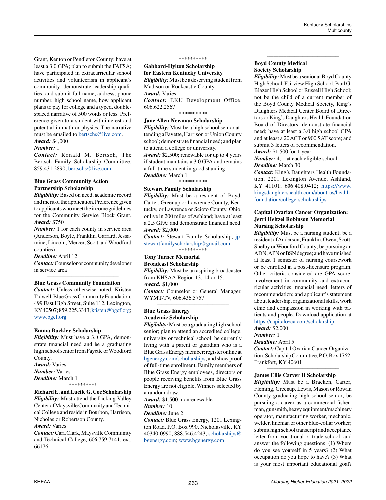Grant, Kenton or Pendleton County; have at least a 3.0 GPA; plan to submit the FAFSA; have participated in extracurricular school activities and volunteerism in applicant's community; demonstrate leadership qualities; and submit full name, address, phone number, high school name, how applicant plans to pay for college and a typed, doublespaced narrative of 500 words or less. Preference given to a student with interest and potential in math or physics. The narrative must be emailed to [bertschs@live.com](mailto:bertschs%40live.com?subject=). *Award:* \$4,000

#### *Number:* 1

*Contact:* Ronald M. Bertsch, The Bertsch Family Scholarship Committee, 859.431.2890, [bertschs@live.com](mailto:bertschs%40live.com?subject=) *\_\_\_\_\_\_\_\_\_\_\_\_\_\_\_\_\_\_\_\_\_\_\_\_\_\_\_\_\_\_\_\_\_\_\_\_\_\_\_\_\_\_\_\_*

# **Blue Grass Community Action Partnership Scholarship**

*Eligibility:* Based on need, academic record and merit of the application. Preference given to applicants who meet the income guidelines for the Community Service Block Grant. *Award:* \$750

*Number:* 1 for each county in service area (Anderson, Boyle, Franklin, Garrard, Jessamine, Lincoln, Mercer, Scott and Woodford counties)

*Deadline:* April 12

*Contact:* Counselor or community developer in service area *\_\_\_\_\_\_\_\_\_\_\_\_\_\_\_\_\_\_\_\_\_\_\_\_\_\_\_\_\_\_\_\_\_\_\_\_\_\_\_\_\_\_\_\_*

#### **Blue Grass Community Foundation**

*Contact:* Unless otherwise noted, Kristen Tidwell, Blue Grass Community Foundation, 499 East High Street, Suite 112, Lexington, KY 40507; 859.225.3343; [kristen@bgcf.org](mailto:kristen%40bgcf.org?subject=); [www.bgcf.org](http://www.bgcf.org)

#### **Emma Buckley Scholarship**

*Eligibility:* Must have a 3.0 GPA, demonstrate financial need and be a graduating high school senior from Fayette or Woodford County. *Award:* Varies *Number:* Varies

*Deadline:* March 1 \*\*\*\*\*\*\*\*\*\*

### **Richard E. and Lucile G. Coe Scholarship**

*Eligibility:* Must attend the Licking Valley Center of Maysville Community and Technical College and reside in Bourbon, Harrison, Nicholas or Robertson County.

#### *Award:* Varies

*Contact:* Cara Clark, Maysville Community and Technical College, 606.759.7141, ext. 66176

#### \*\*\*\*\*\*\*\*\*\*

**Gabbard-Hylton Scholarship for Eastern Kentucky University** *Eligibility:* Must be a deserving student from

Madison or Rockcastle County. *Award:* Varies

*Contact:* EKU Development Office, 606.622.2567

# \*\*\*\*\*\*\*\*\*\*

# **Jane Allen Newman Scholarship**

*Eligibility:* Must be a high school senior attending a Fayette, Harrison or Union County school; demonstrate financial need; and plan to attend a college or university. *Award:* \$2,500; renewable for up to 4 years if student maintains a 3.0 GPA and remains

a full-time student in good standing *Deadline:* March 1

\*\*\*\*\*\*\*\*\*\*

#### **Stewart Family Scholarship**

*Eligibility:* Must be a resident of Boyd, Carter, Greenup or Lawrence County, Kentucky, or Lawrence or Scioto County, Ohio, or live in 200 miles of Ashland; have at least a 2.5 GPA; and demonstrate financial need. *Award:* \$2,000

*Contact:* Stewart Family Scholarship, [jp](mailto:jpstewartfamilyscholarship%40gmail.com?subject=)[stewartfamilyscholarship@gmail.com](mailto:jpstewartfamilyscholarship%40gmail.com?subject=) \*\*\*\*\*\*\*\*\*\*

# **Tony Turner Memorial**

**Broadcast Scholarship**

*Eligibility:* Must be an aspiring broadcaster from KHSAA Region 13, 14 or 15. *Award:* \$1,000 *Contact:* Counselor or General Manager, WYMT-TV, 606.436.5757

*\_\_\_\_\_\_\_\_\_\_\_\_\_\_\_\_\_\_\_\_\_\_\_\_\_\_\_\_\_\_\_\_\_\_\_\_\_\_\_\_\_\_\_\_*

#### **Blue Grass Energy Academic Scholarship**

*Eligibility:* Must be a graduating high school senior; plan to attend an accredited college, university or technical school; be currently living with a parent or guardian who is a Blue Grass Energy member; register online at [bgenergy.com/scholarships](http://bgenergy.com/scholarships); and show proof of full-time enrollment. Family members of Blue Grass Energy employees, directors or people receiving benefits from Blue Grass Energy are not eligible. Winners selected by a random draw.

*Award:* \$1,500; nonrenewable

#### *Number:* 10 *Deadline:* June 2

*Contact:* Blue Grass Energy, 1201 Lexington Road, P.O. Box 990, Nicholasville, KY 40340-0990; 888.546.4243; [scholarships@](mailto:scholarships%40bgenergy.com?subject=) [bgenergy.com](mailto:scholarships%40bgenergy.com?subject=); [www.bgenergy.com](http://www.bgenergy.com)

# **Boyd County Medical Society Scholarship**

*Eligibility:* Must be a senior at Boyd County High School, Fairview High School, Paul G. Blazer High School or Russell High School; not be the child of a current member of the Boyd County Medical Society, King's Daughters Medical Center Board of Directors or King's Daughters Health Foundation Board of Directors; demonstrate financial need; have at least a 3.0 high school GPA and at least a 20 ACT or 900 SAT score; and submit 3 letters of recommendation.

*\_\_\_\_\_\_\_\_\_\_\_\_\_\_\_\_\_\_\_\_\_\_\_\_\_\_\_\_\_\_\_\_\_\_\_\_\_\_\_\_\_\_\_\_*

*Award:* \$1,500 for 1 year

*Number:* 4; 1 at each eligible school *Deadline:* March 30

*Contact:* King's Daughters Health Foundation, 2201 Lexington Avenue, Ashland, KY 41101; 606.408.0412; [https://www.](https://www.kingsdaughtershealth.com/about-us/health-foundation/college-scholarships) [kingsdaughtershealth.com/about-us/health](https://www.kingsdaughtershealth.com/about-us/health-foundation/college-scholarships)[foundation/college-scholarships](https://www.kingsdaughtershealth.com/about-us/health-foundation/college-scholarships)

*\_\_\_\_\_\_\_\_\_\_\_\_\_\_\_\_\_\_\_\_\_\_\_\_\_\_\_\_\_\_\_\_\_\_\_\_\_\_\_\_\_\_\_\_*

# **Capital Ovarian Cancer Organization: Jerri Heltzel Robinson Memorial Nursing Scholarship**

*Eligibility:* Must be a nursing student; be a resident of Anderson, Franklin, Owen, Scott, Shelby or Woodford County; be pursuing an ADN, APN or BSN degree; and have finished at least 1 semester of nursing coursework or be enrolled in a post-licensure program. Other criteria considered are GPA score; involvement in community and extracurricular activities; financial need; letters of recommendation; and applicant's statement about leadership, organizational skills, work ethic and compassion in working with patients and people. Download application at <https://capitalovca.com/scholarship>.

### *Award:* \$2,000

*Number:* 1

# *Deadline:* April 5

*Contact:* Capital Ovarian Cancer Organization, Scholarship Committee, P.O. Box 1762, Frankfort, KY 40601 *\_\_\_\_\_\_\_\_\_\_\_\_\_\_\_\_\_\_\_\_\_\_\_\_\_\_\_\_\_\_\_\_\_\_\_\_\_\_\_\_\_\_\_\_*

#### **James Ellis Carver II Scholarship**

*Eligibility:* Must be a Bracken, Carter, Fleming, Greenup, Lewis, Mason or Rowan County graduating high school senior; be pursuing a career as a commercial fisherman, gunsmith, heavy equipment/machinery operator, manufacturing worker, mechanic, welder, lineman or other blue-collar worker; submit high school transcript and acceptance letter from vocational or trade school; and answer the following questions: (1) Where do you see yourself in 5 years? (2) What occupation do you hope to have? (3) What is your most important educational goal?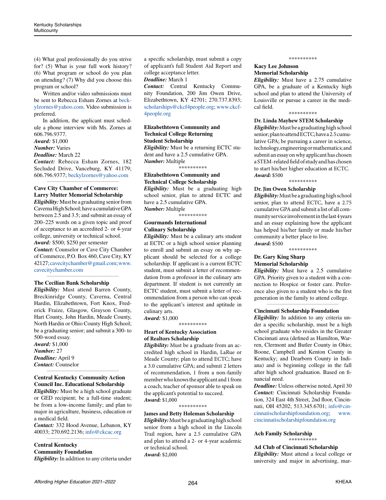(4) What goal professionally do you strive for? (5) What is your full work history? (6) What program or school do you plan on attending? (7) Why did you choose this program or school?

Written and/or video submissions must be sent to Rebecca Esham Zornes at [beck](mailto:beckylzornes%40yahoo.com?subject=)[ylzornes@yahoo.com.](mailto:beckylzornes%40yahoo.com?subject=) Video submission is preferred.

In addition, the applicant must schedule a phone interview with Ms. Zornes at 606.796.9377.

*Award:* \$1,000

*Number:* Varies

*Deadline:* March 22

*Contact:* Rebecca Esham Zornes, 182 Secluded Drive, Vanceburg, KY 41179; 606.796.9377; [beckylzornes@yahoo.com](mailto:beckylzornes%40yahoo.com?subject=) *\_\_\_\_\_\_\_\_\_\_\_\_\_\_\_\_\_\_\_\_\_\_\_\_\_\_\_\_\_\_\_\_\_\_\_\_\_\_\_\_\_\_\_\_*

# **Cave City Chamber of Commerce: Larry Mutter Memorial Scholarship**

*Eligibility:* Must be a graduating senior from Caverna High School; have a cumulative GPA between 2.5 and 3.5; and submit an essay of 200–225 words on a given topic and proof of acceptance to an accredited 2- or 4-year college, university or technical school. *Award:* \$500; \$250 per semester *Contact:* Counselor or Cave City Chamber of Commerce, P.O. Box 460, Cave City, KY 42127; [cavecitychamber@gmail.com](mailto:cavecitychamber%40gmail.com?subject=); [www.](http://www.cavecitychamber.com) [cavecitychamber.com](http://www.cavecitychamber.com)

# **The Cecilian Bank Scholarship**

*Eligibility:* Must attend Barren County, Breckinridge County, Caverna, Central Hardin, Elizabethtown, Fort Knox, Frederick Fraize, Glasgow, Grayson County, Hart County, John Hardin, Meade County, North Hardin or Ohio County High School; be a graduating senior; and submit a 300- to 500-word essay.

*\_\_\_\_\_\_\_\_\_\_\_\_\_\_\_\_\_\_\_\_\_\_\_\_\_\_\_\_\_\_\_\_\_\_\_\_\_\_\_\_\_\_\_\_*

*Award:* \$1,000 *Number:* 27 *Deadline:* April 9 *Contact:* Counselor

# **Central Kentucky Community Action Council Inc. Educational Scholarship**

*\_\_\_\_\_\_\_\_\_\_\_\_\_\_\_\_\_\_\_\_\_\_\_\_\_\_\_\_\_\_\_\_\_\_\_\_\_\_\_\_\_\_\_\_*

*Eligibility:* Must be a high school graduate or GED recipient; be a full-time student; be from a low-income family; and plan to major in agriculture, business, education or a medical field.

*Contact:* 332 Hood Avenue, Lebanon, KY 40033; 270.692.2136; [info@ckcac.org](mailto:info%40ckcac.org?subject=) *\_\_\_\_\_\_\_\_\_\_\_\_\_\_\_\_\_\_\_\_\_\_\_\_\_\_\_\_\_\_\_\_\_\_\_\_\_\_\_\_\_\_\_\_*

# **Central Kentucky Community Foundation**

*Eligibility:* In addition to any criteria under

a specific scholarship, must submit a copy of applicant's full Student Aid Report and college acceptance letter.

#### *Deadline:* March 1

*Contact:* Central Kentucky Community Foundation, 200 Jim Owen Drive, Elizabethtown, KY 42701; 270.737.8393; [scholarships@ckcf4people.org](mailto:scholarships%40ckcf4people.org?subject=); [www.ckcf-](http://www.ckcf4people.org)[4people.org](http://www.ckcf4people.org)

# **Elizabethtown Community and Technical College Returning Student Scholarship**

*Eligibility:* Must be a returning ECTC student and have a 2.5 cumulative GPA. *Number:* Multiple

\*\*\*\*\*\*\*\*\*\*

#### **Elizabethtown Community and Technical College Scholarship**

*Eligibility:* Must be a graduating high school senior, plan to attend ECTC and have a 2.5 cumulative GPA. *Number:* Multiple

\*\*\*\*\*\*\*\*\*\*

# **Gourmands International Culinary Scholarship**

*Eligibility:* Must be a culinary arts student at ECTC or a high school senior planning to enroll and submit an essay on why applicant should be selected for a college scholarship. If applicant is a current ECTC student, must submit a letter of recommendation from a professor in the culinary arts department. If student is not currently an ECTC student, must submit a letter of recommendation from a person who can speak to the applicant's interest and aptitude in culinary arts. *Award:* \$1,000

\*\*\*\*\*\*\*\*\*\*

#### **Heart of Kentucky Association of Realtors Scholarship**

*Eligibility:* Must be a graduate from an accredited high school in Hardin, LaRue or Meade County; plan to attend ECTC; have a 3.0 cumulative GPA; and submit 2 letters of recommendation, 1 from a non-family member who knows the applicant and 1 from a coach, teacher of sponsor able to speak on the applicant's potential to succeed. *Award:* \$1,000

\*\*\*\*\*\*\*\*\*\*

**James and Betty Holeman Scholarship**  *Eligibility:* Must be a graduating high school senior from a high school in the Lincoln Trail region, have a 2.5 cumulative GPA and plan to attend a 2- or 4-year academic or technical school. *Award:* \$2,000

#### \*\*\*\*\*\*\*\*\*\*

# **Kacy Lee Johnson Memorial Scholarship**

*Eligibility:* Must have a 2.75 cumulative GPA, be a graduate of a Kentucky high school and plan to attend the University of Louisville or pursue a career in the medical field.

# \*\*\*\*\*\*\*\*\*\*

**Dr. Linda Mayhew STEM Scholarship** *Eligibility:* Must be a graduating high school senior; plan to attend ECTC; have a 2.5 cumulative GPA; be pursuing a career in science, technology, engineering or mathematics; and submit an essay on why applicant has chosen a STEM-related field of study and has chosen to start his/her higher education at ECTC. *Award:* \$500

\*\*\*\*\*\*\*\*\*\*

#### **Dr. Jim Owen Scholarship**

*Eligibility:* Must be a graduating high school senior, plan to attend ECTC, have a 2.75 cumulative GPA and submit a list of all community service involvement in the last 4 years and an essay explaining how the applicant has helped his/her family or made his/her community a better place to live. *Award:* \$500

\*\*\*\*\*\*\*\*\*\*

# **Dr. Gary King Sharp Memorial Scholarship**

*Eligibility:* Must have a 2.5 cumulative GPA. Priority given to a student with a connection to Hospice or foster care. Preference also given to a student who is the first generation in the family to attend college.

*\_\_\_\_\_\_\_\_\_\_\_\_\_\_\_\_\_\_\_\_\_\_\_\_\_\_\_\_\_\_\_\_\_\_\_\_\_\_\_\_\_\_\_\_*

#### **Cincinnati Scholarship Foundation**

*Eligibility:* In addition to any criteria under a specific scholarship, must be a high school graduate who resides in the Greater Cincinnati area (defined as Hamilton, Warren, Clermont and Butler County in Ohio; Boone, Campbell and Kenton County in Kentucky; and Dearborn County in Indiana) and is beginning college in the fall after high school graduation. Based on financial need.

*Deadline:* Unless otherwise noted, April 30 *Contact:* Cincinnati Scholarship Foundation, 324 East 4th Street, 2nd floor, Cincinnati, OH 45202; 513.345.6701; [info@cin](mailto:info%40cincinnatischolarshipfoundation.org?subject=)[cinnatischolarshipfoundation.org;](mailto:info%40cincinnatischolarshipfoundation.org?subject=) [www.](http://www.cincinnatischolarshipfoundation.org) [cincinnatischolarshipfoundation.org](http://www.cincinnatischolarshipfoundation.org)

#### **Ach Family Scholarship** \*\*\*\*\*\*\*\*\*\*

**Ad Club of Cincinnati Scholarship**  *Eligibility:* Must attend a local college or university and major in advertising, mar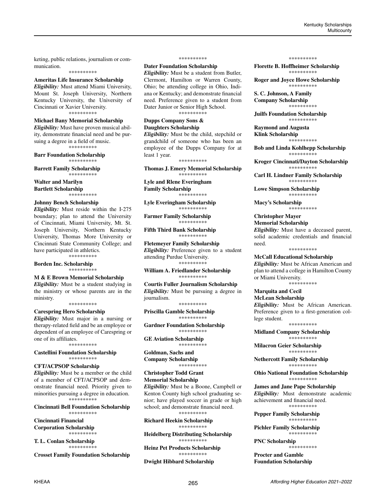keting, public relations, journalism or communication. \*\*\*\*\*\*\*\*\*\*

**Ameritas Life Insurance Scholarship** *Eligibility:* Must attend Miami University, Mount St. Joseph University, Northern Kentucky University, the University of

Cincinnati or Xavier University. \*\*\*\*\*\*\*\*\*\*

# **Michael Bany Memorial Scholarship**

*Eligibility:* Must have proven musical ability, demonstrate financial need and be pursuing a degree in a field of music. \*\*\*\*\*\*\*\*\*\*

**Barr Foundation Scholarship** \*\*\*\*\*\*\*\*\*\*

**Barrett Family Scholarship**  \*\*\*\*\*\*\*\*\*\*

**Walter and Marilyn Bartlett Scholarship** \*\*\*\*\*\*\*\*\*\*

#### **Johnny Bench Scholarship**

*Eligibility:* Must reside within the I-275 boundary; plan to attend the University of Cincinnati, Miami University, Mt. St. Joseph University, Northern Kentucky University, Thomas More University or Cincinnati State Community College; and have participated in athletics. \*\*\*\*\*\*\*\*\*\*

**Borden Inc. Scholarship** \*\*\*\*\*\*\*\*\*\*

# **M & E Brown Memorial Scholarship**

*Eligibility:* Must be a student studying in the ministry or whose parents are in the ministry. \*\*\*\*\*\*\*\*\*\*

#### **Carespring Hero Scholarship**

*Eligibility:* Must major in a nursing or therapy-related field and be an employee or dependent of an employee of Carespring or one of its affiliates.

\*\*\*\*\*\*\*\*\*\*

#### **Castellini Foundation Scholarship** \*\*\*\*\*\*\*\*\*\*

#### **CFT/ACPSOP Scholarship**

*Eligibility:* Must be a member or the child of a member of CFT/ACPSOP and demonstrate financial need. Priority given to minorities pursuing a degree in education. \*\*\*\*\*\*\*\*\*\*

#### **Cincinnati Bell Foundation Scholarship** \*\*\*\*\*\*\*\*\*\*

**Cincinnati Financial Corporation Scholarship** \*\*\*\*\*\*\*\*\*\*

**T. L. Conlan Scholarship** \*\*\*\*\*\*\*\*\*\*

**Crosset Family Foundation Scholarship**

#### \*\*\*\*\*\*\*\*\*\*

**Dater Foundation Scholarship**

*Eligibility:* Must be a student from Butler, Clermont, Hamilton or Warren County, Ohio; be attending college in Ohio, Indiana or Kentucky; and demonstrate financial need. Preference given to a student from Dater Junior or Senior High School. \*\*\*\*\*\*\*\*\*\*

**Dupps Company Sons &**

# **Daughters Scholarship**

*Eligibility:* Must be the child, stepchild or grandchild of someone who has been an employee of the Dupps Company for at least 1 year.

\*\*\*\*\*\*\*\*\*\*

**Thomas J. Emery Memorial Scholarship** \*\*\*\*\*\*\*\*\*\*

**Lyle and Rlene Everingham Family Scholarship**

\*\*\*\*\*\*\*\*\*\* **Lyle Everingham Scholarship** \*\*\*\*\*\*\*\*\*\*

**Farmer Family Scholarship** \*\*\*\*\*\*\*\*\*\*

**Fifth Third Bank Scholarship** \*\*\*\*\*\*\*\*\*\*

**Fletemeyer Family Scholarship**  *Eligibility:* Preference given to a student attending Purdue University. \*\*\*\*\*\*\*\*\*\*

**William A. Friedlander Scholarship** \*\*\*\*\*\*\*\*\*\*

**Courtis Fuller Journalism Scholarship** *Eligibility:* Must be pursuing a degree in journalism. \*\*\*\*\*\*\*\*\*\*

**Priscilla Gamble Scholarship** \*\*\*\*\*\*\*\*\*\*

**Gardner Foundation Scholarship** \*\*\*\*\*\*\*\*\*\*

**GE Aviation Scholarship** \*\*\*\*\*\*\*\*\*\*

**Goldman, Sachs and Company Scholarship** \*\*\*\*\*\*\*\*\*\*

**Christopher Todd Grant Memorial Scholarship** 

*Eligibility:* Must be a Boone, Campbell or Kenton County high school graduating senior; have played soccer in grade or high school; and demonstrate financial need. \*\*\*\*\*\*\*\*\*\*

**Richard Heekin Scholarship** \*\*\*\*\*\*\*\*\*\*

**Heidelberg Distributing Scholarship** \*\*\*\*\*\*\*\*\*\*

**Heinz Pet Products Scholarship** \*\*\*\*\*\*\*\*\*\*

**Dwight Hibbard Scholarship**

#### \*\*\*\*\*\*\*\*\*\*

**Florette B. Hoffheimer Scholarship** \*\*\*\*\*\*\*\*\*\*

**Roger and Joyce Howe Scholarship** \*\*\*\*\*\*\*\*\*\*

**S. C. Johnson, A Family Company Scholarship** \*\*\*\*\*\*\*\*\*\*

**Juilfs Foundation Scholarship** \*\*\*\*\*\*\*\*\*\*

**Raymond and Augusta Klink Scholarship**

\*\*\*\*\*\*\*\*\*\* **Bob and Linda Kohlhepp Scholarship** \*\*\*\*\*\*\*\*\*\*

**Kroger Cincinnati/Dayton Scholarship** \*\*\*\*\*\*\*\*\*\*

**Carl H. Lindner Family Scholarship**  \*\*\*\*\*\*\*\*\*\*

**Lowe Simpson Scholarship** \*\*\*\*\*\*\*\*\*\*

**Macy's Scholarship** \*\*\*\*\*\*\*\*\*\*

**Christopher Mayer Memorial Scholarship** *Eligibility:* Must have a deceased parent, solid academic credentials and financial need.

\*\*\*\*\*\*\*\*\*\*

# **McCall Educational Scholarship**

*Eligibility:* Must be African American and plan to attend a college in Hamilton County or Miami University.

\*\*\*\*\*\*\*\*\*\*

**Marquita and Cecil McLean Scholarship**  *Eligibility:* Must be African American. Preference given to a first-generation college student.

\*\*\*\*\*\*\*\*\*\*

**Midland Company Scholarship**  \*\*\*\*\*\*\*\*\*\*

**Milacron Geier Scholarship** \*\*\*\*\*\*\*\*\*\*

**Nethercott Family Scholarship** \*\*\*\*\*\*\*\*\*\*

**Ohio National Foundation Scholarship** \*\*\*\*\*\*\*\*\*\*

**James and Jane Pape Scholarship**  *Eligibility:* Must demonstrate academic achievement and financial need. \*\*\*\*\*\*\*\*\*\*

**Pepper Family Scholarship** \*\*\*\*\*\*\*\*\*\*

**Pichler Family Scholarship**  \*\*\*\*\*\*\*\*\*\*

**PNC Scholarship** \*\*\*\*\*\*\*\*\*\*

**Procter and Gamble Foundation Scholarship**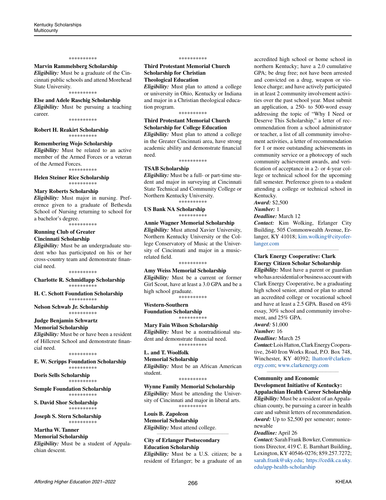#### \*\*\*\*\*\*\*\*\*\*

#### **Marvin Rammelsberg Scholarship**

*Eligibility:* Must be a graduate of the Cincinnati public schools and attend Morehead State University. \*\*\*\*\*\*\*\*\*\*

#### **Else and Adele Raschig Scholarship**

*Eligibility:* Must be pursuing a teaching career.

\*\*\*\*\*\*\*\*\*\*

**Robert H. Reakirt Scholarship** \*\*\*\*\*\*\*\*\*\*

#### **Remembering Wojo Scholarship**

*Eligibility:* Must be related to an active member of the Armed Forces or a veteran of the Armed Forces.

\*\*\*\*\*\*\*\*\*\*

#### **Helen Steiner Rice Scholarship** \*\*\*\*\*\*\*\*\*\*

#### **Mary Roberts Scholarship**

*Eligibility:* Must major in nursing. Preference given to a graduate of Bethesda School of Nursing returning to school for a bachelor's degree.

\*\*\*\*\*\*\*\*\*\*

# **Running Club of Greater Cincinnati Scholarship**

*Eligibility:* Must be an undergraduate student who has participated on his or her cross-country team and demonstrate financial need.

\*\*\*\*\*\*\*\*\*\*

**Charlotte R. Schmidlapp Scholarship** \*\*\*\*\*\*\*\*\*\*

**H. C. Schott Foundation Scholarship** \*\*\*\*\*\*\*\*\*\*

**Nelson Schwab Jr. Scholarship** \*\*\*\*\*\*\*\*\*\*

# **Judge Benjamin Schwartz**

**Memorial Scholarship** *Eligibility:* Must be or have been a resident of Hillcrest School and demonstrate financial need.

\*\*\*\*\*\*\*\*\*\*

**E. W. Scripps Foundation Scholarship** \*\*\*\*\*\*\*\*\*\*

**Doris Sells Scholarship**  \*\*\*\*\*\*\*\*\*\*

**Semple Foundation Scholarship** \*\*\*\*\*\*\*\*\*\*

**S. David Shor Scholarship** \*\*\*\*\*\*\*\*\*\*

**Joseph S. Stern Scholarship** \*\*\*\*\*\*\*\*\*\*

# **Martha W. Tanner**

**Memorial Scholarship**  *Eligibility:* Must be a student of Appalachian descent.

#### \*\*\*\*\*\*\*\*\*\*

# **Third Protestant Memorial Church Scholarship for Christian Theological Education**

*Eligibility:* Must plan to attend a college or university in Ohio, Kentucky or Indiana and major in a Christian theological education program.

#### \*\*\*\*\*\*\*\*\*\*

### **Third Protestant Memorial Church Scholarship for College Education**

*Eligibility:* Must plan to attend a college in the Greater Cincinnati area, have strong academic ability and demonstrate financial need.

\*\*\*\*\*\*\*\*\*\*

#### **TSAB Scholarship**

*Eligibility:* Must be a full- or part-time student and major in surveying at Cincinnati State Technical and Community College or Northern Kentucky University.

\*\*\*\*\*\*\*\*\*\*

**US Bank NA Scholarship** \*\*\*\*\*\*\*\*\*\*

### **Annie Wagner Memorial Scholarship** *Eligibility:* Must attend Xavier University, Northern Kentucky University or the College Conservatory of Music at the University of Cincinnati and major in a musicrelated field.

\*\*\*\*\*\*\*\*\*\*

#### **Amy Weiss Memorial Scholarship**

*Eligibility:* Must be a current or former Girl Scout, have at least a 3.0 GPA and be a high school graduate. \*\*\*\*\*\*\*\*\*\*

**Western-Southern** 

**Foundation Scholarship** \*\*\*\*\*\*\*\*\*\*

#### **Mary Fain Wilson Scholarship**

*Eligibility:* Must be a nontraditional student and demonstrate financial need. \*\*\*\*\*\*\*\*\*\*

# **L. and T. Woolfolk**

**Memorial Scholarship** *Eligibility:* Must be an African American student.

# \*\*\*\*\*\*\*\*\*\*

**Wynne Family Memorial Scholarship**  *Eligibility:* Must be attending the University of Cincinnati and major in liberal arts. \*\*\*\*\*\*\*\*\*\*

*\_\_\_\_\_\_\_\_\_\_\_\_\_\_\_\_\_\_\_\_\_\_\_\_\_\_\_\_\_\_\_\_\_\_\_\_\_\_\_\_\_\_\_\_* 

**Louis B. Zapoleon Memorial Scholarship**  *Eligibility:* Must attend college.

# **City of Erlanger Postsecondary Education Scholarship** *Eligibility:* Must be a U.S. citizen; be a

accredited high school or home school in northern Kentucky; have a 2.0 cumulative GPA; be drug free; not have been arrested and convicted on a drug, weapon or violence charge; and have actively participated in at least 2 community involvement activities over the past school year. Must submit an application, a 250- to 500-word essay addressing the topic of "Why I Need or Deserve This Scholarship," a letter of recommendation from a school administrator or teacher, a list of all community involvement activities, a letter of recommendation for 1 or more outstanding achievements in community service or a photocopy of such community achievement awards, and verification of acceptance in a 2- or 4-year college or technical school for the upcoming fall semester. Preference given to a student attending a college or technical school in Kentucky.

*Award:* \$2,500

*Number:* 1

*Deadline:* March 12

*Contact:* Kim Wolking, Erlanger City Building, 505 Commonwealth Avenue, Erlanger, KY 41018; [kim.wolking@cityofer](mailto:kim.wolking%40cityoferlanger.com?subject=)[langer.com](mailto:kim.wolking%40cityoferlanger.com?subject=)

*\_\_\_\_\_\_\_\_\_\_\_\_\_\_\_\_\_\_\_\_\_\_\_\_\_\_\_\_\_\_\_\_\_\_\_\_\_\_\_\_\_\_\_\_*

# **Clark Energy Cooperative: Clark Energy Citizen Scholar Scholarship**

*Eligibility:* Must have a parent or guardian who has a residential or business account with Clark Energy Cooperative, be a graduating high school senior, attend or plan to attend an accredited college or vocational school and have at least a 2.5 GPA. Based on 45% essay, 30% school and community involvement, and 25% GPA.

*Award:* \$1,000

*Number:* 16

# *Deadline:* March 25

*Contact:* Lois Hatton, Clark Energy Cooperative, 2640 Iron Works Road, P.O. Box 748, Winchester, KY 40392; [lhatton@clarken](mailto:lhatton%40clarkenergy.com?subject=)[ergy.com](mailto:lhatton%40clarkenergy.com?subject=); [www.clarkenergy.com](http://www.clarkenergy.com)

*\_\_\_\_\_\_\_\_\_\_\_\_\_\_\_\_\_\_\_\_\_\_\_\_\_\_\_\_\_\_\_\_\_\_\_\_\_\_\_\_\_\_\_\_*

### **Community and Economic Development Initiative of Kentucky: Appalachian Health Career Scholarship**

*Eligibility:* Must be a resident of an Appalachian county, be pursuing a career in health care and submit letters of recommendation. *Award:* Up to \$2,500 per semester; nonrenewable

#### *Deadline:* April 26

*Contact:* Sarah Frank Bowker, Communications Director, 419 C. E. Barnhart Building, Lexington, KY 40546-0276; 859.257.7272; [sarah.frank@uky.edu;](mailto:sarah.frank%40uky.edu?subject=) [https://cedik.ca.uky.](https://cedik.ca.uky.edu/app-health-scholarship) [edu/app-health-scholarship](https://cedik.ca.uky.edu/app-health-scholarship)

resident of Erlanger; be a graduate of an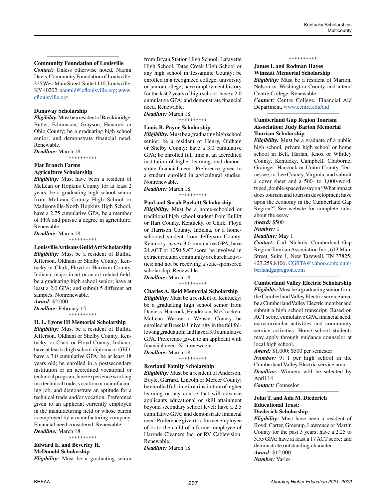#### *\_\_\_\_\_\_\_\_\_\_\_\_\_\_\_\_\_\_\_\_\_\_\_\_\_\_\_\_\_\_\_\_\_\_\_\_\_\_\_\_\_\_\_\_* **Community Foundation of Louisville**

*Contact:* Unless otherwise noted, Naomi Davis, Community Foundation of Louisville, 325 West Main Street, Suite 1110, Louisville, KY 40202; [naomid@cflouisville.org;](mailto:naomid%40cflouisville.org?subject=) [www.](http://www.cflouisville.org) [cflouisville.org](http://www.cflouisville.org)

#### **Dunaway Scholarship**

*Eligibility:* Must be a resident of Breckinridge, Butler, Edmonson, Grayson, Hancock or Ohio County; be a graduating high school senior; and demonstrate financial need. Renewable.

*Deadline:* March 18

\*\*\*\*\*\*\*\*\*\*

#### **Flat Branch Farms Agriculture Scholarship**

*Eligibility:* Must have been a resident of McLean or Hopkins County for at least 2 years, be a graduating high school senior from McLean County High School or Madisonville-North Hopkins High School, have a 2.75 cumulative GPA, be a member of FFA and pursue a degree in agriculture. Renewable.

*Deadline:* March 18

\*\*\*\*\*\*\*\*\*\*

**Louisville Artisans Guild Art Scholarship** *Eligibility:* Must be a resident of Bullitt, Jefferson, Oldham or Shelby County, Kentucky or Clark, Floyd or Harrison County, Indiana; major in art or an art-related field; be a graduating high school senior; have at least a 2.0 GPA; and submit 5 different art samples. Nonrenewable. *Award:* \$2,000

*Deadline:* February 15

\*\*\*\*\*\*\*\*\*\*

#### **H. L. Lyons III Memorial Scholarship**

*Eligibility:* Must be a resident of Bullitt, Jefferson, Oldham or Shelby County, Kentucky, or Clark or Floyd County, Indiana; have at least a high school diploma or GED; have a 3.0 cumulative GPA; be at least 18 years old; be enrolled in a postsecondary institution or an accredited vocational or technical program; have experience working in a technical trade, vocation or manufacturing job; and demonstrate an aptitude for a technical trade and/or vocation. Preference given to an applicant currently employed in the manufacturing field or whose parent is employed by a manufacturing company. Financial need considered. Renewable. *Deadline:* March 18

\*\*\*\*\*\*\*\*\*\*

**Edward E. and Beverley H. McDonald Scholarship** *Eligibility:* Must be a graduating senior from Bryan Station High School, Lafayette High School, Tates Creek High School or any high school in Jessamine County; be enrolled in a recognized college, university or junior college; have employment history for the last 2 years of high school; have a 2.0 cumulative GPA; and demonstrate financial need. Renewable.

*Deadline:* March 18

\*\*\*\*\*\*\*\*\*\*

# **Louis B. Payne Scholarship**

*Eligibility:* Must be a graduating high school senior; be a resident of Henry, Oldham or Shelby County; have a 3.0 cumulative GPA; be enrolled full time at an accredited institution of higher learning; and demonstrate financial need. Preference given to a student enrolled in agricultural studies. Nonrenewable.

*Deadline:* March 18 \*\*\*\*\*\*\*\*\*\*

#### **Paul and Sarah Puckett Scholarship**

*Eligibility:* Must be a home-schooled or traditional high school student from Bullitt or Hart County, Kentucky, or Clark, Floyd or Harrison County, Indiana, or a homeschooled student from Jefferson County, Kentucky; have a 3.0 cumulative GPA; have 24 ACT or 1050 SAT score; be involved in extracurricular, community or church activities; and not be receiving a state-sponsored scholarship. Renewable.

*Deadline:* March 18 \*\*\*\*\*\*\*\*\*\*

**Charles A. Reid Memorial Scholarship** *Eligibility:* Must be a resident of Kentucky; be a graduating high school senior from Daviess, Hancock, Henderson, McCracken, McLean, Warren or Webster County; be enrolled at Brescia University in the fall following graduation; and have a 3.0 cumulative GPA. Preference given to an applicant with financial need. Nonrenewable.

# *Deadline:* March 18

\*\*\*\*\*\*\*\*\*\*

#### **Rowland Family Scholarship**

*Eligibility:* Must be a resident of Anderson, Boyle, Garrard, Lincoln or Mercer County; be enrolled full time in an institution of higher learning or any course that will advance applicants educational or skill attainment beyond secondary school level; have a 2.5 cumulative GPA; and demonstrate financial need. Preference given to a former employee of or to the child of a former employee of Harrods Cleaners Inc. or RV Cablevision. Renewable.

*Deadline:* March 18

#### \*\*\*\*\*\*\*\*\*\*

# **James I. and Rodman Hayes Wimsatt Memorial Scholarship**

*Eligibility:* Must be a resident of Marion, Nelson or Washington County and attend Centre College. Renewable.

*Contact:* Centre College, Financial Aid Department, [www.centre.edu/aid](http://www.centre.edu/aid) *\_\_\_\_\_\_\_\_\_\_\_\_\_\_\_\_\_\_\_\_\_\_\_\_\_\_\_\_\_\_\_\_\_\_\_\_\_\_\_\_\_\_\_\_*

### **Cumberland Gap Region Tourism Association: Judy Barton Memorial Tourism Scholarship**

*Eligibility:* Must be a graduate of a public high school, private high school or home school in Bell, Harlan, Knox or Whitley County, Kentucky, Campbell, Claiborne, Grainger, Hancock or Union County, Tennessee, or Lee County, Virginia; and submit a cover sheet and a 500- to 1,000-word, typed, double-spaced essay on "What impact does tourism and tourism development have upon the economy in the Cumberland Gap Region?" See website for complete rules about the essay.

*Award:* \$500

# *Number:* 1

*Deadline:* May 1

*Contact:* Carl Nichols, Cumberland Gap Region Tourism Association Inc., 613 Main Street, Suite 1, New Tazewell, TN 37825; 423.259.8406; [CGRTA@yahoo.com;](mailto:CGRTA%40yahoo.com?subject=) [cum](http://cumberlandgapregion.com)[berlandgapregion.com](http://cumberlandgapregion.com)

*\_\_\_\_\_\_\_\_\_\_\_\_\_\_\_\_\_\_\_\_\_\_\_\_\_\_\_\_\_\_\_\_\_\_\_\_\_\_\_\_\_\_\_\_*

**Cumberland Valley Electric Scholarship** *Eligibility:* Must be a graduating senior from the Cumberland Valley Electric service area, be a Cumberland Valley Electric member and submit a high school transcript. Based on ACT score, cumulative GPA, financial need, extracurricular activities and community service activities. Home school students may apply through guidance counselor at local high school.

*Award:* \$1,000; \$500 per semester *Number:* 9; 1 per high school in the Cumberland Valley Electric service area *Deadline:* Winners will be selected by April 14

*\_\_\_\_\_\_\_\_\_\_\_\_\_\_\_\_\_\_\_\_\_\_\_\_\_\_\_\_\_\_\_\_\_\_\_\_\_\_\_\_\_\_\_\_*

*Contact:* Counselor

#### **John T. and Ada M. Diederich Educational Trust: Diederich Scholarship**

*Eligibility:* Must have been a resident of Boyd, Carter, Greenup, Lawrence or Martin County for the past 3 years; have a 2.25 to 3.55 GPA; have at least a 17 ACT score; and demonstrate outstanding character. *Award:* \$12,000

*Number:* Varies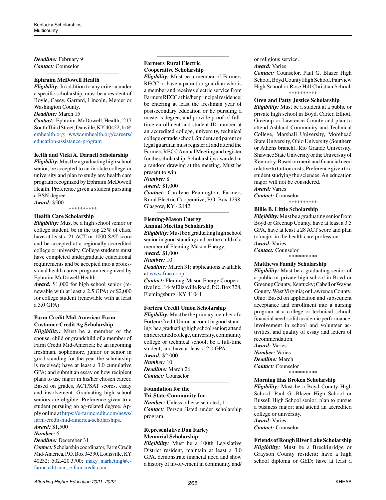*Deadline:* February 9 *Contact:* Counselor

# **Ephraim McDowell Health**

*Eligibility:* In addition to any criteria under a specific scholarship, must be a resident of Boyle, Casey, Garrard, Lincoln, Mercer or Washington County.

*\_\_\_\_\_\_\_\_\_\_\_\_\_\_\_\_\_\_\_\_\_\_\_\_\_\_\_\_\_\_\_\_\_\_\_\_\_\_\_\_\_\_\_\_*

# *Deadline:* March 15

*Contact:* Ephraim McDowell Health, 217 South Third Street, Danville, KY 40422; [hr@](mailto:hr%40emhealth.org?subject=) [emhealth.org;](mailto:hr%40emhealth.org?subject=) [www.emhealth.org/careers/](http://www.emhealth.org/careers/education-assistance-program) [education-assistance-program](http://www.emhealth.org/careers/education-assistance-program)

#### **Keith and Vicki A. Darnell Scholarship**

*Eligibility:* Must be a graduating high school senior, be accepted to an in-state college or university and plan to study any health care program recognized by Ephraim McDowell Health. Preference given a student pursuing a BSN degree.

*Award:* \$500 \*\*\*\*\*\*\*\*\*\*

#### **Health Care Scholarship**

*Eligibility:* Must be a high school senior or college student, be in the top 25% of class, have at least a 21 ACT or 1000 SAT score and be accepted at a regionally accredited college or university. College students must have completed undergraduate educational requirements and be accepted into a professional health career program recognized by Ephraim McDowell Health.

*Award:* \$1,000 for high school senior (renewable with at least a 2.5 GPA) or \$2,000 for college student (renewable with at least a 3.0 GPA)

*\_\_\_\_\_\_\_\_\_\_\_\_\_\_\_\_\_\_\_\_\_\_\_\_\_\_\_\_\_\_\_\_\_\_\_\_\_\_\_\_\_\_\_\_*

# **Farm Credit Mid-America: Farm Customer Credit Ag Scholarship**

*Eligibility:* Must be a member or the spouse, child or grandchild of a member of Farm Credit Mid-America; be an incoming freshman, sophomore, junior or senior in good standing for the year the scholarship is received; have at least a 3.0 cumulative GPA; and submit an essay on how recipient plans to use major in his/her chosen career. Based on grades, ACT/SAT scores, essay and involvement. Graduating high school seniors are eligible. Preference given to a student pursuing an ag-related degree. Apply online at [https://e-farmcredit.com/news/](https://e-farmcredit.com/news/farm-credit-mid-america-scholarships) [farm-credit-mid-america-scholarships](https://e-farmcredit.com/news/farm-credit-mid-america-scholarships).

# *Award:* \$1,500

# *Number:* 6

*Deadline:* December 31

*Contact:* Scholarship coordinator, Farm Credit Mid-America, P.O. Box 34390, Louisville, KY 40232; 502.420.3700; [maky\\_marketing@e](mailto:maky_marketing%40e-farmcredit.com?subject=)[farmcredit.com;](mailto:maky_marketing%40e-farmcredit.com?subject=) [e-farmcredit.com](http://e-farmcredit.com)

# **Farmers Rural Electric Cooperative Scholarship**

*Eligibility:* Must be a member of Farmers RECC or have a parent or guardian who is a member and receives electric service from Farmers RECC at his/her principal residence; be entering at least the freshman year of postsecondary education or be pursuing a master's degree; and provide proof of fulltime enrollment and student ID number at an accredited college, university, technical college or trade school. Student and parent or legal guardian must register at and attend the Farmers RECC Annual Meeting and register for the scholarship. Scholarships awarded in a random drawing at the meeting. Must be present to win.

*\_\_\_\_\_\_\_\_\_\_\_\_\_\_\_\_\_\_\_\_\_\_\_\_\_\_\_\_\_\_\_\_\_\_\_\_\_\_\_\_\_\_\_\_*

*Number:* 8

#### *Award:* \$1,000

*Contact:* Caralyne Pennington, Farmers Rural Electric Cooperative, P.O. Box 1298, Glasgow, KY 42142 *\_\_\_\_\_\_\_\_\_\_\_\_\_\_\_\_\_\_\_\_\_\_\_\_\_\_\_\_\_\_\_\_\_\_\_\_\_\_\_\_\_\_\_\_*

#### **Fleming-Mason Energy Annual Meeting Scholarship**

*Eligibility:* Must be a graduating high school senior in good standing and be the child of a member of Fleming-Mason Energy. *Award:* \$1,000 *Number:* 10

*Deadline:* March 31; applications available at [www.fme.coop](http://www.fme.coop)

*Contact:* Fleming-Mason Energy Cooperative Inc., 1449 Elizaville Road, P.O. Box 328, Flemingsburg, KY 41041 *\_\_\_\_\_\_\_\_\_\_\_\_\_\_\_\_\_\_\_\_\_\_\_\_\_\_\_\_\_\_\_\_\_\_\_\_\_\_\_\_\_\_\_\_*

#### **Fortera Credit Union Scholarship**

*Eligibility:* Must be the primary member of a Fortera Credit Union account in good standing; be a graduating high school senior; attend an accredited college, university, community college or technical school; be a full-time student; and have at least a 2.0 GPA. *Award:* \$2,000 *Number:* 10 *Deadline:* March 26 *Contact:* Counselor

#### **Foundation for the**

**Tri-State Community Inc.**

*Number:* Unless otherwise noted, 1 *Contact:* Person listed under scholarship program

*\_\_\_\_\_\_\_\_\_\_\_\_\_\_\_\_\_\_\_\_\_\_\_\_\_\_\_\_\_\_\_\_\_\_\_\_\_\_\_\_\_\_\_\_*

# **Representative Don Farley Memorial Scholarship**

*Eligibility:* Must be a 100th Legislative District resident, maintain at least a 3.0 GPA, demonstrate financial need and show a history of involvement in community and/ or religious service.

*Award:* Varies

*Contact:* Counselor, Paul G. Blazer High School, Boyd County High School, Fairview High School or Rose Hill Christian School. \*\*\*\*\*\*\*\*\*\*

#### **Oren and Patty Justice Scholarship**

*Eligibility:* Must be a student at a public or private high school in Boyd, Carter, Elliott, Greenup or Lawrence County and plan to attend Ashland Community and Technical College, Marshall University, Morehead State University, Ohio University (Southern or Athens branch), Rio Grande University, Shawnee State University or the University of Kentucky. Based on merit and financial need relative to tuition costs. Preference given to a student studying the sciences. An education major will not be considered.

*Award:* Varies *Contact:* Counselor

\*\*\*\*\*\*\*\*\*\*

#### **Billie B. Little Scholarship**

*Eligibility:* Must be a graduating senior from Boyd or Greenup County, have at least a 3.5 GPA, have at least a 28 ACT score and plan to major in the health care profession. *Award:* Varies *Contact:* Counselor

\*\*\*\*\*\*\*\*\*\*

# **Matthews Family Scholarship**

*Eligibility:* Must be a graduating senior of a public or private high school in Boyd or Greenup County, Kentucky; Cabell or Wayne County, West Virginia; or Lawrence County, Ohio. Based on application and subsequent acceptance and enrollment into a nursing program at a college or technical school, financial need, solid academic performance, involvement in school and volunteer activities, and quality of essay and letters of recommendation.

*Award:* Varies *Number:* Varies *Deadline:* March *Contact:* Counselor

\*\*\*\*\*\*\*\*\*\*

#### **Morning Has Broken Scholarship**

*Eligibility:* Must be a Boyd County High School, Paul G. Blazer High School or Russell High School senior; plan to pursue a business major; and attend an accredited college or university.

*Award:* Varies

*Contact:* Counselor

**Friends of Rough River Lake Scholarship** *Eligibility:* Must be a Breckinridge or Grayson County resident; have a high school diploma or GED; have at least a

*\_\_\_\_\_\_\_\_\_\_\_\_\_\_\_\_\_\_\_\_\_\_\_\_\_\_\_\_\_\_\_\_\_\_\_\_\_\_\_\_\_\_\_\_*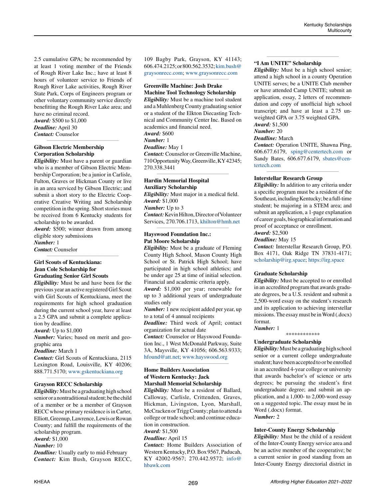2.5 cumulative GPA; be recommended by at least 1 voting member of the Friends of Rough River Lake Inc.; have at least 8 hours of volunteer service to Friends of Rough River Lake activities, Rough River State Park, Corps of Engineers program or other voluntary community service directly benefitting the Rough River Lake area; and have no criminal record.

*Award:* \$500 to \$1,000 *Deadline:* April 30 *Contact:* Counselor

# **Gibson Electric Membership Corporation Scholarship**

*Eligibility:* Must have a parent or guardian who is a member of Gibson Electric Membership Corporation; be a junior in Carlisle, Fulton, Graves or Hickman County or live in an area serviced by Gibson Electric; and submit a short story to the Electric Cooperative Creative Writing and Scholarship competition in the spring. Short stories must be received from 6 Kentucky students for scholarship to be awarded.

*\_\_\_\_\_\_\_\_\_\_\_\_\_\_\_\_\_\_\_\_\_\_\_\_\_\_\_\_\_\_\_\_\_\_\_\_\_\_\_\_\_\_\_\_*

*Award:* \$500; winner drawn from among eligible story submissions

*\_\_\_\_\_\_\_\_\_\_\_\_\_\_\_\_\_\_\_\_\_\_\_\_\_\_\_\_\_\_\_\_\_\_\_\_\_\_\_\_\_\_\_\_*

*Number:* 1 *Contact:* Counselor

# **Girl Scouts of Kentuckiana: Jean Cole Scholarship for Graduating Senior Girl Scouts**

*Eligibility:* Must be and have been for the previous year an active registered Girl Scout with Girl Scouts of Kentuckiana, meet the requirements for high school graduation during the current school year, have at least a 2.5 GPA and submit a complete application by deadline.

*Award:* Up to \$1,000

*Number:* Varies; based on merit and geographic area

*Deadline:* March 1

*Contact:* Girl Scouts of Kentuckiana, 2115 Lexington Road, Louisville, KY 40206; 888.771.5170; [www.gskentuckiana.org](http://www.gskentuckiana.org) *\_\_\_\_\_\_\_\_\_\_\_\_\_\_\_\_\_\_\_\_\_\_\_\_\_\_\_\_\_\_\_\_\_\_\_\_\_\_\_\_\_\_\_\_*

#### **Grayson RECC Scholarship**

*Eligibility:* Must be a graduating high school senior or a nontraditional student; be the child of a member or be a member of Grayson RECC whose primary residence is in Carter, Elliott, Greenup, Lawrence, Lewis or Rowan County; and fulfill the requirements of the scholarship program. *Award:* \$1,000 *Number:* 10

*Deadline:* Usually early to mid-February *Contact:* Kim Bush, Grayson RECC, 109 Bagby Park, Grayson, KY 41143; 606.474.2125; or 800.562.3532; [kim.bush@](mailto:kim.bush%40graysonrecc.com?subject=) [graysonrecc.com;](mailto:kim.bush%40graysonrecc.com?subject=) [www.graysonrecc.com](http://www.graysonrecc.com) *\_\_\_\_\_\_\_\_\_\_\_\_\_\_\_\_\_\_\_\_\_\_\_\_\_\_\_\_\_\_\_\_\_\_\_\_\_\_\_\_\_\_\_\_*

# **Greenville Machine: Josh Drake**

**Machine Tool Technology Scholarship** *Eligibility:* Must be a machine tool student and a Muhlenberg County graduating senior or a student of the Elkton Diecasting Technical and Community Center Inc. Based on academics and financial need. *Award:* \$600 *Number:* 1 *Deadline:* May 1 *Contact:* Counselor or Greenville Machine,

710 Opportunity Way, Greenville, KY 42345; 270.338.3441 *\_\_\_\_\_\_\_\_\_\_\_\_\_\_\_\_\_\_\_\_\_\_\_\_\_\_\_\_\_\_\_\_\_\_\_\_\_\_\_\_\_\_\_\_*

# **Hardin Memorial Hospital Auxiliary Scholarship**

*Eligibility:* Must major in a medical field. *Award:* \$1,000 *Number:* Up to 3

*Contact:* Kevin Hilton, Director of Volunteer Services, 270.706.1713, [khilton@hmh.net](mailto:khilton%40hmh.net?subject=) *\_\_\_\_\_\_\_\_\_\_\_\_\_\_\_\_\_\_\_\_\_\_\_\_\_\_\_\_\_\_\_\_\_\_\_\_\_\_\_\_\_\_\_\_*

# **Hayswood Foundation Inc.: Pat Moore Scholarship**

*Eligibility:* Must be a graduate of Fleming County High School, Mason County High School or St. Patrick High School; have participated in high school athletics; and be under age 25 at time of initial selection. Financial and academic criteria apply.

*Award:* \$1,000 per year; renewable for up to 3 additional years of undergraduate studies only

*Number:* 1 new recipient added per year, up to a total of 4 annual recipients

*Deadline:* Third week of April; contact organization for actual date

*Contact:* Counselor or Hayswood Foundation Inc., 1 West McDonald Parkway, Suite 3A, Maysville, KY 41056; 606.563.9333; [hfound@att.net;](mailto:hfound%40att.net?subject=) [www.hayswood.org](http://www.hayswood.org)

*\_\_\_\_\_\_\_\_\_\_\_\_\_\_\_\_\_\_\_\_\_\_\_\_\_\_\_\_\_\_\_\_\_\_\_\_\_\_\_\_\_\_\_\_*

# **Home Builders Association of Western Kentucky: Jack Marshall Memorial Scholarship**

*Eligibility:* Must be a resident of Ballard, Calloway, Carlisle, Crittenden, Graves, Hickman, Livingston, Lyon, Marshall, McCracken or Trigg County; plan to attend a college or trade school; and continue education in construction.

*Award:* \$1,500

*Deadline:* April 15

*Contact:* Home Builders Association of Western Kentucky, P.O. Box 9567, Paducah, KY 42002-9567; 270.442.9572; [info@](mailto:info%40hbawk.com?subject=) [hbawk.com](mailto:info%40hbawk.com?subject=)

#### **"I Am UNITE" Scholarship**

*Eligibility:* Must be a high school senior; attend a high school in a county Operation UNITE serves; be a UNITE Club member or have attended Camp UNITE; submit an application, essay, 2 letters of recommendation and copy of unofficial high school transcript; and have at least a 2.75 unweighted GPA or 3.75 weighted GPA.

*\_\_\_\_\_\_\_\_\_\_\_\_\_\_\_\_\_\_\_\_\_\_\_\_\_\_\_\_\_\_\_\_\_\_\_\_\_\_\_\_\_\_\_\_*

*Award:* \$1,500

#### *Number:* 20 *Deadline:* March

*Contact:* Operation UNITE, Shawna Ping, 606.677.6179, [sping@centertech.com](mailto:sping%40centertech.com?subject=) or Sandy Bates, 606.677.6179, [sbates@cen](mailto:sbates%40centertech.com?subject=)[tertech.com](mailto:sbates%40centertech.com?subject=)

*\_\_\_\_\_\_\_\_\_\_\_\_\_\_\_\_\_\_\_\_\_\_\_\_\_\_\_\_\_\_\_\_\_\_\_\_\_\_\_\_\_\_\_\_*

#### **Interstellar Research Group**

*Eligibility:* In addition to any criteria under a specific program must be a resident of the Southeast, including Kentucky; be a full-time student; be majoring in a STEM area; and submit an application, a 1-page explanation of career goals, biographical information and proof of acceptance or enrollment.

# *Award:* \$2,500

*Deadline:* May 15

*Contact:* Interstellar Research Group, P.O. Box 4171, Oak Ridge TN 37831-4171; [scholarship@irg.space;](mailto:scholarship%40irg.space?subject=)<https://irg.space>

# **Graduate Scholarship**

*Eligibility:* Must be accepted to or enrolled in an accredited program that awards graduate degrees, be a U.S. resident and submit a 2,500-word essay on the student's research and its application to achieving interstellar missions. The essay must be in Word (.docx) format.

# *Number:* 1

\*\*\*\*\*\*\*\*\*\*\*\*

# **Undergraduate Scholarship**

*Eligibility:* Must be a graduating high school senior or a current college undergraduate student; have been accepted to or be enrolled in an accredited 4-year college or university that awards bachelor's of science or arts degrees; be pursuing the student's first undergraduate degree; and submit an application, and a 1,000- to 2,000-word essay on a suggested topic. The essay must be in Word (.docx) format.

*Number:* 2 *\_\_\_\_\_\_\_\_\_\_\_\_\_\_\_\_\_\_\_\_\_\_\_\_\_\_\_\_\_\_\_\_\_\_\_\_\_\_\_\_\_\_\_\_*

#### **Inter-County Energy Scholarship**

*Eligibility:* Must be the child of a resident of the Inter-County Energy service area and be an active member of the cooperative; be a current senior in good standing from an Inter-County Energy directorial district in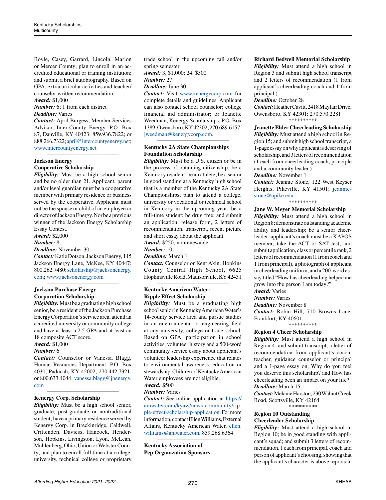Boyle, Casey, Garrard, Lincoln, Marion or Mercer County; plan to enroll in an accredited educational or training institution; and submit a brief autobiography. Based on GPA, extracurricular activities and teacher/ counselor written recommendation.

*Award:* \$1,000

*Number:* 6; 1 from each district *Deadline:* Varies

*Contact:* April Burgess, Member Services Advisor, Inter-County Energy, P.O. Box 87, Danville, KY 40423; 859.936.7822; or 888.266.7322; [april@intercountyenergy.net](mailto:april%40intercountyenergy.net?subject=); [www.intercountyenergy.net](http://www.intercountyenergy.net)

*\_\_\_\_\_\_\_\_\_\_\_\_\_\_\_\_\_\_\_\_\_\_\_\_\_\_\_\_\_\_\_\_\_\_\_\_\_\_\_\_\_\_\_\_*

# **Jackson Energy**

**Cooperative Scholarship**

*Eligibility:* Must be a high school senior and be no older than 21. Applicant, parent and/or legal guardian must be a cooperative member with primary residence or business served by the cooperative. Applicant must not be the spouse or child of an employee or director of Jackson Energy. Nor be a previous winner of the Jackson Energy Scholarship

Essay Contest. *Award:* \$2,000

#### *Number:* 8

*Deadline:* November 30

*Contact:* Katie Dotson, Jackson Energy, 115 Jackson Energy Lane, McKee, KY 40447; 800.262.7480; [scholarship@jacksonenergy.](mailto:scholarship%40jacksonenergy.com?subject=) [com](mailto:scholarship%40jacksonenergy.com?subject=); [www.jacksonenergy.com](http://www.jacksonenergy.com)

*\_\_\_\_\_\_\_\_\_\_\_\_\_\_\_\_\_\_\_\_\_\_\_\_\_\_\_\_\_\_\_\_\_\_\_\_\_\_\_\_\_\_\_\_*

# **Jackson Purchase Energy Corporation Scholarship**

*Eligibility:* Must be a graduating high school senior, be a resident of the Jackson Purchase Energy Corporation's service area, attend an accredited university or community college and have at least a 2.5 GPA and at least an 18 composite ACT score.

# *Award:* \$1,000

# *Number:* 6

*Contact:* Counselor or Vanessa Blagg, Human Resources Department, P.O. Box 4030, Paducah, KY 42002; 270.442.7321; or 800.633.4044; [vanessa.blagg@jpenergy.](mailto:vanessa.blagg%40jpenergy.com?subject=) [com](mailto:vanessa.blagg%40jpenergy.com?subject=)

*\_\_\_\_\_\_\_\_\_\_\_\_\_\_\_\_\_\_\_\_\_\_\_\_\_\_\_\_\_\_\_\_\_\_\_\_\_\_\_\_\_\_\_\_*

#### **Kenergy Corp. Scholarship**

*Eligibility:* Must be a high school senior, graduate, post-graduate or nontraditional student; have a primary residence served by Kenergy Corp. in Breckinridge, Caldwell, Crittenden, Daviess, Hancock, Henderson, Hopkins, Livingston, Lyon, McLean, Muhlenberg, Ohio, Union or Webster County; and plan to enroll full time at a college, university, technical college or proprietary trade school in the upcoming fall and/or spring semester.

*Award:* 3, \$1,000; 24, \$500

*Number:* 27 *Deadline:* June 30

*Contact:* Visit [www.kenergycorp.com](http://www.kenergycorp.com) for complete details and guidelines. Applicant can also contact school counselor; college financial aid administrator; or Jeanette Weedman, Kenergy Scholarships, P.O. Box 1389, Owensboro, KY 42302; 270.689.6157; [jweedman@kenergycorp.com](mailto:jweedman%40kenergycorp.com?subject=).

*\_\_\_\_\_\_\_\_\_\_\_\_\_\_\_\_\_\_\_\_\_\_\_\_\_\_\_\_\_\_\_\_\_\_\_\_\_\_\_\_\_\_\_\_*

# **Kentucky 2A State Championships Foundation Scholarship**

*Eligibility:* Must be a U.S. citizen or be in the process of obtaining citizenship; be a Kentucky resident; be an athlete; be a senior in good standing at a Kentucky high school that is a member of the Kentucky 2A State Championships; plan to attend a college, university or vocational or technical school in Kentucky in the upcoming year; be a full-time student; be drug free; and submit an application, release form, 2 letters of recommendation, transcript, recent picture and short essay about the applicant.

*Award:* \$250; nonrenewable

# *Number:* 10

*Deadline:* March 1

*Contact:* Counselor or Kent Akin, Hopkins County Central High School, 6625 Hopkinsville Road, Madisonville, KY 42431 *\_\_\_\_\_\_\_\_\_\_\_\_\_\_\_\_\_\_\_\_\_\_\_\_\_\_\_\_\_\_\_\_\_\_\_\_\_\_\_\_\_\_\_\_*

# **Kentucky American Water: Ripple Effect Scholarship**

*Eligibility:* Must be a graduating high school senior in Kentucky American Water's 14-county service area and pursue studies in an environmental or engineering field at any university, college or trade school. Based on GPA, participation in school activities, volunteer history and a 500-word community service essay about applicant's volunteer leadership experience that relates to environmental awareness, education or stewardship. Children of Kentucky American Water employees are not eligible. *Award:* \$500

# *Number:* Varies

*Contact:* See online application at [https://](https://amwater.com/kyaw/news-community/ripple-effect-scholarship-application) [amwater.com/kyaw/news-community/rip](https://amwater.com/kyaw/news-community/ripple-effect-scholarship-application)[ple-effect-scholarship-application](https://amwater.com/kyaw/news-community/ripple-effect-scholarship-application). For more information, contact Ellen Williams, External Affairs, Kentucky American Water, [ellen.](mailto:ellen.williams%40amwater.com?subject=) [williams@amwater.com](mailto:ellen.williams%40amwater.com?subject=), 859.268.6364

*\_\_\_\_\_\_\_\_\_\_\_\_\_\_\_\_\_\_\_\_\_\_\_\_\_\_\_\_\_\_\_\_\_\_\_\_\_\_\_\_\_\_\_\_*

**Kentucky Association of Pep Organization Sponsors**

#### **Richard Bedwell Memorial Scholarship**

*Eligibility:* Must attend a high school in Region 3 and submit high school transcript and 2 letters of recommendation (1 from applicant's cheerleading coach and 1 from principal.)

#### *Deadline:* October 28

*Contact:* Heather Cavitt, 2418 Mayfair Drive, Owensboro, KY 42301; 270.570.2281 \*\*\*\*\*\*\*\*\*\*

#### **Jeanette Elder Cheerleading Scholarship**

*Eligibility:* Must attend a high school in Region 15; and submit high school transcript, a 1-page essay on why applicant is deserving of scholarship, and 3 letters of recommendation (1 each from cheerleading coach, principle and a community leader.)

# *Deadline:* November 1

*Contact:* Jeannie Stone, 122 West Keyser Heights, Pikeville, KY 41501; [jeannie](mailto:jeanniestone%40upike.edu?subject=)[stone@upike.edu](mailto:jeanniestone%40upike.edu?subject=)

#### \*\*\*\*\*\*\*\*\*\*

#### **Jane W. Meyer Memorial Scholarship**

*Eligibility:* Must attend a high school in Region 8; demonstrate outstanding academic ability and leadership; be a senior cheerleader; applicant's coach must be a KAPOS member; take the ACT or SAT test; and submit application, class or percentile rank, 2 letters of recommendation (1 from coach and 1 from principal), a photograph of applicant in cheerleading uniform, and a 200-word essay titled "How has cheerleading helped me grow into the person I am today?"

# *Award:* Varies

*Number:* Varies

*Deadline:* November 8

*Contact:* Robin Hill, 710 Browns Lane, Frankfort, KY 40601 \*\*\*\*\*\*\*\*\*\*

# **Region 4 Cheer Scholarship**

*Eligibility:* Must attend a high school in Region 4; and submit transcript, a letter of recommendation from applicant's coach, teacher, guidance counselor or principal and a 1-page essay on, Why do you feel you deserve this scholarship? and How has cheerleading been an impact on your life? *Deadline:* March 15

*Contact:* Melanie Harston, 230 Walnut Creek Road, Scottsville, KY 42164 \*\*\*\*\*\*\*\*\*\*

# **Region 10 Outstanding Cheerleader Scholarship**

*Eligibility:* Must attend a high school in Region 10; be in good standing with applicant's squad; and submit 3 letters of recommendation, 1 each from principal, coach and person of applicant's choosing, showing that the applicant's character is above reproach.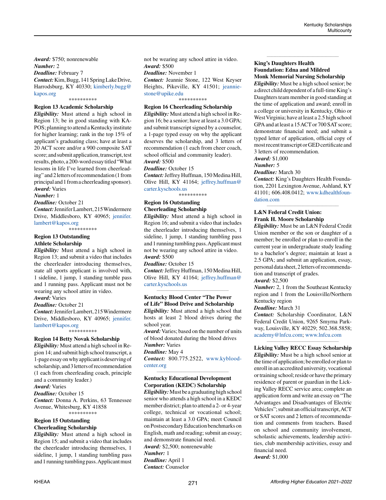*Award:* \$750; nonrenewable *Number:* 2 *Deadline:* February 7 *Contact:* Kim, Bugg, 141 Spring Lake Drive, Harrodsburg, KY 40330; [kimberly.bugg@](mailto:kimberly.bugg%40kapos.org?subject=) [kapos.org](mailto:kimberly.bugg%40kapos.org?subject=)

\*\*\*\*\*\*\*\*\*\*

### **Region 13 Academic Scholarship**

*Eligibility:* Must attend a high school in Region 13; be in good standing with KA-POS; planning to attend a Kentucky institute for higher learning; rank in the top 15% of applicant's graduating class; have at least a 20 ACT score and/or a 900 composite SAT score; and submit application, transcript, test results, photo, a 200-word essay titled "What lessons in life I've learned from cheerleading" and 2 letters of recommendation (1 from principal and 1 from a cheerleading sponsor). *Award:* Varies

*Number:* 1

*Deadline:* October 21

*Contact:* Jennifer Lambert, 215 Windermere Drive, Middlesboro, KY 40965; [jennifer.](mailto:jennifer.lambert%40kapos.org?subject=) [lambert@kapos.org](mailto:jennifer.lambert%40kapos.org?subject=)

\*\*\*\*\*\*\*\*\*\*

#### **Region 13 Outstanding Athlete Scholarship**

*Eligibility:* Must attend a high school in Region 13; and submit a video that includes the cheerleader introducing themselves, state all sports applicant is involved with, 1 sideline, 1 jump, 1 standing tumble pass and 1 running pass. Applicant must not be wearing any school attire in video. *Award:* Varies

*Deadline:* October 21

*Contact:* Jennifer Lambert, 215 Windermere Drive, Middlesboro, KY 40965; [jennifer.](mailto:jennifer.lambert%40kapos.org?subject=) [lambert@kapos.org](mailto:jennifer.lambert%40kapos.org?subject=)

\*\*\*\*\*\*\*\*\*\*

#### **Region 14 Betty Novak Scholarship**

*Eligibility:* Must attend a high school in Region 14; and submit high school transcript, a 1-page essay on why applicant is deserving of scholarship, and 3 letters of recommendation (1 each from cheerleading coach, principle and a community leader.) *Award:* Varies *Deadline:* October 15 *Contact:* Donna A. Perkins, 63 Tennessee

Avenue, Whitesburg, KY 41858 \*\*\*\*\*\*\*\*\*\*

#### **Region 15 Outstanding Cheerleading Scholarship**

*Eligibility:* Must attend a high school in Region 15; and submit a video that includes the cheerleader introducing themselves, 1 sideline, 1 jump, 1 standing tumbling pass and 1 running tumbling pass. Applicant must not be wearing any school attire in video. *Award:* \$500

*Deadline:* November 1

*Contact:* Jeannie Stone, 122 West Keyser Heights, Pikeville, KY 41501; [jeannie](mailto:jeanniestone%40upike.edu?subject=)[stone@upike.edu](mailto:jeanniestone%40upike.edu?subject=)

\*\*\*\*\*\*\*\*\*\*

# **Region 16 Cheerleading Scholarship**

*Eligibility:* Must attend a high school in Region 16; be a senior; have at least a 3.0 GPA; and submit transcript signed by a counselor, a 1-page typed essay on why the applicant deserves the scholarship, and 3 letters of recommendation (1 each from cheer coach, school official and community leader). *Award:* \$500

*Deadline:* October 15

*Contact:* Jeffrey Huffman, 150 Medina Hill, Olive Hill, KY 41164; [jeffrey.huffman@](mailto:jeffrey.huffman%40carter.kyschools.us?subject=) [carter.kyschools.us](mailto:jeffrey.huffman%40carter.kyschools.us?subject=)

\*\*\*\*\*\*\*\*\*\*

# **Region 16 Outstanding Cheerleading Scholarship**

*Eligibility:* Must attend a high school in Region 16; and submit a video that includes the cheerleader introducing themselves, 1 sideline, 1 jump, 1 standing tumbling pass and 1 running tumbling pass. Applicant must not be wearing any school attire in video. *Award:* \$500

*Deadline:* October 15

*Contact:* Jeffrey Huffman, 150 Medina Hill, Olive Hill, KY 41164; [jeffrey.huffman@](mailto:jeffrey.huffman%40carter.kyschools.us?subject=) [carter.kyschools.us](mailto:jeffrey.huffman%40carter.kyschools.us?subject=) *\_\_\_\_\_\_\_\_\_\_\_\_\_\_\_\_\_\_\_\_\_\_\_\_\_\_\_\_\_\_\_\_\_\_\_\_\_\_\_\_\_\_\_\_*

# **Kentucky Blood Center "The Power of Life" Blood Drive and Scholarship**

*Eligibility:* Must attend a high school that hosts at least 2 blood drives during the school year.

*Award:* Varies; based on the number of units of blood donated during the blood drives *Number:* Varies

*Deadline:* May 4

*Contact:* 800.775.2522, [www.kyblood](http://www.kybloodcenter.org)[center.org](http://www.kybloodcenter.org) *\_\_\_\_\_\_\_\_\_\_\_\_\_\_\_\_\_\_\_\_\_\_\_\_\_\_\_\_\_\_\_\_\_\_\_\_\_\_\_\_\_\_\_\_*

# **Kentucky Educational Development Corporation (KEDC) Scholarship**

*Eligibility:* Must be a graduating high school senior who attends a high school in a KEDC member district; plan to attend a 2- or 4-year college, technical or vocational school; maintain at least a 3.0 GPA; meet Council on Postsecondary Education benchmarks on English, math and reading; submit an essay; and demonstrate financial need. *Award:* \$2,500; nonrenewable *Number:* 1 *Deadline:* April 1 *Contact:* Counselor

# **King's Daughters Health Foundation: Edna and Mildred Monk Memorial Nursing Scholarship**

*\_\_\_\_\_\_\_\_\_\_\_\_\_\_\_\_\_\_\_\_\_\_\_\_\_\_\_\_\_\_\_\_\_\_\_\_\_\_\_\_\_\_\_\_*

*Eligibility:* Must be a high school senior; be a direct child dependent of a full-time King's Daughters team member in good standing at the time of application and award; enroll in a college or university in Kentucky, Ohio or West Virginia; have at least a 2.5 high school GPA and at least a 15 ACT or 700 SAT score; demonstrate financial need; and submit a typed letter of application, official copy of most recent transcript or GED certificate and 3 letters of recommendation.

*Award:* \$1,000

*Number:* 5

*Deadline:* March 30

*Contact:* King's Daughters Health Foundation, 2201 Lexington Avenue, Ashland, KY 41101; 606.408.0412; [www.kdhealthfoun](http://www.kdhealthfoundation.com)[dation.com](http://www.kdhealthfoundation.com)

*\_\_\_\_\_\_\_\_\_\_\_\_\_\_\_\_\_\_\_\_\_\_\_\_\_\_\_\_\_\_\_\_\_\_\_\_\_\_\_\_\_\_\_\_*

# **L&N Federal Credit Union: Frank H. Moore Scholarship**

*Eligibility:* Must be an L&N Federal Credit Union member or the son or daughter of a member; be enrolled or plan to enroll in the current year in undergraduate study leading to a bachelor's degree; maintain at least a 2.5 GPA; and submit an application, essay, personal data sheet, 2 letters of recommendation and transcript of grades.

# *Award:* \$2,500

*Number:* 2, 1 from the Southeast Kentucky region and 1 from the Louisville/Northern Kentucky region

*Deadline:* March 31

*Contact:* Scholarship Coordinator, L&N Federal Credit Union, 9265 Smyrna Parkway, Louisville, KY 40229; 502.368.5858; [academy@lnfcu.com;](mailto:academy%40lnfcu.com?subject=) [www.lnfcu.com](http://www.lnfcu.com)

#### *\_\_\_\_\_\_\_\_\_\_\_\_\_\_\_\_\_\_\_\_\_\_\_\_\_\_\_\_\_\_\_\_\_\_\_\_\_\_\_\_\_\_\_\_* **Licking Valley RECC Essay Scholarship**

*Eligibility:* Must be a high school senior at the time of application; be enrolled or plan to enroll in an accredited university, vocational or training school; reside or have the primary residence of parent or guardian in the Licking Valley RECC service area; complete an application form and write an essay on "The Advantages and Disadvantages of Electric Vehicles"; submit an official transcript, ACT or SAT scores and 2 letters of recommendation and comments from teachers. Based on school and community involvement, scholastic achievements, leadership activities, club membership activities, essay and financial need. *Award:* \$1,000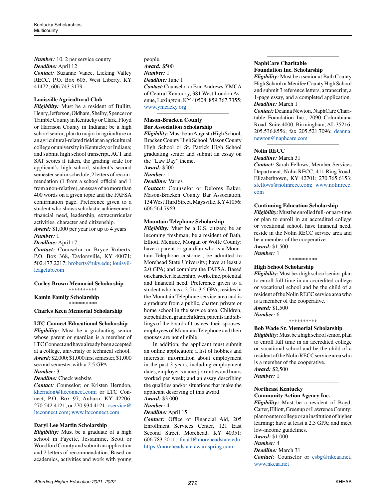*Number:* 10, 2 per service county *Deadline:* April 12 *Contact:* Suzanne Vance, Licking Valley RECC, P.O. Box 605, West Liberty, KY 41472; 606.743.3179

*\_\_\_\_\_\_\_\_\_\_\_\_\_\_\_\_\_\_\_\_\_\_\_\_\_\_\_\_\_\_\_\_\_\_\_\_\_\_\_\_\_\_\_\_*

### **Louisville Agricultural Club**

*Eligibility:* Must be a resident of Bullitt, Henry, Jefferson, Oldham, Shelby, Spencer or Trimble County in Kentucky or Clark, Floyd or Harrison County in Indiana; be a high school senior; plan to major in agriculture or an agricultural-related field at an agricultural college or university in Kentucky or Indiana; and submit high school transcript, ACT and SAT scores if taken, the grading scale for applicant's high school, student's second semester senior schedule, 2 letters of recommendation (1 from a school official and 1 from a non-relative), an essay of no more than 400 words on a given topic and the FAFSA confirmation page. Preference given to a student who shows scholastic achievement, financial need, leadership, extracurricular activities, character and citizenship.

*Award:* \$1,000 per year for up to 4 years *Number:* 1

#### *Deadline:* April 17

*Contact:* Counselor or Bryce Roberts, P.O. Box 368, Taylorsville, KY 40071; 502.477.2217; [broberts@uky.edu](mailto:broberts%40uky.edu?subject=); [louisvil](http://louisvilleagclub.com)[leagclub.com](http://louisvilleagclub.com)

#### **Corley Brown Memorial Scholarship** \*\*\*\*\*\*\*\*\*\*

**Kamin Family Scholarship** \*\*\*\*\*\*\*\*\*\*

#### **Charles Keen Memorial Scholarship**

*\_\_\_\_\_\_\_\_\_\_\_\_\_\_\_\_\_\_\_\_\_\_\_\_\_\_\_\_\_\_\_\_\_\_\_\_\_\_\_\_\_\_\_\_* **LTC Connect Educational Scholarship** *Eligibility:* Must be a graduating senior whose parent or guardian is a member of LTC Connect and have already been accepted at a college, university or technical school. *Award:* \$2,000; \$1,000 first semester, \$1,000 second semester with a 2.5 GPA

#### *Number:* 3

*Deadline:* Check website

*Contact:* Counselor; or Kristen Herndon, [kherndon@ltcconnect.com](mailto:kherndon%40ltcconnect.com?subject=); or LTC Connect, P.O. Box 97, Auburn, KY 42206; 270.542.4121; or 270.934.4121; [cservice@](mailto:cservice%40ltcconnect.com?subject=) [ltcconnect.com;](mailto:cservice%40ltcconnect.com?subject=) [www.ltcconnect.com](http://www.ltcconnect.com)

*\_\_\_\_\_\_\_\_\_\_\_\_\_\_\_\_\_\_\_\_\_\_\_\_\_\_\_\_\_\_\_\_\_\_\_\_\_\_\_\_\_\_\_\_*

#### **Daryl Lee Martin Scholarship**

*Eligibility:* Must be a graduate of a high school in Fayette, Jessamine, Scott or Woodford County and submit an application and 2 letters of recommendation. Based on academics, activities and work with young people. *Award:* \$500 *Number:* 1 *Deadline:* June 1 *Contact:* Counselor or Erin Andrews, YMCA of Central Kentucky, 381 West Loudon Avenue, Lexington, KY 40508; 859.367.7355; [www.ymcacky.org](http://www.ymcacky.org)

*\_\_\_\_\_\_\_\_\_\_\_\_\_\_\_\_\_\_\_\_\_\_\_\_\_\_\_\_\_\_\_\_\_\_\_\_\_\_\_\_\_\_\_\_*

#### **Mason-Bracken County Bar Association Scholarship**

*Eligibility:* Must be an Augusta High School, Bracken County High School, Mason County High School or St. Patrick High School graduating senior and submit an essay on the "Law Day" theme. *Award:* \$500 *Number:* 1 *Deadline:* Varies *Contact:* Counselor or Delores Baker, Mason-Bracken County Bar Association, 134 West Third Street, Maysville, KY 41056; 606.564.7969 *\_\_\_\_\_\_\_\_\_\_\_\_\_\_\_\_\_\_\_\_\_\_\_\_\_\_\_\_\_\_\_\_\_\_\_\_\_\_\_\_\_\_\_\_*

# **Mountain Telephone Scholarship**

*Eligibility:* Must be a U.S. citizen; be an incoming freshman; be a resident of Bath, Elliott, Menifee, Morgan or Wolfe County; have a parent or guardian who is a Mountain Telephone customer; be admitted to Morehead State University; have at least a 2.0 GPA; and complete the FAFSA. Based on character, leadership, work ethic, potential and financial need. Preference given to a student who has a 2.5 to 3.5 GPA, resides in the Mountain Telephone service area and is a graduate from a public, charter, private or home school in the service area. Children, stepchildren, grandchildren, parents and siblings of the board of trustees, their spouses, employees of Mountain Telephone and their spouses are not eligible.

In addition, the applicant must submit an online application; a list of hobbies and interests; information about employment in the past 3 years, including employment dates, employer's name, job duties and hours worked per week; and an essay describing the qualities and/or situations that make the applicant deserving of this award.

*Award:* \$3,000

# *Number:* 4

*Deadline:* April 15

*Contact:* Office of Financial Aid, 205 Enrollment Services Center, 121 East Second Street, Morehead, KY 40351; 606.783.2011; finaid@moreheadstate.edu; https://moreheadstate.awardspring.com

# **NaphCare Charitable Foundation Inc. Scholarship**

*Eligibility:* Must be a senior at Bath County High School or Menifee County High School and submit 3 reference letters, a transcript, a 1-page essay, and a completed application. *Deadline:* March 1

*\_\_\_\_\_\_\_\_\_\_\_\_\_\_\_\_\_\_\_\_\_\_\_\_\_\_\_\_\_\_\_\_\_\_\_\_\_\_\_\_\_\_\_\_*

*Contact:* Deanna Newton, NaphCare Charitable Foundation Inc., 2090 Columbiana Road, Suite 4000, Birmingham, AL 35216; 205.536.8556; fax 205.521.7096; [deanna.](mailto:deanna.newton%40naphcare.com?subject=) [newton@naphcare.com](mailto:deanna.newton%40naphcare.com?subject=)

*\_\_\_\_\_\_\_\_\_\_\_\_\_\_\_\_\_\_\_\_\_\_\_\_\_\_\_\_\_\_\_\_\_\_\_\_\_\_\_\_\_\_\_\_*

# **Nolin RECC**

*Deadline:* March 31

*Contact:* Sarah Fellows, Member Services Department, Nolin RECC, 411 Ring Road, Elizabethtown, KY 42701; 270.765.6153; [sfellows@nolinrecc.com](mailto:sfellows%40nolinrecc.com?subject=); [www.nolinrecc.](http://www.nolinrecc.com) [com](http://www.nolinrecc.com)

#### **Continuing Education Scholarship**

*Eligibility:* Must be enrolled full- or part-time or plan to enroll in an accredited college or vocational school, have financial need, reside in the Nolin RECC service area and be a member of the cooperative. *Award:* \$1,500

*Number:* 1

\*\*\*\*\*\*\*\*\*\*

# **High School Scholarship**

*Eligibility:* Must be a high school senior, plan to enroll full time in an accredited college or vocational school and be the child of a resident of the Nolin RECC service area who is a member of the cooperative. *Award:* \$1,500

*Number:* 6

\*\*\*\*\*\*\*\*\*\*

#### **Bob Wade Sr. Memorial Scholarship**

*Eligibility:* Must be a high school senior, plan to enroll full time in an accredited college or vocational school and be the child of a resident of the Nolin RECC service area who is a member of the cooperative.

*\_\_\_\_\_\_\_\_\_\_\_\_\_\_\_\_\_\_\_\_\_\_\_\_\_\_\_\_\_\_\_\_\_\_\_\_\_\_\_\_\_\_\_\_*

*Award:* \$2,500

*Number:* 1

#### **Northeast Kentucky**

#### **Community Action Agency Inc.**

*Eligibility:* Must be a resident of Boyd, Carter, Elliott, Greenup or Lawrence County; plan to enter college or an institution of higher learning; have at least a 2.5 GPA; and meet low-income guidelines.

*Award:* \$1,000

#### *Number:* 4

*Deadline:* March 31 *Contact:* Counselor or [csbg@nkcaa.net,](mailto:csbg@nkcaa.net) [www.nkcaa.net](http://www.nkcaa.net)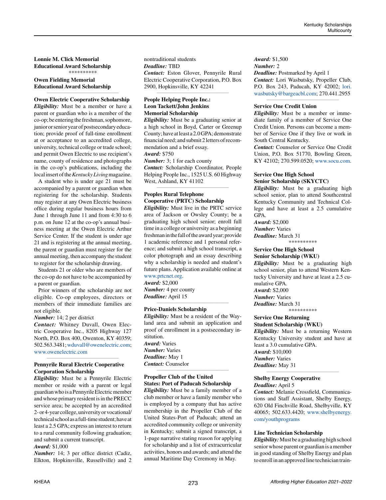**Lonnie M. Click Memorial Educational Award Scholarship** \*\*\*\*\*\*\*\*\*\*

# **Owen Fielding Memorial Educational Award Scholarship**

# *\_\_\_\_\_\_\_\_\_\_\_\_\_\_\_\_\_\_\_\_\_\_\_\_\_\_\_\_\_\_\_\_\_\_\_\_\_\_\_\_\_\_\_\_* **Owen Electric Cooperative Scholarship**

*Eligibility:* Must be a member or have a parent or guardian who is a member of the co-op; be entering the freshman, sophomore, junior or senior year of postsecondary education; provide proof of full-time enrollment at or acceptance to an accredited college, university, technical college or trade school; and permit Owen Electric to use recipient's name, county of residence and photographs in the co-op's publications, including the local insert of the *Kentucky Living* magazine.

A student who is under age 21 must be accompanied by a parent or guardian when registering for the scholarship. Students may register at any Owen Electric business office during regular business hours from June 1 through June 11 and from 4:30 to 6 p.m. on June 12 at the co-op's annual business meeting at the Owen Electric Arthur Service Center. If the student is under age 21 and is registering at the annual meeting, the parent or guardian must register for the annual meeting, then accompany the student to register for the scholarship drawing.

Students 21 or older who are members of the co-op do not have to be accompanied by a parent or guardian.

Prior winners of the scholarship are not eligible. Co-op employees, directors or members of their immediate families are not eligible.

*Number:* 14; 2 per district

*Contact:* Whitney Duvall, Owen Electric Cooperative Inc., 8205 Highway 127 North, P.O. Box 400, Owenton, KY 40359; 502.563.3481; [wduvall@owenelectric.com](mailto:wduvall%40owenelectric.com?subject=); [www.owenelectric.com](http://www.owenelectric.com)

*\_\_\_\_\_\_\_\_\_\_\_\_\_\_\_\_\_\_\_\_\_\_\_\_\_\_\_\_\_\_\_\_\_\_\_\_\_\_\_\_\_\_\_\_*

# **Pennyrile Rural Electric Cooperative Corporation Scholarship**

*Eligibility:* Must be a Pennyrile Electric member or reside with a parent or legal guardian who is a Pennyrile Electric member and whose primary resident is in the PRECC service area; be accepted by an accredited 2- or 4-year college, university or vocational/ technical school as a full-time student; have at least a 2.5 GPA; express an interest to return to a rural community following graduation; and submit a current transcript. *Award:* \$1,000

*Number:* 14; 3 per office district (Cadiz, Elkton, Hopkinsville, Russellville) and 2 nontraditional students *Deadline:* TBD *Contact:* Eston Glover, Pennyrile Rural Electric Cooperative Corporation, P.O. Box 2900, Hopkinsville, KY 42241

*\_\_\_\_\_\_\_\_\_\_\_\_\_\_\_\_\_\_\_\_\_\_\_\_\_\_\_\_\_\_\_\_\_\_\_\_\_\_\_\_\_\_\_\_*

# **People Helping People Inc.: Leon Tackett/John Jenkins Memorial Scholarship**

*Eligibility:* Must be a graduating senior at a high school in Boyd, Carter or Greenup County; have at least a 2.0 GPA; demonstrate financial need; and submit 2 letters of recommendation and a brief essay. *Award:* \$750

*Number:* 3; 1 for each county *Contact:* Scholarship Coordinator, People Helping People Inc., 1525 U.S. 60 Highway West, Ashland, KY 41102

*\_\_\_\_\_\_\_\_\_\_\_\_\_\_\_\_\_\_\_\_\_\_\_\_\_\_\_\_\_\_\_\_\_\_\_\_\_\_\_\_\_\_\_\_*

# **Peoples Rural Telephone Cooperative (PRTC) Scholarship**

*Eligibility:* Must live in the PRTC service area of Jackson or Owsley County; be a graduating high school senior; enroll full time in a college or university as a beginning freshman in the fall of the award year; provide 1 academic reference and 1 personal reference; and submit a high school transcript, a color photograph and an essay describing why a scholarship is needed and student's future plans. Application available online at [www.prtcnet.org.](http://www.prtcnet.org)

*Award:* \$2,000 *Number:* 4 per county *Deadline:* April 15

#### **Price-Daniels Scholarship**

*Eligibility:* Must be a resident of the Wayland area and submit an application and proof of enrollment in a postsecondary institution. *Award:* Varies *Number:* Varies

*\_\_\_\_\_\_\_\_\_\_\_\_\_\_\_\_\_\_\_\_\_\_\_\_\_\_\_\_\_\_\_\_\_\_\_\_\_\_\_\_\_\_\_\_*

*Deadline:* May 1 *Contact:* Counselor

# **Propeller Club of the United States: Port of Paducah Scholarship**

*\_\_\_\_\_\_\_\_\_\_\_\_\_\_\_\_\_\_\_\_\_\_\_\_\_\_\_\_\_\_\_\_\_\_\_\_\_\_\_\_\_\_\_\_*

*Eligibility:* Must be a family member of a club member or have a family member who is employed by a company that has active membership in the Propeller Club of the United States-Port of Paducah; attend an accredited community college or university in Kentucky; submit a signed transcript, a 1-page narrative stating reason for applying for scholarship and a list of extracurricular activities, honors and awards; and attend the annual Maritime Day Ceremony in May.

*Award:* \$1,500 *Number:* 2 *Deadline:* Postmarked by April 1 *Contact:* Lori Wasbutsky, Propeller Club, P.O. Box 243, Paducah, KY 42002; [lori.](mailto:lori.wasbutsky%40bargeacbl.com?subject=) [wasbutsky@bargeacbl.com;](mailto:lori.wasbutsky%40bargeacbl.com?subject=) 270.441.2955

*\_\_\_\_\_\_\_\_\_\_\_\_\_\_\_\_\_\_\_\_\_\_\_\_\_\_\_\_\_\_\_\_\_\_\_\_\_\_\_\_\_\_\_\_*

#### **Service One Credit Union**

*Eligibility:* Must be a member or immediate family of a member of Service One Credit Union. Persons can become a member of Service One if they live or work in South Central Kentucky.

*Contact:* Counselor or Service One Credit Union, P.O. Box 51770, Bowling Green, KY 42102; 270.599.0520; [www.socu.com](http://www.socu.com).

#### **Service One High School Senior Scholarship (SKYCTC)**

*Eligibility:* Must be a graduating high school senior, plan to attend Southcentral Kentucky Community and Technical College and have at least a 2.5 cumulative GPA.

*Award:* \$2,000 *Number:* Varies

*Deadline:* March 31

\*\*\*\*\*\*\*\*\*\*

# **Service One High School**

**Senior Scholarship (WKU)** *Eligibility:* Must be a graduating high school senior, plan to attend Western Kentucky University and have at least a 2.5 cumulative GPA. *Award:* \$2,000

*Number:* Varies

*Deadline:* March 31 \*\*\*\*\*\*\*\*\*\*

#### **Service One Returning**

**Student Scholarship (WKU)**

*Eligibility:* Must be a returning Western Kentucky University student and have at least a 3.0 cumulative GPA. *Award:* \$10,000 *Number:* Varies *Deadline:* May 31

*\_\_\_\_\_\_\_\_\_\_\_\_\_\_\_\_\_\_\_\_\_\_\_\_\_\_\_\_\_\_\_\_\_\_\_\_\_\_\_\_\_\_\_\_*

# **Shelby Energy Cooperative**

*Deadline:* April 5

*Contact:* Melanie Crossfield, Communications and Staff Assistant, Shelby Energy, 620 Old Finchville Road, Shelbyville, KY 40065; 502.633.4420; [www.shelbyenergy.](http://www.shelbyenergy.com/youthprograms) [com/youthprograms](http://www.shelbyenergy.com/youthprograms)

#### **Line Technician Scholarship**

*Eligibility:* Must be a graduating high school senior whose parent or guardian is a member in good standing of Shelby Energy and plan to enroll in an approved line technician train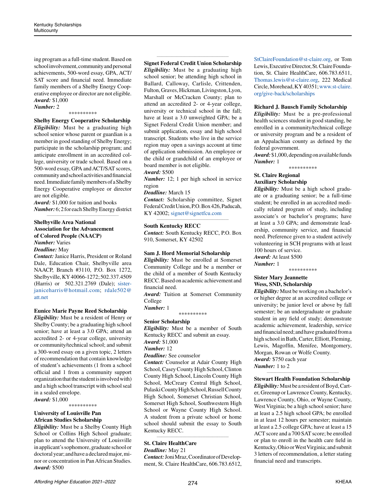ing program as a full-time student. Based on school involvement, community and personal achievements, 500-word essay, GPA, ACT/ SAT score and financial need. Immediate family members of a Shelby Energy Cooperative employee or director are not eligible. *Award:* \$1,000

*Number:* 2 \*\*\*\*\*\*\*\*\*\*

# **Shelby Energy Cooperative Scholarship**

*Eligibility:* Must be a graduating high school senior whose parent or guardian is a member in good standing of Shelby Energy; participate in the scholarship program; and anticipate enrollment in an accredited college, university or trade school. Based on a 500-word essay, GPA and ACT/SAT scores, community and school activities and financial need. Immediate family members of a Shelby Energy Cooperative employee or director are not eligible.

*Award:* \$1,000 for tuition and books *Number:* 6; 2 for each Shelby Energy district *\_\_\_\_\_\_\_\_\_\_\_\_\_\_\_\_\_\_\_\_\_\_\_\_\_\_\_\_\_\_\_\_\_\_\_\_\_\_\_\_\_\_\_\_*

### **Shelbyville Area National Association for the Advancement of Colored People (NAACP)** *Number:* Varies

*Deadline:* May

*Contact:* Janice Harris, President or Roland Dale, Education Chair, Shelbyville area NAACP, Branch #3110, P.O. Box 1272, Shelbyville, KY 40066-1272; 502.337.4509 (Harris) or 502.321.2769 (Dale); [sister](mailto:sisterjaniceharris@hotmail.com)[janiceharris@hotmail.com](mailto:sisterjaniceharris@hotmail.com); [rdale502@](mailto:rdale502%40att.net?subject=) [att.net](mailto:rdale502%40att.net?subject=)

#### **Eunice Marie Payne Reed Scholarship**

*Eligibility:* Must be a resident of Henry or Shelby County; be a graduating high school senior; have at least a 3.0 GPA; attend an accredited 2- or 4-year college, university or community/technical school; and submit a 300-word essay on a given topic, 2 letters of recommendation that contain knowledge of student's achievements (1 from a school official and 1 from a community support organization that the student is involved with) and a high school transcript with school seal in a sealed envelope.

*Award:* \$1,000 \*\*\*\*\*\*\*\*\*\*

# **University of Louisville Pan African Studies Scholarship**

*Eligibility:* Must be a Shelby County High School or Collins High School graduate; plan to attend the University of Louisville in applicant's sophomore, graduate school or doctoral year; and have a declared major, minor or concentration in Pan African Studies. *Award:* \$500

#### *\_\_\_\_\_\_\_\_\_\_\_\_\_\_\_\_\_\_\_\_\_\_\_\_\_\_\_\_\_\_\_\_\_\_\_\_\_\_\_\_\_\_\_\_* **Signet Federal Credit Union Scholarship**

*Eligibility:* Must be a graduating high school senior; be attending high school in Ballard, Calloway, Carlisle, Crittenden, Fulton, Graves, Hickman, Livingston, Lyon, Marshall or McCracken County; plan to attend an accredited 2- or 4-year college, university or technical school in the fall; have at least a 3.0 unweighted GPA; be a Signet Federal Credit Union member; and submit application, essay and high school transcript. Students who live in the service region may open a savings account at time of application submission. An employee or the child or grandchild of an employee or board member is not eligible.

#### *Award:* \$500

*Number:* 12; 1 per high school in service region

#### *Deadline:* March 15

*Contact:* Scholarship committee, Signet Federal Credit Union, P.O. Box 426, Paducah, KY 42002; [signet@signetfcu.com](mailto:signet%40signetfcu.com?subject=) *\_\_\_\_\_\_\_\_\_\_\_\_\_\_\_\_\_\_\_\_\_\_\_\_\_\_\_\_\_\_\_\_\_\_\_\_\_\_\_\_\_\_\_\_*

#### **South Kentucky RECC**

*Contact:* South Kentucky RECC, P.O. Box 910, Somerset, KY 42502

# **Sam J. Hord Memorial Scholarship**

*Eligibility:* Must be enrolled at Somerset Community College and be a member or the child of a member of South Kentucky RECC. Based on academic achievement and financial need.

*Award:* Tuition at Somerset Community College

*Number:* 1

\*\*\*\*\*\*\*\*\*\*

# **Senior Scholarship**

*Eligibility:* Must be a member of South Kentucky RECC and submit an essay. *Award:* \$1,000

#### *Number:* 12

*Deadline:* See counselor

*Contact:* Counselor at Adair County High School, Casey County High School, Clinton County High School, Lincoln County High School, McCreary Central High School, Pulaski County High School, Russell County High School, Somerset Christian School, Somerset High School, Southwestern High School or Wayne County High School. A student from a private school or home school should submit the essay to South Kentucky RECC.

# **St. Claire HealthCare**

*Deadline:* May 21

*Contact:* Joni Mraz, Coordinator of Development, St. Claire HealthCare, 606.783.6512,

*\_\_\_\_\_\_\_\_\_\_\_\_\_\_\_\_\_\_\_\_\_\_\_\_\_\_\_\_\_\_\_\_\_\_\_\_\_\_\_\_\_\_\_\_*

[StClaireFoundation@st-claire.org,](mailto:StClaireFoundation%40st-claire.org?subject=) or Tom Lewis, Executive Director, St. Claire Foundation, St. Claire HealthCare, 606.783.6511, [Thomas.lewis@st-claire.org,](mailto:Thomas.lewis%40st-claire.org?subject=) 222 Medical Circle, Morehead, KY 40351; [www.st-claire.](http://www.st-claire.org/give-back/scholarships) [org/give-back/scholarships](http://www.st-claire.org/give-back/scholarships)

# **Richard J. Bausch Family Scholarship**

*Eligibility:* Must be a pre-professional health sciences student in good standing, be enrolled in a community/technical college or university program and be a resident of an Appalachian county as defined by the federal government.

*Award:* \$1,000, depending on available funds *Number:* 1

\*\*\*\*\*\*\*\*\*\*

#### **St. Claire Regional Auxiliary Scholarship**

*Eligibility:* Must be a high school graduate or a graduating senior; be a full-time student; be enrolled in an accredited medically related program of study, including associate's or bachelor's programs; have at least a 3.0 GPA; and demonstrate leadership, community service, and financial need. Preference given to a student actively volunteering in SCH programs with at least 100 hours of service. *Award:* At least \$500

*Number:* 1

\*\*\*\*\*\*\*\*\*\*

### **Sister Mary Jeannette Wess, SND, Scholarship**

*Eligibility:* Must be working on a bachelor's or higher degree at an accredited college or university; be junior level or above by fall semester; be an undergraduate or graduate student in any field of study; demonstrate academic achievement, leadership, service and financial need; and have graduated from a high school in Bath, Carter, Elliott, Fleming, Lewis, Magoffin, Menifee, Montgomery, Morgan, Rowan or Wolfe County. *Award:* \$750 each year *Number:* 1 to 2

#### *\_\_\_\_\_\_\_\_\_\_\_\_\_\_\_\_\_\_\_\_\_\_\_\_\_\_\_\_\_\_\_\_\_\_\_\_\_\_\_\_\_\_\_\_* **Stewart Health Foundation Scholarship**

*Eligibility:* Must be a resident of Boyd, Carter, Greenup or Lawrence County, Kentucky, Lawrence County, Ohio, or Wayne County, West Virginia; be a high school senior; have at least a 2.5 high school GPA; be enrolled in at least 12 hours per semester; maintain at least a 2.5 college GPA; have at least a 15 ACT score and a 700 SAT score; be enrolled or plan to enroll in the health care field in Kentucky, Ohio or West Virginia; and submit 3 letters of recommendation, a letter stating financial need and transcripts.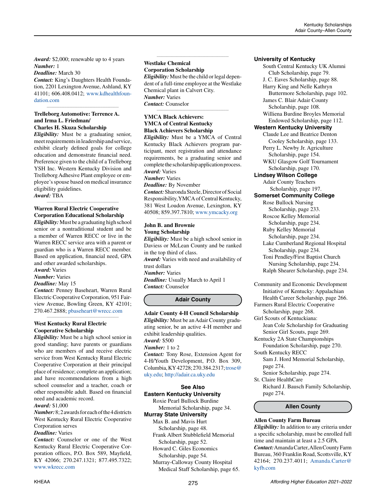*Award:* \$2,000; renewable up to 4 years *Number:* 1

*Deadline:* March 30

*Contact:* King's Daughters Health Foundation, 2201 Lexington Avenue, Ashland, KY 41101; 606.408.0412; [www.kdhealthfoun](http://www.kdhealthfoundation.com)[dation.com](http://www.kdhealthfoundation.com)

*\_\_\_\_\_\_\_\_\_\_\_\_\_\_\_\_\_\_\_\_\_\_\_\_\_\_\_\_\_\_\_\_\_\_\_\_\_\_\_\_\_\_\_\_*

#### **Trelleborg Automotive: Terrence A. and Irma L. Friedman/ Charles H. Skuza Scholarship**

*Eligibility:* Must be a graduating senior, meet requirements in leadership and service, exhibit clearly defined goals for college education and demonstrate financial need. Preference given to the child of a Trelleborg YSH Inc. Western Kentucky Division and Trelleborg Adhesive Plant employee or employee's spouse based on medical insurance eligibility guidelines.

*Award:* TBA

# **Warren Rural Electric Cooperative Corporation Educational Scholarship**

*\_\_\_\_\_\_\_\_\_\_\_\_\_\_\_\_\_\_\_\_\_\_\_\_\_\_\_\_\_\_\_\_\_\_\_\_\_\_\_\_\_\_\_\_*

*Eligibility:* Must be a graduating high school senior or a nontraditional student and be a member of Warren RECC or live in the Warren RECC service area with a parent or guardian who is a Warren RECC member. Based on application, financial need, GPA and other awarded scholarships.

*Award:* Varies

#### *Number:* Varies *Deadline:* May 15

*Contact:* Penney Baseheart, Warren Rural Electric Cooperative Corporation, 951 Fairview Avenue, Bowling Green, KY 42101; 270.467.2888; [pbaseheart@wrecc.com](mailto:pbaseheart%40wrecc.com?subject=)

*\_\_\_\_\_\_\_\_\_\_\_\_\_\_\_\_\_\_\_\_\_\_\_\_\_\_\_\_\_\_\_\_\_\_\_\_\_\_\_\_\_\_\_\_*

# **West Kentucky Rural Electric Cooperative Scholarship**

*Eligibility:* Must be a high school senior in good standing; have parents or guardians who are members of and receive electric service from West Kentucky Rural Electric Cooperative Corporation at their principal place of residence; complete an application; and have recommendations from a high school counselor and a teacher, coach or other responsible adult. Based on financial need and academic record.

# *Award:* \$1,000

*Number:* 8; 2 awards for each of the 4 districts West Kentucky Rural Electric Cooperative Corporation serves

# *Deadline:* Varies

*Contact:* Counselor or one of the West Kentucky Rural Electric Cooperative Corporation offices, P.O. Box 589, Mayfield, KY 42066; 270.247.1321; 877.495.7322; [www.wkrecc.com](http://www.wkrecc.com)

# **Westlake Chemical**

**Corporation Scholarship** *Eligibility:* Must be the child or legal depen-

dent of a full-time employee at the Westlake Chemical plant in Calvert City. *Number:* Varies *Contact:* Counselor

*\_\_\_\_\_\_\_\_\_\_\_\_\_\_\_\_\_\_\_\_\_\_\_\_\_\_\_\_\_\_\_\_\_\_\_\_\_\_\_\_\_\_\_\_*

*\_\_\_\_\_\_\_\_\_\_\_\_\_\_\_\_\_\_\_\_\_\_\_\_\_\_\_\_\_\_\_\_\_\_\_\_\_\_\_\_\_\_\_\_*

# **YMCA Black Achievers: YMCA of Central Kentucky Black Achievers Scholarship**

*Eligibility:* Must be a YMCA of Central Kentucky Black Achievers program participant, meet registration and attendance requirements, be a graduating senior and complete the scholarship application process. *Award:* Varies

# *Number:* Varies

*Deadline:* By November

*Contact:* Sharonda Steele, Director of Social Responsibility, YMCA of Central Kentucky, 381 West Loudon Avenue, Lexington, KY 40508; 859.397.7810; [www.ymcacky.org](http://www.ymcacky.org)

*\_\_\_\_\_\_\_\_\_\_\_\_\_\_\_\_\_\_\_\_\_\_\_\_\_\_\_\_\_\_\_\_\_\_\_\_\_\_\_\_\_\_\_\_*

# **John B. and Brownie Young Scholarship**

*Eligibility:* Must be a high school senior in Daviess or McLean County and be ranked in the top third of class. *Award:* Varies with need and availability of trust dollars *Number:* Varies *Deadline:* Usually March to April 1 *Contact:* Counselor

# **Adair County**

**Adair County 4-H Council Scholarship** *Eligibility:* Must be an Adair County graduating senior, be an active 4-H member and exhibit leadership qualities. *Award:* \$500 *Number:* 1 to 2 *Contact:* Tony Rose, Extension Agent for 4-H/Youth Development, P.O. Box 309, Columbia, KY 42728; 270.384.2317; [trose@](mailto:trose%40uky.edu?subject=) [uky.edu;](mailto:trose%40uky.edu?subject=)<http://adair.ca.uky.edu>

# **See Also**

**Eastern Kentucky University** Roxie Pearl Bullock Burdine Memorial Scholarship, page 34.

# **Murray State University**

Max B. and Mavis Hurt Scholarship, page 48. Frank Albert Stubblefield Memorial

 Scholarship, page 52. Howard C. Giles Economics Scholarship, page 54.

Murray-Calloway County Hospital Medical Staff Scholarship, page 65.

# **University of Kentucky**

South Central Kentucky UK Alumni Club Scholarship, page 79. J. C. Eaves Scholarship, page 88. Harry King and Nelle Kathryn Buttermore Scholarship, page 102. James C. Blair Adair County Scholarship, page 108. Williena Burdine Broyles Memorial Endowed Scholarship, page 112. **Western Kentucky University** Claude Lee and Beatrice Denton Cooley Scholarship, page 133. Perry L. Newby Jr. Agriculture Scholarship, page 154. WKU Glasgow Golf Tournament Scholarship, page 170. **Lindsey Wilson College** Adair County Teachers Scholarship, page 197. **Somerset Community College** Rose Bullock Nursing Scholarship, page 233. Roscoe Kelley Memorial Scholarship, page 234. Ruby Kelley Memorial Scholarship, page 234. Lake Cumberland Regional Hospital Scholarship, page 234. Toni Pendley/First Baptist Church Nursing Scholarship, page 234. Ralph Shearer Scholarship, page 234.

Community and Economic Development Initiative of Kentucky: Appalachian Health Career Scholarship, page 266. Farmers Rural Electric Cooperative

- Scholarship, page 268. Girl Scouts of Kentuckiana: Jean Cole Scholarship for Graduating
- Senior Girl Scouts, page 269. Kentucky 2A State Championships Foundation Scholarship, page 270.
- South Kentucky RECC Sam J. Hord Memorial Scholarship, page 274.

Senior Scholarship, page 274.

St. Claire HealthCare Richard J. Bausch Family Scholarship, page 274.

# **Allen County**

# **Allen County Farm Bureau**

*Eligibility:* In addition to any criteria under a specific scholarship, must be enrolled full time and maintain at least a 2.5 GPA. *Contact:* Amanda Carter, Allen County Farm Bureau, 360 Franklin Road, Scottsville, KY 42164; 270.237.4011; [Amanda.Carter@](mailto:Amanda.Carter%40kyfb.com?subject=) [kyfb.com](mailto:Amanda.Carter%40kyfb.com?subject=)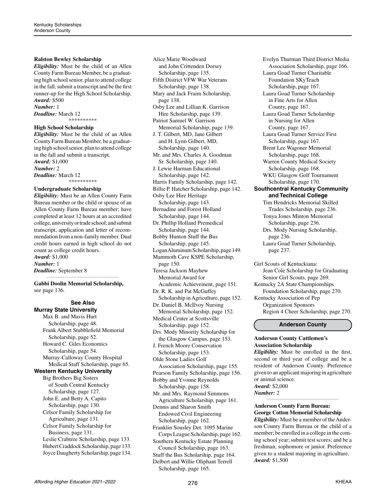# **Ralston Bewley Scholarship**

*Eligibility:* Must be the child of an Allen County Farm Bureau Member, be a graduating high school senior, plan to attend college in the fall, submit a transcript and be the first runner-up for the High School Scholarship. *Award:* \$500 *Number:* 1

*Deadline:* March 12 \*\*\*\*\*\*\*\*\*\*

# **High School Scholarship**

*Eligibility:* Must be the child of an Allen County Farm Bureau Member, be a graduating high school senior, plan to attend college in the fall and submit a transcript. *Award:* \$1,000 *Number:* 2 *Deadline:* March 12 \*\*\*\*\*\*\*\*\*\*

# **Undergraduate Scholarship**

*Eligibility:* Must be an Allen County Farm Bureau member or the child or spouse of an Allen County Farm Bureau member; have completed at least 12 hours at an accredited college, university or trade school; and submit transcript, application and letter of recommendation from a non-family member. Dual credit hours earned in high school do not count as college credit hours. *Award:* \$1,000 *Number:* 1 *Deadline:* September 8

**Gabbi Doolin Memorial Scholarship,**  see page 136.

*\_\_\_\_\_\_\_\_\_\_\_\_\_\_\_\_\_\_\_\_\_\_\_\_\_\_\_\_\_\_\_\_\_\_\_\_\_\_\_\_\_\_\_\_*

#### **See Also Murray State University**

Max B. and Mavis Hurt Scholarship, page 48. Frank Albert Stubblefield Memorial Scholarship, page 52. Howard C. Giles Economics Scholarship, page 54. Murray-Calloway County Hospital Medical Staff Scholarship, page 65. **Western Kentucky University** Big Brothers Big Sisters of South Central Kentucky Scholarship, page 127. John E. and Betty A. Capito Scholarship, page 130. Celsor Family Scholarship for Agriculture, page 131. Celsor Family Scholarship for Business, page 131. Leslie Crabtree Scholarship, page 133. Hubert Craddock Scholarship, page 133. Joyce Daugherty Scholarship, page 134. Alice Marie Woodward and John Crittenden Dorsey Scholarship, page 135. Fifth District VFW War Veterans Scholarship, page 138. Mary and Jack Fraim Scholarship, page 138. Osby Lee and Lillian K. Garrison Hire Scholarship, page 139. Patriot Samuel W. Garrison Memorial Scholarship, page 139. J. T. Gilbert, MD, Jane Gilbert and H. Lynn Gilbert, MD, Scholarship, page 140. Mr. and Mrs. Charles A. Goodman Sr. Scholarship, page 140. J. Lewie Harman Educational Scholarship, page 142. Harris Family Scholarship, page 142. Billie P. Hatcher Scholarship, page 142. Osby Lee Hire Heritage Scholarship, page 143. Bernadine and Forest Holland Scholarship, page 144. Dr. Phillip Holland Premedical Scholarship, page 144. Bobby Hunton Stuff the Bus Scholarship, page 145. Logan Aluminum Scholarship, page 149. Mammoth Cave KSPE Scholarship, page 150. Teresa Jackson Mayhew Memorial Award for Academic Achievement, page 151. Dr. R. K. and Pat McGuffey Scholarship in Agriculture, page 152. Dr. Daniel B. McIlvoy Nursing Memorial Scholarship, page 152. Medical Center at Scottsville Scholarship, page 152. Drs. Mody Minority Scholarship for the Glasgow Campus, page 153. J. French Moore Conservation Scholarship, page 153. Olde Stone Ladies Golf Association Scholarship, page 155. Pearson Family Scholarship, page 156. Bobby and Yvonne Reynolds Scholarship, page 158. Mr. and Mrs. Raymond Simmons Agriculture Scholarship, page 161. Dennis and Sharon Smith Endowed Civil Engineering Scholarship, page 162. Franklin Sousley Det. 1095 Marine Corps League Scholarship, page 162. Southern Kentucky Estate Planning

 Council Scholarship, page 163. Stuff the Bus Scholarship, page 164. Delbert and Willie Oliphant Terrell Scholarship, page 165.

Evelyn Thurman Third District Media Association Scholarship, page 166. Laura Goad Turner Charitable Foundation SKyTeach Scholarship, page 167. Laura Goad Turner Scholarship in Fine Arts for Allen County, page 167. Laura Goad Turner Scholarship in Nursing for Allen County, page 167. Laura Goad Turner Service First Scholarship, page 167. Brent Lee Wagoner Memorial Scholarship, page 168. Warren County Medical Society Scholarship, page 168. WKU Glasgow Golf Tournament Scholarship, page 170. **Southcentral Kentucky Community and Technical College** Tim Hendricks Memorial Skilled Trades Scholarship, page 236. Tonya Jones Minton Memorial Scholarship, page 236. Drs. Mody Nursing Scholarship, page 236. Laura Goad Turner Scholarship, page 237.

Girl Scouts of Kentuckiana: Jean Cole Scholarship for Graduating Senior Girl Scouts, page 269. Kentucky 2A State Championships Foundation Scholarship, page 270. Kentucky Association of Pep Organization Sponsors

Region 4 Cheer Scholarship, page 270.

# **Anderson County**

# **Anderson County Cattlemen's Association Scholarship**

*Eligibility:* Must be enrolled in the first, second or third year of college and be a resident of Anderson County. Preference given to an applicant majoring in agriculture or animal science.

*\_\_\_\_\_\_\_\_\_\_\_\_\_\_\_\_\_\_\_\_\_\_\_\_\_\_\_\_\_\_\_\_\_\_\_\_\_\_\_\_\_\_\_\_*

*Award:* \$2,000 *Number:* 2

# **Anderson County Farm Bureau: George Cotton Memorial Scholarship**

*Eligibility:* Must be a member of the Anderson County Farm Bureau or the child of a member; be enrolled in a college in the coming school year; submit test scores; and be a freshman, sophomore or junior. Preference given to a student majoring in agriculture. *Award:* \$1,500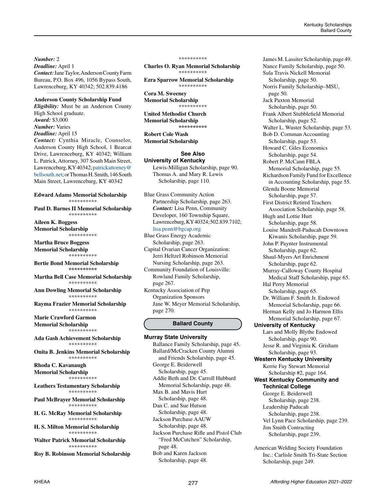*Number:* 2

*Deadline:* April 1 *Contact:* Jane Taylor, Anderson County Farm Bureau, P.O. Box 496, 1056 Bypass South, Lawrenceburg, KY 40342; 502.839.4186

*\_\_\_\_\_\_\_\_\_\_\_\_\_\_\_\_\_\_\_\_\_\_\_\_\_\_\_\_\_\_\_\_\_\_\_\_\_\_\_\_\_\_\_\_*

# **Anderson County Scholarship Fund**

*Eligibility:* Must be an Anderson County High School graduate. *Award:* \$3,000 *Number:* Varies *Deadline:* April 15 *Contact:* Cynthia Miracle, Counselor, Anderson County High School, 1 Bearcat Drive, Lawrenceburg, KY 40342; William L. Patrick, Attorney, 307 South Main Street, Lawrenceburg, KY 40342; [patrickattorney@](mailto:patrickattorney%40bellsouth.net?subject=) [bellsouth.net](mailto:patrickattorney%40bellsouth.net?subject=); or Thomas H. Smith, 146 South

**Edward Adams Memorial Scholarship** \*\*\*\*\*\*\*\*\*\*

Main Street, Lawrenceburg, KY 40342

**Paul D. Barnes II Memorial Scholarship** \*\*\*\*\*\*\*\*\*\*

**Aileen K. Boggess Memorial Scholarship** \*\*\*\*\*\*\*\*\*\*

**Martha Bruce Boggess Memorial Scholarship** \*\*\*\*\*\*\*\*\*\*

**Bertie Bond Memorial Scholarship \*\*\*\*\*\*\*\*\*\***

**Martha Bell Case Memorial Scholarship** \*\*\*\*\*\*\*\*\*\*

**Ann Dowling Memorial Scholarship** \*\*\*\*\*\*\*\*\*\*

**Rayma Frazier Memorial Scholarship** \*\*\*\*\*\*\*\*\*\*

**Marie Crawford Garmon Memorial Scholarship** \*\*\*\*\*\*\*\*\*\*

**Ada Gash Achievement Scholarship** \*\*\*\*\*\*\*\*\*\*

**Onita B. Jenkins Memorial Scholarship** \*\*\*\*\*\*\*\*\*\*

**Rhoda C. Kavanaugh Memorial Scholarship** \*\*\*\*\*\*\*\*\*\*

**Leathers Testamentary Scholarship** \*\*\*\*\*\*\*\*\*\*

**Paul McBrayer Memorial Scholarship** \*\*\*\*\*\*\*\*\*\*

**H. G. McRay Memorial Scholarship** \*\*\*\*\*\*\*\*\*\*

**H. S. Milton Memorial Scholarship** \*\*\*\*\*\*\*\*\*\*

**Walter Patrick Memorial Scholarship** \*\*\*\*\*\*\*\*\*\*

**Roy B. Robinson Memorial Scholarship**

#### \*\*\*\*\*\*\*\*\*\*

**Charles O. Ryan Memorial Scholarship** \*\*\*\*\*\*\*\*\*\*

**Ezra Sparrow Memorial Scholarship** \*\*\*\*\*\*\*\*\*\*

**Cora M. Sweeney Memorial Scholarship** \*\*\*\*\*\*\*\*\*\*

**United Methodist Church Memorial Scholarship \*\*\*\*\*\*\*\*\*\***

**Robert Cole Wash Memorial Scholarship**

# **See Also University of Kentucky**

Lewis-Milligan Scholarship, page 90. Thomas A. and Mary R. Lewis Scholarship, page 110.

Blue Grass Community Action Partnership Scholarship, page 263. *Contact:* Lisa Penn, Community Developer, 160 Township Square, Lawrenceburg, KY 40324; 502.839.7102; [lisa.penn@bgcap.org](mailto:lisa.penn%40bgcap.org?subject=)

Blue Grass Energy Academic Scholarship, page 263.

Capital Ovarian Cancer Organization: Jerri Heltzel Robinson Memorial Nursing Scholarship, page 263.

Community Foundation of Louisville: Rowland Family Scholarship, page 267.

Kentucky Association of Pep Organization Sponsors Jane W. Meyer Memorial Scholarship, page 270.

# **Ballard County**

**Murray State University** Ballance Family Scholarship, page 45. Ballard/McCracken County Alumni and Friends Scholarship, page 45. George E. Beiderwell Scholarship, page 45. Addie Beth and Dr. Carroll Hubbard Memorial Scholarship, page 48. Max B. and Mavis Hurt Scholarship, page 48. Dan C. and Sue Hutson Scholarship, page 48. Jackson Purchase AAUW Scholarship, page 48. Jackson Purchase Rifle and Pistol Club "Fred McCutchen" Scholarship, page 48. Bob and Karen Jackson Scholarship, page 48.

James M. Lassiter Scholarship, page 49. Nance Family Scholarship, page 50. Sula Travis Nickell Memorial Scholarship, page 50. Norris Family Scholarship–MSU, page 50. Jack Paxton Memorial Scholarship, page 50. Frank Albert Stubblefield Memorial Scholarship, page 52. Walter L. Wuster Scholarship, page 53. Bob D. Cornman Accounting Scholarship, page 53. Howard C. Giles Economics Scholarship, page 54. Robert P. McCann FBLA Memorial Scholarship, page 55. Richardson Family Fund for Excellence in Accounting Scholarship, page 55. Glenda Boone Memorial Scholarship, page 57. First District Retired Teachers Association Scholarship, page 58. Hugh and Lottie Hurt Scholarship, page 58. Louise Mandrell-Paducah Downtown Kiwanis Scholarship, page 59. John P. Paynter Instrumental Scholarship, page 62. Shaul-Myers Art Enrichment Scholarship, page 62. Murray-Calloway County Hospital Medical Staff Scholarship, page 65. Hal Perry Memorial Scholarship, page 65. Dr. William F. Smith Jr. Endowed Memorial Scholarship, page 66. Herman Kelly and Jo Harmon Ellis Memorial Scholarship, page 67. **University of Kentucky** Lars and Molly Blythe Endowed Scholarship, page 90. Jesse R. and Virginia K. Grisham Scholarship, page 93. **Western Kentucky University** Kerrie Fay Stewart Memorial Scholarship #2, page 164. **West Kentucky Community and Technical College** George E. Beiderwell Scholarship, page 238. Leadership Paducah Scholarship, page 238. Vel Lynn Pace Scholarship, page 239. Jim Smith Contracting Scholarship, page 239. American Welding Society Foundation

Inc.: Carlisle Smith Tri-State Section Scholarship, page 249.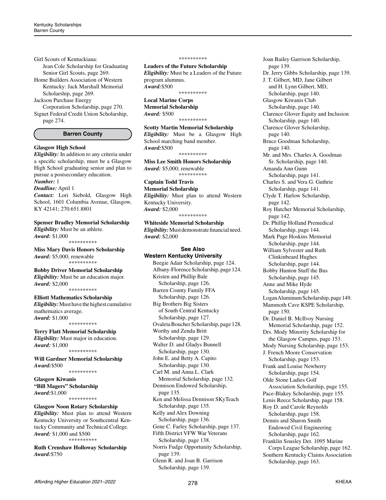Girl Scouts of Kentuckiana:

Jean Cole Scholarship for Graduating Senior Girl Scouts, page 269.

Home Builders Association of Western Kentucky: Jack Marshall Memorial Scholarship, page 269.

Jackson Purchase Energy

Corporation Scholarship, page 270. Signet Federal Credit Union Scholarship, page 274.

# **Barren County**

# **Glasgow High School**

*Eligibility:* In addition to any criteria under a specific scholarship, must be a Glasgow High School graduating senior and plan to pursue a postsecondary education.

# *Number:* 1

*Deadline:* April 1 *Contact:* Lori Siebold, Glasgow High School, 1601 Columbia Avenue, Glasgow, KY 42141; 270.651.8801

**Spenser Bradley Memorial Scholarship** *Eligibility:* Must be an athlete. *Award:* \$1,000 \*\*\*\*\*\*\*\*\*\*

**Miss Mary Davis Honors Scholarship** *Award:* \$5,000; renewable \*\*\*\*\*\*\*\*\*\*

**Bobby Driver Memorial Scholarship** *Eligibility:* Must be an education major. *Award:* \$2,000 \*\*\*\*\*\*\*\*\*\*

**Elliott Mathematics Scholarship**

*Eligibility:* Must have the highest cumulative mathematics average. *Award:* \$1,000 \*\*\*\*\*\*\*\*\*\*

#### **Terry Flatt Memorial Scholarship**

*Eligibility:* Must major in education. *Award:* \$1,000 \*\*\*\*\*\*\*\*\*\*

**Will Gardner Memorial Scholarship** *Award:*\$500

\*\*\*\*\*\*\*\*\*\*

**Glasgow Kiwanis "Bill Magers" Scholarship**  *Award:*\$1,000 \*\*\*\*\*\*\*\*\*\*

# **Glasgow Noon Rotary Scholarship**

*Eligibility:* Must plan to attend Western Kentucky University or Southcentral Kentucky Community and Technical College. *Award:* \$1,000 and \$500 \*\*\*\*\*\*\*\*\*\*

**Ruth Crenshaw Holloway Scholarship**  *Award:*\$750

#### \*\*\*\*\*\*\*\*\*\*

**Leaders of the Future Scholarship** *Eligibility:* Must be a Leaders of the Future program alumnus. *Award:*\$500

\*\*\*\*\*\*\*\*\*\*

#### **Local Marine Corps Memorial Scholarship**

*Award:* \$500

\*\*\*\*\*\*\*\*\*\*

# **Scotty Martin Memorial Scholarship**

*Eligibility:* Must be a Glasgow High School marching band member. *Award:*\$500 \*\*\*\*\*\*\*\*\*\*

**Miss Lee Smith Honors Scholarship** *Award:* \$5,000; renewable \*\*\*\*\*\*\*\*\*\*

# **Captain Todd Travis**

**Memorial Scholarship** *Eligibility:* Must plan to attend Western Kentucky University. *Award:* \$2,000 \*\*\*\*\*\*\*\*\*\*

**Whiteside Memorial Scholarship** *Eligibility:* Must demonstrate financial need. *Award:* \$2,000

# **See Also Western Kentucky University**

Beegie Adair Scholarship, page 124. Albany-Florence Scholarship, page 124. Kristen and Phillip Bale Scholarship, page 126. Barren County Family FFA Scholarship, page 126. Big Brothers Big Sisters of South Central Kentucky Scholarship, page 127. Ovaleta Boucher Scholarship, page 128. Worthy and Zenda Britt Scholarship, page 129. Walter D. and Gladys Bunnell Scholarship, page 130. John E. and Betty A. Capito Scholarship, page 130. Carl M. and Anna L. Clark Memorial Scholarship, page 132. Dennison Endowed Scholarship, page 135. Ken and Melissa Dennison SKyTeach Scholarship, page 135. Kelly and Alex Downing Scholarship, page 136. Gene C. Farley Scholarship, page 137. Fifth District VFW War Veterans Scholarship, page 138. Norris Fudge Opportunity Scholarship, page 139. Glenn R. and Joan B. Garrison Scholarship, page 139.

Joan Bailey Garrison Scholarship, page 139. Dr. Jerry Gibbs Scholarship, page 139. J. T. Gilbert, MD, Jane Gilbert and H. Lynn Gilbert, MD, Scholarship, page 140. Glasgow Kiwanis Club Scholarship, page 140. Clarence Glover Equity and Inclusion Scholarship, page 140. Clarence Glover Scholarship, page 140. Bruce Goodman Scholarship, page 140. Mr. and Mrs. Charles A. Goodman Sr. Scholarship, page 140. Amanda Ann Gunn Scholarship, page 141. Charles S. and Vera G. Guthrie Scholarship, page 141. Clyde T. Harlow Scholarship, page 142. Roy Hatcher Memorial Scholarship, page 142. Dr. Phillip Holland Premedical Scholarship, page 144. Mark Page Hoskins Memorial Scholarship, page 144. William Sylvester and Ruth Clinkinbeard Hughes Scholarship, page 144. Bobby Hunton Stuff the Bus Scholarship, page 145. Anne and Mike Hyde Scholarship, page 145. Logan Aluminum Scholarship, page 149. Mammoth Cave KSPE Scholarship, page 150. Dr. Daniel B. McIlvoy Nursing Memorial Scholarship, page 152. Drs. Mody Minority Scholarship for the Glasgow Campus, page 153. Mody Nursing Scholarship, page 153. J. French Moore Conservation Scholarship, page 153. Frank and Louise Newberry Scholarship, page 154. Olde Stone Ladies Golf Association Scholarship, page 155. Pace-Blakey Scholarship, page 155. Lenis Reece Scholarship, page 158. Roy D. and Carole Reynolds Scholarship, page 158. Dennis and Sharon Smith Endowed Civil Engineering Scholarship, page 162. Franklin Sousley Det. 1095 Marine Corps League Scholarship, page 162. Southern Kentucky Claims Association Scholarship, page 163.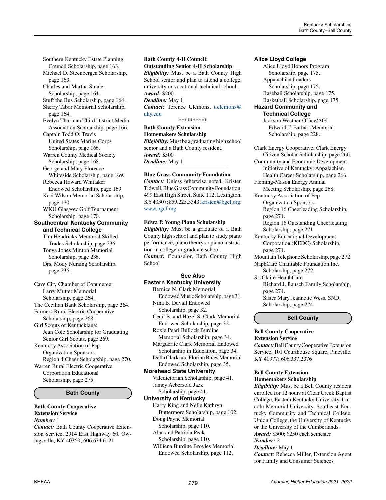Southern Kentucky Estate Planning Council Scholarship, page 163. Michael D. Steenbergen Scholarship, page 163. Charles and Martha Strader Scholarship, page 164. Stuff the Bus Scholarship, page 164. Sherry Tabor Memorial Scholarship, page 164. Evelyn Thurman Third District Media Association Scholarship, page 166. Captain Todd O. Travis United States Marine Corps Scholarship, page 166. Warren County Medical Society Scholarship, page 168. George and Mary Florence Whiteside Scholarship, page 169. Rebecca Howard Whittaker Endowed Scholarship, page 169. Kaci Wilson Memorial Scholarship, page 170. WKU Glasgow Golf Tournament Scholarship, page 170. **Southcentral Kentucky Community and Technical College** Tim Hendricks Memorial Skilled

 Trades Scholarship, page 236. Tonya Jones Minton Memorial Scholarship, page 236. Drs. Mody Nursing Scholarship, page 236.

Cave City Chamber of Commerce: Larry Mutter Memorial Scholarship, page 264. The Cecilian Bank Scholarship, page 264. Farmers Rural Electric Cooperative Scholarship, page 268. Girl Scouts of Kentuckiana: Jean Cole Scholarship for Graduating Senior Girl Scouts, page 269. Kentucky Association of Pep Organization Sponsors Region 4 Cheer Scholarship, page 270. Warren Rural Electric Cooperative Corporation Educational Scholarship, page 275.

# **Bath County**

#### **Bath County Cooperative Extension Service** *Number:* 1

*Contact:* Bath County Cooperative Extension Service, 2914 East Highway 60, Owingsville, KY 40360; 606.674.6121

#### **Bath County 4-H Council: Outstanding Senior 4-H Scholarship**

*Eligibility:* Must be a Bath County High School senior and plan to attend a college, university or vocational-technical school. *Award:* \$200

# *Deadline:* May 1

*Contact:* Terence Clemons, [t.clemons@](mailto:t.clemons%40uky.edu?subject=) [uky.edu](mailto:t.clemons%40uky.edu?subject=)

\*\*\*\*\*\*\*\*\*\*

**Bath County Extension Homemakers Scholarship** *Eligibility:* Must be a graduating high school senior and a Bath County resident. *Award:* \$500 *Deadline:* May 1 *\_\_\_\_\_\_\_\_\_\_\_\_\_\_\_\_\_\_\_\_\_\_\_\_\_\_\_\_\_\_\_\_\_\_\_\_\_\_\_\_\_\_\_\_*

#### **Blue Grass Community Foundation**

*Contact:* Unless otherwise noted, Kristen Tidwell, Blue Grass Community Foundation, 499 East High Street, Suite 112, Lexington, KY 40507; 859.225.3343; [kristen@bgcf.org;](mailto:kristen%40bgcf.org?subject=) [www.bgcf.org](http://www.bgcf.org)

# **Edwa P. Young Piano Scholarship**

*Eligibility:* Must be a graduate of a Bath County high school and plan to study piano performance, piano theory or piano instruction in college or graduate school. *Contact:* Counselor, Bath County High School

# **See Also Eastern Kentucky University**

Bernice N. Clark Memorial Endowed Music Scholarship, page 31. Nina B. Duvall Endowed Scholarship, page 32. Cecil B. and Hazel S. Clark Memorial Endowed Scholarship, page 32. Roxie Pearl Bullock Burdine Memorial Scholarship, page 34. Marguerite Clark Memorial Endowed Scholarship in Education, page 34. Della Clark and Florian Bales Memorial Endowed Scholarship, page 35. **Morehead State University** Valedictorian Scholarship, page 41. Jamey Aebersold Jazz Scholarship, page 41. **University of Kentucky** Harry King and Nelle Kathryn Buttermore Scholarship, page 102. Doug Payne Memorial Scholarship, page 110.

Alan and Patricia Peck

- Scholarship, page 110. Williena Burdine Broyles Memorial
- Endowed Scholarship, page 112.

# **Alice Lloyd College**

Alice Lloyd Honors Program Scholarship, page 175. Appalachian Leaders Scholarship, page 175. Baseball Scholarship, page 175. Basketball Scholarship, page 175. **Hazard Community and Technical College**

Jackson Weather Office/AGI Edward T. Earhart Memorial Scholarship, page 228.

Clark Energy Cooperative: Clark Energy Citizen Scholar Scholarship, page 266. Community and Economic Development Initiative of Kentucky: Appalachian Health Career Scholarship, page 266. Fleming-Mason Energy Annual

Meeting Scholarship, page 268. Kentucky Association of Pep

Organization Sponsors Region 16 Cheerleading Scholarship, page 271.

Region 16 Outstanding Cheerleading Scholarship, page 271.

Kentucky Educational Development Corporation (KEDC) Scholarship, page 271.

Mountain Telephone Scholarship, page 272. NaphCare Charitable Foundation Inc.

Scholarship, page 272. St. Claire HealthCare Richard J. Bausch Family Scholarship, page 274.

Sister Mary Jeannette Wess, SND, Scholarship, page 274.

#### **Bell County**

#### **Bell County Cooperative Extension Service**

*Contact:* Bell County Cooperative Extension Service, 101 Courthouse Square, Pineville, KY 40977; 606.337.2376

# **Bell County Extension Homemakers Scholarship**

*Eligibility:* Must be a Bell County resident enrolled for 12 hours at Clear Creek Baptist College, Eastern Kentucky University, Lincoln Memorial University, Southeast Kentucky Community and Technical College, Union College, the University of Kentucky or the University of the Cumberlands. *Award:* \$500; \$250 each semester

# *Number:* 2

*Deadline:* May 1 *Contact:* Rebecca Miller, Extension Agent for Family and Consumer Sciences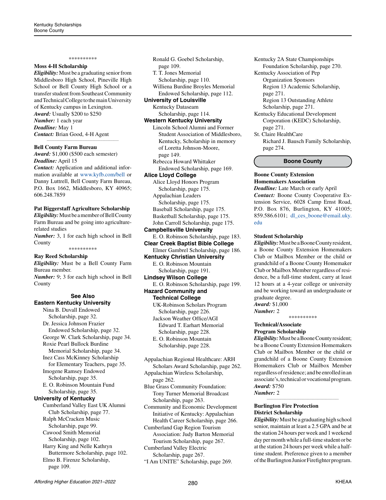# \*\*\*\*\*\*\*\*\*\*

# **Moss 4-H Scholarship**

*Eligibility:* Must be a graduating senior from Middlesboro High School, Pineville High School or Bell County High School or a transfer student from Southeast Community and Technical College to the main University of Kentucky campus in Lexington. *Award:* Usually \$200 to \$250 *Number:* 1 each year *Deadline:* May 1 *Contact:* Brian Good, 4-H Agent

*\_\_\_\_\_\_\_\_\_\_\_\_\_\_\_\_\_\_\_\_\_\_\_\_\_\_\_\_\_\_\_\_\_\_\_\_\_\_\_\_\_\_\_\_*

# **Bell County Farm Bureau**

*Award:* \$1,000 (\$500 each semester) *Deadline:* April 15

*Contact:* Application and additional information available at [www.kyfb.com/bell](http://www.kyfb.com/bell) or Danny Luttrell, Bell County Farm Bureau, P.O. Box 1662, Middlesboro, KY 40965; 606.248.7859

# **Pat Biggerstaff Agriculture Scholarship**

*Eligibility:* Must be a member of Bell County Farm Bureau and be going into agriculturerelated studies *Number:* 3, 1 for each high school in Bell County

\*\*\*\*\*\*\*\*\*\*

# **Ray Reed Scholarship**

*Eligibility:* Must be a Bell County Farm Bureau member. *Number:* 9; 3 for each high school in Bell County

# **See Also Eastern Kentucky University**

Nina B. Duvall Endowed Scholarship, page 32. Dr. Jessica Johnson Frazier Endowed Scholarship, page 32. George W. Clark Scholarship, page 34. Roxie Pearl Bullock Burdine Memorial Scholarship, page 34. Inez Cass McKinney Scholarship for Elementary Teachers, page 35. Imogene Ramsey Endowed Scholarship, page 35. E. O. Robinson Mountain Fund Scholarship, page 35. **University of Kentucky** Cumberland Valley East UK Alumni Club Scholarship, page 77. Ralph McCracken Music Scholarship, page 99. Cawood Smith Memorial Scholarship, page 102. Harry King and Nelle Kathryn Buttermore Scholarship, page 102. Elmo B. Firenze Scholarship,

page 109.

Ronald G. Goebel Scholarship, page 109. T. T. Jones Memorial Scholarship, page 110. Williena Burdine Broyles Memorial Endowed Scholarship, page 112. **University of Louisville** Kentucky Dataseam Scholarship, page 114. **Western Kentucky University** Lincoln School Alumni and Former Student Association of Middlesboro, Kentucky, Scholarship in memory of Loretta Johnson-Moore, page 149. Rebecca Howard Whittaker Endowed Scholarship, page 169. **Alice Lloyd College** Alice Lloyd Honors Program

 Scholarship, page 175. Appalachian Leaders Scholarship, page 175. Baseball Scholarship, page 175. Basketball Scholarship, page 175. John Carroll Scholarship, page 175. **Campbellsville University** E. O. Robinson Scholarship, page 183. **Clear Creek Baptist Bible College** Elmer Gambrel Scholarship, page 186. **Kentucky Christian University** E. O. Robinson Mountain Scholarship, page 191. **Lindsey Wilson College** E. O. Robinson Scholarship, page 199. **Hazard Community and Technical College** UK-Robinson Scholars Program

 Scholarship, page 226. Jackson Weather Office/AGI Edward T. Earhart Memorial Scholarship, page 228. E. O. Robinson Mountain

Scholarship, page 228.

- Appalachian Regional Healthcare: ARH Scholars Award Scholarship, page 262.
- Appalachian Wireless Scholarship, page 262.
- Blue Grass Community Foundation: Tony Turner Memorial Broadcast Scholarship, page 263.

Community and Economic Development Initiative of Kentucky: Appalachian Health Career Scholarship, page 266.

Cumberland Gap Region Tourism Association: Judy Barton Memorial Tourism Scholarship, page 267. Cumberland Valley Electric

Scholarship, page 267.

"I Am UNITE" Scholarship, page 269.

- Kentucky 2A State Championships
- Foundation Scholarship, page 270.
- Kentucky Association of Pep Organization Sponsors

Region 13 Academic Scholarship, page 271.

Region 13 Outstanding Athlete Scholarship, page 271.

- Kentucky Educational Development Corporation (KEDC) Scholarship, page 271.
- St. Claire HealthCare Richard J. Bausch Family Scholarship, page 274.

**Boone County**

# **Boone County Extension Homemakers Association**

*Deadline:* Late March or early April *Contact:* Boone County Cooperative Extension Service, 6028 Camp Ernst Road, P.O. Box 876, Burlington, KY 41005; 859.586.6101; [dl\\_ces\\_boone@email.uky.](mailto:dl_ces_boone%40email.uky.edu?subject=) [edu](mailto:dl_ces_boone%40email.uky.edu?subject=)

#### **Student Scholarship**

*Eligibility:* Must be a Boone County resident, a Boone County Extension Homemakers Club or Mailbox Member or the child or grandchild of a Boone County Homemaker Club or Mailbox Member regardless of residence, be a full-time student, carry at least 12 hours at a 4-year college or university and be working toward an undergraduate or graduate degree.

*Award:* \$1,000 *Number:* 2

\*\*\*\*\*\*\*\*\*\*

#### **Technical/Associate Program Scholarship**

*Eligibility:* Must be a Boone County resident; be a Boone County Extension Homemakers Club or Mailbox Member or the child or grandchild of a Boone County Extension Homemakers Club or Mailbox Member regardless of residence; and be enrolled in an associate's, technical or vocational program. *Award:* \$750

*\_\_\_\_\_\_\_\_\_\_\_\_\_\_\_\_\_\_\_\_\_\_\_\_\_\_\_\_\_\_\_\_\_\_\_\_\_\_\_\_\_\_\_\_*

*Number:* 2

# **Burlington Fire Protection District Scholarship**

*Eligibility:* Must be a graduating high school senior, maintain at least a 2.5 GPA and be at the station 24 hours per week and 1 weekend day per month while a full-time student or be at the station 24 hours per week while a halftime student. Preference given to a member of the Burlington Junior Firefighter program.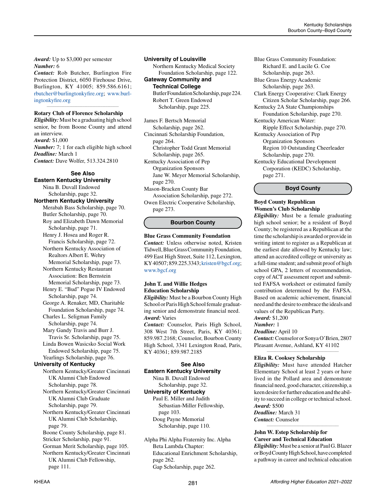*Award:* Up to \$3,000 per semester *Number:* 6

*Contact:* Rob Butcher, Burlington Fire Protection District, 6050 Firehouse Drive, Burlington, KY 41005; 859.586.6161; [rbutcher@burlingtonkyfire.org](mailto:rbutcher%40burlingtonkyfire.org?subject=); [www.burl](http://www.burlingtonkyfire.org)[ingtonkyfire.org](http://www.burlingtonkyfire.org)

*\_\_\_\_\_\_\_\_\_\_\_\_\_\_\_\_\_\_\_\_\_\_\_\_\_\_\_\_\_\_\_\_\_\_\_\_\_\_\_\_\_\_\_\_*

# **Rotary Club of Florence Scholarship**

*Eligibility:* Must be a graduating high school senior, be from Boone County and attend an interview. *Award:* \$1,000

*Number:* 7; 1 for each eligible high school *Deadline:* March 1 *Contact:* Dave Wolfer, 513.324.2810

# **See Also**

**Eastern Kentucky University** Nina B. Duvall Endowed Scholarship, page 32. **Northern Kentucky University** Merabah Bass Scholarship, page 70.

Butler Scholarship, page 70. Roy and Elizabeth Dawn Memorial Scholarship, page 71. Henry J. Hosea and Roger R. Francis Scholarship, page 72.

Northern Kentucky Association of Realtors Albert E. Wehry Memorial Scholarship, page 73. Northern Kentucky Restaurant

 Association: Ben Bernstein Memorial Scholarship, page 73.

Henry E. "Bud" Pogue IV Endowed Scholarship, page 74.

George A. Renaker, MD, Charitable Foundation Scholarship, page 74. Charles L. Seligman Family

 Scholarship, page 74. Mary Gandy Travis and Burr J.

 Travis Sr. Scholarship, page 75. Linda Bowen Wasicsko Social Work Endowed Scholarship, page 75. Yearlings Scholarship, page 76.

# **University of Kentucky**

Northern Kentucky/Greater Cincinnati UK Alumni Club Endowed Scholarship, page 78. Northern Kentucky/Greater Cincinnati UK Alumni Club Graduate

 Scholarship, page 79. Northern Kentucky/Greater Cincinnati UK Alumni Club Scholarship, page 79.

Boone County Scholarship, page 81. Stricker Scholarship, page 91. Gorman Merit Scholarship, page 105. Northern Kentucky/Greater Cincinnati UK Alumni Club Fellowship, page 111.

**University of Louisville**

Northern Kentucky Medical Society Foundation Scholarship, page 122.

**Gateway Community and Technical College**

Butler Foundation Scholarship, page 224. Robert T. Green Endowed Scholarship, page 225.

James F. Bertsch Memorial Scholarship, page 262. Cincinnati Scholarship Foundation, page 264. Christopher Todd Grant Memorial Scholarship, page 265. Kentucky Association of Pep Organization Sponsors

Jane W. Meyer Memorial Scholarship, page 270.

Mason-Bracken County Bar Association Scholarship, page 272. Owen Electric Cooperative Scholarship,

page 273.

# **Bourbon County**

**Blue Grass Community Foundation**

*Contact:* Unless otherwise noted, Kristen Tidwell, Blue Grass Community Foundation, 499 East High Street, Suite 112, Lexington, KY 40507; 859.225.3343; [kristen@bgcf.org;](mailto:kristen%40bgcf.org?subject=) [www.bgcf.org](http://www.bgcf.org)

# **John T. and Willie Hedges Education Scholarship**

*Eligibility:* Must be a Bourbon County High School or Paris High School female graduating senior and demonstrate financial need. *Award:* Varies

*Contact:* Counselor, Paris High School, 308 West 7th Street, Paris, KY 40361; 859.987.2168; Counselor, Bourbon County High School, 3341 Lexington Road, Paris, KY 40361; 859.987.2185

# **See Also Eastern Kentucky University**

Nina B. Duvall Endowed Scholarship, page 32.

**University of Kentucky** Paul E. Miller and Judith Sebastian-Miller Fellowship, page 103.

Doug Payne Memorial Scholarship, page 110.

Alpha Phi Alpha Fraternity Inc. Alpha Beta Lambda Chapter: Educational Enrichment Scholarship, page 262. Gap Scholarship, page 262.

Blue Grass Community Foundation: Richard E. and Lucile G. Coe Scholarship, page 263. Blue Grass Energy Academic Scholarship, page 263. Clark Energy Cooperative: Clark Energy Citizen Scholar Scholarship, page 266. Kentucky 2A State Championships Foundation Scholarship, page 270. Kentucky American Water: Ripple Effect Scholarship, page 270. Kentucky Association of Pep Organization Sponsors Region 10 Outstanding Cheerleader Scholarship, page 270. Kentucky Educational Development Corporation (KEDC) Scholarship, page 271.

**Boyd County**

# **Boyd County Republican Women's Club Scholarship**

*Eligibility:* Must be a female graduating high school senior; be a resident of Boyd County; be registered as a Republican at the time the scholarship is awarded or provide in writing intent to register as a Republican at the earliest date allowed by Kentucky law; attend an accredited college or university as a full-time student; and submit proof of high school GPA, 2 letters of recommendation, copy of ACT assessment report and submitted FAFSA worksheet or estimated family contribution determined by the FAFSA. Based on academic achievement, financial need and the desire to embrace the ideals and values of the Republican Party. *Award:* \$1,200

*Number:* 1

*Deadline:* April 10

*Contact:* Counselor or Sonya O'Brien, 2807 Pleasant Avenue, Ashland, KY 41102 *\_\_\_\_\_\_\_\_\_\_\_\_\_\_\_\_\_\_\_\_\_\_\_\_\_\_\_\_\_\_\_\_\_\_\_\_\_\_\_\_\_\_\_\_*

# **Eliza R. Cooksey Scholarship**

*Eligibility:* Must have attended Hatcher Elementary School at least 2 years or have lived in the Pollard area and demonstrate financial need, good character, citizenship, a keen desire for further education and the ability to succeed in college or technical school. *Award:* \$500

*Deadline:* March 31 *Contact:* Counselor *\_\_\_\_\_\_\_\_\_\_\_\_\_\_\_\_\_\_\_\_\_\_\_\_\_\_\_\_\_\_\_\_\_\_\_\_\_\_\_\_\_\_\_\_*

# **John W. Estep Scholarship for Career and Technical Education**

*Eligibility:* Must be a senior at Paul G. Blazer or Boyd County High School, have completed a pathway in career and technical education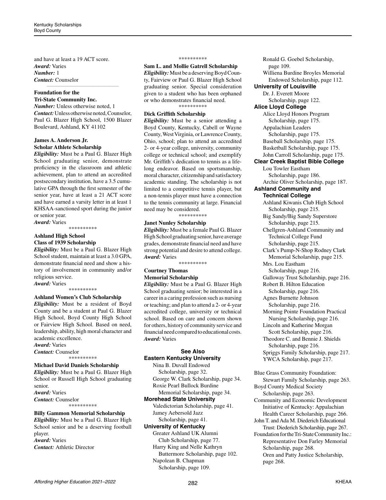and have at least a 19 ACT score. *Award:* Varies *Number:* 1 *Contact:* Counselor

#### **Foundation for the Tri-State Community Inc.**

*Number:* Unless otherwise noted, 1 *Contact:* Unless otherwise noted, Counselor, Paul G. Blazer High School, 1500 Blazer Boulevard, Ashland, KY 41102

*\_\_\_\_\_\_\_\_\_\_\_\_\_\_\_\_\_\_\_\_\_\_\_\_\_\_\_\_\_\_\_\_\_\_\_\_\_\_\_\_\_\_\_\_*

# **James A. Anderson Jr. Scholar Athlete Scholarship**

*Eligibility:* Must be a Paul G. Blazer High School graduating senior, demonstrate proficiency in the classroom and athletic achievement, plan to attend an accredited postsecondary institution, have a 3.5 cumulative GPA through the first semester of the senior year, have at least a 21 ACT score and have earned a varsity letter in at least 1 KHSAA-sanctioned sport during the junior or senior year. *Award:* Varies

\*\*\*\*\*\*\*\*\*\*

# **Ashland High School**

# **Class of 1939 Scholarship**

*Eligibility:* Must be a Paul G. Blazer High School student, maintain at least a 3.0 GPA, demonstrate financial need and show a history of involvement in community and/or religious service.

*Award:* Varies \*\*\*\*\*\*\*\*\*\*

#### **Ashland Women's Club Scholarship**

*Eligibility:* Must be a resident of Boyd County and be a student at Paul G. Blazer High School, Boyd County High School or Fairview High School. Based on need, leadership, ability, high moral character and academic excellence.

*Award:* Varies *Contact:* Counselor \*\*\*\*\*\*\*\*\*\*

#### **Michael David Daniels Scholarship**

*Eligibility:* Must be a Paul G. Blazer High School or Russell High School graduating senior. *Award:* Varies *Contact:* Counselor \*\*\*\*\*\*\*\*\*\*

# **Billy Gammon Memorial Scholarship**

*Eligibility:* Must be a Paul G. Blazer High School senior and be a deserving football player. *Award:* Varies *Contact:* Athletic Director

#### \*\*\*\*\*\*\*\*\*\*

**Sam L. and Mollie Gatrell Scholarship** *Eligibility:* Must be a deserving Boyd County, Fairview or Paul G. Blazer High School graduating senior. Special consideration given to a student who has been orphaned or who demonstrates financial need. \*\*\*\*\*\*\*\*\*\*

# **Dick Griffith Scholarship**

*Eligibility:* Must be a senior attending a Boyd County, Kentucky, Cabell or Wayne County, West Virginia, or Lawrence County, Ohio, school; plan to attend an accredited 2- or 4-year college, university, community college or technical school; and exemplify Mr. Griffith's dedication to tennis as a lifelong endeavor. Based on sportsmanship, moral character, citizenship and satisfactory academic standing. The scholarship is not limited to a competitive tennis player, but a non-tennis player must have a connection to the tennis community at large. Financial need may be considered.

\*\*\*\*\*\*\*\*\*\*

### **Janet Nunley Scholarship**

*Eligibility:* Must be a female Paul G. Blazer High School graduating senior, have average grades, demonstrate financial need and have strong potential and desire to attend college. *Award:* Varies

\*\*\*\*\*\*\*\*\*\*

# **Courtney Thomas Memorial Scholarship**

*Eligibility:* Must be a Paul G. Blazer High School graduating senior; be interested in a career in a caring profession such as nursing or teaching; and plan to attend a 2- or 4-year accredited college, university or technical school. Based on care and concern shown for others, history of community service and financial need compared to educational costs. *Award:* Varies

# **See Also Eastern Kentucky University**

Nina B. Duvall Endowed Scholarship, page 32. George W. Clark Scholarship, page 34. Roxie Pearl Bullock Burdine Memorial Scholarship, page 34.

# **Morehead State University**

Valedictorian Scholarship, page 41. Jamey Aebersold Jazz Scholarship, page 41.

#### **University of Kentucky**

Greater Ashland UK Alumni Club Scholarship, page 77. Harry King and Nelle Kathryn Buttermore Scholarship, page 102. Napolean B. Chapman Scholarship, page 109.

Ronald G. Goebel Scholarship, page 109. Williena Burdine Broyles Memorial Endowed Scholarship, page 112. **University of Louisville** Dr. J. Everett Moore Scholarship, page 122. **Alice Lloyd College** Alice Lloyd Honors Program Scholarship, page 175. Appalachian Leaders Scholarship, page 175. Baseball Scholarship, page 175. Basketball Scholarship, page 175. John Carroll Scholarship, page 175. **Clear Creek Baptist Bible College** Lou Towler Eastham Scholarship, page 186. Archie Oliver Scholarship, page 187. **Ashland Community and Technical College** Ashland Kiwanis Club High School Scholarship, page 215. Big Sandy/Big Sandy Superstore Scholarship, page 215. Chellgren-Ashland Community and Technical College Fund Scholarship, page 215. Clark's Pump-N-Shop Rodney Clark Memorial Scholarship, page 215. Mrs. Lou Eastham Scholarship, page 216. Galloway Trust Scholarship, page 216. Robert B. Hilton Education Scholarship, page 216. Agnes Burnette Johnson Scholarship, page 216. Morning Pointe Foundation Practical Nursing Scholarship, page 216. Lincoln and Katherine Morgan Scott Scholarship, page 216. Theodore C. and Bennie J. Shields Scholarship, page 216. Spriggs Family Scholarship, page 217. YWCA Scholarship, page 217.

Blue Grass Community Foundation: Stewart Family Scholarship, page 263. Boyd County Medical Society Scholarship, page 263. Community and Economic Development Initiative of Kentucky: Appalachian Health Career Scholarship, page 266. John T. and Ada M. Diederich Educational Trust: Diederich Scholarship, page 267. Foundation for the Tri-State Community Inc.: Representative Don Farley Memorial Scholarship, page 268. Oren and Patty Justice Scholarship, page 268.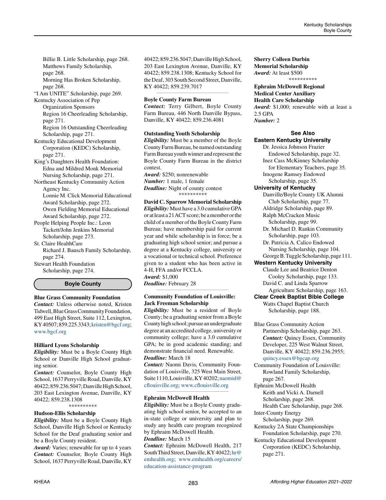Billie B. Little Scholarship, page 268. Matthews Family Scholarship, page 268. Morning Has Broken Scholarship,

page 268.

"I Am UNITE" Scholarship, page 269.

Kentucky Association of Pep Organization Sponsors Region 16 Cheerleading Scholarship, page 271.

Region 16 Outstanding Cheerleading Scholarship, page 271.

Kentucky Educational Development Corporation (KEDC) Scholarship, page 271.

King's Daughters Health Foundation: Edna and Mildred Monk Memorial Nursing Scholarship, page 271.

Northeast Kentucky Community Action Agency Inc.

Lonnie M. Click Memorial Educational Award Scholarship, page 272. Owen Fielding Memorial Educational Award Scholarship, page 272.

People Helping People Inc.: Leon Tackett/John Jenkins Memorial Scholarship, page 273.

St. Claire HealthCare Richard J. Bausch Family Scholarship, page 274.

Stewart Health Foundation Scholarship, page 274.

### **Boyle County**

#### **Blue Grass Community Foundation**

*Contact:* Unless otherwise noted, Kristen Tidwell, Blue Grass Community Foundation, 499 East High Street, Suite 112, Lexington, KY 40507; 859.225.3343; [kristen@bgcf.org](mailto:kristen%40bgcf.org?subject=); [www.bgcf.org](http://www.bgcf.org)

### **Hilliard Lyons Scholarship**

*Eligibility:* Must be a Boyle County High School or Danville High School graduating senior.

*Contact:* Counselor, Boyle County High School, 1637 Perryville Road, Danville, KY 40422; 859.236.5047; Danville High School, 203 East Lexington Avenue, Danville, KY 40422; 859.238.1308

\*\*\*\*\*\*\*\*\*\*

# **Hudson-Ellis Scholarship**

*Eligibility:* Must be a Boyle County High School, Danville High School or Kentucky School for the Deaf graduating senior and be a Boyle County resident.

*Award:* Varies; renewable for up to 4 years *Contact:* Counselor, Boyle County High School, 1637 Perryville Road, Danville, KY 40422; 859.236.5047; Danville High School, 203 East Lexington Avenue, Danville, KY 40422; 859.238.1308; Kentucky School for the Deaf, 303 South Second Street, Danville, KY 40422; 859.239.7017

*\_\_\_\_\_\_\_\_\_\_\_\_\_\_\_\_\_\_\_\_\_\_\_\_\_\_\_\_\_\_\_\_\_\_\_\_\_\_\_\_\_\_\_\_*

#### **Boyle County Farm Bureau**

*Contact:* Terry Gilbert, Boyle County Farm Bureau, 446 North Danville Bypass, Danville, KY 40422; 859.236.4081

#### **Outstanding Youth Scholarship**

*Eligibility:* Must be a member of the Boyle County Farm Bureau, be named outstanding Farm Bureau youth winner and represent the Boyle County Farm Bureau in the district contest.

*Award:* \$250; nonrenewable *Number:* 1 male, 1 female *Deadline:* Night of county contest \*\*\*\*\*\*\*\*\*\*

**David C. Sparrow Memorial Scholarship** *Eligibility:* Must have a 3.0 cumulative GPA or at least a 21 ACT score; be a member or the child of a member of the Boyle County Farm Bureau; have membership paid for current year and while scholarship is in force; be a graduating high school senior; and pursue a degree at a Kentucky college, university or a vocational or technical school. Preference given to a student who has been active in 4-H, FFA and/or FCCLA. *Award:* \$1,000 *Deadline:* February 28

### **Community Foundation of Louisville: Jack Freeman Scholarship**

*\_\_\_\_\_\_\_\_\_\_\_\_\_\_\_\_\_\_\_\_\_\_\_\_\_\_\_\_\_\_\_\_\_\_\_\_\_\_\_\_\_\_\_\_*

*Eligibility:* Must be a resident of Boyle County; be a graduating senior from a Boyle County high school; pursue an undergraduate degree at an accredited college, university or community college; have a 3.0 cumulative GPA; be in good academic standing; and demonstrate financial need. Renewable.

#### *Deadline:* March 18

*Contact:* Naomi Davis, Community Foundation of Louisville, 325 West Main Street, Suite 1110, Louisville, KY 40202; [naomid@](mailto:naomid%40cflouisville.org?subject=) [cflouisville.org;](mailto:naomid%40cflouisville.org?subject=) [www.cflouisville.org](http://www.cflouisville.org)

*\_\_\_\_\_\_\_\_\_\_\_\_\_\_\_\_\_\_\_\_\_\_\_\_\_\_\_\_\_\_\_\_\_\_\_\_\_\_\_\_\_\_\_\_*

### **Ephraim McDowell Health**

*Eligibility:* Must be a Boyle County graduating high school senior, be accepted to an in-state college or university and plan to study any health care program recognized by Ephraim McDowell Health. *Deadline:* March 15

*Contact:* Ephraim McDowell Health, 217 South Third Street, Danville, KY 40422; [hr@](mailto:hr%40emhealth.org?subject=) [emhealth.org](mailto:hr%40emhealth.org?subject=); [www.emhealth.org/careers/](http://www.emhealth.org/careers/education-assistance-program) [education-assistance-program](http://www.emhealth.org/careers/education-assistance-program)

#### **Sherry Colleen Durbin Memorial Scholarship** *Award:* At least \$500

\*\*\*\*\*\*\*\*\*\*

#### **Ephraim McDowell Regional Medical Center Auxiliary Health Care Scholarship** *Award:* \$1,000; renewable with at least a 2.5 GPA

*Number:* 2

# **See Also**

# **Eastern Kentucky University**

Dr. Jessica Johnson Frazier Endowed Scholarship, page 32. Inez Cass McKinney Scholarship for Elementary Teachers, page 35. Imogene Ramsey Endowed Scholarship, page 35. **University of Kentucky** Danville/Boyle County UK Alumni Club Scholarship, page 77. Aldridge Scholarship, page 89. Ralph McCracken Music Scholarship, page 99. Dr. Michael D. Rankin Community Scholarship, page 103. Dr. Patricia A. Calico Endowed Nursing Scholarship, page 104. George B. Tuggle Scholarship, page 111.

# **Western Kentucky University**

Claude Lee and Beatrice Denton Cooley Scholarship, page 133. David C. and Linda Sparrow

# Agriculture Scholarship, page 163. **Clear Creek Baptist Bible College** Watts Chapel Baptist Church

Scholarship, page 188.

Blue Grass Community Action Partnership Scholarship, page 263. *Contact:* Quincy Essex, Community Developer, 225 West Walnut Street, Danville, KY 40422; 859.236.2955;

#### [quincy.essex@bgcap.org](mailto:quincy.essex%40bgcap.org?subject=)

Community Foundation of Louisville: Rowland Family Scholarship, page 267. Ephraim McDowell Health Keith and Vicki A. Darnell Scholarship, page 268. Health Care Scholarship, page 268.

Inter-County Energy

Scholarship, page 269.

Kentucky 2A State Championships Foundation Scholarship, page 270.

Kentucky Educational Development Corporation (KEDC) Scholarship, page 271.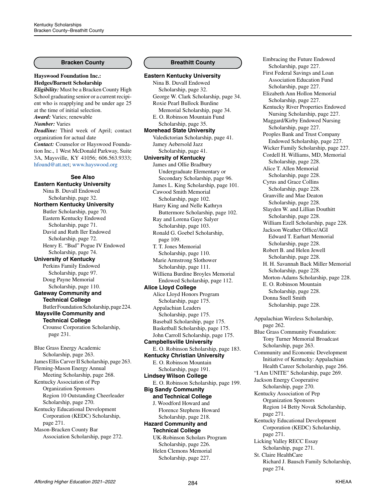### **Bracken County**

**Hayswood Foundation Inc.: Hedges/Barnett Scholarship** *Eligibility:* Must be a Bracken County High School graduating senior or a current recipient who is reapplying and be under age 25 at the time of initial selection. *Award:* Varies; renewable *Number:* Varies *Deadline:* Third week of April; contact organization for actual date *Contact:* Counselor or Hayswood Foundation Inc., 1 West McDonald Parkway, Suite 3A, Maysville, KY 41056; 606.563.9333; [hfound@att.net](mailto:hfound%40att.net?subject=); [www.hayswood.org](http://www.hayswood.org) **See Also Eastern Kentucky University** Nina B. Duvall Endowed Scholarship, page 32. **Northern Kentucky University** Butler Scholarship, page 70. Eastern Kentucky Endowed Scholarship, page 71. David and Ruth Iler Endowed Scholarship, page 72. Henry E. "Bud" Pogue IV Endowed Scholarship, page 74. **University of Kentucky** Perkins Family Endowed Scholarship, page 97. Doug Payne Memorial Scholarship, page 110. **Gateway Community and Technical College** Butler Foundation Scholarship, page 224. **Maysville Community and Technical College** Crounse Corporation Scholarship, page 231. Blue Grass Energy Academic Scholarship, page 263. James Ellis Carver II Scholarship, page 263. Fleming-Mason Energy Annual

Meeting Scholarship, page 268. Kentucky Association of Pep Organization Sponsors Region 10 Outstanding Cheerleader Scholarship, page 270.

Kentucky Educational Development Corporation (KEDC) Scholarship, page 271. Mason-Bracken County Bar

Association Scholarship, page 272.

### **Breathitt County**

**Eastern Kentucky University** Nina B. Duvall Endowed Scholarship, page 32. George W. Clark Scholarship, page 34. Roxie Pearl Bullock Burdine Memorial Scholarship, page 34. E. O. Robinson Mountain Fund Scholarship, page 35. **Morehead State University** Valedictorian Scholarship, page 41. Jamey Aebersold Jazz Scholarship, page 41. **University of Kentucky** James and Ollie Bradbury Undergraduate Elementary or Secondary Scholarship, page 96. James L. King Scholarship, page 101. Cawood Smith Memorial Scholarship, page 102. Harry King and Nelle Kathryn Buttermore Scholarship, page 102. Ray and Lorena Gaye Salyer Scholarship, page 103. Ronald G. Goebel Scholarship, page 109. T. T. Jones Memorial Scholarship, page 110. Marie Armstrong Slothower Scholarship, page 111. Williena Burdine Broyles Memorial Endowed Scholarship, page 112. **Alice Lloyd College** Alice Lloyd Honors Program Scholarship, page 175. Appalachian Leaders Scholarship, page 175. Baseball Scholarship, page 175. Basketball Scholarship, page 175. John Carroll Scholarship, page 175. **Campbellsville University** E. O. Robinson Scholarship, page 183. **Kentucky Christian University** E. O. Robinson Mountain Scholarship, page 191. **Lindsey Wilson College** E. O. Robinson Scholarship, page 199. **Big Sandy Community and Technical College** J. Woodford Howard and Florence Stephens Howard Scholarship, page 218. **Hazard Community and Technical College** UK-Robinson Scholars Program Scholarship, page 226. Helen Clemons Memorial Scholarship, page 227.

Embracing the Future Endowed Scholarship, page 227. First Federal Savings and Loan Association Education Fund Scholarship, page 227. Elizabeth Ann Hollon Memorial Scholarship, page 227. Kentucky River Properties Endowed Nursing Scholarship, page 227. Maggard/Kirby Endowed Nursing Scholarship, page 227. Peoples Bank and Trust Company Endowed Scholarship, page 227. Wicker Family Scholarship, page 227. Cordell H. Williams, MD, Memorial Scholarship, page 228. Alice T. Allen Memorial Scholarship, page 228. Cyrus and Grace Collins Scholarship, page 228. Granville and Mae Deaton Scholarship, page 228. Slayden W. and Lillian Douthitt Scholarship, page 228. William Ezell Scholarship, page 228. Jackson Weather Office/AGI Edward T. Earhart Memorial Scholarship, page 228. Robert B. and Helen Jewell Scholarship, page 228. H. H. Savannah Back Miller Memorial Scholarship, page 228. Morton-Adams Scholarship, page 228. E. O. Robinson Mountain Scholarship, page 228. Donna Snell Smith Scholarship, page 228. Appalachian Wireless Scholarship, page 262. Blue Grass Community Foundation: Tony Turner Memorial Broadcast Scholarship, page 263. Community and Economic Development Initiative of Kentucky: Appalachian Health Career Scholarship, page 266. "I Am UNITE" Scholarship, page 269. Jackson Energy Cooperative Scholarship, page 270. Kentucky Association of Pep Organization Sponsors Region 14 Betty Novak Scholarship, page 271. Kentucky Educational Development Corporation (KEDC) Scholarship, page 271. Licking Valley RECC Essay Scholarship, page 271. St. Claire HealthCare Richard J. Bausch Family Scholarship,

page 274.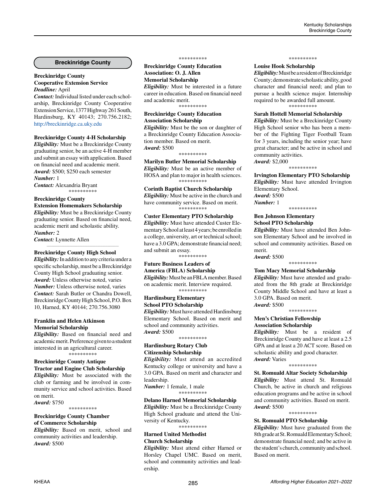#### **Breckinridge County**

#### **Breckinridge County Cooperative Extension Service** *Deadline:* April

*Contact:* Individual listed under each scholarship, Breckinridge County Cooperative Extension Service, 1377 Highway 261 South, Hardinsburg, KY 40143; 270.756.2182; <http://breckinridge.ca.uky.edu>

#### **Breckinridge County 4-H Scholarship**

*Eligibility:* Must be a Breckinridge County graduating senior, be an active 4-H member and submit an essay with application. Based on financial need and academic merit. *Award:* \$500; \$250 each semester *Number:* 1

*Contact:* Alexandria Bryant \*\*\*\*\*\*\*\*\*\*

# **Breckinridge County**

**Extension Homemakers Scholarship** *Eligibility:* Must be a Breckinridge County graduating senior. Based on financial need, academic merit and scholastic ability. *Number:* 2

*\_\_\_\_\_\_\_\_\_\_\_\_\_\_\_\_\_\_\_\_\_\_\_\_\_\_\_\_\_\_\_\_\_\_\_\_\_\_\_\_\_\_\_\_*

*Contact:* Lynnette Allen

#### **Breckinridge County High School**

*Eligibility:* In addition to any criteria under a specific scholarship, must be a Breckinridge County High School graduating senior. *Award:* Unless otherwise noted, varies *Number:* Unless otherwise noted, varies *Contact:* Sarah Butler or Chandra Dowell, Breckinridge County High School, P.O. Box 10, Harned, KY 40144; 270.756.3080

#### **Franklin and Helen Atkinson Memorial Scholarship**

*Eligibility:* Based on financial need and academic merit. Preference given to a student interested in an agricultural career. \*\*\*\*\*\*\*\*\*\*

#### **Breckinridge County Antique Tractor and Engine Club Scholarship**

*Eligibility:* Must be associated with the club or farming and be involved in community service and school activities. Based on merit.

*Award:* \$750 \*\*\*\*\*\*\*\*\*\*

# **Breckinridge County Chamber of Commerce Scholarship**

*Eligibility:* Based on merit, school and community activities and leadership. *Award:* \$500

#### \*\*\*\*\*\*\*\*\*\*

**Breckinridge County Education Association: O. J. Allen Memorial Scholarship** *Eligibility:* Must be interested in a future career in education. Based on financial need and academic merit.

\*\*\*\*\*\*\*\*\*\*

#### **Breckinridge County Education Association Scholarship**

*Eligibility:* Must be the son or daughter of a Breckinridge County Education Association member. Based on merit. *Award:* \$500

\*\*\*\*\*\*\*\*\*\*

**Marilyn Butler Memorial Scholarship** *Eligibility:* Must be an active member of HOSA and plan to major in health sciences. \*\*\*\*\*\*\*\*\*\*

**Corinth Baptist Church Scholarship** *Eligibility:* Must be active in the church and have community service. Based on merit. -<br>\*\*\*\*\*\*\*\*\*\*

#### **Custer Elementary PTO Scholarship** *Eligibility:* Must have attended Custer Elementary School at least 4 years; be enrolled in a college, university, art or technical school; have a 3.0 GPA; demonstrate financial need; and submit an essay.

\*\*\*\*\*\*\*\*\*\*

# **Future Business Leaders of America (FBLA) Scholarship** *Eligibility:* Must be an FBLA member. Based on academic merit. Interview required.

\*\*\*\*\*\*\*\*\*\* **Hardinsburg Elementary School PTO Scholarship**

*Eligibility:* Must have attended Hardinsburg Elementary School. Based on merit and school and community activities. *Award:* \$500

\*\*\*\*\*\*\*\*\*\*

# **Hardinsburg Rotary Club Citizenship Scholarship**

*Eligibility:* Must attend an accredited Kentucky college or university and have a 3.0 GPA. Based on merit and character and leadership.

*Number:* 1 female, 1 male \*\*\*\*\*\*\*\*\*\*

#### **Delano Harned Memorial Scholarship**

*Eligibility:* Must be a Breckinridge County High School graduate and attend the University of Kentucky. \*\*\*\*\*\*\*\*\*\*

**Harned United Methodist** 

# **Church Scholarship**

*Eligibility:* Must attend either Harned or Horsley Chapel UMC. Based on merit, school and community activities and leadership.

#### \*\*\*\*\*\*\*\*\*\*

#### **Louise Hook Scholarship**

*Eligibility:* Must be a resident of Breckinridge County; demonstrate scholastic ability, good character and financial need; and plan to pursue a health science major. Internship required to be awarded full amount. \*\*\*\*\*\*\*\*\*\*

#### **Sarah Hottell Memorial Scholarship**

*Eligibility:* Must be a Breckinridge County High School senior who has been a member of the Fighting Tiger Football Team for 3 years, including the senior year; have great character; and be active in school and community activities. *Award:* \$2,000

\*\*\*\*\*\*\*\*\*\*

**Irvington Elementary PTO Scholarship** *Eligibility:* Must have attended Irvington Elementary School. *Award:* \$500

\*\*\*\*\*\*\*\*\*\*

*Number:* 1

#### **Ben Johnson Elementary School PTO Scholarship**

*Eligibility:* Must have attended Ben Johnson Elementary School and be involved in school and community activities. Based on merit.

*Award:* \$500 \*\*\*\*\*\*\*\*\*\*

**Tom Macy Memorial Scholarship**

*Eligibility:* Must have attended and graduated from the 8th grade at Breckinridge County Middle School and have at least a 3.0 GPA. Based on merit. *Award:* \$500

\*\*\*\*\*\*\*\*\*\*

#### **Men's Christian Fellowship Association Scholarship**

*Eligibility:* Must be a resident of Breckinridge County and have at least a 2.5 GPA and at least a 20 ACT score. Based on scholastic ability and good character. *Award:* Varies

\*\*\*\*\*\*\*\*\*\*

**St. Romuald Altar Society Scholarship** *Eligibility:* Must attend St. Romuald Church, be active in church and religious education programs and be active in school and community activities. Based on merit. *Award:* \$500

\*\*\*\*\*\*\*\*\*\*

### **St. Romuald PTO Scholarship**

*Eligibility:* Must have graduated from the 8th grade at St. Romuald Elementary School; demonstrate financial need; and be active in the student's church, community and school. Based on merit.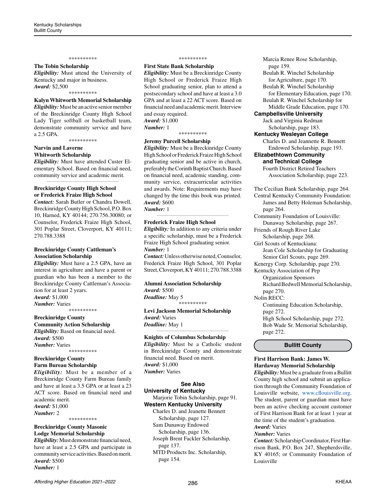#### \*\*\*\*\*\*\*\*\*\*

#### **The Tobin Scholarship**

*Eligibility:* Must attend the University of Kentucky and major in business. *Award:* \$2,500

\*\*\*\*\*\*\*\*\*\*

# **Kalyn Whitworth Memorial Scholarship**

*Eligibility:* Must be an active senior member of the Breckinridge County High School Lady Tiger softball or basketball team, demonstrate community service and have a 2.5 GPA.

\*\*\*\*\*\*\*\*\*\*

#### **Narvin and Laverne Whitworth Scholarship**

*Eligibility:* Must have attended Custer Elementary School. Based on financial need, community service and academic merit. *\_\_\_\_\_\_\_\_\_\_\_\_\_\_\_\_\_\_\_\_\_\_\_\_\_\_\_\_\_\_\_\_\_\_\_\_\_\_\_\_\_\_\_\_*

#### **Breckinridge County High School or Frederick Fraize High School**

*Contact:* Sarah Butler or Chandra Dowell, Breckinridge County High School, P.O. Box 10, Harned, KY 40144; 270.756.30080; or Counselor, Frederick Fraize High School, 301 Poplar Street, Cloverport, KY 40111; 270.788.3388

#### **Breckinridge County Cattleman's Association Scholarship**

*Eligibility:* Must have a 2.5 GPA, have an interest in agriculture and have a parent or guardian who has been a member to the Breckinridge County Cattleman's Association for at least 2 years. *Award:* \$1,000 *Number:* Varies

\*\*\*\*\*\*\*\*\*\*

#### **Breckinridge County Community Action Scholarship** *Eligibility:* Based on financial need. *Award:* \$500 *Number:* Varies

\*\*\*\*\*\*\*\*\*\*

### **Breckinridge County Farm Bureau Scholarship**

*Eligibility:* Must be a member of a Breckinridge County Farm Bureau family and have at least a 3.5 GPA or at least a 23 ACT score. Based on financial need and academic merit. *Award:* \$1,000

*Number:* 2

\*\*\*\*\*\*\*\*\*\*

# **Breckinridge County Masonic Lodge Memorial Scholarship**

*Eligibility:* Must demonstrate financial need, have at least a 2.5 GPA and participate in community service activities. Based on merit. *Award:* \$500 *Number:* 1

#### \*\*\*\*\*\*\*\*\*\*

### **First State Bank Scholarship**

*Eligibility:* Must be a Breckinridge County High School or Frederick Fraize High School graduating senior, plan to attend a postsecondary school and have at least a 3.0 GPA and at least a 22 ACT score. Based on financial need and academic merit. Interview and essay required. *Award:* \$1,000 *Number:* 1

# \*\*\*\*\*\*\*\*\*\*

**Jeremy Purcell Scholarship** *Eligibility:* Must be a Breckinridge County High School or Frederick Fraize High School graduating senior and be active in church, preferably the Corinth Baptist Church. Based on financial need, academic standing, community service, extracurricular activities and awards. Note: Requirements may have changed by the time this book was printed. *Award:* \$600

*Number:* 1

# **Frederick Fraize High School**

*Eligibility:* In addition to any criteria under a specific scholarship, must be a Frederick Fraize High School graduating senior. *Number:* 1

*\_\_\_\_\_\_\_\_\_\_\_\_\_\_\_\_\_\_\_\_\_\_\_\_\_\_\_\_\_\_\_\_\_\_\_\_\_\_\_\_\_\_\_\_*

*Contact:* Unless otherwise noted, Counselor, Frederick Fraize High School, 301 Poplar Street, Cloverport, KY 40111; 270.788.3388

### **Alumni Association Scholarship** *Award:* \$500

*Deadline:* May 5 \*\*\*\*\*\*\*\*\*\*

**Levi Jackson Memorial Scholarship** *Award:* Varies *Deadline:* May 1

#### **Knights of Columbus Scholarship**

*Eligibility:* Must be a Catholic student in Breckinridge County and demonstrate financial need. Based on merit. *Award:* \$1,000 *Number:* Varies

*\_\_\_\_\_\_\_\_\_\_\_\_\_\_\_\_\_\_\_\_\_\_\_\_\_\_\_\_\_\_\_\_\_\_\_\_\_\_\_\_\_\_\_\_*

# **See Also University of Kentucky** Marjorie Tobin Scholarship, page 91. **Western Kentucky University** Charles D. and Jeanette Bennett Scholarship, page 127.

Sam Dunaway Endowed Scholarship, page 136.

Joseph Brent Fackler Scholarship, page 137.

MTD Products Inc. Scholarship, page 154.

Marcia Renee Rose Scholarship, page 159. Beulah R. Winchel Scholarship for Agriculture, page 170. Beulah R. Winchel Scholarship for Elementary Education, page 170. Beulah R. Winchel Scholarship for Middle Grade Education, page 170. **Campbellsville University** Jack and Virginia Redman Scholarship, page 183. **Kentucky Wesleyan College** Charles D. and Jeannette R. Bennett Endowed Scholarship, page 193. **Elizabethtown Community and Technical College** Fourth District Retired Teachers Association Scholarship, page 223. The Cecilian Bank Scholarship, page 264. Central Kentucky Community Foundation:

James and Betty Holeman Scholarship, page 264. Community Foundation of Louisville:

- Dunaway Scholarship, page 267. Friends of Rough River Lake
- Scholarship, page 268.
- Girl Scouts of Kentuckiana:

Jean Cole Scholarship for Graduating Senior Girl Scouts, page 269.

- Kenergy Corp. Scholarship, page 270.
- Kentucky Association of Pep

Organization Sponsors Richard Bedwell Memorial Scholarship,

page 270.

Nolin RECC:

Continuing Education Scholarship, page 272.

High School Scholarship, page 272. Bob Wade Sr. Memorial Scholarship, page 272.

#### **Bullitt County**

#### **First Harrison Bank: James W. Hardaway Memorial Scholarship**

*Eligibility:* Must be a graduate from a Bullitt County high school and submit an application through the Community Foundation of Louisville website, [www.cflouisville.org.](http://www.cflouisville.org) The student, parent or guardian must have been an active checking account customer of First Harrison Bank for at least 1 year at the time of the student's graduation. *Award:* Varies

*Number:* Varies

*Contact:*Scholarship Coordinator, First Harrison Bank, P.O. Box 247, Shepherdsville, KY 40165; or Community Foundation of Louisville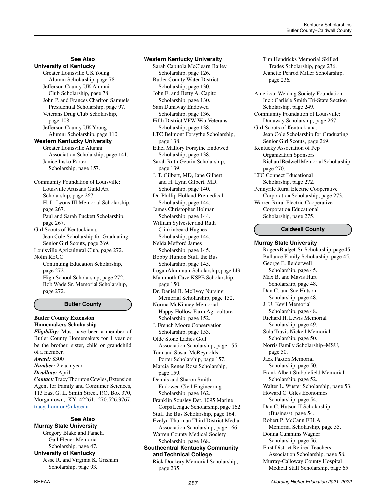# **See Also**

**University of Kentucky** Greater Louisville UK Young Alumni Scholarship, page 78. Jefferson County UK Alumni Club Scholarship, page 78. John P. and Frances Charlton Samuels Presidential Scholarship, page 97. Veterans Drug Club Scholarship, page 108. Jefferson County UK Young Alumni Scholarship, page 110. **Western Kentucky University** Greater Louisville Alumni Association Scholarship, page 141. Janice Insko Porter Scholarship, page 157. Community Foundation of Louisville: Louisville Artisans Guild Art Scholarship, page 267. H. L. Lyons III Memorial Scholarship, page 267. Paul and Sarah Puckett Scholarship, page 267. Girl Scouts of Kentuckiana: Jean Cole Scholarship for Graduating Senior Girl Scouts, page 269. Louisville Agricultural Club, page 272. Nolin RECC: Continuing Education Scholarship, page 272. High School Scholarship, page 272. Bob Wade Sr. Memorial Scholarship, page 272.

# **Butler County**

# **Butler County Extension Homemakers Scholarship**

*Eligibility:* Must have been a member of Butler County Homemakers for 1 year or be the brother, sister, child or grandchild of a member. *Award:* \$300 *Number:* 2 each year *Deadline:* April 1 *Contact:* Tracy Thornton Cowles, Extension Agent for Family and Consumer Sciences,

113 East G. L. Smith Street, P.O. Box 370, Morgantown, KY 42261; 270.526.3767; [tracy.thornton@uky.edu](mailto:tracy.thornton%40uky.edu?subject=)

# **See Also**

**Murray State University** Gregory Blake and Pamela Gail Flener Memorial Scholarship, page 47. **University of Kentucky** Jesse R. and Virginia K. Grisham Scholarship, page 93.

#### **Western Kentucky University**

Sarah Capitola McClearn Bailey Scholarship, page 126. Butler County Water District Scholarship, page 130. John E. and Betty A. Capito Scholarship, page 130. Sam Dunaway Endowed Scholarship, page 136. Fifth District VFW War Veterans Scholarship, page 138. LTC Belmont Forsythe Scholarship, page 138. Ethel Mallory Forsythe Endowed Scholarship, page 138. Sarah Ruth Geurin Scholarship, page 139. J. T. Gilbert, MD, Jane Gilbert and H. Lynn Gilbert, MD, Scholarship, page 140. Dr. Phillip Holland Premedical Scholarship, page 144. James Christopher Holman Scholarship, page 144. William Sylvester and Ruth Clinkinbeard Hughes Scholarship, page 144. Nelda Mefford James Scholarship, page 145. Bobby Hunton Stuff the Bus Scholarship, page 145. Logan Aluminum Scholarship, page 149. Mammoth Cave KSPE Scholarship, page 150. Dr. Daniel B. McIlvoy Nursing Memorial Scholarship, page 152. Norma McKinney Memorial: Happy Hollow Farm Agriculture Scholarship, page 152. J. French Moore Conservation Scholarship, page 153. Olde Stone Ladies Golf Association Scholarship, page 155. Tom and Susan McReynolds Porter Scholarship, page 157. Marcia Renee Rose Scholarship, page 159. Dennis and Sharon Smith Endowed Civil Engineering Scholarship, page 162. Franklin Sousley Det. 1095 Marine Corps League Scholarship, page 162. Stuff the Bus Scholarship, page 164. Evelyn Thurman Third District Media Association Scholarship, page 166. Warren County Medical Society Scholarship, page 168. **Southcentral Kentucky Community and Technical College**

Rick Dockery Memorial Scholarship, page 235.

Tim Hendricks Memorial Skilled Trades Scholarship, page 236. Jeanette Penrod Miller Scholarship, page 236.

- American Welding Society Foundation Inc.: Carlisle Smith Tri-State Section Scholarship, page 249.
- Community Foundation of Louisville: Dunaway Scholarship, page 267.
- Girl Scouts of Kentuckiana: Jean Cole Scholarship for Graduating Senior Girl Scouts, page 269.
- Kentucky Association of Pep Organization Sponsors Richard Bedwell Memorial Scholarship, page 270.
- LTC Connect Educational Scholarship, page 272. Pennyrile Rural Electric Cooperative Corporation Scholarship, page 273. Warren Rural Electric Cooperative Corporation Educational Scholarship, page 275.

#### **Caldwell County**

#### **Murray State University**

Rogers Badgett Sr. Scholarship, page 45. Ballance Family Scholarship, page 45. George E. Beiderwell Scholarship, page 45. Max B. and Mavis Hurt Scholarship, page 48. Dan C. and Sue Hutson Scholarship, page 48. J. U. Kevil Memorial Scholarship, page 48. Richard H. Lewis Memorial Scholarship, page 49. Sula Travis Nickell Memorial Scholarship, page 50. Norris Family Scholarship–MSU, page 50. Jack Paxton Memorial Scholarship, page 50. Frank Albert Stubblefield Memorial Scholarship, page 52. Walter L. Wuster Scholarship, page 53. Howard C. Giles Economics Scholarship, page 54. Dan C. Hutson II Scholarship (Business), page 54. Robert P. McCann FBLA Memorial Scholarship, page 55. Donna Cummins Wagner Scholarship, page 56. First District Retired Teachers Association Scholarship, page 58. Murray-Calloway County Hospital Medical Staff Scholarship, page 65.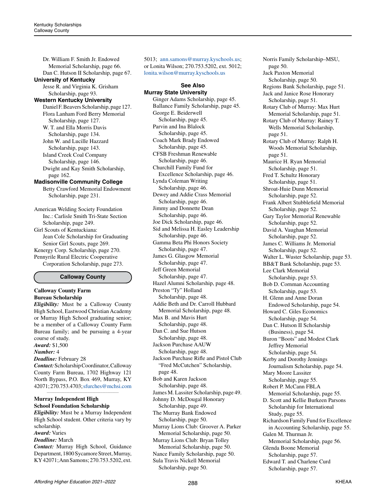Dr. William F. Smith Jr. Endowed Memorial Scholarship, page 66. Dan C. Hutson II Scholarship, page 67.

#### **University of Kentucky**

Jesse R. and Virginia K. Grisham Scholarship, page 93.

#### **Western Kentucky University**

Daniel F. Beavers Scholarship, page 127. Flora Lanham Ford Berry Memorial Scholarship, page 127. W. T. and Ella Morris Davis Scholarship, page 134. John W. and Lucille Hazzard Scholarship, page 143. Island Creek Coal Company Scholarship, page 146. Dwight and Kay Smith Scholarship, page 162.

#### **Madisonville Community College**

Betty Crawford Memorial Endowment Scholarship, page 231.

American Welding Society Foundation Inc.: Carlisle Smith Tri-State Section Scholarship, page 249. Girl Scouts of Kentuckiana: Jean Cole Scholarship for Graduating Senior Girl Scouts, page 269. Kenergy Corp. Scholarship, page 270. Pennyrile Rural Electric Cooperative Corporation Scholarship, page 273.

#### **Calloway County**

### **Calloway County Farm Bureau Scholarship**

*Eligibility:* Must be a Calloway County High School, Eastwood Christian Academy or Murray High School graduating senior; be a member of a Calloway County Farm Bureau family; and be pursuing a 4-year course of study. *Award:* \$1,500

*Number:* 4

# *Deadline:* February 28 *Contact:* Scholarship Coordinator, Calloway

County Farm Bureau, 1702 Highway 121 North Bypass, P.O. Box 469, Murray, KY 42071; 270.753.4703[; sfurches@mchsi.com](mailto:%20sfurches%40mchsi.com?subject=) *\_\_\_\_\_\_\_\_\_\_\_\_\_\_\_\_\_\_\_\_\_\_\_\_\_\_\_\_\_\_\_\_\_\_\_\_\_\_\_\_\_\_\_\_*

### **Murray Independent High School Foundation Scholarship**

*Eligibility:* Must be a Murray Independent High School student. Other criteria vary by scholarship.

- *Award:* Varies
- *Deadline:* March

*Contact:* Murray High School, Guidance Department, 1800 Sycamore Street, Murray, KY 42071; Ann Samons; 270.753.5202, ext. 5013; [ann.samons@murray.kyschools.us;](mailto:ann.samons%40murray.kyschools.us?subject=) or Lonita Wilson; 270.753.5202, ext. 5012; [lonita.wilson@murray.kyschools.us](mailto:lonita.wilson%40murray.kyschools.us?subject=)

**See Also Murray State University** Ginger Adams Scholarship, page 45. Ballance Family Scholarship, page 45. George E. Beiderwell Scholarship, page 45. Parvin and Ina Blalock Scholarship, page 45. Coach Mark Brady Endowed Scholarship, page 45. CFSB Freshman Renewable Scholarship, page 46. Churchill Family Fund for Excellence Scholarship, page 46. Lynda Coleman Writing Scholarship, page 46. Dewey and Addie Crass Memorial Scholarship, page 46. Jimmy and Donnette Dean Scholarship, page 46. Joe Dick Scholarship, page 46. Sid and Melissa H. Easley Leadership Scholarship, page 46. Gamma Beta Phi Honors Society Scholarship, page 47. James G. Glasgow Memorial Scholarship, page 47. Jeff Green Memorial Scholarship, page 47. Hazel Alumni Scholarship, page 48. Preston "Ty" Holland Scholarship, page 48. Addie Beth and Dr. Carroll Hubbard Memorial Scholarship, page 48. Max B. and Mavis Hurt Scholarship, page 48. Dan C. and Sue Hutson Scholarship, page 48. Jackson Purchase AAUW Scholarship, page 48. Jackson Purchase Rifle and Pistol Club "Fred McCutchen" Scholarship, page 48. Bob and Karen Jackson Scholarship, page 48. James M. Lassiter Scholarship, page 49. Johnny D. McDougal Honorary Scholarship, page 49. The Murray Bank Endowed Scholarship, page 50. Murray Lions Club: Groover A. Parker Memorial Scholarship, page 50. Murray Lions Club: Bryan Tolley Memorial Scholarship, page 50. Nance Family Scholarship, page 50. Sula Travis Nickell Memorial Scholarship, page 50.

 page 50. Jack Paxton Memorial Scholarship, page 50. Regions Bank Scholarship, page 51. Jack and Janice Rose Honorary Scholarship, page 51. Rotary Club of Murray: Max Hurt Memorial Scholarship, page 51. Rotary Club of Murray: Rainey T. Wells Memorial Scholarship, page 51. Rotary Club of Murray: Ralph H. Woods Memorial Scholarship, page 51. Maurice H. Ryan Memorial Scholarship, page 51. Fred T. Schultz Honorary Scholarship, page 51. Shroat-Huie Dunn Memorial Scholarship, page 52. Frank Albert Stubblefield Memorial Scholarship, page 52. Gary Taylor Memorial Renewable Scholarship, page 52. David A. Vaughan Memorial Scholarship, page 52. James C. Williams Jr. Memorial Scholarship, page 52. Walter L. Wuster Scholarship, page 53. BB&T Bank Scholarship, page 53. Lee Clark Memorial Scholarship, page 53. Bob D. Cornman Accounting Scholarship, page 53. H. Glenn and Anne Doran Endowed Scholarship, page 54. Howard C. Giles Economics Scholarship, page 54. Dan C. Hutson II Scholarship (Business), page 54. Buron "Boots" and Modest Clark Jeffrey Memorial Scholarship, page 54. Kerby and Dorothy Jennings Journalism Scholarship, page 54. Mary Moore Lassiter Scholarship, page 55. Robert P. McCann FBLA Memorial Scholarship, page 55. D. Scott and Kellie Burkeen Parsons Scholarship for International Study, page 55. Richardson Family Fund for Excellence in Accounting Scholarship, page 55. Galen M. Thurman Jr. Memorial Scholarship, page 56. Glenda Boone Memorial Scholarship, page 57. Edward T. and Charlene Curd Scholarship, page 57.

Norris Family Scholarship–MSU,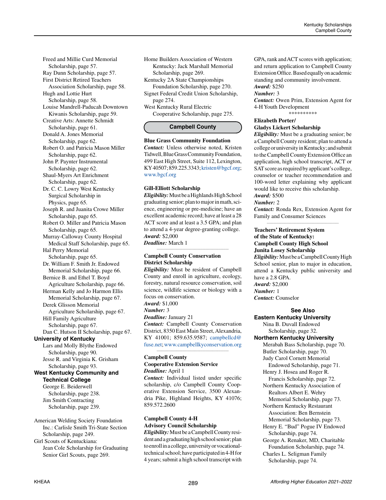Freed and Millie Curd Memorial Scholarship, page 57. Ray Dunn Scholarship, page 57. First District Retired Teachers Association Scholarship, page 58. Hugh and Lottie Hurt Scholarship, page 58. Louise Mandrell-Paducah Downtown Kiwanis Scholarship, page 59. Creative Arts: Annette Schmidt Scholarship, page 61. Donald A. Jones Memorial Scholarship, page 62. Robert O. and Patricia Mason Miller Scholarship, page 62. John P. Paynter Instrumental Scholarship, page 62. Shaul-Myers Art Enrichment Scholarship, page 62. Dr. C. C. Lowry West Kentucky Surgical Scholarship in Physics, page 65. Joseph R. and Juanita Crowe Miller Scholarship, page 65. Robert O. Miller and Patricia Mason Scholarship, page 65. Murray-Calloway County Hospital Medical Staff Scholarship, page 65. Hal Perry Memorial Scholarship, page 65. Dr. William F. Smith Jr. Endowed Memorial Scholarship, page 66. Bernice B. and Ethel T. Boyd Agriculture Scholarship, page 66. Herman Kelly and Jo Harmon Ellis Memorial Scholarship, page 67. Derek Glisson Memorial Agriculture Scholarship, page 67. Hill Family Agriculture Scholarship, page 67. Dan C. Hutson II Scholarship, page 67. **University of Kentucky** Lars and Molly Blythe Endowed Scholarship, page 90. Jesse R. and Virginia K. Grisham Scholarship, page 93. **West Kentucky Community and Technical College** George E. Beiderwell Scholarship, page 238. Jim Smith Contracting Scholarship, page 239.

American Welding Society Foundation Inc.: Carlisle Smith Tri-State Section Scholarship, page 249.

Girl Scouts of Kentuckiana: Jean Cole Scholarship for Graduating Senior Girl Scouts, page 269.

Home Builders Association of Western Kentucky: Jack Marshall Memorial Scholarship, page 269.

Kentucky 2A State Championships Foundation Scholarship, page 270. Signet Federal Credit Union Scholarship,

page 274. West Kentucky Rural Electric Cooperative Scholarship, page 275.

# **Campbell County**

#### **Blue Grass Community Foundation**

*Contact:* Unless otherwise noted, Kristen Tidwell, Blue Grass Community Foundation, 499 East High Street, Suite 112, Lexington, KY 40507; 859.225.3343; [kristen@bgcf.org;](mailto:kristen%40bgcf.org?subject=) [www.bgcf.org](http://www.bgcf.org)

#### **Gill-Elliott Scholarship**

*Eligibility:* Must be a Highlands High School graduating senior; plan to major in math, science, engineering or pre-medicine; have an excellent academic record; have at least a 28 ACT score and at least a 3.5 GPA; and plan to attend a 4-year degree-granting college. *Award:* \$2,000

*Deadline:* March 1 *\_\_\_\_\_\_\_\_\_\_\_\_\_\_\_\_\_\_\_\_\_\_\_\_\_\_\_\_\_\_\_\_\_\_\_\_\_\_\_\_\_\_\_\_*

#### **Campbell County Conservation District Scholarship**

*Eligibility:* Must be resident of Campbell County and enroll in agriculture, ecology, forestry, natural resource conservation, soil science, wildlife science or biology with a focus on conservation. *Award:* \$1,000

*Number:* 3

*Deadline:* January 21 *Contact:* Campbell County Conservation District, 8350 East Main Street, Alexandria, KY 41001; 859.635.9587; [campbellcd@](mailto:campbellcd%40fuse.net?subject=) [fuse.net;](mailto:campbellcd%40fuse.net?subject=) [www.campbellkyconservation.org](http://www.campbellkyconservation.org)

*\_\_\_\_\_\_\_\_\_\_\_\_\_\_\_\_\_\_\_\_\_\_\_\_\_\_\_\_\_\_\_\_\_\_\_\_\_\_\_\_\_\_\_\_*

### **Campbell County Cooperative Extension Service** *Deadline:* April 1

*Contact:* Individual listed under specific scholarship, c/o Campbell County Cooperative Extension Service, 3500 Alexandria Pike, Highland Heights, KY 41076; 859.572.2600

### **Campbell County 4-H Advisory Council Scholarship**

*Eligibility:* Must be a Campbell County resident and a graduating high school senior; plan to enroll in a college, university or vocationaltechnical school; have participated in 4-H for 4 years; submit a high school transcript with GPA, rank and ACT scores with application; and return application to Campbell County Extension Office. Based equally on academic standing and community involvement. *Award:* \$250

# *Number:* 3

*Contact:* Owen Prim, Extension Agent for 4-H Youth Development \*\*\*\*\*\*\*\*\*\*

# **Elizabeth Porter/ Gladys Lickert Scholarship**

*Eligibility:* Must be a graduating senior; be a Campbell County resident; plan to attend a college or university in Kentucky; and submit to the Campbell County Extension Office an application, high school transcript, ACT or SAT score as required by applicant's college, counselor or teacher recommendation and 100-word letter explaining why applicant would like to receive this scholarship. *Award:* \$500

#### *Number:* 2

*Contact:* Ronda Rex, Extension Agent for Family and Consumer Sciences *\_\_\_\_\_\_\_\_\_\_\_\_\_\_\_\_\_\_\_\_\_\_\_\_\_\_\_\_\_\_\_\_\_\_\_\_\_\_\_\_\_\_\_\_*

#### **Teachers' Retirement System of the State of Kentucky: Campbell County High School Junita Losey Scholarship**

*Eligibility:* Must be a Campbell County High School senior, plan to major in education, attend a Kentucky public university and have a 2.8 GPA.

*Award:* \$2,000

*Number:* 1 *Contact:* Counselor

# **See Also**

**Eastern Kentucky University** Nina B. Duvall Endowed Scholarship, page 32. **Northern Kentucky University** Merabah Bass Scholarship, page 70. Butler Scholarship, page 70. Judy Carol Cornett Memorial Endowed Scholarship, page 71. Henry J. Hosea and Roger R. Francis Scholarship, page 72. Northern Kentucky Association of Realtors Albert E. Wehry Memorial Scholarship, page 73. Northern Kentucky Restaurant Association: Ben Bernstein Memorial Scholarship, page 73. Henry E. "Bud" Pogue IV Endowed Scholarship, page 74. George A. Renaker, MD, Charitable Foundation Scholarship, page 74. Charles L. Seligman Family Scholarship, page 74.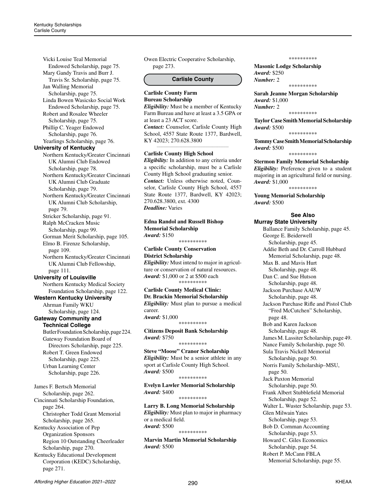Vicki Louise Teal Memorial Endowed Scholarship, page 75. Mary Gandy Travis and Burr J. Travis Sr. Scholarship, page 75. Jan Walling Memorial Scholarship, page 75. Linda Bowen Wasicsko Social Work Endowed Scholarship, page 75. Robert and Rosalee Wheeler Scholarship, page 75. Phillip C. Yeager Endowed Scholarship, page 76. Yearlings Scholarship, page 76. **University of Kentucky** Northern Kentucky/Greater Cincinnati UK Alumni Club Endowed Scholarship, page 78. Northern Kentucky/Greater Cincinnati UK Alumni Club Graduate Scholarship, page 79. Northern Kentucky/Greater Cincinnati UK Alumni Club Scholarship, page 79. Stricker Scholarship, page 91. Ralph McCracken Music Scholarship, page 99. Gorman Merit Scholarship, page 105. Elmo B. Firenze Scholarship, page 109. Northern Kentucky/Greater Cincinnati UK Alumni Club Fellowship, page 111. **University of Louisville** Northern Kentucky Medical Society Foundation Scholarship, page 122. **Western Kentucky University** Ahrman Family WKU Scholarship, page 124. **Gateway Community and Technical College** Butler Foundation Scholarship, page 224. Gateway Foundation Board of Directors Scholarship, page 225. Robert T. Green Endowed Scholarship, page 225. Urban Learning Center Scholarship, page 226. James F. Bertsch Memorial Scholarship, page 262. Cincinnati Scholarship Foundation, page 264. Christopher Todd Grant Memorial Scholarship, page 265. Kentucky Association of Pep Organization Sponsors Region 10 Outstanding Cheerleader Scholarship, page 270.

Kentucky Educational Development Corporation (KEDC) Scholarship, page 271.

Owen Electric Cooperative Scholarship, page 273.

#### **Carlisle County**

#### **Carlisle County Farm Bureau Scholarship**

*Eligibility:* Must be a member of Kentucky Farm Bureau and have at least a 3.5 GPA or at least a 23 ACT score. *Contact:* Counselor, Carlisle County High School, 4557 State Route 1377, Bardwell, KY 42023; 270.628.3800

*\_\_\_\_\_\_\_\_\_\_\_\_\_\_\_\_\_\_\_\_\_\_\_\_\_\_\_\_\_\_\_\_\_\_\_\_\_\_\_\_\_\_\_\_*

#### **Carlisle County High School**

*Eligibility:* In addition to any criteria under a specific scholarship, must be a Carlisle County High School graduating senior. *Contact:* Unless otherwise noted, Counselor, Carlisle County High School, 4557 State Route 1377, Bardwell, KY 42023; 270.628.3800, ext. 4300 *Deadline:* Varies

**Edna Randol and Russell Bishop Memorial Scholarship** *Award:* \$150

# **Carlisle County Conservation District Scholarship**

*Eligibility:* Must intend to major in agriculture or conservation of natural resources. *Award:* \$1,000 or 2 at \$500 each \*\*\*\*\*\*\*\*\*\*

\*\*\*\*\*\*\*\*\*\*

#### **Carlisle County Medical Clinic: Dr. Brackin Memorial Scholarship** *Eligibility:* Must plan to pursue a medical career. *Award:* \$1,000 \*\*\*\*\*\*\*\*\*\*

**Citizens Deposit Bank Scholarship** *Award:* \$750

\*\*\*\*\*\*\*\*\*\*

#### **Steve "Moose" Cranor Scholarship** *Eligibility:* Must be a senior athlete in any sport at Carlisle County High School. *Award:* \$500

#### \*\*\*\*\*\*\*\*\*\*

**Evelyn Lawler Memorial Scholarship** *Award:* \$400 \*\*\*\*\*\*\*\*\*\*

**Larry B. Long Memorial Scholarship** *Eligibility:* Must plan to major in pharmacy or a medical field. *Award:* \$500 \*\*\*\*\*\*\*\*\*\*

**Marvin Martin Memorial Scholarship** *Award:* \$500

\*\*\*\*\*\*\*\*\*\*

**Masonic Lodge Scholarship** *Award:* \$250 *Number:* 2 \*\*\*\*\*\*\*\*\*\*

**Sarah Jeanne Morgan Scholarship** *Award:* \$1,000 *Number:* 2

\*\*\*\*\*\*\*\*\*\*

**Taylor Case Smith Memorial Scholarship** *Award:* \$500

\*\*\*\*\*\*\*\*\*\*

**Tommy Case Smith Memorial Scholarship** *Award:* \$500

\*\*\*\*\*\*\*\*\*\*

#### **Stermon Family Memorial Scholarship**

*Eligibility:* Preference given to a student majoring in an agricultural field or nursing. *Award:* \$1,000 \*\*\*\*\*\*\*\*\*\*

**Young Memorial Scholarship** *Award:* \$500

### **See Also**

#### **Murray State University**

Ballance Family Scholarship, page 45. George E. Beiderwell Scholarship, page 45. Addie Beth and Dr. Carroll Hubbard Memorial Scholarship, page 48. Max B. and Mavis Hurt Scholarship, page 48. Dan C. and Sue Hutson Scholarship, page 48. Jackson Purchase AAUW Scholarship, page 48. Jackson Purchase Rifle and Pistol Club "Fred McCutchen" Scholarship, page 48. Bob and Karen Jackson Scholarship, page 48. James M. Lassiter Scholarship, page 49. Nance Family Scholarship, page 50. Sula Travis Nickell Memorial Scholarship, page 50. Norris Family Scholarship–MSU, page 50. Jack Paxton Memorial Scholarship, page 50. Frank Albert Stubblefield Memorial Scholarship, page 52. Walter L. Wuster Scholarship, page 53. Glen Milwain Yates Scholarship, page 53. Bob D. Cornman Accounting Scholarship, page 53. Howard C. Giles Economics Scholarship, page 54. Robert P. McCann FBLA Memorial Scholarship, page 55.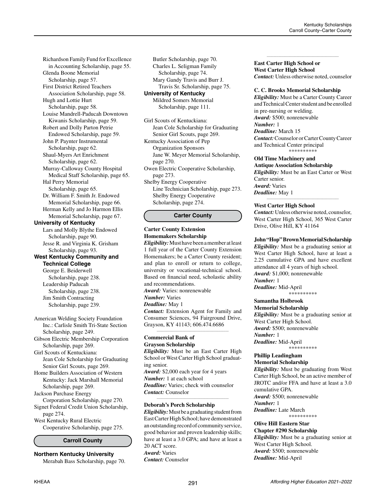Richardson Family Fund for Excellence in Accounting Scholarship, page 55. Glenda Boone Memorial Scholarship, page 57. First District Retired Teachers Association Scholarship, page 58. Hugh and Lottie Hurt Scholarship, page 58. Louise Mandrell-Paducah Downtown Kiwanis Scholarship, page 59. Robert and Dolly Parton Petrie Endowed Scholarship, page 59. John P. Paynter Instrumental Scholarship, page 62. Shaul-Myers Art Enrichment Scholarship, page 62. Murray-Calloway County Hospital Medical Staff Scholarship, page 65. Hal Perry Memorial Scholarship, page 65. Dr. William F. Smith Jr. Endowed Memorial Scholarship, page 66. Herman Kelly and Jo Harmon Ellis Memorial Scholarship, page 67. **University of Kentucky** Lars and Molly Blythe Endowed Scholarship, page 90. Jesse R. and Virginia K. Grisham Scholarship, page 93. **West Kentucky Community and Technical College** George E. Beiderwell Scholarship, page 238. Leadership Paducah Scholarship, page 238. Jim Smith Contracting Scholarship, page 239.

American Welding Society Foundation Inc.: Carlisle Smith Tri-State Section Scholarship, page 249. Gibson Electric Membership Corporation Scholarship, page 269.

Girl Scouts of Kentuckiana: Jean Cole Scholarship for Graduating Senior Girl Scouts, page 269.

Home Builders Association of Western Kentucky: Jack Marshall Memorial Scholarship, page 269.

Jackson Purchase Energy Corporation Scholarship, page 270. Signet Federal Credit Union Scholarship, page 274. West Kentucky Rural Electric

Cooperative Scholarship, page 275.

### **Carroll County**

**Northern Kentucky University** Merabah Bass Scholarship, page 70.

Butler Scholarship, page 70. Charles L. Seligman Family Scholarship, page 74. Mary Gandy Travis and Burr J. Travis Sr. Scholarship, page 75. **University of Kentucky**

> Mildred Somers Memorial Scholarship, page 111.

Girl Scouts of Kentuckiana: Jean Cole Scholarship for Graduating Senior Girl Scouts, page 269. Kentucky Association of Pep Organization Sponsors Jane W. Meyer Memorial Scholarship, page 270. Owen Electric Cooperative Scholarship, page 273.

Shelby Energy Cooperative Line Technician Scholarship, page 273. Shelby Energy Cooperative Scholarship, page 274.

#### **Carter County**

# **Carter County Extension Homemakers Scholarship**

*Eligibility:* Must have been a member at least 1 full year of the Carter County Extension Homemakers; be a Carter County resident; and plan to enroll or return to college, university or vocational-technical school. Based on financial need, scholastic ability and recommendations.

*Award:* Varies: nonrenewable

# *Number:* Varies

*Deadline:* May 1 *Contact:* Extension Agent for Family and Consumer Sciences, 94 Fairground Drive, Grayson, KY 41143; 606.474.6686

*\_\_\_\_\_\_\_\_\_\_\_\_\_\_\_\_\_\_\_\_\_\_\_\_\_\_\_\_\_\_\_\_\_\_\_\_\_\_\_\_\_\_\_\_*

#### **Commercial Bank of Grayson Scholarship**

*Eligibility:* Must be an East Carter High School or West Carter High School graduating senior. *Award:* \$2,000 each year for 4 years *Number:* 1 at each school *Deadline:* Varies; check with counselor *Contact:* Counselor

*\_\_\_\_\_\_\_\_\_\_\_\_\_\_\_\_\_\_\_\_\_\_\_\_\_\_\_\_\_\_\_\_\_\_\_\_\_\_\_\_\_\_\_\_*

# **Deborah's Porch Scholarship**

*Eligibility:* Must be a graduating student from East Carter High School; have demonstrated an outstanding record of community service, good behavior and proven leadership skills; have at least a 3.0 GPA; and have at least a 20 ACT score. *Award:* Varies *Contact:* Counselor

**East Carter High School or West Carter High School** *Contact:* Unless otherwise noted, counselor

*\_\_\_\_\_\_\_\_\_\_\_\_\_\_\_\_\_\_\_\_\_\_\_\_\_\_\_\_\_\_\_\_\_\_\_\_\_\_\_\_\_\_\_\_*

#### **C. C. Brooks Memorial Scholarship**

*Eligibility:* Must be a Carter County Career and Technical Center student and be enrolled in pre-nursing or welding. *Award:* \$500; nonrenewable *Number:* 1 *Deadline:* March 15 *Contact:* Counselor or Carter County Career and Technical Center principal \*\*\*\*\*\*\*\*\*\*

### **Old Time Machinery and**

**Antique Association Scholarship** *Eligibility:* Must be an East Carter or West Carter senior. *Award:* Varies *Deadline:* May 1

#### **West Carter High School**

*Contact:* Unless otherwise noted, counselor, West Carter High School, 365 West Carter Drive, Olive Hill, KY 41164

*\_\_\_\_\_\_\_\_\_\_\_\_\_\_\_\_\_\_\_\_\_\_\_\_\_\_\_\_\_\_\_\_\_\_\_\_\_\_\_\_\_\_\_\_*

#### **John "Hop" Brown Memorial Scholarship**

*Eligibility:* Must be a graduating senior at West Carter High School, have at least a 2.25 cumulative GPA and have excellent attendance all 4 years of high school. *Award:* \$1,000; nonrenewable *Number:* 1 *Deadline:* Mid-April \*\*\*\*\*\*\*\*\*\*

# **Samantha Holbrook**

**Memorial Scholarship** *Eligibility:* Must be a graduating senior at West Carter High School. *Award:* \$500; nonrenewable *Number:* 1 *Deadline:* Mid-April \*\*\*\*\*\*\*\*\*\*

#### **Phillip Leadingham Memorial Scholarship**

*Eligibility:* Must be graduating from West Carter High School, be an active member of JROTC and/or FFA and have at least a 3.0 cumulative GPA. *Award:* \$500; nonrenewable *Number:* 1 *Deadline:* Late March

\*\*\*\*\*\*\*\*\*\* **Olive Hill Eastern Star**

**Chapter #290 Scholarship** *Eligibility:* Must be a graduating senior at West Carter High School. *Award:* \$500; nonrenewable *Deadline:* Mid-April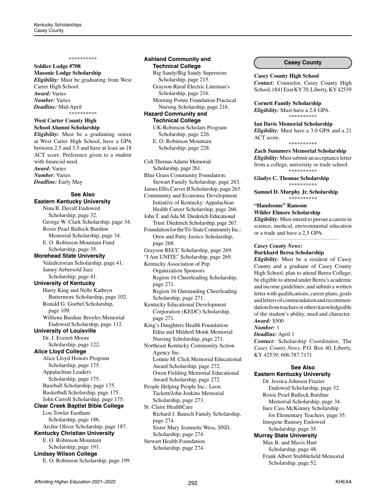#### \*\*\*\*\*\*\*\*\*\*

#### **Soldier Lodge #708 Masonic Lodge Scholarship**

*Eligibility:* Must be graduating from West Carter High School. *Award:* Varies *Number:* Varies *Deadline:* Mid-April \*\*\*\*\*\*\*\*\*\*

### **West Carter County High School Alumni Scholarship**

*Eligibility:* Must be a graduating senior at West Carter High School, have a GPA between 2.5 and 3.5 and have at least an 18 ACT score. Preference given to a student with financial need. *Award:* Varies *Number:* Varies *Deadline:* Early May

#### **See Also Eastern Kentucky University**

Nina B. Duvall Endowed Scholarship, page 32. George W. Clark Scholarship, page 34. Roxie Pearl Bullock Burdine Memorial Scholarship, page 34. E. O. Robinson Mountain Fund Scholarship, page 35. **Morehead State University** Valedictorian Scholarship, page 41. Jamey Aebersold Jazz Scholarship, page 41. **University of Kentucky** Harry King and Nelle Kathryn Buttermore Scholarship, page 102. Ronald G. Goebel Scholarship, page 109. Williena Burdine Broyles Memorial Endowed Scholarship, page 112. **University of Louisville** Dr. J. Everett Moore Scholarship, page 122. **Alice Lloyd College** Alice Lloyd Honors Program Scholarship, page 175. Appalachian Leaders Scholarship, page 175. Baseball Scholarship, page 175. Basketball Scholarship, page 175. John Carroll Scholarship, page 175. **Clear Creek Baptist Bible College** Lou Towler Eastham Scholarship, page 186. Archie Oliver Scholarship, page 187. **Kentucky Christian University** E. O. Robinson Mountain Scholarship, page 191. **Lindsey Wilson College** E. O. Robinson Scholarship, page 199.

#### **Ashland Community and Technical College**

Big Sandy/Big Sandy Superstore Scholarship, page 215. Grayson Rural Electric Lineman's Scholarship, page 216. Morning Pointe Foundation Practical Nursing Scholarship, page 216. **Hazard Community and Technical College** UK-Robinson Scholars Program Scholarship, page 226.

E. O. Robinson Mountain Scholarship, page 228.

Colt Thomas Adams Memorial

Scholarship, page 261. Blue Grass Community Foundation: Stewart Family Scholarship, page 263. James Ellis Carver II Scholarship, page 263. Community and Economic Development Initiative of Kentucky: Appalachian Health Career Scholarship, page 266. John T. and Ada M. Diederich Educational Trust: Diederich Scholarship, page 267. Foundation for the Tri-State Community Inc.: Oren and Patty Justice Scholarship, page 268. Grayson RECC Scholarship, page 269. "I Am UNITE" Scholarship, page 269. Kentucky Association of Pep Organization Sponsors Region 16 Cheerleading Scholarship, page 271. Region 16 Outstanding Cheerleading

Scholarship, page 271. Kentucky Educational Development Corporation (KEDC) Scholarship, page 271.

King's Daughters Health Foundation: Edna and Mildred Monk Memorial Nursing Scholarship, page 271.

Northeast Kentucky Community Action Agency Inc. Lonnie M. Click Memorial Educational Award Scholarship, page 272. Owen Fielding Memorial Educational

Award Scholarship, page 272. People Helping People Inc.: Leon Tackett/John Jenkins Memorial Scholarship, page 273.

St. Claire HealthCare Richard J. Bausch Family Scholarship, page 274. Sister Mary Jeannette Wess, SND, Scholarship, page 274.

Stewart Health Foundation Scholarship, page 274.

### **Casey County**

#### **Casey County High School**

*Contact:* Counselor, Casey County High School, 1841 East KY 70, Liberty, KY 42539

#### **Cornett Family Scholarship**

*Eligibility:* Must have a 2.8 GPA. \*\*\*\*\*\*\*\*\*\*

# **Ian Davis Memorial Scholarship**

*Eligibility:* Must have a 3.0 GPA and a 21 ACT score.

#### \*\*\*\*\*\*\*\*\*\*

**Zach Summers Memorial Scholarship** *Eligibility:* Must submit an acceptance letter from a college, university or trade school. \*\*\*\*\*\*\*\*\*\*

**Gladys C. Thomas Scholarship** \*\*\*\*\*\*\*\*\*\*

**Samuel D. Murphy Jr. Scholarship** \*\*\*\*\*\*\*\*\*\*

#### **"Handsome" Ransom**

**Wilder Elmore Scholarship**

*Eligibility:* Must intend to pursue a career in science, medical, environmental education or a trade and have a 2.5 GPA. *\_\_\_\_\_\_\_\_\_\_\_\_\_\_\_\_\_\_\_\_\_\_\_\_\_\_\_\_\_\_\_\_\_\_\_\_\_\_\_\_\_\_\_\_*

#### *Casey County News***:**

**Burkhard Berea Scholarship**

*Eligibility:* Must be a resident of Casey County and a graduate of Casey County High School; plan to attend Berea College; be eligible to attend under Berea's academic and income guidelines; and submit a written letter with qualifications, career plans, goals and letters of commendation and recommendation from teachers or others knowledgeable of the student's ability, need and character. *Award:* \$500

#### *Number:* 1

*Deadline:* April 1

*Contact:* Scholarship Coordinator, The *Casey County News*, P.O. Box 40, Liberty, KY 42539; 606.787.7171

#### **See Also**

#### **Eastern Kentucky University**

Dr. Jessica Johnson Frazier Endowed Scholarship, page 32. Roxie Pearl Bullock Burdine Memorial Scholarship, page 34. Inez Cass McKinney Scholarship for Elementary Teachers, page 35. Imogene Ramsey Endowed Scholarship, page 35. **Murray State University** Max B. and Mavis Hurt Scholarship, page 48.

Frank Albert Stubblefield Memorial

Scholarship, page 52.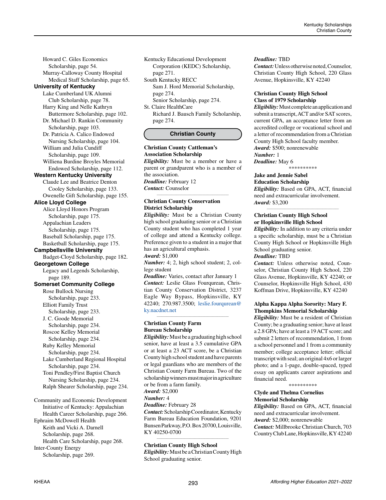Howard C. Giles Economics Scholarship, page 54. Murray-Calloway County Hospital

Medical Staff Scholarship, page 65.

# **University of Kentucky**

Lake Cumberland UK Alumni Club Scholarship, page 78. Harry King and Nelle Kathryn

 Buttermore Scholarship, page 102. Dr. Michael D. Rankin Community

 Scholarship, page 103. Dr. Patricia A. Calico Endowed Nursing Scholarship, page 104. William and Julia Cundiff

 Scholarship, page 109. Williena Burdine Broyles Memorial Endowed Scholarship, page 112.

#### **Western Kentucky University**

Claude Lee and Beatrice Denton Cooley Scholarship, page 133. Owenelle Gift Scholarship, page 155.

### **Alice Lloyd College**

Alice Lloyd Honors Program Scholarship, page 175. Appalachian Leaders Scholarship, page 175. Baseball Scholarship, page 175. Basketball Scholarship, page 175.

**Campbellsville University**

Badget-Cloyd Scholarship, page 182.

**Georgetown College** Legacy and Legends Scholarship, page 189.

**Somerset Community College**

Rose Bullock Nursing Scholarship, page 233. Elliott Family Trust

 Scholarship, page 233. J. C. Goode Memorial

 Scholarship, page 234. Roscoe Kelley Memorial

Scholarship, page 234.

Ruby Kelley Memorial Scholarship, page 234.

Lake Cumberland Regional Hospital Scholarship, page 234.

Toni Pendley/First Baptist Church Nursing Scholarship, page 234. Ralph Shearer Scholarship, page 234.

Community and Economic Development Initiative of Kentucky: Appalachian Health Career Scholarship, page 266. Ephraim McDowell Health Keith and Vicki A. Darnell Scholarship, page 268. Health Care Scholarship, page 268. Inter-County Energy Scholarship, page 269.

Kentucky Educational Development Corporation (KEDC) Scholarship, page 271.

South Kentucky RECC Sam J. Hord Memorial Scholarship, page 274. Senior Scholarship, page 274.

St. Claire HealthCare

Richard J. Bausch Family Scholarship, page 274.

# **Christian County**

#### **Christian County Cattleman's Association Scholarship**

*Eligibility:* Must be a member or have a parent or grandparent who is a member of the association.

*\_\_\_\_\_\_\_\_\_\_\_\_\_\_\_\_\_\_\_\_\_\_\_\_\_\_\_\_\_\_\_\_\_\_\_\_\_\_\_\_\_\_\_\_*

*Deadline:* February 12 *Contact:* Counselor

#### **Christian County Conservation District Scholarship**

*Eligibility:* Must be a Christian County high school graduating senior or a Christian County student who has completed 1 year of college and attend a Kentucky college. Preference given to a student in a major that has an agricultural emphasis. *Award:* \$1,000

*Number:* 4; 2, high school student; 2, college student

*Deadline:* Varies, contact after January 1 *Contact:* Leslie Glass Fourqurean, Christian County Conservation District, 3237 Eagle Way Bypass, Hopkinsville, KY 42240; 270.987.3500; [leslie.fourqurean@](mailto:leslie.fourqurean%40ky.nacdnet.net?subject=) [ky.nacdnet.net](mailto:leslie.fourqurean%40ky.nacdnet.net?subject=) *\_\_\_\_\_\_\_\_\_\_\_\_\_\_\_\_\_\_\_\_\_\_\_\_\_\_\_\_\_\_\_\_\_\_\_\_\_\_\_\_\_\_\_\_*

# **Christian County Farm Bureau Scholarship**

*Eligibility:* Must be a graduating high school senior, have at least a 3.5 cumulative GPA or at least a 23 ACT score, be a Christian County high school student and have parents or legal guardians who are members of the Christian County Farm Bureau. Two of the scholarship winners must major in agriculture or be from a farm family.

*Award:* \$2,000

*Number:* 4

*Deadline:* February 28 *Contact:* Scholarship Coordinator, Kentucky Farm Bureau Education Foundation, 9201 Bunsen Parkway, P.O. Box 20700, Louisville, KY 40250-0700 *\_\_\_\_\_\_\_\_\_\_\_\_\_\_\_\_\_\_\_\_\_\_\_\_\_\_\_\_\_\_\_\_\_\_\_\_\_\_\_\_\_\_\_\_*

**Christian County High School**

*Eligibility:* Must be a Christian County High School graduating senior.

#### *Deadline:* TBD

*Contact:* Unless otherwise noted, Counselor, Christian County High School, 220 Glass Avenue, Hopkinsville, KY 42240

# **Christian County High School Class of 1979 Scholarship**

*Eligibility:* Must complete an application and submit a transcript, ACT and/or SAT scores, current GPA, an acceptance letter from an accredited college or vocational school and a letter of recommendation from a Christian County High School faculty member. *Award:* \$500; nonrenewable *Number:* 1 *Deadline:* May 6

\*\*\*\*\*\*\*\*\*\*

#### **Jake and Jennie Sabel Education Scholarship**

*Eligibility:* Based on GPA, ACT, financial need and extracurricular involvement. *Award:* \$3,200

*\_\_\_\_\_\_\_\_\_\_\_\_\_\_\_\_\_\_\_\_\_\_\_\_\_\_\_\_\_\_\_\_\_\_\_\_\_\_\_\_\_\_\_\_*

#### **Christian County High School or Hopkinsville High School**

*Eligibility:* In addition to any criteria under a specific scholarship, must be a Christian County High School or Hopkinsville High School graduating senior. *Deadline:* TBD

*Contact:* Unless otherwise noted, Counselor, Christian County High School, 220 Glass Avenue, Hopkinsville, KY 42240; or Counselor, Hopkinsville High School, 430 Koffman Drive, Hopkinsville, KY 42240

# **Alpha Kappa Alpha Sorority: Mary F. Thompkins Memorial Scholarship**

*Eligibility:* Must be a resident of Christian County; be a graduating senior; have at least a 2.8 GPA; have at least a 19 ACT score; and submit 2 letters of recommendation, 1 from a school personnel and 1 from a community member; college acceptance letter; official transcript with seal; an original 4x6 or larger photo; and a 1-page, double-spaced, typed essay on applicants career aspirations and financial need.

\*\*\*\*\*\*\*\*\*\*

### **Clyde and Thelma Cornelius Memorial Scholarship**

*Eligibility:* Based on GPA, ACT, financial need and extracurricular involvement. *Award:* \$2,000; nonrenewable *Contact:* Millbrooke Christian Church, 703 Country Club Lane, Hopkinsville, KY 42240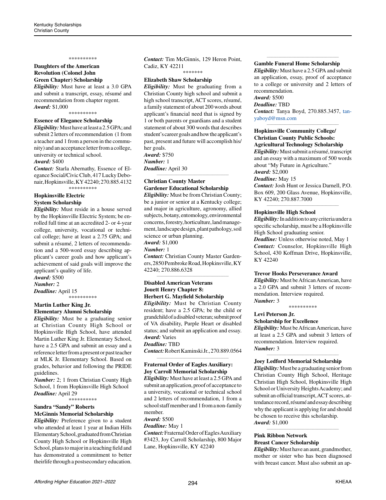#### \*\*\*\*\*\*\*\*\*\*

#### **Daughters of the American Revolution (Colonel John Green Chapter) Scholarship**

*Eligibility:* Must have at least a 3.0 GPA and submit a transcript, essay, résumé and recommendation from chapter regent. *Award:* \$1,000

\*\*\*\*\*\*\*\*\*\*

# **Essence of Elegance Scholarship**

*Eligibility:* Must have at least a 2.5 GPA; and submit 2 letters of recommendation (1 from a teacher and 1 from a person in the community) and an acceptance letter from a college, university or technical school. *Award:* \$400

*Contact:* Starla Abernathy, Essence of Elegance Social/Civic Club, 417 Lucky Debonair, Hopkinsville, KY 42240; 270.885.4132 \*\*\*\*\*\*\*\*\*\*

# **Hopkinsville Electric**

**System Scholarship**

*Eligibility:* Must reside in a house served by the Hopkinsville Electric System; be enrolled full time at an accredited 2- or 4-year college, university, vocational or technical college; have at least a 2.75 GPA; and submit a résumé, 2 letters of recommendation and a 500-word essay describing applicant's career goals and how applicant's achievement of said goals will improve the applicant's quality of life.

*Award:* \$500 *Number:* 2

*Deadline:* April 15 \*\*\*\*\*\*\*\*\*\*

#### **Martin Luther King Jr. Elementary Alumni Scholarship**

*Eligibility:* Must be a graduating senior at Christian County High School or Hopkinsville High School, have attended Martin Luther King Jr. Elementary School, have a 2.5 GPA and submit an essay and a reference letter from a present or past teacher at MLK Jr. Elementary School. Based on grades, behavior and following the PRIDE guidelines.

*Number:* 2; 1 from Christian County High School, 1 from Hopkinsville High School *Deadline:* April 29

\*\*\*\*\*\*\*\*\*\*

#### **Sandra "Sandy" Roberts McGinnis Memorial Scholarship**

*Eligibility:* Preference given to a student who attended at least 1 year at Indian Hills Elementary School, graduated from Christian County High School or Hopkinsville High School, plans to major in a teaching field and has demonstrated a commitment to better theirlife through a postsecondary education. *Contact:* Tim McGinnis, 129 Heron Point, Cadiz, KY 42211

\*\*\*\*\*\*\*

# **Elizabeth Shaw Scholarship**

*Eligibility:* Must be graduating from a Christian County high school and submit a high school transcript, ACT scores, résumé, a family statement of about 200 words about applicant's financial need that is signed by 1 or both parents or guardians and a student statement of about 300 words that describes student's career goals and how the applicant's past, present and future will accomplish his/ her goals. *Award:* \$750 *Number:* 1

*Deadline:* April 30 *\_\_\_\_\_\_\_\_\_\_\_\_\_\_\_\_\_\_\_\_\_\_\_\_\_\_\_\_\_\_\_\_\_\_\_\_\_\_\_\_\_\_\_\_*

# **Christian County Master Gardener Educational Scholarship**

*Eligibility:* Must be from Christian County; be a junior or senior at a Kentucky college; and major in agriculture, agronomy, allied subjects, botany, entomology, environmental concerns, forestry, horticulture, land management, landscape design, plant pathology, soil science or urban planning.

*Award:* \$1,000

*Number:* 1

*Contact:* Christian County Master Gardeners, 2850 Pembroke Road, Hopkinsville, KY 42240; 270.886.6328 *\_\_\_\_\_\_\_\_\_\_\_\_\_\_\_\_\_\_\_\_\_\_\_\_\_\_\_\_\_\_\_\_\_\_\_\_\_\_\_\_\_\_\_\_*

## **Disabled American Veterans Jouett Henry Chapter 8: Herbert G. Mayfield Scholarship**

*Eligibility:* Must be Christian County resident; have a 2.5 GPA; be the child or grandchild of a disabled veteran; submit proof of VA disability, Purple Heart or disabled status; and submit an application and essay. *Award:* Varies *Deadline:* TBD

*Contact:* Robert Kaminski Jr., 270.889.0564 *\_\_\_\_\_\_\_\_\_\_\_\_\_\_\_\_\_\_\_\_\_\_\_\_\_\_\_\_\_\_\_\_\_\_\_\_\_\_\_\_\_\_\_\_*

# **Fraternal Order of Eagles Auxiliary: Joy Carroll Memorial Scholarship**

*Eligibility:* Must have at least a 2.5 GPA and submit an application, proof of acceptance to a university, vocational or technical school and 2 letters of recommendation, 1 from a school staff member and 1 from a non-family member.

*Award:* \$500

*Deadline:* May 1 *Contact:* Fraternal Order of Eagles Auxiliary #3423, Joy Carroll Scholarship, 800 Major Lane, Hopkinsville, KY 42240

#### **Gamble Funeral Home Scholarship**

*Eligibility:* Must have a 2.5 GPA and submit an application, essay, proof of acceptance to a college or university and 2 letters of recommendation.

*\_\_\_\_\_\_\_\_\_\_\_\_\_\_\_\_\_\_\_\_\_\_\_\_\_\_\_\_\_\_\_\_\_\_\_\_\_\_\_\_\_\_\_\_*

# *Award:* \$500

*Deadline:* TBD *Contact:* Tanya Boyd, 270.885.3457, [tan](mailto:tanyaboyd%40msn.com?subject=)[yaboyd@msn.com](mailto:tanyaboyd%40msn.com?subject=) *\_\_\_\_\_\_\_\_\_\_\_\_\_\_\_\_\_\_\_\_\_\_\_\_\_\_\_\_\_\_\_\_\_\_\_\_\_\_\_\_\_\_\_\_*

# **Hopkinsville Community College/ Christian County Public Schools:**

**Agricultural Technology Scholarship** *Eligibility:* Must submit a résumé, transcript and an essay with a maximum of 500 words about "My Future in Agriculture." *Award:* \$2,000

#### *Deadline:* May 15

*Contact:* Josh Hunt or Jessica Darnell, P.O. Box 609, 200 Glass Avenue, Hopkinsville, KY 42240; 270.887.7000 *\_\_\_\_\_\_\_\_\_\_\_\_\_\_\_\_\_\_\_\_\_\_\_\_\_\_\_\_\_\_\_\_\_\_\_\_\_\_\_\_\_\_\_\_*

#### **Hopkinsville High School**

*Eligibility:* In addition to any criteria under a specific scholarship, must be a Hopkinsville High School graduating senior. *Deadline:* Unless otherwise noted, May 1 *Contact:* Counselor, Hopkinsville High School, 430 Koffman Drive, Hopkinsville, KY 42240

#### **Trevor Hooks Perseverance Award**

*Eligibility:* Must be African American, have a 2.0 GPA and submit 3 letters of recommendation. Interview required. *Number:* 3

\*\*\*\*\*\*\*\*\*\*

#### **Levi Peterson Jr.**

**Scholarship for Excellence**

*Eligibility:* Must be African American, have at least a 2.5 GPA and submit 3 letters of recommendation. Interview required. *Number:* 3

*\_\_\_\_\_\_\_\_\_\_\_\_\_\_\_\_\_\_\_\_\_\_\_\_\_\_\_\_\_\_\_\_\_\_\_\_\_\_\_\_\_\_\_\_*

#### **Joey Ledford Memorial Scholarship**

*Eligibility:* Must be a graduating senior from Christian County High School, Heritage Christian High School, Hopkinsville High School or University Heights Academy; and submit an official transcript, ACT scores, attendance record, résumé and essay describing why the applicant is applying for and should be chosen to receive this scholarship. *Award:* \$1,000

#### **Pink Ribbon Network Breast Cancer Scholarship**

*Eligibility:* Must have an aunt, grandmother, mother or sister who has been diagnosed with breast cancer. Must also submit an ap-

*\_\_\_\_\_\_\_\_\_\_\_\_\_\_\_\_\_\_\_\_\_\_\_\_\_\_\_\_\_\_\_\_\_\_\_\_\_\_\_\_\_\_\_\_*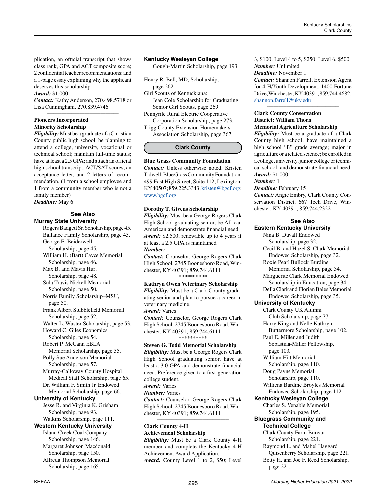plication, an official transcript that shows class rank, GPA and ACT composite score; 2 confidential teacher recommendations; and a 1-page essay explaining why the applicant deserves this scholarship.

# *Award:* \$1,000

*Contact:* Kathy Anderson, 270.498.5718 or Lisa Cunningham, 270.839.4746 *\_\_\_\_\_\_\_\_\_\_\_\_\_\_\_\_\_\_\_\_\_\_\_\_\_\_\_\_\_\_\_\_\_\_\_\_\_\_\_\_\_\_\_\_*

#### **Pioneers Incorporated Minority Scholarship**

*Eligibility:* Must be a graduate of a Christian County public high school; be planning to attend a college, university, vocational or technical school; maintain full-time status; have at least a 2.5 GPA; and attach an official high school transcript, ACT/SAT scores, an acceptance letter, and 2 letters of recommendation. (1 from a school employee and 1 from a community member who is not a family member)

*Deadline:* May 6

### **See Also Murray State University**

Rogers Badgett Sr. Scholarship, page 45. Ballance Family Scholarship, page 45. George E. Beiderwell Scholarship, page 45. William H. (Bart) Cayce Memorial Scholarship, page 46. Max B. and Mavis Hurt Scholarship, page 48. Sula Travis Nickell Memorial Scholarship, page 50. Norris Family Scholarship–MSU, page 50. Frank Albert Stubblefield Memorial Scholarship, page 52. Walter L. Wuster Scholarship, page 53. Howard C. Giles Economics Scholarship, page 54. Robert P. McCann FBLA Memorial Scholarship, page 55. Polly Sue Anderson Memorial Scholarship, page 57. Murray-Calloway County Hospital Medical Staff Scholarship, page 65. Dr. William F. Smith Jr. Endowed Memorial Scholarship, page 66. **University of Kentucky** Jesse R. and Virginia K. Grisham Scholarship, page 93. Watkins Scholarship, page 111. **Western Kentucky University** Island Creek Coal Company Scholarship, page 146. Margaret Johnson Macdonald Scholarship, page 150. Alfreda Thompson Memorial Scholarship, page 165.

### **Kentucky Wesleyan College**

Gough-Martin Scholarship, page 193.

Henry R. Bell, MD, Scholarship, page 262.

Girl Scouts of Kentuckiana: Jean Cole Scholarship for Graduating Senior Girl Scouts, page 269.

Pennyrile Rural Electric Cooperative Corporation Scholarship, page 273. Trigg County Extension Homemakers

Association Scholarship, page 367.

# **Clark County**

**Blue Grass Community Foundation** *Contact:* Unless otherwise noted, Kristen Tidwell, Blue Grass Community Foundation, 499 East High Street, Suite 112, Lexington, KY 40507; 859.225.3343; [kristen@bgcf.org;](mailto:kristen%40bgcf.org?subject=) [www.bgcf.org](http://www.bgcf.org)

# **Dorothy T. Givens Scholarship**

*Eligibility:* Must be a George Rogers Clark High School graduating senior, be African American and demonstrate financial need. *Award:* \$2,500; renewable up to 4 years if at least a 2.5 GPA is maintained *Number:* 1

*Contact:* Counselor, George Rogers Clark High School, 2745 Boonesboro Road, Winchester, KY 40391; 859.744.6111 \*\*\*\*\*\*\*\*\*\*

#### **Kathryn Owen Veterinary Scholarship**

*Eligibility:* Must be a Clark County graduating senior and plan to pursue a career in veterinary medicine. *Award:* Varies

*Contact:* Counselor, George Rogers Clark High School, 2745 Boonesboro Road, Winchester, KY 40391; 859.744.6111 \*\*\*\*\*\*\*\*\*\*

#### **Steven G. Todd Memorial Scholarship**

*Eligibility:* Must be a George Rogers Clark High School graduating senior, have at least a 3.0 GPA and demonstrate financial need. Preference given to a first-generation college student. *Award:* Varies *Number:* Varies

*Contact:* Counselor, George Rogers Clark High School, 2745 Boonesboro Road, Winchester, KY 40391; 859.744.6111 *\_\_\_\_\_\_\_\_\_\_\_\_\_\_\_\_\_\_\_\_\_\_\_\_\_\_\_\_\_\_\_\_\_\_\_\_\_\_\_\_\_\_\_\_*

### **Clark County 4-H Achievement Scholarship**

*Eligibility:* Must be a Clark County 4-H member and complete the Kentucky 4-H Achievement Award Application. *Award:* County Level 1 to 2, \$50; Level 3, \$100; Level 4 to 5, \$250; Level 6, \$500 *Number:* Unlimited *Deadline:* November 1 *Contact:* Shannon Farrell, Extension Agent for 4-H/Youth Development, 1400 Fortune Drive, Winchester, KY 40391; 859.744.4682;

*\_\_\_\_\_\_\_\_\_\_\_\_\_\_\_\_\_\_\_\_\_\_\_\_\_\_\_\_\_\_\_\_\_\_\_\_\_\_\_\_\_\_\_\_*

[shannon.farrell@uky.edu](mailto:shannon.farrell%40uky.edu?subject=)

# **Clark County Conservation District: William Thorn**

#### **Memorial Agriculture Scholarship**

*Eligibility:* Must be a graduate of a Clark County high school; have maintained a high school "B" grade average; major in agriculture or a related science; be enrolled in a college, university, junior college or technical school; and demonstrate financial need. *Award:* \$1,000

*Number:* 1

*Deadline:* February 15

*Contact:* Angie Embry, Clark County Conservation District, 667 Tech Drive, Winchester, KY 40391; 859.744.2322

# **See Also**

**Eastern Kentucky University** Nina B. Duvall Endowed Scholarship, page 32. Cecil B. and Hazel S. Clark Memorial Endowed Scholarship, page 32. Roxie Pearl Bullock Burdine Memorial Scholarship, page 34. Marguerite Clark Memorial Endowed Scholarship in Education, page 34. Della Clark and Florian Bales Memorial Endowed Scholarship, page 35. **University of Kentucky** Clark County UK Alumni Club Scholarship, page 77. Harry King and Nelle Kathryn Buttermore Scholarship, page 102. Paul E. Miller and Judith Sebastian-Miller Fellowship, page 103. William Hitt Memorial Scholarship, page 110. Doug Payne Memorial Scholarship, page 110. Williena Burdine Broyles Memorial Endowed Scholarship, page 112. **Kentucky Wesleyan College** Charles S. Venable Memorial Scholarship, page 195. **Bluegrass Community and Technical College** Clark County Farm Bureau Scholarship, page 221. Raymond L. and Mabel Haggard Quisenberry Scholarship, page 221. Betty H. and Joe F. Reed Scholarship, page 221.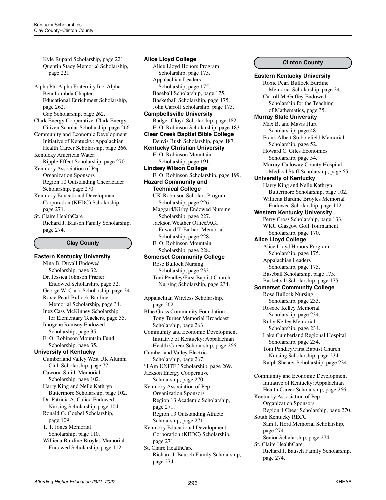Kyle Rupard Scholarship, page 221. Quentin Stacy Memorial Scholarship, page 221.

Alpha Phi Alpha Fraternity Inc. Alpha Beta Lambda Chapter: Educational Enrichment Scholarship, page 262.

Gap Scholarship, page 262. Clark Energy Cooperative: Clark Energy

- Citizen Scholar Scholarship, page 266. Community and Economic Development
- Initiative of Kentucky: Appalachian Health Career Scholarship, page 266.
- Kentucky American Water: Ripple Effect Scholarship, page 270.
- Kentucky Association of Pep Organization Sponsors Region 10 Outstanding Cheerleader Scholarship, page 270.
- Kentucky Educational Development Corporation (KEDC) Scholarship, page 271.
- St. Claire HealthCare Richard J. Bausch Family Scholarship, page 274.

# **Clay County**

**Eastern Kentucky University** Nina B. Duvall Endowed Scholarship, page 32. Dr. Jessica Johnson Frazier Endowed Scholarship, page 32. George W. Clark Scholarship, page 34. Roxie Pearl Bullock Burdine Memorial Scholarship, page 34. Inez Cass McKinney Scholarship for Elementary Teachers, page 35. Imogene Ramsey Endowed Scholarship, page 35. E. O. Robinson Mountain Fund Scholarship, page 35. **University of Kentucky** Cumberland Valley West UK Alumni Club Scholarship, page 77. Cawood Smith Memorial Scholarship, page 102. Harry King and Nelle Kathryn Buttermore Scholarship, page 102. Dr. Patricia A. Calico Endowed Nursing Scholarship, page 104. Ronald G. Goebel Scholarship, page 109. T. T. Jones Memorial Scholarship, page 110. Williena Burdine Broyles Memorial Endowed Scholarship, page 112.

#### Alice Lloyd Honors Program Scholarship, page 175. Appalachian Leaders Scholarship, page 175. Baseball Scholarship, page 175. Basketball Scholarship, page 175. John Carroll Scholarship, page 175. **Campbellsville University** Badget-Cloyd Scholarship, page 182. E. O. Robinson Scholarship, page 183. **Clear Creek Baptist Bible College** Denvis Rush Scholarship, page 187. **Kentucky Christian University** E. O. Robinson Mountain Scholarship, page 191. **Lindsey Wilson College** E. O. Robinson Scholarship, page 199. **Hazard Community and Technical College** UK-Robinson Scholars Program Scholarship, page 226. Maggard/Kirby Endowed Nursing Scholarship, page 227. Jackson Weather Office/AGI Edward T. Earhart Memorial Scholarship, page 228. E. O. Robinson Mountain Scholarship, page 228. **Somerset Community College** Rose Bullock Nursing Scholarship, page 233. Toni Pendley/First Baptist Church Nursing Scholarship, page 234.

**Alice Lloyd College**

Appalachian Wireless Scholarship, page 262. Blue Grass Community Foundation: Tony Turner Memorial Broadcast Scholarship, page 263. Community and Economic Development Initiative of Kentucky: Appalachian Health Career Scholarship, page 266. Cumberland Valley Electric Scholarship, page 267. "I Am UNITE" Scholarship, page 269. Jackson Energy Cooperative Scholarship, page 270. Kentucky Association of Pep Organization Sponsors Region 13 Academic Scholarship, page 271. Region 13 Outstanding Athlete Scholarship, page 271. Kentucky Educational Development Corporation (KEDC) Scholarship, page 271.

St. Claire HealthCare Richard J. Bausch Family Scholarship, page 274.

#### **Clinton County**

**Eastern Kentucky University** Roxie Pearl Bullock Burdine Memorial Scholarship, page 34. Carroll McGuffey Endowed Scholarship for the Teaching of Mathematics, page 35. **Murray State University** Max B. and Mavis Hurt Scholarship, page 48. Frank Albert Stubblefield Memorial Scholarship, page 52. Howard C. Giles Economics Scholarship, page 54. Murray-Calloway County Hospital Medical Staff Scholarship, page 65. **University of Kentucky** Harry King and Nelle Kathryn Buttermore Scholarship, page 102. Williena Burdine Broyles Memorial Endowed Scholarship, page 112. **Western Kentucky University** Perry Cross Scholarship, page 133. WKU Glasgow Golf Tournament Scholarship, page 170. **Alice Lloyd College** Alice Lloyd Honors Program Scholarship, page 175. Appalachian Leaders Scholarship, page 175. Baseball Scholarship, page 175. Basketball Scholarship, page 175. **Somerset Community College** Rose Bullock Nursing Scholarship, page 233. Roscoe Kelley Memorial Scholarship, page 234. Ruby Kelley Memorial Scholarship, page 234. Lake Cumberland Regional Hospital Scholarship, page 234. Toni Pendley/First Baptist Church Nursing Scholarship, page 234. Ralph Shearer Scholarship, page 234. Community and Economic Development Initiative of Kentucky: Appalachian Health Career Scholarship, page 266. Kentucky Association of Pep Organization Sponsors Region 4 Cheer Scholarship, page 270. South Kentucky RECC Sam J. Hord Memorial Scholarship, page 274. Senior Scholarship, page 274.

St. Claire HealthCare Richard J. Bausch Family Scholarship, page 274.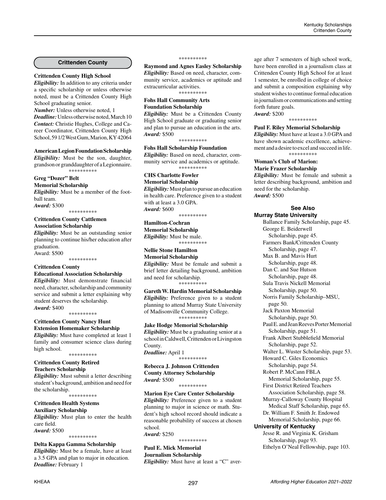# **Crittenden County**

# **Crittenden County High School**

*Eligibility:* In addition to any criteria under a specific scholarship or unless otherwise noted, must be a Crittenden County High School graduating senior.

*Number:* Unless otherwise noted, 1 *Deadline:* Unless otherwise noted, March 10 *Contact:* Christie Hughes, College and Career Coordinator, Crittenden County High School, 59 1/2 West Gum, Marion, KY 42064

#### **American Legion Foundation Scholarship**

*Eligibility:* Must be the son, daughter, grandson or granddaughter of a Legionnaire. \*\*\*\*\*\*\*\*\*\*

# **Greg "Dozer" Belt**

**Memorial Scholarship** *Eligibility:* Must be a member of the foot-

ball team. *Award:* \$300

\*\*\*\*\*\*\*\*\*\*

### **Crittenden County Cattlemen Association Scholarship**

*Eligibility:* Must be an outstanding senior planning to continue his/her education after graduation.

Award: \$500 \*\*\*\*\*\*\*\*\*\*

#### **Crittenden County**

#### **Educational Association Scholarship**

*Eligibility:* Must demonstrate financial need, character, scholarship and community service and submit a letter explaining why student deserves the scholarship. *Award:* \$400

\*\*\*\*\*\*\*\*\*\*

# **Crittenden County Nancy Hunt Extension Homemaker Scholarship**

*Eligibility:* Must have completed at least 1 family and consumer science class during high school. \*\*\*\*\*\*\*\*\*\*

#### **Crittenden County Retired Teachers Scholarship**

*Eligibility:* Must submit a letter describing student's background, ambition and need for the scholarship. \*\*\*\*\*\*\*\*\*\*

# **Crittenden Health Systems**

**Auxiliary Scholarship** *Eligibility:* Must plan to enter the health care field.

*Award:* \$500

\*\*\*\*\*\*\*\*\*\*

### **Delta Kappa Gamma Scholarship**

*Eligibility:* Must be a female, have at least a 3.5 GPA and plan to major in education. *Deadline:* February 1

#### \*\*\*\*\*\*\*\*\*\*

**Raymond and Agnes Easley Scholarship** *Eligibility:* Based on need, character, community service, academics or aptitude and extracurricular activities. \*\*\*\*\*\*\*\*\*\*

**Fohs Hall Community Arts**

# **Foundation Scholarship**

*Eligibility:* Must be a Crittenden County High School graduate or graduating senior and plan to pursue an education in the arts. *Award:* \$500

\*\*\*\*\*\*\*\*\*\*

**Fohs Hall Scholarship Foundation** *Eligibility:* Based on need, character, community service and academics or aptitude. \*\*\*\*\*\*\*\*\*\*

#### **CHS Charlotte Fowler**

**Memorial Scholarship** *Eligibility:* Must plan to pursue an education in health care. Preference given to a student

with at least a 3.0 GPA. *Award:* \$600

#### \*\*\*\*\*\*\*\*\*\*

#### **Hamilton-Cochran Memorial Scholarship** *Eligibility:* Must be male.

\*\*\*\*\*\*\*\*\*\*

#### **Nellie Stone Hamilton Memorial Scholarship**

*Eligibility:* Must be female and submit a brief letter detailing background, ambition and need for scholarship. \*\*\*\*\*\*\*\*\*\*

# **Gareth W. Hardin Memorial Scholarship**

*Eligibility:* Preference given to a student planning to attend Murray State University of Madisonville Community College. \*\*\*\*\*\*\*\*\*\*

#### **Jake Hodge Memorial Scholarship**

*Eligibility:* Must be a graduating senior at a school in Caldwell, Crittenden or Livingston County. *Deadline:* April 1 \*\*\*\*\*\*\*\*\*\*

#### **Rebecca J. Johnson Crittenden County Attorney Scholarship** *Award:* \$500

\*\*\*\*\*\*\*\*\*\*

**Marion Eye Care Center Scholarship** *Eligibility:* Preference given to a student planning to major in science or math. Student's high school record should indicate a reasonable probability of success at chosen school. *Award:* \$250

\*\*\*\*\*\*\*\*\*\*

#### **Paul E. Mick Memorial Journalism Scholarship** *Eligibility:* Must have at least a "C" aver-

age after 7 semesters of high school work, have been enrolled in a journalism class at Crittenden County High School for at least 1 semester, be enrolled in college of choice and submit a composition explaining why student wishes to continue formal education in journalism or communications and setting forth future goals. *Award:* \$200

\*\*\*\*\*\*\*\*\*\*

#### **Paul F. Riley Memorial Scholarship**

*Eligibility:* Must have at least a 3.0 GPA and have shown academic excellence, achievement and a desire to excel and succeed in life. \*\*\*\*\*\*\*\*\*\*

### **Woman's Club of Marion:**

#### **Marie Frazer Scholarship**

*Eligibility:* Must be female and submit a letter describing background, ambition and need for the scholarship. *Award:* \$500

# **See Also**

# **Murray State University**

Ballance Family Scholarship, page 45. George E. Beiderwell Scholarship, page 45. Farmers Bank/Crittenden County Scholarship, page 47. Max B. and Mavis Hurt Scholarship, page 48. Dan C. and Sue Hutson Scholarship, page 48. Sula Travis Nickell Memorial Scholarship, page 50. Norris Family Scholarship–MSU, page 50. Jack Paxton Memorial Scholarship, page 50. Paul E. and Jean Reeves Porter Memorial Scholarship, page 51. Frank Albert Stubblefield Memorial Scholarship, page 52. Walter L. Wuster Scholarship, page 53. Howard C. Giles Economics Scholarship, page 54. Robert P. McCann FBLA Memorial Scholarship, page 55. First District Retired Teachers Association Scholarship, page 58. Murray-Calloway County Hospital Medical Staff Scholarship, page 65. Dr. William F. Smith Jr. Endowed Memorial Scholarship, page 66. **University of Kentucky** Jesse R. and Virginia K. Grisham Scholarship, page 93.

Ethelyn O'Neal Fellowship, page 103.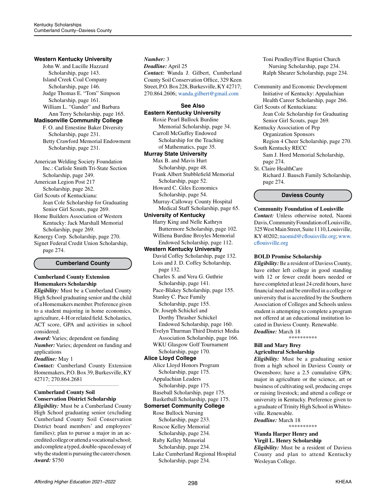### **Western Kentucky University**

John W. and Lucille Hazzard Scholarship, page 143. Island Creek Coal Company Scholarship, page 146. Judge Thomas E. "Tom" Simpson Scholarship, page 161. William L. "Gander" and Barbara Ann Terry Scholarship, page 165.

# **Madisonville Community College**

F. O. and Ernestine Baker Diversity Scholarship, page 231. Betty Crawford Memorial Endowment Scholarship, page 231.

American Welding Society Foundation Inc.: Carlisle Smith Tri-State Section Scholarship, page 249. American Legion Post 217 Scholarship, page 262. Girl Scouts of Kentuckiana: Jean Cole Scholarship for Graduating Senior Girl Scouts, page 269. Home Builders Association of Western Kentucky: Jack Marshall Memorial Scholarship, page 269. Kenergy Corp. Scholarship, page 270. Signet Federal Credit Union Scholarship, page 274.

#### **Cumberland County**

### **Cumberland County Extension Homemakers Scholarship**

*Eligibility:* Must be a Cumberland County High School graduating senior and the child of a Homemakers member. Preference given to a student majoring in home economics, agriculture, 4-H or related field. Scholastics, ACT score, GPA and activities in school considered.

*Award:* Varies; dependent on funding *Number:* Varies; dependent on funding and applications

#### *Deadline:* May 1

*Contact:* Cumberland County Extension Homemakers, P.O. Box 39, Burkesville, KY 42717; 270.864.2681 *\_\_\_\_\_\_\_\_\_\_\_\_\_\_\_\_\_\_\_\_\_\_\_\_\_\_\_\_\_\_\_\_\_\_\_\_\_\_\_\_\_\_\_\_*

### **Cumberland County Soil Conservation District Scholarship**

*Eligibility:* Must be a Cumberland County High School graduating senior (excluding Cumberland County Soil Conservation District board members' and employees' families); plan to pursue a major in an accredited college or attend a vocational school; and complete a typed, double-spaced essay of why the student is pursuing the career chosen. *Award:* \$750

#### *Number:* 3

*Deadline:* April 25 *Contact:* Wanda J. Gilbert, Cumberland County Soil Conservation Office, 329 Keen Street, P.O. Box 228, Burkesville, KY 42717; 270.864.2606; [wanda.gilbert@gmail.com](mailto:wanda.gilbert%40gmail.com?subject=)

# **See Also**

**Eastern Kentucky University** Roxie Pearl Bullock Burdine Memorial Scholarship, page 34. Carroll McGuffey Endowed Scholarship for the Teaching of Mathematics, page 35.

# **Murray State University**

Max B. and Mavis Hurt Scholarship, page 48. Frank Albert Stubblefield Memorial Scholarship, page 52.

Howard C. Giles Economics Scholarship, page 54. Murray-Calloway County Hospital

Medical Staff Scholarship, page 65.

**University of Kentucky** Harry King and Nelle Kathryn Buttermore Scholarship, page 102. Williena Burdine Broyles Memorial Endowed Scholarship, page 112.

#### **Western Kentucky University**

David Coffey Scholarship, page 132. Lois and J. D. Coffey Scholarship, page 132.

Charles S. and Vera G. Guthrie Scholarship, page 141.

Pace-Blakey Scholarship, page 155. Stanley C. Pace Family

Scholarship, page 155.

Dr. Joseph Schickel and Dorthy Thrasher Schickel

 Endowed Scholarship, page 160. Evelyn Thurman Third District Media

 Association Scholarship, page 166. WKU Glasgow Golf Tournament

#### Scholarship, page 170. **Alice Lloyd College**

Alice Lloyd Honors Program Scholarship, page 175. Appalachian Leaders Scholarship, page 175. Baseball Scholarship, page 175. Basketball Scholarship, page 175.

# **Somerset Community College**

Rose Bullock Nursing

 Scholarship, page 233. Roscoe Kelley Memorial

Scholarship, page 234.

- Ruby Kelley Memorial
- Scholarship, page 234.
- Lake Cumberland Regional Hospital Scholarship, page 234.

Toni Pendley/First Baptist Church Nursing Scholarship, page 234. Ralph Shearer Scholarship, page 234.

Community and Economic Development Initiative of Kentucky: Appalachian Health Career Scholarship, page 266.

Girl Scouts of Kentuckiana:

Jean Cole Scholarship for Graduating Senior Girl Scouts, page 269.

Kentucky Association of Pep Organization Sponsors Region 4 Cheer Scholarship, page 270.

South Kentucky RECC

Sam J. Hord Memorial Scholarship, page 274.

St. Claire HealthCare Richard J. Bausch Family Scholarship,

page 274.

**Daviess County**

# **Community Foundation of Louisville**

*Contact:* Unless otherwise noted, Naomi Davis, Community Foundation of Louisville, 325 West Main Street, Suite 1110, Louisville, KY 40202; [naomid@cflouisville.org](mailto:naomid%40cflouisville.org?subject=); [www.](http://www.cflouisville.org) [cflouisville.org](http://www.cflouisville.org)

### **BOLD Promise Scholarship**

*Eligibility:* Be a resident of Daviess County, have either left college in good standing with 12 or fewer credit hours needed or have completed at least 24 credit hours, have financial need and be enrolled in a college or university that is accredited by the Southern Association of Colleges and Schools unless student is attempting to complete a program not offered at an educational institution located in Daviess County. Renewable. *Deadline:* March 18

\*\*\*\*\*\*\*\*\*\*

#### **Bill and Mary Brey Agricultural Scholarship**

*Eligibility:* Must be a graduating senior from a high school in Daviess County or Owensboro; have a 2.5 cumulative GPA; major in agriculture or the science, art or business of cultivating soil, producing crops or raising livestock; and attend a college or university in Kentucky. Preference given to a graduate of Trinity High School in Whitesville. Renewable.

*Deadline:* March 18

\*\*\*\*\*\*\*\*\*\*

#### **Wanda Harper Henry and Virgil L. Henry Scholarship**

*Eligibility:* Must be a resident of Daviess County and plan to attend Kentucky Wesleyan College.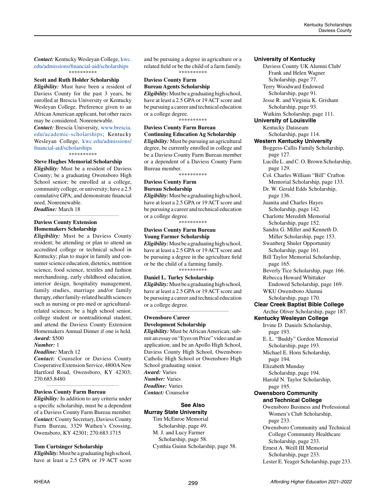*Contact:* Kentucky Wesleyan College, [kwc.](http://kwc.edu/admissions/financial-aid/scholarships) [edu/admissions/financial-aid/scholarships](http://kwc.edu/admissions/financial-aid/scholarships) \*\*\*\*\*\*\*\*\*\*

**Scott and Ruth Holder Scholarship**

*Eligibility:* Must have been a resident of Daviess County for the past 3 years, be enrolled at Brescia University or Kentucky Wesleyan College. Preference given to an African American applicant, but other races may be considered. Nonrenewable.

*Contact:* Brescia University, [www.brescia.](http://www.brescia.edu/academic-scholarships) [edu/academic-scholarships;](http://www.brescia.edu/academic-scholarships) Kentucky Wesleyan College, [kwc.edu/admissions/](http://kwc.edu/admissions/financial-aid/scholarships) [financial-aid/scholarships](http://kwc.edu/admissions/financial-aid/scholarships) \*\*\*\*\*\*\*\*\*\*

# **Steve Hughes Memorial Scholarship**

*Eligibility:* Must be a resident of Daviess County; be a graduating Owensboro High School senior; be enrolled at a college, community college, or university; have a 2.5 cumulative GPA; and demonstrate financial need. Nonrenewable. *Deadline:* March 18

*\_\_\_\_\_\_\_\_\_\_\_\_\_\_\_\_\_\_\_\_\_\_\_\_\_\_\_\_\_\_\_\_\_\_\_\_\_\_\_\_\_\_\_\_*

**Daviess County Extension Homemakers Scholarship**

*Eligibility:* Must be a Daviess County resident; be attending or plan to attend an accredited college or technical school in Kentucky; plan to major in family and consumer science education, dietetics, nutrition science, food science, textiles and fashion merchandising, early childhood education, interior design, hospitality management, family studies, marriage and/or family therapy, other family-related health sciences such as nursing or pre-med or agriculturalrelated sciences; be a high school senior, college student or nontraditional student; and attend the Daviess County Extension Homemakers Annual Dinner if one is held. *Award:* \$500

#### *Number:* 1

#### *Deadline:* March 12

*Contact:* Counselor or Daviess County Cooperative Extension Service, 4800A New Hartford Road, Owensboro, KY 42303; 270.685.8480

*\_\_\_\_\_\_\_\_\_\_\_\_\_\_\_\_\_\_\_\_\_\_\_\_\_\_\_\_\_\_\_\_\_\_\_\_\_\_\_\_\_\_\_\_*

#### **Daviess County Farm Bureau**

*Eligibility:* In addition to any criteria under a specific scholarship, must be a dependent of a Daviess County Farm Bureau member. *Contact:* County Secretary, Daviess County Farm Bureau, 3329 Wathen's Crossing, Owensboro, KY 42301; 270.683.1715

#### **Tom Curtsinger Scholarship**

*Eligibility:* Must be a graduating high school, have at least a 2.5 GPA or 19 ACT score and be pursuing a degree in agriculture or a related field or be the child of a farm family. \*\*\*\*\*\*\*\*\*\*

#### **Daviess County Farm Bureau Agents Scholarship**

*Eligibility:* Must be a graduating high school, have at least a 2.5 GPA or 19 ACT score and be pursuing a career and technical education or a college degree.

\*\*\*\*\*\*\*\*\*\*

# **Daviess County Farm Bureau**

**Continuing Education Ag Scholarship** *Eligibility:* Must be pursuing an agricultural degree, be currently enrolled in college and be a Daviess County Farm Bureau member or a dependent of a Daviess County Farm Bureau member.

\*\*\*\*\*\*\*\*\*\*

# **Daviess County Farm Bureau Scholarship**

*Eligibility:* Must be a graduating high school, have at least a 2.5 GPA or 19 ACT score and be pursuing a career and technical education or a college degree.

*\**\*\*\*\*\*\*\*\*

#### **Daviess County Farm Bureau Young Farmer Scholarship**

*Eligibility:* Must be a graduating high school, have at least a 2.5 GPA or 19 ACT score and be pursuing a degree in the agriculture field or be the child of a farming family. \*\*\*\*\*\*\*\*\*\*

**Daniel L. Turley Scholarship**

*Eligibility:* Must be a graduating high school, have at least a 2.5 GPA or 19 ACT score and be pursuing a career and technical education or a college degree.

*\_\_\_\_\_\_\_\_\_\_\_\_\_\_\_\_\_\_\_\_\_\_\_\_\_\_\_\_\_\_\_\_\_\_\_\_\_\_\_\_\_\_\_\_*

# **Owensboro Career Development Scholarship**

*Eligibility:* Must be African American; submit an essay on "Eyes on Prize" video and an application; and be an Apollo High School, Daviess County High School, Owensboro Catholic High School or Owensboro High School graduating senior. *Award:* Varies *Number:* Varies *Deadline:* Varies *Contact:* Counselor

### **See Also Murray State University**

Tim McEnroe Memorial Scholarship, page 49. M. J. and Lucy Farmer Scholarship, page 58. Cynthia Guinn Scholarship, page 58.

#### **University of Kentucky**

Daviess County UK Alumni Club/ Frank and Helen Wagner Scholarship, page 77. Terry Woodward Endowed Scholarship, page 91. Jesse R. and Virginia K. Grisham Scholarship, page 93. Watkins Scholarship, page 111. **University of Louisville** Kentucky Dataseam Scholarship, page 114. **Western Kentucky University** Boggess-Callis Family Scholarship, page 127. Lucille L. and C. O. Brown Scholarship, page 129. Col. Charles William "Bill" Crafton Memorial Scholarship, page 133. Dr. W. Gerald Edds Scholarship, page 136. Juanita and Charles Hayes Scholarship, page 142. Charlotte Meredith Memorial Scholarship, page 152. Sandra G. Miller and Kenneth D. Miller Scholarship, page 153. Swanberg Shuler Opportunity Scholarship, page 161. Bill Taylor Memorial Scholarship, page 165. Beverly Tice Scholarship, page 166. Rebecca Howard Whittaker Endowed Scholarship, page 169. WKU Owensboro Alumni Scholarship, page 170. **Clear Creek Baptist Bible College**  Archie Oliver Scholarship, page 187. **Kentucky Wesleyan College** Irvine D. Daniels Scholarship, page 193. E. L. "Buddy" Gordon Memorial Scholarship, page 193. Michael E. Horn Scholarship, page 194. Elizabeth Munday Scholarship, page 194. Harold N. Taylor Scholarship, page 195. **Owensboro Community and Technical College** Owensboro Business and Professional Women's Club Scholarship, page 233. Owensboro Community and Technical College Community Healthcare Scholarship, page 233. Ernest A. Weill III Memorial Scholarship, page 233. Lester E. Yeager Scholarship, page 233.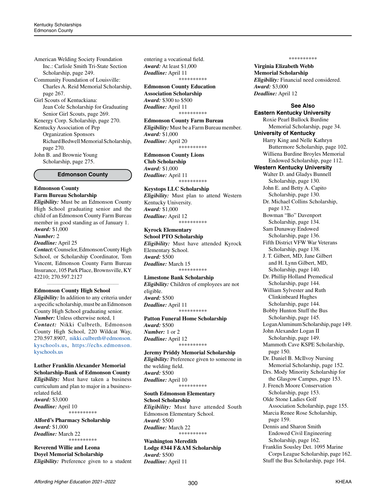American Welding Society Foundation Inc.: Carlisle Smith Tri-State Section Scholarship, page 249. Community Foundation of Louisville:

Charles A. Reid Memorial Scholarship, page 267.

Girl Scouts of Kentuckiana: Jean Cole Scholarship for Graduating Senior Girl Scouts, page 269.

Kenergy Corp. Scholarship, page 270. Kentucky Association of Pep Organization Sponsors Richard Bedwell Memorial Scholarship, page 270.

John B. and Brownie Young Scholarship, page 275.

#### **Edmonson County**

#### **Edmonson County Farm Bureau Scholarship**

*Eligibility:* Must be an Edmonson County High School graduating senior and the child of an Edmonson County Farm Bureau member in good standing as of January 1. *Award:* \$1,000

#### *Number:* 2

#### *Deadline:* April 25

*Contact:* Counselor, Edmonson County High School, or Scholarship Coordinator, Tom Vincent, Edmonson County Farm Bureau Insurance, 105 Park Place, Brownsville, KY 42210; 270.597.2127

**\_\_\_\_\_\_\_\_\_\_\_\_\_\_\_\_\_\_\_\_\_\_\_\_\_\_\_\_\_\_\_\_\_\_\_\_\_\_\_\_\_\_\_\_**

#### **Edmonson County High School**

*Eligibility:* In addition to any criteria under a specific scholarship, must be an Edmonson County High School graduating senior. *Number:* Unless otherwise noted, 1 *Contact:* Nikki Culbreth, Edmonson County High School, 220 Wildcat Way, 270.597.8907, [nikki.culbreth@edmonson.](mailto:nikki.culbreth%40edmonson.kyschools.us?subject=) [kyschools.us,](mailto:nikki.culbreth%40edmonson.kyschools.us?subject=) [https://echs.edmonson.](https://echs.edmonson.kyschools.us) [kyschools.us](https://echs.edmonson.kyschools.us)

#### **Luther Franklin Alexander Memorial Scholarship-Bank of Edmonson County**

*Eligibility:* Must have taken a business curriculum and plan to major in a businessrelated field. *Award:* \$3,000 *Deadline:* April 10 \*\*\*\*\*\*\*\*\*\*

#### **Alford's Pharmacy Scholarship** *Award:* \$1,000 *Deadline:* March 22 \*\*\*\*\*\*\*\*\*\*

**Reverend Willie and Leona Doyel Memorial Scholarship** *Eligibility:* Preference given to a student entering a vocational field. *Award:* At least \$1,000 *Deadline:* April 11 \*\*\*\*\*\*\*\*\*\*

**Edmonson County Education Association Scholarship** *Award:* \$300 to \$500 *Deadline:* April 11 \*\*\*\*\*\*\*\*\*\*

**Edmonson County Farm Bureau** *Eligibility:* Must be a Farm Bureau member. *Award:* \$1,000 *Deadline:* April 20 \*\*\*\*\*\*\*\*\*\*

**Edmonson County Lions Club Scholarship** *Award:* \$1,000 *Deadline:* April 11 \*\*\*\*\*\*\*\*\*\*

#### **Keystops LLC Scholarship**

*Eligibility:* Must plan to attend Western Kentucky University. *Award:* \$1,000 *Deadline:* April 12 \*\*\*\*\*\*\*\*\*\*

# **Kyrock Elementary**

**School PTO Scholarship**  *Eligibility:* Must have attended Kyrock Elementary School. *Award:* \$500 *Deadline:* March 15 \*\*\*\*\*\*\*\*\*\*

#### **Limestone Bank Scholarship**

*Eligibility:* Children of employees are not eligible. *Award:* \$500 *Deadline:* April 11 \*\*\*\*\*\*\*\*\*\*

# **Patton Funeral Home Scholarship**

*Award:* \$500 *Number:* 1 or 2 *Deadline:* April 12 \*\*\*\*\*\*\*\*\*\*

### **Jeremy Priddy Memorial Scholarship**

*Eligibility:* Preference given to someone in the welding field. *Award:* \$500 *Deadline:* April 10 \*\*\*\*\*\*\*\*\*\*

# **South Edmonson Elementary**

**School Scholarship** *Eligibility:* Must have attended South Edmonson Elementary School. *Award:* \$500 *Deadline:* March 22 \*\*\*\*\*\*\*\*\*\*

#### **Washington Meredith Lodge #344 F&AM Scholarship** *Award:* \$500 *Deadline:* April 11

\*\*\*\*\*\*\*\*\*\*

**Virginia Elizabeth Webb Memorial Scholarship** *Eligibility:* Financial need considered. *Award:* \$3,000 *Deadline:* April 12

**See Also Eastern Kentucky University**

Roxie Pearl Bullock Burdine Memorial Scholarship, page 34. **University of Kentucky** Harry King and Nelle Kathryn Buttermore Scholarship, page 102. Williena Burdine Broyles Memorial Endowed Scholarship, page 112. **Western Kentucky University** Walter D. and Gladys Bunnell Scholarship, page 130. John E. and Betty A. Capito Scholarship, page 130. Dr. Michael Collins Scholarship, page 132. Bowman "Bo" Davenport Scholarship, page 134. Sam Dunaway Endowed Scholarship, page 136. Fifth District VFW War Veterans Scholarship, page 138. J. T. Gilbert, MD, Jane Gilbert and H. Lynn Gilbert, MD, Scholarship, page 140. Dr. Phillip Holland Premedical Scholarship, page 144. William Sylvester and Ruth Clinkinbeard Hughes Scholarship, page 144. Bobby Hunton Stuff the Bus Scholarship, page 145. Logan Aluminum Scholarship, page 149. John Alexander Logan II Scholarship, page 149. Mammoth Cave KSPE Scholarship, page 150. Dr. Daniel B. McIlvoy Nursing Memorial Scholarship, page 152. Drs. Mody Minority Scholarship for the Glasgow Campus, page 153. J. French Moore Conservation Scholarship, page 153. Olde Stone Ladies Golf Association Scholarship, page 155. Marcia Renee Rose Scholarship, page 159. Dennis and Sharon Smith Endowed Civil Engineering Scholarship, page 162. Franklin Sousley Det. 1095 Marine Corps League Scholarship, page 162.

Stuff the Bus Scholarship, page 164.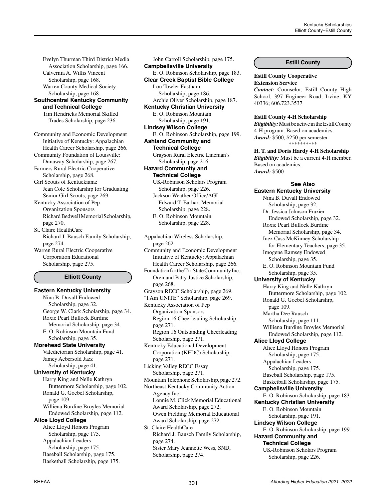Evelyn Thurman Third District Media Association Scholarship, page 166. Calvernia A. Willis Vincent Scholarship, page 168. Warren County Medical Society Scholarship, page 168.

# **Southcentral Kentucky Community and Technical College**

Tim Hendricks Memorial Skilled Trades Scholarship, page 236.

Community and Economic Development Initiative of Kentucky: Appalachian Health Career Scholarship, page 266. Community Foundation of Louisville: Dunaway Scholarship, page 267. Farmers Rural Electric Cooperative

Scholarship, page 268. Girl Scouts of Kentuckiana: Jean Cole Scholarship for Graduating Senior Girl Scouts, page 269.

Kentucky Association of Pep Organization Sponsors Richard Bedwell Memorial Scholarship, page 270.

St. Claire HealthCare Richard J. Bausch Family Scholarship, page 274.

Warren Rural Electric Cooperative Corporation Educational Scholarship, page 275.

### **Elliott County**

**Eastern Kentucky University** Nina B. Duvall Endowed Scholarship, page 32. George W. Clark Scholarship, page 34. Roxie Pearl Bullock Burdine Memorial Scholarship, page 34. E. O. Robinson Mountain Fund Scholarship, page 35. **Morehead State University** Valedictorian Scholarship, page 41. Jamey Aebersold Jazz Scholarship, page 41. **University of Kentucky** Harry King and Nelle Kathryn Buttermore Scholarship, page 102. Ronald G. Goebel Scholarship, page 109. Williena Burdine Broyles Memorial Endowed Scholarship, page 112. **Alice Lloyd College** Alice Lloyd Honors Program Scholarship, page 175. Appalachian Leaders Scholarship, page 175. Baseball Scholarship, page 175. Basketball Scholarship, page 175.

John Carroll Scholarship, page 175. **Campbellsville University** E. O. Robinson Scholarship, page 183. **Clear Creek Baptist Bible College** Lou Towler Eastham Scholarship, page 186. Archie Oliver Scholarship, page 187. **Kentucky Christian University** E. O. Robinson Mountain Scholarship, page 191. **Lindsey Wilson College** E. O. Robinson Scholarship, page 199. **Ashland Community and Technical College** Grayson Rural Electric Lineman's Scholarship, page 216. **Hazard Community and Technical College** UK-Robinson Scholars Program Scholarship, page 226. Jackson Weather Office/AGI Edward T. Earhart Memorial Scholarship, page 228. E. O. Robinson Mountain Scholarship, page 228. Appalachian Wireless Scholarship, page 262. Community and Economic Development Initiative of Kentucky: Appalachian Health Career Scholarship, page 266. Foundation for the Tri-State Community Inc.: Oren and Patty Justice Scholarship, page 268. Grayson RECC Scholarship, page 269. "I Am UNITE" Scholarship, page 269. Kentucky Association of Pep Organization Sponsors Region 16 Cheerleading Scholarship, page 271. Region 16 Outstanding Cheerleading Scholarship, page 271. Kentucky Educational Development Corporation (KEDC) Scholarship, page 271. Licking Valley RECC Essay Scholarship, page 271. Mountain Telephone Scholarship, page 272. Northeast Kentucky Community Action Agency Inc. Lonnie M. Click Memorial Educational Award Scholarship, page 272. Owen Fielding Memorial Educational Award Scholarship, page 272. St. Claire HealthCare Richard J. Bausch Family Scholarship, page 274. Sister Mary Jeannette Wess, SND, Scholarship, page 274.

#### **Estill County**

**Estill County Cooperative Extension Service** *Contact:* Counselor, Estill County High

School, 397 Engineer Road, Irvine, KY 40336; 606.723.3537

#### **Estill County 4-H Scholarship**

*Eligibility:* Must be active in the Estill County 4-H program. Based on academics. *Award:* \$500, \$250 per semester \*\*\*\*\*\*\*\*\*\*

**H. T. and Doris Hardy 4-H Scholarship** *Eligibility:* Must be a current 4-H member. Based on academics. *Award:* \$500

#### **See Also**

**Eastern Kentucky University** Nina B. Duvall Endowed Scholarship, page 32. Dr. Jessica Johnson Frazier Endowed Scholarship, page 32. Roxie Pearl Bullock Burdine Memorial Scholarship, page 34. Inez Cass McKinney Scholarship for Elementary Teachers, page 35. Imogene Ramsey Endowed Scholarship, page 35. E. O. Robinson Mountain Fund Scholarship, page 35. **University of Kentucky** Harry King and Nelle Kathryn Buttermore Scholarship, page 102. Ronald G. Goebel Scholarship, page 109. Martha Dee Rausch Scholarship, page 111. Williena Burdine Broyles Memorial Endowed Scholarship, page 112. **Alice Lloyd College** Alice Lloyd Honors Program Scholarship, page 175. Appalachian Leaders Scholarship, page 175. Baseball Scholarship, page 175. Basketball Scholarship, page 175. **Campbellsville University** E. O. Robinson Scholarship, page 183. **Kentucky Christian University** E. O. Robinson Mountain Scholarship, page 191. **Lindsey Wilson College** E. O. Robinson Scholarship, page 199. **Hazard Community and Technical College** UK-Robinson Scholars Program Scholarship, page 226.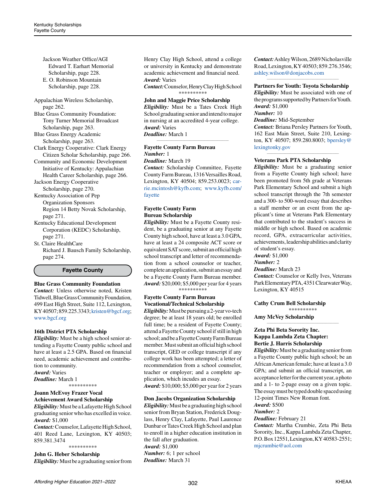Jackson Weather Office/AGI Edward T. Earhart Memorial Scholarship, page 228. E. O. Robinson Mountain Scholarship, page 228.

Appalachian Wireless Scholarship, page 262.

Blue Grass Community Foundation: Tony Turner Memorial Broadcast Scholarship, page 263.

Blue Grass Energy Academic Scholarship, page 263.

Clark Energy Cooperative: Clark Energy Citizen Scholar Scholarship, page 266.

Community and Economic Development Initiative of Kentucky: Appalachian Health Career Scholarship, page 266.

Jackson Energy Cooperative Scholarship, page 270.

Kentucky Association of Pep Organization Sponsors Region 14 Betty Novak Scholarship,

page 271. Kentucky Educational Development Corporation (KEDC) Scholarship, page 271.

St. Claire HealthCare Richard J. Bausch Family Scholarship, page 274.

#### **Fayette County**

#### **Blue Grass Community Foundation**

*Contact:* Unless otherwise noted, Kristen Tidwell, Blue Grass Community Foundation, 499 East High Street, Suite 112, Lexington, KY 40507; 859.225.3343; [kristen@bgcf.org](mailto:kristen%40bgcf.org?subject=); [www.bgcf.org](http://www.bgcf.org)

#### **16th District PTA Scholarship**

*Eligibility:* Must be a high school senior attending a Fayette County public school and have at least a 2.5 GPA. Based on financial need, academic achievement and contribution to community. *Award:* Varies *Deadline:* March 1

\*\*\*\*\*\*\*\*\*\*

#### **Joann McEvoy Frazer Vocal Achievement Award Scholarship**

*Eligibility:* Must be a Lafayette High School graduating senior who has excelled in voice. *Award:* \$1,000

*Contact:* Counselor, Lafayette High School, 401 Reed Lane, Lexington, KY 40503; 859.381.3474 \*\*\*\*\*\*\*\*\*\*

# **John G. Heber Scholarship**

*Eligibility:* Must be a graduating senior from

Henry Clay High School, attend a college or university in Kentucky and demonstrate academic achievement and financial need. *Award:* Varies

*Contact:* Counselor, Henry Clay High School \*\*\*\*\*\*\*\*\*\*

# **John and Maggie Price Scholarship**

*Eligibility:* Must be a Tates Creek High School graduating senior and intend to major in nursing at an accredited 4-year college. *Award:* Varies *Deadline:* March 1

*\_\_\_\_\_\_\_\_\_\_\_\_\_\_\_\_\_\_\_\_\_\_\_\_\_\_\_\_\_\_\_\_\_\_\_\_\_\_\_\_\_\_\_\_*

#### **Fayette County Farm Bureau**  *Number:* 1 *Deadline:* March 19

*Contact:* Scholarship Committee, Fayette County Farm Bureau, 1316 Versailles Road, Lexington, KY 40504; 859.253.0023; [car](mailto:carrie.mcintosh%40kyfb.com?subject=)[rie.mcintosh@kyfb.com;](mailto:carrie.mcintosh%40kyfb.com?subject=) [www.kyfb.com/](http://www.kyfb.com/fayette) [fayette](http://www.kyfb.com/fayette)

# **Fayette County Farm Bureau Scholarship**

*Eligibility:* Must be a Fayette County resident, be a graduating senior at any Fayette County high school, have at least a 3.0 GPA, have at least a 24 composite ACT score or equivalent SAT score, submit an official high school transcript and letter of recommendation from a school counselor or teacher, complete an application, submit an essay and be a Fayette County Farm Bureau member. *Award:* \$20,000; \$5,000 per year for 4 years \*\*\*\*\*\*\*\*\*\*

# **Fayette County Farm Bureau Vocational/Technical Scholarship**

*Eligibility:* Must be pursuing a 2-year vo-tech degree; be at least 18 years old; be enrolled full time; be a resident of Fayette County; attend a Fayette County school if still in high school; and be a Fayette County Farm Bureau member. Must submit an official high school transcript, GED or college transcript if any college work has been attempted; a letter of recommendation from a school counselor, teacher or employer; and a complete application, which incudes an essay. *Award:* \$10,000; \$5,000 per year for 2 years

#### *\_\_\_\_\_\_\_\_\_\_\_\_\_\_\_\_\_\_\_\_\_\_\_\_\_\_\_\_\_\_\_\_\_\_\_\_\_\_\_\_\_\_\_\_* **Don Jacobs Organization Scholarship**

*Eligibility:* Must be a graduating high school senior from Bryan Station, Frederick Douglass, Henry Clay, Lafayette, Paul Laurence Dunbar or Tates Creek High School and plan to enroll in a higher education institution in the fall after graduation. *Award:* \$1,000 *Number:* 6; 1 per school *Deadline:* March 31

*Contact:* Ashley Wilson, 2689 Nicholasville Road, Lexington, KY 40503; 859.276.3546; [ashley.wilson@donjacobs.com](mailto:ashley.wilson%40donjacobs.com?subject=)

#### *\_\_\_\_\_\_\_\_\_\_\_\_\_\_\_\_\_\_\_\_\_\_\_\_\_\_\_\_\_\_\_\_\_\_\_\_\_\_\_\_\_\_\_\_* **Partners for Youth: Toyota Scholarship**

*Eligibility:* Must be associated with one of the programs supported by Partners for Youth. *Award:* \$1,000 *Number:* 10 *Deadline:* Mid-September *Contact:* Briana Persley Partners for Youth, 162 East Main Street, Suite 210, Lexington, KY 40507; 859.280.8003; [bpersley@](mailto:bpersley%40lexingtonky.gov?subject=) [lexingtonky.gov](mailto:bpersley%40lexingtonky.gov?subject=)

**\_\_\_\_\_\_\_\_\_\_\_\_\_\_\_\_\_\_\_\_\_\_\_\_\_\_\_\_\_\_\_\_\_\_\_\_\_\_\_\_\_\_\_\_**

#### **Veterans Park PTA Scholarship**

*Eligibility:* Must be a graduating senior from a Fayette County high school; have been promoted from 5th grade at Veterans Park Elementary School and submit a high school transcript through the 7th semester and a 300- to 500-word essay that describes a staff member or an event from the applicant's time at Veterans Park Elementary that contributed to the student's success in middle or high school. Based on academic record, GPA, extracurricular activities, achievements, leadership abilities and clarity of student's essay.

*Award:* \$1,000

*Number:* 2

*Deadline:* March 23

*Contact:* Counselor or Kelly Ives, Veterans Park Elementary PTA, 4351 Clearwater Way, Lexington, KY 40515

\*\*\*\*\*\*\*\*\*\*

*\_\_\_\_\_\_\_\_\_\_\_\_\_\_\_\_\_\_\_\_\_\_\_\_\_\_\_\_\_\_\_\_\_\_\_\_\_\_\_\_\_\_\_\_*

**Cathy Crum Bell Scholarship**

**Amy McVey Scholarship**

#### **Zeta Phi Beta Sorority Inc. Kappa Lambda Zeta Chapter: Bertie J. Harris Scholarship**

*Eligibility:* Must be a graduating senior from a Fayette County public high school; be an African American female; have at least a 3.0 GPA; and submit an official transcript, an acceptance letter for the current year, a photo and a 1- to 2-page essay on a given topic. The essay must be typed double spaced using 12-point Times New Roman font. *Award:* \$500

*Number:* 2

*Deadline:* February 21

*Contact:* Martha Crumbie, Zeta Phi Beta Sorority, Inc., Kappa Lambda Zeta Chapter, P.O. Box 12551, Lexington, KY 40583-2551; [mjcrumbie@aol.com](mailto:mjcrumbie%40aol.com?subject=)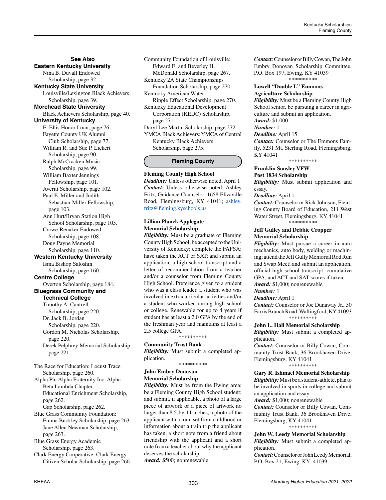# **See Also Eastern Kentucky University** Nina B. Duvall Endowed Scholarship, page 32. **Kentucky State University** Louisville/Lexington Black Achievers Scholarship, page 39. **Morehead State University**  Black Achievers Scholarship, page 40. **University of Kentucky**  E. Ellis Honor Loan, page 76. Fayette County UK Alumni Club Scholarship, page 77. William R. and Sue P. Lickert Scholarship, page 90. Ralph McCracken Music Scholarship, page 99. William Baxter Jennings Fellowship, page 101. Averitt Scholarship, page 102. Paul E. Miller and Judith Sebastian-Miller Fellowship, page 103. Ann Hurt/Bryan Station High School Scholarship, page 105. Crowe-Renaker Endowed Scholarship, page 108. Doug Payne Memorial Scholarship, page 110. **Western Kentucky University** Isma Bishop Saloshin Scholarship, page 160. **Centre College** Overton Scholarship, page 184. **Bluegrass Community and Technical College** Timothy A. Cantrell Scholarship, page 220. Dr. Jack B. Jordan Scholarship, page 220. Gordon M. Nicholas Scholarship, page 220. Derek Pelphrey Memorial Scholarship, page 221. The Race for Education: Locust Trace Scholarship, page 260. Alpha Phi Alpha Fraternity Inc. Alpha Beta Lambda Chapter: Educational Enrichment Scholarship, page 262. Gap Scholarship, page 262. Blue Grass Community Foundation:

Emma Buckley Scholarship, page 263. Jane Allen Newman Scholarship, page 263.

Blue Grass Energy Academic Scholarship, page 263.

Clark Energy Cooperative: Clark Energy Citizen Scholar Scholarship, page 266. Community Foundation of Louisville: Edward E. and Beverley H. McDonald Scholarship, page 267.

Kentucky 2A State Championships Foundation Scholarship, page 270. Kentucky American Water:

Ripple Effect Scholarship, page 270.

Kentucky Educational Development Corporation (KEDC) Scholarship, page 271.

Daryl Lee Martin Scholarship, page 272. YMCA Black Achievers: YMCA of Central Kentucky Black Achievers Scholarship, page 275.

# **Fleming County**

#### **Fleming County High School**

*Deadline:* Unless otherwise noted, April 1 *Contact:* Unless otherwise noted, Ashley Fritz, Guidance Counselor, 1658 Elizaville Road, Flemingsburg, KY 41041; [ashley.](mailto:ashley.fritz%40fleming.kyschools.us?subject=) [fritz@fleming.kyschools.us](mailto:ashley.fritz%40fleming.kyschools.us?subject=)

# **Lillian Planck Applegate Memorial Scholarship**

*Eligibility:* Must be a graduate of Fleming County High School; be accepted to the University of Kentucky; complete the FAFSA; have taken the ACT or SAT; and submit an application, a high school transcript and a letter of recommendation from a teacher and/or a counselor from Fleming County High School. Preference given to a student who was a class leader, a student who was involved in extracurricular activities and/or a student who worked during high school or college. Renewable for up to 4 years if student has at least a 2.0 GPA by the end of the freshman year and maintains at least a 2.5 college GPA.

\*\*\*\*\*\*\*\*\*\*

#### **Community Trust Bank**

*Eligibility:* Must submit a completed application.

\*\*\*\*\*\*\*\*\*\*

# **John Embry Donovan Memorial Scholarship**

*Eligibility:* Must be from the Ewing area; be a Fleming County High School student; and submit, if applicable, a photo of a large piece of artwork or a piece of artwork no larger than 8.5-by-11 inches, a photo of the applicant with a train set from childhood or information about a train trip the applicant has taken, a short note from a friend about friendship with the applicant and a short note from a teacher about why the applicant deserves the scholarship.

*Award:* \$500; nonrenewable

*Contact:* Counselor or Billy Cowan, The John Embry Donovan Scholarship Committee, P.O. Box 197, Ewing, KY 41039

\*\*\*\*\*\*\*\*\*\*

#### **Lowell "Double L" Emmons Agriculture Scholarship**

*Eligibility:* Must be a Fleming County High School senior, be pursuing a career in agriculture and submit an application. *Award:* \$1,000

*Number:* 1

#### *Deadline:* April 15

*Contact:* Counselor or The Emmons Family, 5231 Mt. Sterling Road, Flemingsburg, KY 41041

\*\*\*\*\*\*\*\*\*\*

#### **Franklin Sousley VFW Post 1834 Scholarship**

*Eligibility:* Must submit application and essay.

#### *Deadline:* April 1

*Contact:* Counselor or Rick Johnson, Fleming County Board of Education, 211 West Water Street, Flemingsburg, KY 41041 \*\*\*\*\*\*\*\*\*\*

# **Jeff Gulley and Debbie Cropper Memorial Scholarship**

*Eligibility:* Must pursue a career in auto mechanics, auto body, welding or machining; attend the Jeff Gully Memorial Rod Run and Swap Meet; and submit an application, official high school transcript, cumulative GPA, and ACT and SAT scores if taken.

*Award:* \$1,000; nonrenewable

# *Number:* 1

*Deadline:* April 1

*Contact:* Counselor or Joe Dunaway Jr., 50 Farris Branch Road, Wallingford, KY 41093 \*\*\*\*\*\*\*\*\*\*

### **John L. Hall Memorial Scholarship**

*Eligibility:* Must submit a completed application.

*Contact:* Counselor or Billy Cowan, Community Trust Bank, 36 Brookhaven Drive, Flemingsburg, KY 41041 \*\*\*\*\*\*\*\*\*\*

# **Gary R. Ishmael Memorial Scholarship**

*Eligibility:* Must be a student-athlete, plan to be involved in sports in college and submit an application and essay.

*Award:* \$1,000; nonrenewable

*Contact:* Counselor or Billy Cowan, Community Trust Bank, 36 Brookhaven Drive, Flemingsburg, KY 41041 \*\*\*\*\*\*\*\*\*\*

# **John W. Leedy Memorial Scholarship**

*Eligibility:* Must submit a completed application.

*Contact:* Counselor or John Leedy Memorial, P.O. Box 21, Ewing, KY 41039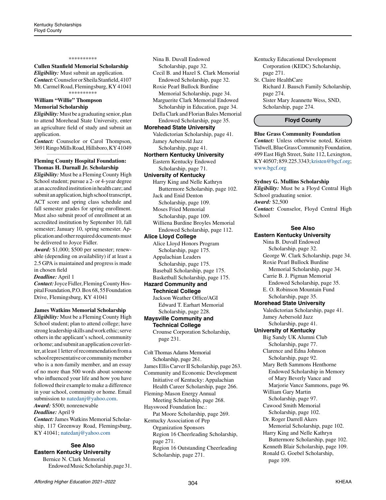#### \*\*\*\*\*\*\*\*\*\*

**Cullen Stanfield Memorial Scholarship**

*Eligibility:* Must submit an application. *Contact:* Counselor or Sheila Stanfield, 4107 Mt. Carmel Road, Flemingsburg, KY 41041 \*\*\*\*\*\*\*\*\*\*

### **William "Willie" Thompson Memorial Scholarship**

*Eligibility:* Must be a graduating senior, plan to attend Morehead State University, enter an agriculture field of study and submit an application.

*Contact:* Counselor or Carol Thompson, 3691 Ringo Mills Road, Hillsboro, KY 41049 *\_\_\_\_\_\_\_\_\_\_\_\_\_\_\_\_\_\_\_\_\_\_\_\_\_\_\_\_\_\_\_\_\_\_\_\_\_\_\_\_\_\_\_\_*

#### **Fleming County Hospital Foundation: Thomas H. Darnall Jr. Scholarship**

*Eligibility:* Must be a Fleming County High School student; pursue a 2- or 4-year degree at an accredited institution in health care; and submit an application, high school transcript, ACT score and spring class schedule and fall semester grades for spring enrollment. Must also submit proof of enrollment at an accredited institution by September 10, fall semester; January 10, spring semester. Application and other required documents must be delivered to Joyce Fidler.

*Award:* \$1,000; \$500 per semester; renewable (depending on availability) if at least a 2.5 GPA is maintained and progress is made in chosen field

#### *Deadline:* April 1

*Contact:* Joyce Fidler, Fleming County Hospital Foundation, P.O. Box 68, 55 Foundation Drive, Flemingsburg, KY 41041

*\_\_\_\_\_\_\_\_\_\_\_\_\_\_\_\_\_\_\_\_\_\_\_\_\_\_\_\_\_\_\_\_\_\_\_\_\_\_\_\_\_\_\_\_* **James Watkins Memorial Scholarship**

*Eligibility:* Must be a Fleming County High School student; plan to attend college; have strong leadership skills and work ethic; serve others in the applicant's school, community or home; and submit an application cover letter, at least 1 letter of recommendation from a school representative or community member who is a non-family member, and an essay of no more than 500 words about someone who influenced your life and how you have followed their example to make a difference in your school, community or home. Email submission to [natedanj@yahoo.com.](mailto:natedanj%40yahoo.com?subject=) *Award:* \$500; nonrenewable

### *Deadline:* April 9

*Contact:* James Watkins Memorial Scholarship, 117 Greenway Road, Flemingsburg, KY 41041; [natedanj@yahoo.com](mailto:natedanj%40yahoo.com?subject=)

# **See Also Eastern Kentucky University**

Bernice N. Clark Memorial Endowed Music Scholarship, page 31.

Nina B. Duvall Endowed Scholarship, page 32. Cecil B. and Hazel S. Clark Memorial Endowed Scholarship, page 32. Roxie Pearl Bullock Burdine Memorial Scholarship, page 34. Marguerite Clark Memorial Endowed Scholarship in Education, page 34. Della Clark and Florian Bales Memorial Endowed Scholarship, page 35. **Morehead State University** Valedictorian Scholarship, page 41. Jamey Aebersold Jazz Scholarship, page 41. **Northern Kentucky University** Eastern Kentucky Endowed Scholarship, page 71. **University of Kentucky** Harry King and Nelle Kathryn Buttermore Scholarship, page 102. Jack and Enid Denton Scholarship, page 109. Moses Fried Memorial Scholarship, page 109. Williena Burdine Broyles Memorial Endowed Scholarship, page 112. **Alice Lloyd College** Alice Lloyd Honors Program Scholarship, page 175. Appalachian Leaders Scholarship, page 175. Baseball Scholarship, page 175. Basketball Scholarship, page 175. **Hazard Community and Technical College** Jackson Weather Office/AGI Edward T. Earhart Memorial Scholarship, page 228. **Maysville Community and Technical College** Crounse Corporation Scholarship, page 231. Colt Thomas Adams Memorial Scholarship, page 261.

James Ellis Carver II Scholarship, page 263. Community and Economic Development Initiative of Kentucky: Appalachian Health Career Scholarship, page 266. Fleming-Mason Energy Annual Meeting Scholarship, page 268. Hayswood Foundation Inc.: Pat Moore Scholarship, page 269. Kentucky Association of Pep Organization Sponsors Region 16 Cheerleading Scholarship, page 271. Region 16 Outstanding Cheerleading Scholarship, page 271.

Kentucky Educational Development Corporation (KEDC) Scholarship, page 271.

St. Claire HealthCare Richard J. Bausch Family Scholarship, page 274. Sister Mary Jeannette Wess, SND, Scholarship, page 274.

#### **Floyd County**

#### **Blue Grass Community Foundation**

*Contact:* Unless otherwise noted, Kristen Tidwell, Blue Grass Community Foundation, 499 East High Street, Suite 112, Lexington, KY 40507; 859.225.3343; [kristen@bgcf.org](mailto:kristen%40bgcf.org?subject=); [www.bgcf.org](http://www.bgcf.org)

#### **Sydney G. Mullins Scholarship**

*Eligibility:* Must be a Floyd Central High School graduating senior. *Award:* \$2,500 *Contact:* Counselor, Floyd Central High School

#### **See Also**

**Eastern Kentucky University** Nina B. Duvall Endowed Scholarship, page 32. George W. Clark Scholarship, page 34. Roxie Pearl Bullock Burdine Memorial Scholarship, page 34. Carrie B. J. Pigman Memorial Endowed Scholarship, page 35. E. O. Robinson Mountain Fund Scholarship, page 35. **Morehead State University** Valedictorian Scholarship, page 41. Jamey Aebersold Jazz Scholarship, page 41. **University of Kentucky** Big Sandy UK Alumni Club Scholarship, page 77. Clarence and Edna Johnson Scholarship, page 92. Mary Beth Sammons Henthorne Endowed Scholarship in Memory of Mary Beverly Vance and Marjorie Vance Sammons, page 96. William Gary Martin Scholarship, page 97. Cawood Smith Memorial Scholarship, page 102. Dr. Roger Darrell Akers Memorial Scholarship, page 102. Harry King and Nelle Kathryn Buttermore Scholarship, page 102. Kenneth Blair Scholarship, page 109. Ronald G. Goebel Scholarship, page 109.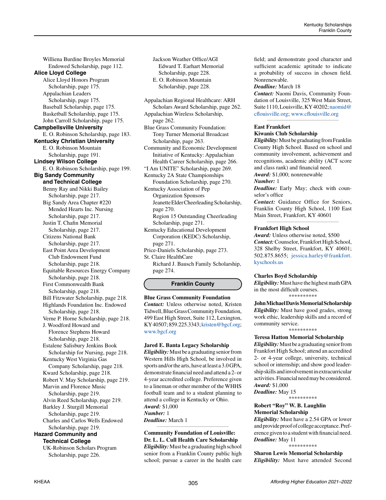Williena Burdine Broyles Memorial Endowed Scholarship, page 112. **Alice Lloyd College** Alice Lloyd Honors Program Scholarship, page 175. Appalachian Leaders Scholarship, page 175. Baseball Scholarship, page 175. Basketball Scholarship, page 175. John Carroll Scholarship, page 175. **Campbellsville University** E. O. Robinson Scholarship, page 183. **Kentucky Christian University** E. O. Robinson Mountain Scholarship, page 191. **Lindsey Wilson College** E. O. Robinson Scholarship, page 199. **Big Sandy Community and Technical College** Benny Ray and Nikki Bailey Scholarship, page 217. Big Sandy Area Chapter #220 Mended Hearts Inc. Nursing Scholarship, page 217. Justin T. Chafin Memorial Scholarship, page 217. Citizens National Bank Scholarship, page 217. East Point Area Development Club Endowment Fund Scholarship, page 218. Equitable Resources Energy Company Scholarship, page 218. First Commonwealth Bank Scholarship, page 218. Bill Fitzwater Scholarship, page 218. Highlands Foundation Inc. Endowed Scholarship, page 218. Verne P. Horne Scholarship, page 218. J. Woodford Howard and Florence Stephens Howard Scholarship, page 218. Estalene Salisbury Jenkins Book Scholarship for Nursing, page 218. Kentucky West Virginia Gas Company Scholarship, page 218. Kward Scholarship, page 218. Robert V. May Scholarship, page 219. Marvin and Florence Music Scholarship, page 219. Alvin Reed Scholarship, page 219. Barkley J. Sturgill Memorial Scholarship, page 219. Charles and Carlos Wells Endowed Scholarship, page 219. **Hazard Community and Technical College** UK-Robinson Scholars Program

Scholarship, page 226.

Jackson Weather Office/AGI Edward T. Earhart Memorial Scholarship, page 228. E. O. Robinson Mountain Scholarship, page 228.

Appalachian Regional Healthcare: ARH Scholars Award Scholarship, page 262. Appalachian Wireless Scholarship, page 262. Blue Grass Community Foundation: Tony Turner Memorial Broadcast Scholarship, page 263. Community and Economic Development Initiative of Kentucky: Appalachian Health Career Scholarship, page 266. "I Am UNITE" Scholarship, page 269. Kentucky 2A State Championships Foundation Scholarship, page 270. Kentucky Association of Pep Organization Sponsors Jeanette Elder Cheerleading Scholarship, page 270. Region 15 Outstanding Cheerleading Scholarship, page 271.

Kentucky Educational Development Corporation (KEDC) Scholarship, page 271.

Price-Daniels Scholarship, page 273. St. Claire HealthCare

Richard J. Bausch Family Scholarship, page 274.

### **Franklin County**

**Blue Grass Community Foundation** *Contact:* Unless otherwise noted, Kristen Tidwell, Blue Grass Community Foundation, 499 East High Street, Suite 112, Lexington, KY 40507; 859.225.3343; [kristen@bgcf.org;](mailto:kristen%40bgcf.org?subject=) [www.bgcf.org](http://www.bgcf.org)

#### **Jared E. Banta Legacy Scholarship**

*Eligibility:* Must be a graduating senior from Western Hills High School, be involved in sports and/or the arts, have at least a 3.0 GPA, demonstrate financial need and attend a 2- or 4-year accredited college. Preference given to a lineman or other member of the WHHS football team and to a student planning to attend a college in Kentucky or Ohio. *Award:* \$1,000 *Number:* 1 *Deadline:* March 1

#### *\_\_\_\_\_\_\_\_\_\_\_\_\_\_\_\_\_\_\_\_\_\_\_\_\_\_\_\_\_\_\_\_\_\_\_\_\_\_\_\_\_\_\_\_*  **Community Foundation of Louisville: Dr. L. L. Cull Health Care Scholarship**

*Eligibility:* Must be a graduating high school senior from a Franklin County public high school; pursue a career in the health care field; and demonstrate good character and sufficient academic aptitude to indicate a probability of success in chosen field. Nonrenewable.

#### *Deadline:* March 18

*Contact:* Naomi Davis, Community Foundation of Louisville, 325 West Main Street, Suite 1110, Louisville, KY 40202; [naomid@](mailto:naomid%40cflouisville.org?subject=) [cflouisville.org](mailto:naomid%40cflouisville.org?subject=); [www.cflouisville.org](http://www.cflouisville.org)

*\_\_\_\_\_\_\_\_\_\_\_\_\_\_\_\_\_\_\_\_\_\_\_\_\_\_\_\_\_\_\_\_\_\_\_\_\_\_\_\_\_\_\_\_* 

#### **East Frankfort Kiwanis Club Scholarship**

*Eligibility:*Must be graduating from Franklin County High School. Based on school and community involvement, achievement and recognitions, academic ability (ACT score and class rank) and financial need.

*Award:* \$1,000; nonrenewable

#### *Number:* 1

*Deadline:* Early May; check with counselor's office

*Contact:* Guidance Office for Seniors, Franklin County High School, 1100 East Main Street, Frankfort, KY 40601 *\_\_\_\_\_\_\_\_\_\_\_\_\_\_\_\_\_\_\_\_\_\_\_\_\_\_\_\_\_\_\_\_\_\_\_\_\_\_\_\_\_\_\_\_*

#### **Frankfort High School**

*Award:* Unless otherwise noted, \$500 *Contact:* Counselor, Frankfort High School, 328 Shelby Street, Frankfort, KY 40601; 502.875.8655; [jessica.harley@frankfort.](mailto:jessica.harley%40frankfort.kyschools.us?subject=) [kyschools.us](mailto:jessica.harley%40frankfort.kyschools.us?subject=)

#### **Charles Boyd Scholarship**

*Eligibility:* Must have the highest math GPA in the most difficult courses. \*\*\*\*\*\*\*\*\*\*

**John Michael Davis Memorial Scholarship** *Eligibility:* Must have good grades, strong work ethic, leadership skills and a record of community service.

\*\*\*\*\*\*\*\*\*\*

#### **Teresa Hatton Memorial Scholarship**

*Eligibility:* Must be a graduating senior from Frankfort High School; attend an accredited 2- or 4-year college, university, technical school or internship; and show good leadership skills and involvement in extracurricular activities. Financial need may be considered. *Award:* \$1,000

*Deadline:* May 15 \*\*\*\*\*\*\*\*\*\*

# **Robert "Roy" W. B. Laughlin Memorial Scholarship**

*Eligibility:* Must have a 2.54 GPA or lower and provide proof of college acceptance. Preference given to a student with financial need. *Deadline:* May 11

\*\*\*\*\*\*\*\*\*\*

**Sharon Lewis Memorial Scholarship** *Eligibility:* Must have attended Second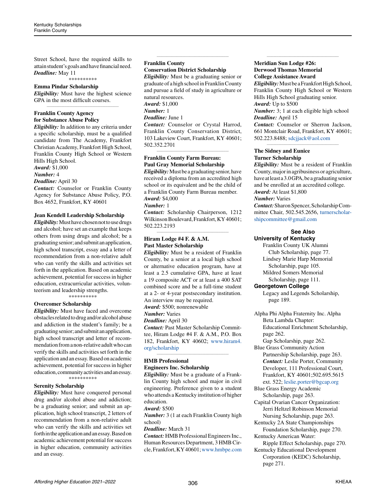Street School, have the required skills to attain student's goals and have financial need. *Deadline:* May 11

\*\*\*\*\*\*\*\*\*\*

# **Emma Pindar Scholarship**

*Eligibility:* Must have the highest science GPA in the most difficult courses. *\_\_\_\_\_\_\_\_\_\_\_\_\_\_\_\_\_\_\_\_\_\_\_\_\_\_\_\_\_\_\_\_\_\_\_\_\_\_\_\_\_\_\_\_*

#### **Franklin County Agency for Substance Abuse Policy**

*Eligibility:* In addition to any criteria under a specific scholarship, must be a qualified candidate from The Academy, Frankfort Christian Academy, Frankfort High School, Franklin County High School or Western Hills High School.

#### *Award:* \$1,000

*Number:* 4

#### *Deadline:* April 30

*Contact:* Counselor or Franklin County Agency for Substance Abuse Policy, P.O. Box 4652, Frankfort, KY 40601

#### **Jean Kendell Leadership Scholarship**

*Eligibility:* Must have chosen not to use drugs and alcohol; have set an example that keeps others from using drugs and alcohol; be a graduating senior; and submit an application, high school transcript, essay and a letter of recommendation from a non-relative adult who can verify the skills and activities set forth in the application. Based on academic achievement, potential for success in higher education, extracurricular activities, volunteerism and leadership strengths.

\*\*\*\*\*\*\*\*\*\*

# **Overcomer Scholarship**

*Eligibility:* Must have faced and overcome obstacles related to drug and/or alcohol abuse and addiction in the student's family; be a graduating senior; and submit an application, high school transcript and letter of recommendation from a non-relative adult who can verify the skills and activities set forth in the application and an essay. Based on academic achievement, potential for success in higher education, community activities and an essay.

\*\*\*\*\*\*\*\*\*\*

#### **Serenity Scholarship**

*Eligibility:* Must have conquered personal drug and/or alcohol abuse and addiction; be a graduating senior; and submit an application, high school transcript, 2 letters of recommendation from a non-relative adult who can verify the skills and activities set forth in the application and an essay. Based on academic achievement potential for success in higher education, community activities and an essay.

#### **Franklin County**

#### **Conservation District Scholarship**

*Eligibility:* Must be a graduating senior or graduate of a high school in Franklin County and pursue a field of study in agriculture or natural resources.

*\_\_\_\_\_\_\_\_\_\_\_\_\_\_\_\_\_\_\_\_\_\_\_\_\_\_\_\_\_\_\_\_\_\_\_\_\_\_\_\_\_\_\_\_*

*Award:* \$1,000

*Number:* 1

*Deadline:* June 1

*Contact:* Counselor or Crystal Harrod, Franklin County Conservation District, 103 Lakeview Court, Frankfort, KY 40601; 502.352.2701

*\_\_\_\_\_\_\_\_\_\_\_\_\_\_\_\_\_\_\_\_\_\_\_\_\_\_\_\_\_\_\_\_\_\_\_\_\_\_\_\_\_\_\_\_*

# **Franklin County Farm Bureau: Paul Gray Memorial Scholarship**

*Eligibility:* Must be a graduating senior, have received a diploma from an accredited high school or its equivalent and be the child of a Franklin County Farm Bureau member. *Award:* \$4,000

*Number:* 1

*Contact:* Scholarship Chairperson, 1212 Wilkinson Boulevard, Frankfort, KY 40601; 502.223.2193 *\_\_\_\_\_\_\_\_\_\_\_\_\_\_\_\_\_\_\_\_\_\_\_\_\_\_\_\_\_\_\_\_\_\_\_\_\_\_\_\_\_\_\_\_*

# **Hiram Lodge #4 F. & A.M. Past Master Scholarship**

*Eligibility:* Must be a resident of Franklin County, be a senior at a local high school or alternative education program, have at least a 2.5 cumulative GPA, have at least a 19 composite ACT or at least a 400 SAT combined score and be a full-time student at a 2- or 4-year postsecondary institution. An interview may be required.

*Award:* \$500; nonrenewable

*Number:* Varies

*Deadline:* April 30

*Contact:* Past Master Scholarship Committee, Hiram Lodge #4 F. & A.M., P.O. Box 182, Frankfort, KY 40602; [www.hiram4.](http://www.hiram4.org/scholarship) [org/scholarship](http://www.hiram4.org/scholarship)

*\_\_\_\_\_\_\_\_\_\_\_\_\_\_\_\_\_\_\_\_\_\_\_\_\_\_\_\_\_\_\_\_\_\_\_\_\_\_\_\_\_\_\_\_*

# **HMB Professional**

# **Engineers Inc. Scholarship**

*Eligibility:* Must be a graduate of a Franklin County high school and major in civil engineering. Preference given to a student who attends a Kentucky institution of higher education.

#### *Award:* \$500

*Number:* 3 (1 at each Franklin County high school)

### *Deadline:* March 31

*Contact:* HMB Professional Engineers Inc., Human Resources Department, 3 HMB Circle, Frankfort, KY 40601; [www.hmbpe.com](http://www.hmbpe.com)

#### **Meridian Sun Lodge #26: Derwood Thomas Memorial College Assistance Award**

*Eligibility:* Must be a Frankfort High School, Franklin County High School or Western Hills High School graduating senior. *Award:* Up to \$500

*\_\_\_\_\_\_\_\_\_\_\_\_\_\_\_\_\_\_\_\_\_\_\_\_\_\_\_\_\_\_\_\_\_\_\_\_\_\_\_\_\_\_\_\_*

*Number:* 3; 1 at each eligible high school *Deadline:* April 15

*Contact:* Counselor or Sherron Jackson, 661 Montclair Road, Frankfort, KY 40601; 502.223.8488; [sdcjjack@aol.com](mailto:sdcjjack%40aol.com?subject=) *\_\_\_\_\_\_\_\_\_\_\_\_\_\_\_\_\_\_\_\_\_\_\_\_\_\_\_\_\_\_\_\_\_\_\_\_\_\_\_\_\_\_\_\_*

#### **The Sidney and Eunice Turner Scholarship**

*Eligibility:* Must be a resident of Franklin County, major in agribusiness or agriculture, have at least a 3.0 GPA, be a graduating senior and be enrolled at an accredited college. *Award:* At least \$1,800 *Number:* Varies *Contact:* Sharon Spencer, Scholarship Com-

mittee Chair, 502.545.2656, [turnerscholar](mailto:turnerscholarshipcommittee%40gmail.com?subject=)[shipcommittee@gmail.com](mailto:turnerscholarshipcommittee%40gmail.com?subject=)

### **See Also University of Kentucky**

Franklin County UK Alumni Club Scholarship, page 77. Lindsey Marie Harp Memorial Scholarship, page 105. Mildred Somers Memorial

Scholarship, page 111.

# **Georgetown College**

Legacy and Legends Scholarship, page 189.

Alpha Phi Alpha Fraternity Inc. Alpha Beta Lambda Chapter: Educational Enrichment Scholarship, page 262.

Gap Scholarship, page 262.

Blue Grass Community Action Partnership Scholarship, page 263. *Contact:* Leslie Porter, Community Developer, 111 Professional Court, Frankfort, KY 40601;502.695.5615 ext. 522; [leslie.porter@bgcap.org](mailto:leslie.porter%40bgcap.org?subject=)

Blue Grass Energy Academic Scholarship, page 263.

Capital Ovarian Cancer Organization: Jerri Heltzel Robinson Memorial Nursing Scholarship, page 263.

Kentucky 2A State Championships Foundation Scholarship, page 270.

Kentucky American Water: Ripple Effect Scholarship, page 270.

Kentucky Educational Development Corporation (KEDC) Scholarship, page 271.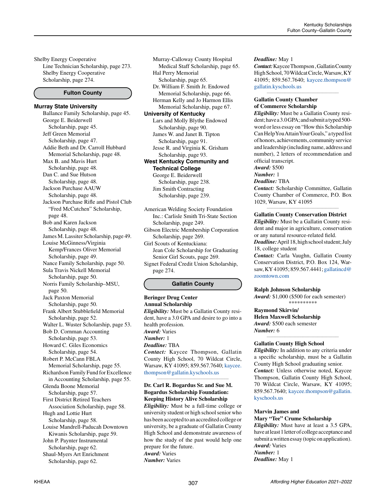Shelby Energy Cooperative Line Technician Scholarship, page 273. Shelby Energy Cooperative Scholarship, page 274.

### **Fulton County**

#### **Murray State University**

Ballance Family Scholarship, page 45. George E. Beiderwell Scholarship, page 45. Jeff Green Memorial Scholarship, page 47. Addie Beth and Dr. Carroll Hubbard Memorial Scholarship, page 48. Max B. and Mavis Hurt Scholarship, page 48. Dan C. and Sue Hutson Scholarship, page 48. Jackson Purchase AAUW Scholarship, page 48. Jackson Purchase Rifle and Pistol Club "Fred McCutchen" Scholarship, page 48. Bob and Karen Jackson Scholarship, page 48. James M. Lassiter Scholarship, page 49. Louise McGinness/Virginia Kemp/Frances Oliver Memorial Scholarship, page 49. Nance Family Scholarship, page 50. Sula Travis Nickell Memorial Scholarship, page 50. Norris Family Scholarship–MSU, page 50. Jack Paxton Memorial Scholarship, page 50. Frank Albert Stubblefield Memorial Scholarship, page 52. Walter L. Wuster Scholarship, page 53. Bob D. Cornman Accounting Scholarship, page 53. Howard C. Giles Economics Scholarship, page 54. Robert P. McCann FBLA Memorial Scholarship, page 55. Richardson Family Fund for Excellence in Accounting Scholarship, page 55. Glenda Boone Memorial Scholarship, page 57. First District Retired Teachers Association Scholarship, page 58. Hugh and Lottie Hurt Scholarship, page 58. Louise Mandrell-Paducah Downtown Kiwanis Scholarship, page 59. John P. Paynter Instrumental Scholarship, page 62. Shaul-Myers Art Enrichment Scholarship, page 62.

Murray-Calloway County Hospital Medical Staff Scholarship, page 65. Hal Perry Memorial Scholarship, page 65. Dr. William F. Smith Jr. Endowed Memorial Scholarship, page 66. Herman Kelly and Jo Harmon Ellis Memorial Scholarship, page 67. **University of Kentucky** Lars and Molly Blythe Endowed Scholarship, page 90. James W. and Janet B. Tipton Scholarship, page 91. Jesse R. and Virginia K. Grisham Scholarship, page 93. **West Kentucky Community and Technical College** George E. Beiderwell Scholarship, page 238. Jim Smith Contracting Scholarship, page 239.

American Welding Society Foundation Inc.: Carlisle Smith Tri-State Section Scholarship, page 249. Gibson Electric Membership Corporation Scholarship, page 269. Girl Scouts of Kentuckiana: Jean Cole Scholarship for Graduating Senior Girl Scouts, page 269. Signet Federal Credit Union Scholarship, page 274.

#### **Gallatin County**

#### **Beringer Drug Center Annual Scholarship** *Eligibility:* Must be a Gallatin County resident, have a 3.0 GPA and desire to go into a health profession. *Award:* Varies *Number:* 1

*Deadline:* TBA

*Contact:* Kaycee Thompson, Gallatin County High School, 70 Wildcat Circle, Warsaw, KY 41095; 859.567.7640; [kaycee.](mailto:kaycee.thompson%40gallatin.kyschools.us?subject=) [thompson@gallatin.kyschools.us](mailto:kaycee.thompson%40gallatin.kyschools.us?subject=)

*\_\_\_\_\_\_\_\_\_\_\_\_\_\_\_\_\_\_\_\_\_\_\_\_\_\_\_\_\_\_\_\_\_\_\_\_\_\_\_\_\_\_\_\_*

# **Dr. Carl R. Bogardus Sr. and Sue M. Bogardus Scholarship Foundation: Keeping History Alive Scholarship**

*Eligibility:* Must be a full-time college or university student or high school senior who has been accepted to an accredited college or university, be a graduate of Gallatin County High School and demonstrate awareness of how the study of the past would help one prepare for the future. *Award:* Varies *Number:* Varies

#### *Deadline:* May 1

*Contact:* Kaycee Thompson , Gallatin County High School, 70 Wildcat Circle, Warsaw, KY 41095; 859.567.7640; [kaycee.thompson@](mailto:kaycee.thompson%40gallatin.kyschools.us?subject=) [gallatin.kyschools.us](mailto:kaycee.thompson%40gallatin.kyschools.us?subject=)

*\_\_\_\_\_\_\_\_\_\_\_\_\_\_\_\_\_\_\_\_\_\_\_\_\_\_\_\_\_\_\_\_\_\_\_\_\_\_\_\_\_\_\_\_*

#### **Gallatin County Chamber of Commerce Scholarship**

*Eligibility:* Must be a Gallatin County resident; have a 3.0 GPA; and submit a typed 500 word or less essay on "How this Scholarship Can Help You Attain Your Goals," a typed list of honors, achievements, community service and leadership (including name, address and number), 2 letters of recommendation and official transcript.

*Award:* \$500

#### *Number:* 1

*Deadline:* TBA

*Contact:* Scholarship Committee, Gallatin County Chamber of Commerce, P.O. Box 1029, Warsaw, KY 41095

#### *\_\_\_\_\_\_\_\_\_\_\_\_\_\_\_\_\_\_\_\_\_\_\_\_\_\_\_\_\_\_\_\_\_\_\_\_\_\_\_\_\_\_\_\_* **Gallatin County Conservation District**

*Eligibility:* Must be a Gallatin County resident and major in agriculture, conservation or any natural resource-related field. *Deadline:* April 18, high school student; July 18, college student

*Contact:* Carla Vaughn, Gallatin County Conservation District, P.O. Box 124, Warsaw, KY 41095; 859.567.4441; [gallatincd@](mailto:gallatincd%40zoomtown.com?subject=) [zoomtown.com](mailto:gallatincd%40zoomtown.com?subject=)

#### **Ralph Johnson Scholarship**

*Award:* \$1,000 (\$500 for each semester) \*\*\*\*\*\*\*\*\*\*

# **Raymond Skirvin/**

**Helen Maxwell Scholarship** *Award:* \$500 each semester *Number:* 6 *\_\_\_\_\_\_\_\_\_\_\_\_\_\_\_\_\_\_\_\_\_\_\_\_\_\_\_\_\_\_\_\_\_\_\_\_\_\_\_\_\_\_\_\_*

#### **Gallatin County High School**

*Eligibility:* In addition to any criteria under a specific scholarship, must be a Gallatin County High School graduating senior. *Contact:* Unless otherwise noted, Kaycee Thompson, Gallatin County High School, 70 Wildcat Circle, Warsaw, KY 41095; 859.567.7640; [kaycee.thompson@gallatin.](mailto:kaycee.thompson%40gallatin.kyschools.us?subject=) [kyschools.us](mailto:kaycee.thompson%40gallatin.kyschools.us?subject=)

#### **Marvin James and**

#### **Mary "Tee" Crume Scholarship**

*Eligibility:* Must have at least a 3.5 GPA, have at least 1 letter of college acceptance and submit a written essay (topic on application). *Award:* Varies *Number:* 1

*Deadline:* May 1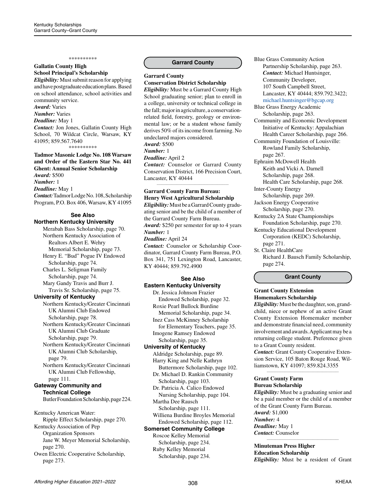#### \*\*\*\*\*\*\*\*\*\*

### **Gallatin County High School Principal's Scholarship**

*Eligibility:* Must submit reason for applying and have postgraduate education plans. Based on school attendance, school activities and community service.

*Award:* Varies

*Number:* Varies *Deadline:* May 1 *Contact:* Jon Jones, Gallatin County High School, 70 Wildcat Circle, Warsaw, KY 41095; 859.567.7640

\*\*\*\*\*\*\*\*\*\*

# **Tadmor Masonic Lodge No. 108 Warsaw and Order of the Eastern Star No. 441 Ghent: Annual Senior Scholarship** *Award:* \$500 *Number:* 1

*Deadline:* May 1

*Contact:* Tadmor Lodge No. 108, Scholarship Program, P.O. Box 406, Warsaw, KY 41095

# **See Also**

### **Northern Kentucky University**

Merabah Bass Scholarship, page 70. Northern Kentucky Association of Realtors Albert E. Wehry Memorial Scholarship, page 73. Henry E. "Bud" Pogue IV Endowed Scholarship, page 74. Charles L. Seligman Family Scholarship, page 74. Mary Gandy Travis and Burr J. Travis Sr. Scholarship, page 75. **University of Kentucky** Northern Kentucky/Greater Cincinnati UK Alumni Club Endowed Scholarship, page 78.

Northern Kentucky/Greater Cincinnati UK Alumni Club Graduate Scholarship, page 79.

Northern Kentucky/Greater Cincinnati UK Alumni Club Scholarship, page 79.

Northern Kentucky/Greater Cincinnati UK Alumni Club Fellowship, page 111.

#### **Gateway Community and Technical College**

Butler Foundation Scholarship, page 224.

Kentucky American Water: Ripple Effect Scholarship, page 270. Kentucky Association of Pep Organization Sponsors Jane W. Meyer Memorial Scholarship,

page 270. Owen Electric Cooperative Scholarship,

page 273.

#### **Garrard County**

#### **Garrard County Conservation District Scholarship**

*Eligibility:* Must be a Garrard County High School graduating senior; plan to enroll in a college, university or technical college in the fall; major in agriculture, a conservationrelated field, forestry, geology or environmental law; or be a student whose family derives 50% of its income from farming. No undeclared majors considered. *Award:* \$500

*Number:* 1

#### *Deadline:* April 2

*Contact:* Counselor or Garrard County Conservation District, 166 Precision Court, Lancaster, KY 40444

*\_\_\_\_\_\_\_\_\_\_\_\_\_\_\_\_\_\_\_\_\_\_\_\_\_\_\_\_\_\_\_\_\_\_\_\_\_\_\_\_\_\_\_\_*

# **Garrard County Farm Bureau: Henry West Agricultural Scholarship**

*Eligibility:* Must be a Garrard County graduating senior and be the child of a member of the Garrard County Farm Bureau. *Award:* \$250 per semester for up to 4 years *Number:* 1 *Deadline:* April 24

*Contact:* Counselor or Scholarship Coordinator, Garrard County Farm Bureau, P.O. Box 341, 751 Lexington Road, Lancaster, KY 40444; 859.792.4900

# **See Also Eastern Kentucky University**

Dr. Jessica Johnson Frazier Endowed Scholarship, page 32. Roxie Pearl Bullock Burdine Memorial Scholarship, page 34. Inez Cass McKinney Scholarship for Elementary Teachers, page 35. Imogene Ramsey Endowed Scholarship, page 35.

# **University of Kentucky**

Aldridge Scholarship, page 89. Harry King and Nelle Kathryn Buttermore Scholarship, page 102.

Dr. Michael D. Rankin Community Scholarship, page 103. Dr. Patricia A. Calico Endowed

 Nursing Scholarship, page 104. Martha Dee Rausch

 Scholarship, page 111. Williena Burdine Broyles Memorial Endowed Scholarship, page 112.

# **Somerset Community College**

Roscoe Kelley Memorial Scholarship, page 234.

Ruby Kelley Memorial Scholarship, page 234.

- Blue Grass Community Action Partnership Scholarship, page 263. *Contact:* Michael Huntsinger, Community Developer, 107 South Campbell Street, Lancaster, KY 40444; 859.792.3422; [michael.huntsinger@bgcap.org](mailto:michael.huntsinger%40bgcap.org?subject=)
- Blue Grass Energy Academic Scholarship, page 263. Community and Economic Development Initiative of Kentucky: Appalachian
- Health Career Scholarship, page 266. Community Foundation of Louisville: Rowland Family Scholarship,
- page 267. Ephraim McDowell Health Keith and Vicki A. Darnell
- Scholarship, page 268. Health Care Scholarship, page 268.
- Inter-County Energy
- Scholarship, page 269.
- Jackson Energy Cooperative Scholarship, page 270.
- Kentucky 2A State Championships Foundation Scholarship, page 270.
- Kentucky Educational Development Corporation (KEDC) Scholarship, page 271.
- St. Claire HealthCare Richard J. Bausch Family Scholarship, page 274.

**Grant County**

# **Grant County Extension Homemakers Scholarship**

*Eligibility:* Must be the daughter, son, grandchild, niece or nephew of an active Grant County Extension Homemaker member and demonstrate financial need, community involvement and awards. Applicant may be a returning college student. Preference given to a Grant County resident.

*Contact:* Grant County Cooperative Extension Service, 105 Baton Rouge Road, Williamstown, KY 41097; 859.824.3355 *\_\_\_\_\_\_\_\_\_\_\_\_\_\_\_\_\_\_\_\_\_\_\_\_\_\_\_\_\_\_\_\_\_\_\_\_\_\_\_\_\_\_\_\_*

#### **Grant County Farm Bureau Scholarship**

*Eligibility:* Must be a graduating senior and be a paid member or the child of a member of the Grant County Farm Bureau. *Award:* \$1,000 *Number:* 4 *Deadline:* May 1 *Contact:* Counselor

**Minuteman Press Higher Education Scholarship** *Eligibility:* Must be a resident of Grant

*\_\_\_\_\_\_\_\_\_\_\_\_\_\_\_\_\_\_\_\_\_\_\_\_\_\_\_\_\_\_\_\_\_\_\_\_\_\_\_\_\_\_\_\_*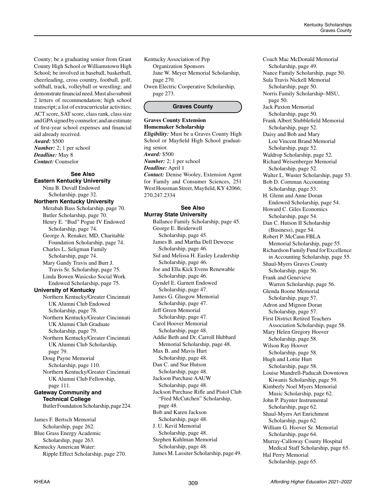County; be a graduating senior from Grant County High School or Williamstown High School; be involved in baseball, basketball, cheerleading, cross country, football, golf, softball, track, volleyball or wrestling; and demonstrate financial need. Must also submit 2 letters of recommendation; high school transcript; a list of extracurricular activities; ACT score, SAT score, class rank, class size and GPA signed by counselor; and an estimate of first-year school expenses and financial aid already received. *Award:* \$500

*Number:* 2; 1 per school *Deadline:* May 8 *Contact:* Counselor

#### **See Also**

**Eastern Kentucky University** Nina B. Duvall Endowed Scholarship, page 32. **Northern Kentucky University** Merabah Bass Scholarship, page 70. Butler Scholarship, page 70. Henry E. "Bud" Pogue IV Endowed Scholarship, page 74. George A. Renaker, MD, Charitable Foundation Scholarship, page 74. Charles L. Seligman Family Scholarship, page 74. Mary Gandy Travis and Burr J. Travis Sr. Scholarship, page 75. Linda Bowen Wasicsko Social Work Endowed Scholarship, page 75. **University of Kentucky** Northern Kentucky/Greater Cincinnati UK Alumni Club Endowed Scholarship, page 78. Northern Kentucky/Greater Cincinnati UK Alumni Club Graduate Scholarship, page 79. Northern Kentucky/Greater Cincinnati UK Alumni Club Scholarship, page 79. Doug Payne Memorial Scholarship, page 110. Northern Kentucky/Greater Cincinnati UK Alumni Club Fellowship, page 111. **Gateway Community and Technical College** Butler Foundation Scholarship, page 224. James F. Bertsch Memorial

Scholarship, page 262. Blue Grass Energy Academic Scholarship, page 263. Kentucky American Water: Ripple Effect Scholarship, page 270. Kentucky Association of Pep Organization Sponsors Jane W. Meyer Memorial Scholarship, page 270. Owen Electric Cooperative Scholarship, page 273.

#### **Graves County**

**Graves County Extension Homemaker Scholarship** *Eligibility:* Must be a Graves County High School or Mayfield High School graduating senior. *Award:* \$500 *Number:* 2; 1 per school *Deadline:* April 1 *Contact:* Denise Wooley, Extension Agent for Family and Consumer Sciences, 251 West Housman Street, Mayfield, KY 42066; 270.247.2334

# **See Also Murray State University**

Ballance Family Scholarship, page 45. George E. Beiderwell Scholarship, page 45. James B. and Martha Dell Deweese Scholarship, page 46. Sid and Melissa H. Easley Leadership Scholarship, page 46. Joe and Ella Kick Evens Renewable Scholarship, page 46. Gyndel E. Garnett Endowed Scholarship, page 47. James G. Glasgow Memorial Scholarship, page 47. Jeff Green Memorial Scholarship, page 47. Carol Hoover Memorial Scholarship, page 48. Addie Beth and Dr. Carroll Hubbard Memorial Scholarship, page 48. Max B. and Mavis Hurt Scholarship, page 48. Dan C. and Sue Hutson Scholarship, page 48. Jackson Purchase AAUW Scholarship, page 48. Jackson Purchase Rifle and Pistol Club "Fred McCutchen" Scholarship, page 48. Bob and Karen Jackson Scholarship, page 48. J. U. Kevil Memorial Scholarship, page 48. Stephen Kuhlman Memorial Scholarship, page 48. James M. Lassiter Scholarship, page 49. Coach Mac McDonald Memorial Scholarship, page 49. Nance Family Scholarship, page 50. Sula Travis Nickell Memorial Scholarship, page 50. Norris Family Scholarship–MSU, page 50. Jack Paxton Memorial Scholarship, page 50. Frank Albert Stubblefield Memorial Scholarship, page 52. Daisy and Bob and Mary Lou Vincent Brand Memorial Scholarship, page 52. Waldrop Scholarship, page 52. Richard Weisenberger Memorial Scholarship, page 52. Walter L. Wuster Scholarship, page 53. Bob D. Cornman Accounting Scholarship, page 53. H. Glenn and Anne Doran Endowed Scholarship, page 54. Howard C. Giles Economics Scholarship, page 54. Dan C. Hutson II Scholarship (Business), page 54. Robert P. McCann FBLA Memorial Scholarship, page 55. Richardson Family Fund for Excellence in Accounting Scholarship, page 55. Shaul-Myers Graves County Scholarship, page 56. Frank and Genevieve Warren Scholarship, page 56. Glenda Boone Memorial Scholarship, page 57. Adron and Mignon Doran Scholarship, page 57. First District Retired Teachers Association Scholarship, page 58. Mary Helen Gregory Hoover Scholarship, page 58. Wilson Ray Hoover Scholarship, page 58. Hugh and Lottie Hurt Scholarship, page 58. Louise Mandrell-Paducah Downtown Kiwanis Scholarship, page 59. Kimberly Noel Myers Memorial Music Scholarship, page 62. John P. Paynter Instrumental Scholarship, page 62. Shaul-Myers Art Enrichment Scholarship, page 62. William G. Hoover Sr. Memorial Scholarship, page 64. Murray-Calloway County Hospital Medical Staff Scholarship, page 65. Hal Perry Memorial Scholarship, page 65.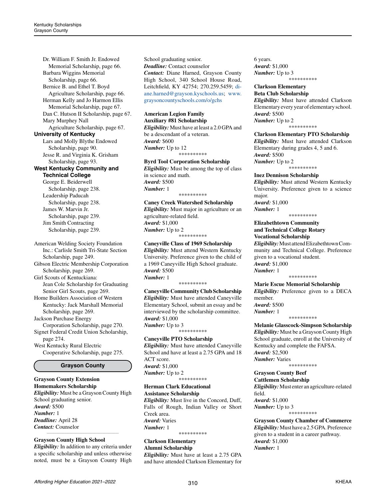Dr. William F. Smith Jr. Endowed Memorial Scholarship, page 66. Barbara Wiggins Memorial Scholarship, page 66. Bernice B. and Ethel T. Boyd Agriculture Scholarship, page 66. Herman Kelly and Jo Harmon Ellis Memorial Scholarship, page 67. Dan C. Hutson II Scholarship, page 67. Mary Murphey Nall Agriculture Scholarship, page 67. **University of Kentucky** Lars and Molly Blythe Endowed Scholarship, page 90. Jesse R. and Virginia K. Grisham Scholarship, page 93. **West Kentucky Community and Technical College** George E. Beiderwell Scholarship, page 238. Leadership Paducah Scholarship, page 238. James W. Marvin Jr. Scholarship, page 239. Jim Smith Contracting Scholarship, page 239. American Welding Society Foundation Inc.: Carlisle Smith Tri-State Section Scholarship, page 249.

Gibson Electric Membership Corporation Scholarship, page 269.

Girl Scouts of Kentuckiana: Jean Cole Scholarship for Graduating

Senior Girl Scouts, page 269. Home Builders Association of Western Kentucky: Jack Marshall Memorial Scholarship, page 269.

Jackson Purchase Energy Corporation Scholarship, page 270. Signet Federal Credit Union Scholarship, page 274.

West Kentucky Rural Electric Cooperative Scholarship, page 275.

#### **Grayson County**

#### **Grayson County Extension Homemakers Scholarship**

*Eligibility:* Must be a Grayson County High School graduating senior. *Award:* \$500 *Number:* 1 *Deadline:* April 28 *Contact:* Counselor *\_\_\_\_\_\_\_\_\_\_\_\_\_\_\_\_\_\_\_\_\_\_\_\_\_\_\_\_\_\_\_\_\_\_\_\_\_\_\_\_\_\_\_\_*

#### **Grayson County High School**

*Eligibility:* In addition to any criteria under a specific scholarship and unless otherwise noted, must be a Grayson County High School graduating senior. *Deadline:* Contact counselor *Contact:* Diane Harned, Grayson County High School, 340 School House Road, Leitchfield, KY 42754; 270.259.5459; [di](mailto:diane.harned%40grayson.kyschools.us?subject=)[ane.harned@grayson.kyschools.us;](mailto:diane.harned%40grayson.kyschools.us?subject=) [www.](http://www.graysoncountyschools.com/o/gchs) [graysoncountyschools.com/o/gchs](http://www.graysoncountyschools.com/o/gchs)

#### **American Legion Family Auxiliary #81 Scholarship**

*Eligibility:* Must have at least a 2.0 GPA and be a descendant of a veteran. *Award:* \$600 *Number:* Up to 12 \*\*\*\*\*\*\*\*\*\*

#### **Byrd Tool Corporation Scholarship**

*Eligibility:* Must be among the top of class in science and math. *Award:* \$500 *Number:* 1 \*\*\*\*\*\*\*\*\*\*

#### **Caney Creek Watershed Scholarship**

*Eligibility:* Must major in agriculture or an agriculture-related field. *Award:* \$1,000 *Number:* Up to 2 \*\*\*\*\*\*\*\*\*\*

**Caneyville Class of 1969 Scholarship** *Eligibility:* Must attend Western Kentucky University. Preference given to the child of a 1969 Caneyville High School graduate. *Award:* \$500 *Number:* 1 \*\*\*\*\*\*\*\*\*\*

**Caneyville Community Club Scholarship** *Eligibility:* Must have attended Caneyville Elementary School, submit an essay and be interviewed by the scholarship committee. *Award:* \$1,000 *Number:* Up to 3 \*\*\*\*\*\*\*\*\*\*

#### **Caneyville PTO Scholarship**

*Eligibility:* Must have attended Caneyville School and have at least a 2.75 GPA and 18 ACT score. *Award:* \$1,000 *Number:* Up to 2 \*\*\*\*\*\*\*\*\*\*

#### **Herman Clark Educational Assistance Scholarship**

*Eligibility:* Must live in the Concord, Duff, Falls of Rough, Indian Valley or Short Creek area. *Award:* Varies *Number:* 1 \*\*\*\*\*\*\*\*\*\*

**Clarkson Elementary Alumni Scholarship**

*Eligibility:* Must have at least a 2.75 GPA and have attended Clarkson Elementary for 6 years. *Award:* \$1,000 *Number:* Up to 3 \*\*\*\*\*\*\*\*\*\*

**Clarkson Elementary** 

# **Beta Club Scholarship**

*Eligibility:* Must have attended Clarkson Elementary every year of elementary school. *Award:* \$500 *Number:* Up to 2 \*\*\*\*\*\*\*\*\*\*

**Clarkson Elementary PTO Scholarship** *Eligibility:* Must have attended Clarkson Elementary during grades 4, 5 and 6. *Award:* \$500

*Number:* Up to 2 \*\*\*\*\*\*\*\*\*\*

# **Inez Dennison Scholarship**

*Eligibility:* Must attend Western Kentucky University. Preference given to a science major.

*Award:* \$1,000 *Number:* 1

\*\*\*\*\*\*\*\*\*\*

# **Elizabethtown Community and Technical College Rotary Vocational Scholarship** *Eligibility:* Must attend Elizabethtown Com-

munity and Technical College. Preference given to a vocational student. *Award:* \$1,000 *Number:* 1 \*\*\*\*\*\*\*\*\*\*

**Marie Escue Memorial Scholarship** *Eligibility:* Preference given to a DECA member.

*Award:* \$500 *Number:* 1

\*\*\*\*\*\*\*\*\*\* **Melanie Glasscock-Simpson Scholarship** *Eligibility:* Must be a Grayson County High School graduate, enroll at the University of

Kentucky and complete the FAFSA. *Award:* \$2,500 *Number:* Varies \*\*\*\*\*\*\*\*\*\*

#### **Grayson County Beef Cattlemen Scholarship**

*Eligibility:* Must enter an agriculture-related field. *Award:* \$1,000 *Number:* Up to 3 \*\*\*\*\*\*\*\*\*\*

**Grayson County Chamber of Commerce** *Eligibility:* Must have a 2.5 GPA. Preference given to a student in a career pathway. *Award:* \$1,000 *Number:* 1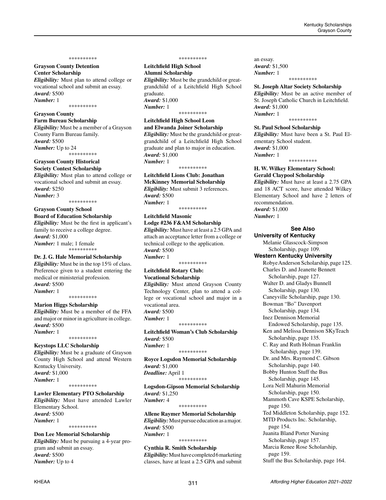#### \*\*\*\*\*\*\*\*\*\*

### **Grayson County Detention Center Scholarship**

*Eligibility:* Must plan to attend college or vocational school and submit an essay. *Award:* \$500 *Number:* 1

\*\*\*\*\*\*\*\*\*\*

# **Grayson County**

**Farm Bureau Scholarship** *Eligibility:* Must be a member of a Grayson County Farm Bureau family. *Award:* \$500 *Number:* Up to 24 \*\*\*\*\*\*\*\*\*\*

#### **Grayson County Historical**

**Society Contest Scholarship** *Eligibility:* Must plan to attend college or vocational school and submit an essay. *Award:* \$250 *Number:* 3

\*\*\*\*\*\*\*\*\*\*

# **Grayson County School**

**Board of Education Scholarship** *Eligibility:* Must be the first in applicant's family to receive a college degree. *Award:* \$1,000 *Number:* 1 male; 1 female \*\*\*\*\*\*\*\*\*\*

# **Dr. J. G. Hale Memorial Scholarship**

*Eligibility:* Must be in the top 15% of class. Preference given to a student entering the medical or ministerial profession. *Award:* \$500 *Number:* 1 \*\*\*\*\*\*\*\*\*\*

#### **Marion Higgs Scholarship**

*Eligibility:* Must be a member of the FFA and major or minor in agriculture in college. *Award:* \$500 *Number:* 1

\*\*\*\*\*\*\*\*\*\*

### **Keystops LLC Scholarship**

*Eligibility:* Must be a graduate of Grayson County High School and attend Western Kentucky University. *Award:* \$1,000 *Number:* 1 \*\*\*\*\*\*\*\*\*\*

# **Lawler Elementary PTO Scholarship**

*Eligibility:* Must have attended Lawler Elementary School. *Award:* \$500 *Number:* 1 \*\*\*\*\*\*\*\*\*\*

# **Don Lee Memorial Scholarship**

*Eligibility:* Must be pursuing a 4-year program and submit an essay. *Award:* \$500 *Number:* Up to 4

#### \*\*\*\*\*\*\*\*\*\*

**Leitchfield High School Alumni Scholarship** *Eligibility:* Must be the grandchild or greatgrandchild of a Leitchfield High School graduate. *Award:* \$1,000 *Number:* 1

### \*\*\*\*\*\*\*\*\*\*

#### **Leitchfield High School Leon and Elwanda Joiner Scholarship**

*Eligibility:* Must be the grandchild or greatgrandchild of a Leitchfield High School graduate and plan to major in education. *Award:* \$1,000 *Number:* 1

\*\*\*\*\*\*\*\*\*\*

#### **Leitchfield Lions Club: Jonathan McKinney Memorial Scholarship**

*Eligibility:* Must submit 3 references. *Award:* \$500 *Number:* 1

\*\*\*\*\*\*\*\*\*\*

# **Leitchfield Masonic**

**Lodge #236 F&AM Scholarship** *Eligibility:* Must have at least a 2.5 GPA and attach an acceptance letter from a college or technical college to the application. *Award:* \$500 *Number:* 1 \*\*\*\*\*\*\*\*\*\*

# **Leitchfield Rotary Club: Vocational Scholarship**

*Eligibility:* Must attend Grayson County Technology Center, plan to attend a college or vocational school and major in a vocational area. *Award:* \$500 *Number:* 1 \*\*\*\*\*\*\*\*\*\*

**Leitchfield Woman's Club Scholarship** *Award:* \$500 *Number:* 1 \*\*\*\*\*\*\*\*\*\*

**Royce Logsdon Memorial Scholarship** *Award:* \$1,000 *Deadline:* April 1 \*\*\*\*\*\*\*\*\*\*

**Logsdon-Gipson Memorial Scholarship** *Award:* \$1,250 *Number:* 4

\*\*\*\*\*\*\*\*\*\*

**Allene Raymer Memorial Scholarship** *Eligibility:* Must pursue education as a major. *Award:* \$500 *Number:* 1 \*\*\*\*\*\*\*\*\*\*

# **Cynthia R. Smith Scholarship**

*Eligibility:* Must have completed 6 marketing classes, have at least a 2.5 GPA and submit an essay. *Award:* \$1,500 *Number:* 1

#### \*\*\*\*\*\*\*\*\*\*

**St. Joseph Altar Society Scholarship** *Eligibility:* Must be an active member of St. Joseph Catholic Church in Leitchfield. *Award:* \$1,000 *Number:* 1

\*\*\*\*\*\*\*\*\*\*

#### **St. Paul School Scholarship**

*Eligibility:* Must have been a St. Paul Elementary School student. *Award:* \$1,000

*Number:* 1 \*\*\*\*\*\*\*\*\*\*

# **H. W. Wilkey Elementary School: Gerald Claypool Scholarship**

*Eligibility:* Must have at least a 2.75 GPA and 18 ACT score, have attended Wilkey Elementary School and have 2 letters of recommendation. *Award:* \$1,000

*Number:* 1

#### **See Also**

**University of Kentucky**  Melanie Glasscock-Simpson Scholarship, page 109. **Western Kentucky University** Robye Anderson Scholarship, page 125. Charles D. and Jeanette Bennett Scholarship, page 127. Walter D. and Gladys Bunnell Scholarship, page 130. Caneyville Scholarship, page 130. Bowman "Bo" Davenport Scholarship, page 134. Inez Dennison Memorial Endowed Scholarship, page 135. Ken and Melissa Dennison SKyTeach Scholarship, page 135. C. Ray and Ruth Holman Franklin Scholarship, page 139. Dr. and Mrs. Raymond C. Gibson Scholarship, page 140. Bobby Hunton Stuff the Bus Scholarship, page 145. Lora Nell Mahurin Memorial Scholarship, page 150. Mammoth Cave KSPE Scholarship, page 150. Ted Middleton Scholarship, page 152. MTD Products Inc. Scholarship, page 154. Juanita Bland Porter Nursing Scholarship, page 157. Marcia Renee Rose Scholarship, page 159. Stuff the Bus Scholarship, page 164.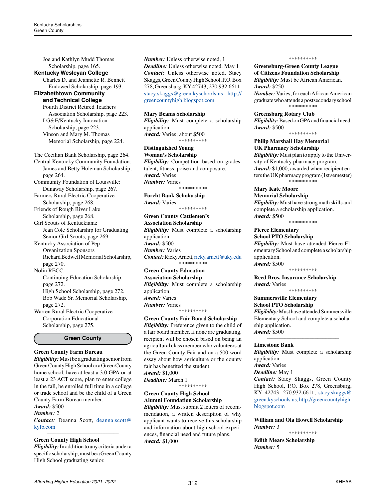Joe and Kathlyn Mudd Thomas Scholarship, page 165.

#### **Kentucky Wesleyan College**

Charles D. and Jeannette R. Bennett Endowed Scholarship, page 193.

#### **Elizabethtown Community and Technical College**

Fourth District Retired Teachers Association Scholarship, page 223. LG&E/Kentucky Innovation Scholarship, page 223. Vinson and Mary M. Thomas Memorial Scholarship, page 224.

The Cecilian Bank Scholarship, page 264. Central Kentucky Community Foundation: James and Betty Holeman Scholarship, page 264.

Community Foundation of Louisville: Dunaway Scholarship, page 267. Farmers Rural Electric Cooperative

Scholarship, page 268.

Friends of Rough River Lake Scholarship, page 268.

Girl Scouts of Kentuckiana: Jean Cole Scholarship for Graduating Senior Girl Scouts, page 269.

Kentucky Association of Pep Organization Sponsors Richard Bedwell Memorial Scholarship, page 270.

Nolin RECC:

Continuing Education Scholarship, page 272. High School Scholarship, page 272. Bob Wade Sr. Memorial Scholarship, page 272.

Warren Rural Electric Cooperative Corporation Educational Scholarship, page 275.

**Green County**

#### **Green County Farm Bureau**

*Eligibility:* Must be a graduating senior from Green County High School or a Green County home school, have at least a 3.0 GPA or at least a 23 ACT score, plan to enter college in the fall, be enrolled full time in a college or trade school and be the child of a Green County Farm Bureau member.

# *Award:* \$500

*Number:* 2

*Contact:* Deanna Scott, [deanna.scott@](mailto:deanna.scott%40kyfb.com?subject=) [kyfb.com](mailto:deanna.scott%40kyfb.com?subject=)*\_\_\_\_\_\_\_\_\_\_\_\_\_\_\_\_\_\_\_\_\_\_\_\_\_\_\_\_\_\_\_\_\_\_\_\_\_\_\_\_\_\_\_\_*

#### **Green County High School**

*Eligibility:* In addition to any criteria under a specific scholarship, must be a Green County High School graduating senior.

*Number:* Unless otherwise noted, 1 *Deadline:* Unless otherwise noted, May 1 *Contact:* Unless otherwise noted, Stacy Skaggs, Green County High School, P.O. Box 278, Greensburg, KY 42743; 270.932.6611; [stacy.skaggs@green.kyschools.us;](mailto:stacy.skaggs%40green.kyschools.us?subject=) [http://](http://greencountyhigh.blogspot.com) [greencountyhigh.blogspot.com](http://greencountyhigh.blogspot.com)

## **Mary Beams Scholarship**

*Eligibility:* Must complete a scholarship application. *Award:* Varies; about \$500 \*\*\*\*\*\*\*\*\*\*

**Distinguished Young Woman's Scholarship** *Eligibility:* Competition based on grades, talent, fitness, poise and composure. *Award:* Varies *Number:* Varies

\*\*\*\*\*\*\*\*\*\*

**Forcht Bank Scholarship** *Award:* Varies \*\*\*\*\*\*\*\*\*\*

**Green County Cattlemen's** 

**Association Scholarship** *Eligibility:* Must complete a scholarship application. *Award:* \$500 *Number:* Varies *Contact:* Ricky Arnett, [ricky.arnett@uky.edu](mailto:ricky.arnett@uky.edu) \*\*\*\*\*\*\*\*\*\*

#### **Green County Education Association Scholarship**

*Eligibility:* Must complete a scholarship application. *Award:* Varies *Number:* Varies \*\*\*\*\*\*\*\*\*\*

**Green County Fair Board Scholarship** *Eligibility:* Preference given to the child of a fair board member. If none are graduating, recipient will be chosen based on being an agricultural class member who volunteers at the Green County Fair and on a 500-word essay about how agriculture or the county fair has benefited the student. *Award:* \$1,000 *Deadline:* March 1 \*\*\*\*\*\*\*\*\*\*

#### **Green County High School Alumni Foundation Scholarship**

*Eligibility:* Must submit 2 letters of recommendation, a written description of why applicant wants to receive this scholarship and information about high school experiences, financial need and future plans. *Award:* \$1,000

#### \*\*\*\*\*\*\*\*\*\*

**Greensburg-Green County League of Citizens Foundation Scholarship**  *Eligibility:* Must be African American.

*Award:* \$250 *Number:* Varies; for each African American graduate who attends a postsecondary school \*\*\*\*\*\*\*\*\*\*

#### **Greensburg Rotary Club**

*Eligibility:* Based on GPA and financial need. *Award:* \$500

\*\*\*\*\*\*\*\*\*\*

# **Philip Marshall Hay Memorial**

**UK Pharmacy Scholarship** *Eligibility:* Must plan to apply to the University of Kentucky pharmacy program. *Award:* \$1,000; awarded when recipient enters the UK pharmacy program (1st semester) \*\*\*\*\*\*\*\*\*\*

**Mary Kate Moore Memorial Scholarship** *Eligibility:* Must have strong math skills and complete a scholarship application. *Award:* \$500

\*\*\*\*\*\*\*\*\*\*

### **Pierce Elementary**

#### **School PTO Scholarship**

*Eligibility:* Must have attended Pierce Elementary School and complete a scholarship application. *Award:* \$500

\*\*\*\*\*\*\*\*\*\*

**Reed Bros. Insurance Scholarship** *Award:* Varies

\*\*\*\*\*\*\*\*\*\*

#### **Summersville Elementary School PTO Scholarship**

*Eligibility:* Must have attended Summersville Elementary School and complete a scholarship application. *Award:* \$500

*\_\_\_\_\_\_\_\_\_\_\_\_\_\_\_\_\_\_\_\_\_\_\_\_\_\_\_\_\_\_\_\_\_\_\_\_\_\_\_\_\_\_\_\_*

#### **Limestone Bank**

*Eligibility:* Must complete a scholarship application. *Award:* Varies *Deadline:* May 1

*Contact:* Stacy Skaggs, Green County High School, P.O. Box 278, Greensburg, KY 42743; 270.932.6611; [stacy.skaggs@](mailto:stacy.skaggs%40green.kyschools.us?subject=) [green.kyschools.us;](mailto:stacy.skaggs%40green.kyschools.us?subject=) [http://greencountyhigh.](http://greencountyhigh.blogspot.com) [blogspot.com](http://greencountyhigh.blogspot.com)

**William and Ola Howell Scholarship** *Number:* 3 \*\*\*\*\*\*\*\*\*\*

**Edith Mears Scholarship** *Number:* 5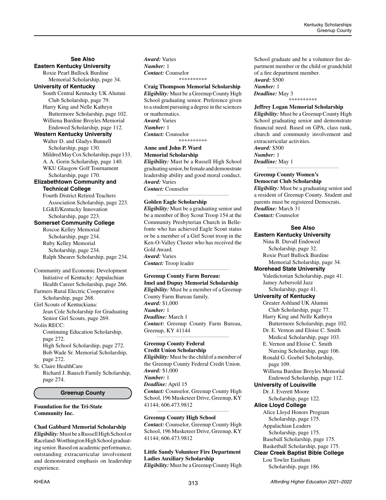# **See Also Eastern Kentucky University**

Roxie Pearl Bullock Burdine Memorial Scholarship, page 34. **University of Kentucky**

South Central Kentucky UK Alumni Club Scholarship, page 79. Harry King and Nelle Kathryn Buttermore Scholarship, page 102. Williena Burdine Broyles Memorial Endowed Scholarship, page 112.

### **Western Kentucky University**

Walter D. and Gladys Bunnell Scholarship, page 130. Mildred May Cox Scholarship, page 133. A. A. Gorin Scholarship, page 140. WKU Glasgow Golf Tournament Scholarship, page 170.

# **Elizabethtown Community and Technical College**

Fourth District Retired Teachers Association Scholarship, page 223. LG&E/Kentucky Innovation Scholarship, page 223.

### **Somerset Community College**

Roscoe Kelley Memorial Scholarship, page 234. Ruby Kelley Memorial Scholarship, page 234. Ralph Shearer Scholarship, page 234.

# Community and Economic Development Initiative of Kentucky: Appalachian Health Career Scholarship, page 266.

Farmers Rural Electric Cooperative Scholarship, page 268.

Girl Scouts of Kentuckiana: Jean Cole Scholarship for Graduating Senior Girl Scouts, page 269.

Nolin RECC: Continuing Education Scholarship, page 272. High School Scholarship, page 272. Bob Wade Sr. Memorial Scholarship,

page 272. St. Claire HealthCare Richard J. Bausch Family Scholarship, page 274.

### **Greenup County**

#### **Foundation for the Tri-State Community Inc.**

# **Chad Gabbard Memorial Scholarship**

*Eligibility:* Must be a Russell High School or Raceland-Worthington High School graduating senior. Based on academic performance, outstanding extracurricular involvement and demonstrated emphasis on leadership experience.

*Award:* Varies *Number:* 1 *Contact:* Counselor \*\*\*\*\*\*\*\*\*\*

# **Craig Thompson Memorial Scholarship**

*Eligibility:* Must be a Greenup County High School graduating senior. Preference given to a student pursuing a degree in the sciences or mathematics. *Award:* Varies *Number:* 1 *Contact:* Counselor \*\*\*\*\*\*\*\*\*\*

# **Anne and John P. Ward Memorial Scholarship**

*Eligibility:* Must be a Russell High School graduating senior, be female and demonstrate leadership ability and good moral conduct. *Award:* Varies *Contact:* Counselor *\_\_\_\_\_\_\_\_\_\_\_\_\_\_\_\_\_\_\_\_\_\_\_\_\_\_\_\_\_\_\_\_\_\_\_\_\_\_\_\_\_\_\_\_*

# **Golden Eagle Scholarship**

*Eligibility:* Must be a graduating senior and be a member of Boy Scout Troop 154 at the Community Presbyterian Church in Bellefonte who has achieved Eagle Scout status or be a member of a Girl Scout troop in the Ken-O-Valley Cluster who has received the Gold Award. *Award:* Varies *Contact:* Troop leader

#### **Greenup County Farm Bureau: Imel and Dupuy Memorial Scholarship** *Eligibility:* Must be a member of a Greenup County Farm Bureau family.

*\_\_\_\_\_\_\_\_\_\_\_\_\_\_\_\_\_\_\_\_\_\_\_\_\_\_\_\_\_\_\_\_\_\_\_\_\_\_\_\_\_\_\_\_*

*Award:* \$1,000 *Number:* 1 *Deadline:* March 1 *Contact:* Greenup County Farm Bureau, Greenup, KY 41144

*\_\_\_\_\_\_\_\_\_\_\_\_\_\_\_\_\_\_\_\_\_\_\_\_\_\_\_\_\_\_\_\_\_\_\_\_\_\_\_\_\_\_\_\_*

#### **Greenup County Federal Credit Union Scholarship**

*Eligibility:* Must be the child of a member of the Greenup County Federal Credit Union. *Award:* \$1,000 *Number:* 1 *Deadline:* April 15 *Contact:* Counselor, Greenup County High School, 196 Musketeer Drive, Greenup, KY 41144; 606.473.9812 *\_\_\_\_\_\_\_\_\_\_\_\_\_\_\_\_\_\_\_\_\_\_\_\_\_\_\_\_\_\_\_\_\_\_\_\_\_\_\_\_\_\_\_\_*

### **Greenup County High School**

*Contact:* Counselor, Greenup County High School, 196 Musketeer Drive, Greenup, KY 41144; 606.473.9812

### **Little Sandy Volunteer Fire Department Ladies Auxiliary Scholarship** *Eligibility:* Must be a Greenup County High

School graduate and be a volunteer fire department member or the child or grandchild of a fire department member. *Award:* \$500 *Number:* 1

*Deadline:* May 3 \*\*\*\*\*\*\*\*\*\*

# **Jeffrey Logan Memorial Scholarship**

*Eligibility:* Must be a Greenup County High School graduating senior and demonstrate financial need. Based on GPA, class rank, church and community involvement and extracurricular activities.

*Award:* \$500 *Number:* 1 *Deadline:* May 1

#### **Greenup County Women's Democrat Club Scholarship**

*Eligibility:* Must be a graduating senior and a resident of Greenup County. Student and parents must be registered Democrats. *Deadline:* March 31 *Contact:* Counselor

*\_\_\_\_\_\_\_\_\_\_\_\_\_\_\_\_\_\_\_\_\_\_\_\_\_\_\_\_\_\_\_\_\_\_\_\_\_\_\_\_\_\_\_\_*

**See Also Eastern Kentucky University** Nina B. Duvall Endowed Scholarship, page 32. Roxie Pearl Bullock Burdine Memorial Scholarship, page 34. **Morehead State University** Valedictorian Scholarship, page 41. Jamey Aebersold Jazz Scholarship, page 41. **University of Kentucky** Greater Ashland UK Alumni Club Scholarship, page 77. Harry King and Nelle Kathryn Buttermore Scholarship, page 102. Dr. E. Vernon and Eloise C. Smith Medical Scholarship, page 103. E. Vernon and Eloise C. Smith Nursing Scholarship, page 106. Ronald G. Goebel Scholarship, page 109. Williena Burdine Broyles Memorial Endowed Scholarship, page 112. **University of Louisville** Dr. J. Everett Moore Scholarship, page 122. **Alice Lloyd College** Alice Lloyd Honors Program Scholarship, page 175. Appalachian Leaders Scholarship, page 175. Baseball Scholarship, page 175. Basketball Scholarship, page 175. **Clear Creek Baptist Bible College** Lou Towler Eastham Scholarship, page 186.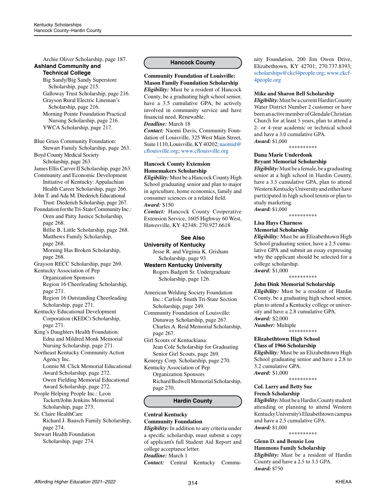Archie Oliver Scholarship, page 187. **Ashland Community and Technical College** Big Sandy/Big Sandy Superstore Scholarship, page 215. Galloway Trust Scholarship, page 216. Grayson Rural Electric Lineman's Scholarship, page 216. Morning Pointe Foundation Practical Nursing Scholarship, page 216. YWCA Scholarship, page 217. Blue Grass Community Foundation: Stewart Family Scholarship, page 263. Boyd County Medical Society Scholarship, page 263. James Ellis Carver II Scholarship, page 263. Community and Economic Development Initiative of Kentucky: Appalachian Health Career Scholarship, page 266. John T. and Ada M. Diederich Educational Trust: Diederich Scholarship, page 267. Foundation for the Tri-State Community Inc.: Oren and Patty Justice Scholarship, page 268. Billie B. Little Scholarship, page 268. Matthews Family Scholarship, page 268. Morning Has Broken Scholarship, page 268. Grayson RECC Scholarship, page 269. Kentucky Association of Pep Organization Sponsors Region 16 Cheerleading Scholarship, page 271. Region 16 Outstanding Cheerleading Scholarship, page 271. Kentucky Educational Development Corporation (KEDC) Scholarship, page 271. King's Daughters Health Foundation: Edna and Mildred Monk Memorial Nursing Scholarship, page 271. Northeast Kentucky Community Action Agency Inc. Lonnie M. Click Memorial Educational Award Scholarship, page 272. Owen Fielding Memorial Educational Award Scholarship, page 272. People Helping People Inc.: Leon Tackett/John Jenkins Memorial Scholarship, page 273. St. Claire HealthCare Richard J. Bausch Family Scholarship, page 274. Stewart Health Foundation Scholarship, page 274. *\_\_\_\_\_\_\_\_\_\_\_\_\_\_\_\_\_\_\_\_\_\_\_\_\_\_\_\_\_\_\_\_\_\_\_\_\_\_\_\_\_\_\_\_*

### **Hancock County**

**Community Foundation of Louisville: Mason Family Foundation Scholarship** *Eligibility:* Must be a resident of Hancock County, be a graduating high school senior, have a 3.5 cumulative GPA, be actively involved in community service and have financial need. Renewable.

#### *Deadline:* March 18

*Contact:* Naomi Davis, Community Foundation of Louisville, 325 West Main Street, Suite 1110, Louisville, KY 40202; [naomid@](mailto:naomid%40cflouisville.org?subject=) [cflouisville.org;](mailto:naomid%40cflouisville.org?subject=) [www.cflouisville.org](http://www.cflouisville.org)

#### **Hancock County Extension Homemakers Scholarship**

*Eligibility:* Must be a Hancock County High School graduating senior and plan to major in agriculture, home economics, family and consumer sciences or a related field. *Award:* \$150

*Contact:* Hancock County Cooperative Extension Service, 1605 Highway 60 West, Hawesville, KY 42348; 270.927.6618

### **See Also University of Kentucky**

Jesse R. and Virginia K. Grisham Scholarship, page 93.

**Western Kentucky University** Rogers Badgett Sr. Undergraduate

Scholarship, page 126.

American Welding Society Foundation Inc.: Carlisle Smith Tri-State Section Scholarship, page 249.

Community Foundation of Louisville: Dunaway Scholarship, page 267. Charles A. Reid Memorial Scholarship, page 267.

Girl Scouts of Kentuckiana: Jean Cole Scholarship for Graduating Senior Girl Scouts, page 269.

Kenergy Corp. Scholarship, page 270. Kentucky Association of Pep

Organization Sponsors Richard Bedwell Memorial Scholarship, page 270.

#### **Hardin County**

# **Central Kentucky Community Foundation**

*Eligibility:* In addition to any criteria under a specific scholarship, must submit a copy of applicant's full Student Aid Report and college acceptance letter. *Deadline:* March 1 *Contact:* Central Kentucky Commu-

nity Foundation, 200 Jim Owen Drive, Elizabethtown, KY 42701; 270.737.8393; [scholarships@ckcf4people.org](mailto:scholarships%40ckcf4people.org?subject=); [www.ckcf-](http://www.ckcf4people.org)[4people.org](http://www.ckcf4people.org)

#### **Mike and Sharon Bell Scholarship**

*Eligibility:* Must be a current Hardin County Water District Number 2 customer or have been an active member of Glendale Christian Church for at least 5 years, plan to attend a 2- or 4-year academic or technical school and have a 3.0 cumulative GPA. *Award:* \$1,000

\*\*\*\*\*\*\*\*\*\*

#### **Dana Marie Underdonk Bryant Memorial Scholarship**

*Eligibility:* Must be a female, be a graduating senior at a high school in Hardin County, have a 3.5 cumulative GPA, plan to attend Western Kentucky University and either have participated in high school tennis or plan to study marketing. *Award:* \$1,000

\*\*\*\*\*\*\*\*\*\*

#### **Lisa Hays Charness Memorial Scholarship**

*Eligibility:* Must be an Elizabethtown High School graduating senior, have a 2.5 cumulative GPA and submit an essay expressing why the applicant should be selected for a college scholarship. *Award:* \$1,000

\*\*\*\*\*\*\*\*\*\*

#### **John Dink Memorial Scholarship**

*Eligibility:* Must be a resident of Hardin County, be a graduating high school senior, plan to attend a Kentucky college or university and have a 2.8 cumulative GPA. *Award:* \$2,000 *Number:* Multiple

-<br>\*\*\*\*\*\*\*\*\*\*

### **Elizabethtown High School Class of 1966 Scholarship**

*Eligibility:* Must be an Elizabethtown High School graduating senior and have a 2.8 to 3.2 cumulative GPA. *Award:* \$1,000

\*\*\*\*\*\*\*\*\*\*

#### **Col. Larry and Betty Sue French Scholarship**

*Eligibility:* Must be a Hardin County student attending or planning to attend Western Kentucky University's Elizabethtown campus and have a 2.5 cumulative GPA. *Award:* \$1,000

\*\*\*\*\*\*\*\*\*\*

**Glenn D. and Bennie Lou Hammons Family Scholarship** *Eligibility:* Must be a resident of Hardin

County and have a 2.5 to 3.5 GPA. *Award:* \$750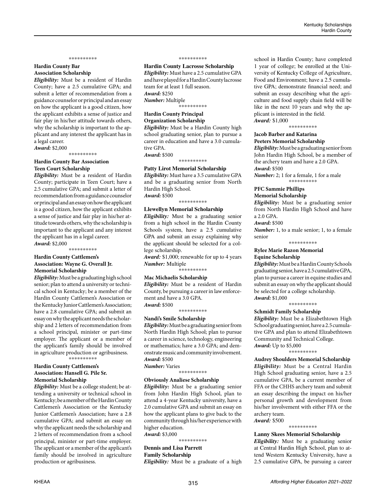#### \*\*\*\*\*\*\*\*\*\*

### **Hardin County Bar Association Scholarship**

*Eligibility:* Must be a resident of Hardin County; have a 2.5 cumulative GPA; and submit a letter of recommendation from a guidance counselor or principal and an essay on how the applicant is a good citizen, how the applicant exhibits a sense of justice and fair play in his/her attitude towards others, why the scholarship is important to the applicant and any interest the applicant has in a legal career.

*Award:* \$2,000 \*\*\*\*\*\*\*\*\*\*

# **Hardin County Bar Association Teen Court Scholarship**

*Eligibility:* Must be a resident of Hardin County; participate in Teen Court; have a 2.5 cumulative GPA; and submit a letter of recommendation from a guidance counselor or principal and an essay on how the applicant is a good citizen, how the applicant exhibits a sense of justice and fair play in his/her attitude towards others, why the scholarship is important to the applicant and any interest the applicant has in a legal career. *Award:* \$2,000

\*\*\*\*\*\*\*\*\*\*

#### **Hardin County Cattlemen's Association: Wayne G. Overall Jr. Memorial Scholarship**

*Eligibility:* Must be a graduating high school senior; plan to attend a university or technical school in Kentucky; be a member of the Hardin County Cattlemen's Association or the Kentucky Junior Cattlemen's Association; have a 2.8 cumulative GPA; and submit an essay on why the applicant needs the scholarship and 2 letters of recommendation from a school principal, minister or part-time employer. The applicant or a member of the applicant's family should be involved in agriculture production or agribusiness. \*\*\*\*\*\*\*\*\*\*

# **Hardin County Cattlemen's Association: Hansell G. Pile Sr.**

**Memorial Scholarship** *Eligibility:* Must be a college student; be attending a university or technical school in Kentucky; be a member of the Hardin County Cattlemen's Association or the Kentucky Junior Cattlemen's Association; have a 2.8 cumulative GPA; and submit an essay on why the applicant needs the scholarship and 2 letters of recommendation from a school principal, minister or part-time employer. The applicant or a member of the applicant's family should be involved in agriculture production or agribusiness.

#### \*\*\*\*\*\*\*\*\*\*

**Hardin County Lacrosse Scholarship**  *Eligibility:* Must have a 2.5 cumulative GPA and have played for a Hardin County lacrosse team for at least 1 full season. *Award:* \$250 *Number:* Multiple \*\*\*\*\*\*\*\*\*\*

#### **Hardin County Principal Organization Scholarship**

*Eligibility:* Must be a Hardin County high school graduating senior, plan to pursue a career in education and have a 3.0 cumulative GPA. *Award:* \$500

\*\*\*\*\*\*\*\*\*\*

#### **Patty Lirot Memorial Scholarship**

*Eligibility:* Must have a 3.5 cumulative GPA and be a graduating senior from North Hardin High School. *Award:* \$500

\*\*\*\*\*\*\*\*\*\*

#### **Llewellyn Memorial Scholarship**

*Eligibility:* Must be a graduating senior from a high school in the Hardin County Schools system, have a 2.5 cumulative GPA and submit an essay explaining why the applicant should be selected for a college scholarship.

*Award:* \$1,000; renewable for up to 4 years *Number:* Multiple

-<br>\*\*\*\*\*\*\*\*\*\*

### **Mac Michaelis Scholarship**

*Eligibility:* Must be a resident of Hardin County, be pursuing a career in law enforcement and have a 3.0 GPA. *Award:* \$500

\*\*\*\*\*\*\*\*\*\*

#### **Nandi's Smile Scholarship**

*Eligibility:* Must be a graduating senior from North Hardin High School; plan to pursue a career in science, technology, engineering or mathematics; have a 3.0 GPA; and demonstrate music and community involvement. *Award:* \$500 *Number:* Varies

\*\*\*\*\*\*\*\*\*\*

#### **Obviously Analiese Scholarship**

*Eligibility:* Must be a graduating senior from John Hardin High School, plan to attend a 4-year Kentucky university, have a 2.0 cumulative GPA and submit an essay on how the applicant plans to give back to the community through his/her experience with higher education. *Award:* \$3,000

#### \*\*\*\*\*\*\*\*\*\*

**Dennis and Lisa Parrett Family Scholarship**

*Eligibility:* Must be a graduate of a high

school in Hardin County; have completed 1 year of college; be enrolled at the University of Kentucky College of Agriculture, Food and Environment; have a 2.5 cumulative GPA; demonstrate financial need; and submit an essay describing what the agriculture and food supply chain field will be like in the next 10 years and why the applicant is interested in the field. *Award:* \$1,000

\*\*\*\*\*\*\*\*\*\*

#### **Jacob Barber and Katarina Peeters Memorial Scholarship**

*Eligibility:* Must be a graduating senior from John Hardin High School, be a member of the archery team and have a 2.0 GPA. *Award:* \$500

*Number:* 2; 1 for a female, 1 for a male \*\*\*\*\*\*\*\*\*\*

**PFC Sammie Phillips** 

# **Memorial Scholarship**

*Eligibility:* Must be a graduating senior from North Hardin High School and have a 2.0 GPA.

*Award:* \$500

*Number:* 1, to a male senior; 1, to a female senior

\*\*\*\*\*\*\*\*\*\*

#### **Rylee Marie Razon Memorial Equine Scholarship**

*Eligibility:* Must be a Hardin County Schools graduating senior, have a 2.5 cumulative GPA, plan to pursue a career in equine studies and submit an essay on why the applicant should be selected for a college scholarship. *Award:* \$1,000

\*\*\*\*\*\*\*\*\*\*

#### **Schmidt Family Scholarship**

*Eligibility:* Must be a Elizabethtown High School graduating senior, have a 2.5 cumulative GPA and plan to attend Elizabethtown Community and Technical College. *Award:* Up to \$5,000

\*\*\*\*\*\*\*\*\*\*

**Audrey Shoulders Memorial Scholarship** *Eligibility:* Must be a Central Hardin High School graduating senior, have a 2.5 cumulative GPA, be a current member of FFA or the CHHS archery team and submit an essay describing the impact on his/her personal growth and development from his/her involvement with either FFA or the archery team.

*Award:* \$500 \*\*\*\*\*\*\*\*\*\*

#### **Lanny Skees Memorial Scholarship**

*Eligibility:* Must be a graduating senior at Central Hardin High School, plan to attend Western Kentucky University, have a 2.5 cumulative GPA, be pursuing a career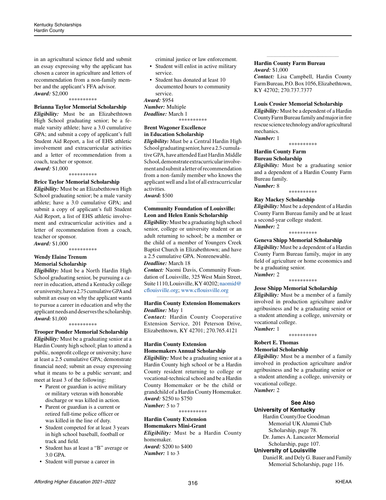in an agricultural science field and submit an essay expressing why the applicant has chosen a career in agriculture and letters of recommendation from a non-family member and the applicant's FFA advisor. *Award:* \$2,000

#### \*\*\*\*\*\*\*\*\*\*

#### **Brianna Taylor Memorial Scholarship**

*Eligibility:* Must be an Elizabethtown High School graduating senior; be a female varsity athlete; have a 3.0 cumulative GPA; and submit a copy of applicant's full Student Aid Report, a list of EHS athletic involvement and extracurricular activities and a letter of recommendation from a coach, teacher or sponsor.

*Award:* \$1,000

\*\*\*\*\*\*\*\*\*\*

# **Brice Taylor Memorial Scholarship**

*Eligibility:* Must be an Elizabethtown High School graduating senior; be a male varsity athlete; have a 3.0 cumulative GPA; and submit a copy of applicant's full Student Aid Report, a list of EHS athletic involvement and extracurricular activities and a letter of recommendation from a coach, teacher or sponsor.

*Award:* \$1,000 \*\*\*\*\*\*\*\*\*\*

# **Wendy Elaine Trenum Memorial Scholarship**

*Eligibility:* Must be a North Hardin High School graduating senior, be pursuing a career in education, attend a Kentucky college or university, have a 2.75 cumulative GPA and submit an essay on why the applicant wants to pursue a career in education and why the applicant needs and deserves the scholarship. *Award:* \$1,000

\*\*\*\*\*\*\*\*\*\*

**Trooper Ponder Memorial Scholarship** *Eligibility:* Must be a graduating senior at a Hardin County high school; plan to attend a public, nonprofit college or university; have at least a 2.5 cumulative GPA; demonstrate financial need; submit an essay expressing what it means to be a public servant; and meet at least 3 of the following:

- Parent or guardian is active military or military veteran with honorable discharge or was killed in action.
- Parent or guardian is a current or retired full-time police officer or was killed in the line of duty.
- Student competed for at least 3 years in high school baseball, football or track and field.
- Student has at least a "B" average or 3.0 GPA.
- Student will pursue a career in

criminal justice or law enforcement.

- Student will enlist in active military service.
- Student has donated at least 10 documented hours to community service.

*Award:* \$954

*Number:* Multiple *Deadline:* March 1

\*\*\*\*\*\*\*\*\*\*

#### **Brent Wagoner Excellence in Education Scholarship**

*Eligibility:* Must be a Central Hardin High School graduating senior, have a 2.5 cumulative GPA, have attended East Hardin Middle School, demonstrate extracurricular involvement and submit a letter of recommendation from a non-family member who knows the applicant well and a list of all extracurricular activities.

*Award:* \$500

# **Community Foundation of Louisville: Leon and Helen Ennis Scholarship**

*\_\_\_\_\_\_\_\_\_\_\_\_\_\_\_\_\_\_\_\_\_\_\_\_\_\_\_\_\_\_\_\_\_\_\_\_\_\_\_\_\_\_\_\_*

*Eligibility:* Must be a graduating high school senior, college or university student or an adult returning to school; be a member or the child of a member of Youngers Creek Baptist Church in Elizabethtown; and have a 2.5 cumulative GPA. Nonrenewable.

# *Deadline:* March 18

*Contact:* Naomi Davis, Community Foundation of Louisville, 325 West Main Street, Suite 1110, Louisville, KY 40202; [naomid@](mailto:naomid%40cflouisville.org?subject=) [cflouisville.org;](mailto:naomid%40cflouisville.org?subject=) [www.cflouisville.org](http://www.cflouisville.org)

#### *\_\_\_\_\_\_\_\_\_\_\_\_\_\_\_\_\_\_\_\_\_\_\_\_\_\_\_\_\_\_\_\_\_\_\_\_\_\_\_\_\_\_\_\_* **Hardin County Extension Homemakers** *Deadline:* May 1

*Contact:* Hardin County Cooperative Extension Service, 201 Peterson Drive, Elizabethtown, KY 42701; 270.765.4121

#### **Hardin County Extension Homemakers Annual Scholarship**

*Eligibility:* Must be a graduating senior at a Hardin County high school or be a Hardin County resident returning to college or vocational-technical school and be a Hardin County Homemaker or be the child or grandchild of a Hardin County Homemaker. *Award:* \$250 to \$750 *Number:* 5 to 7

\*\*\*\*\*\*\*\*\*\*

# **Hardin County Extension**

**Homemakers Mini-Grant** *Eligibility:* Must be a Hardin County homemaker. *Award:* \$200 to \$400 *Number:* 1 to 3

#### **Hardin County Farm Bureau**

*Award:* \$1,000

*Contact:* Lisa Campbell, Hardin County Farm Bureau, P.O. Box 1056, Elizabethtown, KY 42702; 270.737.7377

*\_\_\_\_\_\_\_\_\_\_\_\_\_\_\_\_\_\_\_\_\_\_\_\_\_\_\_\_\_\_\_\_\_\_\_\_\_\_\_\_\_\_\_\_*

#### **Louis Crosier Memorial Scholarship**

*Eligibility:* Must be a dependent of a Hardin County Farm Bureau family and major in fire rescue science technology and/or agricultural mechanics. *Number:* 1

#### \*\*\*\*\*\*\*\*\*\*

#### **Hardin County Farm Bureau Scholarship**

*Eligibility:* Must be a graduating senior and a dependent of a Hardin County Farm Bureau family. *Number:* 8

\*\*\*\*\*\*\*\*\*\*

#### **Ray Mackey Scholarship**

*Eligibility:* Must be a dependent of a Hardin County Farm Bureau family and be at least a second-year college student. *Number:* 2

\*\*\*\*\*\*\*\*\*\*

#### **Geneva Shipp Memorial Scholarship**

*Eligibility:* Must be a dependent of a Hardin County Farm Bureau family, major in any field of agriculture or home economics and be a graduating senior.

*Number:* 2 \*\*\*\*\*\*\*\*\*\*

#### **Jesse Shipp Memorial Scholarship**

*Eligibility:* Must be a member of a family involved in production agriculture and/or agribusiness and be a graduating senior or a student attending a college, university or vocational college. *Number:* 1

\*\*\*\*\*\*\*\*\*\*

#### **Robert E. Thomas Memorial Scholarship**

*Eligibility:* Must be a member of a family involved in production agriculture and/or agribusiness and be a graduating senior or a student attending a college, university or vocational college.

*Number:* 2

# **See Also University of Kentucky**

Hardin County/Joe Goodman Memorial UK Alumni Club Scholarship, page 78. Dr. James A. Lancaster Memorial Scholarship, page 107.

**University of Louisville**

Daniel R. and Dely G. Bauer and Family Memorial Scholarship, page 116.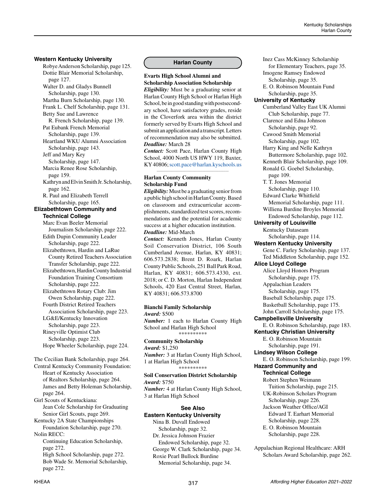### **Western Kentucky University**

Robye Anderson Scholarship, page 125. Dottie Blair Memorial Scholarship, page 127. Walter D. and Gladys Bunnell Scholarship, page 130. Martha Burn Scholarship, page 130. Frank L. Chelf Scholarship, page 131. Betty Sue and Lawrence R. French Scholarship, page 139. Pat Eubank French Memorial Scholarship, page 139. Heartland WKU Alumni Association Scholarship, page 143. Jeff and Mary Key Scholarship, page 147. Marcia Renee Rose Scholarship, page 159. Kathryn and Elvin Smith Jr. Scholarship, page 162. R. Paul and Elizabeth Terrell Scholarship, page 165. **Elizabethtown Community and Technical College** Marc Evan Beeler Memorial Journalism Scholarship, page 222. Edith Dupin Community Leader Scholarship, page 222. Elizabethtown, Hardin and LaRue County Retired Teachers Association Transfer Scholarship, page 222. Elizabethtown, Hardin County Industrial Foundation Training Consortium Scholarship, page 222. Elizabethtown Rotary Club: Jim Owen Scholarship, page 222. Fourth District Retired Teachers Association Scholarship, page 223. LG&E/Kentucky Innovation Scholarship, page 223. Rineyville Optimist Club

 Scholarship, page 223. Hope Wheeler Scholarship, page 224.

The Cecilian Bank Scholarship, page 264.

Central Kentucky Community Foundation: Heart of Kentucky Association of Realtors Scholarship, page 264. James and Betty Holeman Scholarship, page 264.

Girl Scouts of Kentuckiana: Jean Cole Scholarship for Graduating Senior Girl Scouts, page 269.

Kentucky 2A State Championships Foundation Scholarship, page 270. Nolin RECC:

Continuing Education Scholarship, page 272. High School Scholarship, page 272.

Bob Wade Sr. Memorial Scholarship, page 272.

# **Harlan County**

# **Evarts High School Alumni and Scholarship Association Scholarship**

*Eligibility:* Must be a graduating senior at Harlan County High School or Harlan High School, be in good standing with postsecondary school, have satisfactory grades, reside in the Cloverfork area within the district formerly served by Evarts High School and submit an application and a transcript. Letters of recommendation may also be submitted. *Deadline:* March 28

*Contact:* Scott Pace, Harlan County High School, 4000 North US HWY 119, Baxter, KY 40806; [scott.pace@harlan.kyschools.us](mailto:scott.pace%40harlan.kyschools.us?subject=) *\_\_\_\_\_\_\_\_\_\_\_\_\_\_\_\_\_\_\_\_\_\_\_\_\_\_\_\_\_\_\_\_\_\_\_\_\_\_\_\_\_\_\_\_*

#### **Harlan County Community Scholarship Fund**

*Eligibility:*Must be a graduating senior from a public high school in Harlan County. Based on classroom and extracurricular accomplishments, standardized test scores, recommendations and the potential for academic success at a higher education institution. *Deadline:* Mid-March

*Contact:* Kenneth Jones, Harlan County Soil Conservation District, 106 South Cumberland Avenue, Harlan, KY 40831; 606.573.2838; Brent D. Roark, Harlan County Public Schools, 251 Ball Park Road, Harlan, KY 40831; 606.573.4330, ext. 2018; or C. D. Morton, Harlan Independent Schools, 420 East Central Street, Harlan, KY 40831; 606.573.8700

#### **Bianchi Family Scholarship**  *Award:* \$500

*Number:* 1 each to Harlan County High School and Harlan High School \*\*\*\*\*\*\*\*\*\*

### **Community Scholarship**

*Award:* \$1,250 *Number:* 3 at Harlan County High School, 1 at Harlan High School \*\*\*\*\*\*\*\*\*\*

#### **Soil Conservation District Scholarship**  *Award:* \$750

*Number:* 4 at Harlan County High School, 3 at Harlan High School

#### **See Also Eastern Kentucky University**

Nina B. Duvall Endowed Scholarship, page 32. Dr. Jessica Johnson Frazier Endowed Scholarship, page 32. George W. Clark Scholarship, page 34. Roxie Pearl Bullock Burdine Memorial Scholarship, page 34.

Inez Cass McKinney Scholarship for Elementary Teachers, page 35. Imogene Ramsey Endowed Scholarship, page 35. E. O. Robinson Mountain Fund Scholarship, page 35. **University of Kentucky** Cumberland Valley East UK Alumni Club Scholarship, page 77. Clarence and Edna Johnson Scholarship, page 92. Cawood Smith Memorial Scholarship, page 102. Harry King and Nelle Kathryn Buttermore Scholarship, page 102. Kenneth Blair Scholarship, page 109. Ronald G. Goebel Scholarship, page 109. T. T. Jones Memorial Scholarship, page 110. Edward Clarke Whitfield Memorial Scholarship, page 111. Williena Burdine Broyles Memorial Endowed Scholarship, page 112. **University of Louisville** Kentucky Dataseam Scholarship, page 114. **Western Kentucky University** Gene C. Farley Scholarship, page 137. Ted Middleton Scholarship, page 152. **Alice Lloyd College** Alice Lloyd Honors Program Scholarship, page 175. Appalachian Leaders Scholarship, page 175. Baseball Scholarship, page 175. Basketball Scholarship, page 175. John Carroll Scholarship, page 175. **Campbellsville University** E. O. Robinson Scholarship, page 183. **Kentucky Christian University** E. O. Robinson Mountain Scholarship, page 191. **Lindsey Wilson College** E. O. Robinson Scholarship, page 199. **Hazard Community and Technical College** Robert Stephen Weimann Tuition Scholarship, page 215. UK-Robinson Scholars Program Scholarship, page 226. Jackson Weather Office/AGI Edward T. Earhart Memorial Scholarship, page 228. E. O. Robinson Mountain Scholarship, page 228. Appalachian Regional Healthcare: ARH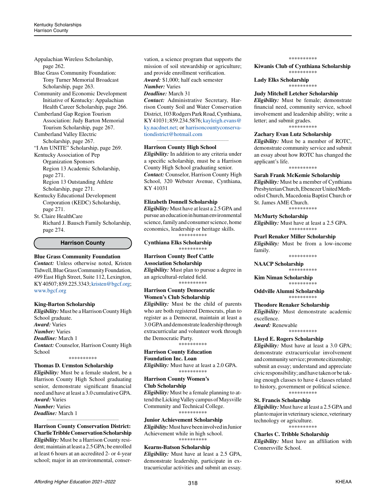Appalachian Wireless Scholarship, page 262.

Blue Grass Community Foundation: Tony Turner Memorial Broadcast Scholarship, page 263.

Community and Economic Development Initiative of Kentucky: Appalachian Health Career Scholarship, page 266.

Cumberland Gap Region Tourism Association: Judy Barton Memorial Tourism Scholarship, page 267.

Cumberland Valley Electric Scholarship, page 267.

"I Am UNITE" Scholarship, page 269.

Kentucky Association of Pep Organization Sponsors Region 13 Academic Scholarship, page 271. Region 13 Outstanding Athlete

Scholarship, page 271. Kentucky Educational Development Corporation (KEDC) Scholarship, page 271.

St. Claire HealthCare Richard J. Bausch Family Scholarship, page 274.

#### **Harrison County**

#### **Blue Grass Community Foundation**

*Contact:* Unless otherwise noted, Kristen Tidwell, Blue Grass Community Foundation, 499 East High Street, Suite 112, Lexington, KY 40507; 859.225.3343; [kristen@bgcf.org](mailto:kristen%40bgcf.org?subject=); [www.bgcf.org](http://www.bgcf.org)

#### **King-Barton Scholarship**

*Eligibility:* Must be a Harrison County High School graduate. *Award:* Varies *Number:* Varies *Deadline:* March 1 *Contact:* Counselor, Harrison County High School

\*\*\*\*\*\*\*\*\*\*

#### **Thomas D. Urmston Scholarship**

*Eligibility:* Must be a female student, be a Harrison County High School graduating senior, demonstrate significant financial need and have at least a 3.0 cumulative GPA. *Award:* Varies *Number:* Varies *Deadline:* March 1

*\_\_\_\_\_\_\_\_\_\_\_\_\_\_\_\_\_\_\_\_\_\_\_\_\_\_\_\_\_\_\_\_\_\_\_\_\_\_\_\_\_\_\_\_*

**Harrison County Conservation District: Charlie Tribble Conservation Scholarship** *Eligibility:* Must be a Harrison County resident; maintain at least a 2.5 GPA; be enrolled at least 6 hours at an accredited 2- or 4-year school; major in an environmental, conservation, a science program that supports the mission of soil stewardship or agriculture; and provide enrollment verification. *Award:* \$1,000; half each semester *Number:* Varies

*Deadline:* March 31

*Contact:* Administrative Secretary, Harrison County Soil and Water Conservation District, 103 Rodgers Park Road, Cynthiana, KY 41031; 859.234.5876; [kayleigh.evans@](mailto:kayleigh.evans%40ky.nacdnet.net?subject=) [ky.nacdnet.net](mailto:kayleigh.evans%40ky.nacdnet.net?subject=); or [harrisoncountyconserva](mailto:harrisoncountyconservationdistrict%40hotmail.com?subject=)[tiondistrict@hotmail.com](mailto:harrisoncountyconservationdistrict%40hotmail.com?subject=)

*\_\_\_\_\_\_\_\_\_\_\_\_\_\_\_\_\_\_\_\_\_\_\_\_\_\_\_\_\_\_\_\_\_\_\_\_\_\_\_\_\_\_\_\_*

#### **Harrison County High School**

*Eligibility:* In addition to any criteria under a specific scholarship, must be a Harrison County High School graduating senior. *Contact:* Counselor, Harrison County High School, 320 Webster Avenue, Cynthiana, KY 41031

#### **Elizabeth Donnell Scholarship**

*Eligibility:* Must have at least a 2.5 GPA and pursue an education in human environmental science, family and consumer science, home economics, leadership or heritage skills. \*\*\*\*\*\*\*\*\*\*

**Cynthiana Elks Scholarship** \*\*\*\*\*\*\*\*\*\*

**Harrison County Beef Cattle Association Scholarship** *Eligibility:* Must plan to pursue a degree in an agricultural-related field. \*\*\*\*\*\*\*\*\*\*

#### **Harrison County Democratic Women's Club Scholarship**

*Eligibility:* Must be the child of parents who are both registered Democrats, plan to register as a Democrat, maintain at least a 3.0 GPA and demonstrate leadership through extracurricular and volunteer work through the Democratic Party.

\*\*\*\*\*\*\*\*\*\*

#### **Harrison County Education Foundation Inc. Loan**

*Eligibility:* Must have at least a 2.0 GPA. \*\*\*\*\*\*\*\*\*\*

#### **Harrison County Women's Club Scholarship**

*Eligibility:* Must be a female planning to attend the Licking Valley campus of Maysville Community and Technical College. \*\*\*\*\*\*\*\*\*\*

**Junior Achievement Scholarship** *Eligibility:* Must have been involved in Junior Achievement while in high school.

\*\*\*\*\*\*\*\*\*\* **Kearns-Batson Scholarship**

*Eligibility:* Must have at least a 2.5 GPA, demonstrate leadership, participate in extracurricular activities and submit an essay. \*\*\*\*\*\*\*\*\*\*

**Kiwanis Club of Cynthiana Scholarship** \*\*\*\*\*\*\*\*\*\*

**Lady Elks Scholarship** \*\*\*\*\*\*\*\*\*\*

#### **Judy Mitchell Letcher Scholarship**

*Eligibility:* Must be female; demonstrate financial need, community service, school involvement and leadership ability; write a letter; and submit grades. \*\*\*\*\*\*\*\*\*\*

# **Zachary Evan Lutz Scholarship**

*Eligibility:* Must be a member of ROTC, demonstrate community service and submit an essay about how ROTC has changed the applicant's life. \*\*\*\*\*\*\*\*\*\*

# **Sarah Frank McKemie Scholarship**

*Eligibility:* Must be a member of Cynthiana Presbyterian Church, Ebenezer United Methodist Church, Macedonia Baptist Church or St. James AME Church. \*\*\*\*\*\*\*\*\*\*

# **McMurty Scholarship**

*Eligibility:* Must have at least a 2.5 GPA. \*\*\*\*\*\*\*\*\*\*

#### **Pearl Renaker Miller Scholarship**

*Eligibility:* Must be from a low-income family.

\*\*\*\*\*\*\*\*\*\*

**NAACP Scholarship** \*\*\*\*\*\*\*\*\*\*

**Kim Niman Scholarship** \*\*\*\*\*\*\*\*\*\*

**Oddville Alumni Scholarship** \*\*\*\*\*\*\*\*\*\*

**Theodore Renaker Scholarship**

*Eligibility:* Must demonstrate academic excellence.

*Award:* Renewable \*\*\*\*\*\*\*\*\*\*

#### **Lloyd E. Rogers Scholarship**

*Eligibility:* Must have at least a 3.0 GPA; demonstrate extracurricular involvement and community service; promote citizenship; submit an essay; understand and appreciate civic responsibility; and have taken or be taking enough classes to have 4 classes related to history, government or political science. \*\*\*\*\*\*\*\*\*\*

#### **St. Francis Scholarship**

*Eligibility:* Must have at least a 2.5 GPA and plan to major in veterinary science, veterinary technology or agriculture. \*\*\*\*\*\*\*\*\*\*

#### **Charles C. Tribble Scholarship**

*Eligibility:* Must have an affiliation with Connersville School.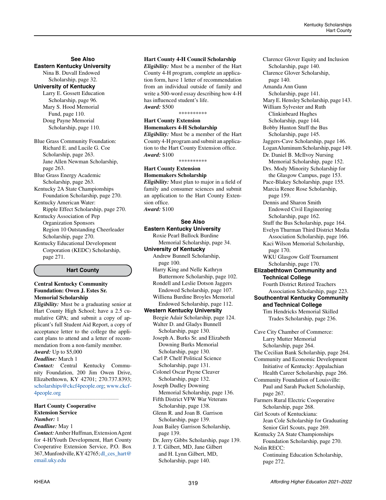#### **See Also Eastern Kentucky University** Nina B. Duvall Endowed

Scholarship, page 32.

**University of Kentucky**

Larry E. Gossett Education Scholarship, page 96. Mary S. Hood Memorial Fund, page 110. Doug Payne Memorial Scholarship, page 110.

Blue Grass Community Foundation: Richard E. and Lucile G. Coe Scholarship, page 263. Jane Allen Newman Scholarship, page 263. Blue Grass Energy Academic Scholarship, page 263. Kentucky 2A State Championships Foundation Scholarship, page 270. Kentucky American Water: Ripple Effect Scholarship, page 270.

Kentucky Association of Pep Organization Sponsors Region 10 Outstanding Cheerleader Scholarship, page 270.

Kentucky Educational Development Corporation (KEDC) Scholarship, page 271.

**Hart County**

# **Central Kentucky Community Foundation: Owen J. Estes Sr. Memorial Scholarship**

*Eligibility:* Must be a graduating senior at Hart County High School; have a 2.5 cumulative GPA; and submit a copy of applicant's full Student Aid Report, a copy of acceptance letter to the college the applicant plans to attend and a letter of recommendation from a non-family member. *Award:* Up to \$5,000

# *Deadline:* March 1

*Contact:* Central Kentucky Community Foundation, 200 Jim Owen Drive, Elizabethtown, KY 42701; 270.737.8393; [scholarships@ckcf4people.org;](mailto:scholarships%40ckcf4people.org?subject=) [www.ckcf-](http://ckcf4people.org/)[4people.org](http://ckcf4people.org/)

*\_\_\_\_\_\_\_\_\_\_\_\_\_\_\_\_\_\_\_\_\_\_\_\_\_\_\_\_\_\_\_\_\_\_\_\_\_\_\_\_\_\_\_\_*

#### **Hart County Cooperative Extension Service**  *Number:* 1

*Deadline:* May 1

*Contact:* Amber Huffman, Extension Agent for 4-H/Youth Development, Hart County Cooperative Extension Service, P.O. Box 367, Munfordville, KY 42765; [dl\\_ces\\_hart@](mailto:dl_ces_hart%40email.uky.edu?subject=) [email.uky.edu](mailto:dl_ces_hart%40email.uky.edu?subject=)

# **Hart County 4-H Council Scholarship**

*Eligibility:* Must be a member of the Hart County 4-H program, complete an application form, have 1 letter of recommendation from an individual outside of family and write a 500-word essay describing how 4-H has influenced student's life. *Award:* \$500

#### \*\*\*\*\*\*\*\*\*\*

# **Hart County Extension Homemakers 4-H Scholarship**

*Eligibility:* Must be a member of the Hart County 4-H program and submit an application to the Hart County Extension office. *Award:* \$100

\*\*\*\*\*\*\*\*\*\*

# **Hart County Extension Homemakers Scholarship**

*Eligibility:* Must plan to major in a field of family and consumer sciences and submit an application to the Hart County Extension office. *Award:* \$100

# **See Also Eastern Kentucky University**

Roxie Pearl Bullock Burdine Memorial Scholarship, page 34.

# **University of Kentucky**

Andrew Bunnell Scholarship, page 100.

Harry King and Nelle Kathryn Buttermore Scholarship, page 102. Rondell and Leslie Dotson Jaggers

 Endowed Scholarship, page 107. Williena Burdine Broyles Memorial

Endowed Scholarship, page 112.

# **Western Kentucky University**

Beegie Adair Scholarship, page 124. Walter D. and Gladys Bunnell Scholarship, page 130.

Joseph A. Burks Sr. and Elizabeth Downing Burks Memorial Scholarship, page 130.

Carl P. Chelf Political Science Scholarship, page 131.

Colonel Oscar Payne Cleaver Scholarship, page 132. Joseph Dudley Downing

 Memorial Scholarship, page 136. Fifth District VFW War Veterans

- Scholarship, page 138.
- Glenn R. and Joan B. Garrison
- Scholarship, page 139.

Joan Bailey Garrison Scholarship, page 139.

Dr. Jerry Gibbs Scholarship, page 139. J. T. Gilbert, MD, Jane Gilbert and H. Lynn Gilbert, MD,

Scholarship, page 140.

Clarence Glover Equity and Inclusion Scholarship, page 140. Clarence Glover Scholarship, page 140. Amanda Ann Gunn Scholarship, page 141. Mary E. Hensley Scholarship, page 143. William Sylvester and Ruth Clinkinbeard Hughes Scholarship, page 144. Bobby Hunton Stuff the Bus Scholarship, page 145. Jaggers-Cave Scholarship, page 146. Logan Aluminum Scholarship, page 149. Dr. Daniel B. McIlvoy Nursing Memorial Scholarship, page 152. Drs. Mody Minority Scholarship for the Glasgow Campus, page 153. Pace-Blakey Scholarship, page 155. Marcia Renee Rose Scholarship, page 159. Dennis and Sharon Smith Endowed Civil Engineering Scholarship, page 162. Stuff the Bus Scholarship, page 164. Evelyn Thurman Third District Media Association Scholarship, page 166. Kaci Wilson Memorial Scholarship, page 170. WKU Glasgow Golf Tournament Scholarship, page 170. **Elizabethtown Community and Technical College** Fourth District Retired Teachers Association Scholarship, page 223. **Southcentral Kentucky Community and Technical College** Tim Hendricks Memorial Skilled Trades Scholarship, page 236. Cave City Chamber of Commerce: Larry Mutter Memorial Scholarship, page 264. The Cecilian Bank Scholarship, page 264. Community and Economic Development Initiative of Kentucky: Appalachian Health Career Scholarship, page 266. Community Foundation of Louisville: Paul and Sarah Puckett Scholarship, page 267. Farmers Rural Electric Cooperative Scholarship, page 268. Girl Scouts of Kentuckiana: Jean Cole Scholarship for Graduating Senior Girl Scouts, page 269. Kentucky 2A State Championships Foundation Scholarship, page 270. Nolin RECC: Continuing Education Scholarship,

page 272.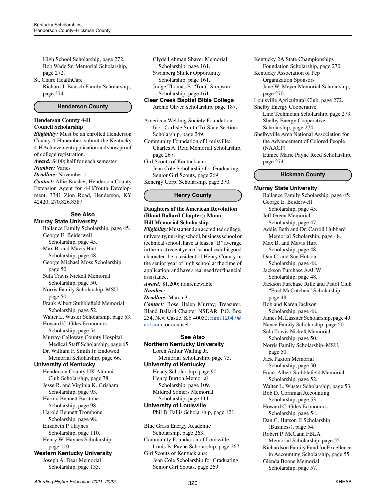High School Scholarship, page 272. Bob Wade Sr. Memorial Scholarship, page 272.

St. Claire HealthCare Richard J. Bausch Family Scholarship, page 274.

### **Henderson County**

#### **Henderson County 4-H Council Scholarship**

*Eligibility:* Must be an enrolled Henderson County 4-H member, submit the Kentucky 4-H Achievement application and show proof of college registration. *Award:* \$400; half for each semester *Number:* Varies *Deadline:* November 1 *Contact:* Allie Brasher, Henderson County Extension Agent for 4-H/Youth Develop-

ment, 3341 Zion Road, Henderson, KY 42420; 270.826.8387

#### **See Also Murray State University**

Ballance Family Scholarship, page 45. George E. Beiderwell Scholarship, page 45. Max B. and Mavis Hurt Scholarship, page 48. George Michael Moss Scholarship, page 50. Sula Travis Nickell Memorial Scholarship, page 50. Norris Family Scholarship–MSU, page 50. Frank Albert Stubblefield Memorial Scholarship, page 52. Walter L. Wuster Scholarship, page 53. Howard C. Giles Economics Scholarship, page 54. Murray-Calloway County Hospital Medical Staff Scholarship, page 65. Dr. William F. Smith Jr. Endowed Memorial Scholarship, page 66. **University of Kentucky** Henderson County UK Alumni Club Scholarship, page 78. Jesse R. and Virginia K. Grisham Scholarship, page 93. Harold Bennett Baritone Scholarship, page 98. Harold Bennett Trombone Scholarship, page 98. Elizabeth P. Haynes Scholarship, page 110. Henry W. Haynes Scholarship, page 110. **Western Kentucky University** Joseph A. Dear Memorial Scholarship, page 135.

Clyde Lehman Shaver Memorial Scholarship, page 161. Swanberg Shuler Opportunity

Scholarship, page 161.

Judge Thomas E. "Tom" Simpson

Scholarship, page 161.

# **Clear Creek Baptist Bible College** Archie Oliver Scholarship, page 187.

American Welding Society Foundation Inc.: Carlisle Smith Tri-State Section Scholarship, page 249.

Community Foundation of Louisville: Charles A. Reid Memorial Scholarship, page 267.

Girl Scouts of Kentuckiana: Jean Cole Scholarship for Graduating

Senior Girl Scouts, page 269. Kenergy Corp. Scholarship, page 270.

# **Henry County**

# **Daughters of the American Revolution (Bland Ballard Chapter): Mona Hill Memorial Scholarship**

*Eligibility:* Must attend an accredited college, university, nursing school, business school or technical school; have at least a "B" average in the most recent year of school; exhibit good character; be a resident of Henry County in the senior year of high school at the time of application; and have a real need for financial assistance.

*Award:* \$1,200; nonrenewable

#### *Number:* 1 *Deadline:* March 31

*Contact:* Rose Helen Murray, Treasurer, Bland Ballard Chapter NSDAR, P.O. Box 254, New Castle, KY 40050; [rhm112047@](mailto:rhm112047%40aol.com?subject=) [aol.com](mailto:rhm112047%40aol.com?subject=); or counselor

# **See Also**

**Northern Kentucky University**

Loren Arthur Walling Jr. Memorial Scholarship, page 75. **University of Kentucky**

Heady Scholarship, page 90. Henry Burton Memorial

 Scholarship, page 109. Mildred Somers Memorial Scholarship, page 111. **University of Louisville**

Phil B. Fallis Scholarship, page 121.

Blue Grass Energy Academic Scholarship, page 263. Community Foundation of Louisville: Louis B. Payne Scholarship, page 267. Girl Scouts of Kentuckiana: Jean Cole Scholarship for Graduating Senior Girl Scouts, page 269.

Kentucky 2A State Championships Foundation Scholarship, page 270. Kentucky Association of Pep Organization Sponsors Jane W. Meyer Memorial Scholarship, page 270. Louisville Agricultural Club, page 272. Shelby Energy Cooperative Line Technician Scholarship, page 273. Shelby Energy Cooperative Scholarship, page 274. Shelbyville Area National Association for the Advancement of Colored People (NAACP) Eunice Marie Payne Reed Scholarship,

# **Hickman County**

page 274.

**Murray State University** Ballance Family Scholarship, page 45. George E. Beiderwell Scholarship, page 45. Jeff Green Memorial Scholarship, page 47. Addie Beth and Dr. Carroll Hubbard Memorial Scholarship, page 48. Max B. and Mavis Hurt Scholarship, page 48. Dan C. and Sue Hutson Scholarship, page 48. Jackson Purchase AAUW Scholarship, page 48. Jackson Purchase Rifle and Pistol Club "Fred McCutchen" Scholarship, page 48. Bob and Karen Jackson Scholarship, page 48. James M. Lassiter Scholarship, page 49. Nance Family Scholarship, page 50. Sula Travis Nickell Memorial Scholarship, page 50. Norris Family Scholarship–MSU, page 50. Jack Paxton Memorial Scholarship, page 50. Frank Albert Stubblefield Memorial Scholarship, page 52. Walter L. Wuster Scholarship, page 53. Bob D. Cornman Accounting Scholarship, page 53. Howard C. Giles Economics Scholarship, page 54. Dan C. Hutson II Scholarship (Business), page 54. Robert P. McCann FBLA Memorial Scholarship, page 55. Richardson Family Fund for Excellence in Accounting Scholarship, page 55. Glenda Boone Memorial Scholarship, page 57.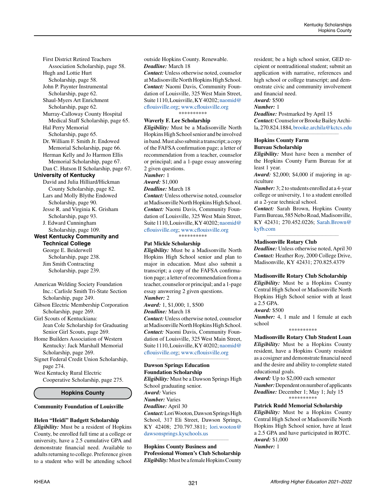First District Retired Teachers Association Scholarship, page 58. Hugh and Lottie Hurt Scholarship, page 58. John P. Paynter Instrumental Scholarship, page 62. Shaul-Myers Art Enrichment Scholarship, page 62. Murray-Calloway County Hospital Medical Staff Scholarship, page 65. Hal Perry Memorial Scholarship, page 65. Dr. William F. Smith Jr. Endowed Memorial Scholarship, page 66. Herman Kelly and Jo Harmon Ellis Memorial Scholarship, page 67. Dan C. Hutson II Scholarship, page 67. **University of Kentucky** David and Julia Hilliard/Hickman County Scholarship, page 82. Lars and Molly Blythe Endowed Scholarship, page 90. Jesse R. and Virginia K. Grisham Scholarship, page 93. J. Edward Cunningham Scholarship, page 109.

# **West Kentucky Community and Technical College**

George E. Beiderwell Scholarship, page 238. Jim Smith Contracting Scholarship, page 239.

American Welding Society Foundation Inc.: Carlisle Smith Tri-State Section Scholarship, page 249.

Gibson Electric Membership Corporation Scholarship, page 269.

Girl Scouts of Kentuckiana: Jean Cole Scholarship for Graduating Senior Girl Scouts, page 269.

Home Builders Association of Western Kentucky: Jack Marshall Memorial Scholarship, page 269.

Signet Federal Credit Union Scholarship, page 274.

West Kentucky Rural Electric Cooperative Scholarship, page 275.

# **Hopkins County**

# **Community Foundation of Louisville**

#### **Helen "Heidi" Badgett Scholarship**

*Eligibility:* Must be a resident of Hopkins County, be enrolled full time at a college or university, have a 2.5 cumulative GPA and demonstrate financial need. Available to adults returning to college. Preference given to a student who will be attending school outside Hopkins County. Renewable.

# *Deadline:* March 18

*Contact:* Unless otherwise noted, counselor at Madisonville North Hopkins High School. *Contact:* Naomi Davis, Community Foundation of Louisville, 325 West Main Street, Suite 1110, Louisville, KY 40202; [naomid@](mailto:naomid%40cflouisville.org?subject=) [cflouisville.org;](mailto:naomid%40cflouisville.org?subject=) [www.cflouisville.org](http://www.cflouisville.org) \*\*\*\*\*\*\*\*\*\*

# **Waverly F. Lee Scholarship**

*Eligibility:* Must be a Madisonville North Hopkins High School senior and be involved in band. Must also submit a transcript; a copy of the FAFSA confirmation page; a letter of recommendation from a teacher, counselor or principal; and a 1-page essay answering 2 given questions.

#### *Number:* 1

*Award:* \$1,000 *Deadline:* March 18

*Contact:* Unless otherwise noted, counselor at Madisonville North Hopkins High School. *Contact:* Naomi Davis, Community Foundation of Louisville, 325 West Main Street, Suite 1110, Louisville, KY 40202; [naomid@](mailto:naomid%40cflouisville.org?subject=) [cflouisville.org;](mailto:naomid%40cflouisville.org?subject=) [www.cflouisville.org](http://www.cflouisville.org)

\*\*\*\*\*\*\*\*\*\*

#### **Pat Mickle Scholarship**

*Eligibility:* Must be a Madisonville North Hopkins High School senior and plan to major in education. Must also submit a transcript; a copy of the FAFSA confirmation page; a letter of recommendation from a teacher, counselor or principal; and a 1-page essay answering 2 given questions. *Number:* 2

*Award:* 1, \$1,000; 1, \$500

*Deadline:* March 18

*Contact:* Unless otherwise noted, counselor at Madisonville North Hopkins High School. *Contact:* Naomi Davis, Community Foundation of Louisville, 325 West Main Street, Suite 1110, Louisville, KY 40202; [naomid@](mailto:naomid%40cflouisville.org?subject=) [cflouisville.org;](mailto:naomid%40cflouisville.org?subject=) [www.cflouisville.org](http://www.cflouisville.org)

*\_\_\_\_\_\_\_\_\_\_\_\_\_\_\_\_\_\_\_\_\_\_\_\_\_\_\_\_\_\_\_\_\_\_\_\_\_\_\_\_\_\_\_\_*

#### **Dawson Springs Education Foundation Scholarship**

*Eligibility:* Must be a Dawson Springs High School graduating senior. *Award:* Varies *Number:* Varies *Deadline:* April 30 *Contact:* Lori Wooton, Dawson Springs High School, 317 Eli Street, Dawson Springs, KY 42408; 270.797.3811; [lori.wooton@](mailto:lori.wooton%40dawsonsprings.kyschools.us%20?subject=) [dawsonsprings.kyschools.us](mailto:lori.wooton%40dawsonsprings.kyschools.us%20?subject=) 

**Hopkins County Business and Professional Women's Club Scholarship** *Eligibility:* Must be a female Hopkins County

*\_\_\_\_\_\_\_\_\_\_\_\_\_\_\_\_\_\_\_\_\_\_\_\_\_\_\_\_\_\_\_\_\_\_\_\_\_\_\_\_\_\_\_\_*

resident; be a high school senior, GED recipient or nontraditional student; submit an application with narrative, references and high school or college transcript; and demonstrate civic and community involvement and financial need.

# *Award:* \$500

# *Number:* 1

*Deadline:* Postmarked by April 15 *Contact:* Counselor or Brooke Bailey Archila, 270.824.1884, [brooke.archila@kctcs.edu](mailto:brooke.archila%40kctcs.edu?subject=) *\_\_\_\_\_\_\_\_\_\_\_\_\_\_\_\_\_\_\_\_\_\_\_\_\_\_\_\_\_\_\_\_\_\_\_\_\_\_\_\_\_\_\_\_*

#### **Hopkins County Farm Bureau Scholarship**

*Eligibility:* Must have been a member of the Hopkins County Farm Bureau for at least 1 year.

*Award:* \$2,000; \$4,000 if majoring in agriculture

*Number:* 3; 2 to students enrolled at a 4-year college or university, 1 to a student enrolled at a 2-year technical school.

*Contact:* Sarah Brown, Hopkins County Farm Bureau, 585 Nebo Road, Madisonville, KY 42431; 270.452.0226; [Sarah.Brown@](mailto:Sarah.Brown%40kyfb.com?subject=) [kyfb.com](mailto:Sarah.Brown%40kyfb.com?subject=)

*\_\_\_\_\_\_\_\_\_\_\_\_\_\_\_\_\_\_\_\_\_\_\_\_\_\_\_\_\_\_\_\_\_\_\_\_\_\_\_\_\_\_\_\_*

#### **Madisonville Rotary Club**

*Deadline:* Unless otherwise noted, April 30 *Contact:* Heather Roy, 2000 College Drive, Madisonville, KY 42431; 270.825.4379

#### **Madisonville Rotary Club Scholarship**

*Eligibility:* Must be a Hopkins County Central High School or Madisonville North Hopkins High School senior with at least a 2.5 GPA.

#### *Award:* \$500

*Number:* 4, 1 male and 1 female at each school \*\*\*\*\*\*\*\*\*\*

**Madisonville Rotary Club Student Loan** *Eligibility:* Must be a Hopkins County resident, have a Hopkins County resident as a cosigner and demonstrate financial need and the desire and ability to complete stated educational goals.

*Award:* Up to \$2,000 each semester *Number:* Dependent on number of applicants *Deadline:* December 1; May 1; July 15 \*\*\*\*\*\*\*\*\*\*

#### **Patrick Rudd Memorial Scholarship**

*Eligibility:* Must be a Hopkins County Central High School or Madisonville North Hopkins High School senior, have at least a 2.5 GPA and have participated in ROTC. *Award:* \$1,000 *Number:* 1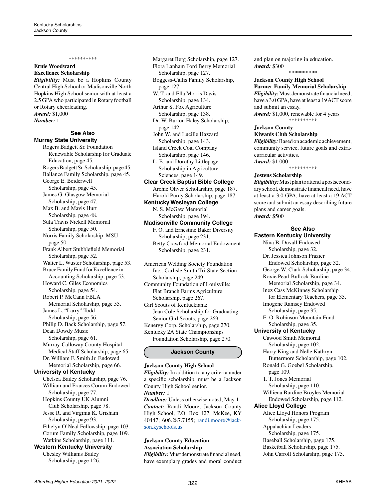#### \*\*\*\*\*\*\*\*\*\*

## **Ernie Woodward Excellence Scholarship**

*Eligibility:* Must be a Hopkins County Central High School or Madisonville North Hopkins High School senior with at least a 2.5 GPA who participated in Rotary football or Rotary cheerleading. *Award:* \$1,000 *Number:* 1

#### **See Also Murray State University**

Rogers Badgett Sr. Foundation Renewable Scholarship for Graduate Education, page 45. Rogers Badgett Sr. Scholarship, page 45. Ballance Family Scholarship, page 45. George E. Beiderwell Scholarship, page 45. James G. Glasgow Memorial Scholarship, page 47. Max B. and Mavis Hurt Scholarship, page 48. Sula Travis Nickell Memorial Scholarship, page 50. Norris Family Scholarship–MSU, page 50. Frank Albert Stubblefield Memorial Scholarship, page 52. Walter L. Wuster Scholarship, page 53. Bruce Family Fund for Excellence in Accounting Scholarship, page 53. Howard C. Giles Economics Scholarship, page 54. Robert P. McCann FBLA Memorial Scholarship, page 55. James L. "Larry" Todd Scholarship, page 56. Philip D. Back Scholarship, page 57. Dean Dowdy Music Scholarship, page 61. Murray-Calloway County Hospital Medical Staff Scholarship, page 65. Dr. William F. Smith Jr. Endowed Memorial Scholarship, page 66. **University of Kentucky** Chelsea Bailey Scholarship, page 76. William and Frances Corum Endowed Scholarship, page 77. Hopkins County UK Alumni Club Scholarship, page 78. Jesse R. and Virginia K. Grisham Scholarship, page 93. Ethelyn O'Neal Fellowship, page 103. Corum Family Scholarship, page 109. Watkins Scholarship, page 111.

# **Western Kentucky University**

Chesley Williams Bailey Scholarship, page 126.

Margaret Berg Scholarship, page 127. Flora Lanham Ford Berry Memorial Scholarship, page 127.

Boggess-Callis Family Scholarship, page 127. W. T. and Ella Morris Davis

 Scholarship, page 134. Arthur S. Fox Agriculture

Scholarship, page 138.

Dr. W. Burton Haley Scholarship, page 142.

John W. and Lucille Hazzard Scholarship, page 143.

Island Creek Coal Company Scholarship, page 146.

L. E. and Dorothy Littlepage Scholarship in Agriculture Sciences, page 149.

**Clear Creek Baptist Bible College** Archie Oliver Scholarship, page 187. Harold Purdy Scholarship, page 187.

**Kentucky Wesleyan College** N. S. McGaw Memorial Scholarship, page 194.

**Madisonville Community College**

F. O. and Ernestine Baker Diversity Scholarship, page 231. Betty Crawford Memorial Endowment Scholarship, page 231.

American Welding Society Foundation Inc.: Carlisle Smith Tri-State Section Scholarship, page 249.

Community Foundation of Louisville: Flat Branch Farms Agriculture Scholarship, page 267.

Girl Scouts of Kentuckiana: Jean Cole Scholarship for Graduating Senior Girl Scouts, page 269. Kenergy Corp. Scholarship, page 270. Kentucky 2A State Championships Foundation Scholarship, page 270.

#### **Jackson County**

#### **Jackson County High School**

*Eligibility:* In addition to any criteria under a specific scholarship, must be a Jackson County High School senior. *Number:* 1 *Deadline:* Unless otherwise noted, May 1 *Contact:* Randi Moore, Jackson County High School, P.O. Box 427, McKee, KY 40447; 606.287.7155; [randi.moore@jack](mailto:randi.moore%40jackson.kyschools.us?subject=)[son.kyschools.us](mailto:randi.moore%40jackson.kyschools.us?subject=)

# **Jackson County Education Association Scholarship**

*Eligibility:* Must demonstrate financial need, have exemplary grades and moral conduct and plan on majoring in education. *Award:* \$300 \*\*\*\*\*\*\*\*\*\*

# **Jackson County High School**

**Farmer Family Memorial Scholarship** *Eligibility:* Must demonstrate financial need, have a 3.0 GPA, have at least a 19 ACT score and submit an essay.

*Award:* \$1,000, renewable for 4 years \*\*\*\*\*\*\*\*\*\*

# **Jackson County**

## **Kiwanis Club Scholarship**

*Eligibility:* Based on academic achievement, community service, future goals and extracurricular activities. *Award:* \$1,000

\*\*\*\*\*\*\*\*\*\*

#### **Jostens Scholarship**

*Eligibility:* Must plan to attend a postsecondary school, demonstrate financial need, have at least a 3.0 GPA, have at least a 19 ACT score and submit an essay describing future plans and career goals. *Award:* \$500

# **See Also**

# **Eastern Kentucky University**

Nina B. Duvall Endowed Scholarship, page 32. Dr. Jessica Johnson Frazier Endowed Scholarship, page 32. George W. Clark Scholarship, page 34. Roxie Pearl Bullock Burdine Memorial Scholarship, page 34. Inez Cass McKinney Scholarship for Elementary Teachers, page 35. Imogene Ramsey Endowed Scholarship, page 35. E. O. Robinson Mountain Fund Scholarship, page 35. **University of Kentucky** Cawood Smith Memorial Scholarship, page 102. Harry King and Nelle Kathryn Buttermore Scholarship, page 102. Ronald G. Goebel Scholarship, page 109. T. T. Jones Memorial Scholarship, page 110. Williena Burdine Broyles Memorial Endowed Scholarship, page 112. **Alice Lloyd College** Alice Lloyd Honors Program Scholarship, page 175. Appalachian Leaders Scholarship, page 175. Baseball Scholarship, page 175. Basketball Scholarship, page 175. John Carroll Scholarship, page 175.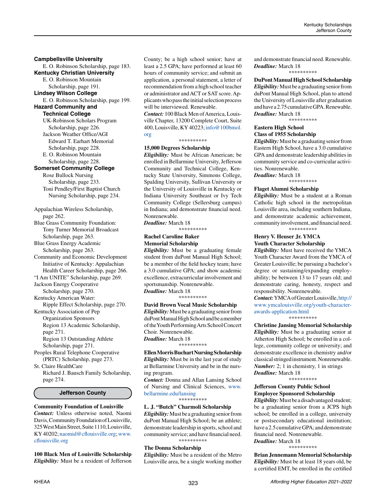# **Campbellsville University**

E. O. Robinson Scholarship, page 183. **Kentucky Christian University**

E. O. Robinson Mountain Scholarship, page 191. **Lindsey Wilson College**

E. O. Robinson Scholarship, page 199.

**Hazard Community and Technical College**

UK-Robinson Scholars Program Scholarship, page 226. Jackson Weather Office/AGI Edward T. Earhart Memorial Scholarship, page 228.

E. O. Robinson Mountain Scholarship, page 228.

# **Somerset Community College**

Rose Bullock Nursing Scholarship, page 233. Toni Pendley/First Baptist Church Nursing Scholarship, page 234.

Appalachian Wireless Scholarship, page 262.

Blue Grass Community Foundation: Tony Turner Memorial Broadcast Scholarship, page 263.

Blue Grass Energy Academic Scholarship, page 263.

Community and Economic Development Initiative of Kentucky: Appalachian Health Career Scholarship, page 266.

"I Am UNITE" Scholarship, page 269. Jackson Energy Cooperative

Scholarship, page 270.

Kentucky American Water: Ripple Effect Scholarship, page 270.

Kentucky Association of Pep Organization Sponsors Region 13 Academic Scholarship, page 271.

Region 13 Outstanding Athlete Scholarship, page 271.

Peoples Rural Telephone Cooperative (PRTC) Scholarship, page 273. St. Claire HealthCare

Richard J. Bausch Family Scholarship, page 274.

#### **Jefferson County**

**Community Foundation of Louisville** *Contact:* Unless otherwise noted, Naomi Davis, Community Foundation of Louisville, 325 West Main Street, Suite 1110, Louisville, KY 40202; [naomid@cflouisville.org;](mailto:naomid%40cflouisville.org?subject=) [www.](http://www.cflouisville.org) [cflouisville.org](http://www.cflouisville.org)

**100 Black Men of Louisville Scholarship** *Eligibility:* Must be a resident of Jefferson County; be a high school senior; have at least a 2.5 GPA; have performed at least 60 hours of community service; and submit an application, a personal statement, a letter of recommendation from a high school teacher or administrator and ACT or SAT score. Applicants who pass the initial selection process will be interviewed. Renewable.

*Contact:* 100 Black Men of America, Louisville Chapter, 13200 Complete Court, Suite 400, Louisville, KY 40223; [info@100bmol.](mailto:info%40100bmol.org?subject=) [org](mailto:info%40100bmol.org?subject=)

\*\*\*\*\*\*\*\*\*\*

#### **15,000 Degrees Scholarship**

*Eligibility:* Must be African American; be enrolled in Bellarmine University, Jefferson Community and Technical College, Kentucky State University, Simmons College, Spalding University, Sullivan University or the University of Louisville in Kentucky or Indiana University Southeast or Ivy Tech Community College (Sellersburg campus) in Indiana; and demonstrate financial need. Nonrenewable.

*Deadline:* March 18 \*\*\*\*\*\*\*\*\*\*

## **Rachel Caroline Baker Memorial Scholarship**

*Eligibility:* Must be a graduating female student from duPont Manual High School; be a member of the field hockey team; have a 3.0 cumulative GPA; and show academic excellence, extracurricular involvement and sportsmanship. Nonrenewable. *Deadline:* March 18

\*\*\*\*\*\*\*\*\*\*

#### **David Brown Vocal Music Scholarship**

*Eligibility:* Must be a graduating senior from duPont Manual High School and be a member of the Youth Performing Arts School Concert Choir. Nonrenewable. *Deadline:* March 18

\*\*\*\*\*\*\*\*\*\*

**Ellen Morris Buchart Nursing Scholarship** *Eligibility:* Must be in the last year of study at Bellarmine University and be in the nursing program.

*Contact:* Donna and Allan Lansing School of Nursing and Clinical Sciences, [www.](http://www.bellarmine.edu/lansing) [bellarmine.edu/lansing](http://www.bellarmine.edu/lansing)

\*\*\*\*\*\*\*\*\*\*

# **L. J. "Butch" Charmoli Scholarship**

*Eligibility:* Must be a graduating senior from duPont Manual High School; be an athlete; demonstrate leadership in sports, school and community service; and have financial need. \*\*\*\*\*\*\*\*\*\*

#### **The Donna Scholarship**

*Eligibility:* Must be a resident of the Metro Louisville area, be a single working mother and demonstrate financial need. Renewable. *Deadline:* March 18

\*\*\*\*\*\*\*\*\*\*

# **DuPont Manual High School Scholarship**

*Eligibility:* Must be a graduating senior from duPont Manual High School, plan to attend the University of Louisville after graduation and have a 2.75 cumulative GPA. Renewable. *Deadline:* March 18

\*\*\*\*\*\*\*\*\*\*

# **Eastern High School Class of 1955 Scholarship**

*Eligibility:* Must be a graduating senior from Eastern High School, have a 3.0 cumulative GPA and demonstrate leadership abilities in community service and co-curricular activities. Nonrenewable.

*Deadline:* March 18

\*\*\*\*\*\*\*\*\*\*

#### **Flaget Alumni Scholarship**

*Eligibility:* Must be a student at a Roman Catholic high school in the metropolitan Louisville area, including southern Indiana, and demonstrate academic achievement, community involvement, and financial need. \*\*\*\*\*\*\*\*\*\*

# **Henry V. Heuser Jr. YMCA Youth Character Scholarship**

*Eligibility:* Must have received the YMCA Youth Character Award from the YMCA of Greater Louisville; be pursuing a bachelor's degree or sustaining/expanding employability; be between 13 to 17 years old; and demonstrate caring, honesty, respect and responsibility. Nonrenewable.

*Contact:* YMCA of Greater Louisville, [http://](http://www.ymcalouisville.org/youth-character-awards-application.html) [www.ymcalouisville.org/youth-character](http://www.ymcalouisville.org/youth-character-awards-application.html)[awards-application.html](http://www.ymcalouisville.org/youth-character-awards-application.html) \*\*\*\*\*\*\*\*\*\*

**Christine Jansing Memorial Scholarship** *Eligibility:* Must be a graduating senior at Atherton High School; be enrolled in a college, community college or university; and demonstrate excellence in chemistry and/or classical stringed instrument. Nonrenewable. *Number:* 2; 1 in chemistry, 1 in strings *Deadline:* March 18

\*\*\*\*\*\*\*\*\*\*

## **Jefferson County Public School Employee Sponsored Scholarship**

*Eligibility:* Must be a disadvantaged student; be a graduating senior from a JCPS high school; be enrolled in a college, university or postsecondary educational institution; have a 2.5 cumulative GPA; and demonstrate financial need. Nonrenewable.

*Deadline:* March 18 \*\*\*\*\*\*\*\*\*\*

**Brian Jennemann Memorial Scholarship** *Eligibility:* Must be at least 18 years old, be a certified EMT, be enrolled in the certified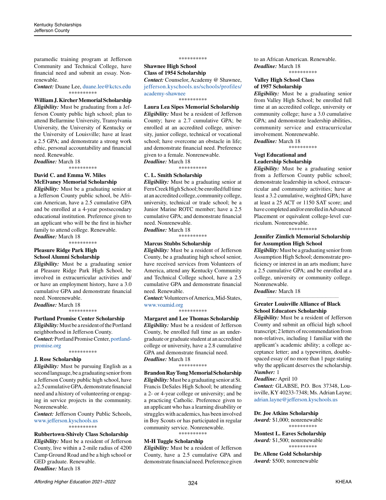paramedic training program at Jefferson Community and Technical College, have financial need and submit an essay. Nonrenewable.

*Contact:* Duane Lee, [duane.lee@kctcs.edu](mailto:duane.lee%40kctcs.edu?subject=) \*\*\*\*\*\*\*\*\*\*

# **William J. Kircher Memorial Scholarship**

*Eligibility:* Must be graduating from a Jefferson County public high school; plan to attend Bellarmine University, Transylvania University, the University of Kentucky or the University of Louisville; have at least a 2.5 GPA; and demonstrate a strong work ethic, personal accountability and financial need. Renewable.

*Deadline:* March 18

\*\*\*\*\*\*\*\*\*\*

## **David C. and Emma W. Miles McElvaney Memorial Scholarship**

*Eligibility:* Must be a graduating senior at a Jefferson County public school, be African American, have a 2.5 cumulative GPA and be enrolled at a 4-year postsecondary educational institution. Preference given to an applicant who will be the first in his/her family to attend college. Renewable. *Deadline:* March 18

\*\*\*\*\*\*\*\*\*\*

#### **Pleasure Ridge Park High School Alumni Scholarship**

*Eligibility:* Must be a graduating senior at Pleasure Ridge Park High School, be involved in extracurricular activities and/ or have an employment history, have a 3.0 cumulative GPA and demonstrate financial need. Nonrenewable.

*Deadline:* March 18 \*\*\*\*\*\*\*\*\*\*

### **Portland Promise Center Scholarship**

*Eligibility:* Must be a resident of the Portland neighborhood in Jefferson County. *Contact:* Portland Promise Center, [portland](http://portlandpromise.org)[promise.org](http://portlandpromise.org)

\*\*\*\*\*\*\*\*\*\*

#### **J. Rose Scholarship**

*Eligibility:* Must be pursuing English as a second language, be a graduating senior from a Jefferson County public high school, have a 2.5 cumulative GPA, demonstrate financial need and a history of volunteering or engaging in service projects in the community. Nonrenewable.

*Contact:* Jefferson County Public Schools, [www.jefferson.kyschools.us](http://www.jefferson.kyschools.us) **\***\*\*\*\*\*\*\*\*

#### **Rubbertown-Shively Class Scholarship**

*Eligibility:* Must be a resident of Jefferson County, live within a 2-mile radius of 4200 Camp Ground Road and be a high school or GED graduate. Renewable. *Deadline:* March 18

#### \*\*\*\*\*\*\*\*\*\*

# **Shawnee High School Class of 1954 Scholarship**

*Contact:* Counselor, Academy @ Shawnee, [jefferson.kyschools.us/schools/profiles/](http://jefferson.kyschools.us/schools/profiles/academy-shawnee) [academy-shawnee](http://jefferson.kyschools.us/schools/profiles/academy-shawnee)

\*\*\*\*\*\*\*\*\*\*

**Laura Lea Sipes Memorial Scholarship** *Eligibility:* Must be a resident of Jefferson County; have a 2.7 cumulative GPA; be enrolled at an accredited college, university, junior college, technical or vocational school; have overcome an obstacle in life; and demonstrate financial need. Preference given to a female. Nonrenewable. *Deadline:* March 18

\*\*\*\*\*\*\*\*\*\*

**C. L. Smith Scholarship** *Eligibility:* Must be a graduating senior at Fern Creek High School; be enrolled full time at an accredited college, community college, university, technical or trade school; be a Junior Marine ROTC member; have a 2.5 cumulative GPA; and demonstrate financial need. Nonrenewable.

*Deadline:* March 18 \*\*\*\*\*\*\*\*\*\*

# **Marcus Stubbs Scholarship**

*Eligibility:* Must be a resident of Jefferson County, be a graduating high school senior, have received services from Volunteers of America, attend any Kentucky Community and Technical College school, have a 2.5 cumulative GPA and demonstrate financial need. Renewable.

*Contact:* Volunteers of America, Mid-States, [www.voamid.org](http://www.voamid.org)

\*\*\*\*\*\*\*\*\*\*

**Margaret and Lee Thomas Scholarship** *Eligibility:* Must be a resident of Jefferson County, be enrolled full time as an undergraduate or graduate student at an accredited college or university, have a 2.8 cumulative GPA and demonstrate financial need. *Deadline:* March 18

#### \*\*\*\*\*\*\*\*\*\*

**Brandon Ray Tong Memorial Scholarship** *Eligibility:* Must be a graduating senior at St. Francis DeSales High School; be attending a 2- or 4-year college or university; and be a practicing Catholic. Preference given to an applicant who has a learning disability or struggles with academics, has been involved in Boy Scouts or has participated in regular community service. Nonrenewable.

\*\*\*\*\*\*\*\*\*\*

#### **M-H Tuggle Scholarship**

*Eligibility:* Must be a resident of Jefferson County, have a 2.5 cumulative GPA and demonstrate financial need. Preference given to an African American. Renewable. *Deadline:* March 18 \*\*\*\*\*\*\*\*\*\*

#### **Valley High School Class of 1957 Scholarship**

*Eligibility:* Must be a graduating senior from Valley High School; be enrolled full time at an accredited college, university or community college; have a 3.0 cumulative GPA; and demonstrate leadership abilities, community service and extracurricular involvement. Nonrenewable. *Deadline:* March 18

\*\*\*\*\*\*\*\*\*\*

#### **Vogt Educational and Leadership Scholarship**

*Eligibility:* Must be a graduating senior from a Jefferson County public school; demonstrate leadership in school, extracurricular and community activities; have at least a 3.2 cumulative, weighted GPA; have at least a 25 ACT or 1150 SAT score; and have completed and/or enrolled in Advanced Placement or equivalent college-level curriculum. Nonrenewable.

\*\*\*\*\*\*\*\*\*\*

#### **Jennifer Zimlich Memorial Scholarship for Assumption High School**

*Eligibility:* Must be a graduating senior from Assumption High School; demonstrate proficiency or interest in an arts medium; have a 2.5 cumulative GPA; and be enrolled at a college, university or community college. Nonrenewable.

*\_\_\_\_\_\_\_\_\_\_\_\_\_\_\_\_\_\_\_\_\_\_\_\_\_\_\_\_\_\_\_\_\_\_\_\_\_\_\_\_\_\_\_\_*

*Deadline:* March 18

# **Greater Louisville Alliance of Black School Educators Scholarship**

*Eligibility:* Must be a resident of Jefferson County and submit an official high school transcript; 2 letters of recommendation from non-relatives, including 1 familiar with the applicant's academic ability; a college acceptance letter; and a typewritten, doublespaced essay of no more than 1 page stating why the applicant deserves the scholarship. *Number:* 1

#### *Deadline:* April 10

*Contact:* GLABSE, P.O. Box 37348, Louisville, KY 40233-7348; Ms. Adrian Layne; [adrian.layne@jefferson.kyschools.us](mailto:adrian.layne%40jefferson.kyschools.us?subject=)

#### **Dr. Joe Atkins Scholarship** *Award:* \$1,000; nonrenewable

\*\*\*\*\*\*\*\*\*\*

**Montest L. Eaves Scholarship** *Award:* \$1,500; nonrenewable \*\*\*\*\*\*\*\*\*\*

**Dr. Allene Gold Scholarship** *Award:* \$500; nonrenewable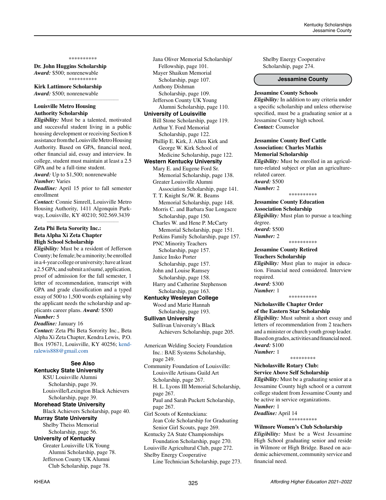#### \*\*\*\*\*\*\*\*\*\*

*\_\_\_\_\_\_\_\_\_\_\_\_\_\_\_\_\_\_\_\_\_\_\_\_\_\_\_\_\_\_\_\_\_\_\_\_\_\_\_\_\_\_\_\_*

**Dr. John Huggins Scholarship** *Award:* \$500; nonrenewable \*\*\*\*\*\*\*\*\*\*

**Kirk Lattimore Scholarship** *Award:* \$500; nonrenewable

# **Louisville Metro Housing Authority Scholarship**

*Eligibility:* Must be a talented, motivated and successful student living in a public housing development or receiving Section 8 assistance from the Louisville Metro Housing Authority. Based on GPA, financial need, other financial aid, essay and interview. In college, student must maintain at least a 2.5 GPA and be a full-time student.

*Award:* Up to \$1,500; nonrenewable *Number:* Varies

*Deadline:* April 15 prior to fall semester enrollment

*Contact:* Connie Simrell, Louisville Metro Housing Authority, 1411 Algonquin Parkway, Louisville, KY 40210; 502.569.3439 *\_\_\_\_\_\_\_\_\_\_\_\_\_\_\_\_\_\_\_\_\_\_\_\_\_\_\_\_\_\_\_\_\_\_\_\_\_\_\_\_\_\_\_\_*

# **Zeta Phi Beta Sorority Inc.: Beta Alpha Xi Zeta Chapter High School Scholarship**

*Eligibility:* Must be a resident of Jefferson County; be female; be a minority; be enrolled in a 4-year college or university; have at least a 2.5 GPA; and submit a résumé, application, proof of admission for the fall semester, 1 letter of recommendation, transcript with GPA and grade classification and a typed essay of 500 to 1,500 words explaining why the applicant needs the scholarship and applicants career plans. *Award:* \$500 *Number:* 5

*Deadline:* January 16

*Contact:* Zeta Phi Beta Sorority Inc., Beta Alpha Xi Zeta Chapter, Kendra Lewis, P.O. Box 197671, Louisville, KY 40256; [kend](mailto:kendralewis888%40gmail.com?subject=)[ralewis888@gmail.com](mailto:kendralewis888%40gmail.com?subject=)

## **See Also Kentucky State University**

KSU Louisville Alumni Scholarship, page 39. Louisville/Lexington Black Achievers Scholarship, page 39. **Morehead State University** Black Achievers Scholarship, page 40. **Murray State University** Shelby Theiss Memorial Scholarship, page 56. **University of Kentucky** Greater Louisville UK Young Alumni Scholarship, page 78. Jefferson County UK Alumni Club Scholarship, page 78.

Jana Oliver Memorial Scholarship/ Fellowship, page 101. Mayer Shaikun Memorial Scholarship, page 107. Anthony Dishman Scholarship, page 109. Jefferson County UK Young Alumni Scholarship, page 110. **University of Louisville** Bill Stone Scholarship, page 119. Arthur Y. Ford Memorial Scholarship, page 122. Phillip E. Kirk, J. Allen Kirk and George W. Kirk School of Medicine Scholarship, page 122. **Western Kentucky University** Mary E. and Eugene Ford Sr. Memorial Scholarship, page 138. Greater Louisville Alumni Association Scholarship, page 141. T. T. Knight Sr./W. R. Beams Memorial Scholarship, page 148. Morris C. and Barbara Sue Longacre Scholarship, page 150. Charles W. and Hene P. McCarty Memorial Scholarship, page 151. Perkins Family Scholarship, page 157. PNC Minority Teachers Scholarship, page 157. Janice Insko Porter Scholarship, page 157. John and Louise Ramsey Scholarship, page 158. Harry and Catherine Stephenson Scholarship, page 163. **Kentucky Wesleyan College** Wood and Marie Hannah Scholarship, page 193. **Sullivan University** Sullivan University's Black Achievers Scholarship, page 205. American Welding Society Foundation Inc.: BAE Systems Scholarship, page 249. Community Foundation of Louisville: Louisville Artisans Guild Art Scholarship, page 267.

H. L. Lyons III Memorial Scholarship, page 267. Paul and Sarah Puckett Scholarship, page 267.

Girl Scouts of Kentuckiana: Jean Cole Scholarship for Graduating Senior Girl Scouts, page 269.

Kentucky 2A State Championships Foundation Scholarship, page 270. Louisville Agricultural Club, page 272.

Shelby Energy Cooperative

Line Technician Scholarship, page 273.

Shelby Energy Cooperative Scholarship, page 274.

#### **Jessamine County**

#### **Jessamine County Schools**

*Eligibility:* In addition to any criteria under a specific scholarship and unless otherwise specified, must be a graduating senior at a Jessamine County high school. *Contact:* Counselor

# **Jessamine County Beef Cattle Association: Charles Mathis Memorial Scholarship**

*Eligibility:* Must be enrolled in an agriculture-related subject or plan an agriculturerelated career. *Award:* \$500

\*\*\*\*\*\*\*\*\*\*

*Number:* 2

**Jessamine County Education Association Scholarship** *Eligibility:* Must plan to pursue a teaching

degree. *Award:* \$500 *Number:* 2

\*\*\*\*\*\*\*\*\*\*

#### **Jessamine County Retired Teachers Scholarship**

*Eligibility:* Must plan to major in education. Financial need considered. Interview required. *Award:* \$300 *Number:* 1

\*\*\*\*\*\*\*\*\*\*

# **Nicholasville Chapter Order of the Eastern Star Scholarship**

*Eligibility:* Must submit a short essay and letters of recommendation from 2 teachers and a minister or church youth group leader. Based on grades, activities and financial need. *Award:* \$100

\*\*\*\*\*\*\*\*\*

*Number:* 1

# **Nicholasville Rotary Club: Service Above Self Scholarship**

*Eligibility:* Must be a graduating senior at a Jessamine County high school or a current college student from Jessamine County and be active in service organizations. *Number:* 1

*Deadline:* April 14

\*\*\*\*\*\*\*\*\*\*

# **Wilmore Women's Club Scholarship**

*Eligibility:* Must be a West Jessamine High School graduating senior and reside in Wilmore or High Bridge. Based on academic achievement, community service and financial need.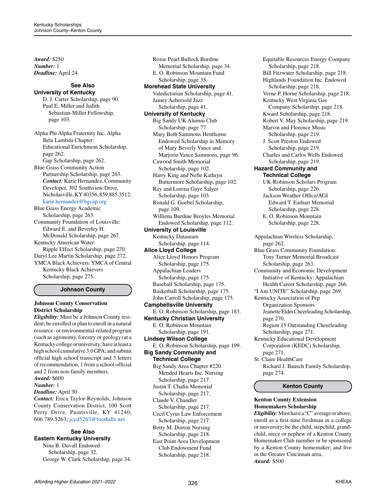*Award:* \$250 *Number:* 1 *Deadline:* April 24

#### **See Also University of Kentucky**

D. J. Carter Scholarship, page 90. Paul E. Miller and Judith Sebastian-Miller Fellowship, page 103.

Alpha Phi Alpha Fraternity Inc. Alpha Beta Lambda Chapter: Educational Enrichment Scholarship, page 262. Gap Scholarship, page 262. Blue Grass Community Action Partnership Scholarship, page 263. *Contact:* Karie Hernandez, Community Developer, 302 Southview Drive, Nicholasville, KY 40356; 859.885.3512; [karie.hernandez@bgcap.org](mailto:karie.hernandez%40bgcap.org?subject=)

Blue Grass Energy Academic Scholarship, page 263. Community Foundation of Louisville: Edward E. and Beverley H. McDonald Scholarship, page 267. Kentucky American Water: Ripple Effect Scholarship, page 270. Daryl Lee Martin Scholarship, page 272. YMCA Black Achievers: YMCA of Central Kentucky Black Achievers Scholarship, page 275.

# **Johnson County**

# **Johnson County Conservation District Scholarship**

*Eligibility:* Must be a Johnson County resident; be enrolled or plan to enroll in a natural resource- or environmental-related program (such as agronomy, forestry or geology) at a Kentucky college or university; have at least a high school cumulative 3.0 GPA; and submit official high school transcript and 3 letters of recommendation, 1 from a school official and 2 from non-family members. *Award:* \$600

# *Number:* 1

*Deadline:* April 30

*Contact:* Erica Taylor-Reynolds, Johnson County Conservation District, 100 Scott Perry Drive, Paintsville, KY 41240; 606.789.5263; [jccd5263@foothills.net](mailto:jccd5263%40foothills.net?subject=)

#### **See Also Eastern Kentucky University**

Nina B. Duvall Endowed

 Scholarship, page 32. George W. Clark Scholarship, page 34.

Roxie Pearl Bullock Burdine Memorial Scholarship, page 34. E. O. Robinson Mountain Fund Scholarship, page 35. **Morehead State University** Valedictorian Scholarship, page 41. Jamey Aebersold Jazz Scholarship, page 41. **University of Kentucky** Big Sandy UK Alumni Club Scholarship, page 77. Mary Beth Sammons Henthorne Endowed Scholarship in Memory of Mary Beverly Vance and Marjorie Vance Sammons, page 96. Cawood Smith Memorial Scholarship, page 102. Harry King and Nelle Kathryn Buttermore Scholarship, page 102. Ray and Lorena Gaye Salyer Scholarship, page 103. Ronald G. Goebel Scholarship, page 109. Williena Burdine Broyles Memorial Endowed Scholarship, page 112. **University of Louisville** Kentucky Dataseam Scholarship, page 114. **Alice Lloyd College** Alice Lloyd Honors Program Scholarship, page 175. Appalachian Leaders Scholarship, page 175. Baseball Scholarship, page 175. Basketball Scholarship, page 175. John Carroll Scholarship, page 175. **Campbellsville University** E. O. Robinson Scholarship, page 183. **Kentucky Christian University** E. O. Robinson Mountain Scholarship, page 191. **Lindsey Wilson College** E. O. Robinson Scholarship, page 199. **Big Sandy Community and Technical College** Big Sandy Area Chapter #220 Mended Hearts Inc. Nursing Scholarship, page 217. Justin T. Chafin Memorial Scholarship, page 217. Claude V. Chandler Scholarship, page 217. Cecil Cyrus Law Enforcement Scholarship, page 217. Betty M. Dorton Nursing Scholarship, page 218.

East Point Area Development Club Endowment Fund Scholarship, page 218.

Equitable Resources Energy Company Scholarship, page 218. Bill Fitzwater Scholarship, page 218. Highlands Foundation Inc. Endowed Scholarship, page 218. Verne P. Horne Scholarship, page 218. Kentucky West Virginia Gas Company Scholarship, page 218. Kward Scholarship, page 218. Robert V. May Scholarship, page 219. Marvin and Florence Music Scholarship, page 219. J. Scott Preston Endowed Scholarship, page 219. Charles and Carlos Wells Endowed Scholarship, page 219. **Hazard Community and Technical College** UK-Robinson Scholars Program Scholarship, page 226. Jackson Weather Office/AGI Edward T. Earhart Memorial Scholarship, page 228. E. O. Robinson Mountain Scholarship, page 228. Appalachian Wireless Scholarship, page 262. Blue Grass Community Foundation: Tony Turner Memorial Broadcast Scholarship, page 263. Community and Economic Development Initiative of Kentucky: Appalachian Health Career Scholarship, page 266. "I Am UNITE" Scholarship, page 269. Kentucky Association of Pep Organization Sponsors Jeanette Elder Cheerleading Scholarship, page 270. Region 15 Outstanding Cheerleading Scholarship, page 271. Kentucky Educational Development Corporation (KEDC) Scholarship, page 271. St. Claire HealthCare Richard J. Bausch Family Scholarship, page 274.

# **Kenton County**

# **Kenton County Extension Homemakers Scholarship**

*Eligibility:* Must have a "C" average or above; enroll as a first-time freshman in a college or university; be the child, stepchild, grandchild, niece or nephew of a Kenton County Homemaker Club member or be sponsored by a Kenton County homemaker; and live in the Greater Cincinnati area. *Award:* \$500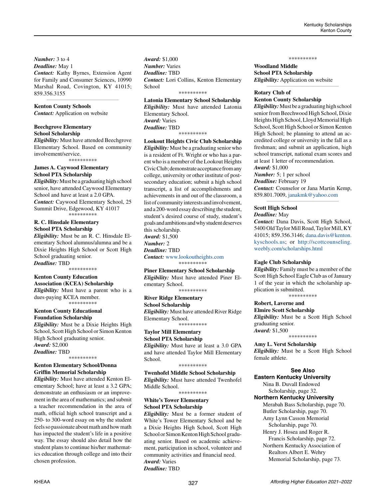*Number:* 3 to 4

*Deadline:* May 1 *Contact:* Kathy Byrnes, Extension Agent for Family and Consumer Sciences, 10990 Marshal Road, Covington, KY 41015; 859.356.3155

*\_\_\_\_\_\_\_\_\_\_\_\_\_\_\_\_\_\_\_\_\_\_\_\_\_\_\_\_\_\_\_\_\_\_\_\_\_\_\_\_\_\_\_\_*

# **Kenton County Schools**

*Contact:* Application on website

# **Beechgrove Elementary School Scholarship**

*Eligibility:* Must have attended Beechgrove Elementary School. Based on community involvement/service.

\*\*\*\*\*\*\*\*\*\*

#### **James A. Caywood Elementary School PTA Scholarship**

*Eligibility:* Must be a graduating high school senior, have attended Caywood Elementary School and have at least a 2.0 GPA. *Contact:* Caywood Elementary School, 25 Summit Drive, Edgewood, KY 41017 \*\*\*\*\*\*\*\*\*

# **R. C. Hinsdale Elementary School PTA Scholarship**

*Eligibility:* Must be an R. C. Hinsdale Elementary School alumnus/alumna and be a Dixie Heights High School or Scott High School graduating senior. *Deadline:* TBD

\*\*\*\*\*\*\*\*\*\*

# **Kenton County Education**

**Association (KCEA) Scholarship** *Eligibility:* Must have a parent who is a dues-paying KCEA member. \*\*\*\*\*\*\*\*\*\*

#### **Kenton County Educational Foundation Scholarship**

*Eligibility:* Must be a Dixie Heights High School, Scott High School or Simon Kenton High School graduating senior. *Award:* \$2,000 *Deadline:* TBD \*\*\*\*\*\*\*\*\*\*

# **Kenton Elementary School/Donna Griffin Memorial Scholarship**

*Eligibility:* Must have attended Kenton Elementary School; have at least a 3.2 GPA; demonstrate an enthusiasm or an improvement in the area of mathematics; and submit a teacher recommendation in the area of math, official high school transcript and a 250- to 300-word essay on why the student feels so passionate about math and how math has impacted the student's life in a positive way. The essay should also detail how the student plans to continue his/her mathematics education through college and into their chosen profession.

*Award:* \$1,000 *Number:* Varies *Deadline:* TBD *Contact:* Lori Collins, Kenton Elementary **School** 

# \*\*\*\*\*\*\*\*\*\*

**Latonia Elementary School Scholarship** *Eligibility:* Must have attended Latonia Elementary School. *Award:* Varies *Deadline:* TBD \*\*\*\*\*\*\*\*\*\*

**Lookout Heights Civic Club Scholarship** *Eligibility:* Must be a graduating senior who is a resident of Ft. Wright or who has a parent who is a member of the Lookout Heights Civic Club; demonstrate acceptance from any college, university or other institute of postsecondary education; submit a high school transcript, a list of accomplishments and achievements in and out of the classroom, a list of community interests and involvement, and a 200-word essay describing the student, student's desired course of study, student's goals and ambitions and why student deserves this scholarship. *Award:* \$1,500 *Number:* 2 *Deadline:* TBD

*Contact:* [www.lookoutheights.com](http://www.lookoutheights.com) \*\*\*\*\*\*\*\*\*\*

### **Piner Elementary School Scholarship**

*Eligibility:* Must have attended Piner Elementary School. \*\*\*\*\*\*\*\*\*\*

# **River Ridge Elementary**

**School Scholarship** *Eligibility:* Must have attended River Ridge Elementary School. \*\*\*\*\*\*\*\*\*\*

# **Taylor Mill Elementary**

**School PTA Scholarship** *Eligibility:* Must have at least a 3.0 GPA and have attended Taylor Mill Elementary School.

\*\*\*\*\*\*\*\*\*\*

**Twenhofel Middle School Scholarship** *Eligibility:* Must have attended Twenhofel Middle School.

\*\*\*\*\*\*\*\*\*\*

# **White's Tower Elementary School PTA Scholarship**

*Eligibility:* Must be a former student of White's Tower Elementary School and be a Dixie Heights High School, Scott High School or Simon Kenton High School graduating senior. Based on academic achievement, participation in school, volunteer and community activities and financial need. *Award:* Varies *Deadline:* TBD

\*\*\*\*\*\*\*\*\*\*

*\_\_\_\_\_\_\_\_\_\_\_\_\_\_\_\_\_\_\_\_\_\_\_\_\_\_\_\_\_\_\_\_\_\_\_\_\_\_\_\_\_\_\_\_*

**Woodland Middle School PTA Scholarship** *Eligibility:* Application on website

# **Rotary Club of Kenton County Scholarship**

*Eligibility:* Must be a graduating high school senior from Beechwood High School, Dixie Heights High School, Lloyd Memorial High School, Scott High School or Simon Kenton High School; be planning to attend an accredited college or university in the fall as a freshman; and submit an application, high school transcript, national exam scores and at least 1 letter of recommendation. *Award:* \$1,000

*Number:* 5; 1 per school *Deadline:* February 19 *Contact:* Counselor or Jana Martin Kemp, 859.801.7009, [janakmk@yahoo.com](mailto:janakmk%40yahoo.com?subject=)

*\_\_\_\_\_\_\_\_\_\_\_\_\_\_\_\_\_\_\_\_\_\_\_\_\_\_\_\_\_\_\_\_\_\_\_\_\_\_\_\_\_\_\_\_*

# **Scott High School**

*Deadline:* May

*Contact:* Dana Davis, Scott High School, 5400 Old Taylor Mill Road, Taylor Mill, KY 41015; 859.356.3146; [dana.davis@kenton.](mailto:dana.davis%40kenton.kyschools.us?subject=) [kyschools.us](mailto:dana.davis%40kenton.kyschools.us?subject=); or [http://scottcounseling.](http://scottcounseling.weebly.com/scholarships.html) [weebly.com/scholarships.html](http://scottcounseling.weebly.com/scholarships.html)

#### **Eagle Club Scholarship**

*Eligibility:* Family must be a member of the Scott High School Eagle Club as of January 1 of the year in which the scholarship application is submitted. \*\*\*\*\*\*\*\*\*\*

# **Robert, Laverne and**

**Elmire Scott Scholarship** *Eligibility:* Must be a Scott High School graduating senior. *Award:* \$1,500

\*\*\*\*\*\*\*\*\*\*

**Amy L. Verst Scholarship** *Eligibility:* Must be a Scott High School female athlete.

#### **See Also**

**Eastern Kentucky University** Nina B. Duvall Endowed Scholarship, page 32. **Northern Kentucky University** Merabah Bass Scholarship, page 70. Butler Scholarship, page 70. Amy Lynn Casson Memorial Scholarship, page 70. Henry J. Hosea and Roger R. Francis Scholarship, page 72. Northern Kentucky Association of Realtors Albert E. Wehry Memorial Scholarship, page 73.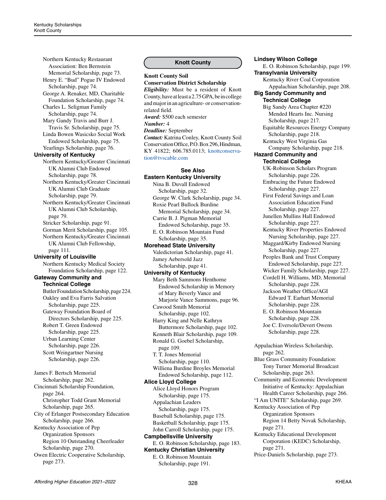Northern Kentucky Restaurant Association: Ben Bernstein Memorial Scholarship, page 73. Henry E. "Bud" Pogue IV Endowed Scholarship, page 74. George A. Renaker, MD, Charitable Foundation Scholarship, page 74. Charles L. Seligman Family Scholarship, page 74. Mary Gandy Travis and Burr J. Travis Sr. Scholarship, page 75. Linda Bowen Wasicsko Social Work Endowed Scholarship, page 75. Yearlings Scholarship, page 76. **University of Kentucky** Northern Kentucky/Greater Cincinnati UK Alumni Club Endowed Scholarship, page 78. Northern Kentucky/Greater Cincinnati UK Alumni Club Graduate Scholarship, page 79. Northern Kentucky/Greater Cincinnati UK Alumni Club Scholarship, page 79. Stricker Scholarship, page 91. Gorman Merit Scholarship, page 105. Northern Kentucky/Greater Cincinnati UK Alumni Club Fellowship, page 111. **University of Louisville** Northern Kentucky Medical Society Foundation Scholarship, page 122. **Gateway Community and Technical College** Butler Foundation Scholarship, page 224. Oakley and Eva Farris Salvation Scholarship, page 225. Gateway Foundation Board of Directors Scholarship, page 225. Robert T. Green Endowed Scholarship, page 225. Urban Learning Center Scholarship, page 226. Scott Weingartner Nursing Scholarship, page 226. James F. Bertsch Memorial Scholarship, page 262. Cincinnati Scholarship Foundation, page 264. Christopher Todd Grant Memorial Scholarship, page 265. City of Erlanger Postsecondary Education Scholarship, page 266. Kentucky Association of Pep Organization Sponsors Region 10 Outstanding Cheerleader Scholarship, page 270. Owen Electric Cooperative Scholarship, page 273.

# **Knott County**

**Knott County Soil Conservation District Scholarship** *Eligibility:* Must be a resident of Knott County, have at least a 2.75 GPA, be in college and major in an agriculture- or conservationrelated field. *Award:* \$500 each semester *Number:* 4 *Deadline:* September *Contact:* Katrina Conley, Knott County Soil Conservation Office, P.O. Box 296, Hindman, KY 41822; 606.785.0113; [knottconserva](mailto:knottconservation%40tvscable.com?subject=)[tion@tvscable.com](mailto:knottconservation%40tvscable.com?subject=)

# **See Also**

# **Eastern Kentucky University**

Nina B. Duvall Endowed Scholarship, page 32. George W. Clark Scholarship, page 34. Roxie Pearl Bullock Burdine Memorial Scholarship, page 34. Carrie B. J. Pigman Memorial Endowed Scholarship, page 35. E. O. Robinson Mountain Fund Scholarship, page 35. **Morehead State University** Valedictorian Scholarship, page 41. Jamey Aebersold Jazz Scholarship, page 41. **University of Kentucky**

Mary Beth Sammons Henthorne Endowed Scholarship in Memory of Mary Beverly Vance and Marjorie Vance Sammons, page 96. Cawood Smith Memorial Scholarship, page 102. Harry King and Nelle Kathryn Buttermore Scholarship, page 102. Kenneth Blair Scholarship, page 109. Ronald G. Goebel Scholarship, page 109. T. T. Jones Memorial Scholarship, page 110. Williena Burdine Broyles Memorial Endowed Scholarship, page 112. **Alice Lloyd College** Alice Lloyd Honors Program Scholarship, page 175. Appalachian Leaders Scholarship, page 175. Baseball Scholarship, page 175. Basketball Scholarship, page 175. John Carroll Scholarship, page 175. **Campbellsville University** E. O. Robinson Scholarship, page 183. **Kentucky Christian University** E. O. Robinson Mountain

Scholarship, page 191.

#### **Lindsey Wilson College**

E. O. Robinson Scholarship, page 199. **Transylvania University** Kentucky River Coal Corporation Appalachian Scholarship, page 208. **Big Sandy Community and Technical College** Big Sandy Area Chapter #220 Mended Hearts Inc. Nursing Scholarship, page 217. Equitable Resources Energy Company Scholarship, page 218. Kentucky West Virginia Gas Company Scholarship, page 218. **Hazard Community and Technical College** UK-Robinson Scholars Program Scholarship, page 226. Embracing the Future Endowed Scholarship, page 227. First Federal Savings and Loan Association Education Fund Scholarship, page 227. Junellen Mullins Hall Endowed Scholarship, page 227. Kentucky River Properties Endowed Nursing Scholarship, page 227. Maggard/Kirby Endowed Nursing Scholarship, page 227. Peoples Bank and Trust Company Endowed Scholarship, page 227. Wicker Family Scholarship, page 227. Cordell H. Williams, MD, Memorial Scholarship, page 228. Jackson Weather Office/AGI Edward T. Earhart Memorial Scholarship, page 228. E. O. Robinson Mountain Scholarship, page 228. Joe C. Eversole/Devert Owens Scholarship, page 228. Appalachian Wireless Scholarship, page 262. Blue Grass Community Foundation: Tony Turner Memorial Broadcast Scholarship, page 263. Community and Economic Development Initiative of Kentucky: Appalachian Health Career Scholarship, page 266. "I Am UNITE" Scholarship, page 269. Kentucky Association of Pep Organization Sponsors Region 14 Betty Novak Scholarship, page 271. Kentucky Educational Development Corporation (KEDC) Scholarship, page 271. Price-Daniels Scholarship, page 273.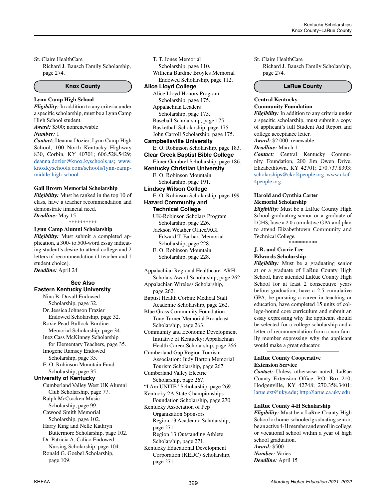St. Claire HealthCare Richard J. Bausch Family Scholarship, page 274.

## **Knox County**

# **Lynn Camp High School**

*Eligibility:* In addition to any criteria under a specific scholarship, must be a Lynn Camp High School student.

*Award:* \$500; nonrenewable *Number:* 1 *Contact:* Deanna Dozier, Lynn Camp High School, 100 North Kentucky Highway 830, Corbin, KY 40701; 606.528.5429;

[deanna.dozier@knox.kyschools.us](mailto:deanna.dozier%40knox.kyschools.us?subject=); www. knoxkyschools.com/schools/lynn-campmiddle-high-school

#### **Gail Brown Memorial Scholarship**

*Eligibility:* Must be ranked in the top 10 of class, have a teacher recommendation and demonstrate financial need. *Deadline:* May 15

\*\*\*\*\*\*\*\*\*\*

#### **Lynn Camp Alumni Scholarship**

*Eligibility:* Must submit a completed application, a 300- to 500-word essay indicating student's desire to attend college and 2 letters of recommendation (1 teacher and 1 student choice). *Deadline:* April 24

# **See Also Eastern Kentucky University**

Nina B. Duvall Endowed Scholarship, page 32. Dr. Jessica Johnson Frazier Endowed Scholarship, page 32. Roxie Pearl Bullock Burdine Memorial Scholarship, page 34. Inez Cass McKinney Scholarship for Elementary Teachers, page 35. Imogene Ramsey Endowed Scholarship, page 35. E. O. Robinson Mountain Fund Scholarship, page 35. **University of Kentucky** Cumberland Valley West UK Alumni Club Scholarship, page 77. Ralph McCracken Music Scholarship, page 99. Cawood Smith Memorial Scholarship, page 102. Harry King and Nelle Kathryn Buttermore Scholarship, page 102. Dr. Patricia A. Calico Endowed Nursing Scholarship, page 104. Ronald G. Goebel Scholarship, page 109.

T. T. Jones Memorial Scholarship, page 110. Williena Burdine Broyles Memorial Endowed Scholarship, page 112. **Alice Lloyd College** Alice Lloyd Honors Program Scholarship, page 175.

Appalachian Leaders Scholarship, page 175. Baseball Scholarship, page 175. Basketball Scholarship, page 175. John Carroll Scholarship, page 175.

**Campbellsville University**

E. O. Robinson Scholarship, page 183.

**Clear Creek Baptist Bible College** Elmer Gambrel Scholarship, page 186.

**Kentucky Christian University**

E. O. Robinson Mountain

 Scholarship, page 191. **Lindsey Wilson College**

E. O. Robinson Scholarship, page 199. **Hazard Community and** 

**Technical College**

UK-Robinson Scholars Program Scholarship, page 226. Jackson Weather Office/AGI Edward T. Earhart Memorial Scholarship, page 228. E. O. Robinson Mountain

Scholarship, page 228.

Appalachian Regional Healthcare: ARH Scholars Award Scholarship, page 262.

Appalachian Wireless Scholarship, page 262.

Baptist Health Corbin: Medical Staff Academic Scholarship, page 262.

Blue Grass Community Foundation: Tony Turner Memorial Broadcast Scholarship, page 263.

Community and Economic Development Initiative of Kentucky: Appalachian Health Career Scholarship, page 266.

Cumberland Gap Region Tourism Association: Judy Barton Memorial Tourism Scholarship, page 267.

Cumberland Valley Electric Scholarship, page 267.

"I Am UNITE" Scholarship, page 269. Kentucky 2A State Championships

Foundation Scholarship, page 270. Kentucky Association of Pep

Organization Sponsors Region 13 Academic Scholarship, page 271.

Region 13 Outstanding Athlete Scholarship, page 271.

Kentucky Educational Development Corporation (KEDC) Scholarship, page 271.

St. Claire HealthCare

Richard J. Bausch Family Scholarship, page 274.

**LaRue County**

#### **Central Kentucky Community Foundation**

*Eligibility:* In addition to any criteria under a specific scholarship, must submit a copy of applicant's full Student Aid Report and college acceptance letter.

*Award:* \$2,000; renewable

#### *Deadline:* March 1

*Contact:* Central Kentucky Community Foundation, 200 Jim Owen Drive, Elizabethtown, KY 42701; 270.737.8393; [scholarships@ckcf4people.org](mailto:scholarships%40ckcf4people.org?subject=); [www.ckcf-](http://www.ckcf4people.org)[4people.org](http://www.ckcf4people.org)

#### **Harold and Cynthia Carter Memorial Scholarship**

*Eligibility:* Must be a LaRue County High School graduating senior or a graduate of LCHS, have a 2.0 cumulative GPA and plan to attend Elizabethtown Community and Technical College.

\*\*\*\*\*\*\*\*\*\*

# **J. R. and Carrie Lee**

**Edwards Scholarship**

*Eligibility:* Must be a graduating senior at or a graduate of LaRue County High School, have attended LaRue County High School for at least 2 consecutive years before graduation, have a 2.5 cumulative GPA, be pursuing a career in teaching or education, have completed 15 units of college-bound core curriculum and submit an essay expressing why the applicant should be selected for a college scholarship and a letter of recommendation from a non-family member expressing why the applicant would make a great educator.

### **LaRue County Cooperative Extension Service**

*Contact:* Unless otherwise noted, LaRue County Extension Office, P.O. Box 210, Hodgenville, KY 42748; 270.358.3401; [larue.ext@uky.edu;](mailto:larue.EXT@uky.edu)<http://larue.ca.uky.edu>

*\_\_\_\_\_\_\_\_\_\_\_\_\_\_\_\_\_\_\_\_\_\_\_\_\_\_\_\_\_\_\_\_\_\_\_\_\_\_\_\_\_\_\_\_*

# **LaRue County 4-H Scholarship**

*Eligibility:* Must be a LaRue County High School or home-schooled graduating senior, be an active 4-H member and enroll in college or vocational school within a year of high school graduation.

# *Award:* \$500

*Number:* Varies *Deadline:* April 15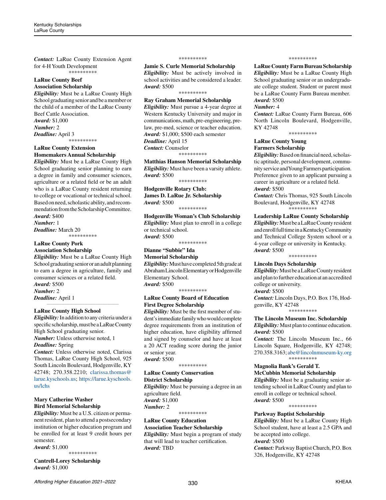*Contact:* LaRue County Extension Agent for 4-H Youth Development \*\*\*\*\*\*\*\*\*\*

#### **LaRue County Beef Association Scholarship**

*Eligibility:* Must be a LaRue County High School graduating senior and be a member or the child of a member of the LaRue County Beef Cattle Association. *Award:* \$1,000 *Number:* 2 *Deadline:* April 3 \*\*\*\*\*\*\*\*\*\*

# **LaRue County Extension Homemakers Annual Scholarship**

*Eligibility:* Must be a LaRue County High School graduating senior planning to earn a degree in family and consumer sciences, agriculture or a related field or be an adult who is a LaRue County resident returning to college or vocational or technical school. Based on need, scholastic ability, and recommendation from the Scholarship Committee. *Award:* \$400

*Number:* 1 *Deadline:* March 20 \*\*\*\*\*\*\*\*\*\*

**LaRue County Pork Association Scholarship**

*Eligibility:* Must be a LaRue County High School graduating senior or an adult planning to earn a degree in agriculture, family and consumer sciences or a related field.

*Award:* \$500 *Number:* 2 *Deadline:* April 1

#### **LaRue County High School**

*Eligibility:* In addition to any criteria under a specific scholarship, must be a LaRue County High School graduating senior. *Number:* Unless otherwise noted, 1

*\_\_\_\_\_\_\_\_\_\_\_\_\_\_\_\_\_\_\_\_\_\_\_\_\_\_\_\_\_\_\_\_\_\_\_\_\_\_\_\_\_\_\_\_*

*Deadline:* Spring

*Contact:* Unless otherwise noted, Clarissa Thomas, LaRue County High School, 925 South Lincoln Boulevard, Hodgenville, KY 42748; 270.358.2210; [clarissa.thomas@](mailto:clarissa.thomas%40larue.kyschools.us?subject=) [larue.kyschools.us](mailto:clarissa.thomas%40larue.kyschools.us?subject=); [https://larue.kyschools.](https://larue.kyschools.us/lchs) [us/lchs](https://larue.kyschools.us/lchs)

# **Mary Catherine Washer Bird Memorial Scholarship**

*Eligibility:* Must be a U.S. citizen or permanent resident, plan to attend a postsecondary institution or higher education program and be enrolled for at least 9 credit hours per semester.

*Award:* \$1,000 \*\*\*\*\*\*\*\*\*\*

**Cantrell-Lorey Scholarship** *Award:* \$1,000

#### \*\*\*\*\*\*\*\*\*\*

**Jamie S. Curle Memorial Scholarship** *Eligibility:* Must be actively involved in school activities and be considered a leader. *Award:* \$500

# \*\*\*\*\*\*\*\*\*\*

**Ray Graham Memorial Scholarship** *Eligibility:* Must pursue a 4-year degree at Western Kentucky University and major in communications, math, pre-engineering, prelaw, pre-med, science or teacher education. *Award:* \$1,000; \$500 each semester *Deadline:* April 15 *Contact:* Counselor

\*\*\*\*\*\*\*\*\*\*

**Matthias Hanson Memorial Scholarship** *Eligibility:* Must have been a varsity athlete. *Award:* \$500

\*\*\*\*\*\*\*\*\*\*

**Hodgenville Rotary Club: James D. LaRue Jr. Scholarship** *Award:* \$500

\*\*\*\*\*\*\*\*\*\*

**Hodgenville Woman's Club Scholarship** *Eligibility:* Must plan to enroll in a college or technical school. *Award:* \$500

\*\*\*\*\*\*\*\*\*\*

# **Dianne "Subbie" Ida**

**Memorial Scholarship** *Eligibility:* Must have completed 5th grade at Abraham Lincoln Elementary or Hodgenville Elementary School. *Award:* \$500

\*\*\*\*\*\*\*\*\*\*

# **LaRue County Board of Education First Degree Scholarship**

*Eligibility:* Must be the first member of student's immediate family who would complete degree requirements from an institution of higher education, have eligibility affirmed and signed by counselor and have at least a 20 ACT reading score during the junior or senior year. *Award:* \$500

\*\*\*\*\*\*\*\*\*\*

#### **LaRue County Conservation District Scholarship**

*Eligibility:* Must be pursuing a degree in an agriculture field. *Award:* \$1,000 *Number:* 2 \*\*\*\*\*\*\*\*\*\*

**LaRue County Education Association Teacher Scholarship**

*Eligibility:* Must begin a program of study that will lead to teacher certification. *Award:* TBD

#### \*\*\*\*\*\*\*\*\*\*

**LaRue County Farm Bureau Scholarship** *Eligibility:* Must be a LaRue County High School graduating senior or an undergraduate college student. Student or parent must be a LaRue County Farm Bureau member. *Award:* \$500

#### *Number:* 4

*Contact:* LaRue County Farm Bureau, 606 North Lincoln Boulevard, Hodgenville, KY 42748

\*\*\*\*\*\*\*\*\*\*

## **LaRue County Young Farmers Scholarship**

*Eligibility:* Based on financial need, scholastic aptitude, personal development, community service and Young Farmers participation. Preference given to an applicant pursuing a career in agriculture or a related field. *Award:* \$500

*Contact:* Chris Thomas, 925 South Lincoln Boulevard, Hodgenville, KY 42748 \*\*\*\*\*\*\*\*\*\*

**Leadership LaRue County Scholarship** *Eligibility:* Must be a LaRue County resident

and enroll full time in a Kentucky Community and Technical College System school or a 4-year college or university in Kentucky. *Award:* \$500

\*\*\*\*\*\*\*\*\*\*

# **Lincoln Days Scholarship**

*Eligibility:* Must be a LaRue County resident and plan to further education at an accredited college or university.

*Award:* \$500

*Contact:* Lincoln Days, P.O. Box 176, Hodgenville, KY 42748

\*\*\*\*\*\*\*\*\*\*

#### **The Lincoln Museum Inc. Scholarship** *Eligibility:* Must plan to continue education.

*Award:* \$500

*Contact:* The Lincoln Museum Inc., 66 Lincoln Square, Hodgenville, KY 42748; 270.358.3163; [abe@lincolnmuseum-ky.org](mailto:abe%40lincolnmuseum-ky.org?subject=) \*\*\*\*\*\*\*\*\*\*

**Magnolia Bank's Gerald T.**

**McCubbin Memorial Scholarship**

*Eligibility:* Must be a graduating senior attending school in LaRue County and plan to enroll in college or technical school. *Award:* \$500

\*\*\*\*\*\*\*\*\*\*

#### **Parkway Baptist Scholarship**

*Eligibility:* Must be a LaRue County High School student, have at least a 2.5 GPA and be accepted into college.

#### *Award:* \$500

*Contact:* Parkway Baptist Church, P.O. Box 326, Hodgenville, KY 42748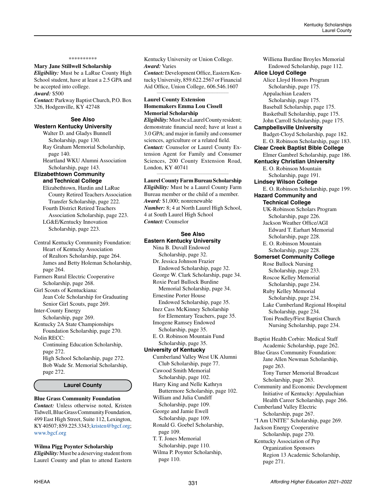## \*\*\*\*\*\*\*\*\*\*

#### **Mary Jane Stillwell Scholarship**

*Eligibility:* Must be a LaRue County High School student, have at least a 2.5 GPA and be accepted into college.

*Award:* \$500

*Contact:* Parkway Baptist Church, P.O. Box 326, Hodgenville, KY 42748

#### **See Also Western Kentucky University**

Walter D. and Gladys Bunnell Scholarship, page 130. Ray Graham Memorial Scholarship, page 140. Heartland WKU Alumni Association

 Scholarship, page 143. **Elizabethtown Community** 

# **and Technical College**

Elizabethtown, Hardin and LaRue County Retired Teachers Association Transfer Scholarship, page 222. Fourth District Retired Teachers

 Association Scholarship, page 223. LG&E/Kentucky Innovation Scholarship, page 223.

Central Kentucky Community Foundation: Heart of Kentucky Association of Realtors Scholarship, page 264. James and Betty Holeman Scholarship, page 264.

Farmers Rural Electric Cooperative Scholarship, page 268.

Girl Scouts of Kentuckiana: Jean Cole Scholarship for Graduating Senior Girl Scouts, page 269.

Inter-County Energy Scholarship, page 269.

Kentucky 2A State Championships Foundation Scholarship, page 270.

Nolin RECC: Continuing Education Scholarship, page 272. High School Scholarship, page 272. Bob Wade Sr. Memorial Scholarship, page 272.

#### **Laurel County**

**Blue Grass Community Foundation** *Contact:* Unless otherwise noted, Kristen Tidwell, Blue Grass Community Foundation, 499 East High Street, Suite 112, Lexington, KY 40507; 859.225.3343; [kristen@bgcf.org](mailto:kristen%40bgcf.org?subject=); [www.bgcf.org](http://www.bgcf.org)

**Wilma Pigg Poynter Scholarship**  *Eligibility:* Must be a deserving student from Laurel County and plan to attend Eastern Kentucky University or Union College. *Award:* Varies

*Contact:* Development Office, Eastern Kentucky University, 859.622.2567 or Financial Aid Office, Union College, 606.546.1607 *\_\_\_\_\_\_\_\_\_\_\_\_\_\_\_\_\_\_\_\_\_\_\_\_\_\_\_\_\_\_\_\_\_\_\_\_\_\_\_\_\_\_\_\_*

# **Laurel County Extension Homemakers Emma Lou Cissell Memorial Scholarship**

*Eligibility:* Must be a Laurel County resident; demonstrate financial need; have at least a 3.0 GPA; and major in family and consumer sciences, agriculture or a related field. *Contact:* Counselor or Laurel County Extension Agent for Family and Consumer Sciences, 200 County Extension Road, London, KY 40741

#### *\_\_\_\_\_\_\_\_\_\_\_\_\_\_\_\_\_\_\_\_\_\_\_\_\_\_\_\_\_\_\_\_\_\_\_\_\_\_\_\_\_\_\_\_* **Laurel County Farm Bureau Scholarship**

*Eligibility:* Must be a Laurel County Farm Bureau member or the child of a member. *Award:* \$1,000; nonrenewable *Number:* 8; 4 at North Laurel High School, 4 at South Laurel High School *Contact:* Counselor

#### **See Also Eastern Kentucky University**

Nina B. Duvall Endowed Scholarship, page 32. Dr. Jessica Johnson Frazier Endowed Scholarship, page 32. George W. Clark Scholarship, page 34. Roxie Pearl Bullock Burdine Memorial Scholarship, page 34. Ernestine Porter House Endowed Scholarship, page 35. Inez Cass McKinney Scholarship for Elementary Teachers, page 35. Imogene Ramsey Endowed Scholarship, page 35. E. O. Robinson Mountain Fund Scholarship, page 35. **University of Kentucky** Cumberland Valley West UK Alumni Club Scholarship, page 77.

Cawood Smith Memorial Scholarship, page 102. Harry King and Nelle Kathryn Buttermore Scholarship, page 102. William and Julia Cundiff Scholarship, page 109. George and Jamie Ewell Scholarship, page 109. Ronald G. Goebel Scholarship, page 109.

T. T. Jones Memorial Scholarship, page 110. Wilma P. Poynter Scholarship, page 110.

Williena Burdine Broyles Memorial Endowed Scholarship, page 112. **Alice Lloyd College** Alice Lloyd Honors Program Scholarship, page 175. Appalachian Leaders Scholarship, page 175. Baseball Scholarship, page 175. Basketball Scholarship, page 175. John Carroll Scholarship, page 175. **Campbellsville University** Badget-Cloyd Scholarship, page 182. E. O. Robinson Scholarship, page 183. **Clear Creek Baptist Bible College** Elmer Gambrel Scholarship, page 186. **Kentucky Christian University** E. O. Robinson Mountain Scholarship, page 191. **Lindsey Wilson College** E. O. Robinson Scholarship, page 199. **Hazard Community and Technical College** UK-Robinson Scholars Program Scholarship, page 226. Jackson Weather Office/AGI Edward T. Earhart Memorial Scholarship, page 228. E. O. Robinson Mountain Scholarship, page 228. **Somerset Community College** Rose Bullock Nursing Scholarship, page 233. Roscoe Kelley Memorial Scholarship, page 234. Ruby Kelley Memorial Scholarship, page 234. Lake Cumberland Regional Hospital Scholarship, page 234. Toni Pendley/First Baptist Church Nursing Scholarship, page 234. Baptist Health Corbin: Medical Staff Academic Scholarship, page 262. Blue Grass Community Foundation: Jane Allen Newman Scholarship, page 263. Tony Turner Memorial Broadcast Scholarship, page 263. Community and Economic Development Initiative of Kentucky: Appalachian Health Career Scholarship, page 266. Cumberland Valley Electric Scholarship, page 267. "I Am UNITE" Scholarship, page 269. Jackson Energy Cooperative

Scholarship, page 270. Kentucky Association of Pep Organization Sponsors Region 13 Academic Scholarship, page 271.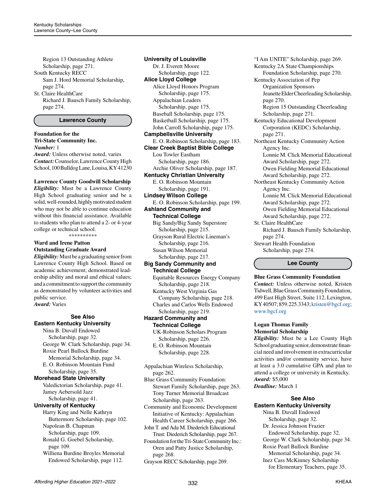Region 13 Outstanding Athlete Scholarship, page 271. South Kentucky RECC Sam J. Hord Memorial Scholarship, page 274.

St. Claire HealthCare Richard J. Bausch Family Scholarship, page 274.

### **Lawrence County**

#### **Foundation for the Tri-State Community Inc.**  *Number:* 1

*Award:* Unless otherwise noted, varies *Contact:* Counselor, Lawrence County High School, 100 Bulldog Lane, Louisa, KY 41230

#### **Lawrence County Goodwill Scholarship**

*Eligibility:* Must be a Lawrence County High School graduating senior and be a solid, well-rounded, highly motivated student who may not be able to continue education without this financial assistance. Available to students who plan to attend a 2- or 4-year college or technical school.

\*\*\*\*\*\*\*\*\*\*

**Ward and Irene Patton Outstanding Graduate Award**

*Eligibility:* Must be a graduating senior from Lawrence County High School. Based on academic achievement; demonstrated leadership ability and moral and ethical values; and a commitment to support the community as demonstrated by volunteer activities and public service. *Award:* Varies

# **See Also Eastern Kentucky University**

Nina B. Duvall Endowed Scholarship, page 32. George W. Clark Scholarship, page 34. Roxie Pearl Bullock Burdine Memorial Scholarship, page 34.

E. O. Robinson Mountain Fund Scholarship, page 35.

#### **Morehead State University**

Valedictorian Scholarship, page 41. Jamey Aebersold Jazz Scholarship, page 41.

# **University of Kentucky**

Harry King and Nelle Kathryn Buttermore Scholarship, page 102. Napolean B. Chapman Scholarship, page 109.

Ronald G. Goebel Scholarship,

 page 109. Williena Burdine Broyles Memorial

Endowed Scholarship, page 112.

**University of Louisville** Dr. J. Everett Moore Scholarship, page 122. **Alice Lloyd College** Alice Lloyd Honors Program Scholarship, page 175. Appalachian Leaders Scholarship, page 175. Baseball Scholarship, page 175. Basketball Scholarship, page 175. John Carroll Scholarship, page 175. **Campbellsville University** E. O. Robinson Scholarship, page 183. **Clear Creek Baptist Bible College** Lou Towler Eastham Scholarship, page 186. Archie Oliver Scholarship, page 187. **Kentucky Christian University** E. O. Robinson Mountain Scholarship, page 191. **Lindsey Wilson College** E. O. Robinson Scholarship, page 199. **Ashland Community and Technical College** Big Sandy/Big Sandy Superstore Scholarship, page 215. Grayson Rural Electric Lineman's Scholarship, page 216. Susan Wilson Memorial Scholarship, page 217.

# **Big Sandy Community and Technical College**

Equitable Resources Energy Company Scholarship, page 218.

Kentucky West Virginia Gas Company Scholarship, page 218. Charles and Carlos Wells Endowed

 Scholarship, page 219. **Hazard Community and Technical College** UK-Robinson Scholars Program

 Scholarship, page 226. E. O. Robinson Mountain Scholarship, page 228.

Appalachian Wireless Scholarship, page 262.

Blue Grass Community Foundation: Stewart Family Scholarship, page 263. Tony Turner Memorial Broadcast Scholarship, page 263.

Community and Economic Development Initiative of Kentucky: Appalachian Health Career Scholarship, page 266.

John T. and Ada M. Diederich Educational Trust: Diederich Scholarship, page 267.

Foundation for the Tri-State Community Inc.: Oren and Patty Justice Scholarship, page 268.

Grayson RECC Scholarship, page 269.

"I Am UNITE" Scholarship, page 269. Kentucky 2A State Championships Foundation Scholarship, page 270. Kentucky Association of Pep Organization Sponsors Jeanette Elder Cheerleading Scholarship, page 270. Region 15 Outstanding Cheerleading Scholarship, page 271. Kentucky Educational Development Corporation (KEDC) Scholarship, page 271. Northeast Kentucky Community Action Agency Inc. Lonnie M. Click Memorial Educational Award Scholarship, page 272. Owen Fielding Memorial Educational Award Scholarship, page 272. Northeast Kentucky Community Action Agency Inc. Lonnie M. Click Memorial Educational Award Scholarship, page 272. Owen Fielding Memorial Educational Award Scholarship, page 272. St. Claire HealthCare Richard J. Bausch Family Scholarship, page 274.

Stewart Health Foundation Scholarship, page 274.

**Lee County**

#### **Blue Grass Community Foundation**

*Contact:* Unless otherwise noted, Kristen Tidwell, Blue Grass Community Foundation, 499 East High Street, Suite 112, Lexington, KY 40507; 859.225.3343; [kristen@bgcf.org](mailto:kristen%40bgcf.org?subject=); [www.bgcf.org](http://www.bgcf.org)

# **Logan Thomas Family Memorial Scholarship**

*Eligibility:* Must be a Lee County High School graduating senior, demonstrate financial need and involvement in extracurricular activities and/or community service, have at least a 3.0 cumulative GPA and plan to attend a college or university in Kentucky. *Award:* \$5,000

*Deadline:* March 1

## **See Also Eastern Kentucky University**

Nina B. Duvall Endowed Scholarship, page 32. Dr. Jessica Johnson Frazier Endowed Scholarship, page 32. George W. Clark Scholarship, page 34. Roxie Pearl Bullock Burdine Memorial Scholarship, page 34. Inez Cass McKinney Scholarship for Elementary Teachers, page 35.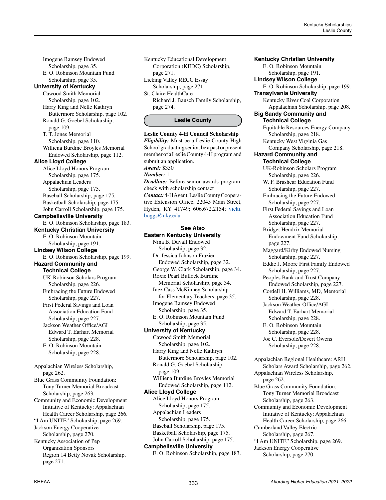Imogene Ramsey Endowed Scholarship, page 35. E. O. Robinson Mountain Fund Scholarship, page 35. **University of Kentucky** Cawood Smith Memorial Scholarship, page 102. Harry King and Nelle Kathryn Buttermore Scholarship, page 102. Ronald G. Goebel Scholarship, page 109. T. T. Jones Memorial Scholarship, page 110. Williena Burdine Broyles Memorial Endowed Scholarship, page 112. **Alice Lloyd College** Alice Lloyd Honors Program Scholarship, page 175. Appalachian Leaders Scholarship, page 175. Baseball Scholarship, page 175. Basketball Scholarship, page 175. John Carroll Scholarship, page 175. **Campbellsville University** E. O. Robinson Scholarship, page 183. **Kentucky Christian University** E. O. Robinson Mountain Scholarship, page 191. **Lindsey Wilson College** E. O. Robinson Scholarship, page 199. **Hazard Community and Technical College** UK-Robinson Scholars Program Scholarship, page 226. Embracing the Future Endowed Scholarship, page 227. First Federal Savings and Loan Association Education Fund Scholarship, page 227. Jackson Weather Office/AGI Edward T. Earhart Memorial Scholarship, page 228. E. O. Robinson Mountain Scholarship, page 228. Appalachian Wireless Scholarship, page 262. Blue Grass Community Foundation: Tony Turner Memorial Broadcast Scholarship, page 263. Community and Economic Development Initiative of Kentucky: Appalachian Health Career Scholarship, page 266. "I Am UNITE" Scholarship, page 269. Jackson Energy Cooperative Scholarship, page 270. Kentucky Association of Pep Organization Sponsors Region 14 Betty Novak Scholarship,

Kentucky Educational Development Corporation (KEDC) Scholarship, page 271. Licking Valley RECC Essay

Scholarship, page 271. St. Claire HealthCare

Richard J. Bausch Family Scholarship, page 274.

#### **Leslie County**

**Leslie County 4-H Council Scholarship** *Eligibility:* Must be a Leslie County High School graduating senior, be a past or present member of a Leslie County 4-H program and submit an application. *Award:* \$350 *Number:* 1 *Deadline:* Before senior awards program; check with scholarship contact *Contact:* 4-H Agent, Leslie County Cooperative Extension Office, 22045 Main Street, Hyden, KY 41749; 606.672.2154; [vicki.](mailto:vicki.boggs%40uky.edu?subject=) [boggs@uky.edu](mailto:vicki.boggs%40uky.edu?subject=)

# **See Also Eastern Kentucky University** Nina B. Duvall Endowed Scholarship, page 32. Dr. Jessica Johnson Frazier Endowed Scholarship, page 32. George W. Clark Scholarship, page 34. Roxie Pearl Bullock Burdine Memorial Scholarship, page 34. Inez Cass McKinney Scholarship for Elementary Teachers, page 35. Imogene Ramsey Endowed Scholarship, page 35. E. O. Robinson Mountain Fund Scholarship, page 35. **University of Kentucky** Cawood Smith Memorial Scholarship, page 102. Harry King and Nelle Kathryn Buttermore Scholarship, page 102. Ronald G. Goebel Scholarship, page 109. Williena Burdine Broyles Memorial Endowed Scholarship, page 112. **Alice Lloyd College** Alice Lloyd Honors Program Scholarship, page 175. Appalachian Leaders Scholarship, page 175. Baseball Scholarship, page 175. Basketball Scholarship, page 175.

John Carroll Scholarship, page 175. **Campbellsville University**

E. O. Robinson Scholarship, page 183.

**Kentucky Christian University** E. O. Robinson Mountain Scholarship, page 191. **Lindsey Wilson College** E. O. Robinson Scholarship, page 199. **Transylvania University** Kentucky River Coal Corporation Appalachian Scholarship, page 208. **Big Sandy Community and Technical College** Equitable Resources Energy Company Scholarship, page 218. Kentucky West Virginia Gas Company Scholarship, page 218. **Hazard Community and Technical College** UK-Robinson Scholars Program Scholarship, page 226. W. F. Brashear Education Fund Scholarship, page 227. Embracing the Future Endowed Scholarship, page 227. First Federal Savings and Loan Association Education Fund Scholarship, page 227. Bridget Hendrix Memorial Endowment Fund Scholarship, page 227. Maggard/Kirby Endowed Nursing Scholarship, page 227. Eddie J. Moore First Family Endowed Scholarship, page 227. Peoples Bank and Trust Company Endowed Scholarship, page 227. Cordell H. Williams, MD, Memorial Scholarship, page 228. Jackson Weather Office/AGI Edward T. Earhart Memorial Scholarship, page 228. E. O. Robinson Mountain Scholarship, page 228. Joe C. Eversole/Devert Owens Scholarship, page 228. Appalachian Regional Healthcare: ARH Scholars Award Scholarship, page 262. Appalachian Wireless Scholarship, page 262. Blue Grass Community Foundation: Tony Turner Memorial Broadcast Scholarship, page 263. Community and Economic Development Initiative of Kentucky: Appalachian Health Career Scholarship, page 266. Cumberland Valley Electric Scholarship, page 267. "I Am UNITE" Scholarship, page 269. Jackson Energy Cooperative

page 271.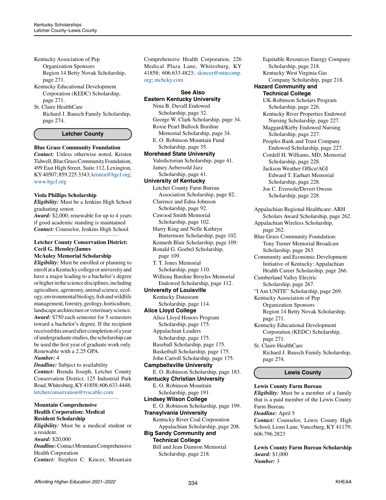Kentucky Association of Pep Organization Sponsors Region 14 Betty Novak Scholarship, page 271. Kentucky Educational Development

Corporation (KEDC) Scholarship, page 271.

St. Claire HealthCare Richard J. Bausch Family Scholarship, page 274.

**Letcher County**

#### **Blue Grass Community Foundation**

*Contact:* Unless otherwise noted, Kristen Tidwell, Blue Grass Community Foundation, 499 East High Street, Suite 112, Lexington, KY 40507; 859.225.3343; [kristen@bgcf.org](mailto:kristen%40bgcf.org?subject=); [www.bgcf.org](http://www.bgcf.org)

#### **Viola Phillips Scholarship**

*Eligibility:* Must be a Jenkins High School graduating senior.

*Award:* \$2,000; renewable for up to 4 years if good academic standing is maintained *Contact:* Counselor, Jenkins High School *\_\_\_\_\_\_\_\_\_\_\_\_\_\_\_\_\_\_\_\_\_\_\_\_\_\_\_\_\_\_\_\_\_\_\_\_\_\_\_\_\_\_\_\_*

#### **Letcher County Conservation District: Cecil G. Hensley/James McAuley Memorial Scholarship**

*Eligibility:* Must be enrolled or planning to enroll at a Kentucky college or university and have a major leading to a bachelor's degree or higher in the science disciplines, including agriculture, agronomy, animal science, ecology, environmental biology, fish and wildlife management, forestry, geology, horticulture, landscape architecture or veterinary science. *Award:* \$750 each semester for 5 semesters toward a bachelor's degree. If the recipient received this award after completion of a year of undergraduate studies, the scholarship can be used the first year of graduate work only. Renewable with a 2.25 GPA.

## *Number:* 4

*Deadline:* Subject to availability *Contact:* Brenda Joseph, Letcher County Conservation District, 125 Industrial Park Road, Whitesburg, KY 41858; 606.633.4448; [letcherconservation@tvscable.com](mailto:letcherconservation%40tvscable.com?subject=)

*\_\_\_\_\_\_\_\_\_\_\_\_\_\_\_\_\_\_\_\_\_\_\_\_\_\_\_\_\_\_\_\_\_\_\_\_\_\_\_\_\_\_\_\_*

#### **Mountain Comprehensive Health Corporation: Medical Resident Scholarship**

*Eligibility:* Must be a medical student or a resident. *Award:* \$20,000 *Deadline:* Contact Mountain Comprehensive

Health Corporation

*Contact:* Stephen C. Kincer, Mountain

Comprehensive Health Corporation, 226 Medical Plaza Lane, Whitesburg, KY 41858; 606.633.4823; [skincer@mtncomp.](mailto:skincer%40mtncomp.org?subject=) [org](mailto:skincer%40mtncomp.org?subject=); [mchcky.com](http://mchcky.com)

**See Also**

# **Eastern Kentucky University** Nina B. Duvall Endowed Scholarship, page 32. George W. Clark Scholarship, page 34. Roxie Pearl Bullock Burdine Memorial Scholarship, page 34. E. O. Robinson Mountain Fund Scholarship, page 35. **Morehead State University** Valedictorian Scholarship, page 41.

Jamey Aebersold Jazz Scholarship, page 41.

# **University of Kentucky**

Letcher County Farm Bureau Association Scholarship, page 82. Clarence and Edna Johnson Scholarship, page 92.

Cawood Smith Memorial Scholarship, page 102.

Harry King and Nelle Kathryn Buttermore Scholarship, page 102. Kenneth Blair Scholarship, page 109. Ronald G. Goebel Scholarship, page 109.

T. T. Jones Memorial Scholarship, page 110. Williena Burdine Broyles Memorial Endowed Scholarship, page 112. **University of Louisville**

Kentucky Dataseam

 Scholarship, page 114. **Alice Lloyd College**

Alice Lloyd Honors Program Scholarship, page 175. Appalachian Leaders

 Scholarship, page 175. Baseball Scholarship, page 175. Basketball Scholarship, page 175. John Carroll Scholarship, page 175.

**Campbellsville University**

E. O. Robinson Scholarship, page 183. **Kentucky Christian University** E. O. Robinson Mountain Scholarship, page 191. **Lindsey Wilson College** E. O. Robinson Scholarship, page 199. **Transylvania University**

Kentucky River Coal Corporation Appalachian Scholarship, page 208.

**Big Sandy Community and Technical College**

Bill and Jean Damron Memorial Scholarship, page 218.

Equitable Resources Energy Company Scholarship, page 218. Kentucky West Virginia Gas Company Scholarship, page 218. **Hazard Community and Technical College** UK-Robinson Scholars Program Scholarship, page 226. Kentucky River Properties Endowed Nursing Scholarship, page 227. Maggard/Kirby Endowed Nursing Scholarship, page 227. Peoples Bank and Trust Company Endowed Scholarship, page 227. Cordell H. Williams, MD, Memorial Scholarship, page 228. Jackson Weather Office/AGI Edward T. Earhart Memorial Scholarship, page 228. Joe C. Eversole/Devert Owens Scholarship, page 228. Appalachian Regional Healthcare: ARH Scholars Award Scholarship, page 262. Appalachian Wireless Scholarship, page 262. Blue Grass Community Foundation: Tony Turner Memorial Broadcast Scholarship, page 263. Community and Economic Development Initiative of Kentucky: Appalachian Health Career Scholarship, page 266. Cumberland Valley Electric Scholarship, page 267. "I Am UNITE" Scholarship, page 269. Kentucky Association of Pep Organization Sponsors Region 14 Betty Novak Scholarship, page 271. Kentucky Educational Development Corporation (KEDC) Scholarship, page 271. St. Claire HealthCare

Richard J. Bausch Family Scholarship, page 274.

# **Lewis County**

# **Lewis County Farm Bureau**

*Eligibility:* Must be a member of a family that is a paid member of the Lewis County Farm Bureau.

## *Deadline:* April 5

*Contact:* Counselor, Lewis County High School, Lions Lane, Vanceburg, KY 41179; 606.796.2823

**Lewis County Farm Bureau Scholarship** *Award:* \$1,000 *Number:* 3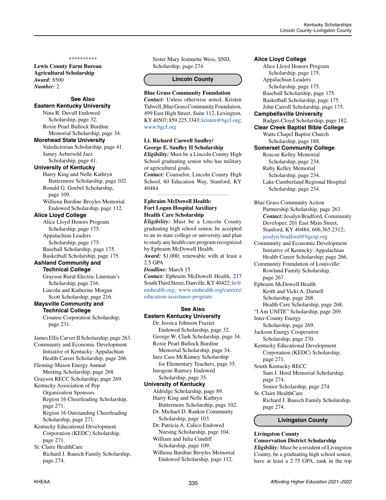#### \*\*\*\*\*\*\*\*\*\*

**Lewis County Farm Bureau Agricultural Scholarship** *Award:* \$500 *Number:* 2

# **See Also Eastern Kentucky University**

Nina B. Duvall Endowed Scholarship, page 32. Roxie Pearl Bullock Burdine Memorial Scholarship, page 34.

#### **Morehead State University**

Valedictorian Scholarship, page 41. Jamey Aebersold Jazz Scholarship, page 41.

#### **University of Kentucky**

Harry King and Nelle Kathryn Buttermore Scholarship, page 102. Ronald G. Goebel Scholarship, page 109.

Williena Burdine Broyles Memorial Endowed Scholarship, page 112.

#### **Alice Lloyd College**

Alice Lloyd Honors Program Scholarship, page 175. Appalachian Leaders Scholarship, page 175. Baseball Scholarship, page 175. Basketball Scholarship, page 175.

#### **Ashland Community and Technical College**

Grayson Rural Electric Lineman's Scholarship, page 216. Lincoln and Katherine Morgan

 Scott Scholarship, page 216. **Maysville Community and** 

# **Technical College**

Crounse Corporation Scholarship, page 231.

James Ellis Carver II Scholarship, page 263. Community and Economic Development Initiative of Kentucky: Appalachian Health Career Scholarship, page 266. Fleming-Mason Energy Annual Meeting Scholarship, page 268. Grayson RECC Scholarship, page 269. Kentucky Association of Pep Organization Sponsors Region 16 Cheerleading Scholarship, page 271. Region 16 Outstanding Cheerleading Scholarship, page 271. Kentucky Educational Development Corporation (KEDC) Scholarship, page 271. St. Claire HealthCare

Richard J. Bausch Family Scholarship, page 274.

Sister Mary Jeannette Wess, SND, Scholarship, page 274.

#### **Lincoln County**

#### **Blue Grass Community Foundation**

*Contact:* Unless otherwise noted, Kristen Tidwell, Blue Grass Community Foundation, 499 East High Street, Suite 112, Lexington, KY 40507; 859.225.3343; [kristen@bgcf.org;](mailto:kristen%40bgcf.org?subject=) [www.bgcf.org](http://www.bgcf.org)

# **Lt. Richard Caswell Saufley/ George E. Saufley II Scholarship**

*Eligibility:* Must be a Lincoln County High School graduating senior who has military or agricultural goals.

*Contact:* Counselor, Lincoln County High School, 60 Education Way, Stanford, KY 40484*\_\_\_\_\_\_\_\_\_\_\_\_\_\_\_\_\_\_\_\_\_\_\_\_\_\_\_\_\_\_\_\_\_\_\_\_\_\_\_\_\_\_\_\_*

# **Ephraim McDowell Health: Fort Logan Hospital Auxiliary Health Care Scholarship**

*Eligibility:* Must be a Lincoln County graduating high school senior, be accepted to an in-state college or university and plan to study any health care program recognized by Ephraim McDowell Health. *Award:* \$1,000; renewable with at least a 2.5 GPA *Deadline:* March 15 *Contact:* Ephraim McDowell Health, 217 South Third Street, Danville, KY 40422; [hr@](mailto:hr%40emhealth.org?subject=) [emhealth.org](mailto:hr%40emhealth.org?subject=); [www.emhealth.org/careers/](http://www.emhealth.org/careers/education-assistance-program) [education-assistance-program](http://www.emhealth.org/careers/education-assistance-program)

# **See Also Eastern Kentucky University**

Dr. Jessica Johnson Frazier Endowed Scholarship, page 32. George W. Clark Scholarship, page 34. Roxie Pearl Bullock Burdine Memorial Scholarship, page 34. Inez Cass McKinney Scholarship for Elementary Teachers, page 35. Imogene Ramsey Endowed Scholarship, page 35. **University of Kentucky**  Aldridge Scholarship, page 89. Harry King and Nelle Kathryn

 Buttermore Scholarship, page 102. Dr. Michael D. Rankin Community

Scholarship, page 103.

Dr. Patricia A. Calico Endowed Nursing Scholarship, page 104.

William and Julia Cundiff Scholarship, page 109.

Williena Burdine Broyles Memorial Endowed Scholarship, page 112.

**Alice Lloyd College** Alice Lloyd Honors Program Scholarship, page 175. Appalachian Leaders Scholarship, page 175. Baseball Scholarship, page 175. Basketball Scholarship, page 175. John Carroll Scholarship, page 175. **Campbellsville University** Badget-Cloyd Scholarship, page 182. **Clear Creek Baptist Bible College** Watts Chapel Baptist Church Scholarship, page 188. **Somerset Community College** Roscoe Kelley Memorial Scholarship, page 234. Ruby Kelley Memorial Scholarship, page 234. Lake Cumberland Regional Hospital Scholarship, page 234. Blue Grass Community Action Partnership Scholarship, page 263. *Contact:* Jesalyn Bradford, Community Developer, 201 East Main Street, Stanford, KY 40484; 606.365.2312; [jesalyn.bradford@bgcap.org](mailto:jesalyn.bradford%40bgcap.org?subject=) Community and Economic Development Initiative of Kentucky: Appalachian Health Career Scholarship, page 266. Community Foundation of Louisville: Rowland Family Scholarship, page 267. Ephraim McDowell Health Keith and Vicki A. Darnell Scholarship, page 268. Health Care Scholarship, page 268. "I Am UNITE" Scholarship, page 269. Inter-County Energy Scholarship, page 269. Jackson Energy Cooperative Scholarship, page 270. Kentucky Educational Development Corporation (KEDC) Scholarship,

page 271.

South Kentucky RECC Sam J. Hord Memorial Scholarship,

page 274.

Senior Scholarship, page 274. St. Claire HealthCare Richard J. Bausch Family Scholarship, page 274.

**Livingston County**

# **Livingston County Conservation District Scholarship**

*Eligibility:* Must be a resident of Livingston County, be a graduating high school senior, have at least a 2.75 GPA, rank in the top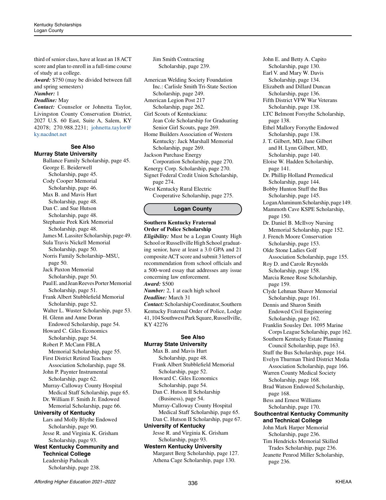third of senior class, have at least an 18 ACT score and plan to enroll in a full-time course of study at a college.

*Award:* \$750 (may be divided between fall and spring semesters)

# *Number:* 1

*Deadline:* May

*Contact:* Counselor or Johnetta Taylor, Livingston County Conservation District, 2027 U.S. 60 East, Suite A, Salem, KY 42078; 270.988.2231; [johnetta.taylor@](mailto:johnetta.taylor%40ky.nacdnet.net?subject=) [ky.nacdnet.net](mailto:johnetta.taylor%40ky.nacdnet.net?subject=)

#### **See Also Murray State University**

Ballance Family Scholarship, page 45. George E. Beiderwell Scholarship, page 45. Cody Cooper Memorial Scholarship, page 46. Max B. and Mavis Hurt Scholarship, page 48. Dan C. and Sue Hutson Scholarship, page 48. Stephanie Peek Kirk Memorial Scholarship, page 48. James M. Lassiter Scholarship, page 49. Sula Travis Nickell Memorial Scholarship, page 50. Norris Family Scholarship–MSU, page 50. Jack Paxton Memorial Scholarship, page 50. Paul E. and Jean Reeves Porter Memorial Scholarship, page 51. Frank Albert Stubblefield Memorial Scholarship, page 52. Walter L. Wuster Scholarship, page 53. H. Glenn and Anne Doran Endowed Scholarship, page 54. Howard C. Giles Economics Scholarship, page 54. Robert P. McCann FBLA Memorial Scholarship, page 55. First District Retired Teachers Association Scholarship, page 58. John P. Paynter Instrumental Scholarship, page 62. Murray-Calloway County Hospital Medical Staff Scholarship, page 65. Dr. William F. Smith Jr. Endowed Memorial Scholarship, page 66. **University of Kentucky** Lars and Molly Blythe Endowed Scholarship, page 90. Jesse R. and Virginia K. Grisham Scholarship, page 93. **West Kentucky Community and Technical College** Leadership Paducah Scholarship, page 238.

Jim Smith Contracting Scholarship, page 239.

American Welding Society Foundation Inc.: Carlisle Smith Tri-State Section Scholarship, page 249. American Legion Post 217 Scholarship, page 262. Girl Scouts of Kentuckiana: Jean Cole Scholarship for Graduating Senior Girl Scouts, page 269. Home Builders Association of Western Kentucky: Jack Marshall Memorial Scholarship, page 269. Jackson Purchase Energy Corporation Scholarship, page 270. Kenergy Corp. Scholarship, page 270. Signet Federal Credit Union Scholarship, page 274. West Kentucky Rural Electric Cooperative Scholarship, page 275.

# **Logan County**

# **Southern Kentucky Fraternal Order of Police Scholarship**

*Eligibility:* Must be a Logan County High School or Russellville High School graduating senior, have at least a 3.0 GPA and 21 composite ACT score and submit 3 letters of recommendation from school officials and a 500-word essay that addresses any issue concerning law enforcement. *Award:* \$500 *Number:* 2, 1 at each high school *Deadline:* March 31 *Contact:* Scholarship Coordinator, Southern Kentucky Fraternal Order of Police, Lodge 41, 104 Southwest Park Square, Russellville, KY 42276

#### **See Also Murray State University**

Max B. and Mavis Hurt Scholarship, page 48. Frank Albert Stubblefield Memorial Scholarship, page 52. Howard C. Giles Economics Scholarship, page 54. Dan C. Hutson II Scholarship (Business), page 54. Murray-Calloway County Hospital Medical Staff Scholarship, page 65. Dan C. Hutson II Scholarship, page 67. **University of Kentucky** Jesse R. and Virginia K. Grisham Scholarship, page 93. **Western Kentucky University**

Margaret Berg Scholarship, page 127. Athena Cage Scholarship, page 130.

John E. and Betty A. Capito Scholarship, page 130. Earl V. and Mary W. Davis Scholarship, page 134. Elizabeth and Dillard Duncan Scholarship, page 136. Fifth District VFW War Veterans Scholarship, page 138. LTC Belmont Forsythe Scholarship, page 138. Ethel Mallory Forsythe Endowed Scholarship, page 138. J. T. Gilbert, MD, Jane Gilbert and H. Lynn Gilbert, MD, Scholarship, page 140. Eloise W. Hadden Scholarship, page 141. Dr. Phillip Holland Premedical Scholarship, page 144. Bobby Hunton Stuff the Bus Scholarship, page 145. Logan Aluminum Scholarship, page 149. Mammoth Cave KSPE Scholarship, page 150. Dr. Daniel B. McIlvoy Nursing Memorial Scholarship, page 152. J. French Moore Conservation Scholarship, page 153. Olde Stone Ladies Golf Association Scholarship, page 155. Roy D. and Carole Reynolds Scholarship, page 158. Marcia Renee Rose Scholarship, page 159. Clyde Lehman Shaver Memorial Scholarship, page 161. Dennis and Sharon Smith Endowed Civil Engineering Scholarship, page 162. Franklin Sousley Det. 1095 Marine Corps League Scholarship, page 162. Southern Kentucky Estate Planning Council Scholarship, page 163. Stuff the Bus Scholarship, page 164. Evelyn Thurman Third District Media Association Scholarship, page 166. Warren County Medical Society Scholarship, page 168. Brad Watson Endowed Scholarship, page 168. Bess and Ernest Williams Scholarship, page 170. **Southcentral Kentucky Community and Technical College** John Mark Harper Memorial Scholarship, page 236. Tim Hendricks Memorial Skilled Trades Scholarship, page 236. Jeanette Penrod Miller Scholarship, page 236.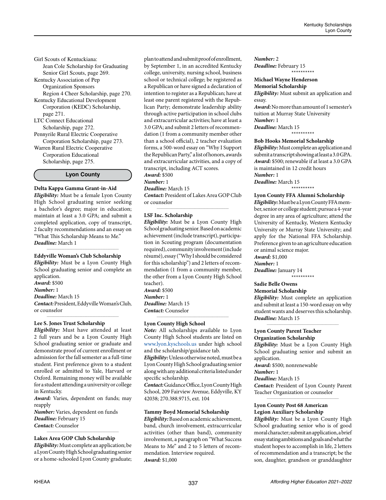*Deadline:* March 1

*Eligibility:* Must be a Lyon County High School graduating senior and complete an application. *Award:* \$500 *Number:* 1 *Deadline:* March 15 *Contact:* President, Eddyville Woman's Club, or counselor *\_\_\_\_\_\_\_\_\_\_\_\_\_\_\_\_\_\_\_\_\_\_\_\_\_\_\_\_\_\_\_\_\_\_\_\_\_\_\_\_\_\_\_\_*

#### **Lee S. Jones Trust Scholarship**

Girl Scouts of Kentuckiana:

page 271. LTC Connect Educational Scholarship, page 272. Pennyrile Rural Electric Cooperative Corporation Scholarship, page 273. Warren Rural Electric Cooperative Corporation Educational Scholarship, page 275.

Jean Cole Scholarship for Graduating Senior Girl Scouts, page 269. Kentucky Association of Pep Organization Sponsors

Region 4 Cheer Scholarship, page 270.

**Lyon County**

**Delta Kappa Gamma Grant-in-Aid** *Eligibility:* Must be a female Lyon County High School graduating senior seeking a bachelor's degree; major in education; maintain at least a 3.0 GPA; and submit a completed application, copy of transcript, 2 faculty recommendations and an essay on "What This Scholarship Means to Me."

Kentucky Educational Development Corporation (KEDC) Scholarship,

*Eligibility:* Must have attended at least 2 full years and be a Lyon County High School graduating senior or graduate and demonstrate proof of current enrollment or admission for the fall semester as a full-time student. First preference given to a student enrolled or admitted to Yale, Harvard or Oxford. Remaining money will be available for a student attending a university or college in Kentucky.

*Award:* Varies, dependent on funds; may reapply

*Number:* Varies, dependent on funds *Deadline:* February 15 *Contact:* Counselor

#### **Lakes Area GOP Club Scholarship**

*Eligibility:* Must complete an application; be a Lyon County High School graduating senior or a home-schooled Lyon County graduate;

*\_\_\_\_\_\_\_\_\_\_\_\_\_\_\_\_\_\_\_\_\_\_\_\_\_\_\_\_\_\_\_\_\_\_\_\_\_\_\_\_\_\_\_\_*

plan to attend and submit proof of enrollment, by September 1, in an accredited Kentucky college, university, nursing school, business school or technical college; be registered as a Republican or have signed a declaration of intention to register as a Republican; have at least one parent registered with the Republican Party; demonstrate leadership ability through active participation in school clubs and extracurricular activities; have at least a 3.0 GPA; and submit 2 letters of recommendation (1 from a community member other than a school official), 2 teacher evaluation forms, a 500-word essay on "Why I Support the Republican Party," a list of honors, awards and extracurricular activities, and a copy of transcript, including ACT scores.

#### *Award:* \$500 *Number:* 1

*Deadline:* March 15

*Contact:* President of Lakes Area GOP Club or counselor *\_\_\_\_\_\_\_\_\_\_\_\_\_\_\_\_\_\_\_\_\_\_\_\_\_\_\_\_\_\_\_\_\_\_\_\_\_\_\_\_\_\_\_\_*

#### **LSF Inc. Scholarship**

*Eligibility:* Must be a Lyon County High School graduating senior. Based on academic achievement (include transcript), participation in Scouting program (documentation required), community involvement (include résumé), essay ("Why I should be considered for this scholarship") and 2 letters of recommendation (1 from a community member, the other from a Lyon County High School teacher).

*Award:* \$500 *Number:* 1 *Deadline:* March 15 *Contact:* Counselor

#### **Lyon County High School**

*Note:* All scholarships available to Lyon County High School students are listed on [www.lyon.kyschools.us](http://www.lyon.kyschools.us) under high school and the scholarship/guidance tab.

*\_\_\_\_\_\_\_\_\_\_\_\_\_\_\_\_\_\_\_\_\_\_\_\_\_\_\_\_\_\_\_\_\_\_\_\_\_\_\_\_\_\_\_\_*

*Eligibility:* Unless otherwise noted, must be a Lyon County High School graduating senior along with any additional criteria listed under specific scholarship.

*Contact:* Guidance Office, Lyon County High School, 209 Fairview Avenue, Eddyville, KY 42038; 270.388.9715, ext. 104

#### **Tammy Boyd Memorial Scholarship**

*Eligibility:* Based on academic achievement, band, church involvement, extracurricular activities (other than band), community involvement, a paragraph on "What Success Means to Me" and 2 to 5 letters of recommendation. Interview required. *Award:* \$1,000

*Number:* 2 *Deadline:* February 15

#### **Michael Wayne Henderson Memorial Scholarship**

*Eligibility:* Must submit an application and essay.

\*\*\*\*\*\*\*\*\*\*

*Award:* No more than amount of 1 semester's tuition at Murray State University *Number:* 1 *Deadline:* March 15

\*\*\*\*\*\*\*\*\*\*

## **Bob Hooks Memorial Scholarship**

*Eligibility:* Must complete an application and submit a transcript showing at least a 3.0 GPA. *Award:* \$500; renewable if at least a 3.0 GPA is maintained in 12 credit hours *Number:* 1 *Deadline:* March 15

\*\*\*\*\*\*\*\*\*\*

#### **Lyon County FFA Alumni Scholarship**

*Eligibility:* Must be a Lyon County FFA member, senior or college student; pursue a 4-year degree in any area of agriculture; attend the University of Kentucky, Western Kentucky University or Murray State University; and apply for the National FFA Scholarship. Preference given to an agriculture education or animal science major. *Award:* \$1,000

*Number:* 1

*Deadline:* January 14 \*\*\*\*\*\*\*\*\*\*

#### **Sadie Belle Owens Memorial Scholarship**

*Eligibility:* Must complete an application and submit at least a 150-word essay on why student wants and deserves this scholarship. *Deadline:* March 15

*\_\_\_\_\_\_\_\_\_\_\_\_\_\_\_\_\_\_\_\_\_\_\_\_\_\_\_\_\_\_\_\_\_\_\_\_\_\_\_\_\_\_\_\_*

#### **Lyon County Parent Teacher Organization Scholarship**

*Eligibility:* Must be a Lyon County High School graduating senior and submit an application.

*Award:* \$500; nonrenewable

*Number:* 1

*Deadline:* March 15

*Contact:* President of Lyon County Parent Teacher Organization or counselor *\_\_\_\_\_\_\_\_\_\_\_\_\_\_\_\_\_\_\_\_\_\_\_\_\_\_\_\_\_\_\_\_\_\_\_\_\_\_\_\_\_\_\_\_*

## **Lyon County Post 68 American Legion Auxiliary Scholarship**

*Eligibility:* Must be a Lyon County High School graduating senior who is of good moral character; submit an application, a brief essay stating ambitions and goals and what the student hopes to accomplish in life, 2 letters of recommendation and a transcript; be the son, daughter, grandson or granddaughter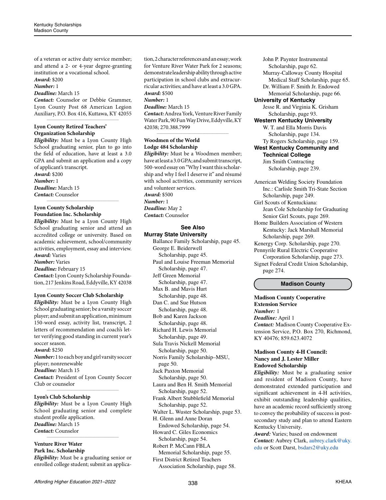of a veteran or active duty service member; and attend a 2- or 4-year degree-granting institution or a vocational school. *Award:* \$200

*Number:* 1

#### *Deadline:* March 15

*Contact:* Counselor or Debbie Grammer, Lyon County Post 68 American Legion Auxiliary, P.O. Box 416, Kuttawa, KY 42055 *\_\_\_\_\_\_\_\_\_\_\_\_\_\_\_\_\_\_\_\_\_\_\_\_\_\_\_\_\_\_\_\_\_\_\_\_\_\_\_\_\_\_\_\_*

# **Lyon County Retired Teachers' Organization Scholarship**

*Eligibility:* Must be a Lyon County High School graduating senior, plan to go into the field of education, have at least a 3.0 GPA and submit an application and a copy of applicant's transcript. *Award:* \$200

# *Number:* 1 *Deadline:* March 15

*Contact:* Counselor *\_\_\_\_\_\_\_\_\_\_\_\_\_\_\_\_\_\_\_\_\_\_\_\_\_\_\_\_\_\_\_\_\_\_\_\_\_\_\_\_\_\_\_\_*

# **Lyon County Scholarship Foundation Inc. Scholarship**

*Eligibility:* Must be a Lyon County High School graduating senior and attend an accredited college or university. Based on academic achievement, school/community activities, employment, essay and interview. *Award:* Varies

*Number:* Varies

*Deadline:* February 15

*Contact:* Lyon County Scholarship Foundation, 217 Jenkins Road, Eddyville, KY 42038 *\_\_\_\_\_\_\_\_\_\_\_\_\_\_\_\_\_\_\_\_\_\_\_\_\_\_\_\_\_\_\_\_\_\_\_\_\_\_\_\_\_\_\_\_*

# **Lyon County Soccer Club Scholarship**

*Eligibility:* Must be a Lyon County High School graduating senior; be a varsity soccer player; and submit an application, minimum 150-word essay, activity list, transcript, 2 letters of recommendation and coach's letter verifying good standing in current year's soccer season.

# *Award:* \$250

*Number:* 1 to each boy and girl varsity soccer player; nonrenewable *Deadline:* March 15 *Contact:* President of Lyon County Soccer Club or counselor

*\_\_\_\_\_\_\_\_\_\_\_\_\_\_\_\_\_\_\_\_\_\_\_\_\_\_\_\_\_\_\_\_\_\_\_\_\_\_\_\_\_\_\_\_*

# **Lyon's Club Scholarship**

*Eligibility:* Must be a Lyon County High School graduating senior and complete student profile application. *Deadline:* March 15 *Contact:* Counselor *\_\_\_\_\_\_\_\_\_\_\_\_\_\_\_\_\_\_\_\_\_\_\_\_\_\_\_\_\_\_\_\_\_\_\_\_\_\_\_\_\_\_\_\_*

#### **Venture River Water Park Inc. Scholarship**

*Eligibility:* Must be a graduating senior or enrolled college student; submit an application, 2 character references and an essay; work for Venture River Water Park for 2 seasons; demonstrate leadership ability through active participation in school clubs and extracurricular activities; and have at least a 3.0 GPA. *Award:* \$500

# *Number:* 1

*Deadline:* March 15

*Contact:* Andrea York, Venture River Family Water Park, 90 Fun Way Drive, Eddyville, KY 42038; 270.388.7999 *\_\_\_\_\_\_\_\_\_\_\_\_\_\_\_\_\_\_\_\_\_\_\_\_\_\_\_\_\_\_\_\_\_\_\_\_\_\_\_\_\_\_\_\_*

# **Woodmen of the World Lodge 484 Scholarship**

*Eligibility:* Must be a Woodmen member; have at least a 3.0 GPA; and submit transcript, 500-word essay on "Why I want this scholarship and why I feel I deserve it" and résumé with school activities, community services and volunteer services. *Award:* \$500 *Number:* 1 *Deadline:* May 2 *Contact:* Counselor

## **See Also Murray State University**

Ballance Family Scholarship, page 45. George E. Beiderwell Scholarship, page 45. Paul and Louise Freeman Memorial Scholarship, page 47. Jeff Green Memorial Scholarship, page 47. Max B. and Mavis Hurt Scholarship, page 48. Dan C. and Sue Hutson Scholarship, page 48. Bob and Karen Jackson Scholarship, page 48. Richard H. Lewis Memorial Scholarship, page 49. Sula Travis Nickell Memorial Scholarship, page 50. Norris Family Scholarship–MSU, page 50. Jack Paxton Memorial Scholarship, page 50. Laura and Ben H. Smith Memorial Scholarship, page 52. Frank Albert Stubblefield Memorial Scholarship, page 52. Walter L. Wuster Scholarship, page 53. H. Glenn and Anne Doran Endowed Scholarship, page 54. Howard C. Giles Economics Scholarship, page 54.

Robert P. McCann FBLA Memorial Scholarship, page 55. First District Retired Teachers Association Scholarship, page 58.

John P. Paynter Instrumental Scholarship, page 62. Murray-Calloway County Hospital Medical Staff Scholarship, page 65. Dr. William F. Smith Jr. Endowed Memorial Scholarship, page 66. **University of Kentucky**  Jesse R. and Virginia K. Grisham Scholarship, page 93. **Western Kentucky University** W. T. and Ella Morris Davis Scholarship, page 134. Ty Rogers Scholarship, page 159. **West Kentucky Community and Technical College** Jim Smith Contracting

Scholarship, page 239.

American Welding Society Foundation Inc.: Carlisle Smith Tri-State Section Scholarship, page 249. Girl Scouts of Kentuckiana: Jean Cole Scholarship for Graduating Senior Girl Scouts, page 269. Home Builders Association of Western Kentucky: Jack Marshall Memorial Scholarship, page 269. Kenergy Corp. Scholarship, page 270. Pennyrile Rural Electric Cooperative Corporation Scholarship, page 273. Signet Federal Credit Union Scholarship, page 274.

# **Madison County**

**Madison County Cooperative Extension Service** *Number:* 1 *Deadline:* April 1 *Contact:* Madison County Cooperative Extension Service, P.O. Box 270, Richmond, KY 40476; 859.623.4072

## **Madison County 4-H Council: Nancy and J. Lester Miller Endowed Scholarship**

*Eligibility:* Must be a graduating senior and resident of Madison County, have demonstrated extended participation and significant achievement in 4-H activities, exhibit outstanding leadership qualities, have an academic record sufficiently strong to convey the probability of success in postsecondary study and plan to attend Eastern Kentucky University.

*Award:* Varies; based on endowment *Contact:* Aubrey Clark, [aubrey.clark@uky.](mailto:aubrey.clark%40uky.edu?subject=) [edu](mailto:aubrey.clark%40uky.edu?subject=) or Scott Darst, [bsdars2@uky.edu](mailto:bsdars2%40uky.edu?subject=)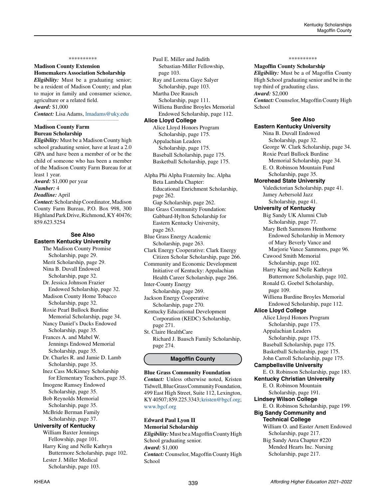#### \*\*\*\*\*\*\*\*\*\*

# **Madison County Extension Homemakers Association Scholarship**

*Eligibility:* Must be a graduating senior; be a resident of Madison County; and plan to major in family and consumer science, agriculture or a related field. *Award:* \$1,000

*Contact:* Lisa Adams, lmadam[s@uky.edu](mailto:lmadams%40uky.edu?subject=) *\_\_\_\_\_\_\_\_\_\_\_\_\_\_\_\_\_\_\_\_\_\_\_\_\_\_\_\_\_\_\_\_\_\_\_\_\_\_\_\_\_\_\_\_*

### **Madison County Farm Bureau Scholarship**

*Eligibility:* Must be a Madison County high school graduating senior, have at least a 2.0 GPA and have been a member of or be the child of someone who has been a member of the Madison County Farm Bureau for at least 1 year.

*Award:* \$1,000 per year

# *Number:* 4

*Deadline:* April

*Contact:* Scholarship Coordinator, Madison County Farm Bureau, P.O. Box 998, 300 Highland Park Drive, Richmond, KY 40476; 859.623.5254

# **See Also Eastern Kentucky University**

The Madison County Promise Scholarship, page 29. Merit Scholarship, page 29. Nina B. Duvall Endowed Scholarship, page 32. Dr. Jessica Johnson Frazier Endowed Scholarship, page 32. Madison County Home Tobacco Scholarship, page 32. Roxie Pearl Bullock Burdine Memorial Scholarship, page 34. Nancy Daniel's Ducks Endowed Scholarship, page 35. Frances A. and Mabel W. Jennings Endowed Memorial Scholarship, page 35. Dr. Charles R. and Jamie D. Lamb Scholarship, page 35. Inez Cass McKinney Scholarship for Elementary Teachers, page 35. Imogene Ramsey Endowed Scholarship, page 35. Bob Reynolds Memorial Scholarship, page 35. McBride Berman Family Scholarship, page 37. **University of Kentucky** William Baxter Jennings Fellowship, page 101. Harry King and Nelle Kathryn Buttermore Scholarship, page 102. Lester J. Miller Medical Scholarship, page 103.

Paul E. Miller and Judith Sebastian-Miller Fellowship, page 103. Ray and Lorena Gaye Salyer Scholarship, page 103. Martha Dee Rausch Scholarship, page 111. Williena Burdine Broyles Memorial Endowed Scholarship, page 112. **Alice Lloyd College** Alice Lloyd Honors Program Scholarship, page 175. Appalachian Leaders Scholarship, page 175. Baseball Scholarship, page 175. Basketball Scholarship, page 175.

Alpha Phi Alpha Fraternity Inc. Alpha Beta Lambda Chapter: Educational Enrichment Scholarship, page 262. Gap Scholarship, page 262. Blue Grass Community Foundation:

Gabbard-Hylton Scholarship for Eastern Kentucky University, page 263.

Blue Grass Energy Academic Scholarship, page 263.

Clark Energy Cooperative: Clark Energy Citizen Scholar Scholarship, page 266.

Community and Economic Development Initiative of Kentucky: Appalachian Health Career Scholarship, page 266.

Inter-County Energy Scholarship, page 269. Jackson Energy Cooperative

Scholarship, page 270. Kentucky Educational Development Corporation (KEDC) Scholarship, page 271.

St. Claire HealthCare Richard J. Bausch Family Scholarship, page 274.

# **Magoffin County**

**Blue Grass Community Foundation** *Contact:* Unless otherwise noted, Kristen Tidwell, Blue Grass Community Foundation, 499 East High Street, Suite 112, Lexington, KY 40507; 859.225.3343; [kristen@bgcf.org;](mailto:kristen%40bgcf.org?subject=) [www.bgcf.org](http://www.bgcf.org)

**Edward Paul Lyon II Memorial Scholarship** *Eligibility:* Must be a Magoffin County High School graduating senior. *Award:* \$1,000 *Contact:* Counselor, Magoffin County High School

#### \*\*\*\*\*\*\*\*\*\*

**Magoffin County Scholarshi***p*

*Eligibility:* Must be a of Magoffin County High School graduating senior and be in the top third of graduating class. *Award:* \$2,000 *Contact:* Counselor, Magoffin County High School

#### **See Also**

**Eastern Kentucky University** Nina B. Duvall Endowed Scholarship, page 32. George W. Clark Scholarship, page 34. Roxie Pearl Bullock Burdine Memorial Scholarship, page 34. E. O. Robinson Mountain Fund Scholarship, page 35. **Morehead State University** Valedictorian Scholarship, page 41. Jamey Aebersold Jazz Scholarship, page 41. **University of Kentucky** Big Sandy UK Alumni Club Scholarship, page 77. Mary Beth Sammons Henthorne Endowed Scholarship in Memory of Mary Beverly Vance and Marjorie Vance Sammons, page 96. Cawood Smith Memorial Scholarship, page 102. Harry King and Nelle Kathryn Buttermore Scholarship, page 102. Ronald G. Goebel Scholarship, page 109. Williena Burdine Broyles Memorial Endowed Scholarship, page 112. **Alice Lloyd College** Alice Lloyd Honors Program Scholarship, page 175. Appalachian Leaders Scholarship, page 175. Baseball Scholarship, page 175. Basketball Scholarship, page 175. John Carroll Scholarship, page 175. **Campbellsville University** E. O. Robinson Scholarship, page 183. **Kentucky Christian University** E. O. Robinson Mountain Scholarship, page 191. **Lindsey Wilson College** E. O. Robinson Scholarship, page 199. **Big Sandy Community and Technical College** William O. and Easter Arnett Endowed Scholarship, page 217. Big Sandy Area Chapter #220 Mended Hearts Inc. Nursing Scholarship, page 217.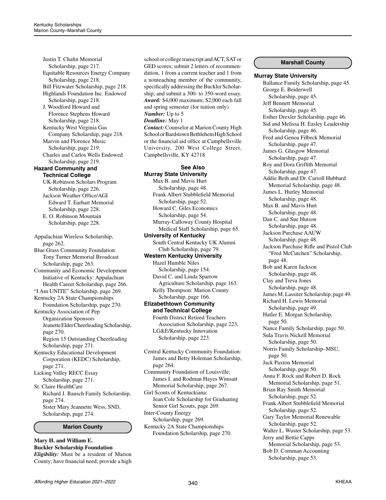Justin T. Chafin Memorial Scholarship, page 217. Equitable Resources Energy Company Scholarship, page 218. Bill Fitzwater Scholarship, page 218. Highlands Foundation Inc. Endowed Scholarship, page 218. J. Woodford Howard and Florence Stephens Howard Scholarship, page 218. Kentucky West Virginia Gas Company Scholarship, page 218. Marvin and Florence Music Scholarship, page 219. Charles and Carlos Wells Endowed Scholarship, page 219. **Hazard Community and Technical College** UK-Robinson Scholars Program Scholarship, page 226. Jackson Weather Office/AGI Edward T. Earhart Memorial Scholarship, page 228. E. O. Robinson Mountain Scholarship, page 228. Appalachian Wireless Scholarship, page 262. Blue Grass Community Foundation: Tony Turner Memorial Broadcast Scholarship, page 263. Community and Economic Development Initiative of Kentucky: Appalachian Health Career Scholarship, page 266. "I Am UNITE" Scholarship, page 269. Kentucky 2A State Championships Foundation Scholarship, page 270. Kentucky Association of Pep Organization Sponsors Jeanette Elder Cheerleading Scholarship, page 270. Region 15 Outstanding Cheerleading Scholarship, page 271. Kentucky Educational Development Corporation (KEDC) Scholarship, page 271. Licking Valley RECC Essay Scholarship, page 271. St. Claire HealthCare Richard J. Bausch Family Scholarship, page 274. Sister Mary Jeannette Wess, SND, Scholarship, page 274.

**Marion County**

## **Mary H. and William E. Buckler Scholarship Foundation** *Eligibility:* Must be a resident of Marion County; have financial need; provide a high

school or college transcript and ACT, SAT or GED scores; submit 2 letters of recommendation, 1 from a current teacher and 1 from a nonteaching member of the community, specifically addressing the Buckler Scholarship; and submit a 300- to 350-word essay. *Award:* \$4,000 maximum; \$2,000 each fall and spring semester (for tuition only) *Number:* Up to 5 *Deadline:* May 1 *Contact:* Counselor at Marion County High School or Bardstown Bethlehem High School

or the financial aid office at Campbellsville University, 200 West College Street, Campbellsville, KY 42718

# **See Also Murray State University**

Max B. and Mavis Hurt Scholarship, page 48. Frank Albert Stubblefield Memorial Scholarship, page 52. Howard C. Giles Economics Scholarship, page 54. Murray-Calloway County Hospital Medical Staff Scholarship, page 65. **University of Kentucky** South Central Kentucky UK Alumni Club Scholarship, page 79. **Western Kentucky University** Hazel Humble Niles Scholarship, page 154. David C. and Linda Sparrow Agriculture Scholarship, page 163. Kelly Thompson: Marion County Scholarship, page 166. **Elizabethtown Community and Technical College** Fourth District Retired Teachers Association Scholarship, page 223. LG&E/Kentucky Innovation Scholarship, page 223.

Central Kentucky Community Foundation: James and Betty Holeman Scholarship, page 264. Community Foundation of Louisville: James I. and Rodman Hayes Wimsatt Memorial Scholarship, page 267. Girl Scouts of Kentuckiana: Jean Cole Scholarship for Graduating Senior Girl Scouts, page 269. Inter-County Energy Scholarship, page 269. Kentucky 2A State Championships

Foundation Scholarship, page 270.

# **Marshall County**

#### **Murray State University**

Ballance Family Scholarship, page 45. George E. Beiderwell Scholarship, page 45. Jeff Bennett Memorial Scholarship, page 45. Esther Drexler Scholarship, page 46. Sid and Melissa H. Easley Leadership Scholarship, page 46. Fred and Genoa Filbeck Memorial Scholarship, page 47. James G. Glasgow Memorial Scholarship, page 47. Roy and Dora Griffith Memorial Scholarship, page 47. Addie Beth and Dr. Carroll Hubbard Memorial Scholarship, page 48. James L. Hurley Memorial Scholarship, page 48. Max B. and Mavis Hurt Scholarship, page 48. Dan C. and Sue Hutson Scholarship, page 48. Jackson Purchase AAUW Scholarship, page 48. Jackson Purchase Rifle and Pistol Club "Fred McCutchen" Scholarship, page 48. Bob and Karen Jackson Scholarship, page 48. Clay and Treva Jones Scholarship, page 48. James M. Lassiter Scholarship, page 49. Richard H. Lewis Memorial Scholarship, page 49. Hatler E. Morgan Scholarship, page 50. Nance Family Scholarship, page 50. Sula Travis Nickell Memorial Scholarship, page 50. Norris Family Scholarship–MSU, page 50. Jack Paxton Memorial Scholarship, page 50. Anna F. Rock and Robert D. Rock Memorial Scholarship, page 51. Brian Ray Smith Memorial Scholarship, page 52. Frank Albert Stubblefield Memorial Scholarship, page 52. Gary Taylor Memorial Renewable Scholarship, page 52. Walter L. Wuster Scholarship, page 53. Jerry and Bettie Capps Memorial Scholarship, page 53. Bob D. Cornman Accounting Scholarship, page 53.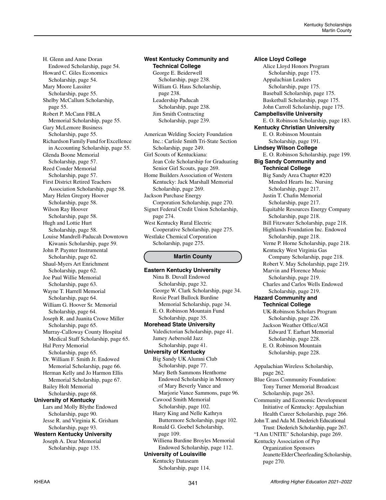H. Glenn and Anne Doran Endowed Scholarship, page 54. Howard C. Giles Economics Scholarship, page 54. Mary Moore Lassiter Scholarship, page 55. Shelby McCallum Scholarship, page 55. Robert P. McCann FBLA Memorial Scholarship, page 55. Gary McLemore Business Scholarship, page 55. Richardson Family Fund for Excellence in Accounting Scholarship, page 55. Glenda Boone Memorial Scholarship, page 57. Reed Conder Memorial Scholarship, page 57. First District Retired Teachers Association Scholarship, page 58. Mary Helen Gregory Hoover Scholarship, page 58. Wilson Ray Hoover Scholarship, page 58. Hugh and Lottie Hurt Scholarship, page 58. Louise Mandrell-Paducah Downtown Kiwanis Scholarship, page 59. John P. Paynter Instrumental Scholarship, page 62. Shaul-Myers Art Enrichment Scholarship, page 62. Joe Paul Willie Memorial Scholarship, page 63. Wayne T. Harrell Memorial Scholarship, page 64. William G. Hoover Sr. Memorial Scholarship, page 64. Joseph R. and Juanita Crowe Miller Scholarship, page 65. Murray-Calloway County Hospital Medical Staff Scholarship, page 65. Hal Perry Memorial Scholarship, page 65. Dr. William F. Smith Jr. Endowed Memorial Scholarship, page 66. Herman Kelly and Jo Harmon Ellis Memorial Scholarship, page 67. Bailey Holt Memorial Scholarship, page 68. **University of Kentucky** Lars and Molly Blythe Endowed Scholarship, page 90. Jesse R. and Virginia K. Grisham Scholarship, page 93. **Western Kentucky University** Joseph A. Dear Memorial

Scholarship, page 135.

## **West Kentucky Community and Technical College** George E. Beiderwell Scholarship, page 238. William G. Haus Scholarship, page 238. Leadership Paducah Scholarship, page 238. Jim Smith Contracting

Scholarship, page 239.

American Welding Society Foundation Inc.: Carlisle Smith Tri-State Section Scholarship, page 249. Girl Scouts of Kentuckiana: Jean Cole Scholarship for Graduating Senior Girl Scouts, page 269. Home Builders Association of Western Kentucky: Jack Marshall Memorial Scholarship, page 269. Jackson Purchase Energy Corporation Scholarship, page 270. Signet Federal Credit Union Scholarship, page 274. West Kentucky Rural Electric Cooperative Scholarship, page 275. Westlake Chemical Corporation Scholarship, page 275.

# **Martin County**

**Eastern Kentucky University** Nina B. Duvall Endowed Scholarship, page 32. George W. Clark Scholarship, page 34. Roxie Pearl Bullock Burdine Memorial Scholarship, page 34. E. O. Robinson Mountain Fund Scholarship, page 35. **Morehead State University** Valedictorian Scholarship, page 41. Jamey Aebersold Jazz Scholarship, page 41. **University of Kentucky** Big Sandy UK Alumni Club Scholarship, page 77. Mary Beth Sammons Henthorne Endowed Scholarship in Memory of Mary Beverly Vance and Marjorie Vance Sammons, page 96. Cawood Smith Memorial Scholarship, page 102. Harry King and Nelle Kathryn Buttermore Scholarship, page 102. Ronald G. Goebel Scholarship, page 109. Williena Burdine Broyles Memorial Endowed Scholarship, page 112. **University of Louisville** Kentucky Dataseam Scholarship, page 114.

**Alice Lloyd College** Alice Lloyd Honors Program Scholarship, page 175. Appalachian Leaders Scholarship, page 175. Baseball Scholarship, page 175. Basketball Scholarship, page 175. John Carroll Scholarship, page 175. **Campbellsville University** E. O. Robinson Scholarship, page 183. **Kentucky Christian University** E. O. Robinson Mountain Scholarship, page 191. **Lindsey Wilson College** E. O. Robinson Scholarship, page 199. **Big Sandy Community and Technical College** Big Sandy Area Chapter #220 Mended Hearts Inc. Nursing Scholarship, page 217. Justin T. Chafin Memorial Scholarship, page 217. Equitable Resources Energy Company Scholarship, page 218. Bill Fitzwater Scholarship, page 218. Highlands Foundation Inc. Endowed Scholarship, page 218. Verne P. Horne Scholarship, page 218. Kentucky West Virginia Gas Company Scholarship, page 218. Robert V. May Scholarship, page 219. Marvin and Florence Music Scholarship, page 219. Charles and Carlos Wells Endowed Scholarship, page 219. **Hazard Community and Technical College** UK-Robinson Scholars Program Scholarship, page 226. Jackson Weather Office/AGI Edward T. Earhart Memorial Scholarship, page 228. E. O. Robinson Mountain Scholarship, page 228. Appalachian Wireless Scholarship, page 262. Blue Grass Community Foundation: Tony Turner Memorial Broadcast Scholarship, page 263. Community and Economic Development Initiative of Kentucky: Appalachian Health Career Scholarship, page 266. John T. and Ada M. Diederich Educational Trust: Diederich Scholarship, page 267. "I Am UNITE" Scholarship, page 269. Kentucky Association of Pep Organization Sponsors Jeanette Elder Cheerleading Scholarship, page 270.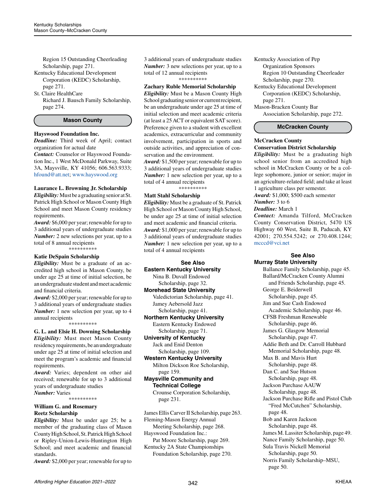Region 15 Outstanding Cheerleading Scholarship, page 271.

Kentucky Educational Development Corporation (KEDC) Scholarship, page 271.

St. Claire HealthCare

Richard J. Bausch Family Scholarship, page 274.

#### **Mason County**

#### **Hayswood Foundation Inc.**

*Deadline:* Third week of April; contact organization for actual date *Contact:* Counselor or Hayswood Foundation Inc., 1 West McDonald Parkway, Suite 3A, Maysville, KY 41056; 606.563.9333; [hfound@att.net](mailto:hfound%40att.net?subject=); [www.hayswood.org](http://www.hayswood.org)

#### **Laurance L. Browning Jr. Scholarship**

*Eligibility:* Must be a graduating senior at St. Patrick High School or Mason County High School and meet Mason County residency requirements.

*Award:* \$6,000 per year; renewable for up to 3 additional years of undergraduate studies *Number:* 2 new selections per year, up to a total of 8 annual recipients \*\*\*\*\*\*\*\*\*\*

# **Katie DeSpain Scholarship**

*Eligibility:* Must be a graduate of an accredited high school in Mason County, be under age 25 at time of initial selection, be an undergraduate student and meet academic and financial criteria.

*Award:* \$2,000 per year; renewable for up to 3 additional years of undergraduate studies *Number:* 1 new selection per year, up to 4 annual recipients

\*\*\*\*\*\*\*\*\*\*

**G. L. and Elsie H. Downing Scholarship** *Eligibility:* Must meet Mason County residency requirements, be an undergraduate under age 25 at time of initial selection and meet the program's academic and financial requirements.

*Award:* Varies; dependent on other aid received; renewable for up to 3 additional years of undergraduate studies *Number:* Varies

\*\*\*\*\*\*\*\*\*\*

#### **William G. and Rosemary Reetz Scholarship**

*Eligibility:* Must be under age 25; be a member of the graduating class of Mason County High School, St. Patrick High School or Ripley-Union-Lewis-Huntington High School; and meet academic and financial standards.

*Award:* \$2,000 per year; renewable for up to

3 additional years of undergraduate studies *Number:* 3 new selections per year, up to a total of 12 annual recipients \*\*\*\*\*\*\*\*\*\*

# **Zachary Ruble Memorial Scholarship**

*Eligibility:* Must be a Mason County High School graduating senior or current recipient, be an undergraduate under age 25 at time of initial selection and meet academic criteria (at least a 25 ACT or equivalent SAT score). Preference given to a student with excellent academics, extracurricular and community involvement, participation in sports and outside activities, and appreciation of conservation and the environment.

*Award:* \$1,500 per year; renewable for up to 3 additional years of undergraduate studies *Number:* 1 new selection per year, up to a total of 4 annual recipients \*\*\*\*\*\*\*\*\*\*

#### **Matt Stahl Scholarship**

*Eligibility:* Must be a graduate of St. Patrick High School or Mason County High School, be under age 25 at time of initial selection and meet academic and financial criteria. *Award:* \$1,000 per year; renewable for up to 3 additional years of undergraduate studies *Number:* 1 new selection per year, up to a total of 4 annual recipients

# **See Also**

**Eastern Kentucky University** Nina B. Duvall Endowed

Scholarship, page 32.

**Morehead State University**

Valedictorian Scholarship, page 41. Jamey Aebersold Jazz Scholarship, page 41.

**Northern Kentucky University** Eastern Kentucky Endowed

Scholarship, page 71.

**University of Kentucky**

Jack and Enid Denton Scholarship, page 109.

**Western Kentucky University** Milton Dickson Roe Scholarship, page 159.

**Maysville Community and Technical College**

Crounse Corporation Scholarship, page 231.

James Ellis Carver II Scholarship, page 263. Fleming-Mason Energy Annual Meeting Scholarship, page 268. Hayswood Foundation Inc.: Pat Moore Scholarship, page 269.

Kentucky 2A State Championships Foundation Scholarship, page 270. Kentucky Association of Pep Organization Sponsors Region 10 Outstanding Cheerleader Scholarship, page 270. Kentucky Educational Development Corporation (KEDC) Scholarship, page 271. Mason-Bracken County Bar Association Scholarship, page 272.

# **McCracken County**

# **McCracken County Conservation District Scholarship**

*Eligibility:* Must be a graduating high school senior from an accredited high school in McCracken County or be a college sophomore, junior or senior; major in an agriculture-related field; and take at least 1 agriculture class per semester.

*Award:* \$1,000; \$500 each semester

*Number:* 3 to 6

*Deadline:* March 1

*Contact:* Amanda Tilford, McCracken County Conservation District, 5470 US Highway 60 West, Suite B, Paducah, KY 42001; 270.554.5242; or 270.408.1244; [mcccd@vci.net](mailto:mcccd%40vci.net?subject=)

#### **See Also Murray State University**

Ballance Family Scholarship, page 45. Ballard/McCracken County Alumni and Friends Scholarship, page 45. George E. Beiderwell Scholarship, page 45. Jim and Sue Cash Endowed Academic Scholarship, page 46. CFSB Freshman Renewable Scholarship, page 46. James G. Glasgow Memorial Scholarship, page 47. Addie Beth and Dr. Carroll Hubbard Memorial Scholarship, page 48. Max B. and Mavis Hurt Scholarship, page 48. Dan C. and Sue Hutson Scholarship, page 48. Jackson Purchase AAUW Scholarship, page 48. Jackson Purchase Rifle and Pistol Club "Fred McCutchen" Scholarship, page 48. Bob and Karen Jackson Scholarship, page 48. James M. Lassiter Scholarship, page 49. Nance Family Scholarship, page 50. Sula Travis Nickell Memorial Scholarship, page 50. Norris Family Scholarship–MSU, page 50.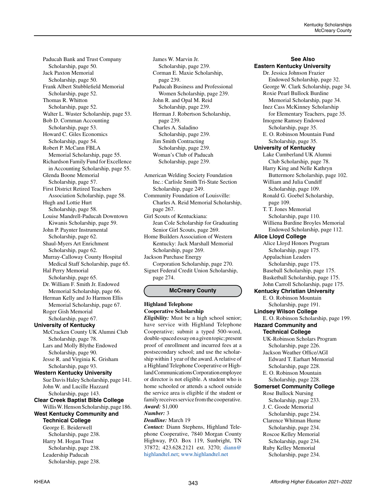Paducah Bank and Trust Company Scholarship, page 50. Jack Paxton Memorial Scholarship, page 50. Frank Albert Stubblefield Memorial Scholarship, page 52. Thomas R. Whitton Scholarship, page 52. Walter L. Wuster Scholarship, page 53. Bob D. Cornman Accounting Scholarship, page 53. Howard C. Giles Economics Scholarship, page 54. Robert P. McCann FBLA Memorial Scholarship, page 55. Richardson Family Fund for Excellence in Accounting Scholarship, page 55. Glenda Boone Memorial Scholarship, page 57. First District Retired Teachers Association Scholarship, page 58. Hugh and Lottie Hurt Scholarship, page 58. Louise Mandrell-Paducah Downtown Kiwanis Scholarship, page 59. John P. Paynter Instrumental Scholarship, page 62. Shaul-Myers Art Enrichment Scholarship, page 62. Murray-Calloway County Hospital Medical Staff Scholarship, page 65. Hal Perry Memorial Scholarship, page 65. Dr. William F. Smith Jr. Endowed Memorial Scholarship, page 66. Herman Kelly and Jo Harmon Ellis Memorial Scholarship, page 67. Roger Gish Memorial Scholarship, page 67. **University of Kentucky** McCracken County UK Alumni Club Scholarship, page 78. Lars and Molly Blythe Endowed Scholarship, page 90. Jesse R. and Virginia K. Grisham Scholarship, page 93. **Western Kentucky University** Sue Davis Haley Scholarship, page 141. John W. and Lucille Hazzard Scholarship, page 143. **Clear Creek Baptist Bible College** Willis W. Henson Scholarship, page 186. **West Kentucky Community and Technical College** George E. Beiderwell Scholarship, page 238.

Harry M. Hogan Trust Scholarship, page 238. Leadership Paducah Scholarship, page 238. James W. Marvin Jr. Scholarship, page 239. Corman E. Maxie Scholarship, page 239. Paducah Business and Professional Women Scholarship, page 239. John R. and Opal M. Reid Scholarship, page 239. Herman J. Robertson Scholarship, page 239. Charles A. Saladino Scholarship, page 239. Jim Smith Contracting Scholarship, page 239. Woman's Club of Paducah Scholarship, page 239.

American Welding Society Foundation Inc.: Carlisle Smith Tri-State Section Scholarship, page 249. Community Foundation of Louisville: Charles A. Reid Memorial Scholarship, page 267. Girl Scouts of Kentuckiana: Jean Cole Scholarship for Graduating Senior Girl Scouts, page 269. Home Builders Association of Western Kentucky: Jack Marshall Memorial Scholarship, page 269. Jackson Purchase Energy Corporation Scholarship, page 270. Signet Federal Credit Union Scholarship, page 274.

# **McCreary County**

#### **Highland Telephone Cooperative Scholarship**

*Eligibility:* Must be a high school senior; have service with Highland Telephone Cooperative; submit a typed 500-word, double-spaced essay on a given topic; present proof of enrollment and incurred fees at a postsecondary school; and use the scholarship within 1 year of the award. A relative of a Highland Telephone Cooperative or Highland Communications Corporation employee or director is not eligible. A student who is home schooled or attends a school outside the service area is eligible if the student or family receives service from the cooperative. *Award:* \$1,000

#### *Number:* 3

*Deadline:* March 19 *Contact:* Diann Stephens, Highland Tele-

phone Cooperative, 7840 Morgan County Highway, P.O. Box 119, Sunbright, TN 37872; 423.628.2121 ext. 3270; [diann@](mailto:diann%40highlandtel.net?subject=) [highlandtel.net](mailto:diann%40highlandtel.net?subject=); [www.highlandtel.net](http://www.highlandtel.net)

**See Also Eastern Kentucky University** Dr. Jessica Johnson Frazier Endowed Scholarship, page 32. George W. Clark Scholarship, page 34. Roxie Pearl Bullock Burdine Memorial Scholarship, page 34. Inez Cass McKinney Scholarship for Elementary Teachers, page 35. Imogene Ramsey Endowed Scholarship, page 35. E. O. Robinson Mountain Fund Scholarship, page 35. **University of Kentucky** Lake Cumberland UK Alumni Club Scholarship, page 78. Harry King and Nelle Kathryn Buttermore Scholarship, page 102. William and Julia Cundiff Scholarship, page 109. Ronald G. Goebel Scholarship, page 109. T. T. Jones Memorial Scholarship, page 110. Williena Burdine Broyles Memorial Endowed Scholarship, page 112. **Alice Lloyd College** Alice Lloyd Honors Program Scholarship, page 175. Appalachian Leaders Scholarship, page 175. Baseball Scholarship, page 175. Basketball Scholarship, page 175. John Carroll Scholarship, page 175. **Kentucky Christian University** E. O. Robinson Mountain Scholarship, page 191. **Lindsey Wilson College** E. O. Robinson Scholarship, page 199. **Hazard Community and Technical College** UK-Robinson Scholars Program Scholarship, page 226. Jackson Weather Office/AGI Edward T. Earhart Memorial Scholarship, page 228. E. O. Robinson Mountain Scholarship, page 228. **Somerset Community College** Rose Bullock Nursing Scholarship, page 233. J. C. Goode Memorial Scholarship, page 234. Clarence Whitman Hume Scholarship, page 234. Roscoe Kelley Memorial Scholarship, page 234. Ruby Kelley Memorial

Scholarship, page 234.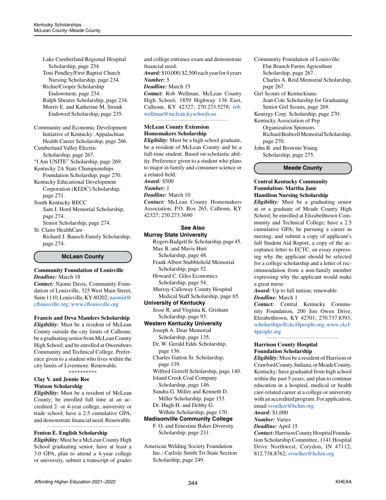Lake Cumberland Regional Hospital Scholarship, page 234. Toni Pendley/First Baptist Church Nursing Scholarship, page 234. Richie/Cooper Scholarship Endowment, page 234. Ralph Shearer Scholarship, page 234. Morris E. and Katherine M. Strunk Endowed Scholarship, page 235.

Community and Economic Development Initiative of Kentucky: Appalachian Health Career Scholarship, page 266. Cumberland Valley Electric

Scholarship, page 267. "I Am UNITE" Scholarship, page 269.

Kentucky 2A State Championships

Foundation Scholarship, page 270. Kentucky Educational Development Corporation (KEDC) Scholarship, page 271.

South Kentucky RECC Sam J. Hord Memorial Scholarship, page 274.

Senior Scholarship, page 274. St. Claire HealthCare

Richard J. Bausch Family Scholarship, page 274.

**McLean County**

#### **Community Foundation of Louisville** *Deadline:* March 18

*Contact:* Naomi Davis, Community Foundation of Louisville, 325 West Main Street, Suite 1110, Louisville, KY 40202; [naomid@](mailto:naomid%40cflouisville.org?subject=) [cflouisville.org](mailto:naomid%40cflouisville.org?subject=); [www.cflouisville.org](http://www.cflouisville.org)

# **Francis and Deva Manders Scholarship**

*Eligibility:* Must be a resident of McLean County outside the city limits of Calhoun; be a graduating senior from McLean County High School; and be enrolled at Owensboro Community and Technical College. Preference given to a student who lives within the city limits of Livermore. Renewable.

\*\*\*\*\*\*\*\*\*\*

## **Clay V. and Jennie Ree Watson Scholarship**

*Eligibility:* Must be a resident of McLean County; be enrolled full time at an accredited 2- or 4-year college, university or trade school; have a 2.5 cumulative GPA; and demonstrate financial need. Renewable.

*\_\_\_\_\_\_\_\_\_\_\_\_\_\_\_\_\_\_\_\_\_\_\_\_\_\_\_\_\_\_\_\_\_\_\_\_\_\_\_\_\_\_\_\_*

# **Fenton E. English Scholarship**

*Eligibility:* Must be a McLean County High School graduating senior, have at least a 3.0 GPA, plan to attend a 4-year college or university, submit a transcript of grades and college entrance exam and demonstrate financial need.

*Award:* \$10,000; \$2,500 each year for 4 years *Number:* 5

#### *Deadline:* March 15

*Contact:* Rob Wellman, McLean County High School, 1859 Highway 136 East, Calhoun, KY 42327; 270.273.5278; [rob.](mailto:rob.wellman%40mclean.kyschools.us?subject=) [wellman@mclean.kyschools.us](mailto:rob.wellman%40mclean.kyschools.us?subject=)

*\_\_\_\_\_\_\_\_\_\_\_\_\_\_\_\_\_\_\_\_\_\_\_\_\_\_\_\_\_\_\_\_\_\_\_\_\_\_\_\_\_\_\_\_*

## **McLean County Extension Homemakers Scholarship**

*Eligibility:* Must be a high school graduate, be a resident of McLean County and be a full-time student. Based on scholastic ability. Preference given to a student who plans to major in family and consumer science or a related field. *Award:* \$500 *Number:* 1 *Deadline:* March 10 *Contact:* McLean County Homemakers

Association, P.O. Box 265, Calhoun, KY 42327; 270.273.3690

#### **See Also Murray State University**

Rogers Badgett Sr. Scholarship, page 45. Max B. and Mavis Hurt Scholarship, page 48.

Frank Albert Stubblefield Memorial Scholarship, page 52.

Howard C. Giles Economics Scholarship, page 54. Murray-Calloway County Hospital

 Medical Staff Scholarship, page 65. **University of Kentucky**

Jesse R. and Virginia K. Grisham Scholarship, page 93.

# **Western Kentucky University**

Joseph A. Dear Memorial Scholarship, page 135. Dr. W. Gerald Edds Scholarship,

page 136.

Charles Gatton Sr. Scholarship, page 139.

Wilfred Gorrell Scholarship, page 140. Island Creek Coal Company

Scholarship, page 146.

Sandra G. Miller and Kenneth D. Miller Scholarship, page 153. Dr. Hugh H. and Debby G.

Wilhite Scholarship, page 170.

# **Madisonville Community College**

F. O. and Ernestine Baker Diversity Scholarship, page 231.

American Welding Society Foundation Inc.: Carlisle Smith Tri-State Section Scholarship, page 249.

Community Foundation of Louisville:

- Flat Branch Farms Agriculture
- Scholarship, page 267.

Charles A. Reid Memorial Scholarship, page 267.

- Girl Scouts of Kentuckiana: Jean Cole Scholarship for Graduating
- Senior Girl Scouts, page 269.

Kenergy Corp. Scholarship, page 270.

Kentucky Association of Pep Organization Sponsors

Richard Bedwell Memorial Scholarship, page 270.

John B. and Brownie Young Scholarship, page 275.

**Meade County**

#### **Central Kentucky Community Foundation: Martha Jane Hamilton Nursing Scholarship**

*Eligibility:* Must be a graduating senior at or a graduate of Meade County High School; be enrolled at Elizabethtown Community and Technical College; have a 2.5 cumulative GPA; be pursuing a career in nursing; and submit a copy of applicant's full Student Aid Report, a copy of the acceptance letter to ECTC, an essay expressing why the applicant should be selected for a college scholarship and a letter of recommendation from a non-family member expressing why the applicant would make a great nurse.

*Award:* Up to full tuition; renewable *Deadline:* March 1

*Contact:* Central Kentucky Community Foundation, 200 Jim Owen Drive, Elizabethtown, KY 42701; 270.737.8393; [scholarships@ckcf4people.org](mailto:scholarships%40ckcf4people.org?subject=); [www.ckcf-](http://www.ckcf4people.org)[4people.org](http://www.ckcf4people.org)

*\_\_\_\_\_\_\_\_\_\_\_\_\_\_\_\_\_\_\_\_\_\_\_\_\_\_\_\_\_\_\_\_\_\_\_\_\_\_\_\_\_\_\_\_*

# **Harrison County Hospital Foundation Scholarship**

*Eligibility:* Must be a resident of Harrison or Crawford County, Indiana, or Meade County, Kentucky; have graduated from high school within the past 5 years; and plan to continue education in a hospital, medical or health care-related career at a college or university with an accredited program. For application, email [svoelker@hchin.org](mailto:svoelker%40hchin.org?subject=).

*Award:* \$1,000

*Number:* Varies

*Deadline:* April 15

*Contact:* Harrison County Hospital Foundation Scholarship Committee, 1141 Hospital Drive Northwest, Corydon, IN 47112; 812.738.8762; [svoelker@hchin.org](mailto:svoelker%40hchin.org?subject=)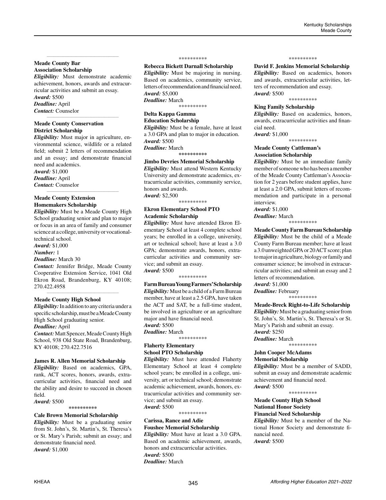#### **Meade County Bar Association Scholarship**

*Eligibility:* Must demonstrate academic achievement, honors, awards and extracurricular activities and submit an essay. *Award:* \$500

*\_\_\_\_\_\_\_\_\_\_\_\_\_\_\_\_\_\_\_\_\_\_\_\_\_\_\_\_\_\_\_\_\_\_\_\_\_\_\_\_\_\_\_\_*

*\_\_\_\_\_\_\_\_\_\_\_\_\_\_\_\_\_\_\_\_\_\_\_\_\_\_\_\_\_\_\_\_\_\_\_\_\_\_\_\_\_\_\_\_*

# *Deadline:* April

*Contact:* Counselor

# **Meade County Conservation District Scholarship**

*Eligibility:* Must major in agriculture, environmental science, wildlife or a related field; submit 2 letters of recommendation and an essay; and demonstrate financial need and academics. *Award:* \$1,000 *Deadline:* April

*Contact:* Counselor *\_\_\_\_\_\_\_\_\_\_\_\_\_\_\_\_\_\_\_\_\_\_\_\_\_\_\_\_\_\_\_\_\_\_\_\_\_\_\_\_\_\_\_\_*

# **Meade County Extension Homemakers Scholarship**

*Eligibility:* Must be a Meade County High School graduating senior and plan to major or focus in an area of family and consumer science at a college, university or vocationaltechnical school.

*Award:* \$1,000

*Number:* 1

#### *Deadline:* March 30

*Contact:* Jennifer Bridge, Meade County Cooperative Extension Service, 1041 Old Ekron Road, Brandenburg, KY 40108; 270.422.4958

*\_\_\_\_\_\_\_\_\_\_\_\_\_\_\_\_\_\_\_\_\_\_\_\_\_\_\_\_\_\_\_\_\_\_\_\_\_\_\_\_\_\_\_\_*

# **Meade County High School**

*Eligibility:* In addition to any criteria under a specific scholarship, must be a Meade County High School graduating senior.

# *Deadline:* April

*Contact:* Matt Spencer, Meade County High School, 938 Old State Road, Brandenburg, KY 40108; 270.422.7516

# **James R. Allen Memorial Scholarship**

*Eligibility:* Based on academics, GPA, rank, ACT scores, honors, awards, extracurricular activities, financial need and the ability and desire to succeed in chosen field.

#### *Award:* \$500 **\*\*\*\*\*\*\*\*\*\***

# **Cale Brown Memorial Scholarship**

*Eligibility:* Must be a graduating senior from St. John's, St. Martin's, St. Theresa's or St. Mary's Parish; submit an essay; and demonstrate financial need. *Award:* \$1,000

#### \*\*\*\*\*\*\*\*\*\*

**Rebecca Bickett Darnall Scholarship**

*Eligibility:* Must be majoring in nursing. Based on academics, community service, letters of recommendation and financial need. *Award:* \$5,000 *Deadline:* March

\*\*\*\*\*\*\*\*\*\*

#### **Delta Kappa Gamma Education Scholarship**

*Eligibility:* Must be a female, have at least a 3.0 GPA and plan to major in education. *Award:* \$500

*Deadline:* March **\*\*\*\*\*\*\*\*\*\***

# **Jimbo Devries Memorial Scholarship**

*Eligibility:* Must attend Western Kentucky University and demonstrate academics, extracurricular activities, community service, honors and awards. *Award:* \$2,500

\*\*\*\*\*\*\*\*\*\*

#### **Ekron Elementary School PTO Academic Scholarship**

*Eligibility:* Must have attended Ekron Elementary School at least 4 complete school years; be enrolled in a college, university, art or technical school; have at least a 3.0 GPA; demonstrate awards, honors, extracurricular activities and community service; and submit an essay. *Award:* \$500

\*\*\*\*\*\*\*\*\*\*

**Farm Bureau Young Farmers' Scholarship** *Eligibility:* Must be a child of a Farm Bureau member, have at least a 2.5 GPA, have taken the ACT and SAT, be a full-time student, be involved in agriculture or an agriculture major and have financial need. *Award:* \$500 *Deadline:* March

\*\*\*\*\*\*\*\*\*\*

### **Flaherty Elementary School PTO Scholarship**

*Eligibility:* Must have attended Flaherty Elementary School at least 4 complete school years; be enrolled in a college, university, art or technical school; demonstrate academic achievement, awards, honors, extracurricular activities and community service; and submit an essay. *Award:* \$500

\*\*\*\*\*\*\*\*\*\*

#### **Carissa, Rance and Adie Foushee Memorial Scholarship**

*Eligibility:* Must have at least a 3.0 GPA. Based on academic achievement, awards, honors and extracurricular activities. *Award:* \$500 *Deadline:* March

#### \*\*\*\*\*\*\*\*\*\*

**David F. Jenkins Memorial Scholarship**

*Eligibility:* Based on academics, honors and awards, extracurricular activities, letters of recommendation and essay. *Award:* \$500

\*\*\*\*\*\*\*\*\*\*

#### **King Family Scholarship**

*Eligibility:* Based on academics, honors, awards, extracurricular activities and financial need.

*Award:* \$1,000 \*\*\*\*\*\*\*\*\*\*

# **Meade County Cattleman's Association Scholarship**

*Eligibility:* Must be an immediate family member of someone who has been a member of the Meade County Cattleman's Association for 2 years before student applies, have at least a 2.0 GPA, submit letters of recommendation and participate in a personal interview.

*Award:* \$1,000

*Deadline:* March \*\*\*\*\*\*\*\*\*\*

**Meade County Farm Bureau Scholarship** *Eligibility:* Must be the child of a Meade County Farm Bureau member; have at least a 3.0 unweighted GPA or 20 ACT score; plan to major in agriculture, biology or family and consumer science; be involved in extracurricular activities; and submit an essay and 2 letters of recommendation.

*Award:* \$1,000

*Deadline:* February \*\*\*\*\*\*\*\*\*\*

# **Meade-Breck Right-to-Life Scholarship**

*Eligibility:* Must be a graduating senior from St. John's, St. Martin's, St. Theresa's or St. Mary's Parish and submit an essay. *Award:* \$250 *Deadline:* March

\*\*\*\*\*\*\*\*\*\*

#### **John Cooper McAdams Memorial Scholarship**

*Eligibility:* Must be a member of SADD, submit an essay and demonstrate academic achievement and financial need. *Award:* \$500

\*\*\*\*\*\*\*\*\*\*

# **Meade County High School National Honor Society**

**Financial Need Scholarship**

*Eligibility:* Must be a member of the National Honor Society and demonstrate financial need.

*Award:* \$500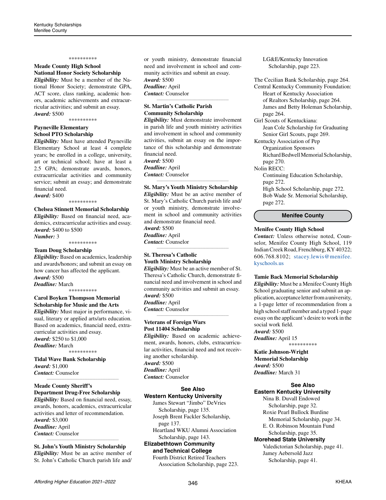#### \*\*\*\*\*\*\*\*\*\*

# **Meade County High School National Honor Society Scholarship**

*Eligibility:* Must be a member of the National Honor Society; demonstrate GPA, ACT score, class ranking, academic honors, academic achievements and extracurricular activities; and submit an essay. *Award:* \$500

\*\*\*\*\*\*\*\*\*\*

# **Payneville Elementary School PTO Scholarship**

*Eligibility:* Must have attended Payneville Elementary School at least 4 complete years; be enrolled in a college, university, art or technical school; have at least a 2.5 GPA; demonstrate awards, honors, extracurricular activities and community service; submit an essay; and demonstrate financial need.

*Award:* \$400

\*\*\*\*\*\*\*\*\*\*

#### **Chelsea Stinnett Memorial Scholarship**

*Eligibility:* Based on financial need, academics, extracurricular activities and essay. *Award:* \$400 to \$500

\*\*\*\*\*\*\*\*\*\*

*Number:* 3

#### **Team Doug Scholarship**

*Eligibility:* Based on academics, leadership and awards/honors; and submit an essay on how cancer has affected the applicant. *Award:* \$500

*Deadline:* March \*\*\*\*\*\*\*\*\*\*

#### **Carol Boyken Thompson Memorial Scholarship for Music and the Arts**

*Eligibility:* Must major in performance, visual, literary or applied arts/arts education. Based on academics, financial need, extracurricular activities and essay. *Award:* \$250 to \$1,000 *Deadline:* March \*\*\*\*\*\*\*\*\*\*

**Tidal Wave Bank Scholarship**

*Award:* \$1,000 *Contact:* Counselor

*\_\_\_\_\_\_\_\_\_\_\_\_\_\_\_\_\_\_\_\_\_\_\_\_\_\_\_\_\_\_\_\_\_\_\_\_\_\_\_\_\_\_\_\_*

#### **Meade County Sheriff's Department Drug-Free Scholarship**

*Eligibility:* Based on financial need, essay, awards, honors, academics, extracurricular activities and letter of recommendation. *Award:* \$3,000 *Deadline:* April *Contact:* Counselor *\_\_\_\_\_\_\_\_\_\_\_\_\_\_\_\_\_\_\_\_\_\_\_\_\_\_\_\_\_\_\_\_\_\_\_\_\_\_\_\_\_\_\_\_*

**St. John's Youth Ministry Scholarship** *Eligibility:* Must be an active member of St. John's Catholic Church parish life and/ or youth ministry, demonstrate financial need and involvement in school and community activities and submit an essay. *Award:* \$500 *Deadline:* April *Contact:* Counselor

*\_\_\_\_\_\_\_\_\_\_\_\_\_\_\_\_\_\_\_\_\_\_\_\_\_\_\_\_\_\_\_\_\_\_\_\_\_\_\_\_\_\_\_\_*

# **St. Martin's Catholic Parish Community Scholarship**

*Eligibility:* Must demonstrate involvement in parish life and youth ministry activities and involvement in school and community activities, submit an essay on the importance of this scholarship and demonstrate financial need. *Award:* \$500 *Deadline:* April *Contact:* Counselor *\_\_\_\_\_\_\_\_\_\_\_\_\_\_\_\_\_\_\_\_\_\_\_\_\_\_\_\_\_\_\_\_\_\_\_\_\_\_\_\_\_\_\_\_*

## **St. Mary's Youth Ministry Scholarship**

*Eligibility:* Must be an active member of St. Mary's Catholic Church parish life and/ or youth ministry, demonstrate involvement in school and community activities and demonstrate financial need. *Award:* \$500 *Deadline:* April *Contact:* Counselor *\_\_\_\_\_\_\_\_\_\_\_\_\_\_\_\_\_\_\_\_\_\_\_\_\_\_\_\_\_\_\_\_\_\_\_\_\_\_\_\_\_\_\_\_*

# **St. Theresa's Catholic Youth Ministry Scholarship**

*Eligibility:* Must be an active member of St. Theresa's Catholic Church, demonstrate financial need and involvement in school and community activities and submit an essay. *Award:* \$500 *Deadline:* April *Contact:* Counselor *\_\_\_\_\_\_\_\_\_\_\_\_\_\_\_\_\_\_\_\_\_\_\_\_\_\_\_\_\_\_\_\_\_\_\_\_\_\_\_\_\_\_\_\_*

## **Veterans of Foreign Wars Post 11404 Scholarship** *Eligibility:* Based on academic achieve-

ment, awards, honors, clubs, extracurricular activities, financial need and not receiving another scholarship. *Award:* \$500 *Deadline:* April *Contact:* Counselor

#### **See Also Western Kentucky University**

James Stewart "Jimbo" DeVries Scholarship, page 135. Joseph Brent Fackler Scholarship, page 137.

Heartland WKU Alumni Association Scholarship, page 143.

**Elizabethtown Community and Technical College**

Fourth District Retired Teachers Association Scholarship, page 223. LG&E/Kentucky Innovation Scholarship, page 223.

The Cecilian Bank Scholarship, page 264. Central Kentucky Community Foundation: Heart of Kentucky Association of Realtors Scholarship, page 264. James and Betty Holeman Scholarship, page 264. Girl Scouts of Kentuckiana: Jean Cole Scholarship for Graduating Senior Girl Scouts, page 269. Kentucky Association of Pep Organization Sponsors Richard Bedwell Memorial Scholarship, page 270. Nolin RECC: Continuing Education Scholarship, page 272. High School Scholarship, page 272. Bob Wade Sr. Memorial Scholarship, page 272.

**Menifee County**

#### **Menifee County High School**

*Contact:* Unless otherwise noted, Counselor, Menifee County High School, 119 Indian Creek Road, Frenchburg, KY 40322; 606.768.8102; [stacey.lewis@menifee.](mailto:stacey.lewis%40menifee.kyschools.us?subject=) [kyschools.us](mailto:stacey.lewis%40menifee.kyschools.us?subject=)

#### **Tamie Back Memorial Scholarship**

*Eligibility:* Must be a Menifee County High School graduating senior and submit an application, acceptance letter from a university, a 1-page letter of recommendation from a high school staff member and a typed 1-page essay on the applicant's desire to work in the social work field. *Award:* \$500

*Deadline:* April 15 \*\*\*\*\*\*\*\*\*\*

**Katie Johnson-Wright Memorial Scholarship** *Award:* \$500 *Deadline:* March 31

#### **See Also Eastern Kentucky University**

Nina B. Duvall Endowed Scholarship, page 32. Roxie Pearl Bullock Burdine Memorial Scholarship, page 34. E. O. Robinson Mountain Fund Scholarship, page 35. **Morehead State University**

Valedictorian Scholarship, page 41. Jamey Aebersold Jazz Scholarship, page 41.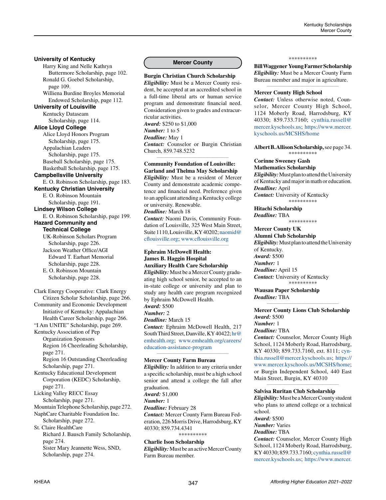# **University of Kentucky**

Harry King and Nelle Kathryn Buttermore Scholarship, page 102. Ronald G. Goebel Scholarship, page 109. Williena Burdine Broyles Memorial Endowed Scholarship, page 112. **University of Louisville** Kentucky Dataseam Scholarship, page 114. **Alice Lloyd College** Alice Lloyd Honors Program Scholarship, page 175. Appalachian Leaders Scholarship, page 175. Baseball Scholarship, page 175. Basketball Scholarship, page 175. **Campbellsville University** E. O. Robinson Scholarship, page 183. **Kentucky Christian University** E. O. Robinson Mountain Scholarship, page 191. **Lindsey Wilson College** E. O. Robinson Scholarship, page 199. **Hazard Community and Technical College** UK-Robinson Scholars Program Scholarship, page 226. Jackson Weather Office/AGI Edward T. Earhart Memorial Scholarship, page 228. E. O. Robinson Mountain Scholarship, page 228. Clark Energy Cooperative: Clark Energy Citizen Scholar Scholarship, page 266. Community and Economic Development Initiative of Kentucky: Appalachian

Health Career Scholarship, page 266. "I Am UNITE" Scholarship, page 269. Kentucky Association of Pep Organization Sponsors Region 16 Cheerleading Scholarship,

page 271. Region 16 Outstanding Cheerleading Scholarship, page 271.

Kentucky Educational Development Corporation (KEDC) Scholarship, page 271.

Licking Valley RECC Essay Scholarship, page 271.

Mountain Telephone Scholarship, page 272. NaphCare Charitable Foundation Inc.

Scholarship, page 272. St. Claire HealthCare Richard J. Bausch Family Scholarship, page 274. Sister Mary Jeannette Wess, SND,

Scholarship, page 274.

# **Mercer County**

**Burgin Christian Church Scholarship** *Eligibility:* Must be a Mercer County resident, be accepted at an accredited school in a full-time liberal arts or human service program and demonstrate financial need. Consideration given to grades and extracurricular activities. *Award:* \$250 to \$1,000 *Number:* 1 to 5 *Deadline:* May 1 *Contact:* Counselor or Burgin Christian Church, 859.748.5232 *\_\_\_\_\_\_\_\_\_\_\_\_\_\_\_\_\_\_\_\_\_\_\_\_\_\_\_\_\_\_\_\_\_\_\_\_\_\_\_\_\_\_\_\_*

## **Community Foundation of Louisville: Garland and Thelma May Scholarship**

*Eligibility:* Must be a resident of Mercer County and demonstrate academic competence and financial need. Preference given to an applicant attending a Kentucky college or university. Renewable.

*Deadline:* March 18 *Contact:* Naomi Davis, Community Foundation of Louisville, 325 West Main Street, Suite 1110, Louisville, KY 40202; [naomid@](mailto:naomid%40cflouisville.org?subject=) [cflouisville.org;](mailto:naomid%40cflouisville.org?subject=) [www.cflouisville.org](http://www.cflouisville.org) *\_\_\_\_\_\_\_\_\_\_\_\_\_\_\_\_\_\_\_\_\_\_\_\_\_\_\_\_\_\_\_\_\_\_\_\_\_\_\_\_\_\_\_\_*

## **Ephraim McDowell Health: James B. Haggin Hospital Auxiliary Health Care Scholarship**

*Eligibility:* Must be a Mercer County graduating high school senior, be accepted to an in-state college or university and plan to study any health care program recognized by Ephraim McDowell Health. *Award:* \$500 *Number:* 2 *Deadline:* March 15 *Contact:* Ephraim McDowell Health, 217 South Third Street, Danville, KY 40422; [hr@](mailto:hr%40emhealth.org?subject=) [emhealth.org](mailto:hr%40emhealth.org?subject=); [www.emhealth.org/careers/](http://www.emhealth.org/careers/education-assistance-program) [education-assistance-program](http://www.emhealth.org/careers/education-assistance-program) *\_\_\_\_\_\_\_\_\_\_\_\_\_\_\_\_\_\_\_\_\_\_\_\_\_\_\_\_\_\_\_\_\_\_\_\_\_\_\_\_\_\_\_\_*

# **Mercer County Farm Bureau**

*Eligibility:* In addition to any criteria under a specific scholarship, must be a high school senior and attend a college the fall after graduation. *Award:* \$1,000 *Number:* 1 *Deadline:* February 28 *Contact:* Mercer County Farm Bureau Federation, 226 Morris Drive, Harrodsburg, KY 40330; 859.734.4341 \*\*\*\*\*\*\*\*\*\*

**Charlie Ison Scholarship** *Eligibility:* Must be an active Mercer County Farm Bureau member.

#### \*\*\*\*\*\*\*\*\*\*

**Bill Waggener Young Farmer Scholarship** *Eligibility:* Must be a Mercer County Farm Bureau member and major in agriculture. *\_\_\_\_\_\_\_\_\_\_\_\_\_\_\_\_\_\_\_\_\_\_\_\_\_\_\_\_\_\_\_\_\_\_\_\_\_\_\_\_\_\_\_\_*

#### **Mercer County High School**

*Contact:* Unless otherwise noted, Counselor, Mercer County High School, 1124 Moberly Road, Harrodsburg, KY 40330; 859.733.7160; [cynthia.russell@](mailto:cynthia.russell%40mercer.kyschools.us?subject=) [mercer.kyschools.us;](mailto:cynthia.russell%40mercer.kyschools.us?subject=) [https://www.mercer.](https://www.mercer.kyschools.us/MCSHS/home) [kyschools.us/MCSHS/home](https://www.mercer.kyschools.us/MCSHS/home)

**Albert B. Allison Scholarship,** see page 34. \*\*\*\*\*\*\*\*\*\*

## **Corinne Sweeney Gash Mathematics Scholarship**

*Eligibility:* Must plan to attend the University of Kentucky and major in math or education. *Deadline:* April *Contact:* University of Kentucky \*\*\*\*\*\*\*\*\*\*

**Hitachi Scholarship** *Deadline:* TBA \*\*\*\*\*\*\*\*\*\*

**Mercer County UK** 

**Alumni Club Scholarship** *Eligibility:* Must plan to attend the University of Kentucky. *Award:* \$500 *Number:* 1 *Deadline:* April 15 *Contact:* University of Kentucky \*\*\*\*\*\*\*\*\*\*

**Wausau Paper Scholarship** *Deadline:* TBA *\_\_\_\_\_\_\_\_\_\_\_\_\_\_\_\_\_\_\_\_\_\_\_\_\_\_\_\_\_\_\_\_\_\_\_\_\_\_\_\_\_\_\_\_*

## **Mercer County Lions Club Scholarship** *Award:* \$500 *Number:* 1

#### *Deadline:* TBA

*Contact:* Counselor, Mercer County High School, 1124 Moberly Road, Harrodsburg, KY 40330; 859.733.7160, ext. 8111; [cyn](mailto:cynthia.russell%40mercer.kyschools.us?subject=)[thia.russell@mercer.kyschools.us](mailto:cynthia.russell%40mercer.kyschools.us?subject=); [https://](https://www.mercer.kyschools.us/MCSHS/home) [www.mercer.kyschools.us/MCSHS/home](https://www.mercer.kyschools.us/MCSHS/home); or Burgin Independent School, 440 East Main Street, Burgin, KY 40310

#### **Salvisa Ruritan Club Scholarship**

*Eligibility:* Must be a Mercer County student who plans to attend college or a technical school.

*\_\_\_\_\_\_\_\_\_\_\_\_\_\_\_\_\_\_\_\_\_\_\_\_\_\_\_\_\_\_\_\_\_\_\_\_\_\_\_\_\_\_\_\_*

*Award:* \$500

*Number:* Varies

# *Deadline:* TBA

*Contact:* Counselor, Mercer County High School, 1124 Moberly Road, Harrodsburg, KY 40330; 859.733.7160; [cynthia.russell@](mailto:cynthia.russell%40mercer.kyschools.us?subject=) [mercer.kyschools.us;](mailto:cynthia.russell%40mercer.kyschools.us?subject=) [https://www.mercer.](https://www.mercer.kyschools.us/MCSHS/home)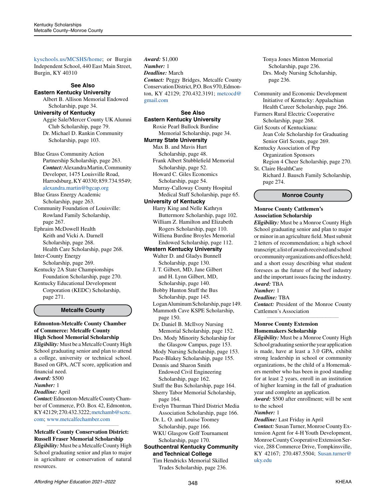[kyschools.us/MCSHS/home](https://www.mercer.kyschools.us/MCSHS/home); or Burgin Independent School, 440 East Main Street, Burgin, KY 40310

#### **See Also Eastern Kentucky University**

Albert B. Allison Memorial Endowed Scholarship, page 34. **University of Kentucky**

Aggie Sale/Mercer County UK Alumni Club Scholarship, page 79. Dr. Michael D. Rankin Community Scholarship, page 103.

Blue Grass Community Action Partnership Scholarship, page 263. *Contact:* Alexandra Martin, Community Developer, 1475 Louisville Road, Harrodsburg, KY 40330; 859.734.9549; [alexandra.martin@bgcap.org](mailto:alexandra.martin%40bgcap.org?subject=)

Blue Grass Energy Academic

Scholarship, page 263. Community Foundation of Louisville: Rowland Family Scholarship, page 267. Ephraim McDowell Health

Keith and Vicki A. Darnell Scholarship, page 268. Health Care Scholarship, page 268. Inter-County Energy Scholarship, page 269.

Kentucky 2A State Championships Foundation Scholarship, page 270. Kentucky Educational Development Corporation (KEDC) Scholarship, page 271.

# **Metcalfe County**

**Edmonton-Metcalfe County Chamber of Commerce: Metcalfe County High School Memorial Scholarship** *Eligibility:* Must be a Metcalfe County High School graduating senior and plan to attend a college, university or technical school. Based on GPA, ACT score, application and financial need. *Award:* \$500 *Number:* 1

*Deadline:* April

*Contact:* Edmonton-Metcalfe County Chamber of Commerce, P.O. Box 42, Edmonton, KY 42129; 270.432.3222; [metchamb@scrtc.](mailto:metchamb%40scrtc.com?subject=) [com](mailto:metchamb%40scrtc.com?subject=); [www.metcalfechamber.com](http://www.metcalfechamber.com)

## *\_\_\_\_\_\_\_\_\_\_\_\_\_\_\_\_\_\_\_\_\_\_\_\_\_\_\_\_\_\_\_\_\_\_\_\_\_\_\_\_\_\_\_\_* **Metcalfe County Conservation District: Russell Fraser Memorial Scholarship**

*Eligibility:* Must be a Metcalfe County High School graduating senior and plan to major in agriculture or conservation of natural resources.

*Award:* \$1,000 *Number:* 1 *Deadline:* March *Contact:* Peggy Bridges, Metcalfe County Conservation District, P.O. Box 970, Edmonton, KY 42129; 270.432.3191; [metcocd@](mailto:metcocd%40gmail.com?subject=) [gmail.com](mailto:metcocd%40gmail.com?subject=)

**See Also Eastern Kentucky University** Roxie Pearl Bullock Burdine Memorial Scholarship, page 34. **Murray State University** Max B. and Mavis Hurt Scholarship, page 48. Frank Albert Stubblefield Memorial Scholarship, page 52. Howard C. Giles Economics Scholarship, page 54. Murray-Calloway County Hospital Medical Staff Scholarship, page 65. **University of Kentucky** Harry King and Nelle Kathryn Buttermore Scholarship, page 102. William Z. Hamilton and Elizabeth Rogers Scholarship, page 110. Williena Burdine Broyles Memorial

 Endowed Scholarship, page 112. **Western Kentucky University**

Walter D. and Gladys Bunnell Scholarship, page 130.

J. T. Gilbert, MD, Jane Gilbert and H. Lynn Gilbert, MD, Scholarship, page 140.

Bobby Hunton Stuff the Bus Scholarship, page 145. Logan Aluminum Scholarship, page 149.

Mammoth Cave KSPE Scholarship,

page 150.

Dr. Daniel B. McIlvoy Nursing Memorial Scholarship, page 152. Drs. Mody Minority Scholarship for

the Glasgow Campus, page 153.

Mody Nursing Scholarship, page 153. Pace-Blakey Scholarship, page 155. Dennis and Sharon Smith

Endowed Civil Engineering

Scholarship, page 162.

Stuff the Bus Scholarship, page 164. Sherry Tabor Memorial Scholarship,

page 164.

Evelyn Thurman Third District Media Association Scholarship, page 166.

Dr. L. O. and Louise Toomey Scholarship, page 166.

WKU Glasgow Golf Tournament Scholarship, page 170.

**Southcentral Kentucky Community and Technical College**

Tim Hendricks Memorial Skilled Trades Scholarship, page 236.

Tonya Jones Minton Memorial Scholarship, page 236. Drs. Mody Nursing Scholarship, page 236.

Community and Economic Development Initiative of Kentucky: Appalachian Health Career Scholarship, page 266.

Farmers Rural Electric Cooperative Scholarship, page 268.

Girl Scouts of Kentuckiana: Jean Cole Scholarship for Graduating Senior Girl Scouts, page 269.

Kentucky Association of Pep Organization Sponsors Region 4 Cheer Scholarship, page 270. St. Claire HealthCare

Richard J. Bausch Family Scholarship, page 274.

**Monroe County**

# **Monroe County Cattlemen's Association Scholarship**

*Eligibility:* Must be a Monroe County High School graduating senior and plan to major or minor in an agriculture field. Must submit 2 letters of recommendation; a high school transcript; a list of awards received and school or community organizations and offices held; and a short essay describing what student foresees as the future of the beef industry and the important issues facing the industry. *Award:* TBA

# *Number:* 1

*Deadline:* TBA

*Contact:* President of the Monroe County Cattlemen's Association *\_\_\_\_\_\_\_\_\_\_\_\_\_\_\_\_\_\_\_\_\_\_\_\_\_\_\_\_\_\_\_\_\_\_\_\_\_\_\_\_\_\_\_\_*

# **Monroe County Extension Homemakers Scholarship**

*Eligibility:* Must be a Monroe County High School graduating senior the year application is made, have at least a 3.0 GPA, exhibit strong leadership in school or community organizations, be the child of a Homemakers member who has been in good standing for at least 2 years, enroll in an institution of higher learning in the fall of graduation year and complete an application.

*Award:* \$500 after enrollment; will be sent to the school

*Number:* 1

*Deadline:* Last Friday in April

*Contact:* Susan Turner, Monroe County Extension Agent for 4-H Youth Development, Monroe County Cooperative Extension Service, 288 Commerce Drive, Tompkinsville, KY 42167; 270.487.5504; [Susan.turner@](mailto:Susan.turner%40uky.edu?subject=) [uky.edu](mailto:Susan.turner%40uky.edu?subject=)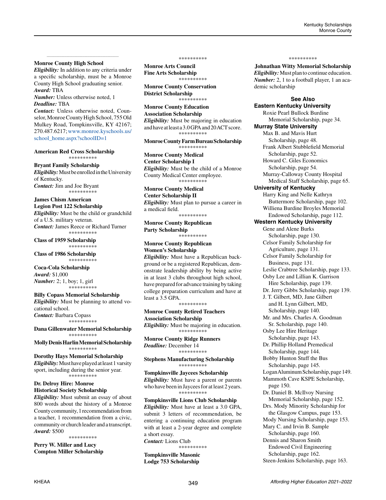# **Monroe County High School**

*Eligibility:* In addition to any criteria under a specific scholarship, must be a Monroe County High School graduating senior. *Award:* TBA

*\_\_\_\_\_\_\_\_\_\_\_\_\_\_\_\_\_\_\_\_\_\_\_\_\_\_\_\_\_\_\_\_\_\_\_\_\_\_\_\_\_\_\_\_*

*Number:* Unless otherwise noted, 1 *Deadline:* TBA

*Contact:* Unless otherwise noted, Counselor, Monroe County High School, 755 Old Mulkey Road, Tompkinsville, KY 42167; 270.487.6217; [www.monroe.kyschools.us/](http://www.monroe.kyschools.us/school_home.aspx?schoolID=1) [school\\_home.aspx?schoolID=1](http://www.monroe.kyschools.us/school_home.aspx?schoolID=1)

#### **American Red Cross Scholarship** \*\*\*\*\*\*\*\*\*\*

# **Bryant Family Scholarship**

*Eligibility:* Must be enrolled in the University of Kentucky. *Contact:* Jim and Joe Bryant \*\*\*\*\*\*\*\*\*\*

# **James Chism American**

**Legion Post 122 Scholarship** *Eligibility:* Must be the child or grandchild of a U.S. military veteran. *Contact:* James Reece or Richard Turner \*\*\*\*\*\*\*\*\*\*

**Class of 1959 Scholarship** \*\*\*\*\*\*\*\*\*\*

**Class of 1986 Scholarship** \*\*\*\*\*\*\*\*\*\*

**Coca-Cola Scholarship** *Award:* \$1,000 *Number:* 2; 1, boy; 1, girl \*\*\*\*\*\*\*\*\*\*

#### **Billy Copass Memorial Scholarship**

*Eligibility:* Must be planning to attend vocational school. *Contact:* Barbara Copass \*\*\*\*\*\*\*\*\*\*

**Dana Gillenwater Memorial Scholarship** \*\*\*\*\*\*\*\*\*\*

**Molly Denis Harlin Memorial Scholarship** \*\*\*\*\*\*\*\*\*\*

**Dorothy Hays Memorial Scholarship** *Eligibility:* Must have played at least 1 varsity sport, including during the senior year. \*\*\*\*\*\*\*\*\*\*

## **Dr. Delroy Hire: Monroe Historical Society Scholarship**

*Eligibility:* Must submit an essay of about 800 words about the history of a Monroe County community, 1 recommendation from a teacher, 1 recommendation from a civic, community or church leader and a transcript. *Award:* \$500

\*\*\*\*\*\*\*\*\*\* **Perry W. Miller and Lucy** 

**Compton Miller Scholarship**

\*\*\*\*\*\*\*\*\*\*

**Monroe Arts Council Fine Arts Scholarship** \*\*\*\*\*\*\*\*\*\*

**Monroe County Conservation District Scholarship** \*\*\*\*\*\*\*\*\*\*

**Monroe County Education Association Scholarship** *Eligibility:* Must be majoring in education and have at least a 3.0 GPA and 20 ACT score. \*\*\*\*\*\*\*\*\*\*

**Monroe County Farm Bureau Scholarship** \*\*\*\*\*\*\*\*\*\*

**Monroe County Medical Center Scholarship I** *Eligibility:* Must be the child of a Monroe County Medical Center employee. \*\*\*\*\*\*\*\*\*

**Monroe County Medical** 

**Center Scholarship II**

*Eligibility:* Must plan to pursue a career in a medical field. \*\*\*\*\*\*\*\*\*\*

**Monroe County Republican Party Scholarship**

\*\*\*\*\*\*\*\*\*\* **Monroe County Republican** 

**Women's Scholarship** *Eligibility:* Must have a Republican background or be a registered Republican, demonstrate leadership ability by being active in at least 3 clubs throughout high school, have prepared for advance training by taking college preparation curriculum and have at least a 3.5 GPA. \*\*\*\*\*\*\*\*\*\*

**Monroe County Retired Teachers Association Scholarship** *Eligibility:* Must be majoring in education.

\*\*\*\*\*\*\*\*\*\*

**Monroe County Ridge Runners** *Deadline:* December 14 \*\*\*\*\*\*\*\*\*\*

**Stephens Manufacturing Scholarship** \*\*\*\*\*\*\*\*\*\*

**Tompkinsville Jaycees Scholarship** *Eligibility:* Must have a parent or parents who have been in Jaycees for at least 2 years. \*\*\*\*\*\*\*\*\*\*

**Tompkinsville Lions Club Scholarship** *Eligibility:* Must have at least a 3.0 GPA, submit 3 letters of recommendation, be entering a continuing education program with at least a 2-year degree and complete a short essay.

*Contact:* Lions Club \*\*\*\*\*\*\*\*\*\*

**Tompkinsville Masonic Lodge 753 Scholarship**

#### \*\*\*\*\*\*\*\*\*\*

**Johnathan Witty Memorial Scholarship** *Eligibility:* Must plan to continue education. *Number:* 2, 1 to a football player, 1 an academic scholarship

**See Also**

**Eastern Kentucky University** Roxie Pearl Bullock Burdine Memorial Scholarship, page 34. **Murray State University** Max B. and Mavis Hurt Scholarship, page 48. Frank Albert Stubblefield Memorial Scholarship, page 52. Howard C. Giles Economics Scholarship, page 54. Murray-Calloway County Hospital Medical Staff Scholarship, page 65. **University of Kentucky** Harry King and Nelle Kathryn Buttermore Scholarship, page 102. Williena Burdine Broyles Memorial Endowed Scholarship, page 112. **Western Kentucky University** Gene and Alene Burks Scholarship, page 130. Celsor Family Scholarship for Agriculture, page 131. Celsor Family Scholarship for Business, page 131. Leslie Crabtree Scholarship, page 133. Osby Lee and Lillian K. Garrison Hire Scholarship, page 139. Dr. Jerry Gibbs Scholarship, page 139. J. T. Gilbert, MD, Jane Gilbert and H. Lynn Gilbert, MD, Scholarship, page 140. Mr. and Mrs. Charles A. Goodman Sr. Scholarship, page 140. Osby Lee Hire Heritage Scholarship, page 143. Dr. Phillip Holland Premedical Scholarship, page 144. Bobby Hunton Stuff the Bus Scholarship, page 145. Logan Aluminum Scholarship, page 149. Mammoth Cave KSPE Scholarship, page 150. Dr. Daniel B. McIlvoy Nursing Memorial Scholarship, page 152. Drs. Mody Minority Scholarship for the Glasgow Campus, page 153. Mody Nursing Scholarship, page 153. Mary C. and Irvin B. Sample Scholarship, page 160. Dennis and Sharon Smith Endowed Civil Engineering Scholarship, page 162.

Steen-Jenkins Scholarship, page 163.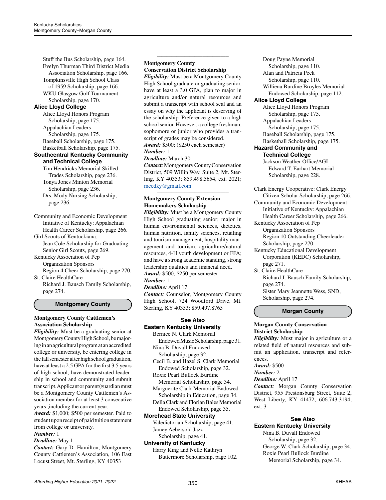Stuff the Bus Scholarship, page 164. Evelyn Thurman Third District Media Association Scholarship, page 166. Tompkinsville High School Class of 1959 Scholarship, page 166. WKU Glasgow Golf Tournament Scholarship, page 170.

# **Alice Lloyd College**

Alice Lloyd Honors Program Scholarship, page 175. Appalachian Leaders Scholarship, page 175. Baseball Scholarship, page 175. Basketball Scholarship, page 175.

# **Southcentral Kentucky Community and Technical College**

Tim Hendricks Memorial Skilled Trades Scholarship, page 236. Tonya Jones Minton Memorial Scholarship, page 236. Drs. Mody Nursing Scholarship, page 236.

Community and Economic Development Initiative of Kentucky: Appalachian Health Career Scholarship, page 266.

Girl Scouts of Kentuckiana: Jean Cole Scholarship for Graduating Senior Girl Scouts, page 269.

Kentucky Association of Pep Organization Sponsors

Region 4 Cheer Scholarship, page 270. St. Claire HealthCare

Richard J. Bausch Family Scholarship, page 274.

# **Montgomery County**

# **Montgomery County Cattlemen's Association Scholarship**

*Eligibility:* Must be a graduating senior at Montgomery County High School, be majoring in an agricultural program at an accredited college or university, be entering college in the fall semester after high school graduation, have at least a 2.5 GPA for the first 3.5 years of high school, have demonstrated leadership in school and community and submit transcript. Applicant or parent/guardian must be a Montgomery County Cattlemen's Association member for at least 3 consecutive years ,including the current year.

*Award:* \$1,000; \$500 per semester. Paid to student upon receipt of paid tuition statement from college or university.

# *Number:* 1

# *Deadline:* May 1

*Contact:* Gary D. Hamilton, Montgomery County Cattlemen's Association, 106 East Locust Street, Mt. Sterling, KY 40353

# **Montgomery County Conservation District Scholarship**

*\_\_\_\_\_\_\_\_\_\_\_\_\_\_\_\_\_\_\_\_\_\_\_\_\_\_\_\_\_\_\_\_\_\_\_\_\_\_\_\_\_\_\_\_*

*Eligibility:* Must be a Montgomery County High School graduate or graduating senior, have at least a 3.0 GPA, plan to major in agriculture and/or natural resources and submit a transcript with school seal and an essay on why the applicant is deserving of the scholarship. Preference given to a high school senior. However, a college freshman, sophomore or junior who provides a transcript of grades may be considered. *Award:* \$500; (\$250 each semester)

# *Number:* 1

*Deadline:* March 30 *Contact:* Montgomery County Conservation District, 509 Willin Way, Suite 2, Mt. Sterling, KY 40353; 859.498.5654, ext. 2021; [mccdky@gmail.com](mailto:mccdky%40gmail.com?subject=)

*\_\_\_\_\_\_\_\_\_\_\_\_\_\_\_\_\_\_\_\_\_\_\_\_\_\_\_\_\_\_\_\_\_\_\_\_\_\_\_\_\_\_\_\_*

# **Montgomery County Extension Homemakers Scholarship**

*Eligibility:* Must be a Montgomery County High School graduating senior; major in human environmental sciences, dietetics, human nutrition, family sciences, retailing and tourism management, hospitality management and tourism, agriculture/natural resources, 4-H youth development or FFA; and have a strong academic standing, strong leadership qualities and financial need. *Award:* \$500; \$250 per semester

# *Number:* 1

*Deadline:* April 17 *Contact:* Counselor, Montgomery County High School, 724 Woodford Drive, Mt. Sterling, KY 40353; 859.497.8765

# **See Also Eastern Kentucky University**

Bernice N. Clark Memorial Endowed Music Scholarship, page 31. Nina B. Duvall Endowed Scholarship, page 32.

Cecil B. and Hazel S. Clark Memorial Endowed Scholarship, page 32.

Roxie Pearl Bullock Burdine Memorial Scholarship, page 34.

Marguerite Clark Memorial Endowed Scholarship in Education, page 34. Della Clark and Florian Bales Memorial

#### Endowed Scholarship, page 35. **Morehead State University**

Valedictorian Scholarship, page 41. Jamey Aebersold Jazz

#### Scholarship, page 41. **University of Kentucky**

Harry King and Nelle Kathryn Buttermore Scholarship, page 102.

Doug Payne Memorial Scholarship, page 110. Alan and Patricia Peck Scholarship, page 110. Williena Burdine Broyles Memorial Endowed Scholarship, page 112. **Alice Lloyd College** Alice Lloyd Honors Program Scholarship, page 175. Appalachian Leaders Scholarship, page 175. Baseball Scholarship, page 175. Basketball Scholarship, page 175. **Hazard Community and** 

#### **Technical College**

Jackson Weather Office/AGI Edward T. Earhart Memorial Scholarship, page 228.

- Clark Energy Cooperative: Clark Energy Citizen Scholar Scholarship, page 266. Community and Economic Development
- Initiative of Kentucky: Appalachian Health Career Scholarship, page 266.

Kentucky Association of Pep Organization Sponsors Region 10 Outstanding Cheerleader Scholarship, page 270.

- Kentucky Educational Development Corporation (KEDC) Scholarship, page 271.
- St. Claire HealthCare Richard J. Bausch Family Scholarship, page 274.

Sister Mary Jeannette Wess, SND, Scholarship, page 274.

# **Morgan County**

# **Morgan County Conservation District Scholarship**

*Eligibility:* Must major in agriculture or a related field of natural resources and submit an application, transcript and references.

*Award:* \$500

# *Number:* 2

*Deadline:* April 17

*Contact:* Morgan County Conservation District, 955 Prestonsburg Street, Suite 2, West Liberty, KY 41472; 606.743.3194, ext. 3

# **See Also Eastern Kentucky University**

Nina B. Duvall Endowed Scholarship, page 32. George W. Clark Scholarship, page 34. Roxie Pearl Bullock Burdine Memorial Scholarship, page 34.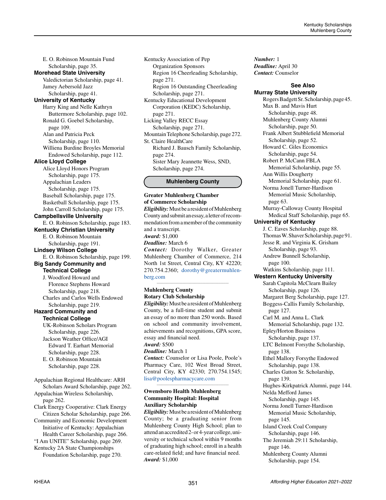E. O. Robinson Mountain Fund Scholarship, page 35. **Morehead State University** Valedictorian Scholarship, page 41. Jamey Aebersold Jazz Scholarship, page 41. **University of Kentucky** Harry King and Nelle Kathryn Buttermore Scholarship, page 102. Ronald G. Goebel Scholarship, page 109. Alan and Patricia Peck Scholarship, page 110. Williena Burdine Broyles Memorial Endowed Scholarship, page 112. **Alice Lloyd College** Alice Lloyd Honors Program Scholarship, page 175. Appalachian Leaders Scholarship, page 175. Baseball Scholarship, page 175. Basketball Scholarship, page 175. John Carroll Scholarship, page 175. **Campbellsville University** E. O. Robinson Scholarship, page 183. **Kentucky Christian University** E. O. Robinson Mountain Scholarship, page 191. **Lindsey Wilson College** E. O. Robinson Scholarship, page 199. **Big Sandy Community and Technical College** J. Woodford Howard and Florence Stephens Howard Scholarship, page 218. Charles and Carlos Wells Endowed Scholarship, page 219. **Hazard Community and Technical College** UK-Robinson Scholars Program Scholarship, page 226. Jackson Weather Office/AGI Edward T. Earhart Memorial Scholarship, page 228. E. O. Robinson Mountain Scholarship, page 228. Appalachian Regional Healthcare: ARH Scholars Award Scholarship, page 262. Appalachian Wireless Scholarship, page 262. Clark Energy Cooperative: Clark Energy Citizen Scholar Scholarship, page 266. Community and Economic Development Initiative of Kentucky: Appalachian Health Career Scholarship, page 266.

"I Am UNITE" Scholarship, page 269. Kentucky 2A State Championships Foundation Scholarship, page 270.

Organization Sponsors Region 16 Cheerleading Scholarship, page 271. Region 16 Outstanding Cheerleading Scholarship, page 271. Kentucky Educational Development Corporation (KEDC) Scholarship, page 271. Licking Valley RECC Essay Scholarship, page 271. Mountain Telephone Scholarship, page 272. St. Claire HealthCare Richard J. Bausch Family Scholarship, page 274. Sister Mary Jeannette Wess, SND, Scholarship, page 274.

Kentucky Association of Pep

## **Muhlenberg County**

# **Greater Muhlenberg Chamber of Commerce Scholarship** *Eligibility:* Must be a resident of Muhlenberg

County and submit an essay, a letter of recommendation from a member of the community and a transcript. *Award:* \$1,000 *Deadline:* March 6 *Contact:* Dorothy Walker, Greater Muhlenberg Chamber of Commerce, 214 North 1st Street, Central City, KY 42220; 270.754.2360; [dorothy@greatermuhlen](mailto:dorothy%40greatermuhlenberg.com?subject=)[berg.com](mailto:dorothy%40greatermuhlenberg.com?subject=)*\_\_\_\_\_\_\_\_\_\_\_\_\_\_\_\_\_\_\_\_\_\_\_\_\_\_\_\_\_\_\_\_\_\_\_\_\_\_\_\_\_\_\_\_*

#### **Muhlenberg County Rotary Club Scholarship**

*Eligibility:* Must be a resident of Muhlenberg County, be a full-time student and submit an essay of no more than 250 words. Based on school and community involvement, achievements and recognitions, GPA score, essay and financial need.

# *Award:* \$500

*Deadline:* March 1 *Contact:* Counselor or Lisa Poole, Poole's Pharmacy Care, 102 West Broad Street, Central City, KY 42330; 270.754.1545; [lisa@poolespharmacycare.com](mailto:lisa%40poolespharmacycare.com?subject=)

*\_\_\_\_\_\_\_\_\_\_\_\_\_\_\_\_\_\_\_\_\_\_\_\_\_\_\_\_\_\_\_\_\_\_\_\_\_\_\_\_\_\_\_\_*

### **Owensboro Health Muhlenberg Community Hospital: Hospital Auxiliary Scholarship**

*Eligibility:* Must be a resident of Muhlenberg County; be a graduating senior from Muhlenberg County High School; plan to attend an accredited 2- or 4-year college, university or technical school within 9 months of graduating high school; enroll in a health care-related field; and have financial need. *Award:* \$1,000

*Number:* 1 *Deadline:* April 30 *Contact:* Counselor

#### **See Also Murray State University**

Rogers Badgett Sr. Scholarship, page 45. Max B. and Mavis Hurt Scholarship, page 48. Muhlenberg County Alumni Scholarship, page 50. Frank Albert Stubblefield Memorial Scholarship, page 52. Howard C. Giles Economics Scholarship, page 54. Robert P. McCann FBLA Memorial Scholarship, page 55. Ann Willis Dougherty Memorial Scholarship, page 61. Norma Jonell Turner-Hardison Memorial Music Scholarship, page 63. Murray-Calloway County Hospital Medical Staff Scholarship, page 65. **University of Kentucky** J. C. Eaves Scholarship, page 88. Thomas W. Shaver Scholarship, page 91. Jesse R. and Virginia K. Grisham Scholarship, page 93. Andrew Bunnell Scholarship, page 100. Watkins Scholarship, page 111. **Western Kentucky University** Sarah Capitola McClearn Bailey Scholarship, page 126. Margaret Berg Scholarship, page 127. Boggess-Callis Family Scholarship, page 127. Carl M. and Anna L. Clark Memorial Scholarship, page 132. Epley/Horton Business Scholarship, page 137. LTC Belmont Forsythe Scholarship, page 138. Ethel Mallory Forsythe Endowed Scholarship, page 138. Charles Gatton Sr. Scholarship, page 139. Hughes-Kirkpatrick Alumni, page 144. Nelda Mefford James Scholarship, page 145. Norma Jonell Turner-Hardison Memorial Music Scholarship, page 145. Island Creek Coal Company Scholarship, page 146. The Jeremiah 29:11 Scholarship, page 146. Muhlenberg County Alumni Scholarship, page 154.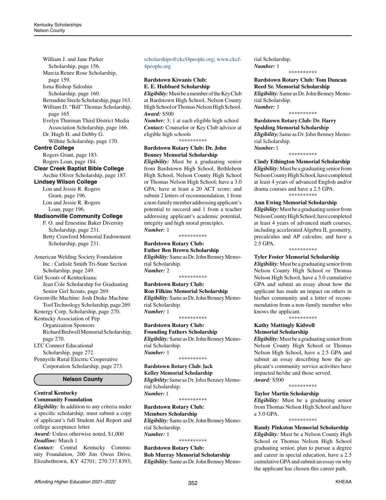William J. and Jane Parker Scholarship, page 156. Marcia Renee Rose Scholarship, page 159. Isma Bishop Saloshin Scholarship, page 160. Bernadine Steele Scholarship, page 163. William D. "Bill" Thomas Scholarship, page 165. Evelyn Thurman Third District Media Association Scholarship, page 166. Dr. Hugh H. and Debby G. Wilhite Scholarship, page 170. **Centre College** Rogers Grant, page 183. Rogers Loan, page 184. **Clear Creek Baptist Bible College** Archie Oliver Scholarship, page 187. **Lindsey Wilson College** Lon and Jessie R. Rogers Grant, page 196. Lon and Jessie R. Rogers Loan, page 196. **Madisonville Community College** F. O. and Ernestine Baker Diversity Scholarship, page 231. Betty Crawford Memorial Endowment Scholarship, page 231. American Welding Society Foundation Inc.: Carlisle Smith Tri-State Section Scholarship, page 249. Girl Scouts of Kentuckiana: Jean Cole Scholarship for Graduating Senior Girl Scouts, page 269. Greenville Machine: Josh Drake Machine Tool Technology Scholarship, page 269. Kenergy Corp. Scholarship, page 270. Kentucky Association of Pep Organization Sponsors Richard Bedwell Memorial Scholarship, page 270. LTC Connect Educational Scholarship, page 272. Pennyrile Rural Electric Cooperative Corporation Scholarship, page 273. **Nelson County Central Kentucky Community Foundation**

*Eligibility:* In addition to any criteria under a specific scholarship, must submit a copy of applicant's full Student Aid Report and college acceptance letter. *Award:* Unless otherwise noted, \$1,000

*Deadline:* March 1

*Contact:* Central Kentucky Community Foundation, 200 Jim Owen Drive, Elizabethtown, KY 42701; 270.737.8393;

# [scholarships@ckcf4people.org](mailto:scholarships%40ckcf4people.org?subject=); [www.ckcf-](http://www.ckcf4people.org)[4people.org](http://www.ckcf4people.org)

# **Bardstown Kiwanis Club: E. E. Hubbard Scholarship**

*Eligibility:* Must be a member of the Key Club at Bardstown High School, Nelson County High School or Thomas Nelson High School. *Award:* \$500

*Number:* 3; 1 at each eligible high school *Contact:* Counselor or Key Club advisor at eligible high schools

\*\*\*\*\*\*\*\*\*\*

# **Bardstown Rotary Club: Dr. John Benney Memorial Scholarship**

*Eligibility:* Must be a graduating senior from Bardstown High School, Bethlehem High School, Nelson County High School or Thomas Nelson High School; have a 3.0 GPA; have at least a 20 ACT score; and submit 2 letters of recommendation, 1 from a non-family member addressing applicant's potential to succeed and 1 from a teacher addressing applicant's academic potential, integrity and high moral principles. *Number:* 1

\*\*\*\*\*\*\*\*\*\*

# **Bardstown Rotary Club:**

**Father Ben Brown Scholarship** *Eligibility:* Same as Dr. John Benney Memorial Scholarship. *Number:* 2

\*\*\*\*\*\*\*\*\*\*

#### **Bardstown Rotary Club: Ron Filkins Memorial Scholarship** *Eligibility:* Same as Dr. John Benney Memorial Scholarship. *Number:* 1

\*\*\*\*\*\*\*\*\*\*

# **Bardstown Rotary Club:**

**Founding Fathers Scholarship** *Eligibility:* Same as Dr. John Benney Memorial Scholarship. *Number:* 1 \*\*\*\*\*\*\*\*\*\*

**Bardstown Rotary Club: Jack**

# **Kelley Memorial Scholarship**

*Eligibility:* Same as Dr. John Benney Memorial Scholarship. *Number:* 1

\*\*\*\*\*\*\*\*\*\*

# **Bardstown Rotary Club:**

**Members Scholarship** *Eligibility:* Same as Dr. John Benney Memorial Scholarship. *Number:* 1

\*\*\*\*\*\*\*\*\*\*

**Bardstown Rotary Club: Bob Murray Memorial Scholarship** *Eligibility:* Same as Dr. John Benney Memorial Scholarship. *Number:* 1 \*\*\*\*\*\*\*\*\*\*

## **Bardstown Rotary Club: Tom Duncan Reed Sr. Memorial Scholarship** *Eligibility:* Same as Dr. John Benney Memorial Scholarship. *Number:* 1

\*\*\*\*\*\*\*\*\*\*

## **Bardstown Rotary Club: Dr. Harry Spalding Memorial Scholarship** *Eligibility:* Same as Dr. John Benney Memorial Scholarship.

*Number:* 1 \*\*\*\*\*\*\*\*\*\*

**Cindy Ethington Memorial Scholarship** *Eligibility:* Must be a graduating senior from Nelson County High School, have completed at least 4 years of advanced English and/or drama courses and have a 2.5 GPA. \*\*\*\*\*\*\*\*\*\*

## **Ann Ewing Memorial Scholarship**

*Eligibility:* Must be a graduating senior from Nelson County High School; have completed at least 4 years of advanced math courses, including accelerated Algebra II, geometry, precalculus and AP calculus; and have a 2.5 GPA.

\*\*\*\*\*\*\*\*\*\*

## **Tyler Foster Memorial Scholarship**

*Eligibility:* Must be a graduating senior from Nelson County High School or Thomas Nelson High School, have a 3.0 cumulative GPA and submit an essay about how the applicant has made an impact on others in his/her community and a letter of recommendation from a non-family member who knows the applicant.

\*\*\*\*\*\*\*\*\*\*

#### **Kathy Mattingly Kidwell Memorial Scholarship**

*Eligibility:* Must be a graduating senior from Nelson County High School or Thomas Nelson High School, have a 2.5 GPA and submit an essay describing how the applicant's community service activities have impacted he/she and those served. *Award:* \$500

\*\*\*\*\*\*\*\*\*\*

#### **Taylor Martin Scholarship**

*Eligibility:* Must be a graduating senior from Thomas Nelson High School and have a 3.0 GPA.

\*\*\*\*\*\*\*\*\*\*

# **Randy Pinkston Memorial Scholarship**

*Eligibility:* Must be a Nelson County High School or Thomas Nelson High School graduating senior, plan to pursue a degree and career in special education, have a 2.5 cumulative GPA and submit an essay on why the applicant has chosen this career path.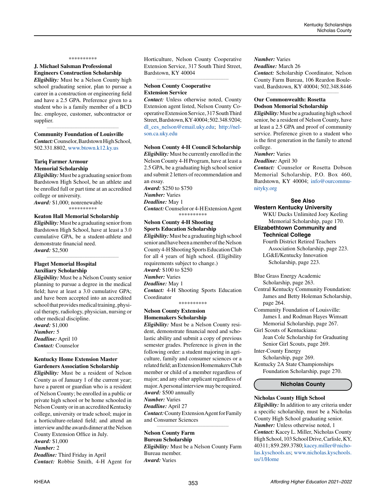#### \*\*\*\*\*\*\*\*\*\*

# **J. Michael Salsman Professional Engineers Construction Scholarship**

*Eligibility:* Must be a Nelson County high school graduating senior, plan to pursue a career in a construction or engineering field and have a 2.5 GPA. Preference given to a student who is a family member of a BCD Inc. employee, customer, subcontractor or supplier.

### *\_\_\_\_\_\_\_\_\_\_\_\_\_\_\_\_\_\_\_\_\_\_\_\_\_\_\_\_\_\_\_\_\_\_\_\_\_\_\_\_\_\_\_\_* **Community Foundation of Louisville**

*Contact:* Counselor, Bardstown High School, 502.331.8802, [www.btown.k12.ky.us](http://www.btown.k12.ky.us)

### **Tariq Farmer Armour Memorial Scholarship**

*Eligibility:* Must be a graduating senior from Bardstown High School, be an athlete and be enrolled full or part time at an accredited college or university.

*Award:* \$1,000; nonrenewable \*\*\*\*\*\*\*\*\*\*

#### **Keaton Hall Memorial Scholarship**

*Eligibility:* Must be a graduating senior from Bardstown High School, have at least a 3.0 cumulative GPA, be a student-athlete and demonstrate financial need. *Award:* \$2,500

*\_\_\_\_\_\_\_\_\_\_\_\_\_\_\_\_\_\_\_\_\_\_\_\_\_\_\_\_\_\_\_\_\_\_\_\_\_\_\_\_\_\_\_\_*

# **Flaget Memorial Hospital Auxiliary Scholarship**

*Eligibility:* Must be a Nelson County senior planning to pursue a degree in the medical field; have at least a 3.0 cumulative GPA; and have been accepted into an accredited school that provides medical training, physical therapy, radiology, physician, nursing or other medical discipline.

*Award:* \$1,000 *Number:* 5 *Deadline:* April 10 *Contact:* Counselor

### **Kentucky Home Extension Master Gardeners Association Scholarship**

*\_\_\_\_\_\_\_\_\_\_\_\_\_\_\_\_\_\_\_\_\_\_\_\_\_\_\_\_\_\_\_\_\_\_\_\_\_\_\_\_\_\_\_\_*

*Eligibility:* Must be a resident of Nelson County as of January 1 of the current year; have a parent or guardian who is a resident of Nelson County; be enrolled in a public or private high school or be home schooled in Nelson County or in an accredited Kentucky college, university or trade school; major in a horticulture-related field; and attend an interview and the awards dinner at the Nelson County Extension Office in July.

#### *Award:* \$1,000 *Number:* 2

*Deadline:* Third Friday in April *Contact:* Robbie Smith, 4-H Agent for Horticulture, Nelson County Cooperative Extension Service, 317 South Third Street, Bardstown, KY 40004 *\_\_\_\_\_\_\_\_\_\_\_\_\_\_\_\_\_\_\_\_\_\_\_\_\_\_\_\_\_\_\_\_\_\_\_\_\_\_\_\_\_\_\_\_*

## **Nelson County Cooperative Extension Service**

*Contact:* Unless otherwise noted, County Extension agent listed, Nelson County Cooperative Extension Service, 317 South Third Street, Bardstown, KY 40004; 502.348.9204; [dl\\_ces\\_nelson@email.uky.edu](mailto:dl_ces_nelson%40email.uky.edu?subject=); [http://nel](http://nelson.ca.uky.edu)[son.ca.uky.edu](http://nelson.ca.uky.edu)

#### **Nelson County 4-H Council Scholarship**

*Eligibility:* Must be currently enrolled in the Nelson County 4-H Program, have at least a 2.5 GPA, be a graduating high school senior and submit 2 letters of recommendation and an essay. *Award:* \$250 to \$750 *Number:* Varies *Deadline:* May 1 *Contact:* Counselor or 4-H Extension Agent \*\*\*\*\*\*\*\*\*\* **Nelson County 4-H Shooting Sports Education Scholarship**

*Eligibility:* Must be a graduating high school senior and have been a member of the Nelson County 4-H Shooting Sports Education Club for all 4 years of high school. (Eligibility requirements subject to change.) *Award:* \$100 to \$250 *Number:* Varies *Deadline:* May 1 *Contact:* 4-H Shooting Sports Education Coordinator \*\*\*\*\*\*\*\*\*\*

### **Nelson County Extension Homemakers Scholarship**

*Eligibility:* Must be a Nelson County resident, demonstrate financial need and scholastic ability and submit a copy of previous semester grades. Preference is given in the following order: a student majoring in agriculture, family and consumer sciences or a related field; an Extension Homemakers Club member or child of a member regardless of major; and any other applicant regardless of major. A personal interview may be required. *Award:* \$500 annually *Number:* Varies

*Deadline:* April 27 *Contact:* County Extension Agent for Family and Consumer Sciences *\_\_\_\_\_\_\_\_\_\_\_\_\_\_\_\_\_\_\_\_\_\_\_\_\_\_\_\_\_\_\_\_\_\_\_\_\_\_\_\_\_\_\_\_*

# **Nelson County Farm Bureau Scholarship** *Eligibility:* Must be a Nelson County Farm Bureau member. *Award:* Varies

*Number:* Varies

*Deadline:* March 26 *Contact:* Scholarship Coordinator, Nelson County Farm Bureau, 106 Reardon Boule-

vard, Bardstown, KY 40004; 502.348.8446 *\_\_\_\_\_\_\_\_\_\_\_\_\_\_\_\_\_\_\_\_\_\_\_\_\_\_\_\_\_\_\_\_\_\_\_\_\_\_\_\_\_\_\_\_*

# **Our Commonwealth: Rosetta Dodson Memorial Scholarship**

*Eligibility:* Must be a graduating high school senior, be a resident of Nelson County, have at least a 2.5 GPA and proof of community service. Preference given to a student who is the first generation in the family to attend college.

# *Number:* Varies

*Deadline:* April 30

*Contact:* Counselor or Rosetta Dobson Memorial Scholarship, P.O. Box 460, Bardstown, KY 40004; [info@ourcommu](mailto:info%40ourcommunityky.org?subject=)[nityky.org](mailto:info%40ourcommunityky.org?subject=)

## **See Also Western Kentucky University**

WKU Ducks Unlimited Joey Keeling Memorial Scholarship, page 170.

# **Elizabethtown Community and Technical College**

Fourth District Retired Teachers Association Scholarship, page 223. LG&E/Kentucky Innovation Scholarship, page 223.

Blue Grass Energy Academic

Scholarship, page 263.

- Central Kentucky Community Foundation: James and Betty Holeman Scholarship, page 264.
- Community Foundation of Louisville: James I. and Rodman Hayes Wimsatt Memorial Scholarship, page 267.
- Girl Scouts of Kentuckiana:

Jean Cole Scholarship for Graduating Senior Girl Scouts, page 269.

Inter-County Energy

Scholarship, page 269.

Kentucky 2A State Championships Foundation Scholarship, page 270.

# **Nicholas County**

# **Nicholas County High School**

*Eligibility:* In addition to any criteria under a specific scholarship, must be a Nicholas County High School graduating senior. *Number:* Unless otherwise noted, 1 *Contact:* Kacey L. Miller, Nicholas County High School, 103 School Drive, Carlisle, KY, 40311; 859.289.3780; [kacey.miller@nicho](mailto:kacey.miller%40nicholas.kyschools.us?subject=)[las.kyschools.us;](mailto:kacey.miller%40nicholas.kyschools.us?subject=) [www.nicholas.kyschools.](http://www.nicholas.kyschools.us/1/Home) [us/1/Home](http://www.nicholas.kyschools.us/1/Home)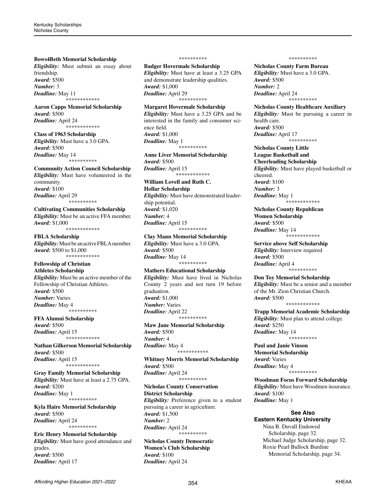#### **Bows4Beth Memorial Scholarship**

*Eligibility:* Must submit an essay about friendship. *Award:* \$500 *Number:* 3 *Deadline:* May 11 \*\*\*\*\*\*\*\*\*\*\*\*

**Aaron Capps Memorial Scholarship** *Award:* \$500 *Deadline:* April 24 \*\*\*\*\*\*\*\*\*\*\*\*

**Class of 1963 Scholarship** *Eligibility:* Must have a 3.0 GPA. *Award:* \$500 *Deadline:* May 14 \*\*\*\*\*\*\*\*\*\*

# **Community Action Council Scholarship**

*Eligibility:* Must have volunteered in the community. *Award:* \$100 *Deadline:* April 29 \*\*\*\*\*\*\*\*\*\*

**Cultivating Communities Scholarship** *Eligibility:* Must be an active FFA member. *Award:* \$1,000 \*\*\*\*\*\*\*\*\*\*\*\*

**FBLA Scholarship** *Eligibility:* Must be an active FBLA member. *Award:* \$500 to \$1,000 \*\*\*\*\*\*\*\*\*\*\*\*

## **Fellowship of Christian Athletes Scholarship**

*Eligibility:* Must be an active member of the Fellowship of Christian Athletes. *Award:* \$500 *Number:* Varies *Deadline:* May 4 \*\*\*\*\*\*\*\*\*\*

## **FFA Alumni Scholarship**

*Award:* \$500 *Deadline:* April 15 \*\*\*\*\*\*\*\*\*\*\*\*

**Nathan Gilkerson Memorial Scholarship** *Award:* \$500 *Deadline:* April 15 \*\*\*\*\*\*\*\*\*\*\*\*

**Gray Family Memorial Scholarship** *Eligibility:* Must have at least a 2.75 GPA. *Award:* \$200 *Deadline:* May 1 \*\*\*\*\*\*\*\*\*\*

**Kyla Haire Memorial Scholarship** *Award:* \$500 *Deadline:* April 24 \*\*\*\*\*\*\*\*\*\*

**Eric Henry Memorial Scholarship** *Eligibility:* Must have good attendance and grades. *Award:* \$500 *Deadline:* April 17

#### \*\*\*\*\*\*\*\*\*\*

**Badger Hovermale Scholarship** *Eligibility:* Must have at least a 3.25 GPA and demonstrate leadership qualities. *Award:* \$1,000 *Deadline:* April 29 \*\*\*\*\*\*\*\*\*\*

**Margaret Hovermale Scholarship** *Eligibility:* Must have a 3.25 GPA and be interested in the family and consumer science field. *Award:* \$1,000 *Deadline:* May 1 \*\*\*\*\*\*\*\*\*\*

**Anne Liver Memorial Scholarship** *Award:* \$500 *Deadline:* April 15 \*\*\*\*\*\*\*\*\*\*\*\*

**William Lovell and Ruth C. Hollar Scholarship** *Eligibility:* Must have demonstrated leadership potential. *Award:* \$1,020 *Number:* 4 *Deadline:* April 15 \*\*\*\*\*\*\*\*\*\*

**Clay Mann Memorial Scholarship** *Eligibility:* Must have a 3.0 GPA. *Award:* \$500 *Deadline:* May 14 \*\*\*\*\*\*\*\*\*\*

**Mathers Educational Scholarship** *Eligibility:* Must have lived in Nicholas County 2 years and not turn 19 before graduation. *Award:* \$1,000 *Number:* Varies *Deadline:* April 22 \*\*\*\*\*\*\*\*\*

**Maw Jane Memorial Scholarship** *Award:* \$500 *Number:* 4 *Deadline:* May 4 \*\*\*\*\*\*\*\*\*\*\*

**Whitney Morris Memorial Scholarship** *Award:* \$500 *Deadline:* April 24 \*\*\*\*\*\*\*\*\*\*

**Nicholas County Conservation District Scholarship** *Eligibility:* Preference given to a student pursuing a career in agriculture. *Award:* \$1,500 *Number:* 2 *Deadline:* April 24 \*\*\*\*\*\*\*\*\*\*

**Nicholas County Democratic Women's Club Scholarship** *Award:* \$100 *Deadline:* April 24

#### \*\*\*\*\*\*\*\*\*\*

**Nicholas County Farm Bureau** *Eligibility:* Must have a 3.0 GPA. *Award:* \$500 *Number:* 2 *Deadline:* April 24 \*\*\*\*\*\*\*\*\*\*

**Nicholas County Healthcare Auxiliary** *Eligibility:* Must be pursuing a career in health care. *Award:* \$500 *Deadline:* April 17 \*\*\*\*\*\*\*\*\*\*

**Nicholas County Little League Basketball and Cheerleading Scholarship** *Eligibility:* Must have played basketball or cheered. *Award:* \$100 *Number:* 3 *Deadline:* May 1 \*\*\*\*\*\*\*\*\*\*\*\*

**Nicholas County Republican Women Scholarship** *Award:* \$500 *Deadline:* May 14 \*\*\*\*\*\*\*\*\*\*\*\*

**Service above Self Scholarship** *Eligibility:* Interview required *Award:* \$500 *Deadline:* April 4 \*\*\*\*\*\*\*\*\*\*

**Don Toy Memorial Scholarship** *Eligibility:* Must be a senior and a member of the Mt. Zion Christian Church. *Award:* \$500 \*\*\*\*\*\*\*\*\*\*\*\*

**Trapp Memorial Academic Scholarship** *Eligibility:* Must plan to attend college. *Award:* \$250 *Deadline:* May 14 \*\*\*\*\*\*\*\*\*\*

**Paul and Janie Vinson Memorial Scholarship** *Award:* Varies *Deadline:* May 4 \*\*\*\*\*\*\*\*\*\*

**Woodman Focus Forward Scholarship** *Eligibility:* Must have Woodmen insurance. *Award:* \$100 *Deadline:* May 1

# **See Also Eastern Kentucky University**

Nina B. Duvall Endowed Scholarship, page 32. Michael Judge Scholarship, page 32. Roxie Pearl Bullock Burdine Memorial Scholarship, page 34.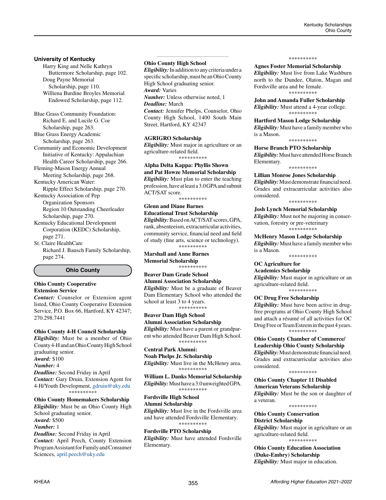# **University of Kentucky**

Harry King and Nelle Kathryn Buttermore Scholarship, page 102. Doug Payne Memorial Scholarship, page 110. Williena Burdine Broyles Memorial Endowed Scholarship, page 112.

Blue Grass Community Foundation: Richard E. and Lucile G. Coe Scholarship, page 263.

Blue Grass Energy Academic Scholarship, page 263.

Community and Economic Development Initiative of Kentucky: Appalachian Health Career Scholarship, page 266.

Fleming-Mason Energy Annual Meeting Scholarship, page 268.

Kentucky American Water:

Ripple Effect Scholarship, page 270. Kentucky Association of Pep Organization Sponsors

Region 10 Outstanding Cheerleader Scholarship, page 270.

Kentucky Educational Development Corporation (KEDC) Scholarship, page 271.

St. Claire HealthCare Richard J. Bausch Family Scholarship, page 274.

**Ohio County**

#### **Ohio County Cooperative Extension Service**

*Contact:* Counselor or Extension agent listed, Ohio County Cooperative Extension Service, P.O. Box 66, Hartford, KY 42347; 270.298.7441

# **Ohio County 4-H Council Scholarship**

*Eligibility:* Must be a member of Ohio County 4-H and an Ohio County High School graduating senior. *Award:* \$100 *Number:* 4 *Deadline:* Second Friday in April *Contact:* Gary Druin, Extension Agent for 4-H/Youth Development, [gdruin@uky.edu](mailto:gdruin%40uky.edu?subject=) \*\*\*\*\*\*\*\*\*\* **Ohio County Homemakers Scholarship** *Eligibility:* Must be an Ohio County High

School graduating senior. *Award:* \$500 *Number:* 1

*Deadline:* Second Friday in April *Contact:* April Peech, County Extension Program Assistant for Family and Consumer Sciences, [april.peech@uky.edu](mailto:april.peech%40uky.edu?subject=)

## **Ohio County High School**

*Eligibility:*In addition to any criteria under a specific scholarship, must be an Ohio County High School graduating senior.

*\_\_\_\_\_\_\_\_\_\_\_\_\_\_\_\_\_\_\_\_\_\_\_\_\_\_\_\_\_\_\_\_\_\_\_\_\_\_\_\_\_\_\_\_*

*Award:* Varies

*Number:* Unless otherwise noted, 1

# *Deadline:* March

*Contact:* Jennifer Phelps, Counselor, Ohio County High School, 1400 South Main Street, Hartford, KY 42347

#### **AGRIGRO Scholarship**

*Eligibility:* Must major in agriculture or an agriculture-related field. \*\*\*\*\*\*\*\*\*\*

**Alpha Delta Kappa: Phyllis Shown and Pat Howze Memorial Scholarship** *Eligibility:* Must plan to enter the teaching profession, have at least a 3.0 GPA and submit ACT/SAT score. \*\*\*\*\*\*\*\*\*\*

# **Glenn and Diane Barnes**

**Educational Trust Scholarship** *Eligibility:*Based on ACT/SAT scores, GPA, rank, absenteeism, extracurricular activities, community service, financial need and field of study (fine arts, science or technology). \*\*\*\*\*\*\*\*\*\*

**Marshall and Anne Barnes Memorial Scholarship** \*\*\*\*\*\*\*\*\*\*

#### **Beaver Dam Grade School Alumni Association Scholarship** *Eligibility:* Must be a graduate of Beaver

Dam Elementary School who attended the school at least 3 to 4 years. \*\*\*\*\*\*\*\*\*\*

# **Beaver Dam High School**

**Alumni Association Scholarship** *Eligibility:* Must have a parent or grandparent who attended Beaver Dam High School. \*\*\*\*\*\*\*\*\*\*

# **Central Park Alumni:**

**Noah Phelps Jr. Scholarship** *Eligibility:* Must live in the McHenry area. \*\*\*\*\*\*\*\*\*\*

**William L. Danks Memorial Scholarship** *Eligibility:* Must have a 3.0 unweighted GPA. \*\*\*\*\*\*\*\*\*\*

## **Fordsville High School Alumni Scholarship**

*Eligibility:* Must live in the Fordsville area and have attended Fordsville Elementary. \*\*\*\*\*\*\*\*\*\*

**Fordsville PTO Scholarship** *Eligibility:* Must have attended Fordsville Elementary.

#### \*\*\*\*\*\*\*\*\*\*

**Agnes Foster Memorial Scholarship** *Eligibility:* Must live from Lake Washburn

north to the Dundee, Olaton, Magan and Fordsville area and be female. \*\*\*\*\*\*\*\*\*\*

#### **John and Amanda Fuller Scholarship** *Eligibility:* Must attend a 4-year college.

\*\*\*\*\*\*\*\*\*\*

**Hartford Mason Lodge Scholarship** *Eligibility:* Must have a family member who is a Mason.

\*\*\*\*\*\*\*\*\*\*

**Horse Branch PTO Scholarship** *Eligibility:*Must have attended Horse Branch Elementary. \*\*\*\*\*\*\*\*\*\*

# **Lillian Monroe Jones Scholarship**

*Eligibility:* Must demonstrate financial need. Grades and extracurricular activities also considered.

\*\*\*\*\*\*\*\*\*\*

**Josh Lynch Memorial Scholarship** *Eligibility:* Must not be majoring in conservation, forestry or pre-veterinary \*\*\*\*\*\*\*\*\*\*

**McHenry Mason Lodge Scholarship** *Eligibility:* Must have a family member who is a Mason.

\*\*\*\*\*\*\*\*\*\*

**OC Agriculture for** 

**Academics Scholarship** *Eligibility:* Must major in agriculture or an agriculture-related field. \*\*\*\*\*\*\*\*\*\*

**OC Drug Free Scholarship**

*Eligibility:* Must have been active in drugfree programs at Ohio County High School and attach a résumé of all activities for OC Drug Free or Team Esteem in the past 4 years. \*\*\*\*\*\*\*\*\*\*

# **Ohio County Chamber of Commerce/ Leadership Ohio County Scholarship**

*Eligibility:* Must demonstrate financial need. Grades and extracurricular activities also considered.

\*\*\*\*\*\*\*\*\*\*

**Ohio County Chapter 11 Disabled American Veterans Scholarship** *Eligibility:* Must be the son or daughter of a veteran. \*\*\*\*\*\*\*\*\*\*

**Ohio County Conservation** 

**District Scholarship**

*Eligibility:* Must major in agriculture or an agriculture-related field. \*\*\*\*\*\*\*\*\*\*

**Ohio County Education Association (Duke-Embry) Scholarship** *Eligibility:* Must major in education.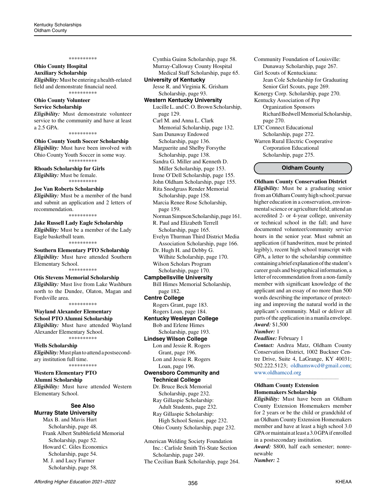# **Ohio County Hospital Auxiliary Scholarship**

*Eligibility:*Must be entering a health-related field and demonstrate financial need. \*\*\*\*\*\*\*\*\*\*

#### **Ohio County Volunteer Service Scholarship**

*Eligibility:* Must demonstrate volunteer service to the community and have at least a 2.5 GPA.

\*\*\*\*\*\*\*\*\*\*

#### **Ohio County Youth Soccer Scholarship** *Eligibility:* Must have been involved with Ohio County Youth Soccer in some way. \*\*\*\*\*\*\*\*\*\*

**Rhoads Scholarship for Girls** *Eligibility:* Must be female.

#### \*\*\*\*\*\*\*\*\*\*

**Joe Van Roberts Scholarship** *Eligibility:* Must be a member of the band and submit an application and 2 letters of recommendation.

#### \*\*\*\*\*\*\*\*\*\*

**Jake Russell Lady Eagle Scholarship** *Eligibility:* Must be a member of the Lady Eagle basketball team. \*\*\*\*\*\*\*\*\*\*

**Southern Elementary PTO Scholarship** *Eligibility:* Must have attended Southern Elementary School. \*\*\*\*\*\*\*\*\*\*

#### **Otis Stevens Memorial Scholarship** *Eligibility:* Must live from Lake Washburn north to the Dundee, Olaton, Magan and Fordsville area. \*\*\*\*\*\*\*\*\*\*

**Wayland Alexander Elementary School PTO Alumni Scholarship** *Eligibility:* Must have attended Wayland Alexander Elementary School. \*\*\*\*\*\*\*\*\*\*

**Wells Scholarship** *Eligibility:*Must plan to attend a postsecondary institution full time. \*\*\*\*\*\*\*\*\*\*

**Western Elementary PTO Alumni Scholarship** *Eligibility:* Must have attended Western Elementary School.

#### **See Also Murray State University**

Max B. and Mavis Hurt Scholarship, page 48. Frank Albert Stubblefield Memorial Scholarship, page 52. Howard C. Giles Economics Scholarship, page 54. M. J. and Lucy Farmer Scholarship, page 58.

Cynthia Guinn Scholarship, page 58. Murray-Calloway County Hospital Medical Staff Scholarship, page 65.

# **University of Kentucky**

Jesse R. and Virginia K. Grisham Scholarship, page 93.

# **Western Kentucky University**

Lucille L. and C. O. Brown Scholarship, page 129. Carl M. and Anna L. Clark

 Memorial Scholarship, page 132. Sam Dunaway Endowed

Scholarship, page 136.

Marguerite and Shelby Forsythe Scholarship, page 138.

Sandra G. Miller and Kenneth D.

 Miller Scholarship, page 153. Irene O'Dell Scholarship, page 155.

John Oldham Scholarship, page 155.

Rita Snodgrass Render Memorial Scholarship, page 158.

Marcia Renee Rose Scholarship, page 159.

Norman Simpson Scholarship, page 161. R. Paul and Elizabeth Terrell

Scholarship, page 165.

Evelyn Thurman Third District Media Association Scholarship, page 166.

Dr. Hugh H. and Debby G. Wilhite Scholarship, page 170. Wilson Scholars Program

Scholarship, page 170.

**Campbellsville University** Bill Himes Memorial Scholarship, page 182.

**Centre College**

Rogers Grant, page 183. Rogers Loan, page 184.

**Kentucky Wesleyan College** Bob and Erlene Himes

 Scholarship, page 193. **Lindsey Wilson College**

Lon and Jessie R. Rogers Grant, page 196. Lon and Jessie R. Rogers Loan, page 196.

# **Owensboro Community and Technical College**

Dr. Bruce Beck Memorial Scholarship, page 232. Ray Gillaspie Scholarship: Adult Students, page 232. Ray Gillaspie Scholarship: High School Senior, page 232. Ohio County Scholarship, page 232.

American Welding Society Foundation Inc.: Carlisle Smith Tri-State Section Scholarship, page 249. The Cecilian Bank Scholarship, page 264. Community Foundation of Louisville: Dunaway Scholarship, page 267. Girl Scouts of Kentuckiana: Jean Cole Scholarship for Graduating Senior Girl Scouts, page 269. Kenergy Corp. Scholarship, page 270. Kentucky Association of Pep Organization Sponsors Richard Bedwell Memorial Scholarship, page 270. LTC Connect Educational Scholarship, page 272. Warren Rural Electric Cooperative Corporation Educational Scholarship, page 275.

# **Oldham County**

**Oldham County Conservation District** *Eligibility:* Must be a graduating senior from an Oldham County high school; pursue higher education in a conservation, environmental science or agriculture field; attend an accredited 2- or 4-year college, university or technical school in the fall; and have documented volunteer/community service hours in the senior year. Must submit an application (if handwritten, must be printed legibly), recent high school transcript with GPA, a letter to the scholarship committee containing a brief explanation of the student's career goals and biographical information, a letter of recommendation from a non-family member with significant knowledge of the applicant and an essay of no more than 500 words describing the importance of protecting and improving the natural world in the applicant's community. Mail or deliver all parts of the application in a manila envelope. *Award:* \$1,500

#### *Number:* 1

*Deadline:* February 1

*Contact:* Andrea Matz, Oldham County Conservation District, 1002 Buckner Centre Drive, Suite 4, LaGrange, KY 40031; 502.222.5123; [oldhamswcd@gmail.com](mailto:oldhamswcd%40gmail.com?subject=); [www.oldhamccd.org](http://www.oldhamccd.org) *\_\_\_\_\_\_\_\_\_\_\_\_\_\_\_\_\_\_\_\_\_\_\_\_\_\_\_\_\_\_\_\_\_\_\_\_\_\_\_\_\_\_\_\_*

#### **Oldham County Extension Homemakers Scholarship**

*Eligibility:* Must have been an Oldham County Extension Homemakers member for 2 years or be the child or grandchild of an Oldham County Extension Homemakers member and have at least a high school 3.0 GPA or maintain at least a 3.0 GPA if enrolled in a postsecondary institution.

*Award:* \$800, half each semester; nonrenewable

*Number:* 2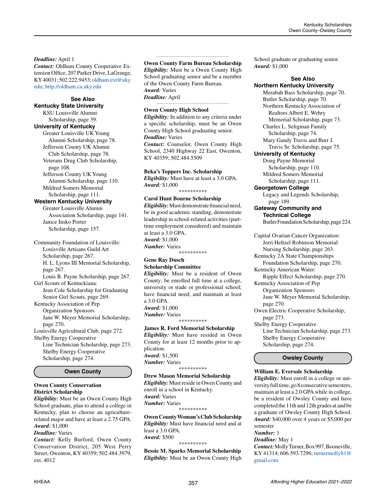# *Deadline:* April 1

*Contact:* Oldham County Cooperative Extension Office, 207 Parker Drive, LaGrange, KY 40031; 502.222.9453; [oldham.ext@uky.](mailto:oldham.ext%40uky.edu?subject=) [edu;](mailto:oldham.ext%40uky.edu?subject=) <http://oldham.ca.uky.edu>

# **See Also**

**Kentucky State University** KSU Louisville Alumni

#### Scholarship, page 39. **University of Kentucky**

Greater Louisville UK Young Alumni Scholarship, page 78. Jefferson County UK Alumni Club Scholarship, page 78. Veterans Drug Club Scholarship, page 108. Jefferson County UK Young

 Alumni Scholarship, page 110. Mildred Somers Memorial Scholarship, page 111.

# **Western Kentucky University**

Greater Louisville Alumni Association Scholarship, page 141. Janice Insko Porter Scholarship, page 157.

Community Foundation of Louisville: Louisville Artisans Guild Art Scholarship, page 267. H. L. Lyons III Memorial Scholarship, page 267. Louis B. Payne Scholarship, page 267.

Girl Scouts of Kentuckiana: Jean Cole Scholarship for Graduating

Senior Girl Scouts, page 269. Kentucky Association of Pep Organization Sponsors

Jane W. Meyer Memorial Scholarship, page 270.

Louisville Agricultural Club, page 272. Shelby Energy Cooperative

Line Technician Scholarship, page 273. Shelby Energy Cooperative Scholarship, page 274.

# **Owen County**

# **Owen County Conservation District Scholarship**

*Eligibility:* Must be an Owen County High School graduate, plan to attend a college in Kentucky, plan to choose an agriculturerelated major and have at least a 2.75 GPA. *Award:* \$1,000

# *Deadline:* Varies

*Contact:* Kelly Burford, Owen County Conservation District, 205 West Perry Street, Owenton, KY 40359; 502.484.3979, ext. 4012

#### *\_\_\_\_\_\_\_\_\_\_\_\_\_\_\_\_\_\_\_\_\_\_\_\_\_\_\_\_\_\_\_\_\_\_\_\_\_\_\_\_\_\_\_\_* **Owen County Farm Bureau Scholarship**

*Eligibility:* Must be a Owen County High School graduating senior and be a member of the Owen County Farm Bureau. *Award:* Varies *Deadline:* April

*\_\_\_\_\_\_\_\_\_\_\_\_\_\_\_\_\_\_\_\_\_\_\_\_\_\_\_\_\_\_\_\_\_\_\_\_\_\_\_\_\_\_\_\_*

# **Owen County High School**

*Eligibility:* In addition to any criteria under a specific scholarship, must be an Owen County High School graduating senior. *Deadline:* Varies

*Contact:* Counselor, Owen County High School, 2340 Highway 22 East, Owenton, KY 40359; 502.484.5509

# **Beka's Toppers Inc. Scholarship**

*Eligibility:* Must have at least a 3.0 GPA. *Award:* \$1,000

\*\*\*\*\*\*\*\*\*\*

# **Carol Hunt Bourne Scholarship**

*Eligibility:* Must demonstrate financial need, be in good academic standing, demonstrate leadership in school-related activities (parttime employment considered) and maintain at least a 3.0 GPA. *Award:* \$1,000 *Number:* Varies \*\*\*\*\*\*\*\*\*\*

#### **Gene Ray Dusch Scholarship Committee**

*Eligibility:* Must be a resident of Owen County; be enrolled full time at a college, university or trade or professional school; have financial need; and maintain at least a 3.0 GPA. *Award:* \$1,000 *Number:* Varies \*\*\*\*\*\*\*\*\*\*

# **James R. Ford Memorial Scholarship** *Eligibility:* Must have resided in Owen County for at least 12 months prior to ap-

plication. *Award:* \$1,500 *Number:* Varies \*\*\*\*\*\*\*\*\*\*

# **Drew Mason Memorial Scholarship**

*Eligibility:* Must reside in Owen County and enroll in a school in Kentucky. *Award:* Varies *Number:* Varies \*\*\*\*\*\*\*\*\*\*

**Owen County Woman's Club Scholarship** *Eligibility:* Must have financial need and at least a 3.0 GPA. *Award:* \$500

\*\*\*\*\*\*\*\*\*\*

**Bessie M. Sparks Memorial Scholarship** *Eligibility:* Must be an Owen County High School graduate or graduating senior. *Award:* \$1,000

# **See Also**

**Northern Kentucky University** Merabah Bass Scholarship, page 70. Butler Scholarship, page 70. Northern Kentucky Association of Realtors Albert E. Wehry Memorial Scholarship, page 73. Charles L. Seligman Family Scholarship, page 74. Mary Gandy Travis and Burr J. Travis Sr. Scholarship, page 75. **University of Kentucky**

Doug Payne Memorial Scholarship, page 110. Mildred Somers Memorial Scholarship, page 111.

**Georgetown College**

Legacy and Legends Scholarship, page 189.

**Gateway Community and Technical College** Butler Foundation Scholarship, page 224.

Capital Ovarian Cancer Organization: Jerri Heltzel Robinson Memorial Nursing Scholarship, page 263. Kentucky 2A State Championships Foundation Scholarship, page 270. Kentucky American Water: Ripple Effect Scholarship, page 270. Kentucky Association of Pep Organization Sponsors Jane W. Meyer Memorial Scholarship, page 270. Owen Electric Cooperative Scholarship,

page 273. Shelby Energy Cooperative Line Technician Scholarship, page 273. Shelby Energy Cooperative Scholarship, page 274.

**Owsley County**

# **William E. Eversole Scholarship**

*Eligibility:* Must enroll in a college or university full time, go 8 consecutive semesters, maintain at least a 2.0 GPA while in college, be a resident of Owsley County and have completed the 11th and 12th grades at and be a graduate of Owsley County High School. *Award:* \$40,000 over 4 years or \$5,000 per semester

# *Number:* 1

*Deadline:* May 1

*Contact:* Molly Turner, Box 997, Booneville, KY 41314; 606.593.7296; [turnermolly81@](mailto:turnermolly81%40gmail.com?subject=) [gmail.com](mailto:turnermolly81%40gmail.com?subject=)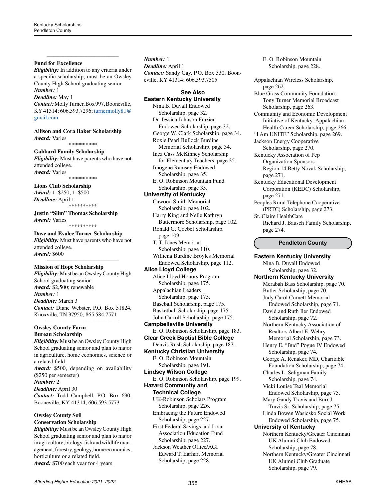## **Fund for Excellence**

*Eligibility:* In addition to any criteria under a specific scholarship, must be an Owsley County High School graduating senior. *Number:* 1

*\_\_\_\_\_\_\_\_\_\_\_\_\_\_\_\_\_\_\_\_\_\_\_\_\_\_\_\_\_\_\_\_\_\_\_\_\_\_\_\_\_\_\_\_*

# *Deadline:* May 1

*Contact:* Molly Turner, Box 997, Booneville, KY 41314; 606.593.7296; [turnermolly81@](mailto:turnermolly81%40gmail.com?subject=) [gmail.com](mailto:turnermolly81%40gmail.com?subject=)

**Allison and Cora Baker Scholarship** *Award:* Varies \*\*\*\*\*\*\*\*\*\*

**Gabbard Family Scholarship** *Eligibility:* Must have parents who have not attended college.

*Award:* Varies \*\*\*\*\*\*\*\*\*\*

# **Lions Club Scholarship** *Award:* 1, \$250; 1, \$500

*Deadline:* April 1 \*\*\*\*\*\*\*\*\*\*

**Justin "Slim" Thomas Scholarship** *Award:* Varies \*\*\*\*\*\*\*\*\*\*

**Dave and Evalee Turner Scholarship** *Eligibility:* Must have parents who have not

attended college. *Award:* \$600 *\_\_\_\_\_\_\_\_\_\_\_\_\_\_\_\_\_\_\_\_\_\_\_\_\_\_\_\_\_\_\_\_\_\_\_\_\_\_\_\_\_\_\_\_*

# **Mission of Hope Scholarship**

*Eligibility:* Must be an Owsley County High School graduating senior. *Award:* \$2,500; renewable *Number:* 1 *Deadline:* March 3 *Contact:* Diane Webster, P.O. Box 51824, Knoxville, TN 37950; 865.584.7571

*\_\_\_\_\_\_\_\_\_\_\_\_\_\_\_\_\_\_\_\_\_\_\_\_\_\_\_\_\_\_\_\_\_\_\_\_\_\_\_\_\_\_\_\_*

# **Owsley County Farm Bureau Scholarship**

*Eligibility:* Must be an Owsley County High School graduating senior and plan to major in agriculture, home economics, science or a related field. *Award:* \$500, depending on availability (\$250 per semester) *Number:* 2 *Deadline:* April 30 *Contact:* Todd Campbell, P.O. Box 690, Booneville, KY 41314; 606.593.5773 *\_\_\_\_\_\_\_\_\_\_\_\_\_\_\_\_\_\_\_\_\_\_\_\_\_\_\_\_\_\_\_\_\_\_\_\_\_\_\_\_\_\_\_\_*

# **Owsley County Soil Conservation Scholarship**

*Eligibility:* Must be an Owsley County High School graduating senior and plan to major in agriculture, biology, fish and wildlife management, forestry, geology, home economics, horticulture or a related field. *Award:* \$700 each year for 4 years

#### *Number:* 1

*Deadline:* April 1 *Contact:* Sandy Gay, P.O. Box 530, Booneville, KY 41314; 606.593.7505

# **See Also**

**Eastern Kentucky University** Nina B. Duvall Endowed Scholarship, page 32. Dr. Jessica Johnson Frazier Endowed Scholarship, page 32. George W. Clark Scholarship, page 34. Roxie Pearl Bullock Burdine Memorial Scholarship, page 34. Inez Cass McKinney Scholarship for Elementary Teachers, page 35. Imogene Ramsey Endowed Scholarship, page 35. E. O. Robinson Mountain Fund Scholarship, page 35. **University of Kentucky** Cawood Smith Memorial Scholarship, page 102. Harry King and Nelle Kathryn Buttermore Scholarship, page 102. Ronald G. Goebel Scholarship, page 109. T. T. Jones Memorial Scholarship, page 110. Williena Burdine Broyles Memorial Endowed Scholarship, page 112.

**Alice Lloyd College**

Alice Lloyd Honors Program Scholarship, page 175. Appalachian Leaders

 Scholarship, page 175. Baseball Scholarship, page 175. Basketball Scholarship, page 175. John Carroll Scholarship, page 175.

**Campbellsville University** E. O. Robinson Scholarship, page 183.

**Clear Creek Baptist Bible College** Denvis Rush Scholarship, page 187.

**Kentucky Christian University** E. O. Robinson Mountain Scholarship, page 191.

**Lindsey Wilson College**

E. O. Robinson Scholarship, page 199. **Hazard Community and** 

# **Technical College**

UK-Robinson Scholars Program Scholarship, page 226. Embracing the Future Endowed Scholarship, page 227.

First Federal Savings and Loan Association Education Fund Scholarship, page 227. Jackson Weather Office/AGI

 Edward T. Earhart Memorial Scholarship, page 228.

E. O. Robinson Mountain Scholarship, page 228.

Appalachian Wireless Scholarship, page 262. Blue Grass Community Foundation: Tony Turner Memorial Broadcast Scholarship, page 263. Community and Economic Development Initiative of Kentucky: Appalachian Health Career Scholarship, page 266. "I Am UNITE" Scholarship, page 269. Jackson Energy Cooperative Scholarship, page 270. Kentucky Association of Pep Organization Sponsors Region 14 Betty Novak Scholarship, page 271. Kentucky Educational Development Corporation (KEDC) Scholarship, page 271.

Peoples Rural Telephone Cooperative (PRTC) Scholarship, page 273.

St. Claire HealthCare Richard J. Bausch Family Scholarship, page 274.

# **Pendleton County**

**Eastern Kentucky University** Nina B. Duvall Endowed Scholarship, page 32. **Northern Kentucky University** Merabah Bass Scholarship, page 70. Butler Scholarship, page 70. Judy Carol Cornett Memorial Endowed Scholarship, page 71. David and Ruth Iler Endowed Scholarship, page 72. Northern Kentucky Association of Realtors Albert E. Wehry Memorial Scholarship, page 73. Henry E. "Bud" Pogue IV Endowed Scholarship, page 74. George A. Renaker, MD, Charitable Foundation Scholarship, page 74. Charles L. Seligman Family Scholarship, page 74. Vicki Louise Teal Memorial Endowed Scholarship, page 75. Mary Gandy Travis and Burr J. Travis Sr. Scholarship, page 75. Linda Bowen Wasicsko Social Work Endowed Scholarship, page 75. **University of Kentucky** Northern Kentucky/Greater Cincinnati UK Alumni Club Endowed Scholarship, page 78. Northern Kentucky/Greater Cincinnati UK Alumni Club Graduate Scholarship, page 79.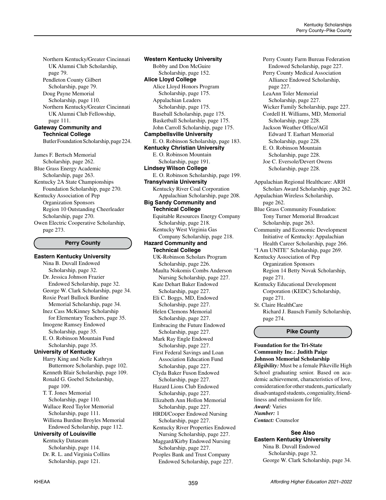Northern Kentucky/Greater Cincinnati UK Alumni Club Scholarship, page 79. Pendleton County Gilbert Scholarship, page 79. Doug Payne Memorial Scholarship, page 110. Northern Kentucky/Greater Cincinnati UK Alumni Club Fellowship, page 111. **Gateway Community and**

**Technical College** Butler Foundation Scholarship, page 224.

James F. Bertsch Memorial Scholarship, page 262. Blue Grass Energy Academic Scholarship, page 263. Kentucky 2A State Championships Foundation Scholarship, page 270. Kentucky Association of Pep Organization Sponsors Region 10 Outstanding Cheerleader Scholarship, page 270. Owen Electric Cooperative Scholarship, page 273.

#### **Perry County**

**Eastern Kentucky University** Nina B. Duvall Endowed Scholarship, page 32. Dr. Jessica Johnson Frazier Endowed Scholarship, page 32. George W. Clark Scholarship, page 34. Roxie Pearl Bullock Burdine Memorial Scholarship, page 34. Inez Cass McKinney Scholarship for Elementary Teachers, page 35. Imogene Ramsey Endowed Scholarship, page 35. E. O. Robinson Mountain Fund Scholarship, page 35. **University of Kentucky** Harry King and Nelle Kathryn Buttermore Scholarship, page 102. Kenneth Blair Scholarship, page 109. Ronald G. Goebel Scholarship, page 109. T. T. Jones Memorial Scholarship, page 110. Wallace Reed Taylor Memorial Scholarship, page 111. Williena Burdine Broyles Memorial Endowed Scholarship, page 112. **University of Louisville** Kentucky Dataseam Scholarship, page 114. Dr. R. L. and Virginia Collins Scholarship, page 121.

**Western Kentucky University** Bobby and Don McGuire Scholarship, page 152. **Alice Lloyd College** Alice Lloyd Honors Program Scholarship, page 175. Appalachian Leaders Scholarship, page 175. Baseball Scholarship, page 175. Basketball Scholarship, page 175. John Carroll Scholarship, page 175. **Campbellsville University** E. O. Robinson Scholarship, page 183. **Kentucky Christian University** E. O. Robinson Mountain Scholarship, page 191. **Lindsey Wilson College** E. O. Robinson Scholarship, page 199. **Transylvania University** Kentucky River Coal Corporation Appalachian Scholarship, page 208. **Big Sandy Community and Technical College** Equitable Resources Energy Company Scholarship, page 218. Kentucky West Virginia Gas Company Scholarship, page 218. **Hazard Community and Technical College** UK-Robinson Scholars Program Scholarship, page 226. Maulta Nokomis Combs Anderson Nursing Scholarship, page 227. Kate Dehart Baker Endowed Scholarship, page 227. Eli C. Boggs, MD, Endowed Scholarship, page 227. Helen Clemons Memorial Scholarship, page 227. Embracing the Future Endowed Scholarship, page 227. Mark Ray Engle Endowed Scholarship, page 227. First Federal Savings and Loan Association Education Fund Scholarship, page 227. Clyda Baker Fuson Endowed Scholarship, page 227. Hazard Lions Club Endowed Scholarship, page 227. Elizabeth Ann Hollon Memorial Scholarship, page 227. HRDI/Cooper Endowed Nursing Scholarship, page 227. Kentucky River Properties Endowed Nursing Scholarship, page 227. Maggard/Kirby Endowed Nursing Scholarship, page 227. Peoples Bank and Trust Company Endowed Scholarship, page 227.

Perry County Farm Bureau Federation Endowed Scholarship, page 227. Perry County Medical Association Alliance Endowed Scholarship, page 227. LeaAnn Toler Memorial Scholarship, page 227. Wicker Family Scholarship, page 227. Cordell H. Williams, MD, Memorial Scholarship, page 228. Jackson Weather Office/AGI Edward T. Earhart Memorial Scholarship, page 228. E. O. Robinson Mountain Scholarship, page 228. Joe C. Eversole/Devert Owens Scholarship, page 228. Appalachian Regional Healthcare: ARH Scholars Award Scholarship, page 262. Appalachian Wireless Scholarship, page 262. Blue Grass Community Foundation: Tony Turner Memorial Broadcast Scholarship, page 263. Community and Economic Development Initiative of Kentucky: Appalachian Health Career Scholarship, page 266. "I Am UNITE" Scholarship, page 269. Kentucky Association of Pep Organization Sponsors Region 14 Betty Novak Scholarship, page 271. Kentucky Educational Development Corporation (KEDC) Scholarship, page 271. St. Claire HealthCare Richard J. Bausch Family Scholarship, page 274.

#### **Pike County**

# **Foundation for the Tri-State Community Inc.: Judith Paige Johnson Memorial Scholarship**

*Eligibility:* Must be a female Pikeville High School graduating senior. Based on academic achievement, characteristics of love, consideration for other students, particularly disadvantaged students, congeniality, friendliness and enthusiasm for life. *Award:* Varies

*Number:* 1

*Contact:* Counselor

# **See Also**

**Eastern Kentucky University** Nina B. Duvall Endowed Scholarship, page 32. George W. Clark Scholarship, page 34.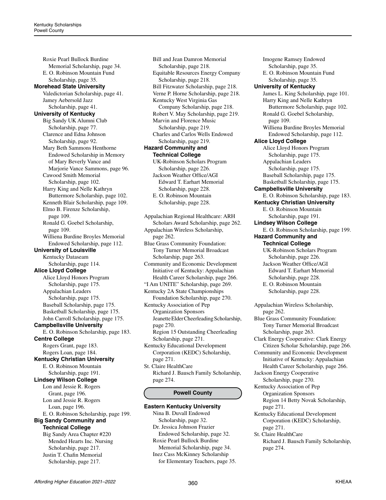Roxie Pearl Bullock Burdine Memorial Scholarship, page 34. E. O. Robinson Mountain Fund Scholarship, page 35. **Morehead State University** Valedictorian Scholarship, page 41. Jamey Aebersold Jazz Scholarship, page 41. **University of Kentucky** Big Sandy UK Alumni Club Scholarship, page 77. Clarence and Edna Johnson Scholarship, page 92. Mary Beth Sammons Henthorne Endowed Scholarship in Memory of Mary Beverly Vance and Marjorie Vance Sammons, page 96. Cawood Smith Memorial Scholarship, page 102. Harry King and Nelle Kathryn Buttermore Scholarship, page 102. Kenneth Blair Scholarship, page 109. Elmo B. Firenze Scholarship, page 109. Ronald G. Goebel Scholarship, page 109. Williena Burdine Broyles Memorial Endowed Scholarship, page 112. **University of Louisville** Kentucky Dataseam Scholarship, page 114. **Alice Lloyd College** Alice Lloyd Honors Program Scholarship, page 175. Appalachian Leaders Scholarship, page 175. Baseball Scholarship, page 175. Basketball Scholarship, page 175. John Carroll Scholarship, page 175. **Campbellsville University** E. O. Robinson Scholarship, page 183. **Centre College** Rogers Grant, page 183. Rogers Loan, page 184. **Kentucky Christian University** E. O. Robinson Mountain Scholarship, page 191. **Lindsey Wilson College** Lon and Jessie R. Rogers Grant, page 196. Lon and Jessie R. Rogers Loan, page 196. E. O. Robinson Scholarship, page 199. **Big Sandy Community and Technical College** Big Sandy Area Chapter #220 Mended Hearts Inc. Nursing Scholarship, page 217. Justin T. Chafin Memorial Scholarship, page 217.

Bill and Jean Damron Memorial Scholarship, page 218. Equitable Resources Energy Company Scholarship, page 218. Bill Fitzwater Scholarship, page 218. Verne P. Horne Scholarship, page 218. Kentucky West Virginia Gas Company Scholarship, page 218. Robert V. May Scholarship, page 219. Marvin and Florence Music Scholarship, page 219. Charles and Carlos Wells Endowed Scholarship, page 219. **Hazard Community and Technical College** UK-Robinson Scholars Program Scholarship, page 226. Jackson Weather Office/AGI Edward T. Earhart Memorial Scholarship, page 228. E. O. Robinson Mountain Scholarship, page 228.

Appalachian Regional Healthcare: ARH Scholars Award Scholarship, page 262. Appalachian Wireless Scholarship, page 262. Blue Grass Community Foundation: Tony Turner Memorial Broadcast Scholarship, page 263. Community and Economic Development Initiative of Kentucky: Appalachian Health Career Scholarship, page 266. "I Am UNITE" Scholarship, page 269. Kentucky 2A State Championships Foundation Scholarship, page 270. Kentucky Association of Pep Organization Sponsors Jeanette Elder Cheerleading Scholarship, page 270. Region 15 Outstanding Cheerleading Scholarship, page 271. Kentucky Educational Development Corporation (KEDC) Scholarship, page 271.

St. Claire HealthCare Richard J. Bausch Family Scholarship, page 274.

# **Powell County**

**Eastern Kentucky University** Nina B. Duvall Endowed Scholarship, page 32. Dr. Jessica Johnson Frazier Endowed Scholarship, page 32. Roxie Pearl Bullock Burdine Memorial Scholarship, page 34. Inez Cass McKinney Scholarship for Elementary Teachers, page 35.

Imogene Ramsey Endowed Scholarship, page 35. E. O. Robinson Mountain Fund Scholarship, page 35. **University of Kentucky** James L. King Scholarship, page 101. Harry King and Nelle Kathryn Buttermore Scholarship, page 102. Ronald G. Goebel Scholarship, page 109. Williena Burdine Broyles Memorial Endowed Scholarship, page 112. **Alice Lloyd College** Alice Lloyd Honors Program Scholarship, page 175. Appalachian Leaders Scholarship, page 175. Baseball Scholarship, page 175. Basketball Scholarship, page 175. **Campbellsville University** E. O. Robinson Scholarship, page 183. **Kentucky Christian University** E. O. Robinson Mountain Scholarship, page 191. **Lindsey Wilson College** E. O. Robinson Scholarship, page 199. **Hazard Community and Technical College** UK-Robinson Scholars Program Scholarship, page 226. Jackson Weather Office/AGI Edward T. Earhart Memorial Scholarship, page 228. E. O. Robinson Mountain Scholarship, page 228. Appalachian Wireless Scholarship, page 262. Blue Grass Community Foundation: Tony Turner Memorial Broadcast Scholarship, page 263. Clark Energy Cooperative: Clark Energy Citizen Scholar Scholarship, page 266. Community and Economic Development Initiative of Kentucky: Appalachian Health Career Scholarship, page 266. Jackson Energy Cooperative Scholarship, page 270. Kentucky Association of Pep Organization Sponsors Region 14 Betty Novak Scholarship, page 271. Kentucky Educational Development Corporation (KEDC) Scholarship, page 271. St. Claire HealthCare Richard J. Bausch Family Scholarship, page 274.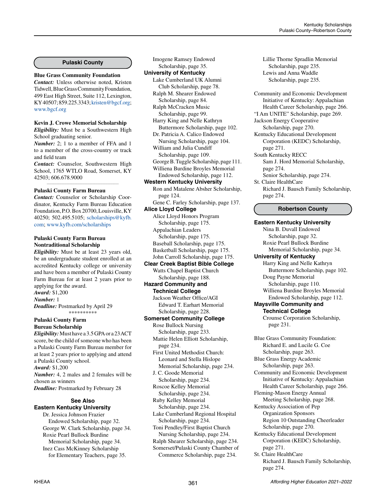#### **Pulaski County**

#### **Blue Grass Community Foundation**

*Contact:* Unless otherwise noted, Kristen Tidwell, Blue Grass Community Foundation, 499 East High Street, Suite 112, Lexington, KY 40507; 859.225.3343; [kristen@bgcf.org](mailto:kristen%40bgcf.org?subject=); [www.bgcf.org](http://www.bgcf.org)

# **Kevin J. Crowe Memorial Scholarship**

*Eligibility:* Must be a Southwestern High School graduating senior.

*Number:* 2; 1 to a member of FFA and 1 to a member of the cross-country or track and field team

*Contact:* Counselor, Southwestern High School, 1765 WTLO Road, Somerset, KY 42503; 606.678.9000 *\_\_\_\_\_\_\_\_\_\_\_\_\_\_\_\_\_\_\_\_\_\_\_\_\_\_\_\_\_\_\_\_\_\_\_\_\_\_\_\_\_\_\_\_*

#### **Pulaski County Farm Bureau**

*Contact:* Counselor or Scholarship Coordinator, Kentucky Farm Bureau Education Foundation, P.O. Box 20700, Louisville, KY 40250; 502.495.5105; [scholarships@kyfb.](mailto:scholarships%40kyfb.com?subject=) [com](mailto:scholarships%40kyfb.com?subject=); [www.kyfb.com/scholarships](http://www.kyfb.com/scholarships)

#### **Pulaski County Farm Bureau Nontraditional Scholarship**

*Eligibility:* Must be at least 23 years old, be an undergraduate student enrolled at an accredited Kentucky college or university and have been a member of Pulaski County Farm Bureau for at least 2 years prior to applying for the award. *Award:* \$1,200 *Number:* 1 *Deadline:* Postmarked by April 29 \*\*\*\*\*\*\*\*\*\* **Pulaski County Farm Bureau Scholarship**

*Eligibility:* Must have a 3.5 GPA or a 23 ACT score, be the child of someone who has been a Pulaski County Farm Bureau member for at least 2 years prior to applying and attend a Pulaski County school. *Award:* \$1,200 *Number:* 4, 2 males and 2 females will be chosen as winners *Deadline:* Postmarked by February 28

# **See Also Eastern Kentucky University**

Dr. Jessica Johnson Frazier Endowed Scholarship, page 32. George W. Clark Scholarship, page 34. Roxie Pearl Bullock Burdine Memorial Scholarship, page 34. Inez Cass McKinney Scholarship for Elementary Teachers, page 35.

Imogene Ramsey Endowed Scholarship, page 35. **University of Kentucky** Lake Cumberland UK Alumni Club Scholarship, page 78. Ralph M. Shearer Endowed Scholarship, page 84. Ralph McCracken Music Scholarship, page 99. Harry King and Nelle Kathryn Buttermore Scholarship, page 102. Dr. Patricia A. Calico Endowed Nursing Scholarship, page 104. William and Julia Cundiff Scholarship, page 109. George B. Tuggle Scholarship, page 111. Williena Burdine Broyles Memorial Endowed Scholarship, page 112. **Western Kentucky University** Ron and Matalene Absher Scholarship, page 124. Gene C. Farley Scholarship, page 137. **Alice Lloyd College** Alice Lloyd Honors Program Scholarship, page 175. Appalachian Leaders Scholarship, page 175. Baseball Scholarship, page 175. Basketball Scholarship, page 175. John Carroll Scholarship, page 175. **Clear Creek Baptist Bible College** Watts Chapel Baptist Church Scholarship, page 188. **Hazard Community and Technical College** Jackson Weather Office/AGI Edward T. Earhart Memorial Scholarship, page 228. **Somerset Community College** Rose Bullock Nursing Scholarship, page 233. Mattie Helen Elliott Scholarship, page 234. First United Methodist Church: Leonard and Stella Hislope Memorial Scholarship, page 234. J. C. Goode Memorial Scholarship, page 234. Roscoe Kelley Memorial Scholarship, page 234. Ruby Kelley Memorial Scholarship, page 234. Lake Cumberland Regional Hospital Scholarship, page 234. Toni Pendley/First Baptist Church Nursing Scholarship, page 234. Ralph Shearer Scholarship, page 234. Somerset/Pulaski County Chamber of Commerce Scholarship, page 234.

Lillie Thorne Spradlin Memorial Scholarship, page 235. Lewis and Anna Waddle Scholarship, page 235. Community and Economic Development Initiative of Kentucky: Appalachian Health Career Scholarship, page 266. "I Am UNITE" Scholarship, page 269. Jackson Energy Cooperative Scholarship, page 270. Kentucky Educational Development Corporation (KEDC) Scholarship, page 271. South Kentucky RECC Sam J. Hord Memorial Scholarship, page 274. Senior Scholarship, page 274. St. Claire HealthCare Richard J. Bausch Family Scholarship, page 274. **Robertson County Eastern Kentucky University** Nina B. Duvall Endowed Scholarship, page 32. Roxie Pearl Bullock Burdine Memorial Scholarship, page 34. **University of Kentucky** Harry King and Nelle Kathryn Buttermore Scholarship, page 102. Doug Payne Memorial Scholarship, page 110. Williena Burdine Broyles Memorial Endowed Scholarship, page 112. **Maysville Community and Technical College** Crounse Corporation Scholarship, page 231. Blue Grass Community Foundation: Richard E. and Lucile G. Coe Scholarship, page 263. Blue Grass Energy Academic Scholarship, page 263. Community and Economic Development Initiative of Kentucky: Appalachian Health Career Scholarship, page 266. Fleming-Mason Energy Annual Meeting Scholarship, page 268. Kentucky Association of Pep Organization Sponsors Region 10 Outstanding Cheerleader Scholarship, page 270. Kentucky Educational Development Corporation (KEDC) Scholarship, page 271. St. Claire HealthCare

Richard J. Bausch Family Scholarship, page 274.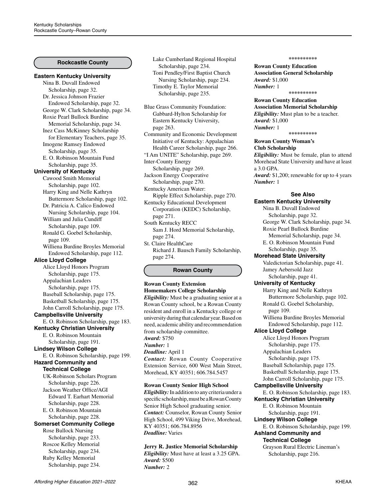# **Rockcastle County**

#### **Eastern Kentucky University**

Nina B. Duvall Endowed Scholarship, page 32. Dr. Jessica Johnson Frazier Endowed Scholarship, page 32. George W. Clark Scholarship, page 34. Roxie Pearl Bullock Burdine Memorial Scholarship, page 34. Inez Cass McKinney Scholarship for Elementary Teachers, page 35. Imogene Ramsey Endowed Scholarship, page 35. E. O. Robinson Mountain Fund Scholarship, page 35. **University of Kentucky** Cawood Smith Memorial Scholarship, page 102. Harry King and Nelle Kathryn Buttermore Scholarship, page 102. Dr. Patricia A. Calico Endowed Nursing Scholarship, page 104. William and Julia Cundiff Scholarship, page 109. Ronald G. Goebel Scholarship, page 109. Williena Burdine Broyles Memorial Endowed Scholarship, page 112. **Alice Lloyd College** Alice Lloyd Honors Program Scholarship, page 175. Appalachian Leaders Scholarship, page 175. Baseball Scholarship, page 175. Basketball Scholarship, page 175. John Carroll Scholarship, page 175. **Campbellsville University** E. O. Robinson Scholarship, page 183. **Kentucky Christian University** E. O. Robinson Mountain Scholarship, page 191. **Lindsey Wilson College** E. O. Robinson Scholarship, page 199. **Hazard Community and Technical College** UK-Robinson Scholars Program Scholarship, page 226. Jackson Weather Office/AGI Edward T. Earhart Memorial Scholarship, page 228. E. O. Robinson Mountain Scholarship, page 228. **Somerset Community College** Rose Bullock Nursing Scholarship, page 233. Roscoe Kelley Memorial Scholarship, page 234. Ruby Kelley Memorial Scholarship, page 234.

Lake Cumberland Regional Hospital Scholarship, page 234. Toni Pendley/First Baptist Church Nursing Scholarship, page 234. Timothy E. Taylor Memorial Scholarship, page 235.

Blue Grass Community Foundation: Gabbard-Hylton Scholarship for Eastern Kentucky University, page 263.

Community and Economic Development Initiative of Kentucky: Appalachian Health Career Scholarship, page 266. "I Am UNITE" Scholarship, page 269.

Inter-County Energy

Scholarship, page 269. Jackson Energy Cooperative Scholarship, page 270.

Kentucky American Water:

Ripple Effect Scholarship, page 270. Kentucky Educational Development Corporation (KEDC) Scholarship, page 271.

South Kentucky RECC Sam J. Hord Memorial Scholarship, page 274.

St. Claire HealthCare Richard J. Bausch Family Scholarship, page 274.

# **Rowan County**

**Rowan County Extension Homemakers College Scholarship** *Eligibility:* Must be a graduating senior at a Rowan County school, be a Rowan County resident and enroll in a Kentucky college or university during that calendar year. Based on need, academic ability and recommendation from scholarship committee. *Award:* \$750 *Number:* 1 *Deadline:* April 1 *Contact:* Rowan County Cooperative Extension Service, 600 West Main Street, Morehead, KY 40351; 606.784.5457 *\_\_\_\_\_\_\_\_\_\_\_\_\_\_\_\_\_\_\_\_\_\_\_\_\_\_\_\_\_\_\_\_\_\_\_\_\_\_\_\_\_\_\_\_*

**Rowan County Senior High School**

*Eligibility:* In addition to any criteria under a specific scholarship, must be a Rowan County Senior High School graduating senior. *Contact:* Counselor, Rowan County Senior High School, 499 Viking Drive, Morehead, KY 40351; 606.784.8956 *Deadline:* Varies

**Jerry R. Justice Memorial Scholarship** *Eligibility:* Must have at least a 3.25 GPA. *Award:* \$500 *Number:* 2

#### **\*\*\*\*\*\*\*\*\*\***

**Rowan County Education Association General Scholarship** *Award:* \$1,000 *Number:* 1 **\*\*\*\*\*\*\*\*\*\***

**Rowan County Education** 

**Association Memorial Scholarship** *Eligibility:* Must plan to be a teacher. *Award:* \$1,000 *Number:* 1

**\*\*\*\*\*\*\*\*\*\***

**Rowan County Woman's** 

#### **Club Scholarship**

*Eligibility:* Must be female, plan to attend Morehead State University and have at least a 3.0 GPA. *Award:* \$1,200; renewable for up to 4 years

*Number:* 1

#### **See Also**

**Eastern Kentucky University** Nina B. Duvall Endowed Scholarship, page 32. George W. Clark Scholarship, page 34. Roxie Pearl Bullock Burdine Memorial Scholarship, page 34. E. O. Robinson Mountain Fund Scholarship, page 35. **Morehead State University** Valedictorian Scholarship, page 41. Jamey Aebersold Jazz Scholarship, page 41. **University of Kentucky** Harry King and Nelle Kathryn Buttermore Scholarship, page 102. Ronald G. Goebel Scholarship, page 109. Williena Burdine Broyles Memorial Endowed Scholarship, page 112. **Alice Lloyd College** Alice Lloyd Honors Program Scholarship, page 175. Appalachian Leaders Scholarship, page 175. Baseball Scholarship, page 175. Basketball Scholarship, page 175. John Carroll Scholarship, page 175. **Campbellsville University** E. O. Robinson Scholarship, page 183. **Kentucky Christian University** E. O. Robinson Mountain Scholarship, page 191. **Lindsey Wilson College** E. O. Robinson Scholarship, page 199. **Ashland Community and Technical College** Grayson Rural Electric Lineman's Scholarship, page 216.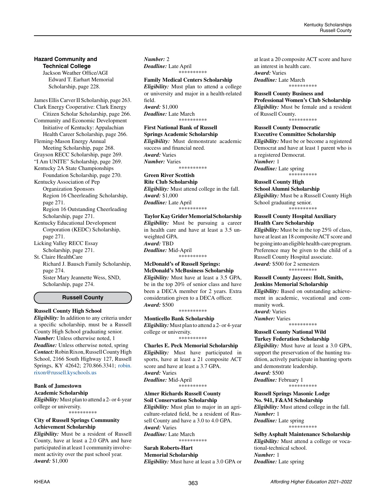# **Hazard Community and Technical College**

Jackson Weather Office/AGI Edward T. Earhart Memorial Scholarship, page 228.

James Ellis Carver II Scholarship, page 263. Clark Energy Cooperative: Clark Energy Citizen Scholar Scholarship, page 266. Community and Economic Development Initiative of Kentucky: Appalachian Health Career Scholarship, page 266. Fleming-Mason Energy Annual Meeting Scholarship, page 268. Grayson RECC Scholarship, page 269. "I Am UNITE" Scholarship, page 269. Kentucky 2A State Championships Foundation Scholarship, page 270. Kentucky Association of Pep Organization Sponsors Region 16 Cheerleading Scholarship, page 271. Region 16 Outstanding Cheerleading Scholarship, page 271. Kentucky Educational Development Corporation (KEDC) Scholarship, page 271. Licking Valley RECC Essay Scholarship, page 271. St. Claire HealthCare

Richard J. Bausch Family Scholarship, page 274. Sister Mary Jeannette Wess, SND, Scholarship, page 274.

#### **Russell County**

# **Russell County High School**

*Eligibility:* In addition to any criteria under a specific scholarship, must be a Russell County High School graduating senior. *Number:* Unless otherwise noted, 1 *Deadline:* Unless otherwise noted, spring *Contact:* Robin Rixon, Russell County High School, 2166 South Highway 127, Russell Springs, KY 42642; 270.866.3341; [robin.](mailto:robin.rixon%40russell.kyschools.us?subject=) [rixon@russell.kyschools.us](mailto:robin.rixon%40russell.kyschools.us?subject=)

# **Bank of Jamestown**

**Academic Scholarship** *Eligibility:* Must plan to attend a 2- or 4-year college or university.

\*\*\*\*\*\*\*\*\*\*

# **City of Russell Springs Community Achievement Scholarship**

*Eligibility:* Must be a resident of Russell County, have at least a 2.0 GPA and have participated in at least 1 community involvement activity over the past school year. *Award:* \$1,000

*Number:* 2 *Deadline:* Late April \*\*\*\*\*\*\*\*\*\*

#### **Family Medical Centers Scholarship** *Eligibility:* Must plan to attend a college or university and major in a health-related field. *Award:* \$1,000 *Deadline:* Late March \*\*\*\*\*\*\*\*\*\*

**First National Bank of Russell Springs Academic Scholarship** *Eligibility:* Must demonstrate academic success and financial need. *Award:* Varies *Number:* Varies \*\*\*\*\*\*\*\*\*\*

**Green River Scottish** 

**Rite Club Scholarship** *Eligibility:* Must attend college in the fall. *Award:* \$1,000 *Deadline:* Late April .<br>\*\*\*\*\*\*\*\*\*\*

**Taylor Kay Grider Memorial Scholarship** *Eligibility:* Must be pursuing a career in health care and have at least a 3.5 unweighted GPA. *Award:* TBD *Deadline:* Mid-April \*\*\*\*\*\*\*\*\*\*

# **McDonald's of Russell Springs: McDonald's McBusiness Scholarship**

*Eligibility:* Must have at least a 3.5 GPA, be in the top 20% of senior class and have been a DECA member for 2 years. Extra consideration given to a DECA officer. *Award:* \$500

\*\*\*\*\*\*\*\*\*\*

**Monticello Bank Scholarship** *Eligibility:* Must plan to attend a 2- or 4-year college or university. \*\*\*\*\*\*\*\*\*\*

**Charles E. Peck Memorial Scholarship** *Eligibility:* Must have participated in sports, have at least a 21 composite ACT score and have at least a 3.7 GPA. *Award:* Varies *Deadline:* Mid-April \*\*\*\*\*\*\*\*\*\*

**Almer Richards Russell County Soil Conservation Scholarship**

*Eligibility:* Must plan to major in an agriculture-related field, be a resident of Russell County and have a 3.0 to 4.0 GPA. *Award:* Varies *Deadline:* Late March

\*\*\*\*\*\*\*\*\*\*

# **Sarah Roberts-Hart Memorial Scholarship**

*Eligibility:* Must have at least a 3.0 GPA or

at least a 20 composite ACT score and have an interest in health care. *Award:* Varies

*Deadline:* Late March \*\*\*\*\*\*\*\*\*\*

**Russell County Business and Professional Women's Club Scholarship** *Eligibility:* Must be female and a resident of Russell County.

\*\*\*\*\*\*\*\*\*\*

#### **Russell County Democratic Executive Committee Scholarship** *Eligibility:* Must be or become a registered Democrat and have at least 1 parent who is a registered Democrat. *Number:* 1 *Deadline:* Late spring

\*\*\*\*\*\*\*\*\*\*

**Russell County High**

**School Alumni Scholarship** *Eligibility:* Must be a Russell County High School graduating senior. \*\*\*\*\*\*\*\*\*\*

#### **Russell County Hospital Auxiliary Health Care Scholarship**

*Eligibility:* Must be in the top 25% of class, have at least an 18 composite ACT score and be going into an eligible health-care program. Preference may be given to the child of a Russell County Hospital associate. *Award:* \$500 for 2 semesters \*\*\*\*\*\*\*\*\*\*

## **Russell County Jaycees: Holt, Smith, Jenkins Memorial Scholarship**

*Eligibility:* Based on outstanding achievement in academic, vocational and community work.

*Award:* Varies *Number:* Varies

\*\*\*\*\*\*\*\*\*\*

# **Russell County National Wild Turkey Federation Scholarship**

*Eligibility:* Must have at least a 3.0 GPA, support the preservation of the hunting tradition, actively participate in hunting sports and demonstrate leadership. *Award:* \$500

*Deadline:* February 1

\*\*\*\*\*\*\*\*\*\*

**Russell Springs Masonic Lodge No. 941, F&AM Scholarship**

*Eligibility:* Must attend college in the fall. *Number:* 1 *Deadline:* Late spring

\*\*\*\*\*\*\*\*\*\*

**Selby Asphalt Maintenance Scholarship** *Eligibility:* Must attend a college or vocational-technical school. *Number:* 1 *Deadline:* Late spring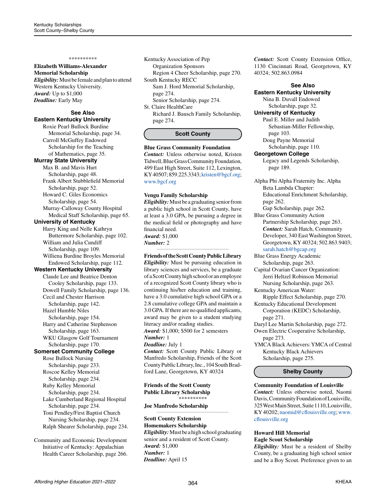#### **Elizabeth Williams-Alexander Memorial Scholarship**

*Eligibility:* Must be female and plan to attend Western Kentucky University. *Award:* Up to \$1,000 *Deadline:* Early May

# **See Also Eastern Kentucky University**

Roxie Pearl Bullock Burdine Memorial Scholarship, page 34. Carroll McGuffey Endowed Scholarship for the Teaching of Mathematics, page 35.

#### **Murray State University**

Max B. and Mavis Hurt Scholarship, page 48. Frank Albert Stubblefield Memorial

 Scholarship, page 52. Howard C. Giles Economics

 Scholarship, page 54. Murray-Calloway County Hospital Medical Staff Scholarship, page 65.

**University of Kentucky**

Harry King and Nelle Kathryn Buttermore Scholarship, page 102. William and Julia Cundiff Scholarship, page 109.

Williena Burdine Broyles Memorial Endowed Scholarship, page 112.

# **Western Kentucky University**

Claude Lee and Beatrice Denton Cooley Scholarship, page 133. Dowell Family Scholarship, page 136. Cecil and Chester Harrison Scholarship, page 142. Hazel Humble Niles Scholarship, page 154. Harry and Catherine Stephenson Scholarship, page 163. WKU Glasgow Golf Tournament

#### Scholarship, page 170. **Somerset Community College**

Rose Bullock Nursing Scholarship, page 233. Roscoe Kelley Memorial Scholarship, page 234. Ruby Kelley Memorial Scholarship, page 234. Lake Cumberland Regional Hospital Scholarship, page 234. Toni Pendley/First Baptist Church Nursing Scholarship, page 234. Ralph Shearer Scholarship, page 234.

Community and Economic Development Initiative of Kentucky: Appalachian Health Career Scholarship, page 266. Kentucky Association of Pep Organization Sponsors Region 4 Cheer Scholarship, page 270. South Kentucky RECC Sam J. Hord Memorial Scholarship, page 274. Senior Scholarship, page 274. St. Claire HealthCare

Richard J. Bausch Family Scholarship, page 274.

#### **Scott County**

#### **Blue Grass Community Foundation**

*Contact:* Unless otherwise noted, Kristen Tidwell, Blue Grass Community Foundation, 499 East High Street, Suite 112, Lexington, KY 40507; 859.225.3343; [kristen@bgcf.org;](mailto:kristen%40bgcf.org?subject=) [www.bgcf.org](http://www.bgcf.org)

#### **Vengu Family Scholarship**

*Eligibility:* Must be a graduating senior from a public high school in Scott County, have at least a 3.0 GPA, be pursuing a degree in the medical field or photography and have financial need. *Award:* \$1,000 *Number:* 2

#### *\_\_\_\_\_\_\_\_\_\_\_\_\_\_\_\_\_\_\_\_\_\_\_\_\_\_\_\_\_\_\_\_\_\_\_\_\_\_\_\_\_\_\_\_* **Friends of the Scott County Public Library**

*Eligibility:* Must be pursuing education in library sciences and services, be a graduate of a Scott County high school or an employee of a recognized Scott County library who is continuing his/her education and training, have a 3.0 cumulative high school GPA or a 2.8 cumulative college GPA and maintain a 3.0 GPA. If there are no qualified applicants, award may be given to a student studying literacy and/or reading studies. *Award:* \$1,000; \$500 for 2 semesters *Number:* 1

#### *Deadline:* July 1

*Contact:* Scott County Public Library or Manfredo Scholarship, Friends of the Scott County Public Library, Inc., 104 South Bradford Lane, Georgetown, KY 40324

**Friends of the Scott County Public Library Scholarship** \*\*\*\*\*\*\*\*\*\*

#### **Joe Manfredo Scholarship**

#### *\_\_\_\_\_\_\_\_\_\_\_\_\_\_\_\_\_\_\_\_\_\_\_\_\_\_\_\_\_\_\_\_\_\_\_\_\_\_\_\_\_\_\_\_* **Scott County Extension Homemakers Scholarship** *Eligibility:* Must be a high school graduating senior and a resident of Scott County. *Award:* \$1,000 *Number:* 1 *Deadline:* April 15

*Contact:* Scott County Extension Office, 1130 Cincinnati Road, Georgetown, KY 40324; 502.863.0984

# **See Also**

**Eastern Kentucky University** Nina B. Duvall Endowed

Scholarship, page 32.

#### **University of Kentucky**

Paul E. Miller and Judith Sebastian-Miller Fellowship, page 103. Doug Payne Memorial

Scholarship, page 110.

#### **Georgetown College**

Legacy and Legends Scholarship, page 189.

- Alpha Phi Alpha Fraternity Inc. Alpha Beta Lambda Chapter: Educational Enrichment Scholarship, page 262.
- Gap Scholarship, page 262. Blue Grass Community Action Partnership Scholarship, page 263. *Contact:* Sarah Hatch, Community Developer, 340 East Washington Street, Georgetown, KY 40324; 502.863.9403; [sarah.hatch@bgcap.org](mailto:sarah.hatch%40bgcap.org?subject=)

Blue Grass Energy Academic Scholarship, page 263.

Capital Ovarian Cancer Organization: Jerri Heltzel Robinson Memorial Nursing Scholarship, page 263.

- Kentucky American Water:
- Ripple Effect Scholarship, page 270. Kentucky Educational Development
- Corporation (KEDC) Scholarship, page 271.
- Daryl Lee Martin Scholarship, page 272. Owen Electric Cooperative Scholarship,
	- page 273.
- YMCA Black Achievers: YMCA of Central Kentucky Black Achievers Scholarship, page 275.

# **Shelby County**

#### **Community Foundation of Louisville**

*Contact:* Unless otherwise noted, Naomi Davis, Community Foundation of Louisville, 325 West Main Street, Suite 1110, Louisville, KY 40202; [naomid@cflouisville.org](mailto:naomid%40cflouisville.org?subject=); [www.](http://www.cflouisville.org) [cflouisville.org](http://www.cflouisville.org)

#### **Howard Hill Memorial Eagle Scout Scholarship**

*Eligibility:* Must be a resident of Shelby County, be a graduating high school senior and be a Boy Scout. Preference given to an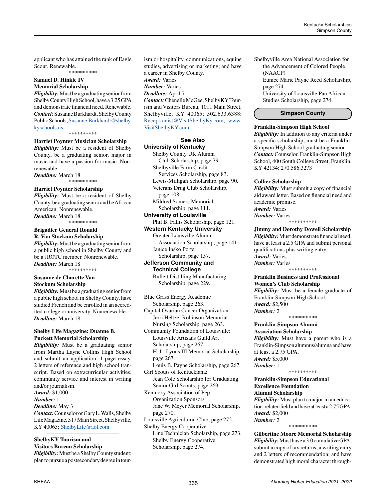applicant who has attained the rank of Eagle Scout. Renewable. \*\*\*\*\*\*\*\*\*\*

**Samuel D. Hinkle IV Memorial Scholarship**

*Eligibility:* Must be a graduating senior from

Shelby County High School, have a 3.25 GPA and demonstrate financial need. Renewable. *Contact:* Susanne Burkhardt, Shelby County Public Schools, [Susanne.Burkhardt@shelby.](mailto:Susanne.Burkhardt%40shelby.kyschools.us?subject=) [kyschools.us](mailto:Susanne.Burkhardt%40shelby.kyschools.us?subject=)

\*\*\*\*\*\*\*\*\*\*

#### **Harriet Poynter Musician Scholarship**

*Eligibility:* Must be a resident of Shelby County, be a graduating senior, major in music and have a passion for music. Nonrenewable.

*Deadline:* March 18 \*\*\*\*\*\*\*\*\*\*

### **Harriet Poynter Scholarship**

*Eligibility:* Must be a resident of Shelby County, be a graduating senior and be African American. Nonrenewable. *Deadline:* March 18

\*\*\*\*\*\*\*\*\*\*

#### **Brigadier General Ronald R. Van Stockum Scholarship**

*Eligibility:* Must be a graduating senior from a public high school in Shelby County and be a JROTC member. Nonrenewable. *Deadline:* March 18 \*\*\*\*\*\*\*\*\*\*

**Susanne de Charette Van Stockum Scholarship**

*Eligibility:* Must be a graduating senior from a public high school in Shelby County, have studied French and be enrolled in an accredited college or university. Nonrenewable. *Deadline:* March 18

*\_\_\_\_\_\_\_\_\_\_\_\_\_\_\_\_\_\_\_\_\_\_\_\_\_\_\_\_\_\_\_\_\_\_\_\_\_\_\_\_\_\_\_\_*

# **Shelby Life Magazine: Duanne B. Puckett Memorial Scholarship**

*Eligibility:* Must be a graduating senior from Martha Layne Collins High School and submit an application, 1-page essay, 2 letters of reference and high school transcript. Based on extracurricular activities, community service and interest in writing and/or journalism. *Award:* \$1,000

*Number:* 1

*Deadline:* May 3

*Contact:* Counselor or Gary L. Walls, Shelby Life Magazine, 517 Main Street, Shelbyville, KY 40065; [ShelbyLife@aol.com](mailto:ShelbyLife%40aol.com?subject=)

*\_\_\_\_\_\_\_\_\_\_\_\_\_\_\_\_\_\_\_\_\_\_\_\_\_\_\_\_\_\_\_\_\_\_\_\_\_\_\_\_\_\_\_\_*

# **ShelbyKY Tourism and Visitors Bureau Scholarship**

*Eligibility:* Must be a Shelby County student; plan to pursue a postsecondary degree in tourism or hospitality, communications, equine studies, advertising or marketing; and have a career in Shelby County. *Award:* Varies *Number:* Varies *Deadline:* April 7 *Contact:* Chenelle McGee, ShelbyKY Tourism and Visitors Bureau, 1011 Main Street, Shelbyville, KY 40065; 502.633.6388;

[Receptionist@VisitShelbyKy.com;](mailto:Receptionist%40VisitShelbyKy.com?subject=) [www.](http://www.VisitShelbyKY.com) [VisitShelbyKY.com](http://www.VisitShelbyKY.com)

# **See Also University of Kentucky**

Shelby County UK Alumni Club Scholarship, page 79. Shelbyville Farm Credit Services Scholarship, page 83. Lewis-Milligan Scholarship, page 90. Veterans Drug Club Scholarship, page 108. Mildred Somers Memorial Scholarship, page 111. **University of Louisville** Phil B. Fallis Scholarship, page 121. **Western Kentucky University** Greater Louisville Alumni

 Association Scholarship, page 141. Janice Insko Porter

#### Scholarship, page 157. **Jefferson Community and Technical College**

Bulleit Distilling Manufacturing Scholarship, page 229.

Blue Grass Energy Academic Scholarship, page 263. Capital Ovarian Cancer Organization: Jerri Heltzel Robinson Memorial

Nursing Scholarship, page 263. Community Foundation of Louisville:

Louisville Artisans Guild Art Scholarship, page 267. H. L. Lyons III Memorial Scholarship, page 267.

Louis B. Payne Scholarship, page 267. Girl Scouts of Kentuckiana:

Jean Cole Scholarship for Graduating Senior Girl Scouts, page 269.

Kentucky Association of Pep Organization Sponsors Jane W. Meyer Memorial Scholarship, page 270.

Louisville Agricultural Club, page 272.

Shelby Energy Cooperative

Line Technician Scholarship, page 273. Shelby Energy Cooperative Scholarship, page 274.

Shelbyville Area National Association for the Advancement of Colored People (NAACP)

Eunice Marie Payne Reed Scholarship, page 274.

University of Louisville Pan African Studies Scholarship, page 274.

## **Simpson County**

#### **Franklin-Simpson High School**

*Eligibility:* In addition to any criteria under a specific scholarship, must be a Franklin-Simpson High School graduating senior. *Contact:* Counselor, Franklin-Simpson High School, 400 South College Street, Franklin, KY 42134; 270.586.3273

#### **Collier Scholarship**

*Eligibility:* Must submit a copy of financial aid award letter. Based on financial need and academic promise.

*Award:* Varies *Number:* Varies

\*\*\*\*\*\*\*\*\*\*

#### **Jimmy and Dorothy Dowell Scholarship**

*Eligibility:* Must demonstrate financial need, have at least a 2.5 GPA and submit personal qualifications plus writing entry. *Award:* Varies *Number:* Varies

\*\*\*\*\*\*\*\*\*\*

# **Franklin Business and Professional Women's Club Scholarship**

*Eligibility:* Must be a female graduate of Franklin-Simpson High School. *Award:* \$2,500 *Number:* 2 \*\*\*\*\*\*\*\*\*\*

# **Franklin-Simpson Alumni**

**Association Scholarship** *Eligibility:* Must have a parent who is a Franklin-Simpson alumnus/alumna and have at least a 2.75 GPA.

*Award:* \$5,000 *Number:* 1 \*\*\*\*\*\*\*\*\*\*

**Franklin-Simpson Educational Excellence Foundation Alumni Scholarship** *Eligibility:* Must plan to major in an education-related field and have at least a 2.75 GPA. *Award:* \$2,000

*Number:* 2

\*\*\*\*\*\*\*\*\*\*

**Gilbertine Moore Memorial Scholarship** *Eligibility:* Must have a 3.0 cumulative GPA; submit a copy of tax returns, a writing entry and 2 letters of recommendation; and have demonstrated high moral character through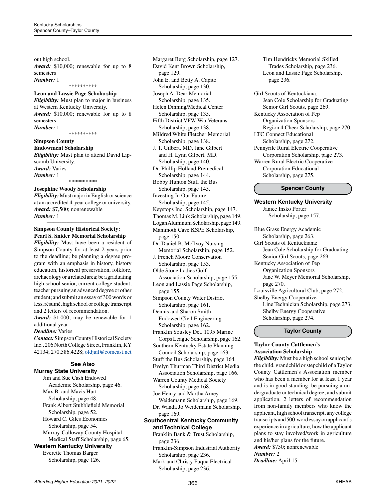out high school.

*Award:* \$10,000; renewable for up to 8 semesters

*Number:* 1

\*\*\*\*\*\*\*\*\*\*

# **Leon and Lassie Page Scholarship**

*Eligibility:* Must plan to major in business at Western Kentucky University. *Award:* \$10,000; renewable for up to 8 semesters *Number:* 1

\*\*\*\*\*\*\*\*\*\*

# **Simpson County**

**Endowment Scholarship** *Eligibility:* Must plan to attend David Lipscomb University. *Award:* Varies *Number:* 1 \*\*\*\*\*\*\*\*\*\*

# **Josephine Woody Scholarship**

*Eligibility:* Must major in English or science at an accredited 4-year college or university. *Award:* \$7,500; nonrenewable *Number:* 1

*\_\_\_\_\_\_\_\_\_\_\_\_\_\_\_\_\_\_\_\_\_\_\_\_\_\_\_\_\_\_\_\_\_\_\_\_\_\_\_\_\_\_\_\_*

# **Simpson County Historical Society: Pearl S. Snider Memorial Scholarship**

*Eligibility:* Must have been a resident of Simpson County for at least 2 years prior to the deadline; be planning a degree program with an emphasis in history, history education, historical preservation, folklore, archaeology or a related area; be a graduating high school senior, current college student, teacher pursuing an advanced degree or other student; and submit an essay of 300 words or less, résumé, high school or college transcript and 2 letters of recommendation. *Award:* \$1,000; may be renewable for 1

#### additional year *Deadline:* Varies

*Contact:* Simpson County Historical Society Inc., 206 North College Street, Franklin, KY 42134; 270.586.4228; [oldjail@comcast.net](mailto:oldjail%40comcast.net?subject=)

# **See Also Murray State University**

Jim and Sue Cash Endowed Academic Scholarship, page 46. Max B. and Mavis Hurt Scholarship, page 48. Frank Albert Stubblefield Memorial Scholarship, page 52. Howard C. Giles Economics Scholarship, page 54. Murray-Calloway County Hospital Medical Staff Scholarship, page 65. **Western Kentucky University**

# Everette Thomas Barger

Scholarship, page 126.

Margaret Berg Scholarship, page 127. David Kent Brown Scholarship, page 129. John E. and Betty A. Capito Scholarship, page 130. Joseph A. Dear Memorial Scholarship, page 135. Helen Dinning/Medical Center Scholarship, page 135. Fifth District VFW War Veterans Scholarship, page 138. Mildred White Fletcher Memorial Scholarship, page 138. J. T. Gilbert, MD, Jane Gilbert and H. Lynn Gilbert, MD, Scholarship, page 140. Dr. Phillip Holland Premedical Scholarship, page 144. Bobby Hunton Stuff the Bus Scholarship, page 145. Investing In Our Future Scholarship, page 145. Keystops Inc. Scholarship, page 147. Thomas M. Link Scholarship, page 149. Logan Aluminum Scholarship, page 149. Mammoth Cave KSPE Scholarship, page 150. Dr. Daniel B. McIlvoy Nursing Memorial Scholarship, page 152. J. French Moore Conservation Scholarship, page 153. Olde Stone Ladies Golf Association Scholarship, page 155.

Leon and Lassie Page Scholarship, page 155.

Simpson County Water District Scholarship, page 161.

Dennis and Sharon Smith Endowed Civil Engineering Scholarship, page 162.

- Franklin Sousley Det. 1095 Marine Corps League Scholarship, page 162.
- Southern Kentucky Estate Planning Council Scholarship, page 163.
- Stuff the Bus Scholarship, page 164. Evelyn Thurman Third District Media Association Scholarship, page 166.
- Warren County Medical Society Scholarship, page 168.
- Joe Henry and Martha Arney Weidemann Scholarship, page 169.

Dr. Wanda Jo Weidemann Scholarship, page 169.

# **Southcentral Kentucky Community and Technical College**

Franklin Bank & Trust Scholarship, page 236.

- Franklin-Simpson Industrial Authority Scholarship, page 236.
- Mark and Christy Fuqua Electrical Scholarship, page 236.

Tim Hendricks Memorial Skilled Trades Scholarship, page 236. Leon and Lassie Page Scholarship, page 236.

Girl Scouts of Kentuckiana: Jean Cole Scholarship for Graduating Senior Girl Scouts, page 269. Kentucky Association of Pep Organization Sponsors Region 4 Cheer Scholarship, page 270. LTC Connect Educational Scholarship, page 272. Pennyrile Rural Electric Cooperative Corporation Scholarship, page 273. Warren Rural Electric Cooperative Corporation Educational Scholarship, page 275.

# **Spencer County**

**Western Kentucky University** Janice Insko Porter Scholarship, page 157.

Blue Grass Energy Academic Scholarship, page 263. Girl Scouts of Kentuckiana: Jean Cole Scholarship for Graduating Senior Girl Scouts, page 269. Kentucky Association of Pep Organization Sponsors Jane W. Meyer Memorial Scholarship, page 270. Louisville Agricultural Club, page 272. Shelby Energy Cooperative

Line Technician Scholarship, page 273. Shelby Energy Cooperative Scholarship, page 274.

**Taylor County**

# **Taylor County Cattlemen's Association Scholarship**

*Eligibility:* Must be a high school senior; be the child, grandchild or stepchild of a Taylor County Cattlemen's Association member who has been a member for at least 1 year and is in good standing; be pursuing a undergraduate or technical degree; and submit application, 2 letters of recommendation from non-family members who know the applicant, high school transcript, any college transcripts and 500-word essay on applicant's experience in agriculture, how the applicant plans to stay involved/work in agriculture and his/her plans for the future. *Award:* \$750; nonrenewable

*Number:* 2

*Deadline:* April 15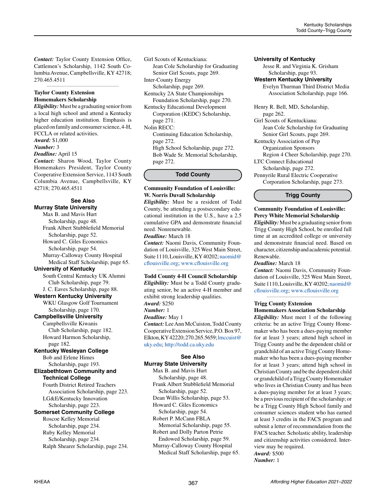*Contact:* Taylor County Extension Office, Cattlemen's Scholarship, 1142 South Columbia Avenue, Campbellsville, KY 42718; 270.465.4511

*\_\_\_\_\_\_\_\_\_\_\_\_\_\_\_\_\_\_\_\_\_\_\_\_\_\_\_\_\_\_\_\_\_\_\_\_\_\_\_\_\_\_\_\_*

## **Taylor County Extension Homemakers Scholarship**

*Eligibility:* Must be a graduating senior from a local high school and attend a Kentucky higher education institution. Emphasis is placed on family and consumer science, 4-H, FCCLA or related activities.

*Award:* \$1,000

*Number:* 3

*Deadline:* April 15

*Contact:* Sharon Wood, Taylor County Homemakers President, Taylor County Cooperative Extension Service, 1143 South Columbia Avenue, Campbellsville, KY 42718; 270.465.4511

#### **See Also Murray State University**

Max B. and Mavis Hurt Scholarship, page 48. Frank Albert Stubblefield Memorial Scholarship, page 52. Howard C. Giles Economics Scholarship, page 54. Murray-Calloway County Hospital Medical Staff Scholarship, page 65. **University of Kentucky** South Central Kentucky UK Alumni Club Scholarship, page 79. J. C. Eaves Scholarship, page 88. **Western Kentucky University** WKU Glasgow Golf Tournament Scholarship, page 170. **Campbellsville University** Campbellsville Kiwanis Club Scholarship, page 182. Howard Harmon Scholarship, page 182. **Kentucky Wesleyan College** Bob and Erlene Himes Scholarship, page 193. **Elizabethtown Community and Technical College** Fourth District Retired Teachers Association Scholarship, page 223. LG&E/Kentucky Innovation Scholarship, page 223. **Somerset Community College** Roscoe Kelley Memorial Scholarship, page 234. Ruby Kelley Memorial Scholarship, page 234. Ralph Shearer Scholarship, page 234.

Girl Scouts of Kentuckiana: Jean Cole Scholarship for Graduating Senior Girl Scouts, page 269. Inter-County Energy Scholarship, page 269.

Kentucky 2A State Championships Foundation Scholarship, page 270.

Kentucky Educational Development Corporation (KEDC) Scholarship, page 271.

Nolin RECC:

Continuing Education Scholarship, page 272.

High School Scholarship, page 272. Bob Wade Sr. Memorial Scholarship, page 272.

# **Todd County**

# **Community Foundation of Louisville: W. Norris Duvall Scholarship**

*Eligibility:* Must be a resident of Todd County, be attending a postsecondary educational institution in the U.S., have a 2.5 cumulative GPA and demonstrate financial need. Nonrenewable.

# *Deadline:* March 18

*Contact:* Naomi Davis, Community Foundation of Louisville, 325 West Main Street, Suite 1110, Louisville, KY 40202; [naomid@](mailto:naomid%40cflouisville.org?subject=) [cflouisville.org;](mailto:naomid%40cflouisville.org?subject=) [www.cflouisville.org](http://www.cflouisville.org)

*\_\_\_\_\_\_\_\_\_\_\_\_\_\_\_\_\_\_\_\_\_\_\_\_\_\_\_\_\_\_\_\_\_\_\_\_\_\_\_\_\_\_\_\_*

# **Todd County 4-H Council Scholarship**

*Eligibility:* Must be a Todd County graduating senior, be an active 4-H member and exhibit strong leadership qualities. *Award:* \$250

*Number:* 1

# *Deadline:* May 1

*Contact:* Lee Ann McCuiston, Todd County Cooperative Extension Service, P.O. Box 97, Elkton, KY 42220; 270.265.5659; [lmccuist@](mailto:lmccuist%40uky.edu?subject=) [uky.edu;](mailto:lmccuist%40uky.edu?subject=)<http://todd.ca.uky.edu>

# **See Also**

**Murray State University**

Max B. and Mavis Hurt Scholarship, page 48. Frank Albert Stubblefield Memorial Scholarship, page 52. Dean Willis Scholarship, page 53. Howard C. Giles Economics Scholarship, page 54. Robert P. McCann FBLA Memorial Scholarship, page 55. Robert and Dolly Parton Petrie Endowed Scholarship, page 59. Murray-Calloway County Hospital Medical Staff Scholarship, page 65.

# **University of Kentucky**

Jesse R. and Virginia K. Grisham Scholarship, page 93.

# **Western Kentucky University**

Evelyn Thurman Third District Media Association Scholarship, page 166.

Henry R. Bell, MD, Scholarship, page 262.

Girl Scouts of Kentuckiana: Jean Cole Scholarship for Graduating

Senior Girl Scouts, page 269.

Kentucky Association of Pep

Organization Sponsors

Region 4 Cheer Scholarship, page 270.

LTC Connect Educational

Scholarship, page 272.

Pennyrile Rural Electric Cooperative Corporation Scholarship, page 273.

**Trigg County**

# **Community Foundation of Louisville: Percy White Memorial Scholarship**

*Eligibility:* Must be a graduating senior from Trigg County High School, be enrolled full time at an accredited college or university and demonstrate financial need. Based on character, citizenship and academic potential. Renewable.

*Deadline:* March 18

*Contact:* Naomi Davis, Community Foundation of Louisville, 325 West Main Street, Suite 1110, Louisville, KY 40202; [naomid@](mailto:naomid%40cflouisville.org?subject=) [cflouisville.org](mailto:naomid%40cflouisville.org?subject=); [www.cflouisville.org](http://www.cflouisville.org)

*\_\_\_\_\_\_\_\_\_\_\_\_\_\_\_\_\_\_\_\_\_\_\_\_\_\_\_\_\_\_\_\_\_\_\_\_\_\_\_\_\_\_\_\_*

# **Trigg County Extension**

**Homemakers Association Scholarship**

*Eligibility:* Must meet 1 of the following criteria: be an active Trigg County Homemaker who has been a dues-paying member for at least 3 years; attend high school in Trigg County and be the dependent child or grandchild of an active Trigg County Homemaker who has been a dues-paying member for at least 3 years; attend high school in Christian County and be the dependent child or grandchild of a Trigg County Homemaker who lives in Christian County and has been a dues-paying member for at least 3 years; be a previous recipient of the scholarship; or be a Trigg County High School family and consumer sciences student who has earned at least 3 credits in the FACS program and submit a letter of recommendation from the FACS teacher. Scholastic ability, leadership and citizenship activities considered. Interview may be required. *Award:* \$500

*Number:* 1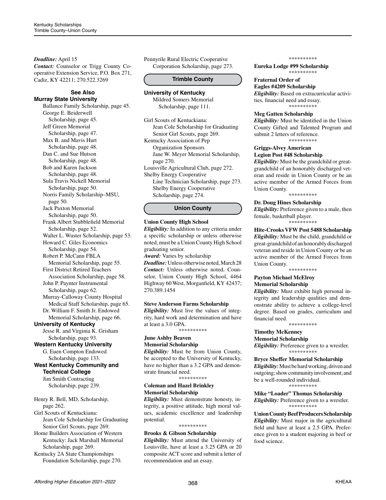# *Deadline:* April 15

*Contact:* Counselor or Trigg County Cooperative Extension Service, P.O. Box 271, Cadiz, KY 42211; 270.522.3269

#### **See Also Murray State University**

Ballance Family Scholarship, page 45. George E. Beiderwell Scholarship, page 45. Jeff Green Memorial Scholarship, page 47. Max B. and Mavis Hurt Scholarship, page 48. Dan C. and Sue Hutson Scholarship, page 48. Bob and Karen Jackson Scholarship, page 48. Sula Travis Nickell Memorial Scholarship, page 50. Norris Family Scholarship–MSU, page 50. Jack Paxton Memorial Scholarship, page 50. Frank Albert Stubblefield Memorial Scholarship, page 52. Walter L. Wuster Scholarship, page 53. Howard C. Giles Economics Scholarship, page 54. Robert P. McCann FBLA Memorial Scholarship, page 55. First District Retired Teachers Association Scholarship, page 58. John P. Paynter Instrumental Scholarship, page 62. Murray-Calloway County Hospital Medical Staff Scholarship, page 65. Dr. William F. Smith Jr. Endowed Memorial Scholarship, page 66. **University of Kentucky** Jesse R. and Virginia K. Grisham Scholarship, page 93. **Western Kentucky University** G. Euen Compton Endowed Scholarship, page 133. **West Kentucky Community and Technical College**

Jim Smith Contracting Scholarship, page 239.

# Henry R. Bell, MD, Scholarship, page 262. Girl Scouts of Kentuckiana: Jean Cole Scholarship for Graduating Senior Girl Scouts, page 269.

Home Builders Association of Western Kentucky: Jack Marshall Memorial Scholarship, page 269. Kentucky 2A State Championships

Foundation Scholarship, page 270.

Pennyrile Rural Electric Cooperative Corporation Scholarship, page 273.

#### **Trimble County**

# **University of Kentucky**

Mildred Somers Memorial Scholarship, page 111.

Girl Scouts of Kentuckiana: Jean Cole Scholarship for Graduating Senior Girl Scouts, page 269. Kentucky Association of Pep Organization Sponsors Jane W. Meyer Memorial Scholarship, page 270. Louisville Agricultural Club, page 272. Shelby Energy Cooperative Line Technician Scholarship, page 273. Shelby Energy Cooperative

Scholarship, page 274.

#### **Union County**

#### **Union County High School**

*Eligibility:* In addition to any criteria under a specific scholarship or unless otherwise noted, must be a Union County High School graduating senior.

*Award:* Varies by scholarship *Deadline:* Unless otherwise noted, March 28 *Contact:* Unless otherwise noted, Counselor, Union County High School, 4464 Highway 60 West, Morganfield, KY 42437; 270.389.1454

# **Steve Anderson Farms Scholarship**

*Eligibility:* Must live the values of integrity, hard work and determination and have at least a 3.0 GPA.

\*\*\*\*\*\*\*\*\*\*

#### **June Ashby Beaven Memorial Scholarship**

*Eligibility:* Must be from Union County, be accepted to the University of Kentucky, have no higher than a 3.2 GPA and demonstrate financial need.

\*\*\*\*\*\*\*\*\*\*

# **Coleman and Hazel Brinkley Memorial Scholarship**

*Eligibility:* Must demonstrate honesty, integrity, a positive attitude, high moral values, academic excellence and leadership potential.

# \*\*\*\*\*\*\*\*\*\*

# **Brooks & Gibson Scholarship**

*Eligibility:* Must attend the University of Louisville, have at least a 3.25 GPA or 20 composite ACT score and submit a letter of recommendation and an essay.

\*\*\*\*\*\*\*\*\*\*

**Eureka Lodge #99 Scholarship** \*\*\*\*\*\*\*\*\*\*

# **Fraternal Order of**

**Eagles #4209 Scholarship** *Eligibility:* Based on extracurricular activities, financial need and essay. \*\*\*\*\*\*\*\*\*\*

#### **Meg Gatten Scholarship**

*Eligibility:* Must be identified in the Union County Gifted and Talented Program and submit 2 letters of reference. \*\*\*\*\*\*\*\*\*\*

#### **Griggs-Alvey American Legion Post #48 Scholarship**

*Eligibility:* Must be the grandchild or greatgrandchild of an honorably discharged veteran and reside in Union County or be an active member of the Armed Forces from Union County. \*\*\*\*\*\*\*\*\*\*

#### **Dr. Doug Hines Scholarship**

*Eligibility:* Preference given to a male, then female, basketball player. \*\*\*\*

#### **Hite-Crooks VFW Post 5488 Scholarship**

*Eligibility:* Must be the child, grandchild or great-grandchild of an honorably discharged veteran and reside in Union County or be an active member of the Armed Forces from Union County.

\*\*\*\*\*\*\*\*\*\*

#### **Payton Michael McElroy Memorial Scholarship**

*Eligibility:* Must exhibit high personal integrity and leadership qualities and demonstrate ability to achieve a college-level degree. Based on grades, curriculum and financial need.

\*\*\*\*\*\*\*\*\*\*

# **Timothy McKenney**

**Memorial Scholarship** *Eligibility:* Preference given to a wrestler.

\*\*\*\*\*\*\*\*\*\*

## **Bryce Sheffer Memorial Scholarship**

*Eligibility:* Must be hard working, driven and outgoing; show community involvement; and be a well-rounded individual. \*\*\*\*\*\*\*\*\*\*

**Mike "Loader" Thomas Scholarship** *Eligibility:* Preference given to a wrestler. \*\*\*\*\*\*\*\*\*\*

**Union County Beef Producers Scholarship** *Eligibility:* Must major in the agricultural field and have at least a 2.5 GPA. Preference given to a student majoring in beef or food science.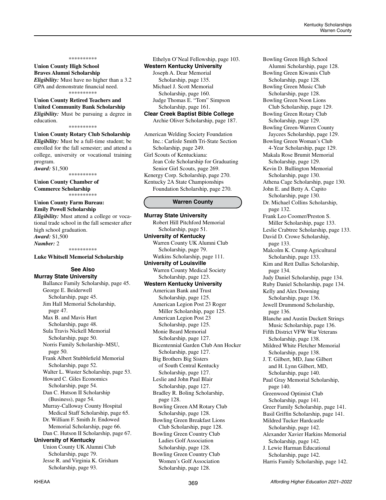# **Union County High School Braves Alumni Scholarship**

*Eligibility:* Must have no higher than a 3.2 GPA and demonstrate financial need. \*\*\*\*\*\*\*\*\*\*

#### **Union County Retired Teachers and United Community Bank Scholarship**

*Eligibility:* Must be pursuing a degree in education.

\*\*\*\*\*\*\*\*\*\*

## **Union County Rotary Club Scholarship** *Eligibility:* Must be a full-time student; be enrolled for the fall semester; and attend a college, university or vocational training program.

*Award:* \$1,500 \*\*\*\*\*\*\*\*\*\*

**Union County Chamber of Commerce Scholarship** \*\*\*\*\*\*\*\*\*\*

#### **Union County Farm Bureau: Emily Powell Scholarship**

*Eligibility:* Must attend a college or vocational trade school in the fall semester after high school graduation. *Award:* \$1,500 *Number:* 2 \*\*\*\*\*\*\*\*\*\*

#### **Luke Whitsell Memorial Scholarship**

# **See Also Murray State University**

Ballance Family Scholarship, page 45. George E. Beiderwell Scholarship, page 45. Jim Hall Memorial Scholarship, page 47. Max B. and Mavis Hurt Scholarship, page 48. Sula Travis Nickell Memorial Scholarship, page 50. Norris Family Scholarship–MSU, page 50. Frank Albert Stubblefield Memorial Scholarship, page 52. Walter L. Wuster Scholarship, page 53. Howard C. Giles Economics Scholarship, page 54. Dan C. Hutson II Scholarship (Business), page 54. Murray-Calloway County Hospital Medical Staff Scholarship, page 65. Dr. William F. Smith Jr. Endowed Memorial Scholarship, page 66. Dan C. Hutson II Scholarship, page 67. **University of Kentucky** Union County UK Alumni Club Scholarship, page 79. Jesse R. and Virginia K. Grisham Scholarship, page 93.

Ethelyn O'Neal Fellowship, page 103. **Western Kentucky University** Joseph A. Dear Memorial Scholarship, page 135. Michael J. Scott Memorial

 Scholarship, page 160. Judge Thomas E. "Tom" Simpson Scholarship, page 161.

**Clear Creek Baptist Bible College** Archie Oliver Scholarship, page 187.

American Welding Society Foundation Inc.: Carlisle Smith Tri-State Section Scholarship, page 249. Girl Scouts of Kentuckiana: Jean Cole Scholarship for Graduating Senior Girl Scouts, page 269. Kenergy Corp. Scholarship, page 270. Kentucky 2A State Championships Foundation Scholarship, page 270.

#### **Warren County**

**Murray State University**  Robert Hill Pitchford Memorial Scholarship, page 51. **University of Kentucky** Warren County UK Alumni Club Scholarship, page 79. Watkins Scholarship, page 111. **University of Louisville** Warren County Medical Society Scholarship, page 123. **Western Kentucky University** American Bank and Trust Scholarship, page 125. American Legion Post 23 Roger Miller Scholarship, page 125. American Legion Post 23 Scholarship, page 125. Monie Beard Memorial Scholarship, page 127. Bicentennial Garden Club Ann Hocker Scholarship, page 127. Big Brothers Big Sisters of South Central Kentucky Scholarship, page 127. Leslie and John Paul Blair Scholarship, page 127. Bradley R. Boling Scholarship, page 128. Bowling Green AM Rotary Club Scholarship, page 128. Bowling Green Breakfast Lions Club Scholarship, page 128. Bowling Green Country Club Ladies Golf Association Scholarship, page 128. Bowling Green Country Club Women's Golf Association Scholarship, page 128.

Bowling Green High School Alumni Scholarship, page 128. Bowling Green Kiwanis Club Scholarship, page 128. Bowling Green Music Club Scholarship, page 128. Bowling Green Noon Lions Club Scholarship, page 129. Bowling Green Rotary Club Scholarship, page 129. Bowling Green-Warren County Jaycees Scholarship, page 129. Bowling Green Woman's Club 4-Year Scholarship, page 129. Makala Rose Brumit Memorial Scholarship, page 129. Kevin D. Bullington Memorial Scholarship, page 130. Athena Cage Scholarship, page 130. John E. and Betty A. Capito Scholarship, page 130. Dr. Michael Collins Scholarship, page 132. Frank Leo Coomer/Preston S. Miller Scholarship, page 133. Leslie Crabtree Scholarship, page 133. David D. Crowe Scholarship, page 133. Malcolm K. Crump Agricultural Scholarship, page 133. Kim and Rett Dallas Scholarship, page 134. Judy Daniel Scholarship, page 134. Ruby Daniel Scholarship, page 134. Kelly and Alex Downing Scholarship, page 136. Jewell Drummond Scholarship, page 136. Blanche and Austin Duckett Strings Music Scholarship, page 136. Fifth District VFW War Veterans Scholarship, page 138. Mildred White Fletcher Memorial Scholarship, page 138. J. T. Gilbert, MD, Jane Gilbert and H. Lynn Gilbert, MD, Scholarship, page 140. Paul Gray Memorial Scholarship, page 140. Greenwood Optimist Club Scholarship, page 141. Greer Family Scholarship, page 141. Basil Griffin Scholarship, page 141. Mildred Tucker Hardcastle Scholarship, page 142. Alexander Xavier Harkins Memorial Scholarship, page 142. J. Lewie Harman Educational Scholarship, page 142. Harris Family Scholarship, page 142.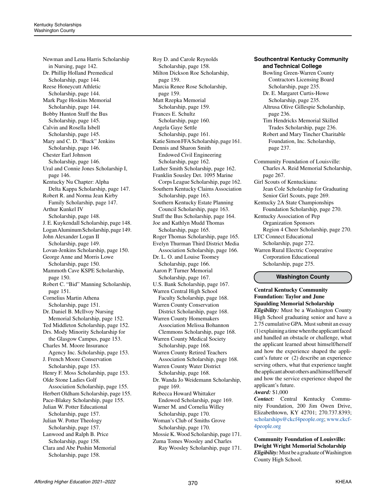Newman and Lena Harris Scholarship in Nursing, page 142. Dr. Phillip Holland Premedical Scholarship, page 144. Reese Honeycutt Athletic Scholarship, page 144. Mark Page Hoskins Memorial Scholarship, page 144. Bobby Hunton Stuff the Bus Scholarship, page 145. Calvin and Rosella Isbell Scholarship, page 145. Mary and C. D. "Buck" Jenkins Scholarship, page 146. Chester Earl Johnson Scholarship, page 146. Ural and Connie Jones Scholarship I, page 146. Kentucky Nu Chapter: Alpha Delta Kappa Scholarship, page 147. Robert R. and Norma Jean Kirby Family Scholarship, page 147. Arthur Kunkel IV Scholarship, page 148. J. E. Kuykendall Scholarship, page 148. Logan Aluminum Scholarship, page 149. John Alexander Logan II Scholarship, page 149. Lovan-Jenkins Scholarship, page 150. George Anne and Morris Lowe Scholarship, page 150. Mammoth Cave KSPE Scholarship, page 150. Robert C. "Bid" Manning Scholarship, page 151. Cornelius Martin Athena Scholarship, page 151. Dr. Daniel B. McIlvoy Nursing Memorial Scholarship, page 152. Ted Middleton Scholarship, page 152. Drs. Mody Minority Scholarship for the Glasgow Campus, page 153. Charles M. Moore Insurance Agency Inc. Scholarship, page 153. J. French Moore Conservation Scholarship, page 153. Henry F. Moss Scholarship, page 153. Olde Stone Ladies Golf Association Scholarship, page 155. Herbert Oldham Scholarship, page 155. Pace-Blakey Scholarship, page 155. Julian W. Potter Educational Scholarship, page 157. Julian W. Potter Theology Scholarship, page 157. Lanwood and Ralph B. Price Scholarship, page 158. Clara and Abe Pushin Memorial Scholarship, page 158.

Roy D. and Carole Reynolds Scholarship, page 158. Milton Dickson Roe Scholarship, page 159. Marcia Renee Rose Scholarship, page 159. Matt Rzepka Memorial Scholarship, page 159. Frances E. Schultz Scholarship, page 160. Angela Gaye Settle Scholarship, page 161. Katie Simon FFA Scholarship, page 161. Dennis and Sharon Smith Endowed Civil Engineering Scholarship, page 162. Luther Smith Scholarship, page 162. Franklin Sousley Det. 1095 Marine Corps League Scholarship, page 162. Southern Kentucky Claims Association Scholarship, page 163. Southern Kentucky Estate Planning Council Scholarship, page 163. Stuff the Bus Scholarship, page 164. Joe and Kathlyn Mudd Thomas Scholarship, page 165. Roger Thomas Scholarship, page 165. Evelyn Thurman Third District Media Association Scholarship, page 166. Dr. L. O. and Louise Toomey Scholarship, page 166. Aaron P. Turner Memorial Scholarship, page 167. U.S. Bank Scholarship, page 167. Warren Central High School Faculty Scholarship, page 168. Warren County Conservation District Scholarship, page 168. Warren County Homemakers Association Melissa Bohannon Clemmons Scholarship, page 168. Warren County Medical Society Scholarship, page 168. Warren County Retired Teachers Association Scholarship, page 168. Warren County Water District Scholarship, page 168. Dr. Wanda Jo Weidemann Scholarship, page 169. Rebecca Howard Whittaker Endowed Scholarship, page 169. Warner M. and Cornelia Willey Scholarship, page 170. Woman's Club of Smiths Grove Scholarship, page 170. Mossie K. Wood Scholarship, page 171. Zuma Tomes Woosley and Charles Ray Woosley Scholarship, page 171.

# **Southcentral Kentucky Community and Technical College**

Bowling Green-Warren County Contractors Licensing Board Scholarship, page 235. Dr. E. Margaret Curtis-Howe Scholarship, page 235. Altrusa Olive Gillespie Scholarship, page 236. Tim Hendricks Memorial Skilled Trades Scholarship, page 236. Robert and Mary Tincher Charitable Foundation, Inc. Scholarship, page 237. Community Foundation of Louisville: Charles A. Reid Memorial Scholarship, page 267. Girl Scouts of Kentuckiana: Jean Cole Scholarship for Graduating Senior Girl Scouts, page 269. Kentucky 2A State Championships Foundation Scholarship, page 270. Kentucky Association of Pep Organization Sponsors Region 4 Cheer Scholarship, page 270. LTC Connect Educational Scholarship, page 272. Warren Rural Electric Cooperative Corporation Educational Scholarship, page 275.

# **Washington County**

# **Central Kentucky Community Foundation: Taylor and June Spaulding Memorial Scholarship**

*Eligibility:* Must be a Washington County High School graduating senior and have a 2.75 cumulative GPA. Must submit an essay (1) explaining a time when the applicant faced and handled an obstacle or challenge, what the applicant learned about himself/herself and how the experience shaped the applicant's future or (2) describe an experience serving others, what that experience taught the applicant about others and himself/herself and how the service experience shaped the applicant's future. *Award:* \$1,000

*Contact:* Central Kentucky Community Foundation, 200 Jim Owen Drive, Elizabethtown, KY 42701; 270.737.8393; [scholarships@ckcf4people.org](mailto:scholarships%40ckcf4people.org?subject=); [www.ckcf-](http://www.ckcf4people.org)[4people.org](http://www.ckcf4people.org)

**Community Foundation of Louisville: Dwight Wright Memorial Scholarship** *Eligibility:* Must be a graduate of Washington County High School.

*\_\_\_\_\_\_\_\_\_\_\_\_\_\_\_\_\_\_\_\_\_\_\_\_\_\_\_\_\_\_\_\_\_\_\_\_\_\_\_\_\_\_\_\_*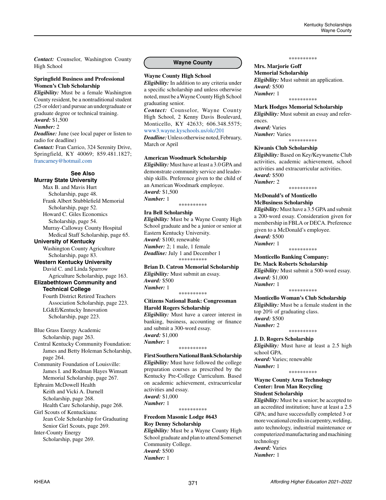*Contact:* Counselor, Washington County High School *\_\_\_\_\_\_\_\_\_\_\_\_\_\_\_\_\_\_\_\_\_\_\_\_\_\_\_\_\_\_\_\_\_\_\_\_\_\_\_\_\_\_\_\_*

## **Springfield Business and Professional Women's Club Scholarship**

*Eligibility:* Must be a female Washington County resident, be a nontraditional student (25 or older) and pursue an undergraduate or graduate degree or technical training. *Award:* \$1,500

#### *Number:* 2

*Deadline:* June (see local paper or listen to radio for deadline) *Contact:* Fran Carrico, 324 Serenity Drive, Springfield, KY 40069; 859.481.1827; [francarney@hotmail.com](mailto:francarney%40hotmail.com?subject=)

# **See Also**

**Murray State University**

Max B. and Mavis Hurt Scholarship, page 48. Frank Albert Stubblefield Memorial Scholarship, page 52.

Howard C. Giles Economics Scholarship, page 54.

Murray-Calloway County Hospital Medical Staff Scholarship, page 65.

#### **University of Kentucky**

Washington County Agriculture Scholarship, page 83.

# **Western Kentucky University**

David C. and Linda Sparrow Agriculture Scholarship, page 163.

#### **Elizabethtown Community and Technical College**

Fourth District Retired Teachers Association Scholarship, page 223. LG&E/Kentucky Innovation Scholarship, page 223.

Blue Grass Energy Academic Scholarship, page 263.

Central Kentucky Community Foundation: James and Betty Holeman Scholarship, page 264.

Community Foundation of Louisville: James I. and Rodman Hayes Wimsatt Memorial Scholarship, page 267.

Ephraim McDowell Health Keith and Vicki A. Darnell Scholarship, page 268.

Health Care Scholarship, page 268. Girl Scouts of Kentuckiana: Jean Cole Scholarship for Graduating

Senior Girl Scouts, page 269. Inter-County Energy

Scholarship, page 269.

### **Wayne County**

**Wayne County High School** 

*Eligibility:* In addition to any criteria under a specific scholarship and unless otherwise noted, must be a Wayne County High School graduating senior.

*Contact:* Counselor, Wayne County High School, 2 Kenny Davis Boulevard, Monticello, KY 42633; 606.348.5575; [www3.wayne.kyschools.us/olc/201](http://www3.wayne.kyschools.us/olc/201)

*Deadline:* Unless otherwise noted, February, March or April

#### **American Woodmark Scholarship**

*Eligibility:* Must have at least a 3.0 GPA and demonstrate community service and leadership skills. Preference given to the child of an American Woodmark employee. *Award:* \$1,500 *Number:* 1

\*\*\*\*\*\*\*\*\*

#### **Ira Bell Scholarship**

*Eligibility:* Must be a Wayne County High School graduate and be a junior or senior at Eastern Kentucky University. *Award:* \$100; renewable *Number:* 2; 1 male, 1 female *Deadline:* July 1 and December 1 \*\*\*\*\*\*\*\*\*\*

# **Brian D. Catron Memorial Scholarship**

*Eligibility:* Must submit an essay. *Award:* \$500 *Number:* 1 \*\*\*\*\*\*\*\*\*\*

# **Citizens National Bank: Congressman Harold Rogers Scholarship**

*Eligibility:* Must have a career interest in banking, business, accounting or finance and submit a 300-word essay. *Award:* \$1,000 *Number:* 1 \*\*\*\*\*\*\*\*\*\*

**First Southern National Bank Scholarship** *Eligibility:* Must have followed the college preparation courses as prescribed by the Kentucky Pre-College Curriculum. Based on academic achievement, extracurricular activities and essay. *Award:* \$1,000 *Number:* 1

\*\*\*\*\*\*\*\*\*\*

#### **Freedom Masonic Lodge #643 Roy Denny Scholarship**

*Eligibility:* Must be a Wayne County High School graduate and plan to attend Somerset Community College. *Award:* \$500 *Number:* 1

#### \*\*\*\*\*\*\*\*\*\*

#### **Mrs. Marjorie Goff Memorial Scholarship**

*Eligibility:* Must submit an application. *Award:* \$500 *Number:* 1 \*\*\*\*\*\*\*\*\*\*

#### **Mark Hodges Memorial Scholarship**

*Eligibility:* Must submit an essay and references. *Award:* Varies

*Number:* Varies \*\*\*\*\*\*\*\*\*\*

#### **Kiwanis Club Scholarship**

*Eligibility:* Based on Key/Keywanette Club activities, academic achievement, school activities and extracurricular activities. *Award:* \$500

\*\*\*\*\*\*\*\*\*\*

*Number:* 2

#### **McDonald's of Monticello McBusiness Scholarship**

*Eligibility:* Must have a 3.5 GPA and submit a 200-word essay. Consideration given for membership in FBLA or DECA. Preference given to a McDonald's employee. *Award:* \$500 *Number:* 1

\*\*\*\*\*\*\*\*\*\*

#### **Monticello Banking Company: Dr. Mack Roberts Scholarship**

*Eligibility:* Must submit a 500-word essay. *Award:* \$1,000 *Number:* 1

\*\*\*\*\*\*\*\*\*\*

#### **Monticello Woman's Club Scholarship**

*Eligibility:* Must be a female student in the top 20% of graduating class. *Award:* \$500 *Number:* 2

\*\*\*\*\*\*\*\*\*\*

#### **J. D. Rogers Scholarship** *Eligibility:* Must have at least a 2.5 high

school GPA. *Award:* Varies; renewable *Number:* 1

\*\*\*\*\*\*\*\*\*\*

# **Wayne County Area Technology Center: Iron Man Recycling Student Scholarship**

*Eligibility:* Must be a senior; be accepted to an accredited institution; have at least a 2.5 GPA; and have successfully completed 3 or more vocational credits in carpentry, welding, auto technology, industrial maintenance or computerized manufacturing and machining technology *Award:* Varies

*Number:* 1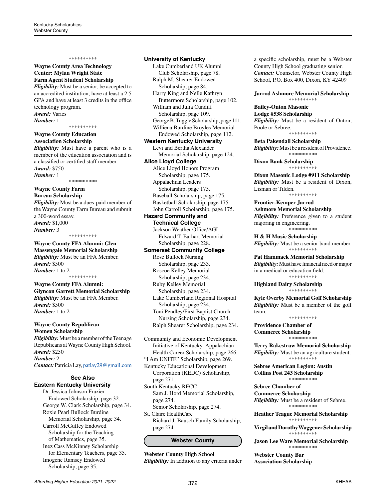#### **Wayne County Area Technology Center: Mylan Wright State Farm Agent Student Scholarship**

*Eligibility:* Must be a senior, be accepted to an accredited institution, have at least a 2.5 GPA and have at least 3 credits in the office technology program. *Award:* Varies *Number:* 1

\*\*\*\*\*\*\*\*\*\*

**Wayne County Education Association Scholarship**

*Eligibility:* Must have a parent who is a member of the education association and is a classified or certified staff member. *Award:* \$750 *Number:* 1

\*\*\*\*\*\*\*\*\*\*

#### **Wayne County Farm Bureau Scholarship**

*Eligibility:* Must be a dues-paid member of the Wayne County Farm Bureau and submit a 300-word essay. *Award:* \$1,000 *Number:* 3 \*\*\*\*\*\*\*\*\*\*

# **Wayne County FFA Alumni: Glen**

**Massengale Memorial Scholarship** *Eligibility:* Must be an FFA Member. *Award:* \$500 *Number:* 1 to 2 \*\*\*\*\*\*\*\*\*\*

**Wayne County FFA Alumni: Glyncon Garrett Memorial Scholarship** *Eligibility:* Must be an FFA Member. *Award:* \$500 *Number:* 1 to 2 *\_\_\_\_\_\_\_\_\_\_\_\_\_\_\_\_\_\_\_\_\_\_\_\_\_\_\_\_\_\_\_\_\_\_\_\_\_\_\_\_\_\_\_\_*

# **Wayne County Republican**

**Women Scholarship** *Eligibility:* Must be a member of the Teenage Republicans at Wayne County High School. *Award:* \$250 *Number:* 2 *Contact:* Patricia Lay, [patlay29@gmail.com](mailto:patlay29%40gmail.com?subject=)

#### **See Also Eastern Kentucky University**

Dr. Jessica Johnson Frazier Endowed Scholarship, page 32. George W. Clark Scholarship, page 34. Roxie Pearl Bullock Burdine Memorial Scholarship, page 34. Carroll McGuffey Endowed Scholarship for the Teaching of Mathematics, page 35. Inez Cass McKinney Scholarship for Elementary Teachers, page 35. Imogene Ramsey Endowed Scholarship, page 35.

#### **University of Kentucky**

Lake Cumberland UK Alumni Club Scholarship, page 78. Ralph M. Shearer Endowed Scholarship, page 84. Harry King and Nelle Kathryn Buttermore Scholarship, page 102. William and Julia Cundiff Scholarship, page 109. George B. Tuggle Scholarship, page 111. Williena Burdine Broyles Memorial Endowed Scholarship, page 112. **Western Kentucky University** Levi and Bertha Alexander Memorial Scholarship, page 124. **Alice Lloyd College** Alice Lloyd Honors Program Scholarship, page 175. Appalachian Leaders Scholarship, page 175. Baseball Scholarship, page 175. Basketball Scholarship, page 175. John Carroll Scholarship, page 175. **Hazard Community and Technical College** Jackson Weather Office/AGI Edward T. Earhart Memorial Scholarship, page 228. **Somerset Community College** Rose Bullock Nursing Scholarship, page 233. Roscoe Kelley Memorial Scholarship, page 234. Ruby Kelley Memorial Scholarship, page 234. Lake Cumberland Regional Hospital Scholarship, page 234. Toni Pendley/First Baptist Church Nursing Scholarship, page 234. Ralph Shearer Scholarship, page 234.

Community and Economic Development Initiative of Kentucky: Appalachian Health Career Scholarship, page 266.

"I Am UNITE" Scholarship, page 269.

Kentucky Educational Development Corporation (KEDC) Scholarship, page 271.

South Kentucky RECC Sam J. Hord Memorial Scholarship, page 274.

Senior Scholarship, page 274. St. Claire HealthCare

Richard J. Bausch Family Scholarship, page 274.

# **Webster County**

**Webster County High School**  *Eligibility:* In addition to any criteria under a specific scholarship, must be a Webster County High School graduating senior. *Contact:* Counselor, Webster County High School, P.O. Box 400, Dixon, KY 42409

**Jarrod Ashmore Memorial Scholarship**

\*\*\*\*\*\*\*\*\*\*

# **Bailey-Onton Masonic**

**Lodge #538 Scholarship** *Eligibility:* Must be a resident of Onton, Poole or Sebree. \*\*\*\*\*\*\*\*\*\*

**Beta Pakendall Scholarship**

*Eligibility:* Must be a resident of Providence. \*\*\*\*\*\*\*\*\*\*

**Dixon Bank Scholarship** \*\*\*\*\*\*\*\*\*\*

**Dixon Masonic Lodge #911 Scholarship** *Eligibility:* Must be a resident of Dixon, Lisman or Tilden. \*\*\*\*\*\*\*\*\*\*

**Frontier-Kemper Jarrod Ashmore Memorial Scholarship** *Eligibility:* Preference given to a student majoring in engineering. \*\*\*\*\*\*\*\*\*\*

**H & H Music Scholarship** *Eligibility:* Must be a senior band member. \*\*\*\*\*\*\*\*\*\*

**Pat Hammack Memorial Scholarship** *Eligibility:* Must have financial need or major in a medical or education field. \*\*\*\*\*\*\*\*\*\*

**Highland Dairy Scholarship** \*\*\*\*\*\*\*\*\*\*

**Kyle Overby Memorial Golf Scholarship** *Eligibility:* Must be a member of the golf team. \*\*\*\*\*\*\*\*\*\*

**Providence Chamber of Commerce Scholarship** \*\*\*\*\*\*\*\*\*\*

**Terry Rakestraw Memorial Scholarship** *Eligibility:* Must be an agriculture student. \*\*\*\*\*\*\*\*\*\*

**Sebree American Legion: Austin Collins Post 243 Scholarship** \*\*\*\*\*\*\*\*\*\*

**Sebree Chamber of Commerce Scholarship** *Eligibility:* Must be a resident of Sebree. \*\*\*\*\*\*\*\*\*\*

**Heather Teague Memorial Scholarship** \*\*\*\*\*\*\*\*\*\*

**Virgil and Dorothy Waggener Scholarship** \*\*\*\*\*\*\*\*\*\*

**Jason Lee Ware Memorial Scholarship** \*\*\*\*\*\*\*\*\*\*

**Webster County Bar Association Scholarship**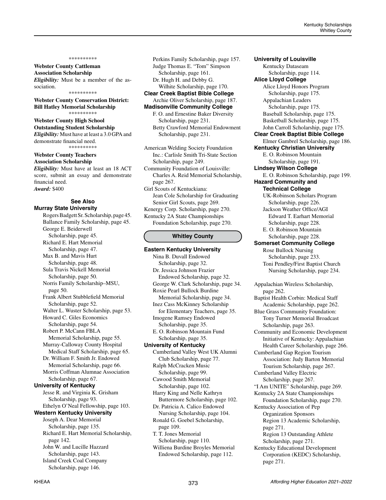# **Webster County Cattleman Association Scholarship**

*Eligibility:* Must be a member of the association. \*\*\*\*\*\*\*\*\*\*

**Webster County Conservation District: Bill Hatley Memorial Scholarship** \*\*\*\*\*\*\*\*\*\*

# **Webster County High School**

**Outstanding Student Scholarship** *Eligibility:* Must have at least a 3.0 GPA and demonstrate financial need. \*\*\*\*\*\*\*\*\*\*

#### **Webster County Teachers Association Scholarship**

*Eligibility:* Must have at least an 18 ACT score, submit an essay and demonstrate financial need. *Award:* \$400

#### **See Also Murray State University**

Rogers Badgett Sr. Scholarship, page 45. Ballance Family Scholarship, page 45. George E. Beiderwell Scholarship, page 45. Richard E. Hart Memorial Scholarship, page 47. Max B. and Mavis Hurt Scholarship, page 48. Sula Travis Nickell Memorial Scholarship, page 50. Norris Family Scholarship–MSU, page 50. Frank Albert Stubblefield Memorial Scholarship, page 52. Walter L. Wuster Scholarship, page 53. Howard C. Giles Economics Scholarship, page 54. Robert P. McCann FBLA Memorial Scholarship, page 55. Murray-Calloway County Hospital Medical Staff Scholarship, page 65. Dr. William F. Smith Jr. Endowed Memorial Scholarship, page 66. Morris Coffman Alumnae Association Scholarship, page 67. **University of Kentucky** Jesse R. and Virginia K. Grisham Scholarship, page 93. Ethelyn O'Neal Fellowship, page 103. **Western Kentucky University** Joseph A. Dear Memorial Scholarship, page 135. Richard E. Hart Memorial Scholarship, page 142. John W. and Lucille Hazzard Scholarship, page 143. Island Creek Coal Company Scholarship, page 146.

Perkins Family Scholarship, page 157. Judge Thomas E. "Tom" Simpson Scholarship, page 161. Dr. Hugh H. and Debby G.

#### Wilhite Scholarship, page 170. **Clear Creek Baptist Bible College** Archie Oliver Scholarship, page 187.

# **Madisonville Community College**

F. O. and Ernestine Baker Diversity Scholarship, page 231. Betty Crawford Memorial Endowment Scholarship, page 231.

American Welding Society Foundation Inc.: Carlisle Smith Tri-State Section Scholarship, page 249.

Community Foundation of Louisville: Charles A. Reid Memorial Scholarship, page 267.

Girl Scouts of Kentuckiana: Jean Cole Scholarship for Graduating Senior Girl Scouts, page 269. Kenergy Corp. Scholarship, page 270. Kentucky 2A State Championships

Foundation Scholarship, page 270.

### **Whitley County**

**Eastern Kentucky University** Nina B. Duvall Endowed Scholarship, page 32. Dr. Jessica Johnson Frazier Endowed Scholarship, page 32. George W. Clark Scholarship, page 34. Roxie Pearl Bullock Burdine Memorial Scholarship, page 34. Inez Cass McKinney Scholarship for Elementary Teachers, page 35. Imogene Ramsey Endowed Scholarship, page 35. E. O. Robinson Mountain Fund Scholarship, page 35. **University of Kentucky** Cumberland Valley West UK Alumni Club Scholarship, page 77. Ralph McCracken Music Scholarship, page 99. Cawood Smith Memorial Scholarship, page 102. Harry King and Nelle Kathryn Buttermore Scholarship, page 102. Dr. Patricia A. Calico Endowed Nursing Scholarship, page 104. Ronald G. Goebel Scholarship, page 109. T. T. Jones Memorial Scholarship, page 110. Williena Burdine Broyles Memorial Endowed Scholarship, page 112.

**University of Louisville** Kentucky Dataseam Scholarship, page 114. **Alice Lloyd College** Alice Lloyd Honors Program Scholarship, page 175. Appalachian Leaders Scholarship, page 175. Baseball Scholarship, page 175. Basketball Scholarship, page 175. John Carroll Scholarship, page 175. **Clear Creek Baptist Bible College** Elmer Gambrel Scholarship, page 186. **Kentucky Christian University** E. O. Robinson Mountain Scholarship, page 191. **Lindsey Wilson College** E. O. Robinson Scholarship, page 199. **Hazard Community and Technical College** UK-Robinson Scholars Program Scholarship, page 226. Jackson Weather Office/AGI Edward T. Earhart Memorial Scholarship, page 228. E. O. Robinson Mountain Scholarship, page 228. **Somerset Community College** Rose Bullock Nursing Scholarship, page 233. Toni Pendley/First Baptist Church Nursing Scholarship, page 234. Appalachian Wireless Scholarship, page 262. Baptist Health Corbin: Medical Staff Academic Scholarship, page 262. Blue Grass Community Foundation: Tony Turner Memorial Broadcast

Scholarship, page 263. Community and Economic Development Initiative of Kentucky: Appalachian Health Career Scholarship, page 266.

Cumberland Gap Region Tourism Association: Judy Barton Memorial Tourism Scholarship, page 267.

Cumberland Valley Electric Scholarship, page 267.

- "I Am UNITE" Scholarship, page 269. Kentucky 2A State Championships
- Foundation Scholarship, page 270. Kentucky Association of Pep

Organization Sponsors Region 13 Academic Scholarship, page 271.

Region 13 Outstanding Athlete Scholarship, page 271.

Kentucky Educational Development Corporation (KEDC) Scholarship, page 271.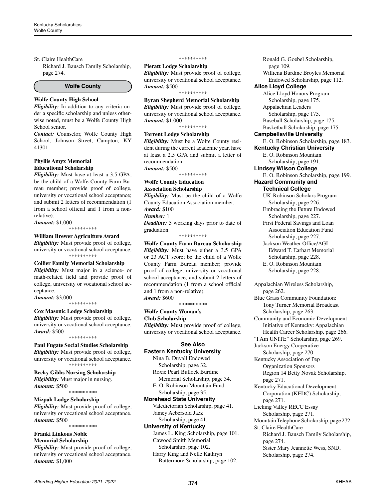#### St. Claire HealthCare

Richard J. Bausch Family Scholarship, page 274.

#### **Wolfe County**

# **Wolfe County High School**

*Eligibility:* In addition to any criteria under a specific scholarship and unless otherwise noted, must be a Wolfe County High School senior.

*Contact:* Counselor, Wolfe County High School, Johnson Street, Campton, KY 41301

#### **Phyllis Amyx Memorial Educational Scholarship**

*Eligibility:* Must have at least a 3.5 GPA; be the child of a Wolfe County Farm Bureau member; provide proof of college, university or vocational school acceptance; and submit 2 letters of recommendation (1 from a school official and 1 from a nonrelative).

*Amount:* \$1,000 \*\*\*\*\*\*\*\*\*\*

# **William Brewer Agriculture Award**

*Eligibility:* Must provide proof of college, university or vocational school acceptance. \*\*\*\*\*\*\*\*\*\*

#### **Collier Family Memorial Scholarship**

*Eligibility:* Must major in a science- or math-related field and provide proof of college, university or vocational school acceptance.

*Amount:* \$3,000 \*\*\*\*\*\*\*\*\*\*

## **Cox Masonic Lodge Scholarship**

*Eligibility:* Must provide proof of college, university or vocational school acceptance. *Award:* \$500

\*\*\*\*\*\*\*\*\*\*

# **Paul Fugate Social Studies Scholarship**

*Eligibility:* Must provide proof of college, university or vocational school acceptance. \*\*\*\*\*\*\*\*\*\*

#### **Becky Gibbs Nursing Scholarship**

*Eligibility:* Must major in nursing. *Amount:* \$500

\*\*\*\*\*\*\*\*\*\*

## **Mizpah Lodge Scholarship**

*Eligibility:* Must provide proof of college, university or vocational school acceptance. *Amount:* \$500

\*\*\*\*\*\*\*\*\*\*

#### **Franki Linkous Noble Memorial Scholarship**

*Eligibility:* Must provide proof of college, university or vocational school acceptance. *Amount:* \$1,000

#### \*\*\*\*\*\*\*\*\*\*

**Pieratt Lodge Scholarship**

*Eligibility:* Must provide proof of college, university or vocational school acceptance. *Amount:* \$500 \*\*\*\*\*\*\*\*\*\*

# **Byran Shepherd Memorial Scholarship**

*Eligibility:* Must provide proof of college, university or vocational school acceptance. *Amount:* \$1,000

\*\*\*\*\*\*\*\*\*\*

#### **Torrent Lodge Scholarship**

*Eligibility:* Must be a Wolfe County resident during the current academic year, have at least a 2.5 GPA and submit a letter of recommendation.

*Amount:* \$500 \*\*\*\*\*\*\*\*\*\*

**Wolfe County Education Association Scholarship** *Eligibility:* Must be the child of a Wolfe County Education Association member. *Award:* \$100 *Number:* 1 *Deadline:* 5 working days prior to date of

graduation \*\*\*\*\*\*\*\*\*\*

**Wolfe County Farm Bureau Scholarship** *Eligibility:* Must have either a 3.5 GPA or 23 ACT score; be the child of a Wolfe County Farm Bureau member; provide proof of college, university or vocational school acceptance; and submit 2 letters of recommendation (1 from a school official and 1 from a non-relative). *Award:* \$600

\*\*\*\*\*\*\*\*\*\*

# **Wolfe County Woman's Club Scholarship**

*Eligibility:* Must provide proof of college, university or vocational school acceptance.

# **See Also**

**Eastern Kentucky University** Nina B. Duvall Endowed Scholarship, page 32. Roxie Pearl Bullock Burdine Memorial Scholarship, page 34.

E. O. Robinson Mountain Fund Scholarship, page 35.

#### **Morehead State University**

Valedictorian Scholarship, page 41. Jamey Aebersold Jazz Scholarship, page 41.

#### **University of Kentucky**

James L. King Scholarship, page 101. Cawood Smith Memorial Scholarship, page 102. Harry King and Nelle Kathryn Buttermore Scholarship, page 102.

Ronald G. Goebel Scholarship, page 109. Williena Burdine Broyles Memorial Endowed Scholarship, page 112. **Alice Lloyd College** Alice Lloyd Honors Program Scholarship, page 175. Appalachian Leaders Scholarship, page 175. Baseball Scholarship, page 175. Basketball Scholarship, page 175. **Campbellsville University** E. O. Robinson Scholarship, page 183. **Kentucky Christian University** E. O. Robinson Mountain Scholarship, page 191. **Lindsey Wilson College** E. O. Robinson Scholarship, page 199. **Hazard Community and Technical College** UK-Robinson Scholars Program Scholarship, page 226. Embracing the Future Endowed Scholarship, page 227. First Federal Savings and Loan Association Education Fund Scholarship, page 227. Jackson Weather Office/AGI Edward T. Earhart Memorial Scholarship, page 228. E. O. Robinson Mountain Scholarship, page 228. Appalachian Wireless Scholarship, page 262. Blue Grass Community Foundation: Tony Turner Memorial Broadcast Scholarship, page 263. Community and Economic Development Initiative of Kentucky: Appalachian Health Career Scholarship, page 266. "I Am UNITE" Scholarship, page 269. Jackson Energy Cooperative Scholarship, page 270. Kentucky Association of Pep Organization Sponsors Region 14 Betty Novak Scholarship, page 271. Kentucky Educational Development Corporation (KEDC) Scholarship, page 271. Licking Valley RECC Essay Scholarship, page 271.

Mountain Telephone Scholarship, page 272. St. Claire HealthCare

Richard J. Bausch Family Scholarship, page 274. Sister Mary Jeannette Wess, SND, Scholarship, page 274.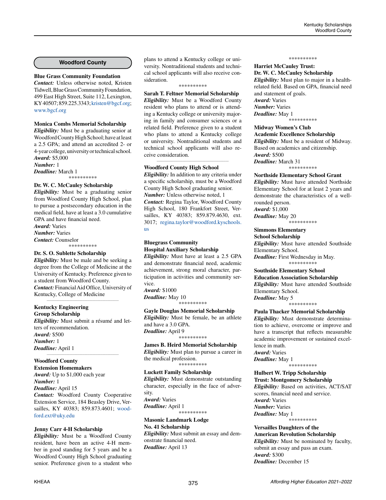# **Woodford County**

#### **Blue Grass Community Foundation**

*Contact:* Unless otherwise noted, Kristen Tidwell, Blue Grass Community Foundation, 499 East High Street, Suite 112, Lexington, KY 40507; 859.225.3343; [kristen@bgcf.org](mailto:kristen%40bgcf.org?subject=); [www.bgcf.org](http://www.bgcf.org)

# **Monica Combs Memorial Scholarship**

*Eligibility:* Must be a graduating senior at Woodford County High School; have at least a 2.5 GPA; and attend an accredited 2- or 4-year college, university or technical school. *Award:* \$5,000

*Number:* 1

*Deadline:* March 1 \*\*\*\*\*\*\*\*\*\*

#### **Dr. W. C. McCauley Scholarship**

*Eligibility:* Must be a graduating senior from Woodford County High School, plan to pursue a postsecondary education in the medical field, have at least a 3.0 cumulative GPA and have financial need. *Award:* Varies

*Number:* Varies *Contact:* Counselor

\*\*\*\*\*\*\*\*\*\*

#### **Dr. S. O. Sublette Scholarship**

*Eligibility:* Must be male and be seeking a degree from the College of Medicine at the University of Kentucky. Preference given to a student from Woodford County. *Contact:* Financial Aid Office, University of Kentucky, College of Medicine

*\_\_\_\_\_\_\_\_\_\_\_\_\_\_\_\_\_\_\_\_\_\_\_\_\_\_\_\_\_\_\_\_\_\_\_\_\_\_\_\_\_\_\_\_*

#### **Kentucky Engineering Group Scholarship**

*Eligibility:* Must submit a résumé and letters of recommendation. *Award:* \$500 *Number:* 1 *Deadline:* April 1 *\_\_\_\_\_\_\_\_\_\_\_\_\_\_\_\_\_\_\_\_\_\_\_\_\_\_\_\_\_\_\_\_\_\_\_\_\_\_\_\_\_\_\_\_*

# **Woodford County**

**Extension Homemakers** *Award:* Up to \$1,000 each year *Number:* 1 *Deadline:* April 15 *Contact:* Woodford County Cooperative Extension Service, 184 Beasley Drive, Versailles, KY 40383; 859.873.4601; [wood](mailto:woodford.ext@uky.edu)[ford.ext@uky.edu](mailto:woodford.ext@uky.edu)

# **Jenny Carr 4-H Scholarship**

*Eligibility:* Must be a Woodford County resident, have been an active 4-H member in good standing for 5 years and be a Woodford County High School graduating senior. Preference given to a student who plans to attend a Kentucky college or university. Nontraditional students and technical school applicants will also receive consideration.

#### \*\*\*\*\*\*\*\*\*\*

**Sarah T. Feltner Memorial Scholarship** *Eligibility:* Must be a Woodford County resident who plans to attend or is attending a Kentucky college or university majoring in family and consumer sciences or a related field. Preference given to a student who plans to attend a Kentucky college or university. Nontraditional students and technical school applicants will also receive consideration.

*\_\_\_\_\_\_\_\_\_\_\_\_\_\_\_\_\_\_\_\_\_\_\_\_\_\_\_\_\_\_\_\_\_\_\_\_\_\_\_\_\_\_\_\_*

#### **Woodford County High School**

*Eligibility:* In addition to any criteria under a specific scholarship, must be a Woodford County High School graduating senior. *Number:* Unless otherwise noted, 1 *Contact:* Regina Taylor, Woodford County High School, 180 Frankfort Street, Versailles, KY 40383; 859.879.4630, ext. 3017; [regina.taylor@woodford.kyschools.](mailto:regina.taylor%40woodford.kyschools.us?subject=) [us](mailto:regina.taylor%40woodford.kyschools.us?subject=)

#### **Bluegrass Community Hospital Auxiliary Scholarship**

*Eligibility:* Must have at least a 2.5 GPA and demonstrate financial need, academic achievement, strong moral character, participation in activities and community service. *Award:* \$1000

*Deadline:* May 10 \*\*\*\*\*\*\*\*\*\*

#### **Gayle Douglas Memorial Scholarship** *Eligibility:* Must be female, be an athlete and have a 3.0 GPA. *Deadline:* April 9 \*\*\*\*\*\*\*\*\*\*

#### **James B. Heird Memorial Scholarship**

*Eligibility:* Must plan to pursue a career in the medical profession. \*\*\*\*\*\*\*\*\*\*

#### **Luckett Family Scholarship**

*Eligibility:* Must demonstrate outstanding character, especially in the face of adversity. *Award:* Varies

*Deadline:* April 1 \*\*\*\*\*\*\*\*\*\*

#### **Masonic Landmark Lodge No. 41 Scholarship**

*Eligibility:* Must submit an essay and demonstrate financial need. *Deadline:* April 13

#### \*\*\*\*\*\*\*\*\*\*

#### **Harriet McCauley Trust: Dr. W. C. McCauley Scholarship**

*Eligibility:* Must plan to major in a healthrelated field. Based on GPA, financial need and statement of goals. *Award:* Varies *Number:* Varies *Deadline:* May 1 \*\*\*\*\*\*\*\*\*\*

# **Midway Women's Club Academic Excellence Scholarship** *Eligibility:* Must be a resident of Midway. Based on academics and citizenship. *Award:* \$500

*Deadline:* March 31 \*\*\*\*\*\*\*\*\*\*

#### **Northside Elementary School Grant**

*Eligibility:* Must have attended Northside Elementary School for at least 2 years and demonstrate the characteristics of a wellrounded person.

*Award:* \$1,000 *Deadline:* May 20

\*\*\*\*\*\*\*\*\*\*

# **Simmons Elementary**

**School Scholarship** *Eligibility:* Must have attended Southside Elementary School. *Deadline:* First Wednesday in May.

\*\*\*\*\*\*\*\*\*\*

#### **Southside Elementary School Education Association Scholarship**

*Eligibility:* Must have attended Southside Elementary School. *Deadline:* May 5

\*\*\*\*\*\*\*\*\*\*

#### **Paula Thacker Memorial Scholarship**

*Eligibility:* Must demonstrate determination to achieve, overcome or improve and have a transcript that reflects measurable academic improvement or sustained excellence in math. *Award:* Varies

*Deadline:* May 1 \*\*\*\*\*\*\*\*\*\*

# **Hulbert W. Tripp Scholarship Trust: Montgomery Scholarship**

*Eligibility:* Based on activities, ACT/SAT scores, financial need and service. *Award:* Varies *Number:* Varies *Deadline:* May 1 \*\*\*\*\*\*\*\*\*\*

**Versailles Daughters of the American Revolution Scholarship**  *Eligibility:* Must be nominated by faculty, submit an essay and pass an exam. *Award:* \$300 *Deadline:* December 15